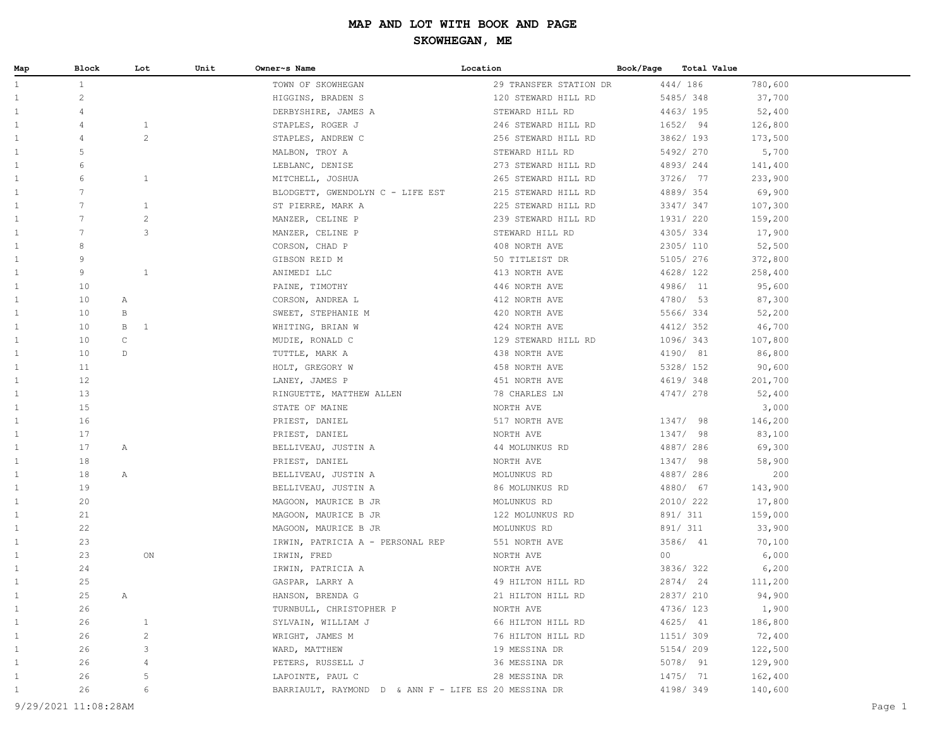| Map          | Block                | Lot                          | Unit | Owner~s Name                                         | Location               | Book/Page | Total Value |         |        |
|--------------|----------------------|------------------------------|------|------------------------------------------------------|------------------------|-----------|-------------|---------|--------|
| $\mathbf{1}$ | $\mathbf{1}$         |                              |      | TOWN OF SKOWHEGAN                                    | 29 TRANSFER STATION DR |           | 444/ 186    | 780,600 |        |
| $\mathbf{1}$ | $\overline{c}$       |                              |      | HIGGINS, BRADEN S                                    | 120 STEWARD HILL RD    |           | 5485/348    | 37,700  |        |
| 1            | 4                    |                              |      | DERBYSHIRE, JAMES A                                  | STEWARD HILL RD        |           | 4463/195    | 52,400  |        |
| 1            | 4                    | $\mathbf{1}$                 |      | STAPLES, ROGER J                                     | 246 STEWARD HILL RD    |           | 1652/ 94    | 126,800 |        |
| 1            | 4                    | $\mathbf{2}$                 |      | STAPLES, ANDREW C                                    | 256 STEWARD HILL RD    |           | 3862/ 193   | 173,500 |        |
| $\mathbf{1}$ | 5                    |                              |      | MALBON, TROY A                                       | STEWARD HILL RD        |           | 5492/270    | 5,700   |        |
| $\mathbf{1}$ | 6                    |                              |      | LEBLANC, DENISE                                      | 273 STEWARD HILL RD    |           | 4893/244    | 141,400 |        |
| 1            | 6                    | $\mathbf{1}$                 |      | MITCHELL, JOSHUA                                     | 265 STEWARD HILL RD    |           | 3726/ 77    | 233,900 |        |
| $\mathbf{1}$ | 7                    |                              |      | BLODGETT, GWENDOLYN C - LIFE EST                     | 215 STEWARD HILL RD    |           | 4889/354    | 69,900  |        |
| $\mathbf{1}$ | 7                    | $\mathbf{1}$                 |      | ST PIERRE, MARK A                                    | 225 STEWARD HILL RD    |           | 3347/ 347   | 107,300 |        |
| $\mathbf{1}$ | 7                    | $\mathbf{2}$                 |      | MANZER, CELINE P                                     | 239 STEWARD HILL RD    |           | 1931/ 220   | 159,200 |        |
| 1            | $7\overline{ }$      | 3                            |      | MANZER, CELINE P                                     | STEWARD HILL RD        |           | 4305/334    | 17,900  |        |
| $\mathbf{1}$ | 8                    |                              |      | CORSON, CHAD P                                       | 408 NORTH AVE          |           | 2305/ 110   | 52,500  |        |
| $\mathbf{1}$ | 9                    |                              |      | GIBSON REID M                                        | 50 TITLEIST DR         |           | 5105/ 276   | 372,800 |        |
| $\mathbf{1}$ | 9                    | $\mathbf{1}$                 |      | ANIMEDI LLC                                          | 413 NORTH AVE          |           | 4628/ 122   | 258,400 |        |
| 1            | 10                   |                              |      | PAINE, TIMOTHY                                       | 446 NORTH AVE          |           | 4986/ 11    | 95,600  |        |
| $\mathbf{1}$ | 10                   | Α                            |      | CORSON, ANDREA L                                     | 412 NORTH AVE          |           | 4780/ 53    | 87,300  |        |
| $\mathbf{1}$ | 10                   | $\, {\bf B}$                 |      | SWEET, STEPHANIE M                                   | 420 NORTH AVE          |           | 5566/334    | 52,200  |        |
| $\mathbf{1}$ | 10                   | $\, {\bf B}$<br>$\mathbf{1}$ |      | WHITING, BRIAN W                                     | 424 NORTH AVE          |           | 4412/352    | 46,700  |        |
| 1            | 10                   | $\mathsf C$                  |      | MUDIE, RONALD C                                      | 129 STEWARD HILL RD    |           | 1096/343    | 107,800 |        |
| 1            | 10                   | $\mathbb D$                  |      | TUTTLE, MARK A                                       | 438 NORTH AVE          |           | 4190/ 81    | 86,800  |        |
| $\mathbf{1}$ | 11                   |                              |      | HOLT, GREGORY W                                      | 458 NORTH AVE          |           | 5328/ 152   | 90,600  |        |
| $\mathbf{1}$ | 12                   |                              |      | LANEY, JAMES P                                       | 451 NORTH AVE          |           | 4619/348    | 201,700 |        |
| 1            | 13                   |                              |      | RINGUETTE, MATTHEW ALLEN                             | 78 CHARLES LN          |           | 4747/ 278   | 52,400  |        |
| $\mathbf{1}$ | 15                   |                              |      | STATE OF MAINE                                       | NORTH AVE              |           |             | 3,000   |        |
| $\mathbf{1}$ | 16                   |                              |      | PRIEST, DANIEL                                       | 517 NORTH AVE          |           | 1347/ 98    | 146,200 |        |
| $\mathbf{1}$ | 17                   |                              |      | PRIEST, DANIEL                                       | NORTH AVE              |           | 1347/ 98    | 83,100  |        |
| 1            | 17                   | Α                            |      | BELLIVEAU, JUSTIN A                                  | 44 MOLUNKUS RD         |           | 4887/286    | 69,300  |        |
| 1            | 18                   |                              |      | PRIEST, DANIEL                                       | NORTH AVE              |           | 1347/ 98    | 58,900  |        |
| $\mathbf{1}$ | 18                   | Α                            |      | BELLIVEAU, JUSTIN A                                  | MOLUNKUS RD            |           | 4887/286    | 200     |        |
| $\mathbf{1}$ | 19                   |                              |      | BELLIVEAU, JUSTIN A                                  | 86 MOLUNKUS RD         |           | 4880/ 67    | 143,900 |        |
| 1            | 20                   |                              |      | MAGOON, MAURICE B JR                                 | MOLUNKUS RD            |           | 2010/222    | 17,800  |        |
| $\mathbf{1}$ | 21                   |                              |      | MAGOON, MAURICE B JR                                 | 122 MOLUNKUS RD        |           | 891/ 311    | 159,000 |        |
| $\mathbf{1}$ | 22                   |                              |      | MAGOON, MAURICE B JR                                 | MOLUNKUS RD            |           | 891/ 311    | 33,900  |        |
| $\mathbf{1}$ | 23                   |                              |      | IRWIN, PATRICIA A - PERSONAL REP                     | 551 NORTH AVE          |           | 3586/ 41    | 70,100  |        |
| 1            | 23                   | ON                           |      | IRWIN, FRED                                          | NORTH AVE              | 00        |             | 6,000   |        |
| $\mathbf{1}$ | 24                   |                              |      | IRWIN, PATRICIA A                                    | NORTH AVE              |           | 3836/322    | 6,200   |        |
| $\mathbf{1}$ | 25                   |                              |      | GASPAR, LARRY A                                      | 49 HILTON HILL RD      |           | 2874/ 24    | 111,200 |        |
| 1            | 25                   | Α                            |      | HANSON, BRENDA G                                     | 21 HILTON HILL RD      |           | 2837/ 210   | 94,900  |        |
| $\mathbf{1}$ | 26                   |                              |      | TURNBULL, CHRISTOPHER P                              | NORTH AVE              |           | 4736/ 123   | 1,900   |        |
| $\mathbf{1}$ | 26                   | $\mathbf{1}$                 |      | SYLVAIN, WILLIAM J                                   | 66 HILTON HILL RD      |           | 4625/ 41    | 186,800 |        |
| $\mathbf{1}$ | 26                   | $\overline{c}$               |      | WRIGHT, JAMES M                                      | 76 HILTON HILL RD      |           | 1151/ 309   | 72,400  |        |
| $\mathbf{1}$ | 26                   | 3                            |      | WARD, MATTHEW                                        | 19 MESSINA DR          |           | 5154/ 209   | 122,500 |        |
| $\mathbf{1}$ | 26                   | 4                            |      | PETERS, RUSSELL J                                    | 36 MESSINA DR          |           | 5078/ 91    | 129,900 |        |
| $\mathbf{1}$ | 26                   | 5                            |      | LAPOINTE, PAUL C                                     | 28 MESSINA DR          |           | 1475/ 71    | 162,400 |        |
| $\mathbf{1}$ | 26                   | 6                            |      | BARRIAULT, RAYMOND D & ANN F - LIFE ES 20 MESSINA DR |                        |           | 4198/ 349   | 140,600 |        |
|              | 9/29/2021 11:08:28AM |                              |      |                                                      |                        |           |             |         | Page 1 |
|              |                      |                              |      |                                                      |                        |           |             |         |        |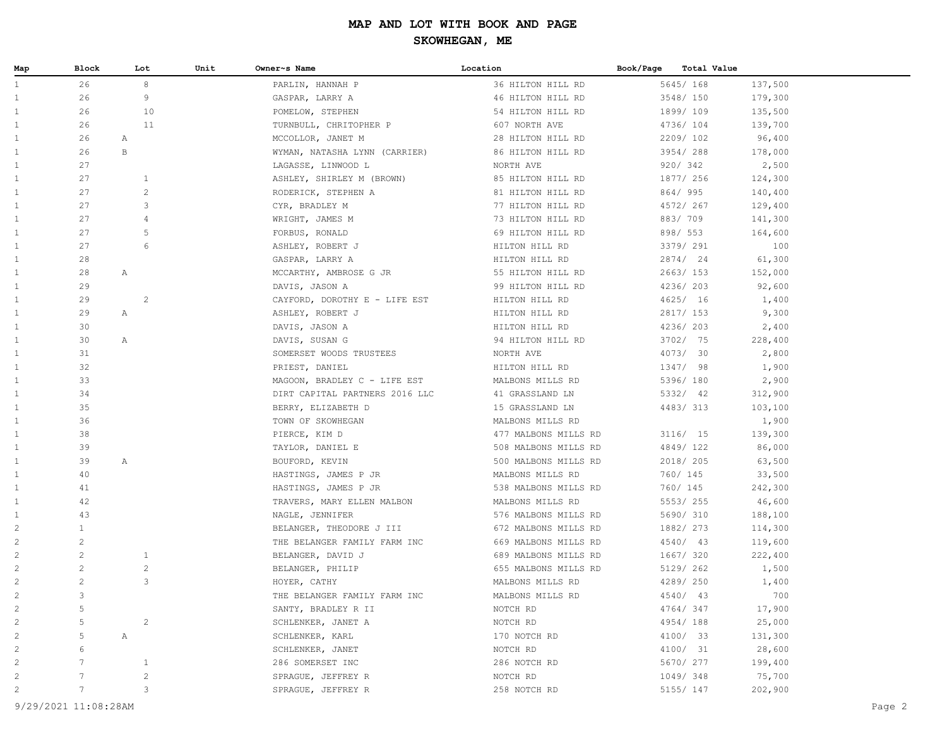| Map            | Block                | Lot            | Unit | Owner~s Name                   | Location             | Book/Page | Total Value |         |        |
|----------------|----------------------|----------------|------|--------------------------------|----------------------|-----------|-------------|---------|--------|
| $\mathbf{1}$   | 26                   | $^{\rm 8}$     |      | PARLIN, HANNAH P               | 36 HILTON HILL RD    |           | 5645/ 168   | 137,500 |        |
| $\mathbf{1}$   | 26                   | 9              |      | GASPAR, LARRY A                | 46 HILTON HILL RD    |           | 3548/ 150   | 179,300 |        |
| $\mathbf{1}$   | 26                   | 10             |      | POMELOW, STEPHEN               | 54 HILTON HILL RD    |           | 1899/109    | 135,500 |        |
| 1              | 26                   | 11             |      | TURNBULL, CHRITOPHER P         | 607 NORTH AVE        |           | 4736/104    | 139,700 |        |
| 1              | 26                   | Α              |      | MCCOLLOR, JANET M              | 28 HILTON HILL RD    |           | 2209/102    | 96,400  |        |
| $\mathbf{1}$   | 26                   | $\, {\bf B}$   |      | WYMAN, NATASHA LYNN (CARRIER)  | 86 HILTON HILL RD    |           | 3954/288    | 178,000 |        |
| $\mathbf{1}$   | 27                   |                |      | LAGASSE, LINWOOD L             | NORTH AVE            |           | 920/ 342    | 2,500   |        |
| $\mathbf{1}$   | 27                   | $\mathbf{1}$   |      | ASHLEY, SHIRLEY M (BROWN)      | 85 HILTON HILL RD    |           | 1877/ 256   | 124,300 |        |
| $\mathbf{1}$   | 27                   | $\mathbf{2}$   |      | RODERICK, STEPHEN A            | 81 HILTON HILL RD    |           | 864/ 995    | 140,400 |        |
| $\mathbf{1}$   | 27                   | 3              |      | CYR, BRADLEY M                 | 77 HILTON HILL RD    |           | 4572/ 267   | 129,400 |        |
| $\mathbf{1}$   | 27                   | $\overline{4}$ |      | WRIGHT, JAMES M                | 73 HILTON HILL RD    |           | 883/709     | 141,300 |        |
| $\mathbf{1}$   | 27                   | 5              |      | FORBUS, RONALD                 | 69 HILTON HILL RD    |           | 898/ 553    | 164,600 |        |
| $\mathbf{1}$   | 27                   | 6              |      | ASHLEY, ROBERT J               | HILTON HILL RD       |           | 3379/ 291   | 100     |        |
| $\mathbf{1}$   | 28                   |                |      | GASPAR, LARRY A                | HILTON HILL RD       |           | 2874/ 24    | 61,300  |        |
| $\mathbf{1}$   | 28                   | Α              |      | MCCARTHY, AMBROSE G JR         | 55 HILTON HILL RD    |           | 2663/ 153   | 152,000 |        |
| $\mathbf{1}$   | 29                   |                |      | DAVIS, JASON A                 | 99 HILTON HILL RD    |           | 4236/203    | 92,600  |        |
| $\mathbf{1}$   | 29                   | 2              |      | CAYFORD, DOROTHY E - LIFE EST  | HILTON HILL RD       |           | 4625/ 16    | 1,400   |        |
| $\mathbf{1}$   | 29                   | Α              |      | ASHLEY, ROBERT J               | HILTON HILL RD       |           | 2817/ 153   | 9,300   |        |
| $\mathbf{1}$   | 30                   |                |      | DAVIS, JASON A                 | HILTON HILL RD       |           | 4236/ 203   | 2,400   |        |
| $\mathbf{1}$   | 30                   | Α              |      | DAVIS, SUSAN G                 | 94 HILTON HILL RD    |           | 3702/ 75    | 228,400 |        |
| $\mathbf{1}$   | 31                   |                |      | SOMERSET WOODS TRUSTEES        | NORTH AVE            |           | 4073/ 30    | 2,800   |        |
| $\mathbf{1}$   | 32                   |                |      | PRIEST, DANIEL                 | HILTON HILL RD       |           | 1347/ 98    | 1,900   |        |
| $\mathbf{1}$   | 33                   |                |      | MAGOON, BRADLEY C - LIFE EST   | MALBONS MILLS RD     |           | 5396/ 180   | 2,900   |        |
| $\mathbf{1}$   | 34                   |                |      | DIRT CAPITAL PARTNERS 2016 LLC | 41 GRASSLAND LN      |           | 5332/ 42    | 312,900 |        |
| $\mathbf{1}$   | 35                   |                |      | BERRY, ELIZABETH D             | 15 GRASSLAND LN      |           | 4483/313    | 103,100 |        |
| $\mathbf{1}$   | 36                   |                |      | TOWN OF SKOWHEGAN              | MALBONS MILLS RD     |           |             | 1,900   |        |
| $\mathbf{1}$   | 38                   |                |      | PIERCE, KIM D                  | 477 MALBONS MILLS RD |           | 3116/ 15    | 139,300 |        |
| $\mathbf{1}$   | 39                   |                |      | TAYLOR, DANIEL E               | 508 MALBONS MILLS RD |           | 4849/122    | 86,000  |        |
| 1              | 39                   | Α              |      | BOUFORD, KEVIN                 | 500 MALBONS MILLS RD |           | 2018/205    | 63,500  |        |
| $\mathbf{1}$   | 40                   |                |      | HASTINGS, JAMES P JR           | MALBONS MILLS RD     |           | 760/ 145    | 33,500  |        |
| $\mathbf{1}$   | 41                   |                |      | HASTINGS, JAMES P JR           | 538 MALBONS MILLS RD |           | 760/ 145    | 242,300 |        |
| $\mathbf{1}$   | 42                   |                |      | TRAVERS, MARY ELLEN MALBON     | MALBONS MILLS RD     |           | 5553/255    | 46,600  |        |
| $\mathbf{1}$   | 43                   |                |      | NAGLE, JENNIFER                | 576 MALBONS MILLS RD |           | 5690/ 310   | 188,100 |        |
| $\overline{c}$ | $\mathbf{1}$         |                |      | BELANGER, THEODORE J III       | 672 MALBONS MILLS RD |           | 1882/ 273   | 114,300 |        |
| $\overline{c}$ | $\mathbf{2}$         |                |      | THE BELANGER FAMILY FARM INC   | 669 MALBONS MILLS RD |           | 4540/ 43    | 119,600 |        |
| $\overline{c}$ | $\mathbf{2}$         | $\mathbf{1}$   |      | BELANGER, DAVID J              | 689 MALBONS MILLS RD |           | 1667/ 320   | 222,400 |        |
| $\overline{c}$ | $\mathbf{2}$         | $\mathbf{2}$   |      | BELANGER, PHILIP               | 655 MALBONS MILLS RD |           | 5129/ 262   | 1,500   |        |
| 2              | 2                    | 3              |      | HOYER, CATHY                   | MALBONS MILLS RD     |           | 4289/ 250   | 1,400   |        |
| 2              | 3                    |                |      | THE BELANGER FAMILY FARM INC   | MALBONS MILLS RD     |           | 4540/ 43    | 700     |        |
| 2              | 5                    |                |      | SANTY, BRADLEY R II            | NOTCH RD             |           | 4764/347    | 17,900  |        |
| 2              | 5                    | $\overline{c}$ |      | SCHLENKER, JANET A             | NOTCH RD             |           | 4954/188    | 25,000  |        |
| $\overline{c}$ | 5                    | Α              |      | SCHLENKER, KARL                | 170 NOTCH RD         |           | 4100/ 33    | 131,300 |        |
| $\overline{c}$ | 6                    |                |      | SCHLENKER, JANET               | NOTCH RD             |           | 4100/ 31    | 28,600  |        |
| $\overline{c}$ | 7                    | $\mathbf{1}$   |      | 286 SOMERSET INC               | 286 NOTCH RD         |           | 5670/ 277   | 199,400 |        |
| $\overline{c}$ |                      | $\overline{c}$ |      | SPRAGUE, JEFFREY R             | NOTCH RD             |           | 1049/348    | 75,700  |        |
| $\overline{c}$ | $7\phantom{.0}$      | 3              |      | SPRAGUE, JEFFREY R             | 258 NOTCH RD         |           | 5155/ 147   | 202,900 |        |
|                | 9/29/2021 11:08:28AM |                |      |                                |                      |           |             |         | Page 2 |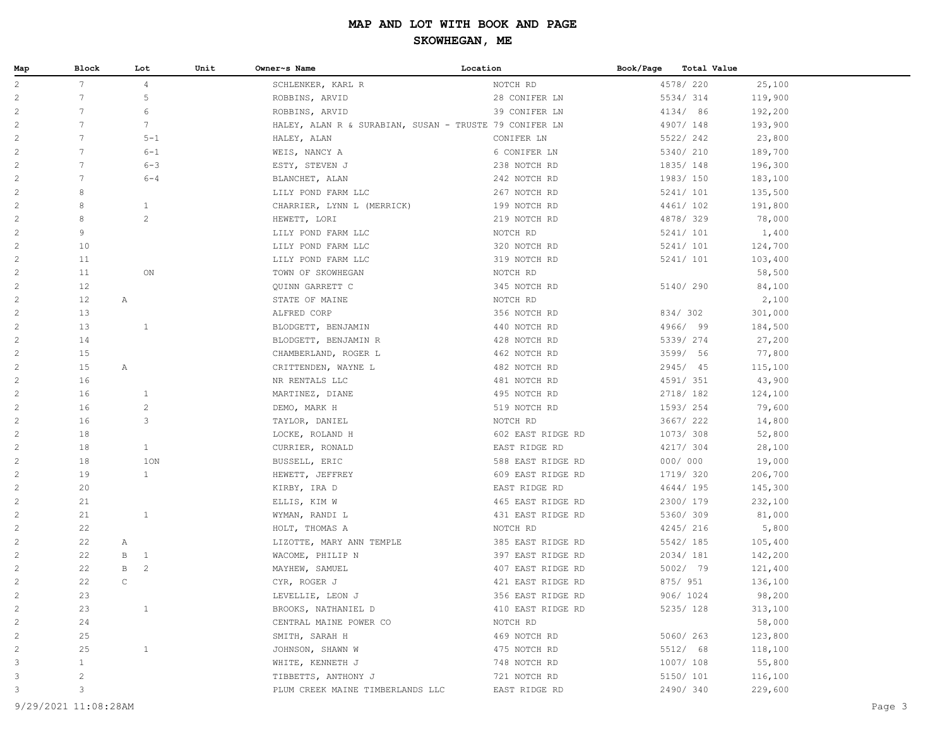| Map            | Block           | Lot                            | Unit | Owner~s Name                                           | Location          | Book/Page | <b>Total Value</b> |         |
|----------------|-----------------|--------------------------------|------|--------------------------------------------------------|-------------------|-----------|--------------------|---------|
| $\overline{c}$ | 7               | $\overline{4}$                 |      | SCHLENKER, KARL R                                      | NOTCH RD          |           | 4578/ 220          | 25,100  |
| 2              | $7\phantom{.0}$ | 5                              |      | ROBBINS, ARVID                                         | 28 CONIFER LN     |           | 5534/314           | 119,900 |
| $\overline{c}$ | $7\phantom{.0}$ | 6                              |      | ROBBINS, ARVID                                         | 39 CONIFER LN     |           | 4134/ 86           | 192,200 |
| $\overline{c}$ | $7\phantom{.0}$ | $7\phantom{.0}$                |      | HALEY, ALAN R & SURABIAN, SUSAN - TRUSTE 79 CONIFER LN |                   |           | 4907/148           | 193,900 |
| $\overline{c}$ | 7               | $5 - 1$                        |      | HALEY, ALAN                                            | CONIFER LN        |           | 5522/242           | 23,800  |
| $\sqrt{2}$     | 7               | $6 - 1$                        |      | WEIS, NANCY A                                          | 6 CONIFER LN      |           | 5340/ 210          | 189,700 |
| $\overline{c}$ | 7               | $6 - 3$                        |      | ESTY, STEVEN J                                         | 238 NOTCH RD      |           | 1835/148           | 196,300 |
| $\overline{c}$ | 7               | $6 - 4$                        |      | BLANCHET, ALAN                                         | 242 NOTCH RD      |           | 1983/150           | 183,100 |
| $\sqrt{2}$     | 8               |                                |      | LILY POND FARM LLC                                     | 267 NOTCH RD      |           | 5241/ 101          | 135,500 |
| $\sqrt{2}$     | 8               | $\mathbf{1}$                   |      | CHARRIER, LYNN L (MERRICK)                             | 199 NOTCH RD      |           | 4461/102           | 191,800 |
| $\overline{c}$ | 8               | $\mathbf{2}$                   |      | HEWETT, LORI                                           | 219 NOTCH RD      |           | 4878/329           | 78,000  |
| $\overline{c}$ | 9               |                                |      | LILY POND FARM LLC                                     | NOTCH RD          |           | 5241/ 101          | 1,400   |
| $\overline{c}$ | 10              |                                |      | LILY POND FARM LLC                                     | 320 NOTCH RD      |           | 5241/ 101          | 124,700 |
| $\overline{c}$ | 11              |                                |      | LILY POND FARM LLC                                     | 319 NOTCH RD      |           | 5241/ 101          | 103,400 |
| $\overline{c}$ | 11              | ON                             |      | TOWN OF SKOWHEGAN                                      | NOTCH RD          |           |                    | 58,500  |
| $\overline{c}$ | 12              |                                |      | QUINN GARRETT C                                        | 345 NOTCH RD      |           | 5140/ 290          | 84,100  |
| $\overline{c}$ | 12              | $\mathbb{A}$                   |      | STATE OF MAINE                                         | NOTCH RD          |           |                    | 2,100   |
| $\overline{c}$ | 13              |                                |      | ALFRED CORP                                            | 356 NOTCH RD      |           | 834/302            | 301,000 |
| $\overline{c}$ | 13              | $\mathbf{1}$                   |      | BLODGETT, BENJAMIN                                     | 440 NOTCH RD      |           | 4966/ 99           | 184,500 |
| $\overline{c}$ | 14              |                                |      | BLODGETT, BENJAMIN R                                   | 428 NOTCH RD      |           | 5339/ 274          | 27,200  |
| $\overline{c}$ | 15              |                                |      | CHAMBERLAND, ROGER L                                   | 462 NOTCH RD      |           | 3599/ 56           | 77,800  |
| $\overline{c}$ | 15              | $\mathbb{A}$                   |      | CRITTENDEN, WAYNE L                                    | 482 NOTCH RD      |           | 2945/ 45           | 115,100 |
| $\overline{c}$ | 16              |                                |      | NR RENTALS LLC                                         | 481 NOTCH RD      |           | 4591/ 351          | 43,900  |
| $\mathbf{2}$   | 16              | $\mathbf{1}$                   |      | MARTINEZ, DIANE                                        | 495 NOTCH RD      |           | 2718/ 182          | 124,100 |
| $\overline{c}$ | 16              | $\overline{c}$                 |      | DEMO, MARK H                                           | 519 NOTCH RD      |           | 1593/254           | 79,600  |
| $\overline{c}$ | 16              | 3                              |      | TAYLOR, DANIEL                                         | NOTCH RD          |           | 3667/ 222          | 14,800  |
| $\overline{c}$ | 18              |                                |      | LOCKE, ROLAND H                                        | 602 EAST RIDGE RD |           | 1073/ 308          | 52,800  |
| $\overline{c}$ | 18              | $\mathbf{1}$                   |      | CURRIER, RONALD                                        | EAST RIDGE RD     |           | 4217/ 304          | 28,100  |
| $\overline{c}$ | 18              | 1ON                            |      | BUSSELL, ERIC                                          | 588 EAST RIDGE RD |           | 000/000            | 19,000  |
| 2              | 19              | $\mathbf{1}$                   |      | HEWETT, JEFFREY                                        | 609 EAST RIDGE RD |           | 1719/ 320          | 206,700 |
| $\overline{c}$ | 20              |                                |      | KIRBY, IRA D                                           | EAST RIDGE RD     |           | 4644/195           | 145,300 |
| $\overline{c}$ | 21              |                                |      | ELLIS, KIM W                                           | 465 EAST RIDGE RD |           | 2300/ 179          | 232,100 |
| $\overline{c}$ | 21              | $\mathbf{1}$                   |      | WYMAN, RANDI L                                         | 431 EAST RIDGE RD |           | 5360/ 309          | 81,000  |
| $\overline{c}$ | 22              |                                |      | HOLT, THOMAS A                                         | NOTCH RD          |           | 4245/ 216          | 5,800   |
| $\overline{c}$ | 22              | Α                              |      | LIZOTTE, MARY ANN TEMPLE                               | 385 EAST RIDGE RD |           | 5542/ 185          | 105,400 |
| $\overline{c}$ | 22              | В<br>$\mathbf{1}$              |      | WACOME, PHILIP N                                       | 397 EAST RIDGE RD |           | 2034/181           | 142,200 |
| $\overline{c}$ | 22              | $\overline{c}$<br>$\mathbf{B}$ |      | MAYHEW, SAMUEL                                         | 407 EAST RIDGE RD |           | 5002/ 79           | 121,400 |
| $\overline{c}$ | 22              | $\mathtt{C}$                   |      | CYR, ROGER J                                           | 421 EAST RIDGE RD |           | 875/ 951           | 136,100 |
| 2              | 23              |                                |      | LEVELLIE, LEON J                                       | 356 EAST RIDGE RD |           | 906/ 1024          | 98,200  |
| $\overline{c}$ | 23              | $\mathbf{1}$                   |      | BROOKS, NATHANIEL D                                    | 410 EAST RIDGE RD |           | 5235/ 128          | 313,100 |
| $\overline{c}$ | 24              |                                |      | CENTRAL MAINE POWER CO                                 | NOTCH RD          |           |                    | 58,000  |
| $\overline{c}$ | 25              |                                |      | SMITH, SARAH H                                         | 469 NOTCH RD      |           | 5060/ 263          | 123,800 |
| $\overline{c}$ | 25              | $\mathbf{1}$                   |      | JOHNSON, SHAWN W                                       | 475 NOTCH RD      |           | 5512/ 68           | 118,100 |
| 3              | $\mathbf{1}$    |                                |      | WHITE, KENNETH J                                       | 748 NOTCH RD      |           | 1007/ 108          | 55,800  |
| 3              | $\mathbf{2}$    |                                |      | TIBBETTS, ANTHONY J                                    | 721 NOTCH RD      |           | 5150/ 101          | 116,100 |
| 3              | 3               |                                |      | PLUM CREEK MAINE TIMBERLANDS LLC                       | EAST RIDGE RD     |           | 2490/340           | 229,600 |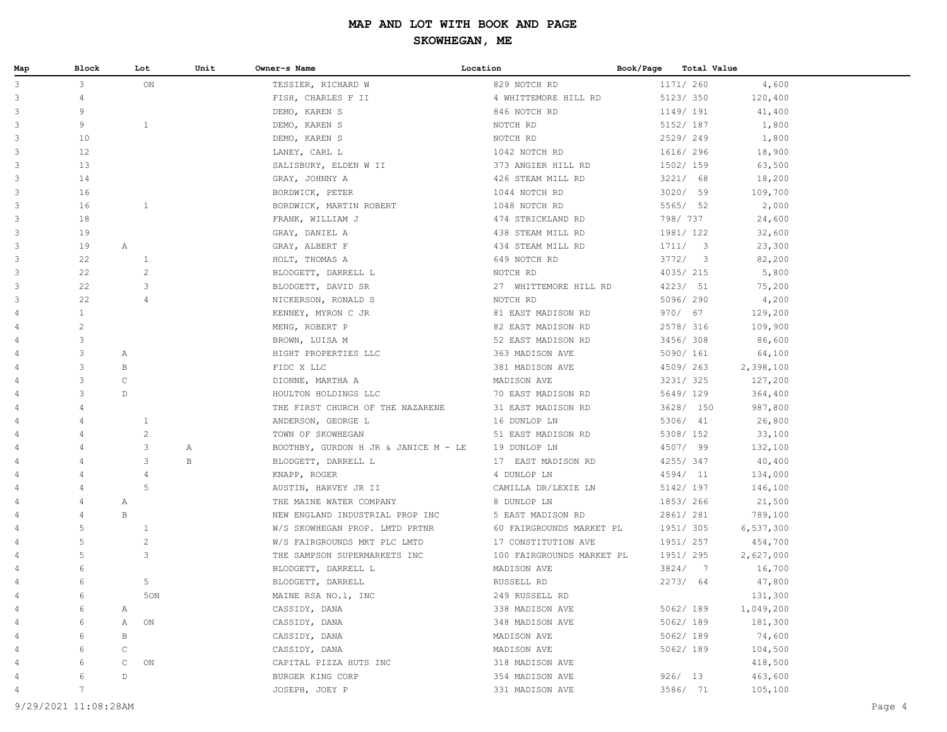| Map | Block          | Lot               | Unit | Owner~s Name                         | Location                  | Book/Page |           | <b>Total Value</b> |  |
|-----|----------------|-------------------|------|--------------------------------------|---------------------------|-----------|-----------|--------------------|--|
| 3   | $\mathcal{E}$  | ON                |      | TESSIER, RICHARD W                   | 829 NOTCH RD              |           | 1171/ 260 | 4,600              |  |
| 3   | $\overline{4}$ |                   |      | FISH, CHARLES F II                   | 4 WHITTEMORE HILL RD      |           | 5123/ 350 | 120,400            |  |
| 3   | 9              |                   |      | DEMO, KAREN S                        | 846 NOTCH RD              |           | 1149/ 191 | 41,400             |  |
| 3   | 9              | $\mathbf{1}$      |      | DEMO, KAREN S                        | NOTCH RD                  |           | 5152/ 187 | 1,800              |  |
| 3   | 10             |                   |      | DEMO, KAREN S                        | NOTCH RD                  |           | 2529/249  | 1,800              |  |
| 3   | 12             |                   |      | LANEY, CARL L                        | 1042 NOTCH RD             |           | 1616/ 296 | 18,900             |  |
| 3   | 13             |                   |      | SALISBURY, ELDEN W II                | 373 ANGIER HILL RD        |           | 1502/ 159 | 63,500             |  |
| 3   | 14             |                   |      | GRAY, JOHNNY A                       | 426 STEAM MILL RD         |           | 3221/ 68  | 18,200             |  |
| 3   | 16             |                   |      | BORDWICK, PETER                      | 1044 NOTCH RD             |           | 3020/ 59  | 109,700            |  |
| 3   | 16             | $\mathbf{1}$      |      | BORDWICK, MARTIN ROBERT              | 1048 NOTCH RD             |           | 5565/ 52  | 2,000              |  |
| 3   | 18             |                   |      | FRANK, WILLIAM J                     | 474 STRICKLAND RD         |           | 798/ 737  | 24,600             |  |
| 3   | 19             |                   |      | GRAY, DANIEL A                       | 438 STEAM MILL RD         |           | 1981/122  | 32,600             |  |
| 3   | 19             | $\mathbb{A}$      |      | GRAY, ALBERT F                       | 434 STEAM MILL RD         |           | 1711/3    | 23,300             |  |
| 3   | 22             | $\mathbf{1}$      |      | HOLT, THOMAS A                       | 649 NOTCH RD              |           | 3772/3    | 82,200             |  |
| 3   | 22             | $\overline{c}$    |      | BLODGETT, DARRELL L                  | NOTCH RD                  |           | 4035/215  | 5,800              |  |
| 3   | 22             | 3                 |      | BLODGETT, DAVID SR                   | 27 WHITTEMORE HILL RD     |           | 4223/ 51  | 75,200             |  |
| 3   | 22             | $\overline{4}$    |      | NICKERSON, RONALD S                  | NOTCH RD                  |           | 5096/290  | 4,200              |  |
| 4   | $\mathbf{1}$   |                   |      | KENNEY, MYRON C JR                   | 81 EAST MADISON RD        |           | 970/ 67   | 129,200            |  |
| 4   | 2              |                   |      | MENG, ROBERT P                       | 82 EAST MADISON RD        |           | 2578/ 316 | 109,900            |  |
| 4   | 3              |                   |      | BROWN, LUISA M                       | 52 EAST MADISON RD        |           | 3456/308  | 86,600             |  |
| 4   | 3              | A                 |      | HIGHT PROPERTIES LLC                 | 363 MADISON AVE           |           | 5090/ 161 | 64,100             |  |
|     | 3              | В                 |      | FIDC X LLC                           | 381 MADISON AVE           |           | 4509/263  | 2,398,100          |  |
| 4   | 3              | $\mathtt{C}$      |      | DIONNE, MARTHA A                     | MADISON AVE               |           | 3231/325  | 127,200            |  |
| 4   | 3              | D                 |      | HOULTON HOLDINGS LLC                 | 70 EAST MADISON RD        |           | 5649/ 129 | 364,400            |  |
| 4   | $\overline{4}$ |                   |      | THE FIRST CHURCH OF THE NAZARENE     | 31 EAST MADISON RD        |           | 3628/ 150 | 987,800            |  |
| 4   | $\overline{4}$ | $\mathbf{1}$      |      | ANDERSON, GEORGE L                   | 16 DUNLOP LN              |           | 5306/ 41  | 26,800             |  |
|     | $\overline{4}$ | $\overline{c}$    |      | TOWN OF SKOWHEGAN                    | 51 EAST MADISON RD        |           | 5308/ 152 | 33,100             |  |
|     | $\overline{4}$ | 3                 | Α    | BOOTHBY, GURDON H JR & JANICE M - LE | 19 DUNLOP LN              |           | 4507/ 99  | 132,100            |  |
|     | 4              | 3                 | В    | BLODGETT, DARRELL L                  | 17 EAST MADISON RD        |           | 4255/347  | 40,400             |  |
|     | $\overline{4}$ | 4                 |      | KNAPP, ROGER                         | 4 DUNLOP LN               |           | 4594/ 11  | 134,000            |  |
| 4   | $\overline{4}$ | 5                 |      | AUSTIN, HARVEY JR II                 | CAMILLA DR/LEXIE LN       |           | 5142/ 197 | 146,100            |  |
|     | $\overline{4}$ | A                 |      | THE MAINE WATER COMPANY              | 8 DUNLOP LN               |           | 1853/266  | 21,500             |  |
|     | $\overline{4}$ | $\, {\bf B}$      |      | NEW ENGLAND INDUSTRIAL PROP INC      | 5 EAST MADISON RD         |           | 2861/ 281 | 789,100            |  |
|     | 5              | $\mathbf{1}$      |      | W/S SKOWHEGAN PROP. LMTD PRTNR       | 60 FAIRGROUNDS MARKET PL  |           | 1951/ 305 | 6,537,300          |  |
|     | 5              | $\overline{c}$    |      | W/S FAIRGROUNDS MKT PLC LMTD         | 17 CONSTITUTION AVE       |           | 1951/ 257 | 454,700            |  |
|     | 5              | 3                 |      | THE SAMPSON SUPERMARKETS INC         | 100 FAIRGROUNDS MARKET PL |           | 1951/ 295 | 2,627,000          |  |
|     | 6              |                   |      | BLODGETT, DARRELL L                  | MADISON AVE               |           | 3824/7    | 16,700             |  |
| 4   | 6              | 5                 |      | BLODGETT, DARRELL                    | RUSSELL RD                |           | 2273/ 64  | 47,800             |  |
| 4   | 6              | 50N               |      | MAINE RSA NO.1, INC                  | 249 RUSSELL RD            |           |           | 131,300            |  |
|     |                | Α                 |      | CASSIDY, DANA                        | 338 MADISON AVE           |           | 5062/ 189 | 1,049,200          |  |
|     |                | ON<br>Α           |      | CASSIDY, DANA                        | 348 MADISON AVE           |           | 5062/189  | 181,300            |  |
|     | 6              | В                 |      | CASSIDY, DANA                        | MADISON AVE               |           | 5062/189  | 74,600             |  |
|     | 6              | $\mathsf C$       |      | CASSIDY, DANA                        | MADISON AVE               |           | 5062/189  | 104,500            |  |
|     | 6              | $\mathsf C$<br>ON |      | CAPITAL PIZZA HUTS INC               | 318 MADISON AVE           |           |           | 418,500            |  |
|     | 6              | $\mathbb D$       |      | BURGER KING CORP                     | 354 MADISON AVE           |           | 926/ 13   | 463,600            |  |
|     | 7              |                   |      | JOSEPH, JOEY P                       | 331 MADISON AVE           |           | 3586/ 71  | 105,100            |  |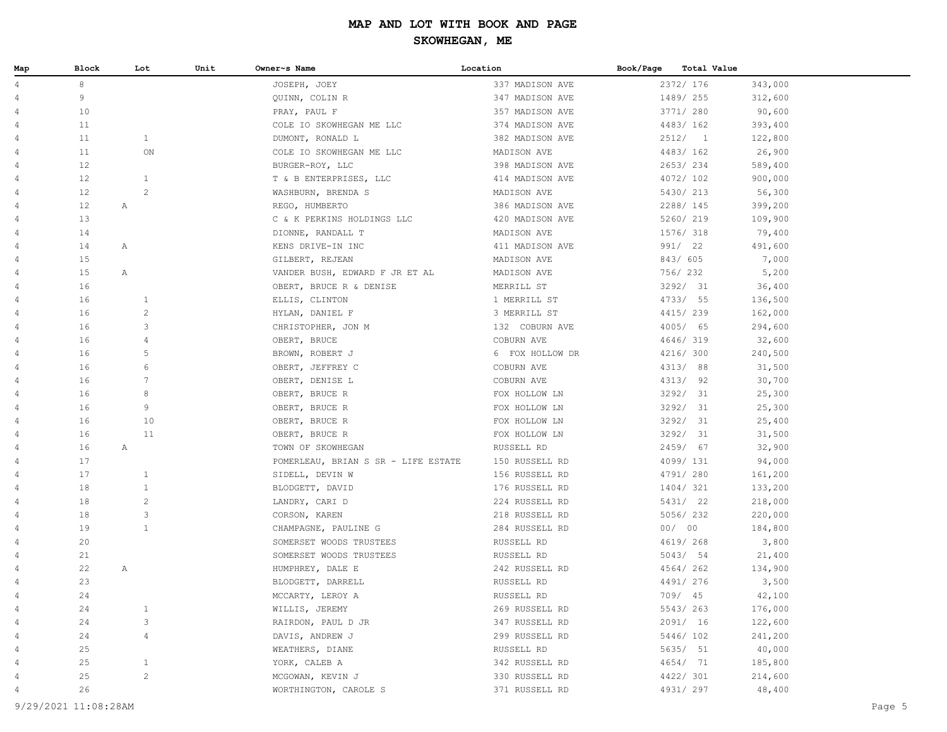| Map            | Block | Lot            | Unit | Owner~s Name                        | Location        | Book/Page | Total Value |         |
|----------------|-------|----------------|------|-------------------------------------|-----------------|-----------|-------------|---------|
| 4              | 8     |                |      | JOSEPH, JOEY                        | 337 MADISON AVE |           | 2372/ 176   | 343,000 |
| $\overline{4}$ | 9     |                |      | QUINN, COLIN R                      | 347 MADISON AVE |           | 1489/ 255   | 312,600 |
| 4              | 10    |                |      | PRAY, PAUL F                        | 357 MADISON AVE |           | 3771/ 280   | 90,600  |
| 4              | 11    |                |      | COLE IO SKOWHEGAN ME LLC            | 374 MADISON AVE |           | 4483/162    | 393,400 |
| 4              | 11    | $\mathbf{1}$   |      | DUMONT, RONALD L                    | 382 MADISON AVE |           | 2512/1      | 122,800 |
| 4              | 11    | ON             |      | COLE IO SKOWHEGAN ME LLC            | MADISON AVE     |           | 4483/162    | 26,900  |
| 4              | 12    |                |      | BURGER-ROY, LLC                     | 398 MADISON AVE |           | 2653/234    | 589,400 |
| 4              | 12    | $\mathbf{1}$   |      | T & B ENTERPRISES, LLC              | 414 MADISON AVE |           | 4072/102    | 900,000 |
| 4              | 12    | $\mathbf{2}$   |      | WASHBURN, BRENDA S                  | MADISON AVE     |           | 5430/ 213   | 56,300  |
| 4              | 12    | Α              |      | REGO, HUMBERTO                      | 386 MADISON AVE |           | 2288/ 145   | 399,200 |
| 4              | 13    |                |      | C & K PERKINS HOLDINGS LLC          | 420 MADISON AVE |           | 5260/ 219   | 109,900 |
| 4              | 14    |                |      | DIONNE, RANDALL T                   | MADISON AVE     |           | 1576/ 318   | 79,400  |
| 4              | 14    | Α              |      | KENS DRIVE-IN INC                   | 411 MADISON AVE |           | 991/ 22     | 491,600 |
| 4              | 15    |                |      | GILBERT, REJEAN                     | MADISON AVE     |           | 843/ 605    | 7,000   |
| 4              | 15    | Α              |      | VANDER BUSH, EDWARD F JR ET AL      | MADISON AVE     |           | 756/ 232    | 5,200   |
| 4              | 16    |                |      | OBERT, BRUCE R & DENISE             | MERRILL ST      |           | 3292/ 31    | 36,400  |
| 4              | 16    | $\mathbf{1}$   |      | ELLIS, CLINTON                      | 1 MERRILL ST    |           | 4733/ 55    | 136,500 |
| 4              | 16    | $\overline{c}$ |      | HYLAN, DANIEL F                     | 3 MERRILL ST    |           | 4415/239    | 162,000 |
| 4              | 16    | 3              |      | CHRISTOPHER, JON M                  | 132 COBURN AVE  |           | 4005/ 65    | 294,600 |
| 4              | 16    | $\overline{4}$ |      | OBERT, BRUCE                        | COBURN AVE      |           | 4646/319    | 32,600  |
| 4              | 16    | 5              |      | BROWN, ROBERT J                     | 6 FOX HOLLOW DR |           | 4216/ 300   | 240,500 |
| 4              | 16    | 6              |      | OBERT, JEFFREY C                    | COBURN AVE      |           | 4313/ 88    | 31,500  |
| 4              | 16    | 7              |      | OBERT, DENISE L                     | COBURN AVE      |           | 4313/ 92    | 30,700  |
| 4              | 16    | 8              |      | OBERT, BRUCE R                      | FOX HOLLOW LN   |           | 3292/ 31    | 25,300  |
| 4              | 16    | 9              |      | OBERT, BRUCE R                      | FOX HOLLOW LN   |           | 3292/31     | 25,300  |
| 4              | 16    | 10             |      | OBERT, BRUCE R                      | FOX HOLLOW LN   |           | 3292/ 31    | 25,400  |
| 4              | 16    | 11             |      | OBERT, BRUCE R                      | FOX HOLLOW LN   |           | 3292/ 31    | 31,500  |
| 4              | 16    | Α              |      | TOWN OF SKOWHEGAN                   | RUSSELL RD      |           | 2459/ 67    | 32,900  |
| 4              | 17    |                |      | POMERLEAU, BRIAN S SR - LIFE ESTATE | 150 RUSSELL RD  |           | 4099/ 131   | 94,000  |
| 4              | 17    | $\mathbf{1}$   |      | SIDELL, DEVIN W                     | 156 RUSSELL RD  |           | 4791/ 280   | 161,200 |
| 4              | 18    | $\mathbf{1}$   |      | BLODGETT, DAVID                     | 176 RUSSELL RD  |           | 1404/321    | 133,200 |
| $\overline{4}$ | 18    | $\overline{c}$ |      | LANDRY, CARI D                      | 224 RUSSELL RD  |           | 5431/ 22    | 218,000 |
| 4              | 18    | 3              |      | CORSON, KAREN                       | 218 RUSSELL RD  |           | 5056/232    | 220,000 |
| 4              | 19    | $\mathbf{1}$   |      | CHAMPAGNE, PAULINE G                | 284 RUSSELL RD  |           | 00/00       | 184,800 |
| 4              | 20    |                |      | SOMERSET WOODS TRUSTEES             | RUSSELL RD      |           | 4619/268    | 3,800   |
| $\overline{4}$ | 21    |                |      | SOMERSET WOODS TRUSTEES             | RUSSELL RD      |           | 5043/ 54    | 21,400  |
| 4              | 22    | Α              |      | HUMPHREY, DALE E                    | 242 RUSSELL RD  |           | 4564/262    | 134,900 |
| 4              | 23    |                |      | BLODGETT, DARRELL                   | RUSSELL RD      |           | 4491/ 276   | 3,500   |
| 4              | 24    |                |      | MCCARTY, LEROY A                    | RUSSELL RD      |           | 709/ 45     | 42,100  |
|                | 24    | $\mathbf{1}$   |      | WILLIS, JEREMY                      | 269 RUSSELL RD  |           | 5543/263    | 176,000 |
|                | 24    | 3              |      | RAIRDON, PAUL D JR                  | 347 RUSSELL RD  |           | 2091/ 16    | 122,600 |
|                | 24    | $\overline{4}$ |      | DAVIS, ANDREW J                     | 299 RUSSELL RD  |           | 5446/102    | 241,200 |
|                | 25    |                |      | WEATHERS, DIANE                     | RUSSELL RD      |           | 5635/ 51    | 40,000  |
| 4              | 25    | $\mathbf{1}$   |      | YORK, CALEB A                       | 342 RUSSELL RD  |           | 4654/ 71    | 185,800 |
|                | 25    | $\overline{c}$ |      | MCGOWAN, KEVIN J                    | 330 RUSSELL RD  |           | 4422/ 301   | 214,600 |
|                | 26    |                |      | WORTHINGTON, CAROLE S               | 371 RUSSELL RD  |           | 4931/ 297   | 48,400  |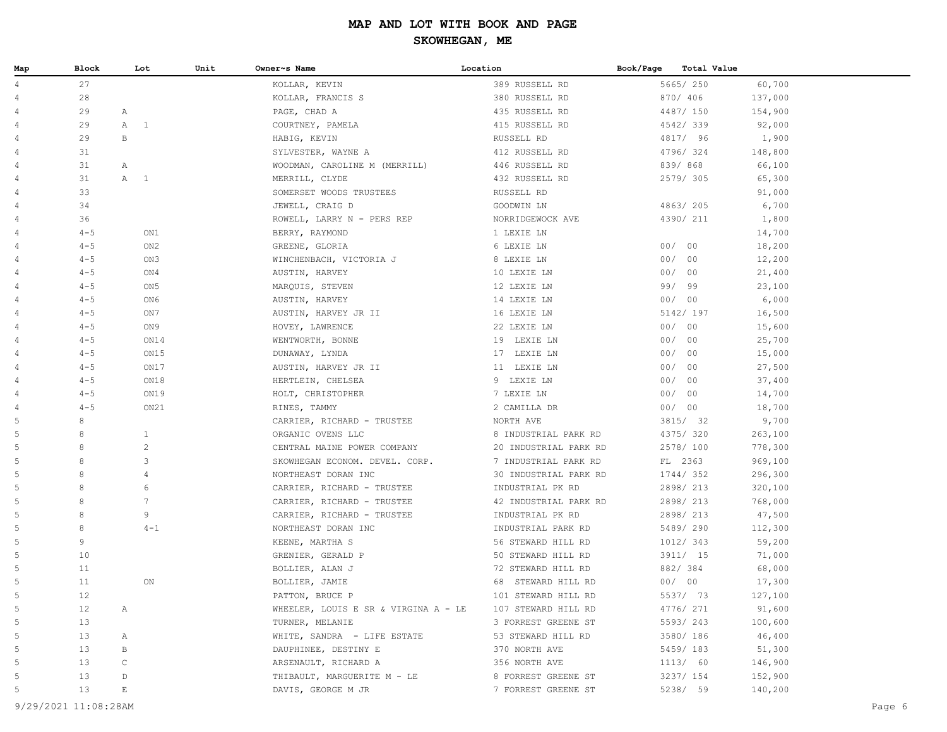| Map            | Block   | Lot                   | Unit | Owner~s Name                         | Location              | Book/Page | <b>Total Value</b> |         |
|----------------|---------|-----------------------|------|--------------------------------------|-----------------------|-----------|--------------------|---------|
| $\overline{4}$ | 27      |                       |      | KOLLAR, KEVIN                        | 389 RUSSELL RD        |           | 5665/250           | 60,700  |
| $\overline{4}$ | 28      |                       |      | KOLLAR, FRANCIS S                    | 380 RUSSELL RD        |           | 870/ 406           | 137,000 |
| $\overline{4}$ | 29      | $\mathbb{A}$          |      | PAGE, CHAD A                         | 435 RUSSELL RD        |           | 4487/ 150          | 154,900 |
| $\overline{4}$ | 29      | A<br>$\overline{1}$   |      | COURTNEY, PAMELA                     | 415 RUSSELL RD        |           | 4542/339           | 92,000  |
| $\overline{4}$ | 29      | $\, {\bf B}$          |      | HABIG, KEVIN                         | RUSSELL RD            |           | 4817/ 96           | 1,900   |
| $\overline{4}$ | 31      |                       |      | SYLVESTER, WAYNE A                   | 412 RUSSELL RD        |           | 4796/324           | 148,800 |
| $\overline{4}$ | 31      | Α                     |      | WOODMAN, CAROLINE M (MERRILL)        | 446 RUSSELL RD        |           | 839/868            | 66,100  |
| $\overline{4}$ | 31      | $\overline{1}$<br>Α   |      | MERRILL, CLYDE                       | 432 RUSSELL RD        |           | 2579/305           | 65,300  |
| $\overline{4}$ | 33      |                       |      | SOMERSET WOODS TRUSTEES              | RUSSELL RD            |           |                    | 91,000  |
| $\overline{4}$ | 34      |                       |      | JEWELL, CRAIG D                      | GOODWIN LN            |           | 4863/205           | 6,700   |
| $\overline{4}$ | 36      |                       |      | ROWELL, LARRY N - PERS REP           | NORRIDGEWOCK AVE      |           | 4390/ 211          | 1,800   |
| $\overline{4}$ | $4 - 5$ | ON1                   |      | BERRY, RAYMOND                       | 1 LEXIE LN            |           |                    | 14,700  |
| $\overline{4}$ | $4 - 5$ | ON <sub>2</sub>       |      | GREENE, GLORIA                       | 6 LEXIE LN            |           | 00/00              | 18,200  |
| $\overline{4}$ | $4 - 5$ | ON3                   |      | WINCHENBACH, VICTORIA J              | 8 LEXIE LN            |           | 00/00              | 12,200  |
| $\overline{4}$ | $4 - 5$ | ON4                   |      | AUSTIN, HARVEY                       | 10 LEXIE LN           |           | 00/00              | 21,400  |
| $\overline{4}$ | $4 - 5$ | ON <sub>5</sub>       |      | MARQUIS, STEVEN                      | 12 LEXIE LN           |           | 99/ 99             | 23,100  |
| $\overline{4}$ | $4 - 5$ | ON6                   |      | AUSTIN, HARVEY                       | 14 LEXIE LN           |           | 00/00              | 6,000   |
| $\overline{4}$ | $4 - 5$ | ON7                   |      | AUSTIN, HARVEY JR II                 | 16 LEXIE LN           |           | 5142/ 197          | 16,500  |
| $\overline{4}$ | $4 - 5$ | ON9                   |      | HOVEY, LAWRENCE                      | 22 LEXIE LN           |           | 00/00              | 15,600  |
| $\overline{4}$ | $4 - 5$ | ON14                  |      | WENTWORTH, BONNE                     | 19 LEXIE LN           |           | 00/00              | 25,700  |
| 4              | $4 - 5$ | ON15                  |      | DUNAWAY, LYNDA                       | 17 LEXIE LN           |           | 00/00              | 15,000  |
| $\overline{4}$ | $4 - 5$ | ON17                  |      | AUSTIN, HARVEY JR II                 | 11 LEXIE LN           |           | 00/00              | 27,500  |
| $\overline{4}$ | $4 - 5$ | ON18                  |      | HERTLEIN, CHELSEA                    | 9 LEXIE LN            |           | 00/00              | 37,400  |
| $\overline{4}$ | $4 - 5$ | ON19                  |      | HOLT, CHRISTOPHER                    | 7 LEXIE LN            |           | 00/00              | 14,700  |
| $\overline{4}$ | $4 - 5$ | ON21                  |      | RINES, TAMMY                         | 2 CAMILLA DR          |           | 00/00              | 18,700  |
| $\mathsf S$    | $\,8\,$ |                       |      | CARRIER, RICHARD - TRUSTEE           | NORTH AVE             |           | 3815/ 32           | 9,700   |
| 5              | 8       | $\mathbf{1}$          |      | ORGANIC OVENS LLC                    | 8 INDUSTRIAL PARK RD  |           | 4375/ 320          | 263,100 |
| 5              | 8       | $\mathbf{2}$          |      | CENTRAL MAINE POWER COMPANY          | 20 INDUSTRIAL PARK RD |           | 2578/ 100          | 778,300 |
| 5              | 8       | 3                     |      | SKOWHEGAN ECONOM. DEVEL. CORP.       | 7 INDUSTRIAL PARK RD  |           | FL 2363            | 969,100 |
| 5              | 8       | 4                     |      | NORTHEAST DORAN INC                  | 30 INDUSTRIAL PARK RD |           | 1744/352           | 296,300 |
| 5              | 8       | 6                     |      | CARRIER, RICHARD - TRUSTEE           | INDUSTRIAL PK RD      |           | 2898/ 213          | 320,100 |
| 5              | 8       | $7\phantom{.0}$       |      | CARRIER, RICHARD - TRUSTEE           | 42 INDUSTRIAL PARK RD |           | 2898/ 213          | 768,000 |
| 5              | 8       | 9                     |      | CARRIER, RICHARD - TRUSTEE           | INDUSTRIAL PK RD      |           | 2898/ 213          | 47,500  |
| 5              | 8       | $4 - 1$               |      | NORTHEAST DORAN INC                  | INDUSTRIAL PARK RD    |           | 5489/290           | 112,300 |
| 5              | 9       |                       |      | KEENE, MARTHA S                      | 56 STEWARD HILL RD    |           | 1012/ 343          | 59,200  |
| 5              | 10      |                       |      | GRENIER, GERALD P                    | 50 STEWARD HILL RD    |           | 3911/ 15           | 71,000  |
| 5              | 11      |                       |      | BOLLIER, ALAN J                      | 72 STEWARD HILL RD    |           | 882/384            | 68,000  |
| 5              | 11      | ON                    |      | BOLLIER, JAMIE                       | 68 STEWARD HILL RD    |           | 00/00              | 17,300  |
| 5              | 12      |                       |      | PATTON, BRUCE P                      | 101 STEWARD HILL RD   |           | 5537/ 73           | 127,100 |
| 5              | 12      | Α                     |      | WHEELER, LOUIS E SR & VIRGINA A - LE | 107 STEWARD HILL RD   |           | 4776/ 271          | 91,600  |
| 5              | 13      |                       |      | TURNER, MELANIE                      | 3 FORREST GREENE ST   |           | 5593/243           | 100,600 |
| 5              | 13      | $\mathbb{A}$          |      | WHITE, SANDRA - LIFE ESTATE          | 53 STEWARD HILL RD    |           | 3580/ 186          | 46,400  |
| 5              | 13      | В                     |      | DAUPHINEE, DESTINY E                 | 370 NORTH AVE         |           | 5459/183           | 51,300  |
| 5              | 13      | $\mathtt{C}$          |      | ARSENAULT, RICHARD A                 | 356 NORTH AVE         |           | 1113/ 60           | 146,900 |
| 5              | 13      | $\mathbb D$           |      | THIBAULT, MARGUERITE M - LE          | 8 FORREST GREENE ST   |           | 3237/ 154          | 152,900 |
| 5              | 13      | $\mathop{}\mathbb{E}$ |      | DAVIS, GEORGE M JR                   | 7 FORREST GREENE ST   |           | 5238/ 59           | 140,200 |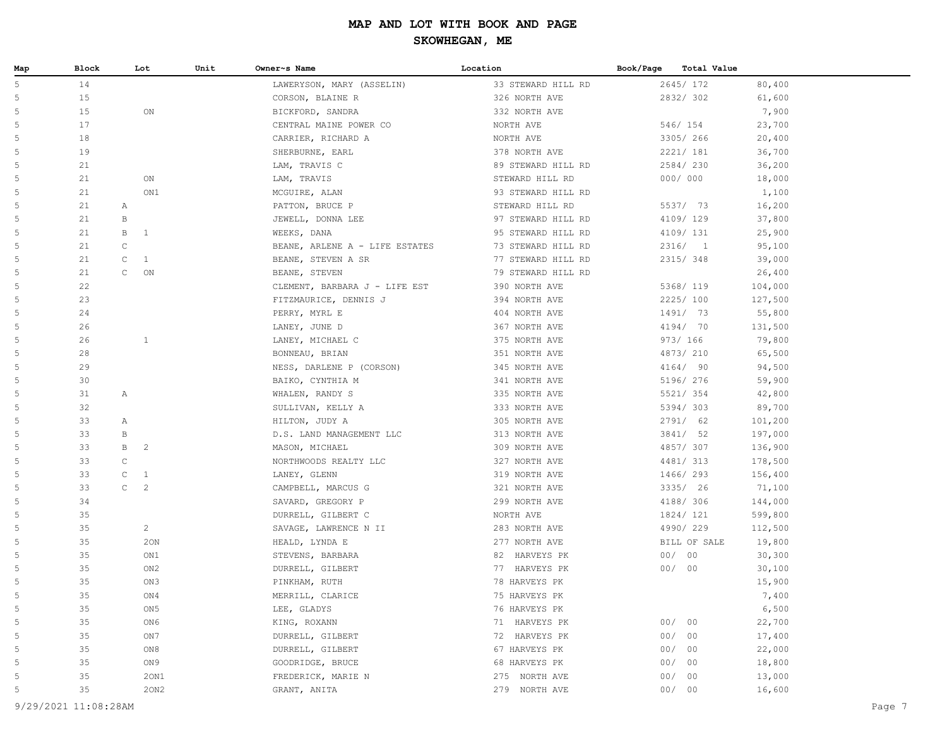| Map | Block              | Lot            | Unit | Owner~s Name                   | Location           | Book/Page | Total Value  |         |
|-----|--------------------|----------------|------|--------------------------------|--------------------|-----------|--------------|---------|
| 5   | 14                 |                |      | LAWERYSON, MARY (ASSELIN)      | 33 STEWARD HILL RD |           | 2645/ 172    | 80,400  |
| 5   | 15                 |                |      | CORSON, BLAINE R               | 326 NORTH AVE      |           | 2832/302     | 61,600  |
| 5   | 15                 | ON             |      | BICKFORD, SANDRA               | 332 NORTH AVE      |           |              | 7,900   |
| 5   | 17                 |                |      | CENTRAL MAINE POWER CO         | NORTH AVE          |           | 546/ 154     | 23,700  |
| 5   | 18                 |                |      | CARRIER, RICHARD A             | NORTH AVE          |           | 3305/ 266    | 20,400  |
| 5   | 19                 |                |      | SHERBURNE, EARL                | 378 NORTH AVE      |           | 2221/ 181    | 36,700  |
| 5   | 21                 |                |      | LAM, TRAVIS C                  | 89 STEWARD HILL RD |           | 2584/230     | 36,200  |
| 5   | 21                 | ON             |      | LAM, TRAVIS                    | STEWARD HILL RD    |           | 000/000      | 18,000  |
| 5   | 21                 | ON1            |      | MCGUIRE, ALAN                  | 93 STEWARD HILL RD |           |              | 1,100   |
| 5   | 21<br>$\mathbb{A}$ |                |      | PATTON, BRUCE P                | STEWARD HILL RD    |           | 5537/ 73     | 16,200  |
| 5   | 21<br>$\, {\bf B}$ |                |      | JEWELL, DONNA LEE              | 97 STEWARD HILL RD |           | 4109/129     | 37,800  |
| 5   | 21<br>B            | 1              |      | WEEKS, DANA                    | 95 STEWARD HILL RD |           | 4109/ 131    | 25,900  |
| 5   | $\mathsf C$<br>21  |                |      | BEANE, ARLENE A - LIFE ESTATES | 73 STEWARD HILL RD |           | 2316/1       | 95,100  |
| 5   | 21<br>$\mathsf{C}$ | 1              |      | BEANE, STEVEN A SR             | 77 STEWARD HILL RD |           | 2315/348     | 39,000  |
| 5   | 21<br>$\mathsf{C}$ | $\mathsf{ON}$  |      | BEANE, STEVEN                  | 79 STEWARD HILL RD |           |              | 26,400  |
| 5   | 22                 |                |      | CLEMENT, BARBARA J - LIFE EST  | 390 NORTH AVE      |           | 5368/ 119    | 104,000 |
| 5   | 23                 |                |      | FITZMAURICE, DENNIS J          | 394 NORTH AVE      |           | 2225/100     | 127,500 |
| 5   | 24                 |                |      | PERRY, MYRL E                  | 404 NORTH AVE      |           | 1491/ 73     | 55,800  |
| 5   | 26                 |                |      | LANEY, JUNE D                  | 367 NORTH AVE      |           | 4194/ 70     | 131,500 |
| 5   | 26                 | $\mathbf{1}$   |      | LANEY, MICHAEL C               | 375 NORTH AVE      |           | 973/ 166     | 79,800  |
| 5   | 28                 |                |      | BONNEAU, BRIAN                 | 351 NORTH AVE      |           | 4873/ 210    | 65,500  |
| 5   | 29                 |                |      | NESS, DARLENE P (CORSON)       | 345 NORTH AVE      |           | 4164/ 90     | 94,500  |
| 5   | 30                 |                |      | BAIKO, CYNTHIA M               | 341 NORTH AVE      |           | 5196/ 276    | 59,900  |
| 5   | 31<br>Α            |                |      | WHALEN, RANDY S                | 335 NORTH AVE      |           | 5521/ 354    | 42,800  |
| 5   | 32                 |                |      | SULLIVAN, KELLY A              | 333 NORTH AVE      |           | 5394/303     | 89,700  |
| 5   | 33<br>A            |                |      | HILTON, JUDY A                 | 305 NORTH AVE      |           | 2791/ 62     | 101,200 |
| 5   | 33<br>В            |                |      | D.S. LAND MANAGEMENT LLC       | 313 NORTH AVE      |           | 3841/ 52     | 197,000 |
| 5   | 33<br>B            | $\overline{c}$ |      | MASON, MICHAEL                 | 309 NORTH AVE      |           | 4857/307     | 136,900 |
| 5   | 33<br>$\mathtt{C}$ |                |      | NORTHWOODS REALTY LLC          | 327 NORTH AVE      |           | 4481/ 313    | 178,500 |
| 5   | 33<br>$\mathbb C$  | $\mathbf{1}$   |      | LANEY, GLENN                   | 319 NORTH AVE      |           | 1466/ 293    | 156,400 |
| 5   | $\mathtt{C}$<br>33 | $\mathbf{2}$   |      | CAMPBELL, MARCUS G             | 321 NORTH AVE      |           | 3335/ 26     | 71,100  |
| 5   | 34                 |                |      | SAVARD, GREGORY P              | 299 NORTH AVE      |           | 4188/ 306    | 144,000 |
| 5   | 35                 |                |      | DURRELL, GILBERT C             | NORTH AVE          |           | 1824/ 121    | 599,800 |
| 5   | 35                 | $\overline{a}$ |      | SAVAGE, LAWRENCE N II          | 283 NORTH AVE      |           | 4990/229     | 112,500 |
| 5   | 35                 | 20N            |      | HEALD, LYNDA E                 | 277 NORTH AVE      |           | BILL OF SALE | 19,800  |
| 5   | 35                 | ON1            |      | STEVENS, BARBARA               | 82 HARVEYS PK      |           | 00/00        | 30,300  |
| 5   | 35                 | ON2            |      | DURRELL, GILBERT               | 77 HARVEYS PK      |           | 00/00        | 30,100  |
| 5   | 35                 | ON3            |      | PINKHAM, RUTH                  | 78 HARVEYS PK      |           |              | 15,900  |
| 5   | 35                 | ON4            |      | MERRILL, CLARICE               | 75 HARVEYS PK      |           |              | 7,400   |
| 5   | 35                 | ON 5           |      | LEE, GLADYS                    | 76 HARVEYS PK      |           |              | 6,500   |
| 5   | 35                 | ON6            |      | KING, ROXANN                   | 71 HARVEYS PK      |           | 00/00        | 22,700  |
| 5   | 35                 | ON 7           |      | DURRELL, GILBERT               | 72 HARVEYS PK      | 00/       | 00           | 17,400  |
| 5   | 35                 | ON 8           |      | DURRELL, GILBERT               | 67 HARVEYS PK      | 00/       | 00           | 22,000  |
| 5   | 35                 | ON 9           |      | GOODRIDGE, BRUCE               | 68 HARVEYS PK      | 00/       | 00           | 18,800  |
| 5   | 35                 | 20N1           |      | FREDERICK, MARIE N             | 275 NORTH AVE      | 00/       | 00           | 13,000  |
| 5   | 35                 | 20N2           |      | GRANT, ANITA                   | 279 NORTH AVE      |           | 00/00        | 16,600  |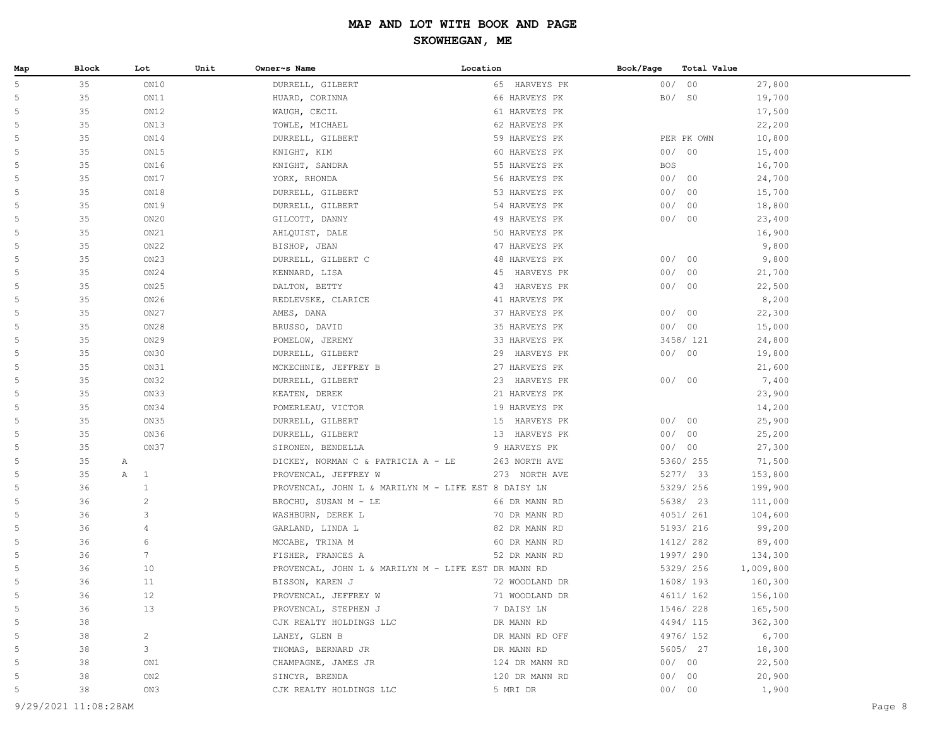| Map | Block | Lot                 | Unit | Owner~s Name                                        | Location         | Book/Page  | Total Value |           |
|-----|-------|---------------------|------|-----------------------------------------------------|------------------|------------|-------------|-----------|
| 5   | 35    | ON10                |      | DURRELL, GILBERT                                    | 65 HARVEYS PK    |            | 00/00       | 27,800    |
| 5   | 35    | ON11                |      | HUARD, CORINNA                                      | 66 HARVEYS PK    |            | B0/ S0      | 19,700    |
| 5   | 35    | ON12                |      | WAUGH, CECIL                                        | 61 HARVEYS PK    |            |             | 17,500    |
| 5   | 35    | ON13                |      | TOWLE, MICHAEL                                      | 62 HARVEYS PK    |            |             | 22,200    |
| 5   | 35    | ON14                |      | DURRELL, GILBERT                                    | 59 HARVEYS PK    |            | PER PK OWN  | 10,800    |
| 5   | 35    | ON15                |      | KNIGHT, KIM                                         | 60 HARVEYS PK    |            | 00/00       | 15,400    |
| 5   | 35    | ON16                |      | KNIGHT, SANDRA                                      | 55 HARVEYS PK    | <b>BOS</b> |             | 16,700    |
| 5   | 35    | ON17                |      | YORK, RHONDA                                        | 56 HARVEYS PK    |            | 00/00       | 24,700    |
| 5   | 35    | ON18                |      | DURRELL, GILBERT                                    | 53 HARVEYS PK    | 00/        | 00          | 15,700    |
| 5   | 35    | ON19                |      | DURRELL, GILBERT                                    | 54 HARVEYS PK    | 00/        | 00          | 18,800    |
| 5   | 35    | ON20                |      | GILCOTT, DANNY                                      | 49 HARVEYS PK    | 00/        | 00          | 23,400    |
| 5   | 35    | ON21                |      | AHLQUIST, DALE                                      | 50 HARVEYS PK    |            |             | 16,900    |
| 5   | 35    | ON22                |      | BISHOP, JEAN                                        | 47 HARVEYS PK    |            |             | 9,800     |
| 5   | 35    | ON <sub>23</sub>    |      | DURRELL, GILBERT C                                  | 48 HARVEYS PK    |            | 00/00       | 9,800     |
| 5   | 35    | ON24                |      | KENNARD, LISA                                       | HARVEYS PK<br>45 |            | 00/00       | 21,700    |
| 5   | 35    | ON25                |      | DALTON, BETTY                                       | 43 HARVEYS PK    |            | 00/00       | 22,500    |
| 5   | 35    | ON26                |      | REDLEVSKE, CLARICE                                  | 41 HARVEYS PK    |            |             | 8,200     |
| 5   | 35    | ON27                |      | AMES, DANA                                          | 37 HARVEYS PK    |            | 00/00       | 22,300    |
| 5   | 35    | ON28                |      | BRUSSO, DAVID                                       | 35 HARVEYS PK    |            | 00/00       | 15,000    |
| 5   | 35    | ON <sub>29</sub>    |      | POMELOW, JEREMY                                     | 33 HARVEYS PK    |            | 3458/ 121   | 24,800    |
| 5   | 35    | ON30                |      | DURRELL, GILBERT                                    | 29 HARVEYS PK    |            | 00/00       | 19,800    |
| 5   | 35    | ON31                |      | MCKECHNIE, JEFFREY B                                | 27 HARVEYS PK    |            |             | 21,600    |
| 5   | 35    | ON32                |      | DURRELL, GILBERT                                    | 23 HARVEYS PK    |            | 00/00       | 7,400     |
| 5   | 35    | ON33                |      | KEATEN, DEREK                                       | 21 HARVEYS PK    |            |             | 23,900    |
| 5   | 35    | ON34                |      | POMERLEAU, VICTOR                                   | 19 HARVEYS PK    |            |             | 14,200    |
| 5   | 35    | ON35                |      | DURRELL, GILBERT                                    | 15 HARVEYS PK    |            | 00/00       | 25,900    |
| 5   | 35    | ON36                |      | DURRELL, GILBERT                                    | 13 HARVEYS PK    |            | 00/00       | 25,200    |
| 5   | 35    | ON37                |      | SIRONEN, BENDELLA                                   | 9 HARVEYS PK     |            | 00/00       | 27,300    |
| 5   | 35    | A                   |      | DICKEY, NORMAN C & PATRICIA A - LE                  | 263 NORTH AVE    |            | 5360/ 255   | 71,500    |
| 5   | 35    | Α<br>$\overline{1}$ |      | PROVENCAL, JEFFREY W                                | 273 NORTH AVE    |            | 5277/33     | 153,800   |
| 5   | 36    | $\mathbf{1}$        |      | PROVENCAL, JOHN L & MARILYN M - LIFE EST 8 DAISY LN |                  |            | 5329/ 256   | 199,900   |
| 5   | 36    | $\overline{c}$      |      | BROCHU, SUSAN M - LE                                | 66 DR MANN RD    |            | 5638/ 23    | 111,000   |
| 5   | 36    | 3                   |      | WASHBURN, DEREK L                                   | 70 DR MANN RD    |            | 4051/ 261   | 104,600   |
| 5   | 36    | 4                   |      | GARLAND, LINDA L                                    | 82 DR MANN RD    |            | 5193/ 216   | 99,200    |
| 5   | 36    | 6                   |      | MCCABE, TRINA M                                     | 60 DR MANN RD    |            | 1412/ 282   | 89,400    |
| 5   | 36    | 7                   |      | FISHER, FRANCES A                                   | 52 DR MANN RD    |            | 1997/ 290   | 134,300   |
| 5   | 36    | 10                  |      | PROVENCAL, JOHN L & MARILYN M - LIFE EST DR MANN RD |                  |            | 5329/ 256   | 1,009,800 |
| 5   | 36    | 11                  |      | BISSON, KAREN J                                     | 72 WOODLAND DR   |            | 1608/193    | 160,300   |
| 5   | 36    | $12$                |      | PROVENCAL, JEFFREY W                                | 71 WOODLAND DR   |            | 4611/ 162   | 156,100   |
| 5   | 36    | 13                  |      | PROVENCAL, STEPHEN J                                | 7 DAISY LN       |            | 1546/228    | 165,500   |
| 5   | 38    |                     |      | CJK REALTY HOLDINGS LLC                             | DR MANN RD       |            | 4494/115    | 362,300   |
| 5   | 38    | $\overline{c}$      |      | LANEY, GLEN B                                       | DR MANN RD OFF   |            | 4976/ 152   | 6,700     |
| 5   | 38    | 3                   |      | THOMAS, BERNARD JR                                  | DR MANN RD       |            | 5605/ 27    | 18,300    |
| 5   | 38    | ON1                 |      | CHAMPAGNE, JAMES JR                                 | 124 DR MANN RD   |            | 00/00       | 22,500    |
| 5   | 38    | ON2                 |      | SINCYR, BRENDA                                      | 120 DR MANN RD   |            | 00/00       | 20,900    |
| 5   | 38    | ON3                 |      | CJK REALTY HOLDINGS LLC                             | 5 MRI DR         |            | 00/00       | 1,900     |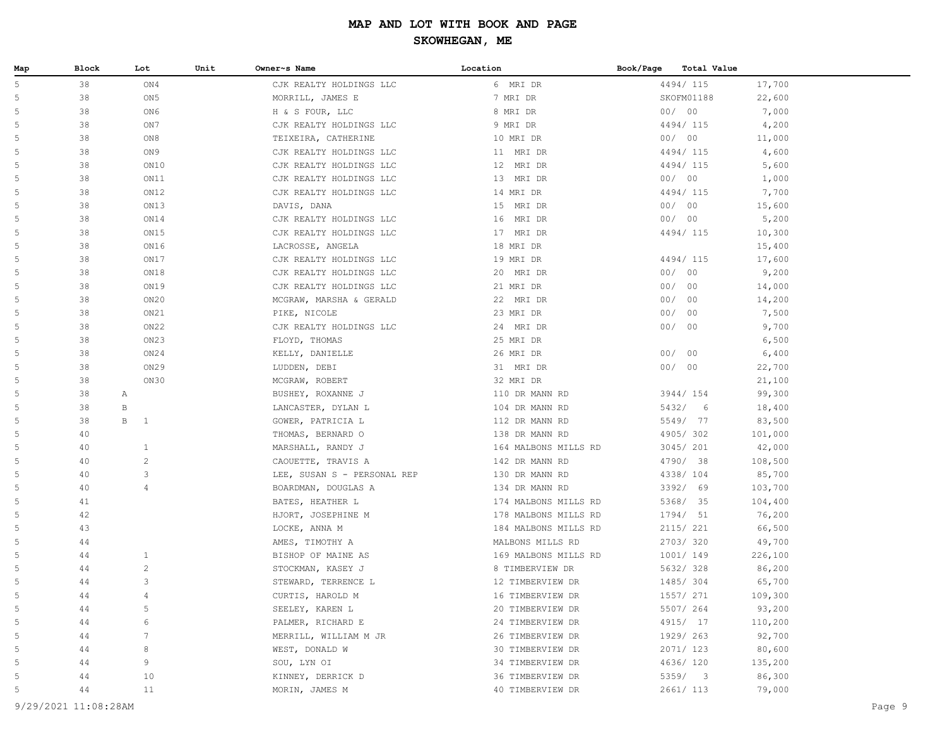| Map | Block | Lot               | Unit | Owner~s Name                | Location             | Book/Page | Total Value |         |
|-----|-------|-------------------|------|-----------------------------|----------------------|-----------|-------------|---------|
| 5   | 38    | ON4               |      | CJK REALTY HOLDINGS LLC     | 6 MRI DR             |           | 4494/115    | 17,700  |
| 5   | 38    | ON5               |      | MORRILL, JAMES E            | 7 MRI DR             |           | SKOFM01188  | 22,600  |
| 5   | 38    | ON6               |      | H & S FOUR, LLC             | 8 MRI DR             |           | 00/00       | 7,000   |
| 5   | 38    | ON 7              |      | CJK REALTY HOLDINGS LLC     | 9 MRI DR             |           | 4494/115    | 4,200   |
| 5   | 38    | ON8               |      | TEIXEIRA, CATHERINE         | 10 MRI DR            |           | 00/00       | 11,000  |
|     | 38    | ON 9              |      | CJK REALTY HOLDINGS LLC     | 11 MRI DR            |           | 4494/115    | 4,600   |
| 5   | 38    | ON10              |      | CJK REALTY HOLDINGS LLC     | 12 MRI DR            |           | 4494/115    | 5,600   |
| 5   | 38    | ON11              |      | CJK REALTY HOLDINGS LLC     | 13 MRI DR            |           | 00/ 00      | 1,000   |
| 5   | 38    | ON12              |      | CJK REALTY HOLDINGS LLC     | 14 MRI DR            |           | 4494/115    | 7,700   |
| 5   | 38    | ON13              |      | DAVIS, DANA                 | 15 MRI DR            |           | 00/ 00      | 15,600  |
| 5   | 38    | ON14              |      | CJK REALTY HOLDINGS LLC     | 16 MRI DR            |           | 00/00       | 5,200   |
| 5   | 38    | ON15              |      | CJK REALTY HOLDINGS LLC     | 17 MRI DR            |           | 4494/115    | 10,300  |
| 5   | 38    | ON16              |      | LACROSSE, ANGELA            | 18 MRI DR            |           |             | 15,400  |
| 5   | 38    | ON17              |      | CJK REALTY HOLDINGS LLC     | 19 MRI DR            |           | 4494/115    | 17,600  |
| 5   | 38    | ON18              |      | CJK REALTY HOLDINGS LLC     | 20 MRI DR            |           | 00/00       | 9,200   |
| 5   | 38    | ON19              |      | CJK REALTY HOLDINGS LLC     | 21 MRI DR            |           | 00/00       | 14,000  |
| 5   | 38    | ON20              |      | MCGRAW, MARSHA & GERALD     | 22 MRI DR            |           | 00/00       | 14,200  |
| 5   | 38    | ON21              |      | PIKE, NICOLE                | 23 MRI DR            |           | 00/00       | 7,500   |
| 5   | 38    | ON22              |      | CJK REALTY HOLDINGS LLC     | 24 MRI DR            |           | 00/00       | 9,700   |
| 5   | 38    | ON23              |      | FLOYD, THOMAS               | 25 MRI DR            |           |             | 6,500   |
| 5   | 38    | ON24              |      | KELLY, DANIELLE             | 26 MRI DR            |           | 00/00       | 6,400   |
|     | 38    | ON29              |      | LUDDEN, DEBI                | 31 MRI DR            |           | 00/00       | 22,700  |
| 5   | 38    | ON30              |      | MCGRAW, ROBERT              | 32 MRI DR            |           |             | 21,100  |
| 5   | 38    | Α                 |      | BUSHEY, ROXANNE J           | 110 DR MANN RD       |           | 3944/ 154   | 99,300  |
| 5   | 38    | В                 |      | LANCASTER, DYLAN L          | 104 DR MANN RD       |           | 5432/ 6     | 18,400  |
| 5   | 38    | B<br>$\mathbf{1}$ |      | GOWER, PATRICIA L           | 112 DR MANN RD       |           | 5549/ 77    | 83,500  |
| 5   | 40    |                   |      | THOMAS, BERNARD O           | 138 DR MANN RD       |           | 4905/302    | 101,000 |
| 5   | 40    | $\mathbf{1}$      |      | MARSHALL, RANDY J           | 164 MALBONS MILLS RD |           | 3045/ 201   | 42,000  |
| 5   | 40    | $\overline{c}$    |      | CAOUETTE, TRAVIS A          | 142 DR MANN RD       |           | 4790/ 38    | 108,500 |
| 5   | 40    | 3                 |      | LEE, SUSAN S - PERSONAL REP | 130 DR MANN RD       |           | 4338/ 104   | 85,700  |
| 5   | 40    | $\overline{4}$    |      | BOARDMAN, DOUGLAS A         | 134 DR MANN RD       |           | 3392/ 69    | 103,700 |
| 5   | 41    |                   |      | BATES, HEATHER L            | 174 MALBONS MILLS RD |           | 5368/ 35    | 104,400 |
| 5   | 42    |                   |      | HJORT, JOSEPHINE M          | 178 MALBONS MILLS RD |           | 1794/ 51    | 76,200  |
| 5   | 43    |                   |      | LOCKE, ANNA M               | 184 MALBONS MILLS RD |           | 2115/221    | 66,500  |
| .5  | 44    |                   |      | AMES, TIMOTHY A             | MALBONS MILLS RD     |           | 2703/320    | 49,700  |
| .5  | 44    | $\mathbf{1}$      |      | BISHOP OF MAINE AS          | 169 MALBONS MILLS RD |           | 1001/ 149   | 226,100 |
| 5   | 44    | $\overline{c}$    |      | STOCKMAN, KASEY J           | 8 TIMBERVIEW DR      |           | 5632/328    | 86,200  |
| 5   | 44    | 3                 |      | STEWARD, TERRENCE L         | 12 TIMBERVIEW DR     |           | 1485/ 304   | 65,700  |
| 5   | 44    | $\overline{4}$    |      | CURTIS, HAROLD M            | 16 TIMBERVIEW DR     |           | 1557/ 271   | 109,300 |
| 5   | 44    | 5                 |      | SEELEY, KAREN L             | 20 TIMBERVIEW DR     |           | 5507/264    | 93,200  |
| 5   | 44    | 6                 |      | PALMER, RICHARD E           | 24 TIMBERVIEW DR     |           | 4915/ 17    | 110,200 |
| 5   | 44    | 7                 |      | MERRILL, WILLIAM M JR       | 26 TIMBERVIEW DR     |           | 1929/ 263   | 92,700  |
| 5   | 44    | 8                 |      | WEST, DONALD W              | 30 TIMBERVIEW DR     |           | 2071/ 123   | 80,600  |
| 5   | 44    | 9                 |      | SOU, LYN OI                 | 34 TIMBERVIEW DR     |           | 4636/120    | 135,200 |
|     | 44    | 10                |      | KINNEY, DERRICK D           | 36 TIMBERVIEW DR     |           | 5359/3      | 86,300  |
| 5   | 44    | 11                |      | MORIN, JAMES M              | 40 TIMBERVIEW DR     |           | 2661/ 113   | 79,000  |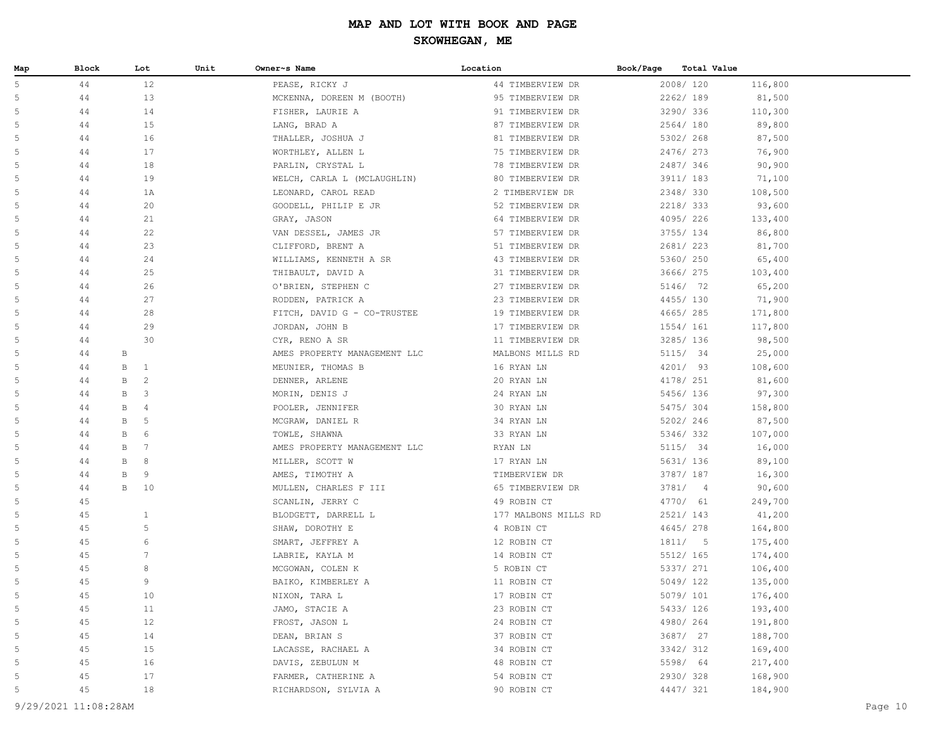| Map | Block  | Lot                 | Unit | Owner~s Name                 | Location             | Book/Page | <b>Total Value</b> |         |
|-----|--------|---------------------|------|------------------------------|----------------------|-----------|--------------------|---------|
| 5   | 44     | 12                  |      | PEASE, RICKY J               | 44 TIMBERVIEW DR     |           | 2008/120           | 116,800 |
| 5   | 44     | 13                  |      | MCKENNA, DOREEN M (BOOTH)    | 95 TIMBERVIEW DR     |           | 2262/189           | 81,500  |
| 5   | 44     | 14                  |      | FISHER, LAURIE A             | 91 TIMBERVIEW DR     |           | 3290/ 336          | 110,300 |
| 5   | 44     | 15                  |      | LANG, BRAD A                 | 87 TIMBERVIEW DR     |           | 2564/180           | 89,800  |
| 5   | 44     | 16                  |      | THALLER, JOSHUA J            | 81 TIMBERVIEW DR     |           | 5302/268           | 87,500  |
| 5   | 44     | 17                  |      | WORTHLEY, ALLEN L            | 75 TIMBERVIEW DR     |           | 2476/273           | 76,900  |
| 5   | 44     | 18                  |      | PARLIN, CRYSTAL L            | 78 TIMBERVIEW DR     |           | 2487/346           | 90,900  |
| 5   | 44     | 19                  |      | WELCH, CARLA L (MCLAUGHLIN)  | 80 TIMBERVIEW DR     |           | 3911/ 183          | 71,100  |
| 5   | 44     | 1A                  |      | LEONARD, CAROL READ          | 2 TIMBERVIEW DR      |           | 2348/330           | 108,500 |
| 5   | 44     | 20                  |      | GOODELL, PHILIP E JR         | 52 TIMBERVIEW DR     |           | 2218/333           | 93,600  |
| 5   | 44     | 21                  |      | GRAY, JASON                  | 64 TIMBERVIEW DR     |           | 4095/226           | 133,400 |
| 5   | 44     | 22                  |      | VAN DESSEL, JAMES JR         | 57 TIMBERVIEW DR     |           | 3755/ 134          | 86,800  |
| 5   | 44     | 23                  |      | CLIFFORD, BRENT A            | 51 TIMBERVIEW DR     |           | 2681/223           | 81,700  |
| 5   | 44     | 24                  |      | WILLIAMS, KENNETH A SR       | 43 TIMBERVIEW DR     |           | 5360/ 250          | 65,400  |
| 5   | 44     | 25                  |      | THIBAULT, DAVID A            | 31 TIMBERVIEW DR     |           | 3666/ 275          | 103,400 |
| 5   | 44     | 26                  |      | O'BRIEN, STEPHEN C           | 27 TIMBERVIEW DR     |           | 5146/ 72           | 65,200  |
| 5   | 44     | 27                  |      | RODDEN, PATRICK A            | 23 TIMBERVIEW DR     |           | 4455/130           | 71,900  |
| 5   | 44     | 28                  |      | FITCH, DAVID G - CO-TRUSTEE  | 19 TIMBERVIEW DR     |           | 4665/285           | 171,800 |
| 5   | 44     | 29                  |      | JORDAN, JOHN B               | 17 TIMBERVIEW DR     |           | 1554/ 161          | 117,800 |
| 5   | 44     | 30                  |      | CYR, RENO A SR               | 11 TIMBERVIEW DR     |           | 3285/ 136          | 98,500  |
| 5   | 44     | В                   |      | AMES PROPERTY MANAGEMENT LLC | MALBONS MILLS RD     |           | 5115/ 34           | 25,000  |
| 5   | 44     | B<br>$\mathbf{1}$   |      | MEUNIER, THOMAS B            | 16 RYAN LN           |           | 4201/ 93           | 108,600 |
| 5   | 44     | 2<br>B              |      | DENNER, ARLENE               | 20 RYAN LN           |           | 4178/ 251          | 81,600  |
| 5   | 44     | $\mathbf{3}$<br>В   |      | MORIN, DENIS J               | 24 RYAN LN           |           | 5456/ 136          | 97,300  |
| 5   | 44     | $\overline{4}$<br>В |      | POOLER, JENNIFER             | 30 RYAN LN           |           | 5475/304           | 158,800 |
| 5   | 44     | 5<br>В              |      | MCGRAW, DANIEL R             | 34 RYAN LN           |           | 5202/246           | 87,500  |
| 5   | 44     | 6<br>B              |      | TOWLE, SHAWNA                | 33 RYAN LN           |           | 5346/332           | 107,000 |
| 5   | 44     | B<br>-7             |      | AMES PROPERTY MANAGEMENT LLC | RYAN LN              |           | 5115/ 34           | 16,000  |
| 5   | 44     | 8<br>В              |      | MILLER, SCOTT W              | 17 RYAN LN           |           | 5631/ 136          | 89,100  |
| 5   | 44     | В<br>9              |      | AMES, TIMOTHY A              | TIMBERVIEW DR        |           | 3787/ 187          | 16,300  |
| 5   | 44     | B<br>10             |      | MULLEN, CHARLES F III        | 65 TIMBERVIEW DR     |           | 3781/4             | 90,600  |
| 5   | 45     |                     |      | SCANLIN, JERRY C             | 49 ROBIN CT          |           | 4770/ 61           | 249,700 |
| 5   | 45     | $\mathbf{1}$        |      | BLODGETT, DARRELL L          | 177 MALBONS MILLS RD |           | 2521/ 143          | 41,200  |
| 5   | 45     | $\mathsf S$         |      | SHAW, DOROTHY E              | 4 ROBIN CT           |           | 4645/278           | 164,800 |
| 5   | 45     | $\sqrt{6}$          |      | SMART, JEFFREY A             | 12 ROBIN CT          |           | 1811/5             | 175,400 |
| 5   | 45     | $7\phantom{.0}$     |      | LABRIE, KAYLA M              | 14 ROBIN CT          |           | 5512/ 165          | 174,400 |
| 5   | 45     | 8                   |      | MCGOWAN, COLEN K             | 5 ROBIN CT           |           | 5337/ 271          | 106,400 |
| 5   | 45     | 9                   |      | BAIKO, KIMBERLEY A           | 11 ROBIN CT          |           | 5049/122           | 135,000 |
| 5   | 45     | 10                  |      | NIXON, TARA L                | 17 ROBIN CT          |           | 5079/ 101          | 176,400 |
| 5   | 45     | 11                  |      | JAMO, STACIE A               | 23 ROBIN CT          |           | 5433/ 126          | 193,400 |
| 5   | 45     | 12                  |      | FROST, JASON L               | 24 ROBIN CT          |           | 4980/264           | 191,800 |
| 5   | 45     | 14                  |      | DEAN, BRIAN S                | 37 ROBIN CT          |           | 3687/ 27           | 188,700 |
| 5   | 45     | 15                  |      | LACASSE, RACHAEL A           | 34 ROBIN CT          |           | 3342/312           | 169,400 |
| 5   | 45     | 16                  |      | DAVIS, ZEBULUN M             | 48 ROBIN CT          |           | 5598/ 64           | 217,400 |
| 5   | $4\,5$ | 17                  |      | FARMER, CATHERINE A          | 54 ROBIN CT          |           | 2930/328           | 168,900 |
| 5   | 45     | $18\,$              |      | RICHARDSON, SYLVIA A         | 90 ROBIN CT          |           | 4447/ 321          | 184,900 |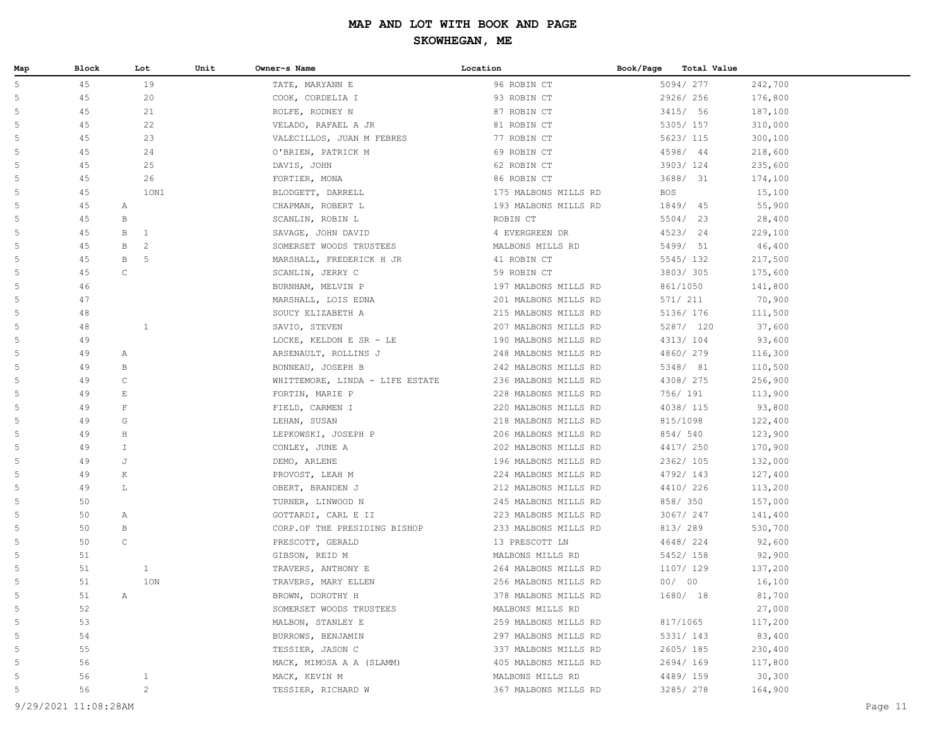| Map | Block | Lot               | Unit | Owner~s Name                    | Location             | Book/Page<br><b>Total Value</b> |         |
|-----|-------|-------------------|------|---------------------------------|----------------------|---------------------------------|---------|
| 5   | 45    | 19                |      | TATE, MARYANN E                 | 96 ROBIN CT          | 5094/277                        | 242,700 |
| 5   | 45    | 20                |      | COOK, CORDELIA I                | 93 ROBIN CT          | 2926/256                        | 176,800 |
| 5   | 45    | 21                |      | ROLFE, RODNEY N                 | 87 ROBIN CT          | 3415/ 56                        | 187,100 |
| 5   | 45    | 22                |      | VELADO, RAFAEL A JR             | 81 ROBIN CT          | 5305/ 157                       | 310,000 |
| 5   | 45    | 23                |      | VALECILLOS, JUAN M FEBRES       | 77 ROBIN CT          | 5623/ 115                       | 300,100 |
| 5   | 45    | 24                |      | O'BRIEN, PATRICK M              | 69 ROBIN CT          | 4598/ 44                        | 218,600 |
| 5   | 45    | 25                |      | DAVIS, JOHN                     | 62 ROBIN CT          | 3903/124                        | 235,600 |
| 5   | 45    | 26                |      | FORTIER, MONA                   | 86 ROBIN CT          | 3688/ 31                        | 174,100 |
| 5   | 45    | 10N1              |      | BLODGETT, DARRELL               | 175 MALBONS MILLS RD | <b>BOS</b>                      | 15,100  |
| 5   | 45    | $\mathbb{A}$      |      | CHAPMAN, ROBERT L               | 193 MALBONS MILLS RD | 1849/ 45                        | 55,900  |
| 5   | 45    | $\, {\bf B}$      |      | SCANLIN, ROBIN L                | ROBIN CT             | 5504/ 23                        | 28,400  |
| 5   | 45    | B<br>$\mathbf{1}$ |      | SAVAGE, JOHN DAVID              | 4 EVERGREEN DR       | 4523/ 24                        | 229,100 |
| 5   | 45    | 2<br>B            |      | SOMERSET WOODS TRUSTEES         | MALBONS MILLS RD     | 5499/ 51                        | 46,400  |
| 5   | 45    | B<br>-5           |      | MARSHALL, FREDERICK H JR        | 41 ROBIN CT          | 5545/132                        | 217,500 |
| 5   | 45    | $\mathsf C$       |      | SCANLIN, JERRY C                | 59 ROBIN CT          | 3803/305                        | 175,600 |
| 5   | 46    |                   |      | BURNHAM, MELVIN P               | 197 MALBONS MILLS RD | 861/1050                        | 141,800 |
| 5   | 47    |                   |      | MARSHALL, LOIS EDNA             | 201 MALBONS MILLS RD | 571/ 211                        | 70,900  |
| 5   | 48    |                   |      | SOUCY ELIZABETH A               | 215 MALBONS MILLS RD | 5136/ 176                       | 111,500 |
| 5   | 48    | $\mathbf{1}$      |      | SAVIO, STEVEN                   | 207 MALBONS MILLS RD | 5287/ 120                       | 37,600  |
| 5   | 49    |                   |      | LOCKE, KELDON E SR - LE         | 190 MALBONS MILLS RD | 4313/ 104                       | 93,600  |
| 5   | 49    | Α                 |      | ARSENAULT, ROLLINS J            | 248 MALBONS MILLS RD | 4860/279                        | 116,300 |
| 5   | 49    | B                 |      | BONNEAU, JOSEPH B               | 242 MALBONS MILLS RD | 5348/ 81                        | 110,500 |
| 5   | 49    | $\mathsf C$       |      | WHITTEMORE, LINDA - LIFE ESTATE | 236 MALBONS MILLS RD | 4308/ 275                       | 256,900 |
| 5   | 49    | E                 |      | FORTIN, MARIE P                 | 228 MALBONS MILLS RD | 756/ 191                        | 113,900 |
| 5   | 49    | $\mathbf F$       |      | FIELD, CARMEN I                 | 220 MALBONS MILLS RD | 4038/ 115                       | 93,800  |
| 5   | 49    | G                 |      | LEHAN, SUSAN                    | 218 MALBONS MILLS RD | 815/1098                        | 122,400 |
| 5   | 49    | $\rm H$           |      | LEPKOWSKI, JOSEPH P             | 206 MALBONS MILLS RD | 854/540                         | 123,900 |
| 5   | 49    | $\mathbb T$       |      | CONLEY, JUNE A                  | 202 MALBONS MILLS RD | 4417/ 250                       | 170,900 |
| 5   | 49    | J                 |      | DEMO, ARLENE                    | 196 MALBONS MILLS RD | 2362/ 105                       | 132,000 |
| 5   | 49    | Κ                 |      | PROVOST, LEAH M                 | 224 MALBONS MILLS RD | 4792/143                        | 127,400 |
| 5   | 49    | L                 |      | OBERT, BRANDEN J                | 212 MALBONS MILLS RD | 4410/226                        | 113,200 |
| 5   | 50    |                   |      | TURNER, LINWOOD N               | 245 MALBONS MILLS RD | 858/ 350                        | 157,000 |
| 5   | 50    | Α                 |      | GOTTARDI, CARL E II             | 223 MALBONS MILLS RD | 3067/ 247                       | 141,400 |
| 5   | 50    | В                 |      | CORP.OF THE PRESIDING BISHOP    | 233 MALBONS MILLS RD | 813/ 289                        | 530,700 |
| 5   | 50    | $\mathsf C$       |      | PRESCOTT, GERALD                | 13 PRESCOTT LN       | 4648/224                        | 92,600  |
| 5   | 51    |                   |      | GIBSON, REID M                  | MALBONS MILLS RD     | 5452/ 158                       | 92,900  |
| 5   | 51    | $\mathbf{1}$      |      | TRAVERS, ANTHONY E              | 264 MALBONS MILLS RD | 1107/ 129                       | 137,200 |
| 5   | 51    | 10N               |      | TRAVERS, MARY ELLEN             | 256 MALBONS MILLS RD | 00/00                           | 16,100  |
| 5   | 51    | Α                 |      | BROWN, DOROTHY H                | 378 MALBONS MILLS RD | 1680/ 18                        | 81,700  |
| 5   | 52    |                   |      | SOMERSET WOODS TRUSTEES         | MALBONS MILLS RD     |                                 | 27,000  |
| 5   | 53    |                   |      | MALBON, STANLEY E               | 259 MALBONS MILLS RD | 817/1065                        | 117,200 |
| 5   | 54    |                   |      | BURROWS, BENJAMIN               | 297 MALBONS MILLS RD | 5331/ 143                       | 83,400  |
| 5   | 55    |                   |      | TESSIER, JASON C                | 337 MALBONS MILLS RD | 2605/185                        | 230,400 |
| 5   | 56    |                   |      | MACK, MIMOSA A A (SLAMM)        | 405 MALBONS MILLS RD | 2694/169                        | 117,800 |
| 5   | 56    | $\mathbf{1}$      |      | MACK, KEVIN M                   | MALBONS MILLS RD     | 4489/ 159                       | 30,300  |
| 5   | 56    | $\mathbf{2}$      |      | TESSIER, RICHARD W              | 367 MALBONS MILLS RD | 3285/278                        | 164,900 |
|     |       |                   |      |                                 |                      |                                 |         |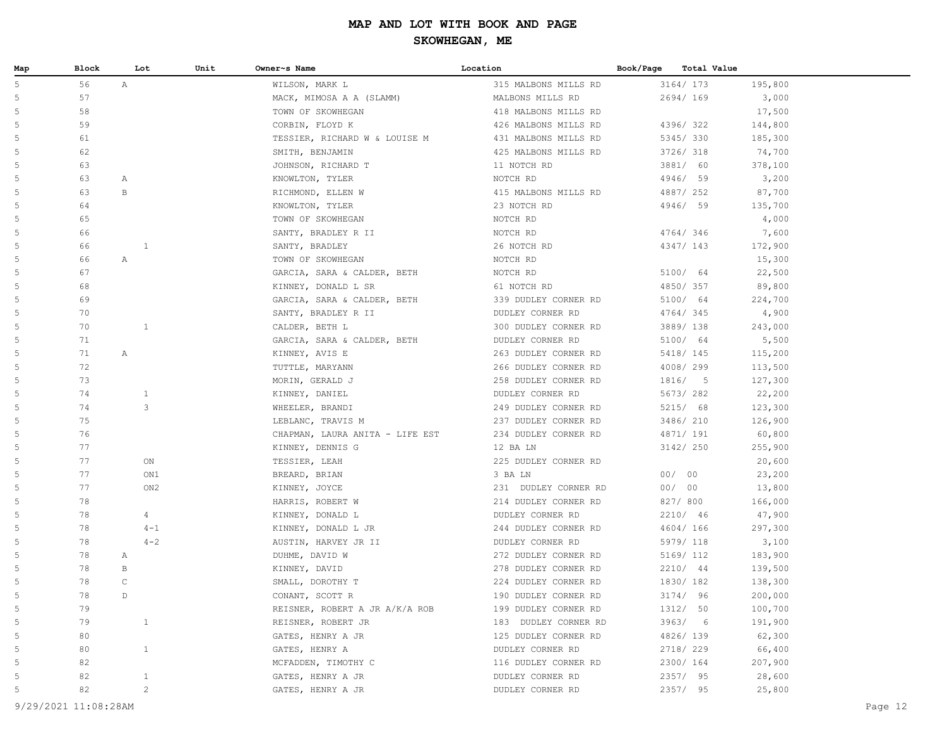| Map | Block |              | Unit<br>Lot     | Owner~s Name                    | Location             | Book/Page |           | <b>Total Value</b> |         |
|-----|-------|--------------|-----------------|---------------------------------|----------------------|-----------|-----------|--------------------|---------|
| 5   | 56    | A            |                 | WILSON, MARK L                  | 315 MALBONS MILLS RD |           | 3164/ 173 |                    | 195,800 |
| 5   | 57    |              |                 | MACK, MIMOSA A A (SLAMM)        | MALBONS MILLS RD     |           | 2694/169  |                    | 3,000   |
| 5   | 58    |              |                 | TOWN OF SKOWHEGAN               | 418 MALBONS MILLS RD |           |           |                    | 17,500  |
| 5   | 59    |              |                 | CORBIN, FLOYD K                 | 426 MALBONS MILLS RD |           | 4396/322  |                    | 144,800 |
| 5   | 61    |              |                 | TESSIER, RICHARD W & LOUISE M   | 431 MALBONS MILLS RD |           | 5345/330  |                    | 185,300 |
| 5   | 62    |              |                 | SMITH, BENJAMIN                 | 425 MALBONS MILLS RD |           | 3726/ 318 |                    | 74,700  |
| 5   | 63    |              |                 | JOHNSON, RICHARD T              | 11 NOTCH RD          |           | 3881/ 60  |                    | 378,100 |
| 5   | 63    | Α            |                 | KNOWLTON, TYLER                 | NOTCH RD             |           | 4946/ 59  |                    | 3,200   |
| 5   | 63    | $\mathbf{B}$ |                 | RICHMOND, ELLEN W               | 415 MALBONS MILLS RD |           | 4887/ 252 |                    | 87,700  |
| 5   | 64    |              |                 | KNOWLTON, TYLER                 | 23 NOTCH RD          |           | 4946/ 59  |                    | 135,700 |
| 5   | 65    |              |                 | TOWN OF SKOWHEGAN               | NOTCH RD             |           |           |                    | 4,000   |
| 5   | 66    |              |                 | SANTY, BRADLEY R II             | NOTCH RD             |           | 4764/346  |                    | 7,600   |
| 5   | 66    |              | <sup>1</sup>    | SANTY, BRADLEY                  | 26 NOTCH RD          |           | 4347/ 143 |                    | 172,900 |
| 5   | 66    | $\mathbb{A}$ |                 | TOWN OF SKOWHEGAN               | NOTCH RD             |           |           |                    | 15,300  |
| 5   | 67    |              |                 | GARCIA, SARA & CALDER, BETH     | NOTCH RD             |           | 5100/ 64  |                    | 22,500  |
| 5   | 68    |              |                 | KINNEY, DONALD L SR             | 61 NOTCH RD          |           | 4850/357  |                    | 89,800  |
| 5   | 69    |              |                 | GARCIA, SARA & CALDER, BETH     | 339 DUDLEY CORNER RD |           | 5100/ 64  |                    | 224,700 |
| 5   | 70    |              |                 | SANTY, BRADLEY R II             | DUDLEY CORNER RD     |           | 4764/345  |                    | 4,900   |
| 5   | 70    |              | 1               | CALDER, BETH L                  | 300 DUDLEY CORNER RD |           | 3889/138  |                    | 243,000 |
| 5   | 71    |              |                 | GARCIA, SARA & CALDER, BETH     | DUDLEY CORNER RD     |           | 5100/ 64  |                    | 5,500   |
| 5   | 71    | $\mathbb{A}$ |                 | KINNEY, AVIS E                  | 263 DUDLEY CORNER RD |           | 5418/ 145 |                    | 115,200 |
| 5   | 72    |              |                 | TUTTLE, MARYANN                 | 266 DUDLEY CORNER RD |           | 4008/299  |                    | 113,500 |
| 5   | 73    |              |                 | MORIN, GERALD J                 | 258 DUDLEY CORNER RD |           | 1816/ 5   |                    | 127,300 |
| 5   | 74    |              | $\mathbf{1}$    | KINNEY, DANIEL                  | DUDLEY CORNER RD     |           | 5673/282  |                    | 22,200  |
| 5   | 74    |              | 3               | WHEELER, BRANDI                 | 249 DUDLEY CORNER RD |           | 5215/ 68  |                    | 123,300 |
| 5   | 75    |              |                 | LEBLANC, TRAVIS M               | 237 DUDLEY CORNER RD |           | 3486/ 210 |                    | 126,900 |
| 5   | 76    |              |                 | CHAPMAN, LAURA ANITA - LIFE EST | 234 DUDLEY CORNER RD |           | 4871/ 191 |                    | 60,800  |
| 5   | 77    |              |                 | KINNEY, DENNIS G                | 12 BA LN             |           | 3142/ 250 |                    | 255,900 |
| 5   | 77    |              | ON              | TESSIER, LEAH                   | 225 DUDLEY CORNER RD |           |           |                    | 20,600  |
| 5   | 77    |              | ON1             | BREARD, BRIAN                   | 3 BA LN              |           | 00/00     |                    | 23,200  |
| 5   | 77    |              | ON <sub>2</sub> | KINNEY, JOYCE                   | 231 DUDLEY CORNER RD |           | 00/00     |                    | 13,800  |
| 5   | 78    |              |                 | HARRIS, ROBERT W                | 214 DUDLEY CORNER RD |           | 827/ 800  |                    | 166,000 |
| 5   | 78    |              | 4               | KINNEY, DONALD L                | DUDLEY CORNER RD     |           | 2210/ 46  |                    | 47,900  |
| 5   | 78    |              | $4 - 1$         | KINNEY, DONALD L JR             | 244 DUDLEY CORNER RD |           | 4604/166  |                    | 297,300 |
| 5   | 78    |              | $4 - 2$         | AUSTIN, HARVEY JR II            | DUDLEY CORNER RD     |           | 5979/ 118 |                    | 3,100   |
| 5   | 78    | $\mathbb{A}$ |                 | DUHME, DAVID W                  | 272 DUDLEY CORNER RD |           | 5169/ 112 |                    | 183,900 |
| 5   | 78    | $\mathbf{B}$ |                 | KINNEY, DAVID                   | 278 DUDLEY CORNER RD |           | 2210/ 44  |                    | 139,500 |
| 5   | 78    | $\mathsf C$  |                 | SMALL, DOROTHY T                | 224 DUDLEY CORNER RD |           | 1830/182  |                    | 138,300 |
| 5   | 78    | D.           |                 | CONANT, SCOTT R                 | 190 DUDLEY CORNER RD |           | 3174/ 96  |                    | 200,000 |
| 5   | 79    |              |                 | REISNER, ROBERT A JR A/K/A ROB  | 199 DUDLEY CORNER RD |           | 1312/ 50  |                    | 100,700 |
| 5   | 79    |              | $\mathbf{1}$    | REISNER, ROBERT JR              | 183 DUDLEY CORNER RD |           | 3963/6    |                    | 191,900 |
| 5   | 80    |              |                 | GATES, HENRY A JR               | 125 DUDLEY CORNER RD |           | 4826/139  |                    | 62,300  |
| 5   | 80    |              | $\mathbf{1}$    | GATES, HENRY A                  | DUDLEY CORNER RD     |           | 2718/229  |                    | 66,400  |
| 5   | 82    |              |                 | MCFADDEN, TIMOTHY C             | 116 DUDLEY CORNER RD |           | 2300/ 164 |                    | 207,900 |
| 5   | 82    |              | $\mathbf{1}$    | GATES, HENRY A JR               | DUDLEY CORNER RD     |           | 2357/ 95  |                    | 28,600  |
| 5   | 82    |              | $\mathbf{2}$    | GATES, HENRY A JR               | DUDLEY CORNER RD     |           | 2357/ 95  |                    | 25,800  |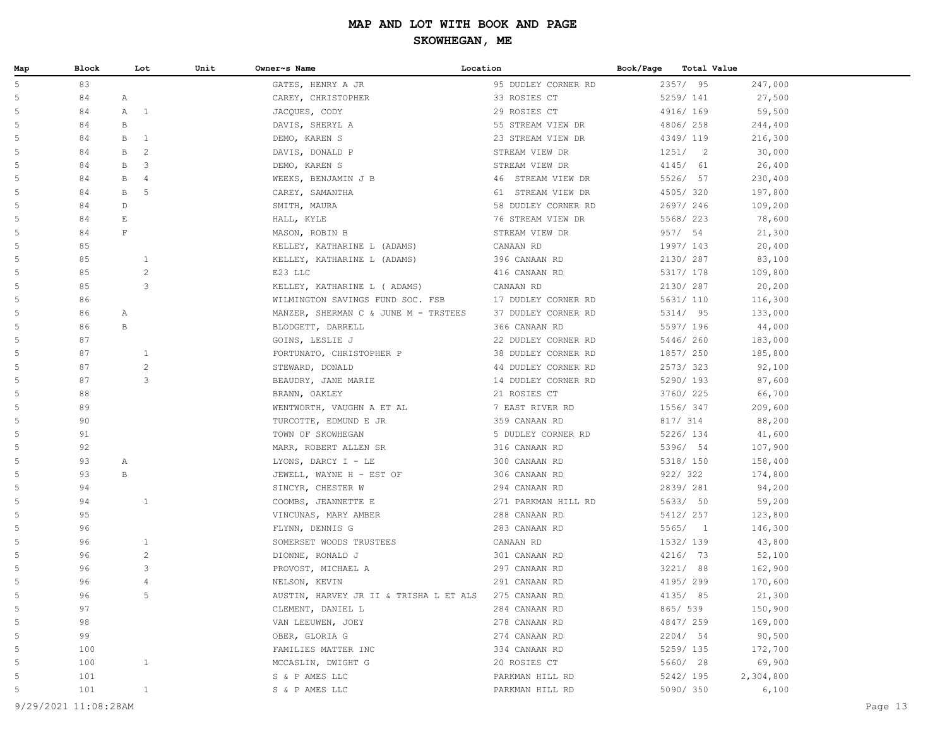| Map | Block | Lot                           | Unit | Owner~s Name                                         | Location            | Book/Page | Total Value |           |
|-----|-------|-------------------------------|------|------------------------------------------------------|---------------------|-----------|-------------|-----------|
| 5   | 83    |                               |      | GATES, HENRY A JR                                    | 95 DUDLEY CORNER RD |           | 2357/95     | 247,000   |
| 5   | 84    | $\mathbb{A}$                  |      | CAREY, CHRISTOPHER                                   | 33 ROSIES CT        |           | 5259/ 141   | 27,500    |
| 5   | 84    | $\mathbb A$<br>$\overline{1}$ |      | JACQUES, CODY                                        | 29 ROSIES CT        |           | 4916/ 169   | 59,500    |
| 5   | 84    | $\, {\bf B}$                  |      | DAVIS, SHERYL A                                      | 55 STREAM VIEW DR   |           | 4806/258    | 244,400   |
| 5   | 84    | B<br>$\mathbf{1}$             |      | DEMO, KAREN S                                        | 23 STREAM VIEW DR   |           | 4349/119    | 216,300   |
| 5   | 84    | $\overline{c}$<br>B           |      | DAVIS, DONALD P                                      | STREAM VIEW DR      |           | 1251/2      | 30,000    |
| 5   | 84    | B<br>3                        |      | DEMO, KAREN S                                        | STREAM VIEW DR      |           | 4145/ 61    | 26,400    |
| 5   | 84    | B<br>4                        |      | WEEKS, BENJAMIN J B                                  | 46 STREAM VIEW DR   |           | 5526/ 57    | 230,400   |
| 5   | 84    | 5<br>B                        |      | CAREY, SAMANTHA                                      | 61 STREAM VIEW DR   |           | 4505/320    | 197,800   |
| 5   | 84    | D                             |      | SMITH, MAURA                                         | 58 DUDLEY CORNER RD |           | 2697/246    | 109,200   |
| 5   | 84    | E                             |      | HALL, KYLE                                           | 76 STREAM VIEW DR   |           | 5568/ 223   | 78,600    |
| 5   | 84    | $\mathbf F$                   |      | MASON, ROBIN B                                       | STREAM VIEW DR      |           | 957/ 54     | 21,300    |
| 5   | 85    |                               |      | KELLEY, KATHARINE L (ADAMS)                          | CANAAN RD           |           | 1997/ 143   | 20,400    |
| 5   | 85    | $\mathbf{1}$                  |      | KELLEY, KATHARINE L (ADAMS)                          | 396 CANAAN RD       |           | 2130/ 287   | 83,100    |
| 5   | 85    | $\overline{c}$                |      | E23 LLC                                              | 416 CANAAN RD       |           | 5317/ 178   | 109,800   |
| 5   | 85    | 3                             |      | KELLEY, KATHARINE L (ADAMS)                          | CANAAN RD           |           | 2130/ 287   | 20,200    |
| 5   | 86    |                               |      | WILMINGTON SAVINGS FUND SOC. FSB                     | 17 DUDLEY CORNER RD |           | 5631/ 110   | 116,300   |
| 5   | 86    | Α                             |      | MANZER, SHERMAN C & JUNE M - TRSTEES                 | 37 DUDLEY CORNER RD |           | 5314/ 95    | 133,000   |
| 5   | 86    | B                             |      | BLODGETT, DARRELL                                    | 366 CANAAN RD       |           | 5597/ 196   | 44,000    |
| 5   | 87    |                               |      | GOINS, LESLIE J                                      | 22 DUDLEY CORNER RD |           | 5446/260    | 183,000   |
| 5   | 87    | 1                             |      | FORTUNATO, CHRISTOPHER P                             | 38 DUDLEY CORNER RD |           | 1857/ 250   | 185,800   |
| 5   | 87    | $\overline{c}$                |      | STEWARD, DONALD                                      | 44 DUDLEY CORNER RD |           | 2573/323    | 92,100    |
| 5   | 87    | 3                             |      | BEAUDRY, JANE MARIE                                  | 14 DUDLEY CORNER RD |           | 5290/ 193   | 87,600    |
| 5   | 88    |                               |      | BRANN, OAKLEY                                        | 21 ROSIES CT        |           | 3760/ 225   | 66,700    |
| 5   | 89    |                               |      | WENTWORTH, VAUGHN A ET AL                            | 7 EAST RIVER RD     |           | 1556/ 347   | 209,600   |
| 5   | 90    |                               |      | TURCOTTE, EDMUND E JR                                | 359 CANAAN RD       |           | 817/ 314    | 88,200    |
| 5   | 91    |                               |      | TOWN OF SKOWHEGAN                                    | 5 DUDLEY CORNER RD  |           | 5226/ 134   | 41,600    |
| 5   | 92    |                               |      | MARR, ROBERT ALLEN SR                                | 316 CANAAN RD       |           | 5396/ 54    | 107,900   |
| 5   | 93    | A                             |      | LYONS, DARCY I - LE                                  | 300 CANAAN RD       |           | 5318/ 150   | 158,400   |
| 5   | 93    | $\, {\bf B}$                  |      | JEWELL, WAYNE H - EST OF                             | 306 CANAAN RD       |           | 922/322     | 174,800   |
| 5   | 94    |                               |      | SINCYR, CHESTER W                                    | 294 CANAAN RD       |           | 2839/ 281   | 94,200    |
| 5   | 94    | $\mathbf{1}$                  |      | COOMBS, JEANNETTE E                                  | 271 PARKMAN HILL RD |           | 5633/ 50    | 59,200    |
| 5   | 95    |                               |      | VINCUNAS, MARY AMBER                                 | 288 CANAAN RD       |           | 5412/ 257   | 123,800   |
| 5   | 96    |                               |      | FLYNN, DENNIS G                                      | 283 CANAAN RD       |           | 5565/1      | 146,300   |
| 5   | 96    | $\mathbf{1}$                  |      | SOMERSET WOODS TRUSTEES                              | CANAAN RD           |           | 1532/ 139   | 43,800    |
| 5   | 96    | $\mathbf{2}$                  |      | DIONNE, RONALD J                                     | 301 CANAAN RD       |           | 4216/ 73    | 52,100    |
| 5   | 96    | 3                             |      | PROVOST, MICHAEL A                                   | 297 CANAAN RD       |           | 3221/ 88    | 162,900   |
| 5   | 96    | 4                             |      | NELSON, KEVIN                                        | 291 CANAAN RD       |           | 4195/ 299   | 170,600   |
| -5  | 96    | 5                             |      | AUSTIN, HARVEY JR II & TRISHA L ET ALS 275 CANAAN RD |                     |           | 4135/ 85    | 21,300    |
| 5   | 97    |                               |      | CLEMENT, DANIEL L                                    | 284 CANAAN RD       |           | 865/ 539    | 150,900   |
| 5   | 98    |                               |      | VAN LEEUWEN, JOEY                                    | 278 CANAAN RD       |           | 4847/ 259   | 169,000   |
| 5   | 99    |                               |      | OBER, GLORIA G                                       | 274 CANAAN RD       |           | 2204/ 54    | 90,500    |
| 5   | 100   |                               |      | FAMILIES MATTER INC                                  | 334 CANAAN RD       |           | 5259/ 135   | 172,700   |
| 5   | 100   | $\mathbf{1}$                  |      | MCCASLIN, DWIGHT G                                   | 20 ROSIES CT        |           | 5660/ 28    | 69,900    |
| 5   | 101   |                               |      | S & P AMES LLC                                       | PARKMAN HILL RD     |           | 5242/ 195   | 2,304,800 |
| 5   | 101   | $\mathbf{1}$                  |      | S & P AMES LLC                                       | PARKMAN HILL RD     |           | 5090/350    | 6,100     |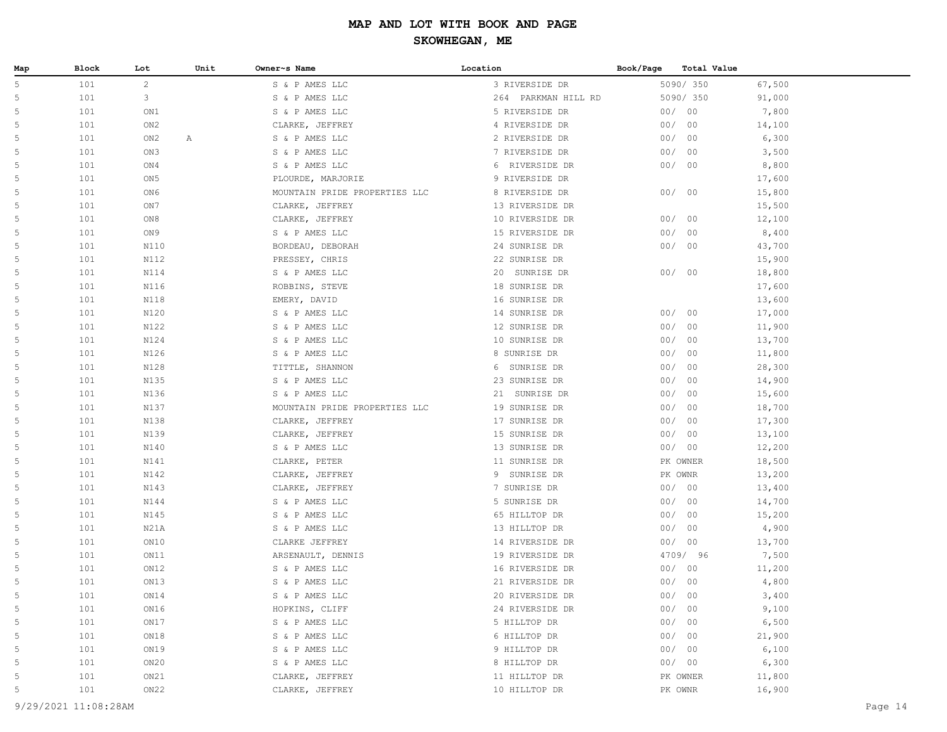| Map    | Block | Lot             | Unit | Owner~s Name                     | Location            | Book/Page<br>Total Value |        |  |
|--------|-------|-----------------|------|----------------------------------|---------------------|--------------------------|--------|--|
| 5      | 101   | $\overline{2}$  |      | S & P AMES LLC                   | 3 RIVERSIDE DR      | 5090/350                 | 67,500 |  |
| 5      | 101   | 3               |      | S & P AMES LLC                   | 264 PARKMAN HILL RD | 5090/ 350                | 91,000 |  |
| 5      | 101   | ON1             |      | S & P AMES LLC                   | 5 RIVERSIDE DR      | 00/00                    | 7,800  |  |
| 5      | 101   | ON2             |      | CLARKE, JEFFREY                  | 4 RIVERSIDE DR      | 00/<br>00                | 14,100 |  |
| 5      | 101   | ON2             | Α    | S & P AMES LLC                   | 2 RIVERSIDE DR      | 00/<br>00                | 6,300  |  |
| 5      | 101   | ON3             |      | S & P AMES LLC                   | 7 RIVERSIDE DR      | 00/<br>00                | 3,500  |  |
| 5      | 101   | ON4             |      | S & P AMES LLC                   | 6 RIVERSIDE DR      | 00/<br>00                | 8,800  |  |
| 5      | 101   | ON <sub>5</sub> |      | PLOURDE, MARJORIE                | 9 RIVERSIDE DR      |                          | 17,600 |  |
| 5      | 101   | ON6             |      | MOUNTAIN PRIDE PROPERTIES LLC    | 8 RIVERSIDE DR      | 00/00                    | 15,800 |  |
| 5      | 101   | ON7             |      | CLARKE, JEFFREY                  | 13 RIVERSIDE DR     |                          | 15,500 |  |
| 5      | 101   | ON8             |      | CLARKE, JEFFREY                  | 10 RIVERSIDE DR     | 00/<br>00                | 12,100 |  |
| 5      | 101   | ON 9            |      | S & P AMES LLC                   | 15 RIVERSIDE DR     | 00/<br>00                | 8,400  |  |
| 5      | 101   | N110            |      | BORDEAU, DEBORAH                 | 24 SUNRISE DR       | 00/<br>00                | 43,700 |  |
| 5      | 101   | N112            |      | PRESSEY, CHRIS                   | 22 SUNRISE DR       |                          | 15,900 |  |
| 5      | 101   | N114            |      | S & P AMES LLC                   | 20 SUNRISE DR       | 00/00                    | 18,800 |  |
| 5      | 101   | N116            |      | ROBBINS, STEVE                   | 18 SUNRISE DR       |                          | 17,600 |  |
| 5      | 101   | N118            |      | EMERY, DAVID                     | 16 SUNRISE DR       |                          | 13,600 |  |
| 5      | 101   | N120            |      | S & P AMES LLC                   | 14 SUNRISE DR       | 00<br>00/                | 17,000 |  |
| 5      | 101   | N122            |      | S & P AMES LLC                   | 12 SUNRISE DR       | 00/<br>00                | 11,900 |  |
| 5      | 101   | N124            |      | S & P AMES LLC                   | 10 SUNRISE DR       | 00/<br>00                | 13,700 |  |
| 5      | 101   | N126            |      | S & P AMES LLC                   | 8 SUNRISE DR        | 00/<br>00                | 11,800 |  |
| 5      | 101   | N128            |      | TITTLE, SHANNON                  | 6 SUNRISE DR        | 00/<br>00                | 28,300 |  |
| 5      | 101   | N135            |      | S & P AMES LLC                   | 23 SUNRISE DR       | 00/<br>00                | 14,900 |  |
| 5      | 101   | N136            |      | S & P AMES LLC                   | 21 SUNRISE DR       | 00/<br>00                | 15,600 |  |
| 5      | 101   | N137            |      | MOUNTAIN PRIDE PROPERTIES LLC    | 19 SUNRISE DR       | 00/<br>00                | 18,700 |  |
| 5      | 101   | N138            |      | CLARKE, JEFFREY                  | 17 SUNRISE DR       | 00/<br>00                | 17,300 |  |
| 5      | 101   | N139            |      | CLARKE, JEFFREY                  | 15 SUNRISE DR       | 00/<br>00                | 13,100 |  |
| 5      | 101   | N140            |      | S & P AMES LLC                   | 13 SUNRISE DR       | 00/<br>00                | 12,200 |  |
| 5      | 101   | N141            |      | CLARKE, PETER                    | 11 SUNRISE DR       | PK OWNER                 | 18,500 |  |
| 5      | 101   | N142            |      | CLARKE, JEFFREY                  | 9 SUNRISE DR        | PK OWNR                  | 13,200 |  |
| 5      | 101   | N143            |      | CLARKE, JEFFREY                  | 7 SUNRISE DR        | 00/00                    | 13,400 |  |
| 5      | 101   | N144            |      | S & P AMES LLC                   | 5 SUNRISE DR        | 00/<br>00                | 14,700 |  |
| 5      | 101   | N145            |      | S & P AMES LLC                   | 65 HILLTOP DR       | 00/<br>00                | 15,200 |  |
| 5      | 101   | N21A            |      | S & P AMES LLC                   | 13 HILLTOP DR       | 00<br>00/                | 4,900  |  |
| 5      | 101   | ON10            |      | CLARKE JEFFREY                   | 14 RIVERSIDE DR     | 00<br>00/                | 13,700 |  |
| 5      | 101   | ON11            |      | ARSENAULT, DENNIS                | 19 RIVERSIDE DR     | 4709/ 96                 | 7,500  |  |
| 5<br>5 | 101   | ON12            |      | S & P AMES LLC<br>S & P AMES LLC | 16 RIVERSIDE DR     | 00/00                    | 11,200 |  |
|        | 101   | ON13            |      |                                  | 21 RIVERSIDE DR     | 00/<br>00                | 4,800  |  |
|        | 101   | ON14            |      | S & P AMES LLC                   | 20 RIVERSIDE DR     | 00/<br>00                | 3,400  |  |
| 5      | 101   | ON16            |      | HOPKINS, CLIFF                   | 24 RIVERSIDE DR     | 00/00                    | 9,100  |  |
| 5      | 101   | ON17            |      | S & P AMES LLC                   | 5 HILLTOP DR        | 00/<br>00                | 6,500  |  |
| 5      | 101   | ON18            |      | S & P AMES LLC                   | 6 HILLTOP DR        | 00/<br>00                | 21,900 |  |
| 5      | 101   | ON19            |      | S & P AMES LLC                   | 9 HILLTOP DR        | 00/<br>00                | 6,100  |  |
| 5      | 101   | ON20            |      | S & P AMES LLC                   | 8 HILLTOP DR        | 00/00                    | 6,300  |  |
| 5      | 101   | ON21            |      | CLARKE, JEFFREY                  | 11 HILLTOP DR       | PK OWNER                 | 11,800 |  |
| 5      | 101   | ON22            |      | CLARKE, JEFFREY                  | 10 HILLTOP DR       | PK OWNR                  | 16,900 |  |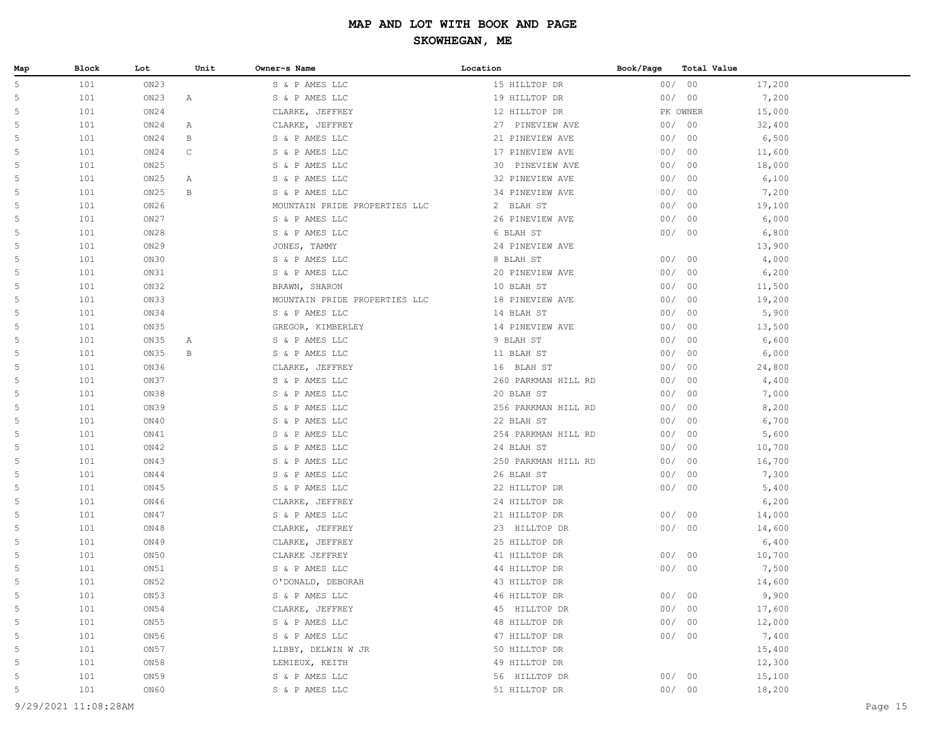| Map | Block | Lot  | Unit | Owner~s Name                  | Location            | Book/Page | Total Value |        |
|-----|-------|------|------|-------------------------------|---------------------|-----------|-------------|--------|
| 5   | 101   | ON23 |      | S & P AMES LLC                | 15 HILLTOP DR       | 00/       | 00          | 17,200 |
| 5   | 101   | ON23 | Α    | S & P AMES LLC                | 19 HILLTOP DR       | 00/       | 00          | 7,200  |
| 5   | 101   | ON24 |      | CLARKE, JEFFREY               | 12 HILLTOP DR       |           | PK OWNER    | 15,000 |
| 5   | 101   | ON24 | Α    | CLARKE, JEFFREY               | 27 PINEVIEW AVE     | 00/       | 00          | 32,400 |
| 5   | 101   | ON24 | В    | S & P AMES LLC                | 21 PINEVIEW AVE     | 00/       | 00          | 6,500  |
| 5   | 101   | ON24 | C    | S & P AMES LLC                | 17 PINEVIEW AVE     | 00/       | 00          | 11,600 |
| 5   | 101   | ON25 |      | S & P AMES LLC                | 30 PINEVIEW AVE     | 00/       | 00          | 18,000 |
| 5   | 101   | ON25 | Α    | S & P AMES LLC                | 32 PINEVIEW AVE     | 00/       | 00          | 6,100  |
| 5   | 101   | ON25 | В    | S & P AMES LLC                | 34 PINEVIEW AVE     | 00/       | 00          | 7,200  |
| 5   | 101   | ON26 |      | MOUNTAIN PRIDE PROPERTIES LLC | 2 BLAH ST           | 00/       | 00          | 19,100 |
| 5   | 101   | ON27 |      | S & P AMES LLC                | 26 PINEVIEW AVE     | 00/       | 00          | 6,000  |
| 5   | 101   | ON28 |      | S & P AMES LLC                | 6 BLAH ST           | 00/       | 00          | 6,800  |
| 5   | 101   | ON29 |      | JONES, TAMMY                  | 24 PINEVIEW AVE     |           |             | 13,900 |
| 5   | 101   | ON30 |      | S & P AMES LLC                | 8 BLAH ST           | 00/       | 00          | 4,000  |
| 5   | 101   | ON31 |      | S & P AMES LLC                | 20 PINEVIEW AVE     | 00/       | 00          | 6,200  |
| 5   | 101   | ON32 |      | BRAWN, SHARON                 | 10 BLAH ST          | 00/       | 00          | 11,500 |
| 5   | 101   | ON33 |      | MOUNTAIN PRIDE PROPERTIES LLC | 18 PINEVIEW AVE     | 00/       | 00          | 19,200 |
| 5   | 101   | ON34 |      | S & P AMES LLC                | 14 BLAH ST          | 00/       | 00          | 5,900  |
| 5   | 101   | ON35 |      | GREGOR, KIMBERLEY             | 14 PINEVIEW AVE     | 00/       | 00          | 13,500 |
| 5   | 101   | ON35 | Α    | S & P AMES LLC                | 9 BLAH ST           | 00/       | 00          | 6,600  |
| 5   | 101   | ON35 | В    | S & P AMES LLC                | 11 BLAH ST          | 00/       | 00          | 6,000  |
| 5   | 101   | ON36 |      | CLARKE, JEFFREY               | 16 BLAH ST          | 00/       | 00          | 24,800 |
| 5   | 101   | ON37 |      | S & P AMES LLC                | 260 PARKMAN HILL RD | 00/       | 00          | 4,400  |
| 5   | 101   | ON38 |      | S & P AMES LLC                | 20 BLAH ST          | 00/       | 00          | 7,000  |
| 5   | 101   | ON39 |      | S & P AMES LLC                | 256 PARKMAN HILL RD | 00/       | 00          | 8,200  |
| 5   | 101   | ON40 |      | S & P AMES LLC                | 22 BLAH ST          | 00/       | 00          | 6,700  |
| 5   | 101   | ON41 |      | S & P AMES LLC                | 254 PARKMAN HILL RD | 00/       | 00          | 5,600  |
| 5   | 101   | ON42 |      | S & P AMES LLC                | 24 BLAH ST          | 00/       | 00          | 10,700 |
| 5   | 101   | ON43 |      | S & P AMES LLC                | 250 PARKMAN HILL RD | 00/       | 00          | 16,700 |
| 5   | 101   | ON44 |      | S & P AMES LLC                | 26 BLAH ST          | 00/       | 00          | 7,300  |
| 5   | 101   | ON45 |      | S & P AMES LLC                | 22 HILLTOP DR       | 00/       | 00          | 5,400  |
| 5   | 101   | ON46 |      | CLARKE, JEFFREY               | 24 HILLTOP DR       |           |             | 6,200  |
| 5   | 101   | ON47 |      | S & P AMES LLC                | 21 HILLTOP DR       | 00/       | 00          | 14,000 |
| 5   | 101   | ON48 |      | CLARKE, JEFFREY               | 23 HILLTOP DR       | 00/       | 00          | 14,600 |
| 5   | 101   | ON49 |      | CLARKE, JEFFREY               | 25 HILLTOP DR       |           |             | 6,400  |
| 5   | 101   | ON50 |      | CLARKE JEFFREY                | 41 HILLTOP DR       | 00/       | 00          | 10,700 |
| 5   | 101   | ON51 |      | S & P AMES LLC                | 44 HILLTOP DR       |           | 00/00       | 7,500  |
| 5   | 101   | ON52 |      | O'DONALD, DEBORAH             | 43 HILLTOP DR       |           |             | 14,600 |
|     | 101   | ON53 |      | S & P AMES LLC                | 46 HILLTOP DR       |           | 00/00       | 9,900  |
| 5   | 101   | ON54 |      | CLARKE, JEFFREY               | 45 HILLTOP DR       |           | 00/00       | 17,600 |
| 5   | 101   | ON55 |      | S & P AMES LLC                | 48 HILLTOP DR       | 00/       | 00          | 12,000 |
| 5   | 101   | ON56 |      | S & P AMES LLC                | 47 HILLTOP DR       |           | 00/00       | 7,400  |
| 5   | 101   | ON57 |      | LIBBY, DELWIN W JR            | 50 HILLTOP DR       |           |             | 15,400 |
| 5   | 101   | ON58 |      | LEMIEUX, KEITH                | 49 HILLTOP DR       |           |             | 12,300 |
| 5   | 101   | ON59 |      | S & P AMES LLC                | 56 HILLTOP DR       | 00/       | 00          | 15,100 |
| 5   | 101   | ON60 |      | S & P AMES LLC                | 51 HILLTOP DR       |           | 00/00       | 18,200 |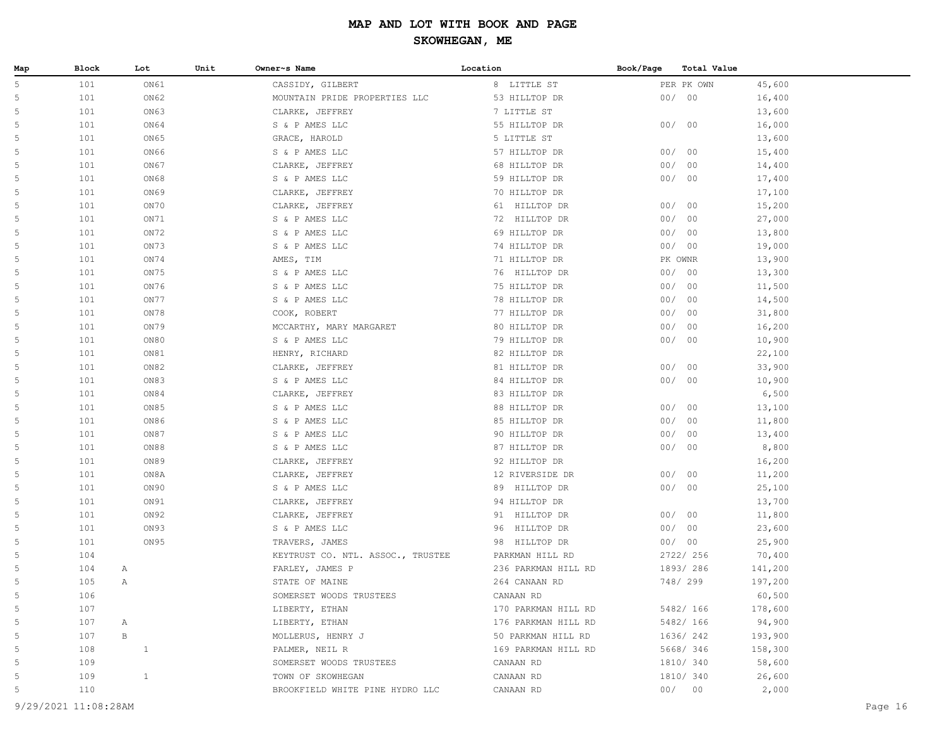| Map | <b>Block</b> | Lot          | Unit | Owner~s Name                      | Location            | Book/Page | Total Value |         |
|-----|--------------|--------------|------|-----------------------------------|---------------------|-----------|-------------|---------|
| 5   | 101          | ON61         |      | CASSIDY, GILBERT                  | 8 LITTLE ST         |           | PER PK OWN  | 45,600  |
| 5   | 101          | ON62         |      | MOUNTAIN PRIDE PROPERTIES LLC     | 53 HILLTOP DR       |           | 00/00       | 16,400  |
| 5   | 101          | ON63         |      | CLARKE, JEFFREY                   | 7 LITTLE ST         |           |             | 13,600  |
| 5   | 101          | ON64         |      | S & P AMES LLC                    | 55 HILLTOP DR       |           | 00/00       | 16,000  |
| 5   | 101          | ON65         |      | GRACE, HAROLD                     | 5 LITTLE ST         |           |             | 13,600  |
| 5   | 101          | ON66         |      | S & P AMES LLC                    | 57 HILLTOP DR       |           | 00/00       | 15,400  |
| 5   | 101          | ON67         |      | CLARKE, JEFFREY                   | 68 HILLTOP DR       | 00/       | 00          | 14,400  |
| 5   | 101          | ON68         |      | S & P AMES LLC                    | 59 HILLTOP DR       | 00/       | 00          | 17,400  |
| 5   | 101          | ON69         |      | CLARKE, JEFFREY                   | 70 HILLTOP DR       |           |             | 17,100  |
| 5   | 101          | ON70         |      | CLARKE, JEFFREY                   | 61 HILLTOP DR       | 00/       | 00          | 15,200  |
| 5   | 101          | ON71         |      | S & P AMES LLC                    | 72 HILLTOP DR       | 00/       | 00          | 27,000  |
| 5   | 101          | ON72         |      | S & P AMES LLC                    | 69 HILLTOP DR       | 00/       | 00          | 13,800  |
| 5   | 101          | ON73         |      | S & P AMES LLC                    | 74 HILLTOP DR       |           | 00/00       | 19,000  |
| 5   | 101          | ON74         |      | AMES, TIM                         | 71 HILLTOP DR       |           | PK OWNR     | 13,900  |
| 5   | 101          | ON75         |      | S & P AMES LLC                    | 76 HILLTOP DR       |           | 00/00       | 13,300  |
| 5   | 101          | ON76         |      | S & P AMES LLC                    | 75 HILLTOP DR       | 00/       | 00          | 11,500  |
| 5   | 101          | ON77         |      | S & P AMES LLC                    | 78 HILLTOP DR       | 00/       | 00          | 14,500  |
| 5   | 101          | ON78         |      | COOK, ROBERT                      | 77 HILLTOP DR       | 00/       | 00          | 31,800  |
| 5   | 101          | ON79         |      | MCCARTHY, MARY MARGARET           | 80 HILLTOP DR       | 00/       | 00          | 16,200  |
| 5   | 101          | ON80         |      | S & P AMES LLC                    | 79 HILLTOP DR       | 00/       | 00          | 10,900  |
| 5   | 101          | ON81         |      | HENRY, RICHARD                    | 82 HILLTOP DR       |           |             | 22,100  |
| 5   | 101          | ON82         |      | CLARKE, JEFFREY                   | 81 HILLTOP DR       | 00/       | 00          | 33,900  |
| 5   | 101          | ON83         |      | S & P AMES LLC                    | 84 HILLTOP DR       |           | 00/00       | 10,900  |
| 5   | 101          | ON84         |      | CLARKE, JEFFREY                   | 83 HILLTOP DR       |           |             | 6,500   |
| 5   | 101          | ON85         |      | S & P AMES LLC                    | 88 HILLTOP DR       | 00/       | 00          | 13,100  |
| 5   | 101          | ON86         |      | S & P AMES LLC                    | 85 HILLTOP DR       | 00/       | 00          | 11,800  |
| 5   | 101          | ON87         |      | S & P AMES LLC                    | 90 HILLTOP DR       | 00/       | 00          | 13,400  |
| 5   | 101          | ON88         |      | S & P AMES LLC                    | 87 HILLTOP DR       | 00/       | 00          | 8,800   |
| 5   | 101          | ON89         |      | CLARKE, JEFFREY                   | 92 HILLTOP DR       |           |             | 16,200  |
| 5   | 101          | ON8A         |      | CLARKE, JEFFREY                   | 12 RIVERSIDE DR     |           | 00/00       | 11,200  |
| 5   | 101          | ON90         |      | S & P AMES LLC                    | 89 HILLTOP DR       |           | 00/00       | 25,100  |
| 5   | 101          | ON91         |      | CLARKE, JEFFREY                   | 94 HILLTOP DR       |           |             | 13,700  |
| 5   | 101          | ON92         |      | CLARKE, JEFFREY                   | 91 HILLTOP DR       |           | 00/00       | 11,800  |
| 5   | 101          | ON93         |      | S & P AMES LLC                    | HILLTOP DR<br>96    |           | 00/00       | 23,600  |
| 5   | 101          | ON95         |      | TRAVERS, JAMES                    | 98 HILLTOP DR       | 00/       | 00          | 25,900  |
| 5   | 104          |              |      | KEYTRUST CO. NTL. ASSOC., TRUSTEE | PARKMAN HILL RD     |           | 2722/ 256   | 70,400  |
| 5   | 104          | A            |      | FARLEY, JAMES P                   | 236 PARKMAN HILL RD |           | 1893/286    | 141,200 |
| 5   | 105          | Α            |      | STATE OF MAINE                    | 264 CANAAN RD       |           | 748/ 299    | 197,200 |
| 5   | 106          |              |      | SOMERSET WOODS TRUSTEES           | CANAAN RD           |           |             | 60,500  |
| 5   | 107          |              |      | LIBERTY, ETHAN                    | 170 PARKMAN HILL RD |           | 5482/ 166   | 178,600 |
| 5   | 107          | Α            |      | LIBERTY, ETHAN                    | 176 PARKMAN HILL RD |           | 5482/ 166   | 94,900  |
| 5   | 107          | $\, {\bf B}$ |      | MOLLERUS, HENRY J                 | 50 PARKMAN HILL RD  |           | 1636/ 242   | 193,900 |
| 5   | 108          | $\mathbf{1}$ |      | PALMER, NEIL R                    | 169 PARKMAN HILL RD |           | 5668/ 346   | 158,300 |
| 5   | 109          |              |      | SOMERSET WOODS TRUSTEES           | CANAAN RD           |           | 1810/ 340   | 58,600  |
| 5   | 109          | $\mathbf{1}$ |      | TOWN OF SKOWHEGAN                 | CANAAN RD           |           | 1810/ 340   | 26,600  |
| 5   | 110          |              |      | BROOKFIELD WHITE PINE HYDRO LLC   | CANAAN RD           |           | 00/00       | 2,000   |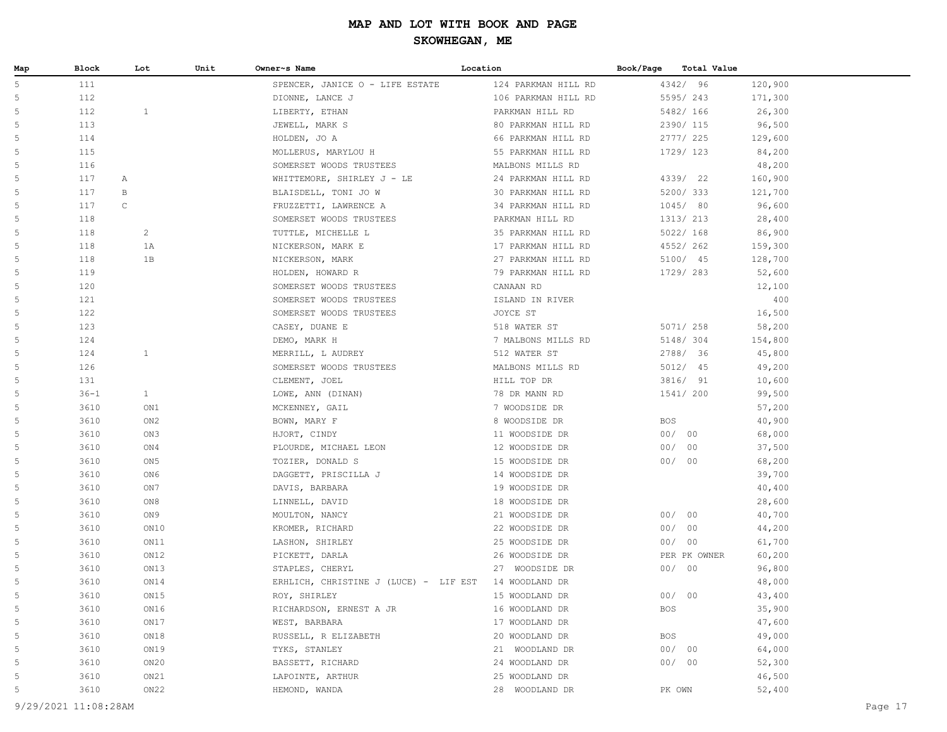| Map    | Block              | Lot             | Unit | Owner~s Name                          | Location                         | Book/Page  | Total Value  |                  |
|--------|--------------------|-----------------|------|---------------------------------------|----------------------------------|------------|--------------|------------------|
| 5      | 111                |                 |      | SPENCER, JANICE O - LIFE ESTATE       | 124 PARKMAN HILL RD              |            | 4342/ 96     | 120,900          |
| 5      | 112                |                 |      | DIONNE, LANCE J                       | 106 PARKMAN HILL RD              |            | 5595/243     | 171,300          |
| 5      | 112                | $\mathbf{1}$    |      | LIBERTY, ETHAN                        | PARKMAN HILL RD                  |            | 5482/ 166    | 26,300           |
| 5      | 113                |                 |      | JEWELL, MARK S                        | 80 PARKMAN HILL RD               |            | 2390/ 115    | 96,500           |
| 5      | 114                |                 |      | HOLDEN, JO A                          | 66 PARKMAN HILL RD               |            | 2777/225     | 129,600          |
| 5      | 115                |                 |      | MOLLERUS, MARYLOU H                   | 55 PARKMAN HILL RD               |            | 1729/ 123    | 84,200           |
| 5      | 116                |                 |      | SOMERSET WOODS TRUSTEES               | MALBONS MILLS RD                 |            |              | 48,200           |
| 5      | 117<br>Α           |                 |      | WHITTEMORE, SHIRLEY J - LE            | 24 PARKMAN HILL RD               |            | 4339/ 22     | 160,900          |
| 5      | 117<br>В           |                 |      | BLAISDELL, TONI JO W                  | 30 PARKMAN HILL RD               |            | 5200/ 333    | 121,700          |
| 5      | $\mathsf C$<br>117 |                 |      | FRUZZETTI, LAWRENCE A                 | 34 PARKMAN HILL RD               |            | 1045/ 80     | 96,600           |
| 5      | 118                |                 |      | SOMERSET WOODS TRUSTEES               | PARKMAN HILL RD                  |            | 1313/ 213    | 28,400           |
| 5      | 118                | $\overline{c}$  |      | TUTTLE, MICHELLE L                    | 35 PARKMAN HILL RD               |            | 5022/ 168    | 86,900           |
| 5      | 118                | 1A              |      | NICKERSON, MARK E                     | 17 PARKMAN HILL RD               |            | 4552/262     | 159,300          |
| 5      | 118                | 1B              |      | NICKERSON, MARK                       | 27 PARKMAN HILL RD               |            | 5100/ 45     | 128,700          |
| 5      | 119                |                 |      | HOLDEN, HOWARD R                      | 79 PARKMAN HILL RD               |            | 1729/ 283    | 52,600           |
| 5      | 120                |                 |      | SOMERSET WOODS TRUSTEES               | CANAAN RD                        |            |              | 12,100           |
| 5      | 121                |                 |      | SOMERSET WOODS TRUSTEES               | ISLAND IN RIVER                  |            |              | 400              |
| 5      | 122                |                 |      | SOMERSET WOODS TRUSTEES               | JOYCE ST                         |            |              | 16,500           |
| 5      | 123                |                 |      | CASEY, DUANE E                        | 518 WATER ST                     |            | 5071/ 258    | 58,200           |
| 5      | 124                |                 |      | DEMO, MARK H                          | 7 MALBONS MILLS RD               |            | 5148/ 304    | 154,800          |
| 5      | 124                | $\mathbf{1}$    |      | MERRILL, L AUDREY                     | 512 WATER ST                     |            | 2788/ 36     | 45,800           |
| 5      | 126                |                 |      | SOMERSET WOODS TRUSTEES               | MALBONS MILLS RD                 |            | 5012/ 45     | 49,200           |
| 5      | 131                |                 |      | CLEMENT, JOEL                         | HILL TOP DR                      |            | 3816/ 91     | 10,600           |
| 5      | $36 - 1$           | $\mathbf{1}$    |      | LOWE, ANN (DINAN)                     | 78 DR MANN RD                    |            | 1541/ 200    | 99,500           |
| 5      | 3610               | ON1             |      | MCKENNEY, GAIL                        | 7 WOODSIDE DR                    |            |              | 57,200           |
| 5      | 3610               | ON <sub>2</sub> |      | BOWN, MARY F                          | 8 WOODSIDE DR                    | <b>BOS</b> |              | 40,900           |
| 5      | 3610               | ON3             |      | HJORT, CINDY                          | 11 WOODSIDE DR                   | 00/00      |              | 68,000           |
| 5      | 3610               | ON4             |      | PLOURDE, MICHAEL LEON                 | 12 WOODSIDE DR                   | 00/00      |              | 37,500           |
| 5      | 3610               | ON <sub>5</sub> |      | TOZIER, DONALD S                      | 15 WOODSIDE DR                   | 00/00      |              | 68,200           |
| 5      | 3610               | ON6             |      | DAGGETT, PRISCILLA J                  | 14 WOODSIDE DR                   |            |              | 39,700           |
| 5<br>5 | 3610<br>3610       | ON7<br>ON8      |      | DAVIS, BARBARA                        | 19 WOODSIDE DR                   |            |              | 40,400           |
| 5      | 3610               | ON <sub>9</sub> |      | LINNELL, DAVID<br>MOULTON, NANCY      | 18 WOODSIDE DR<br>21 WOODSIDE DR |            | 00/00        | 28,600<br>40,700 |
| 5      | 3610               | ON10            |      | KROMER, RICHARD                       | 22 WOODSIDE DR                   | 00/00      |              | 44,200           |
| 5      | 3610               | ON11            |      | LASHON, SHIRLEY                       | 25 WOODSIDE DR                   | 00/00      |              | 61,700           |
| 5      | 3610               | ON12            |      | PICKETT, DARLA                        | 26 WOODSIDE DR                   |            | PER PK OWNER | 60,200           |
| 5      | 3610               | ON13            |      | STAPLES, CHERYL                       | 27 WOODSIDE DR                   | 00/00      |              | 96,800           |
| 5      | 3610               | ON14            |      | ERHLICH, CHRISTINE J (LUCE) - LIF EST | 14 WOODLAND DR                   |            |              | 48,000           |
| 5      | 3610               | ON15            |      | ROY, SHIRLEY                          | 15 WOODLAND DR                   | 00/00      |              | 43,400           |
| 5      | 3610               | ON16            |      | RICHARDSON, ERNEST A JR               | 16 WOODLAND DR                   | <b>BOS</b> |              | 35,900           |
| 5      | 3610               | ON17            |      | WEST, BARBARA                         | 17 WOODLAND DR                   |            |              | 47,600           |
| 5      | 3610               | ON18            |      | RUSSELL, R ELIZABETH                  | 20 WOODLAND DR                   | BOS        |              | 49,000           |
| 5      | 3610               | ON19            |      | TYKS, STANLEY                         | 21 WOODLAND DR                   | 00/00      |              | 64,000           |
| 5      | 3610               | ON20            |      | BASSETT, RICHARD                      | 24 WOODLAND DR                   | 00/00      |              | 52,300           |
| 5      | 3610               | ON21            |      | LAPOINTE, ARTHUR                      | 25 WOODLAND DR                   |            |              | 46,500           |
| 5      | 3610               | ON22            |      | HEMOND, WANDA                         | 28 WOODLAND DR                   | PK OWN     |              | 52,400           |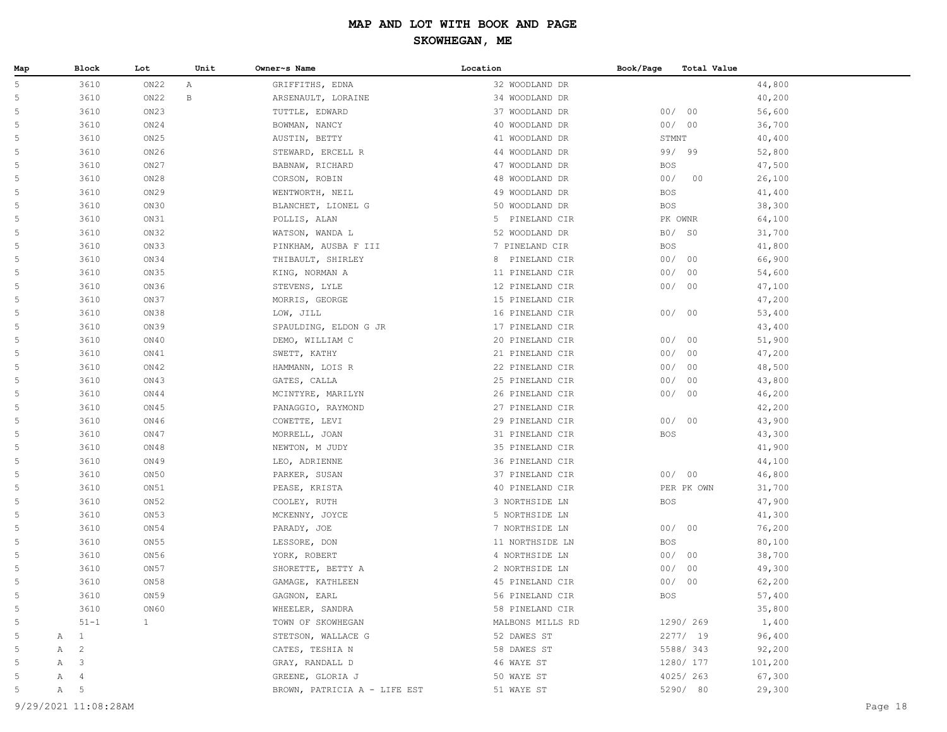| Map    | Block               | Lot              | Unit         | Owner~s Name                    | Location                          | Book/Page<br>Total Value |                  |
|--------|---------------------|------------------|--------------|---------------------------------|-----------------------------------|--------------------------|------------------|
| 5      | 3610                | ON22             | Α            | GRIFFITHS, EDNA                 | 32 WOODLAND DR                    |                          | 44,800           |
| 5      | 3610                | ON22             | $\, {\bf B}$ | ARSENAULT, LORAINE              | 34 WOODLAND DR                    |                          | 40,200           |
| 5      | 3610                | ON23             |              | TUTTLE, EDWARD                  | 37 WOODLAND DR                    | 00/00                    | 56,600           |
| 5      | 3610                | ON24             |              | BOWMAN, NANCY                   | 40 WOODLAND DR                    | 00/00                    | 36,700           |
| 5      | 3610                | ON25             |              | AUSTIN, BETTY                   | 41 WOODLAND DR                    | STMNT                    | 40,400           |
| 5      | 3610                | ON26             |              | STEWARD, ERCELL R               | 44 WOODLAND DR                    | 99/ 99                   | 52,800           |
| 5      | 3610                | ON27             |              | BABNAW, RICHARD                 | 47 WOODLAND DR                    | BOS                      | 47,500           |
| 5      | 3610                | ON28             |              | CORSON, ROBIN                   | 48 WOODLAND DR                    | 00/<br>00                | 26,100           |
| 5      | 3610                | ON29             |              | WENTWORTH, NEIL                 | 49 WOODLAND DR                    | BOS                      | 41,400           |
| 5      | 3610                | ON30             |              | BLANCHET, LIONEL G              | 50 WOODLAND DR                    | BOS                      | 38,300           |
| 5      | 3610                | ON31             |              | POLLIS, ALAN                    | 5 PINELAND CIR                    | PK OWNR                  | 64,100           |
| 5      | 3610                | ON32             |              | WATSON, WANDA L                 | 52 WOODLAND DR                    | $B0/$ SO                 | 31,700           |
| 5      | 3610                | ON33             |              | PINKHAM, AUSBA F III            | 7 PINELAND CIR                    | <b>BOS</b>               | 41,800           |
| 5      | 3610                | ON34             |              | THIBAULT, SHIRLEY               | 8 PINELAND CIR                    | 00/00                    | 66,900           |
| 5      | 3610                | ON35             |              | KING, NORMAN A                  | 11 PINELAND CIR                   | 00/00                    | 54,600           |
| 5      | 3610                | ON36             |              | STEVENS, LYLE                   | 12 PINELAND CIR                   | 00/00                    | 47,100           |
| 5      | 3610                | ON37             |              | MORRIS, GEORGE                  | 15 PINELAND CIR                   |                          | 47,200           |
| 5      | 3610                | ON38             |              | LOW, JILL                       | 16 PINELAND CIR                   | 00/00                    | 53,400           |
| 5      | 3610                | ON39             |              | SPAULDING, ELDON G JR           | 17 PINELAND CIR                   |                          | 43,400           |
| 5      | 3610                | ON40             |              | DEMO, WILLIAM C                 | 20 PINELAND CIR                   | 00/00                    | 51,900           |
| 5      | 3610                | ON41             |              | SWETT, KATHY                    | 21 PINELAND CIR                   | 00/00                    | 47,200           |
| 5      | 3610                | ON42             |              | HAMMANN, LOIS R                 | 22 PINELAND CIR                   | 00/00                    | 48,500           |
| 5      | 3610                | ON43             |              | GATES, CALLA                    | 25 PINELAND CIR                   | 00/<br>00                | 43,800           |
| 5      | 3610                | ON44             |              | MCINTYRE, MARILYN               | 26 PINELAND CIR                   | 00/00                    | 46,200           |
| 5      | 3610                | ON45             |              | PANAGGIO, RAYMOND               | 27 PINELAND CIR                   |                          | 42,200           |
| 5      | 3610                | ON46             |              | COWETTE, LEVI                   | 29 PINELAND CIR                   | 00/00                    | 43,900           |
| 5      | 3610                | ON47             |              | MORRELL, JOAN                   | 31 PINELAND CIR                   | <b>BOS</b>               | 43,300           |
| 5      | 3610                | ON48             |              | NEWTON, M JUDY                  | 35 PINELAND CIR                   |                          | 41,900           |
| 5      | 3610                | ON49             |              | LEO, ADRIENNE                   | 36 PINELAND CIR                   |                          | 44,100           |
| 5      | 3610                | ON50             |              | PARKER, SUSAN                   | 37 PINELAND CIR                   | 00/00                    | 46,800           |
| 5      | 3610                | ON51             |              | PEASE, KRISTA                   | 40 PINELAND CIR                   | PER PK OWN               | 31,700           |
| 5      | 3610                | ON <sub>52</sub> |              | COOLEY, RUTH                    | 3 NORTHSIDE LN                    | <b>BOS</b>               | 47,900           |
| 5      | 3610                | ON <sub>53</sub> |              | MCKENNY, JOYCE                  | 5 NORTHSIDE LN                    |                          | 41,300           |
| 5      | 3610                | ON54             |              | PARADY, JOE                     | 7 NORTHSIDE LN                    | 00/00                    | 76,200           |
| 5      | 3610                | ON55             |              | LESSORE, DON                    | 11 NORTHSIDE LN                   | <b>BOS</b>               | 80,100           |
| 5<br>5 | 3610                | ON 56            |              | YORK, ROBERT                    | 4 NORTHSIDE LN                    | 00/00                    | 38,700           |
| 5      | 3610<br>3610        | ON57<br>ON 58    |              | SHORETTE, BETTY A               | 2 NORTHSIDE LN<br>45 PINELAND CIR | 00/00<br>00/00           | 49,300           |
| 5      | 3610                | ON59             |              | GAMAGE, KATHLEEN                | 56 PINELAND CIR                   | <b>BOS</b>               | 62,200<br>57,400 |
| 5      | 3610                | ON60             |              | GAGNON, EARL<br>WHEELER, SANDRA | 58 PINELAND CIR                   |                          | 35,800           |
| 5      | $51 - 1$            | $\mathbf{1}$     |              | TOWN OF SKOWHEGAN               |                                   | 1290/ 269                | 1,400            |
| 5      | A 1                 |                  |              | STETSON, WALLACE G              | MALBONS MILLS RD<br>52 DAWES ST   | 2277/19                  | 96,400           |
| 5      | $\overline{c}$<br>Α |                  |              | CATES, TESHIA N                 | 58 DAWES ST                       | 5588/343                 | 92,200           |
| -5     | A 3                 |                  |              | GRAY, RANDALL D                 | 46 WAYE ST                        | 1280/ 177                | 101,200          |
| .5     | $\overline{4}$<br>A |                  |              | GREENE, GLORIA J                | 50 WAYE ST                        | 4025/263                 | 67,300           |
| 5      | A 5                 |                  |              | BROWN, PATRICIA A - LIFE EST    | 51 WAYE ST                        | 5290/ 80                 | 29,300           |
|        |                     |                  |              |                                 |                                   |                          |                  |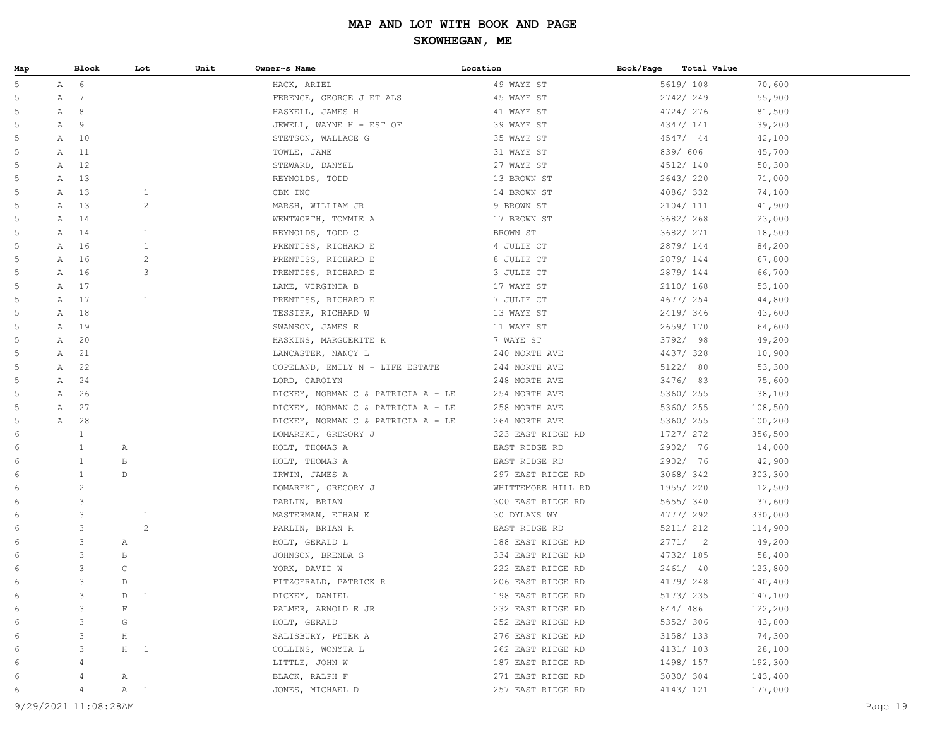| Map |                | Block          | Lot               | Unit | Owner~s Name                       | Location           | Book/Page<br>Total Value |         |
|-----|----------------|----------------|-------------------|------|------------------------------------|--------------------|--------------------------|---------|
| 5   |                | A 6            |                   |      | HACK, ARIEL                        | 49 WAYE ST         | 5619/ 108                | 70,600  |
| 5   | A              | $\overline{7}$ |                   |      | FERENCE, GEORGE J ET ALS           | 45 WAYE ST         | 2742/249                 | 55,900  |
| 5   |                | A 8            |                   |      | HASKELL, JAMES H                   | 41 WAYE ST         | 4724/276                 | 81,500  |
| 5   | A              | 9              |                   |      | JEWELL, WAYNE H - EST OF           | 39 WAYE ST         | 4347/ 141                | 39,200  |
| 5   | A              | 10             |                   |      | STETSON, WALLACE G                 | 35 WAYE ST         | 4547/44                  | 42,100  |
| 5   | A              | 11             |                   |      | TOWLE, JANE                        | 31 WAYE ST         | 839/ 606                 | 45,700  |
| 5   | Α              | 12             |                   |      | STEWARD, DANYEL                    | 27 WAYE ST         | 4512/ 140                | 50,300  |
| 5   | A              | 13             |                   |      | REYNOLDS, TODD                     | 13 BROWN ST        | 2643/220                 | 71,000  |
| 5   | Α              | 13             | $\mathbf{1}$      |      | CBK INC                            | 14 BROWN ST        | 4086/332                 | 74,100  |
| 5   | A              | 13             | $\overline{c}$    |      | MARSH, WILLIAM JR                  | 9 BROWN ST         | 2104/ 111                | 41,900  |
| 5   | Α              | 14             |                   |      | WENTWORTH, TOMMIE A                | 17 BROWN ST        | 3682/ 268                | 23,000  |
| 5   | Α              | 14             | $\mathbf{1}$      |      | REYNOLDS, TODD C                   | BROWN ST           | 3682/ 271                | 18,500  |
| 5   | Α              | 16             | $\mathbf{1}$      |      | PRENTISS, RICHARD E                | 4 JULIE CT         | 2879/144                 | 84,200  |
| 5   |                | A 16           | $\overline{c}$    |      | PRENTISS, RICHARD E                | 8 JULIE CT         | 2879/144                 | 67,800  |
| 5   | A              | 16             | 3                 |      | PRENTISS, RICHARD E                | 3 JULIE CT         | 2879/ 144                | 66,700  |
| 5   | Α              | 17             |                   |      | LAKE, VIRGINIA B                   | 17 WAYE ST         | 2110/ 168                | 53,100  |
| 5   | Α              | 17             | $\mathbf{1}$      |      | PRENTISS, RICHARD E                | 7 JULIE CT         | 4677/ 254                | 44,800  |
| 5   | $\mathbb{A}^-$ | 18             |                   |      | TESSIER, RICHARD W                 | 13 WAYE ST         | 2419/346                 | 43,600  |
| 5   | Α              | 19             |                   |      | SWANSON, JAMES E                   | 11 WAYE ST         | 2659/170                 | 64,600  |
| 5   | A              | 20             |                   |      | HASKINS, MARGUERITE R              | 7 WAYE ST          | 3792/ 98                 | 49,200  |
| 5   | Α              | 21             |                   |      | LANCASTER, NANCY L                 | 240 NORTH AVE      | 4437/328                 | 10,900  |
| 5   | Α              | 22             |                   |      | COPELAND, EMILY N - LIFE ESTATE    | 244 NORTH AVE      | 5122/ 80                 | 53,300  |
| 5   | Α              | 24             |                   |      | LORD, CAROLYN                      | 248 NORTH AVE      | 3476/ 83                 | 75,600  |
| 5   | A              | 26             |                   |      | DICKEY, NORMAN C & PATRICIA A - LE | 254 NORTH AVE      | 5360/ 255                | 38,100  |
| 5   | A              | 27             |                   |      | DICKEY, NORMAN C & PATRICIA A - LE | 258 NORTH AVE      | 5360/ 255                | 108,500 |
| 5   | Α              | 28             |                   |      | DICKEY, NORMAN C & PATRICIA A - LE | 264 NORTH AVE      | 5360/ 255                | 100,200 |
| 6   |                | $\mathbf{1}$   |                   |      | DOMAREKI, GREGORY J                | 323 EAST RIDGE RD  | 1727/ 272                | 356,500 |
| 6   |                | $\mathbf{1}$   | Α                 |      | HOLT, THOMAS A                     | EAST RIDGE RD      | 2902/ 76                 | 14,000  |
| 6   |                | $\mathbf{1}$   | В                 |      | HOLT, THOMAS A                     | EAST RIDGE RD      | 2902/ 76                 | 42,900  |
| 6   |                | $\mathbf{1}$   | $\mathbb D$       |      | IRWIN, JAMES A                     | 297 EAST RIDGE RD  | 3068/342                 | 303,300 |
| 6   |                | $\overline{c}$ |                   |      | DOMAREKI, GREGORY J                | WHITTEMORE HILL RD | 1955/220                 | 12,500  |
| 6   |                | 3              |                   |      | PARLIN, BRIAN                      | 300 EAST RIDGE RD  | 5655/340                 | 37,600  |
| 6   |                | $\mathsf 3$    | $\mathbf{1}$      |      | MASTERMAN, ETHAN K                 | 30 DYLANS WY       | 4777/ 292                | 330,000 |
| 6   |                | $\mathsf 3$    | 2                 |      | PARLIN, BRIAN R                    | EAST RIDGE RD      | 5211/ 212                | 114,900 |
| 6   |                | 3              | Α                 |      | HOLT, GERALD L                     | 188 EAST RIDGE RD  | 2771/2                   | 49,200  |
| 6   |                | 3              | В                 |      | JOHNSON, BRENDA S                  | 334 EAST RIDGE RD  | 4732/ 185                | 58,400  |
| 6   |                | 3              | $\mathtt{C}$      |      | YORK, DAVID W                      | 222 EAST RIDGE RD  | 2461/ 40                 | 123,800 |
| 6   |                | 3              | D                 |      | FITZGERALD, PATRICK R              | 206 EAST RIDGE RD  | 4179/248                 | 140,400 |
| 6   |                | 3              | D<br>$\mathbf{1}$ |      | DICKEY, DANIEL                     | 198 EAST RIDGE RD  | 5173/ 235                | 147,100 |
|     |                | 3              | $\mathbf F$       |      | PALMER, ARNOLD E JR                | 232 EAST RIDGE RD  | 844/486                  | 122,200 |
| 6   |                | 3              | G                 |      | HOLT, GERALD                       | 252 EAST RIDGE RD  | 5352/ 306                | 43,800  |
|     |                | 3              | $\rm H$           |      | SALISBURY, PETER A                 | 276 EAST RIDGE RD  | 3158/ 133                | 74,300  |
| 6   |                | 3              | $H$ 1             |      | COLLINS, WONYTA L                  | 262 EAST RIDGE RD  | 4131/ 103                | 28,100  |
| 6   |                | $\overline{4}$ |                   |      | LITTLE, JOHN W                     | 187 EAST RIDGE RD  | 1498/ 157                | 192,300 |
| 6   |                | 4              | Α                 |      | BLACK, RALPH F                     | 271 EAST RIDGE RD  | 3030/304                 | 143,400 |
| 6   |                | $\overline{4}$ | $A \quad 1$       |      | JONES, MICHAEL D                   | 257 EAST RIDGE RD  | 4143/121                 | 177,000 |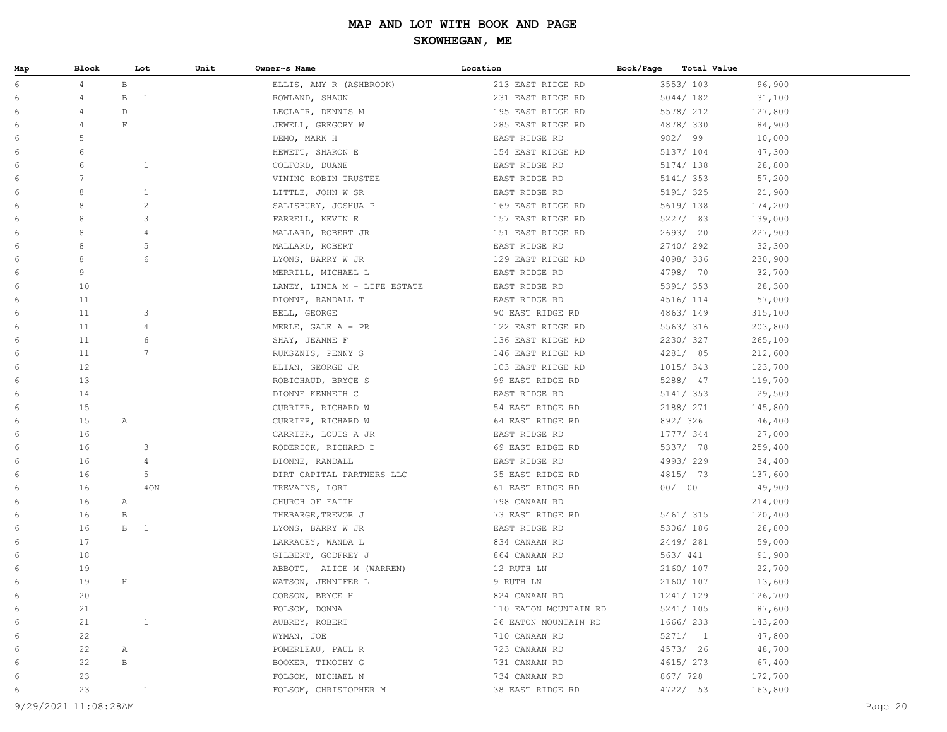| Map | Block           |              | Unit<br>Lot     | Owner~s Name                 | Location              | Book/Page | Total Value |         |
|-----|-----------------|--------------|-----------------|------------------------------|-----------------------|-----------|-------------|---------|
| 6   | 4               | $\, {\bf B}$ |                 | ELLIS, AMY R (ASHBROOK)      | 213 EAST RIDGE RD     |           | 3553/103    | 96,900  |
| 6   | $\overline{4}$  | $\, {\bf B}$ | $\mathbf{1}$    | ROWLAND, SHAUN               | 231 EAST RIDGE RD     |           | 5044/182    | 31,100  |
| 6   | 4               | $\mathbb D$  |                 | LECLAIR, DENNIS M            | 195 EAST RIDGE RD     |           | 5578/ 212   | 127,800 |
| 6   | 4               | $\mathbf F$  |                 | JEWELL, GREGORY W            | 285 EAST RIDGE RD     |           | 4878/330    | 84,900  |
| 6   | 5               |              |                 | DEMO, MARK H                 | EAST RIDGE RD         |           | 982/99      | 10,000  |
| 6   | 6               |              |                 | HEWETT, SHARON E             | 154 EAST RIDGE RD     |           | 5137/ 104   | 47,300  |
| 6   | 6               |              | $\mathbf{1}$    | COLFORD, DUANE               | EAST RIDGE RD         |           | 5174/ 138   | 28,800  |
| 6   | $7\phantom{.0}$ |              |                 | VINING ROBIN TRUSTEE         | EAST RIDGE RD         |           | 5141/ 353   | 57,200  |
| 6   | 8               |              | 1               | LITTLE, JOHN W SR            | EAST RIDGE RD         |           | 5191/ 325   | 21,900  |
| 6   | 8               |              | $\mathbf{2}$    | SALISBURY, JOSHUA P          | 169 EAST RIDGE RD     |           | 5619/ 138   | 174,200 |
| 6   | 8               |              | 3               | FARRELL, KEVIN E             | 157 EAST RIDGE RD     |           | 5227/ 83    | 139,000 |
| 6   | 8               |              | $\overline{4}$  | MALLARD, ROBERT JR           | 151 EAST RIDGE RD     |           | 2693/ 20    | 227,900 |
| 6   | 8               |              | 5               | MALLARD, ROBERT              | EAST RIDGE RD         |           | 2740/292    | 32,300  |
| 6   | 8               |              | 6               | LYONS, BARRY W JR            | 129 EAST RIDGE RD     |           | 4098/336    | 230,900 |
| 6   | 9               |              |                 | MERRILL, MICHAEL L           | EAST RIDGE RD         |           | 4798/ 70    | 32,700  |
| 6   | 10              |              |                 | LANEY, LINDA M - LIFE ESTATE | EAST RIDGE RD         |           | 5391/353    | 28,300  |
| 6   | 11              |              |                 | DIONNE, RANDALL T            | EAST RIDGE RD         |           | 4516/ 114   | 57,000  |
| 6   | 11              |              | 3               | BELL, GEORGE                 | 90 EAST RIDGE RD      |           | 4863/149    | 315,100 |
| 6   | 11              |              | $\overline{4}$  | MERLE, GALE A - PR           | 122 EAST RIDGE RD     |           | 5563/ 316   | 203,800 |
| 6   | 11              |              | 6               | SHAY, JEANNE F               | 136 EAST RIDGE RD     |           | 2230/327    | 265,100 |
| 6   | 11              |              | $7\overline{ }$ | RUKSZNIS, PENNY S            | 146 EAST RIDGE RD     |           | 4281/ 85    | 212,600 |
| 6   | 12              |              |                 | ELIAN, GEORGE JR             | 103 EAST RIDGE RD     |           | 1015/343    | 123,700 |
| 6   | 13              |              |                 | ROBICHAUD, BRYCE S           | 99 EAST RIDGE RD      |           | 5288/ 47    | 119,700 |
| 6   | 14              |              |                 | DIONNE KENNETH C             | EAST RIDGE RD         |           | 5141/ 353   | 29,500  |
| 6   | 15              |              |                 | CURRIER, RICHARD W           | 54 EAST RIDGE RD      |           | 2188/ 271   | 145,800 |
| 6   | 15              | $\mathbb{A}$ |                 | CURRIER, RICHARD W           | 64 EAST RIDGE RD      |           | 892/326     | 46,400  |
| 6   | 16              |              |                 | CARRIER, LOUIS A JR          | EAST RIDGE RD         |           | 1777/ 344   | 27,000  |
| 6   | 16              |              | 3               | RODERICK, RICHARD D          | 69 EAST RIDGE RD      |           | 5337/ 78    | 259,400 |
| 6   | 16              |              | 4               | DIONNE, RANDALL              | EAST RIDGE RD         |           | 4993/229    | 34,400  |
| 6   | 16              |              | 5               | DIRT CAPITAL PARTNERS LLC    | 35 EAST RIDGE RD      |           | 4815/ 73    | 137,600 |
| 6   | 16              |              | 4ON             | TREVAINS, LORI               | 61 EAST RIDGE RD      |           | 00/00       | 49,900  |
| 6   | 16              | A            |                 | CHURCH OF FAITH              | 798 CANAAN RD         |           |             | 214,000 |
| 6   | 16              | В            |                 | THEBARGE, TREVOR J           | 73 EAST RIDGE RD      |           | 5461/ 315   | 120,400 |
| 6   | 16              | $\mathbf{B}$ | $\mathbf{1}$    | LYONS, BARRY W JR            | EAST RIDGE RD         |           | 5306/ 186   | 28,800  |
| 6   | 17              |              |                 | LARRACEY, WANDA L            | 834 CANAAN RD         |           | 2449/ 281   | 59,000  |
| 6   | 18              |              |                 | GILBERT, GODFREY J           | 864 CANAAN RD         |           | 563/ 441    | 91,900  |
| 6   | 19              |              |                 | ABBOTT, ALICE M (WARREN)     | 12 RUTH LN            |           | 2160/ 107   | 22,700  |
| 6   | 19              | $\, {\rm H}$ |                 | WATSON, JENNIFER L           | 9 RUTH LN             |           | 2160/ 107   | 13,600  |
| 6   | 20              |              |                 | CORSON, BRYCE H              | 824 CANAAN RD         |           | 1241/ 129   | 126,700 |
| 6   | 21              |              |                 | FOLSOM, DONNA                | 110 EATON MOUNTAIN RD |           | 5241/ 105   | 87,600  |
| 6   | 21              |              | $\mathbf{1}$    | AUBREY, ROBERT               | 26 EATON MOUNTAIN RD  |           | 1666/ 233   | 143,200 |
| 6   | 22              |              |                 | WYMAN, JOE                   | 710 CANAAN RD         |           | 5271/1      | 47,800  |
| 6   | 22              | Α            |                 | POMERLEAU, PAUL R            | 723 CANAAN RD         |           | 4573/ 26    | 48,700  |
| 6   | 22              | $\, {\bf B}$ |                 | BOOKER, TIMOTHY G            | 731 CANAAN RD         |           | 4615/ 273   | 67,400  |
| 6   | 23              |              |                 | FOLSOM, MICHAEL N            | 734 CANAAN RD         |           | 867/728     | 172,700 |
| 6   | 23              |              | $\mathbf{1}$    | FOLSOM, CHRISTOPHER M        | 38 EAST RIDGE RD      |           | 4722/ 53    | 163,800 |
|     |                 |              |                 |                              |                       |           |             |         |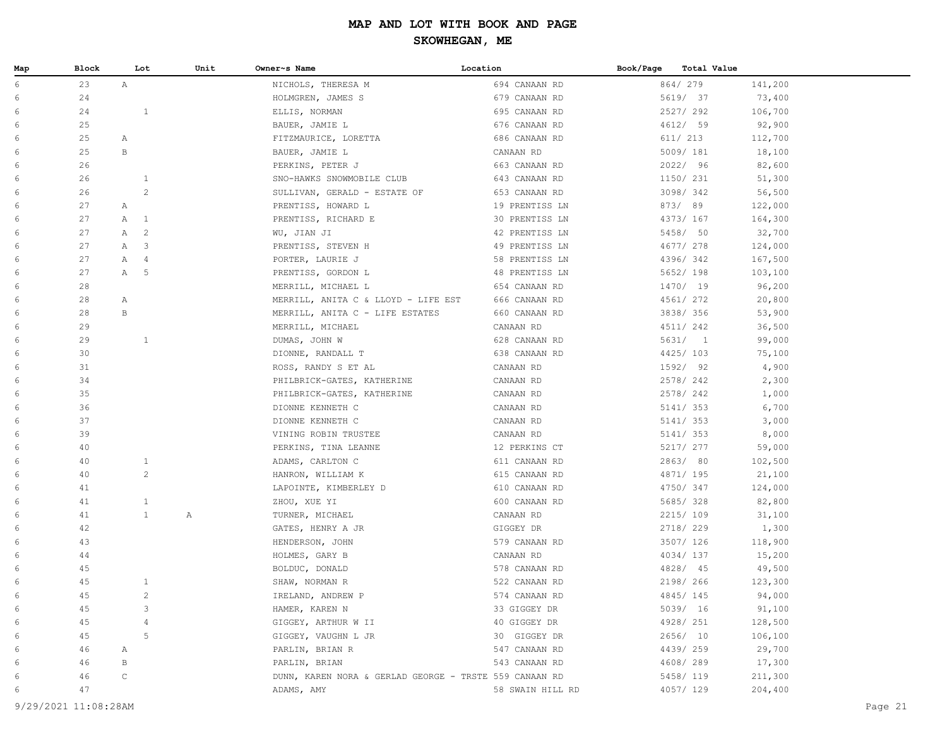| Map | Block | Lot                            | Unit | Owner~s Name                                           | Location         | Book/Page | Total Value |         |
|-----|-------|--------------------------------|------|--------------------------------------------------------|------------------|-----------|-------------|---------|
| 6   | 23    | A                              |      | NICHOLS, THERESA M                                     | 694 CANAAN RD    |           | 864/279     | 141,200 |
| 6   | 24    |                                |      | HOLMGREN, JAMES S                                      | 679 CANAAN RD    |           | 5619/ 37    | 73,400  |
| 6   | 24    | $\mathbf{1}$                   |      | ELLIS, NORMAN                                          | 695 CANAAN RD    |           | 2527/292    | 106,700 |
| 6   | 25    |                                |      | BAUER, JAMIE L                                         | 676 CANAAN RD    |           | 4612/ 59    | 92,900  |
| 6   | 25    | $\mathbb{A}$                   |      | FITZMAURICE, LORETTA                                   | 686 CANAAN RD    |           | 611/ 213    | 112,700 |
| 6   | 25    | $\mathbf B$                    |      | BAUER, JAMIE L                                         | CANAAN RD        |           | 5009/181    | 18,100  |
| 6   | 26    |                                |      | PERKINS, PETER J                                       | 663 CANAAN RD    |           | 2022/ 96    | 82,600  |
| 6   | 26    | $\mathbf{1}$                   |      | SNO-HAWKS SNOWMOBILE CLUB                              | 643 CANAAN RD    |           | 1150/ 231   | 51,300  |
| 6   | 26    | $\mathbf{2}$                   |      | SULLIVAN, GERALD - ESTATE OF                           | 653 CANAAN RD    |           | 3098/342    | 56,500  |
| 6   | 27    | $\mathbb{A}$                   |      | PRENTISS, HOWARD L                                     | 19 PRENTISS LN   |           | 873/89      | 122,000 |
| 6   | 27    | $\mathbb{A}$<br>$\overline{1}$ |      | PRENTISS, RICHARD E                                    | 30 PRENTISS LN   |           | 4373/ 167   | 164,300 |
| 6   | 27    | $\overline{c}$<br>$\mathbb{A}$ |      | WU, JIAN JI                                            | 42 PRENTISS LN   |           | 5458/ 50    | 32,700  |
| 6   | 27    | A<br>-3                        |      | PRENTISS, STEVEN H                                     | 49 PRENTISS LN   |           | 4677/ 278   | 124,000 |
| 6   | 27    | $\mathbb{A}$<br>4              |      | PORTER, LAURIE J                                       | 58 PRENTISS LN   |           | 4396/342    | 167,500 |
| 6   | 27    | 5<br>A                         |      | PRENTISS, GORDON L                                     | 48 PRENTISS LN   |           | 5652/ 198   | 103,100 |
| 6   | 28    |                                |      | MERRILL, MICHAEL L                                     | 654 CANAAN RD    |           | 1470/ 19    | 96,200  |
| 6   | 28    | $\mathbb{A}$                   |      | MERRILL, ANITA C & LLOYD - LIFE EST                    | 666 CANAAN RD    |           | 4561/ 272   | 20,800  |
| 6   | 28    | $\, {\bf B}$                   |      | MERRILL, ANITA C - LIFE ESTATES                        | 660 CANAAN RD    |           | 3838/356    | 53,900  |
| 6   | 29    |                                |      | MERRILL, MICHAEL                                       | CANAAN RD        |           | 4511/ 242   | 36,500  |
| 6   | 29    | $\mathbf{1}$                   |      | DUMAS, JOHN W                                          | 628 CANAAN RD    |           | 5631/1      | 99,000  |
| 6   | 30    |                                |      | DIONNE, RANDALL T                                      | 638 CANAAN RD    |           | 4425/ 103   | 75,100  |
| 6   | 31    |                                |      | ROSS, RANDY S ET AL                                    | CANAAN RD        |           | 1592/ 92    | 4,900   |
| 6   | 34    |                                |      | PHILBRICK-GATES, KATHERINE                             | CANAAN RD        |           | 2578/242    | 2,300   |
| 6   | 35    |                                |      | PHILBRICK-GATES, KATHERINE                             | CANAAN RD        |           | 2578/242    | 1,000   |
| 6   | 36    |                                |      | DIONNE KENNETH C                                       | CANAAN RD        |           | 5141/ 353   | 6,700   |
| 6   | 37    |                                |      | DIONNE KENNETH C                                       | CANAAN RD        |           | 5141/ 353   | 3,000   |
| 6   | 39    |                                |      | VINING ROBIN TRUSTEE                                   | CANAAN RD        |           | 5141/ 353   | 8,000   |
| 6   | 40    |                                |      | PERKINS, TINA LEANNE                                   | 12 PERKINS CT    |           | 5217/ 277   | 59,000  |
| 6   | 40    | $\mathbf{1}$                   |      | ADAMS, CARLTON C                                       | 611 CANAAN RD    |           | 2863/80     | 102,500 |
| 6   | 40    | $\mathbf{2}$                   |      | HANRON, WILLIAM K                                      | 615 CANAAN RD    |           | 4871/ 195   | 21,100  |
| 6   | 41    |                                |      | LAPOINTE, KIMBERLEY D                                  | 610 CANAAN RD    |           | 4750/ 347   | 124,000 |
| 6   | 41    | $\mathbf{1}$                   |      | ZHOU, XUE YI                                           | 600 CANAAN RD    |           | 5685/328    | 82,800  |
| 6   | 41    | $\mathbf{1}$                   | Α    | TURNER, MICHAEL                                        | CANAAN RD        |           | 2215/ 109   | 31,100  |
| 6   | 42    |                                |      | GATES, HENRY A JR                                      | GIGGEY DR        |           | 2718/ 229   | 1,300   |
| 6   | 43    |                                |      | HENDERSON, JOHN                                        | 579 CANAAN RD    |           | 3507/ 126   | 118,900 |
| 6   | 44    |                                |      | HOLMES, GARY B                                         | CANAAN RD        |           | 4034/137    | 15,200  |
| 6   | 45    |                                |      | BOLDUC, DONALD                                         | 578 CANAAN RD    |           | 4828/ 45    | 49,500  |
| 6   | 45    | $\mathbf{1}$                   |      | SHAW, NORMAN R                                         | 522 CANAAN RD    |           | 2198/ 266   | 123,300 |
| 6   | 45    | 2                              |      | IRELAND, ANDREW P                                      | 574 CANAAN RD    |           | 4845/145    | 94,000  |
| 6   | 45    | 3                              |      | HAMER, KAREN N                                         | 33 GIGGEY DR     |           | 5039/ 16    | 91,100  |
| 6   | 45    | 4                              |      | GIGGEY, ARTHUR W II                                    | 40 GIGGEY DR     |           | 4928/ 251   | 128,500 |
| 6   | 45    | 5                              |      | GIGGEY, VAUGHN L JR                                    | 30 GIGGEY DR     |           | 2656/ 10    | 106,100 |
| 6   | 46    | Α                              |      | PARLIN, BRIAN R                                        | 547 CANAAN RD    |           | 4439/259    | 29,700  |
| 6   | 46    | В                              |      | PARLIN, BRIAN                                          | 543 CANAAN RD    |           | 4608/289    | 17,300  |
| 6   | 46    | С                              |      | DUNN, KAREN NORA & GERLAD GEORGE - TRSTE 559 CANAAN RD |                  |           | 5458/ 119   | 211,300 |
| 6   | 47    |                                |      | ADAMS, AMY                                             | 58 SWAIN HILL RD |           | 4057/ 129   | 204,400 |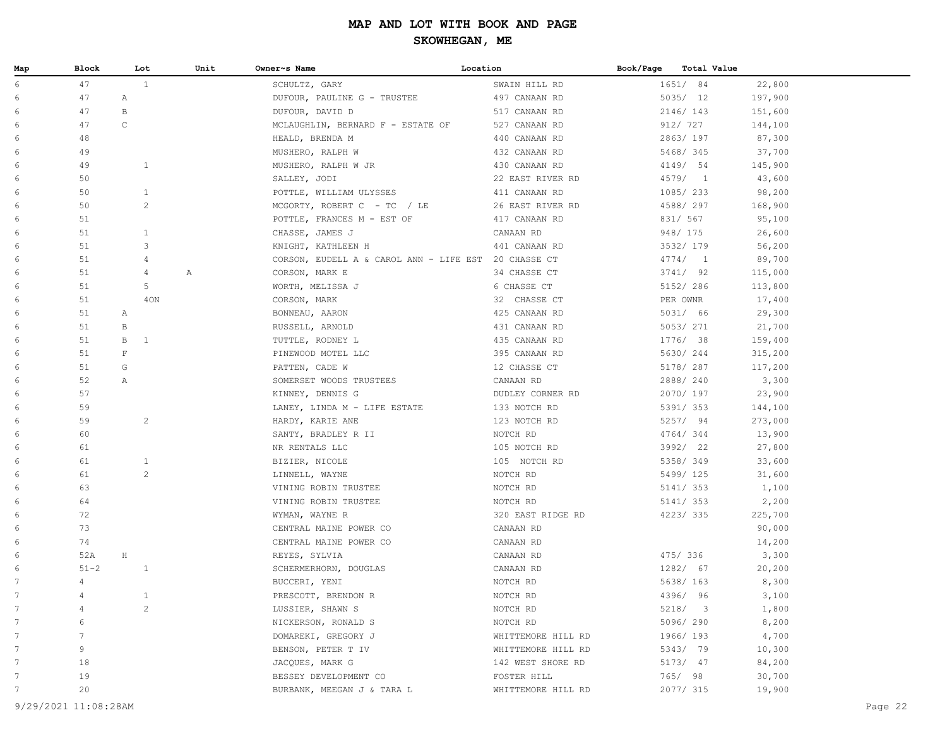| Map             | Block          |              | Lot            | Unit | Owner~s Name                                         | Location           | Book/Page | Total Value |         |
|-----------------|----------------|--------------|----------------|------|------------------------------------------------------|--------------------|-----------|-------------|---------|
| 6               | 47             |              | $\mathbf{1}$   |      | SCHULTZ, GARY                                        | SWAIN HILL RD      |           | 1651/ 84    | 22,800  |
| 6               | 47             | Α            |                |      | DUFOUR, PAULINE G - TRUSTEE                          | 497 CANAAN RD      |           | 5035/ 12    | 197,900 |
| 6               | 47             | $\, {\bf B}$ |                |      | DUFOUR, DAVID D                                      | 517 CANAAN RD      |           | 2146/143    | 151,600 |
| 6               | 47             | $\mathsf C$  |                |      | MCLAUGHLIN, BERNARD F - ESTATE OF                    | 527 CANAAN RD      |           | 912/ 727    | 144,100 |
| 6               | 48             |              |                |      | HEALD, BRENDA M                                      | 440 CANAAN RD      |           | 2863/197    | 87,300  |
| 6               | 49             |              |                |      | MUSHERO, RALPH W                                     | 432 CANAAN RD      |           | 5468/345    | 37,700  |
| 6               | 49             |              | $\mathbf{1}$   |      | MUSHERO, RALPH W JR                                  | 430 CANAAN RD      |           | 4149/ 54    | 145,900 |
| 6               | 50             |              |                |      | SALLEY, JODI                                         | 22 EAST RIVER RD   |           | 4579/1      | 43,600  |
| 6               | 50             |              | $\mathbf{1}$   |      | POTTLE, WILLIAM ULYSSES                              | 411 CANAAN RD      |           | 1085/ 233   | 98,200  |
| 6               | 50             |              | $\overline{c}$ |      | MCGORTY, ROBERT C - TC / LE                          | 26 EAST RIVER RD   |           | 4588/ 297   | 168,900 |
| 6               | 51             |              |                |      | POTTLE, FRANCES M - EST OF                           | 417 CANAAN RD      |           | 831/ 567    | 95,100  |
| 6               | 51             |              | $\mathbf{1}$   |      | CHASSE, JAMES J                                      | CANAAN RD          |           | 948/ 175    | 26,600  |
| 6               | 51             |              | 3              |      | KNIGHT, KATHLEEN H                                   | 441 CANAAN RD      |           | 3532/ 179   | 56,200  |
| 6               | 51             |              | 4              |      | CORSON, EUDELL A & CAROL ANN - LIFE EST 20 CHASSE CT |                    |           | 4774/1      | 89,700  |
| 6               | 51             |              | 4              | Α    | CORSON, MARK E                                       | 34 CHASSE CT       |           | 3741/92     | 115,000 |
| 6               | 51             |              | 5              |      | WORTH, MELISSA J                                     | 6 CHASSE CT        |           | 5152/ 286   | 113,800 |
| 6               | 51             |              | 40N            |      | CORSON, MARK                                         | 32 CHASSE CT       |           | PER OWNR    | 17,400  |
| 6               | 51             | Α            |                |      | BONNEAU, AARON                                       | 425 CANAAN RD      |           | 5031/ 66    | 29,300  |
| 6               | 51             | $\, {\bf B}$ |                |      | RUSSELL, ARNOLD                                      | 431 CANAAN RD      |           | 5053/ 271   | 21,700  |
| 6               | 51             | $\, {\bf B}$ | 1              |      | TUTTLE, RODNEY L                                     | 435 CANAAN RD      |           | 1776/ 38    | 159,400 |
| 6               | 51             | $\mathbf F$  |                |      | PINEWOOD MOTEL LLC                                   | 395 CANAAN RD      |           | 5630/244    | 315,200 |
| 6               | 51             | G            |                |      | PATTEN, CADE W                                       | 12 CHASSE CT       |           | 5178/ 287   | 117,200 |
| 6               | 52             | Α            |                |      | SOMERSET WOODS TRUSTEES                              | CANAAN RD          |           | 2888/240    | 3,300   |
| 6               | 57             |              |                |      | KINNEY, DENNIS G                                     | DUDLEY CORNER RD   |           | 2070/197    | 23,900  |
| 6               | 59             |              |                |      | LANEY, LINDA M - LIFE ESTATE                         | 133 NOTCH RD       |           | 5391/ 353   | 144,100 |
| 6               | 59             |              | $\overline{c}$ |      | HARDY, KARIE ANE                                     | 123 NOTCH RD       |           | 5257/ 94    | 273,000 |
| 6               | 60             |              |                |      | SANTY, BRADLEY R II                                  | NOTCH RD           |           | 4764/344    | 13,900  |
| 6               | 61             |              |                |      | NR RENTALS LLC                                       | 105 NOTCH RD       |           | 3992/ 22    | 27,800  |
| 6               | 61             |              | $\mathbf{1}$   |      | BIZIER, NICOLE                                       | 105 NOTCH RD       |           | 5358/349    | 33,600  |
| 6               | 61             |              | $\overline{c}$ |      | LINNELL, WAYNE                                       | NOTCH RD           |           | 5499/ 125   | 31,600  |
| 6               | 63             |              |                |      | VINING ROBIN TRUSTEE                                 | NOTCH RD           |           | 5141/ 353   | 1,100   |
| 6               | 64             |              |                |      | VINING ROBIN TRUSTEE                                 | NOTCH RD           |           | 5141/ 353   | 2,200   |
| 6               | 72             |              |                |      | WYMAN, WAYNE R                                       | 320 EAST RIDGE RD  |           | 4223/335    | 225,700 |
| 6               | 73             |              |                |      | CENTRAL MAINE POWER CO                               | CANAAN RD          |           |             | 90,000  |
| 6               | 74             |              |                |      | CENTRAL MAINE POWER CO                               | CANAAN RD          |           |             | 14,200  |
| 6               | 52A            | $\rm H$      |                |      | REYES, SYLVIA                                        | CANAAN RD          |           | 475/ 336    | 3,300   |
| 6               | $51 - 2$       |              | $\mathbf{1}$   |      | SCHERMERHORN, DOUGLAS                                | CANAAN RD          |           | 1282/ 67    | 20,200  |
| 7               | 4              |              |                |      | BUCCERI, YENI                                        | NOTCH RD           |           | 5638/ 163   | 8,300   |
| $7\phantom{.0}$ | $\overline{4}$ |              | 1              |      | PRESCOTT, BRENDON R                                  | NOTCH RD           |           | 4396/ 96    | 3,100   |
| $7\phantom{.0}$ |                |              | $\overline{c}$ |      | LUSSIER, SHAWN S                                     | NOTCH RD           |           | 5218/3      | 1,800   |
| 7               | 6              |              |                |      | NICKERSON, RONALD S                                  | NOTCH RD           |           | 5096/290    | 8,200   |
| 7               | 7              |              |                |      | DOMAREKI, GREGORY J                                  | WHITTEMORE HILL RD |           | 1966/193    | 4,700   |
| 7               | 9              |              |                |      | BENSON, PETER T IV                                   | WHITTEMORE HILL RD |           | 5343/ 79    | 10,300  |
| 7               | 18             |              |                |      | JACQUES, MARK G                                      | 142 WEST SHORE RD  |           | 5173/ 47    | 84,200  |
| 7               | 19             |              |                |      | BESSEY DEVELOPMENT CO                                | FOSTER HILL        |           | 765/ 98     | 30,700  |
| 7               | 20             |              |                |      | BURBANK, MEEGAN J & TARA L                           | WHITTEMORE HILL RD |           | 2077/ 315   | 19,900  |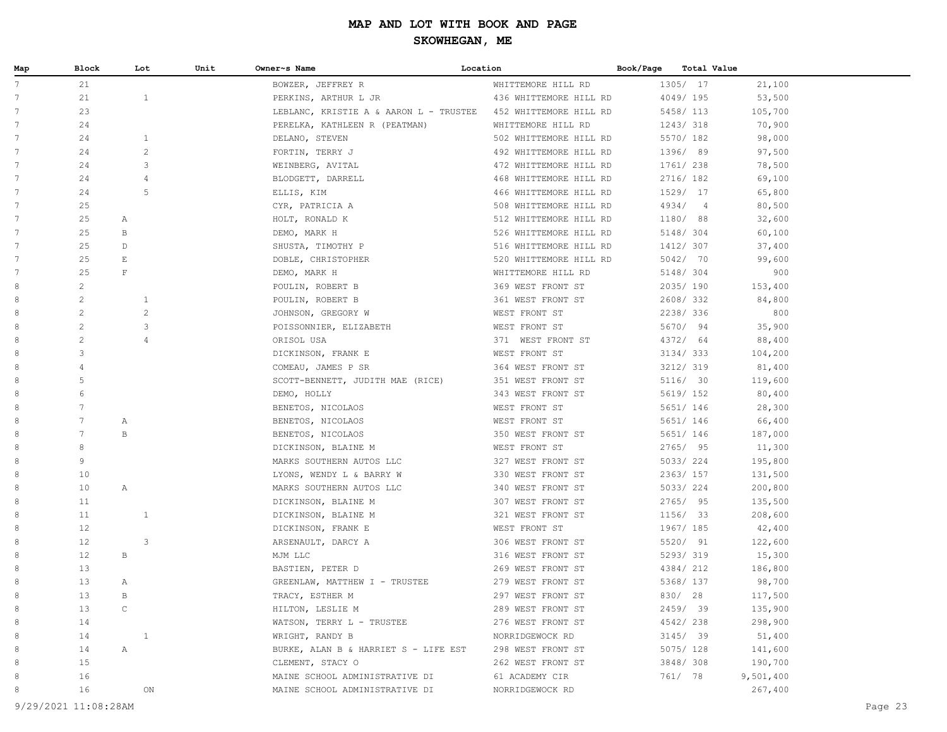| Map             | Block           |              | Unit<br>Lot    | Owner~s Name                           | Location               | Book/Page |         | Total Value    |           |  |
|-----------------|-----------------|--------------|----------------|----------------------------------------|------------------------|-----------|---------|----------------|-----------|--|
| $7^{\circ}$     | 21              |              |                | BOWZER, JEFFREY R                      | WHITTEMORE HILL RD     |           |         | 1305/ 17       | 21,100    |  |
| 7               | 21              |              | $\mathbf{1}$   | PERKINS, ARTHUR L JR                   | 436 WHITTEMORE HILL RD |           |         | 4049/195       | 53,500    |  |
| 7               | 23              |              |                | LEBLANC, KRISTIE A & AARON L - TRUSTEE | 452 WHITTEMORE HILL RD |           |         | 5458/ 113      | 105,700   |  |
| 7               | 24              |              |                | PERELKA, KATHLEEN R (PEATMAN)          | WHITTEMORE HILL RD     |           |         | 1243/318       | 70,900    |  |
| 7               | 24              |              | $\mathbf{1}$   | DELANO, STEVEN                         | 502 WHITTEMORE HILL RD |           |         | 5570/ 182      | 98,000    |  |
| 7               | 24              |              | $\overline{c}$ | FORTIN, TERRY J                        | 492 WHITTEMORE HILL RD |           |         | 1396/ 89       | 97,500    |  |
| 7               | 24              |              | 3              | WEINBERG, AVITAL                       | 472 WHITTEMORE HILL RD |           |         | 1761/ 238      | 78,500    |  |
| 7               | 24              |              | $\overline{4}$ | BLODGETT, DARRELL                      | 468 WHITTEMORE HILL RD |           |         | 2716/ 182      | 69,100    |  |
| 7               | 24              |              | 5              | ELLIS, KIM                             | 466 WHITTEMORE HILL RD |           |         | 1529/ 17       | 65,800    |  |
| 7               | 25              |              |                | CYR, PATRICIA A                        | 508 WHITTEMORE HILL RD |           | 4934/   | $\overline{4}$ | 80,500    |  |
| 7               | 25              | А            |                | HOLT, RONALD K                         | 512 WHITTEMORE HILL RD |           |         | 1180/ 88       | 32,600    |  |
| 7               | 25              | В            |                | DEMO, MARK H                           | 526 WHITTEMORE HILL RD |           |         | 5148/ 304      | 60,100    |  |
| 7               | 25              | D            |                | SHUSTA, TIMOTHY P                      | 516 WHITTEMORE HILL RD |           |         | 1412/ 307      | 37,400    |  |
| $7\phantom{.0}$ | 25              | E            |                | DOBLE, CHRISTOPHER                     | 520 WHITTEMORE HILL RD |           |         | 5042/ 70       | 99,600    |  |
| 7               | 25              | $\mathbf F$  |                | DEMO, MARK H                           | WHITTEMORE HILL RD     |           |         | 5148/ 304      | 900       |  |
| 8               | $\overline{c}$  |              |                | POULIN, ROBERT B                       | 369 WEST FRONT ST      |           |         | 2035/190       | 153,400   |  |
| 8               | $\overline{c}$  |              | 1              | POULIN, ROBERT B                       | 361 WEST FRONT ST      |           |         | 2608/332       | 84,800    |  |
| 8               | $\mathbf{2}$    |              | $\overline{c}$ | JOHNSON, GREGORY W                     | WEST FRONT ST          |           |         | 2238/336       | 800       |  |
| 8               | $\mathbf{2}$    |              | 3              | POISSONNIER, ELIZABETH                 | WEST FRONT ST          |           |         | 5670/ 94       | 35,900    |  |
| 8               | $\overline{c}$  |              | $\overline{4}$ | ORISOL USA                             | 371 WEST FRONT ST      |           |         | 4372/ 64       | 88,400    |  |
| 8               | 3               |              |                | DICKINSON, FRANK E                     | WEST FRONT ST          |           |         | 3134/333       | 104,200   |  |
| 8               | 4               |              |                | COMEAU, JAMES P SR                     | 364 WEST FRONT ST      |           |         | 3212/319       | 81,400    |  |
| 8               | 5               |              |                | SCOTT-BENNETT, JUDITH MAE (RICE)       | 351 WEST FRONT ST      |           |         | 5116/ 30       | 119,600   |  |
| 8               | 6               |              |                | DEMO, HOLLY                            | 343 WEST FRONT ST      |           |         | 5619/ 152      | 80,400    |  |
| 8               | 7               |              |                | BENETOS, NICOLAOS                      | WEST FRONT ST          |           |         | 5651/ 146      | 28,300    |  |
| 8               | 7               | Α            |                | BENETOS, NICOLAOS                      | WEST FRONT ST          |           |         | 5651/ 146      | 66,400    |  |
| 8               | $7\phantom{.0}$ | $\, {\bf B}$ |                | BENETOS, NICOLAOS                      | 350 WEST FRONT ST      |           |         | 5651/ 146      | 187,000   |  |
| 8               | 8               |              |                | DICKINSON, BLAINE M                    | WEST FRONT ST          |           |         | 2765/95        | 11,300    |  |
| 8               | 9               |              |                | MARKS SOUTHERN AUTOS LLC               | 327 WEST FRONT ST      |           |         | 5033/224       | 195,800   |  |
| 8               | 10              |              |                | LYONS, WENDY L & BARRY W               | 330 WEST FRONT ST      |           |         | 2363/ 157      | 131,500   |  |
| 8               | 10              | Α            |                | MARKS SOUTHERN AUTOS LLC               | 340 WEST FRONT ST      |           |         | 5033/224       | 200,800   |  |
| 8               | 11              |              |                | DICKINSON, BLAINE M                    | 307 WEST FRONT ST      |           |         | 2765/ 95       | 135,500   |  |
| 8               | 11              |              | 1              | DICKINSON, BLAINE M                    | 321 WEST FRONT ST      |           |         | 1156/ 33       | 208,600   |  |
| 8               | 12              |              |                | DICKINSON, FRANK E                     | WEST FRONT ST          |           |         | 1967/ 185      | 42,400    |  |
| 8               | 12              |              | 3              | ARSENAULT, DARCY A                     | 306 WEST FRONT ST      |           |         | 5520/ 91       | 122,600   |  |
| 8               | 12              | В            |                | MJM LLC                                | 316 WEST FRONT ST      |           |         | 5293/319       | 15,300    |  |
| 8               | 13              |              |                | BASTIEN, PETER D                       | 269 WEST FRONT ST      |           |         | 4384/212       | 186,800   |  |
| 8               | 13              | Α            |                | GREENLAW, MATTHEW I - TRUSTEE          | 279 WEST FRONT ST      |           |         | 5368/ 137      | 98,700    |  |
| 8               | 13              | В            |                | TRACY, ESTHER M                        | 297 WEST FRONT ST      |           | 830/ 28 |                | 117,500   |  |
| 8               | 13              | C            |                | HILTON, LESLIE M                       | 289 WEST FRONT ST      |           |         | 2459/ 39       | 135,900   |  |
| 8               | 14              |              |                | WATSON, TERRY L - TRUSTEE              | 276 WEST FRONT ST      |           |         | 4542/238       | 298,900   |  |
| 8               | 14              |              | $\mathbf{1}$   | WRIGHT, RANDY B                        | NORRIDGEWOCK RD        |           |         | $3145/$ 39     | 51,400    |  |
| 8               | 14              | Α            |                | BURKE, ALAN B & HARRIET S - LIFE EST   | 298 WEST FRONT ST      |           |         | 5075/128       | 141,600   |  |
| 8               | 15              |              |                | CLEMENT, STACY O                       | 262 WEST FRONT ST      |           |         | 3848/308       | 190,700   |  |
| 8               | 16              |              |                | MAINE SCHOOL ADMINISTRATIVE DI         | 61 ACADEMY CIR         |           | 761/ 78 |                | 9,501,400 |  |
| 8               | 16              |              | ON             | MAINE SCHOOL ADMINISTRATIVE DI         | NORRIDGEWOCK RD        |           |         |                | 267,400   |  |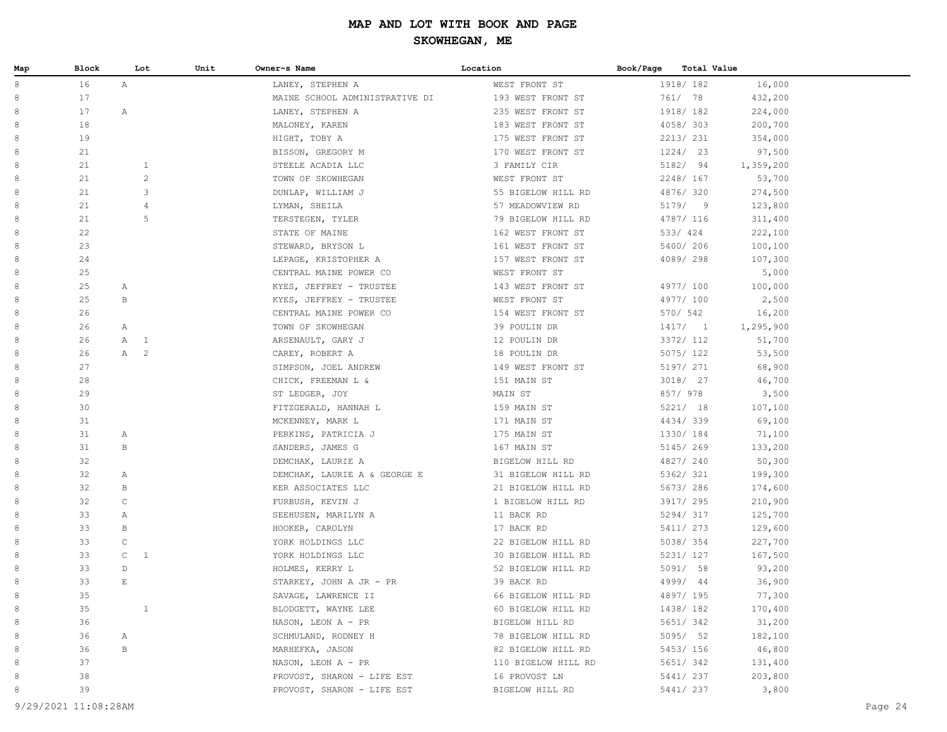| Map    | Block |              | Lot            | Unit | Owner~s Name                   | Location            | Book/Page |          | Total Value |           |  |
|--------|-------|--------------|----------------|------|--------------------------------|---------------------|-----------|----------|-------------|-----------|--|
| 8      | 16    | $\mathbb{A}$ |                |      | LANEY, STEPHEN A               | WEST FRONT ST       |           |          | 1918/182    | 16,000    |  |
| 8      | 17    |              |                |      | MAINE SCHOOL ADMINISTRATIVE DI | 193 WEST FRONT ST   |           | 761/ 78  |             | 432,200   |  |
| 8      | 17    | $\mathbb{A}$ |                |      | LANEY, STEPHEN A               | 235 WEST FRONT ST   |           |          | 1918/182    | 224,000   |  |
| 8      | 18    |              |                |      | MALONEY, KAREN                 | 183 WEST FRONT ST   |           |          | 4058/303    | 200,700   |  |
| 8      | 19    |              |                |      | HIGHT, TOBY A                  | 175 WEST FRONT ST   |           |          | 2213/231    | 354,000   |  |
| 8      | 21    |              |                |      | BISSON, GREGORY M              | 170 WEST FRONT ST   |           |          | 1224/23     | 97,500    |  |
| 8      | 21    |              | $\mathbf{1}$   |      | STEELE ACADIA LLC              | 3 FAMILY CIR        |           |          | 5182/ 94    | 1,359,200 |  |
| 8      | 21    |              | $\overline{c}$ |      | TOWN OF SKOWHEGAN              | WEST FRONT ST       |           |          | 2248/ 167   | 53,700    |  |
| 8      | 21    |              | $\mathsf 3$    |      | DUNLAP, WILLIAM J              | 55 BIGELOW HILL RD  |           |          | 4876/320    | 274,500   |  |
| 8      | 21    |              | $\overline{4}$ |      | LYMAN, SHEILA                  | 57 MEADOWVIEW RD    |           |          | 5179/9      | 123,800   |  |
| 8      | 21    |              | 5              |      | TERSTEGEN, TYLER               | 79 BIGELOW HILL RD  |           |          | 4787/ 116   | 311,400   |  |
| 8      | 22    |              |                |      | STATE OF MAINE                 | 162 WEST FRONT ST   |           | 533/ 424 |             | 222,100   |  |
| 8      | 23    |              |                |      | STEWARD, BRYSON L              | 161 WEST FRONT ST   |           |          | 5400/ 206   | 100,100   |  |
| 8      | 24    |              |                |      | LEPAGE, KRISTOPHER A           | 157 WEST FRONT ST   |           |          | 4089/298    | 107,300   |  |
| 8      | 25    |              |                |      | CENTRAL MAINE POWER CO         | WEST FRONT ST       |           |          |             | 5,000     |  |
| 8      | 25    | Α            |                |      | KYES, JEFFREY - TRUSTEE        | 143 WEST FRONT ST   |           |          | 4977/ 100   | 100,000   |  |
| 8      | 25    | B            |                |      | KYES, JEFFREY - TRUSTEE        | WEST FRONT ST       |           |          | 4977/ 100   | 2,500     |  |
| 8      | 26    |              |                |      | CENTRAL MAINE POWER CO         | 154 WEST FRONT ST   |           | 570/ 542 |             | 16,200    |  |
| 8      | 26    | $\mathbb{A}$ |                |      | TOWN OF SKOWHEGAN              | 39 POULIN DR        |           |          | 1417/1      | 1,295,900 |  |
| 8      | 26    | A 1          |                |      | ARSENAULT, GARY J              | 12 POULIN DR        |           |          | 3372/ 112   | 51,700    |  |
| 8      | 26    | A 2          |                |      | CAREY, ROBERT A                | 18 POULIN DR        |           |          | 5075/ 122   | 53,500    |  |
| 8      | 27    |              |                |      | SIMPSON, JOEL ANDREW           | 149 WEST FRONT ST   |           |          | 5197/ 271   | 68,900    |  |
| 8      | 28    |              |                |      | CHICK, FREEMAN L &             | 151 MAIN ST         |           |          | 3018/ 27    | 46,700    |  |
| 8      | 29    |              |                |      | ST LEDGER, JOY                 | MAIN ST             |           | 857/978  |             | 3,500     |  |
| 8      | 30    |              |                |      | FITZGERALD, HANNAH L           | 159 MAIN ST         |           |          | 5221/18     | 107,100   |  |
| 8      | 31    |              |                |      | MCKENNEY, MARK L               | 171 MAIN ST         |           |          | 4434/339    | 69,100    |  |
| 8      | 31    | A            |                |      | PERKINS, PATRICIA J            | 175 MAIN ST         |           |          | 1330/ 184   | 71,100    |  |
| 8      | 31    | В            |                |      | SANDERS, JAMES G               | 167 MAIN ST         |           |          | 5145/269    | 133,200   |  |
| 8      | 32    |              |                |      | DEMCHAK, LAURIE A              | BIGELOW HILL RD     |           |          | 4827/240    | 50,300    |  |
| 8      | 32    | Α            |                |      | DEMCHAK, LAURIE A & GEORGE E   | 31 BIGELOW HILL RD  |           |          | 5362/ 321   | 199,300   |  |
| 8      | 32    | B            |                |      | KER ASSOCIATES LLC             | 21 BIGELOW HILL RD  |           |          | 5673/286    | 174,600   |  |
| 8      | 32    | $\mathsf C$  |                |      | FURBUSH, KEVIN J               | 1 BIGELOW HILL RD   |           |          | 3917/ 295   | 210,900   |  |
| 8      | 33    | $\mathbb{A}$ |                |      | SEEHUSEN, MARILYN A            | 11 BACK RD          |           |          | 5294/317    | 125,700   |  |
| 8      | 33    | $\, {\bf B}$ |                |      | HOOKER, CAROLYN                | 17 BACK RD          |           |          | 5411/ 273   | 129,600   |  |
| 8      | 33    | $\mathbb C$  |                |      | YORK HOLDINGS LLC              | 22 BIGELOW HILL RD  |           |          | 5038/354    | 227,700   |  |
| 8      | 33    | $\mathsf{C}$ | $\mathbf{1}$   |      | YORK HOLDINGS LLC              | 30 BIGELOW HILL RD  |           |          | 5231/ 127   | 167,500   |  |
| 8      | 33    | $\mathbb D$  |                |      | HOLMES, KERRY L                | 52 BIGELOW HILL RD  |           |          | 5091/58     | 93,200    |  |
| 8      | 33    | $\mathbb E$  |                |      | STARKEY, JOHN A JR - PR        | 39 BACK RD          |           |          | 4999/ 44    | 36,900    |  |
| 8      | 35    |              |                |      | SAVAGE, LAWRENCE II            | 66 BIGELOW HILL RD  |           |          | 4897/ 195   | 77,300    |  |
| 8      | 35    |              | $\mathbf{1}$   |      | BLODGETT, WAYNE LEE            | 60 BIGELOW HILL RD  |           |          | 1438/182    | 170,400   |  |
| 8      | 36    |              |                |      | NASON, LEON A - PR             | BIGELOW HILL RD     |           |          | 5651/342    | 31,200    |  |
| 8<br>8 | 36    | A            |                |      | SCHMULAND, RODNEY H            | 78 BIGELOW HILL RD  |           |          | 5095/ 52    | 182,100   |  |
|        | 36    | В            |                |      | MARHEFKA, JASON                | 82 BIGELOW HILL RD  |           |          | 5453/ 156   | 46,800    |  |
| 8      | 37    |              |                |      | NASON, LEON A - PR             | 110 BIGELOW HILL RD |           |          | 5651/342    | 131,400   |  |
| 8      | 38    |              |                |      | PROVOST, SHARON - LIFE EST     | 16 PROVOST LN       |           |          | 5441/ 237   | 203,800   |  |
| 8      | 39    |              |                |      | PROVOST, SHARON - LIFE EST     | BIGELOW HILL RD     |           |          | 5441/ 237   | 3,800     |  |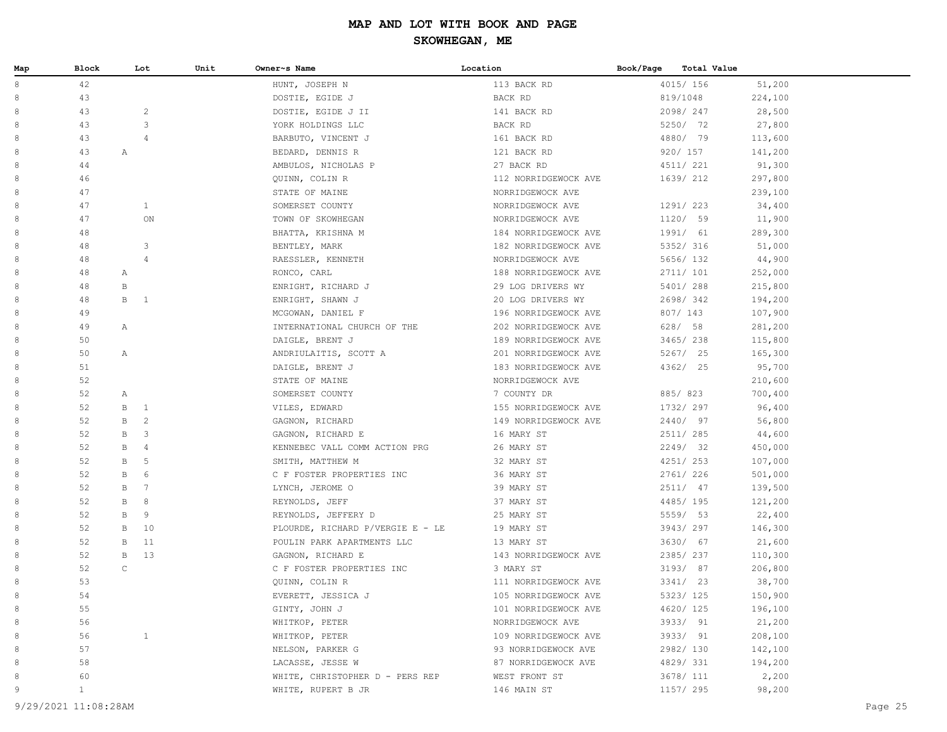| Map | Block        |              | Lot            | Unit | Owner~s Name                     | Location             | Book/Page | Total Value |         |
|-----|--------------|--------------|----------------|------|----------------------------------|----------------------|-----------|-------------|---------|
| 8   | 42           |              |                |      | HUNT, JOSEPH N                   | 113 BACK RD          |           | 4015/ 156   | 51,200  |
| 8   | 43           |              |                |      | DOSTIE, EGIDE J                  | BACK RD              |           | 819/1048    | 224,100 |
| 8   | 43           |              | $\overline{c}$ |      | DOSTIE, EGIDE J II               | 141 BACK RD          |           | 2098/247    | 28,500  |
| 8   | 43           |              | 3              |      | YORK HOLDINGS LLC                | BACK RD              |           | 5250/ 72    | 27,800  |
| 8   | 43           |              | 4              |      | BARBUTO, VINCENT J               | 161 BACK RD          |           | 4880/ 79    | 113,600 |
| 8   | 43           | Α            |                |      | BEDARD, DENNIS R                 | 121 BACK RD          |           | 920/ 157    | 141,200 |
| 8   | 44           |              |                |      | AMBULOS, NICHOLAS P              | 27 BACK RD           |           | 4511/ 221   | 91,300  |
| 8   | 46           |              |                |      | QUINN, COLIN R                   | 112 NORRIDGEWOCK AVE |           | 1639/ 212   | 297,800 |
| 8   | 47           |              |                |      | STATE OF MAINE                   | NORRIDGEWOCK AVE     |           |             | 239,100 |
| 8   | 47           |              | $\mathbf{1}$   |      | SOMERSET COUNTY                  | NORRIDGEWOCK AVE     |           | 1291/ 223   | 34,400  |
| 8   | 47           |              | ON             |      | TOWN OF SKOWHEGAN                | NORRIDGEWOCK AVE     |           | 1120/ 59    | 11,900  |
| 8   | 48           |              |                |      | BHATTA, KRISHNA M                | 184 NORRIDGEWOCK AVE |           | 1991/ 61    | 289,300 |
| 8   | 48           |              | 3              |      | BENTLEY, MARK                    | 182 NORRIDGEWOCK AVE |           | 5352/ 316   | 51,000  |
| 8   | 48           |              | $\overline{4}$ |      | RAESSLER, KENNETH                | NORRIDGEWOCK AVE     |           | 5656/ 132   | 44,900  |
| 8   | 48           | А            |                |      | RONCO, CARL                      | 188 NORRIDGEWOCK AVE |           | 2711/ 101   | 252,000 |
| 8   | 48           | B            |                |      | ENRIGHT, RICHARD J               | 29 LOG DRIVERS WY    |           | 5401/ 288   | 215,800 |
| 8   | 48           | $\mathbf{B}$ | $\overline{1}$ |      | ENRIGHT, SHAWN J                 | 20 LOG DRIVERS WY    |           | 2698/342    | 194,200 |
| 8   | 49           |              |                |      | MCGOWAN, DANIEL F                | 196 NORRIDGEWOCK AVE |           | 807/ 143    | 107,900 |
| 8   | 49           | Α            |                |      | INTERNATIONAL CHURCH OF THE      | 202 NORRIDGEWOCK AVE |           | 628/58      | 281,200 |
| 8   | 50           |              |                |      | DAIGLE, BRENT J                  | 189 NORRIDGEWOCK AVE |           | 3465/238    | 115,800 |
| 8   | 50           | Α            |                |      | ANDRIULAITIS, SCOTT A            | 201 NORRIDGEWOCK AVE |           | 5267/ 25    | 165,300 |
| 8   | 51           |              |                |      | DAIGLE, BRENT J                  | 183 NORRIDGEWOCK AVE |           | 4362/ 25    | 95,700  |
| 8   | 52           |              |                |      | STATE OF MAINE                   | NORRIDGEWOCK AVE     |           |             | 210,600 |
| 8   | 52           | Α            |                |      | SOMERSET COUNTY                  | 7 COUNTY DR          |           | 885/823     | 700,400 |
| 8   | 52           | B            | $\mathbf{1}$   |      | VILES, EDWARD                    | 155 NORRIDGEWOCK AVE |           | 1732/ 297   | 96,400  |
| 8   | 52           | B            | $\overline{c}$ |      | GAGNON, RICHARD                  | 149 NORRIDGEWOCK AVE |           | 2440/ 97    | 56,800  |
| 8   | 52           | B            | 3              |      | GAGNON, RICHARD E                | 16 MARY ST           |           | 2511/ 285   | 44,600  |
| 8   | 52           | B            | $\overline{4}$ |      | KENNEBEC VALL COMM ACTION PRG    | 26 MARY ST           |           | 2249/32     | 450,000 |
| 8   | 52           | B            | 5              |      | SMITH, MATTHEW M                 | 32 MARY ST           |           | 4251/ 253   | 107,000 |
| 8   | 52           | B            | 6              |      | C F FOSTER PROPERTIES INC        | 36 MARY ST           |           | 2761/ 226   | 501,000 |
| 8   | 52           | B            | 7              |      | LYNCH, JEROME O                  | 39 MARY ST           |           | 2511/ 47    | 139,500 |
| 8   | 52           | В            | 8              |      | REYNOLDS, JEFF                   | 37 MARY ST           |           | 4485/195    | 121,200 |
| 8   | 52           | $\,$ B       | 9              |      | REYNOLDS, JEFFERY D              | 25 MARY ST           |           | 5559/ 53    | 22,400  |
| 8   | 52           | B            | 10             |      | PLOURDE, RICHARD P/VERGIE E - LE | 19 MARY ST           |           | 3943/297    | 146,300 |
| 8   | 52           | B            | 11             |      | POULIN PARK APARTMENTS LLC       | 13 MARY ST           |           | 3630/ 67    | 21,600  |
| 8   | 52           | B            | 13             |      | GAGNON, RICHARD E                | 143 NORRIDGEWOCK AVE |           | 2385/ 237   | 110,300 |
| 8   | 52           | $\mathsf{C}$ |                |      | C F FOSTER PROPERTIES INC        | 3 MARY ST            |           | 3193/ 87    | 206,800 |
| 8   | 53           |              |                |      | QUINN, COLIN R                   | 111 NORRIDGEWOCK AVE |           | 3341/ 23    | 38,700  |
| 8   | 54           |              |                |      | EVERETT, JESSICA J               | 105 NORRIDGEWOCK AVE |           | 5323/ 125   | 150,900 |
| 8   | 55           |              |                |      | GINTY, JOHN J                    | 101 NORRIDGEWOCK AVE |           | 4620/ 125   | 196,100 |
| 8   | 56           |              |                |      | WHITKOP, PETER                   | NORRIDGEWOCK AVE     |           | 3933/ 91    | 21,200  |
| 8   | 56           |              | $\mathbf{1}$   |      | WHITKOP, PETER                   | 109 NORRIDGEWOCK AVE |           | 3933/ 91    | 208,100 |
| 8   | 57           |              |                |      | NELSON, PARKER G                 | 93 NORRIDGEWOCK AVE  |           | 2982/ 130   | 142,100 |
| 8   | 58           |              |                |      | LACASSE, JESSE W                 | 87 NORRIDGEWOCK AVE  |           | 4829/331    | 194,200 |
| 8   | 60           |              |                |      | WHITE, CHRISTOPHER D - PERS REP  | WEST FRONT ST        |           | 3678/ 111   | 2,200   |
| 9   | $\mathbf{1}$ |              |                |      | WHITE, RUPERT B JR               | 146 MAIN ST          |           | 1157/ 295   | 98,200  |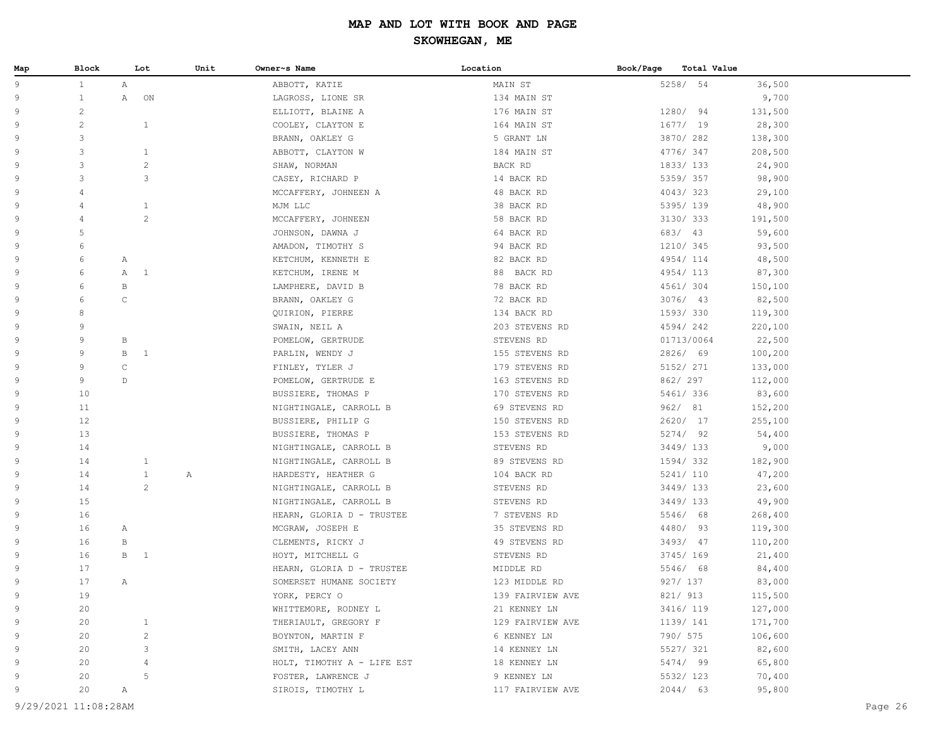| Map | Block                |              | Lot                  | Unit | Owner~s Name               | Location         | Book/Page | Total Value |         |
|-----|----------------------|--------------|----------------------|------|----------------------------|------------------|-----------|-------------|---------|
| 9   | $\mathbf{1}$         | Α            |                      |      | ABBOTT, KATIE              | MAIN ST          |           | 5258/ 54    | 36,500  |
| 9   | $\mathbf{1}$         | Α            | ON                   |      | LAGROSS, LIONE SR          | 134 MAIN ST      |           |             | 9,700   |
| 9   | $\overline{c}$       |              |                      |      | ELLIOTT, BLAINE A          | 176 MAIN ST      |           | 1280/ 94    | 131,500 |
| 9   | $\overline{c}$       |              | $\mathbf{1}$         |      | COOLEY, CLAYTON E          | 164 MAIN ST      |           | 1677/19     | 28,300  |
| 9   | 3                    |              |                      |      | BRANN, OAKLEY G            | 5 GRANT LN       |           | 3870/282    | 138,300 |
| 9   | 3                    |              | $\mathbf{1}$         |      | ABBOTT, CLAYTON W          | 184 MAIN ST      |           | 4776/347    | 208,500 |
| 9   | 3                    |              | $\mathbf{2}$         |      | SHAW, NORMAN               | BACK RD          |           | 1833/133    | 24,900  |
| 9   | 3                    |              | 3                    |      | CASEY, RICHARD P           | 14 BACK RD       |           | 5359/357    | 98,900  |
| 9   | $\overline{4}$       |              |                      |      | MCCAFFERY, JOHNEEN A       | 48 BACK RD       |           | 4043/323    | 29,100  |
| 9   | 4                    |              | $\mathbf{1}$         |      | MJM LLC                    | 38 BACK RD       |           | 5395/ 139   | 48,900  |
| 9   | $\overline{4}$       |              | $\overline{c}$       |      | MCCAFFERY, JOHNEEN         | 58 BACK RD       |           | 3130/ 333   | 191,500 |
| 9   | 5                    |              |                      |      | JOHNSON, DAWNA J           | 64 BACK RD       |           | 683/ 43     | 59,600  |
| 9   | 6                    |              |                      |      | AMADON, TIMOTHY S          | 94 BACK RD       |           | 1210/ 345   | 93,500  |
| 9   | 6                    | Α            |                      |      | KETCHUM, KENNETH E         | 82 BACK RD       |           | 4954/114    | 48,500  |
| 9   | 6                    | Α            | $\overline{1}$       |      | KETCHUM, IRENE M           | 88 BACK RD       |           | 4954/113    | 87,300  |
| 9   | 6                    | $\, {\bf B}$ |                      |      | LAMPHERE, DAVID B          | 78 BACK RD       |           | 4561/ 304   | 150,100 |
| 9   | 6                    | $\mathsf C$  |                      |      | BRANN, OAKLEY G            | 72 BACK RD       |           | $3076/$ 43  | 82,500  |
| 9   | 8                    |              |                      |      | QUIRION, PIERRE            | 134 BACK RD      |           | 1593/330    | 119,300 |
| 9   | 9                    |              |                      |      | SWAIN, NEIL A              | 203 STEVENS RD   |           | 4594/242    | 220,100 |
| 9   | 9                    | $\, {\bf B}$ |                      |      | POMELOW, GERTRUDE          | STEVENS RD       |           | 01713/0064  | 22,500  |
| 9   | 9                    | $\, {\bf B}$ | $\mathbf{1}$         |      | PARLIN, WENDY J            | 155 STEVENS RD   |           | 2826/ 69    | 100,200 |
| 9   | 9                    | $\mathsf{C}$ |                      |      | FINLEY, TYLER J            | 179 STEVENS RD   |           | 5152/ 271   | 133,000 |
| 9   | 9                    | D            |                      |      | POMELOW, GERTRUDE E        | 163 STEVENS RD   |           | 862/ 297    | 112,000 |
| 9   | 10                   |              |                      |      | BUSSIERE, THOMAS P         | 170 STEVENS RD   |           | 5461/ 336   | 83,600  |
| 9   | 11                   |              |                      |      | NIGHTINGALE, CARROLL B     | 69 STEVENS RD    |           | 962/ 81     | 152,200 |
| 9   | 12                   |              |                      |      | BUSSIERE, PHILIP G         | 150 STEVENS RD   |           | 2620/ 17    | 255,100 |
| 9   | 13                   |              |                      |      | BUSSIERE, THOMAS P         | 153 STEVENS RD   |           | 5274/92     | 54,400  |
| 9   | 14                   |              |                      |      | NIGHTINGALE, CARROLL B     | STEVENS RD       |           | 3449/133    | 9,000   |
| 9   | 14                   |              | $\mathbf{1}$         |      | NIGHTINGALE, CARROLL B     | 89 STEVENS RD    |           | 1594/332    | 182,900 |
| 9   | 14                   |              | $\mathbf{1}$         | Α    | HARDESTY, HEATHER G        | 104 BACK RD      |           | 5241/ 110   | 47,200  |
| 9   | 14                   |              | $\mathbf{2}^{\circ}$ |      | NIGHTINGALE, CARROLL B     | STEVENS RD       |           | 3449/133    | 23,600  |
| 9   | 15                   |              |                      |      | NIGHTINGALE, CARROLL B     | STEVENS RD       |           | 3449/ 133   | 49,900  |
| 9   | 16                   |              |                      |      | HEARN, GLORIA D - TRUSTEE  | 7 STEVENS RD     |           | 5546/ 68    | 268,400 |
| 9   | 16                   | Α            |                      |      | MCGRAW, JOSEPH E           | 35 STEVENS RD    |           | 4480/ 93    | 119,300 |
| 9   | 16                   | $\, {\bf B}$ |                      |      | CLEMENTS, RICKY J          | 49 STEVENS RD    |           | 3493/47     | 110,200 |
| 9   | 16                   | $\, {\bf B}$ | $\mathbf{1}$         |      | HOYT, MITCHELL G           | STEVENS RD       |           | 3745/ 169   | 21,400  |
| 9   | 17                   |              |                      |      | HEARN, GLORIA D - TRUSTEE  | MIDDLE RD        |           | 5546/ 68    | 84,400  |
| 9   | 17                   | Α            |                      |      | SOMERSET HUMANE SOCIETY    | 123 MIDDLE RD    |           | 927/ 137    | 83,000  |
| 9   | 19                   |              |                      |      | YORK, PERCY O              | 139 FAIRVIEW AVE |           | 821/ 913    | 115,500 |
| 9   | 20                   |              |                      |      | WHITTEMORE, RODNEY L       | 21 KENNEY LN     |           | 3416/ 119   | 127,000 |
| 9   | 20                   |              | $\mathbf{1}$         |      | THERIAULT, GREGORY F       | 129 FAIRVIEW AVE |           | 1139/ 141   | 171,700 |
| 9   | 20                   |              | $\mathbf{2}$         |      | BOYNTON, MARTIN F          | 6 KENNEY LN      |           | 790/ 575    | 106,600 |
| 9   | 20                   |              | 3                    |      | SMITH, LACEY ANN           | 14 KENNEY LN     |           | 5527/ 321   | 82,600  |
| 9   | 20                   |              | 4                    |      | HOLT, TIMOTHY A - LIFE EST | 18 KENNEY LN     |           | 5474/ 99    | 65,800  |
| 9   | 20                   |              | 5                    |      | FOSTER, LAWRENCE J         | 9 KENNEY LN      |           | 5532/ 123   | 70,400  |
| 9   | 20                   | Α            |                      |      | SIROIS, TIMOTHY L          | 117 FAIRVIEW AVE |           | 2044/63     | 95,800  |
|     |                      |              |                      |      |                            |                  |           |             |         |
|     | 9/29/2021 11:08:28AM |              |                      |      |                            |                  |           |             | Page 26 |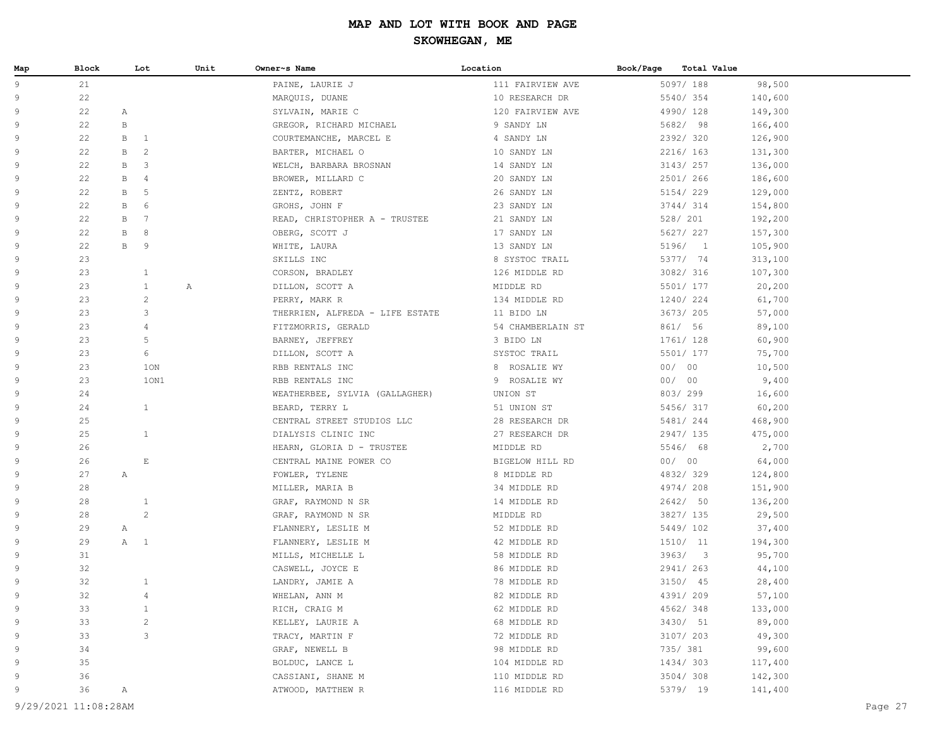| Map            | Block | Lot                  |      | Unit | Owner~s Name                    | Location          | Book/Page | <b>Total Value</b> |         |
|----------------|-------|----------------------|------|------|---------------------------------|-------------------|-----------|--------------------|---------|
| 9              | 21    |                      |      |      | PAINE, LAURIE J                 | 111 FAIRVIEW AVE  |           | 5097/ 188          | 98,500  |
| 9              | 22    |                      |      |      | MARQUIS, DUANE                  | 10 RESEARCH DR    |           | 5540/354           | 140,600 |
| 9              | 22    | Α                    |      |      | SYLVAIN, MARIE C                | 120 FAIRVIEW AVE  |           | 4990/128           | 149,300 |
| 9              | 22    | $\mathbf{B}$         |      |      | GREGOR, RICHARD MICHAEL         | 9 SANDY LN        |           | 5682/ 98           | 166,400 |
| 9              | 22    | B<br>$\mathbf{1}$    |      |      | COURTEMANCHE, MARCEL E          | 4 SANDY LN        |           | 2392/320           | 126,900 |
| 9              | 22    | 2<br>B               |      |      | BARTER, MICHAEL O               | 10 SANDY LN       |           | 2216/ 163          | 131,300 |
| 9              | 22    | $\mathsf 3$<br>B     |      |      | WELCH, BARBARA BROSNAN          | 14 SANDY LN       |           | 3143/ 257          | 136,000 |
| 9              | 22    | $\overline{4}$<br>B  |      |      | BROWER, MILLARD C               | 20 SANDY LN       |           | 2501/ 266          | 186,600 |
| $\overline{9}$ | 22    | 5<br>В               |      |      | ZENTZ, ROBERT                   | 26 SANDY LN       |           | 5154/229           | 129,000 |
| $\overline{9}$ | 22    | 6<br>B               |      |      | GROHS, JOHN F                   | 23 SANDY LN       |           | 3744/ 314          | 154,800 |
| 9              | 22    | $7\phantom{.0}$<br>B |      |      | READ, CHRISTOPHER A - TRUSTEE   | 21 SANDY LN       |           | 528/ 201           | 192,200 |
| 9              | 22    | 8<br>B               |      |      | OBERG, SCOTT J                  | 17 SANDY LN       |           | 5627/ 227          | 157,300 |
| 9              | 22    | $\mathbf{B}$<br>9    |      |      | WHITE, LAURA                    | 13 SANDY LN       |           | 5196/ 1            | 105,900 |
| 9              | 23    |                      |      |      | SKILLS INC                      | 8 SYSTOC TRAIL    |           | 5377/ 74           | 313,100 |
| 9              | 23    | $\mathbf{1}$         |      |      | CORSON, BRADLEY                 | 126 MIDDLE RD     |           | 3082/ 316          | 107,300 |
| 9              | 23    | $\mathbf{1}$         |      | Α    | DILLON, SCOTT A                 | MIDDLE RD         |           | 5501/ 177          | 20,200  |
| 9              | 23    | $\overline{c}$       |      |      | PERRY, MARK R                   | 134 MIDDLE RD     |           | 1240/224           | 61,700  |
| 9              | 23    | 3                    |      |      | THERRIEN, ALFREDA - LIFE ESTATE | 11 BIDO LN        |           | 3673/205           | 57,000  |
| 9              | 23    | $\overline{4}$       |      |      | FITZMORRIS, GERALD              | 54 CHAMBERLAIN ST |           | 861/ 56            | 89,100  |
| 9              | 23    | 5                    |      |      | BARNEY, JEFFREY                 | 3 BIDO LN         |           | 1761/ 128          | 60,900  |
| 9              | 23    | 6                    |      |      | DILLON, SCOTT A                 | SYSTOC TRAIL      |           | 5501/ 177          | 75,700  |
| 9              | 23    | 10N                  |      |      | RBB RENTALS INC                 | 8 ROSALIE WY      |           | 00/00              | 10,500  |
| 9              | 23    |                      | 10N1 |      | RBB RENTALS INC                 | 9 ROSALIE WY      |           | 00/00              | 9,400   |
| 9              | 24    |                      |      |      | WEATHERBEE, SYLVIA (GALLAGHER)  | UNION ST          |           | 803/299            | 16,600  |
| $\overline{9}$ | 24    | $\mathbf{1}$         |      |      | BEARD, TERRY L                  | 51 UNION ST       |           | 5456/317           | 60,200  |
| 9              | 25    |                      |      |      | CENTRAL STREET STUDIOS LLC      | 28 RESEARCH DR    |           | 5481/ 244          | 468,900 |
| 9              | 25    | $\mathbf{1}$         |      |      | DIALYSIS CLINIC INC             | 27 RESEARCH DR    |           | 2947/ 135          | 475,000 |
| 9              | 26    |                      |      |      | HEARN, GLORIA D - TRUSTEE       | MIDDLE RD         |           | 5546/ 68           | 2,700   |
| 9              | 26    | $\mathbf E$          |      |      | CENTRAL MAINE POWER CO          | BIGELOW HILL RD   |           | 00/00              | 64,000  |
| 9              | 27    | Α                    |      |      | FOWLER, TYLENE                  | 8 MIDDLE RD       |           | 4832/329           | 124,800 |
| 9              | 28    |                      |      |      | MILLER, MARIA B                 | 34 MIDDLE RD      |           | 4974/208           | 151,900 |
| 9              | 28    | $\mathbf{1}$         |      |      | GRAF, RAYMOND N SR              | 14 MIDDLE RD      |           | 2642/ 50           | 136,200 |
| 9              | 28    | 2                    |      |      | GRAF, RAYMOND N SR              | MIDDLE RD         |           | 3827/ 135          | 29,500  |
| 9              | 29    | Α                    |      |      | FLANNERY, LESLIE M              | 52 MIDDLE RD      |           | 5449/102           | 37,400  |
| 9              | 29    | $\mathbf{1}$<br>A    |      |      | FLANNERY, LESLIE M              | 42 MIDDLE RD      |           | 1510/ 11           | 194,300 |
| 9              | 31    |                      |      |      | MILLS, MICHELLE L               | 58 MIDDLE RD      |           | 3963/3             | 95,700  |
| 9              | 32    |                      |      |      | CASWELL, JOYCE E                | 86 MIDDLE RD      |           | 2941/ 263          | 44,100  |
| 9              | 32    | $\mathbf{1}$         |      |      | LANDRY, JAMIE A                 | 78 MIDDLE RD      |           | $3150/$ 45         | 28,400  |
| 9              | 32    | $\overline{4}$       |      |      | WHELAN, ANN M                   | 82 MIDDLE RD      |           | 4391/209           | 57,100  |
| 9              | 33    | $\mathbf{1}$         |      |      | RICH, CRAIG M                   | 62 MIDDLE RD      |           | 4562/348           | 133,000 |
| 9              | 33    | $\sqrt{2}$           |      |      | KELLEY, LAURIE A                | 68 MIDDLE RD      |           | 3430/ 51           | 89,000  |
| 9              | 33    | 3                    |      |      | TRACY, MARTIN F                 | 72 MIDDLE RD      |           | 3107/ 203          | 49,300  |
| 9              | 34    |                      |      |      | GRAF, NEWELL B                  | 98 MIDDLE RD      |           | 735/ 381           | 99,600  |
| 9              | 35    |                      |      |      | BOLDUC, LANCE L                 | 104 MIDDLE RD     |           | 1434/303           | 117,400 |
| 9              | 36    |                      |      |      | CASSIANI, SHANE M               | 110 MIDDLE RD     |           | 3504/308           | 142,300 |
| 9              | 36    | Α                    |      |      | ATWOOD, MATTHEW R               | 116 MIDDLE RD     |           | 5379/ 19           | 141,400 |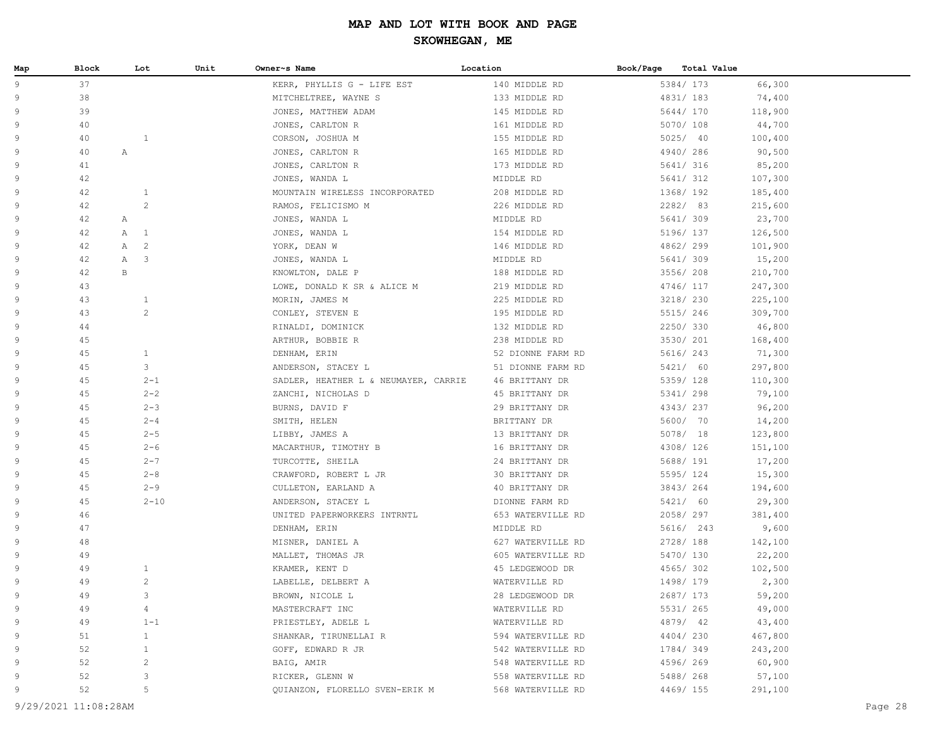| Map | Block | Lot                          | Unit | Owner~s Name                         | Location          | Book/Page<br><b>Total Value</b> |         |
|-----|-------|------------------------------|------|--------------------------------------|-------------------|---------------------------------|---------|
| 9   | 37    |                              |      | KERR, PHYLLIS G - LIFE EST           | 140 MIDDLE RD     | 5384/ 173                       | 66,300  |
| 9   | 38    |                              |      | MITCHELTREE, WAYNE S                 | 133 MIDDLE RD     | 4831/ 183                       | 74,400  |
| 9   | 39    |                              |      | JONES, MATTHEW ADAM                  | 145 MIDDLE RD     | 5644/ 170                       | 118,900 |
| 9   | 40    |                              |      | JONES, CARLTON R                     | 161 MIDDLE RD     | 5070/ 108                       | 44,700  |
| 9   | 40    | $\mathbf{1}$                 |      | CORSON, JOSHUA M                     | 155 MIDDLE RD     | 5025/40                         | 100,400 |
| 9   | 40    | Α                            |      | JONES, CARLTON R                     | 165 MIDDLE RD     | 4940/286                        | 90,500  |
| 9   | 41    |                              |      | JONES, CARLTON R                     | 173 MIDDLE RD     | 5641/ 316                       | 85,200  |
| 9   | 42    |                              |      | JONES, WANDA L                       | MIDDLE RD         | 5641/ 312                       | 107,300 |
| 9   | 42    | $\mathbf{1}$                 |      | MOUNTAIN WIRELESS INCORPORATED       | 208 MIDDLE RD     | 1368/192                        | 185,400 |
| 9   | 42    | $\overline{c}$               |      | RAMOS, FELICISMO M                   | 226 MIDDLE RD     | 2282/ 83                        | 215,600 |
| 9   | 42    | Α                            |      | JONES, WANDA L                       | MIDDLE RD         | 5641/ 309                       | 23,700  |
| 9   | 42    | $\mathbb{A}$<br>$\mathbf{1}$ |      | JONES, WANDA L                       | 154 MIDDLE RD     | 5196/ 137                       | 126,500 |
| 9   | 42    | 2<br>Α                       |      | YORK, DEAN W                         | 146 MIDDLE RD     | 4862/299                        | 101,900 |
| 9   | 42    | $\mathbb{A}$<br>3            |      | JONES, WANDA L                       | MIDDLE RD         | 5641/309                        | 15,200  |
| 9   | 42    | $\,$ B                       |      | KNOWLTON, DALE P                     | 188 MIDDLE RD     | 3556/208                        | 210,700 |
| 9   | 43    |                              |      | LOWE, DONALD K SR & ALICE M          | 219 MIDDLE RD     | 4746/ 117                       | 247,300 |
| 9   | 43    | $\mathbf{1}$                 |      | MORIN, JAMES M                       | 225 MIDDLE RD     | 3218/ 230                       | 225,100 |
| 9   | 43    | 2                            |      | CONLEY, STEVEN E                     | 195 MIDDLE RD     | 5515/246                        | 309,700 |
| 9   | 44    |                              |      | RINALDI, DOMINICK                    | 132 MIDDLE RD     | 2250/330                        | 46,800  |
| 9   | 45    |                              |      | ARTHUR, BOBBIE R                     | 238 MIDDLE RD     | 3530/ 201                       | 168,400 |
| 9   | 45    | $\mathbf{1}$                 |      | DENHAM, ERIN                         | 52 DIONNE FARM RD | 5616/ 243                       | 71,300  |
| 9   | 45    | 3                            |      | ANDERSON, STACEY L                   | 51 DIONNE FARM RD | 5421/ 60                        | 297,800 |
| 9   | 45    | $2 - 1$                      |      | SADLER, HEATHER L & NEUMAYER, CARRIE | 46 BRITTANY DR    | 5359/128                        | 110,300 |
| 9   | 45    | $2 - 2$                      |      | ZANCHI, NICHOLAS D                   | 45 BRITTANY DR    | 5341/ 298                       | 79,100  |
| 9   | 45    | $2 - 3$                      |      | BURNS, DAVID F                       | 29 BRITTANY DR    | 4343/237                        | 96,200  |
| 9   | 45    | $2 - 4$                      |      | SMITH, HELEN                         | BRITTANY DR       | 5600/ 70                        | 14,200  |
| 9   | 45    | $2 - 5$                      |      | LIBBY, JAMES A                       | 13 BRITTANY DR    | 5078/ 18                        | 123,800 |
| 9   | 45    | $2 - 6$                      |      | MACARTHUR, TIMOTHY B                 | 16 BRITTANY DR    | 4308/ 126                       | 151,100 |
| 9   | 45    | $2 - 7$                      |      | TURCOTTE, SHEILA                     | 24 BRITTANY DR    | 5688/ 191                       | 17,200  |
| 9   | 45    | $2 - 8$                      |      | CRAWFORD, ROBERT L JR                | 30 BRITTANY DR    | 5595/124                        | 15,300  |
| 9   | 45    | $2 - 9$                      |      | CULLETON, EARLAND A                  | 40 BRITTANY DR    | 3843/264                        | 194,600 |
| 9   | 45    | $2 - 10$                     |      | ANDERSON, STACEY L                   | DIONNE FARM RD    | 5421/ 60                        | 29,300  |
| 9   | 46    |                              |      | UNITED PAPERWORKERS INTRNTL          | 653 WATERVILLE RD | 2058/297                        | 381,400 |
| 9   | 47    |                              |      | DENHAM, ERIN                         | MIDDLE RD         | 5616/ 243                       | 9,600   |
| 9   | 48    |                              |      | MISNER, DANIEL A                     | 627 WATERVILLE RD | 2728/ 188                       | 142,100 |
| 9   | 49    |                              |      | MALLET, THOMAS JR                    | 605 WATERVILLE RD | 5470/ 130                       | 22,200  |
| 9   | 49    | $\mathbf{1}$                 |      | KRAMER, KENT D                       | 45 LEDGEWOOD DR   | 4565/302                        | 102,500 |
| 9   | 49    | $\overline{c}$               |      | LABELLE, DELBERT A                   | WATERVILLE RD     | 1498/179                        | 2,300   |
| 9   | 49    | 3                            |      | BROWN, NICOLE L                      | 28 LEDGEWOOD DR   | 2687/ 173                       | 59,200  |
| 9   | 49    | 4                            |      | MASTERCRAFT INC                      | WATERVILLE RD     | 5531/ 265                       | 49,000  |
| 9   | 49    | $1 - 1$                      |      | PRIESTLEY, ADELE L                   | WATERVILLE RD     | 4879/ 42                        | 43,400  |
| 9   | 51    | $\mathbf{1}$                 |      | SHANKAR, TIRUNELLAI R                | 594 WATERVILLE RD | 4404/230                        | 467,800 |
| 9   | 52    | $\mathbf{1}$                 |      | GOFF, EDWARD R JR                    | 542 WATERVILLE RD | 1784/349                        | 243,200 |
| 9   | 52    | 2                            |      | BAIG, AMIR                           | 548 WATERVILLE RD | 4596/269                        | 60,900  |
| 9   | 52    | 3                            |      | RICKER, GLENN W                      | 558 WATERVILLE RD | 5488/268                        | 57,100  |
| 9   | 52    | 5                            |      | QUIANZON, FLORELLO SVEN-ERIK M       | 568 WATERVILLE RD | 4469/ 155                       | 291,100 |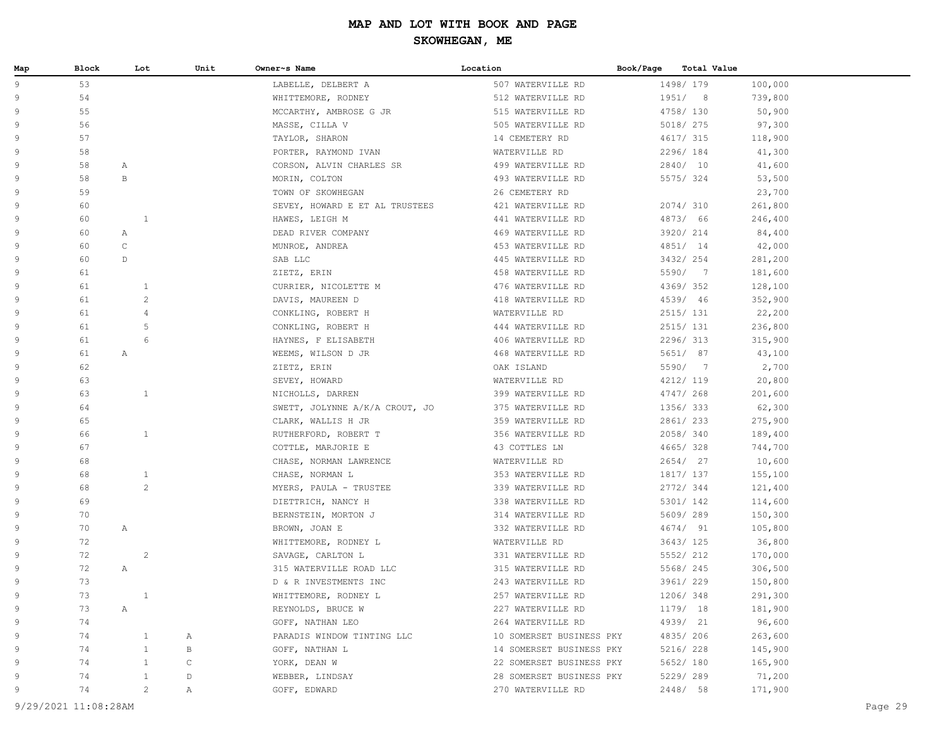| Map | Block |              | Lot                   | Unit         | Owner~s Name                   | Location                 | Book/Page | <b>Total Value</b> |         |
|-----|-------|--------------|-----------------------|--------------|--------------------------------|--------------------------|-----------|--------------------|---------|
| 9   | 53    |              |                       |              | LABELLE, DELBERT A             | 507 WATERVILLE RD        |           | 1498/ 179          | 100,000 |
| 9   | 54    |              |                       |              | WHITTEMORE, RODNEY             | 512 WATERVILLE RD        |           | 1951/8             | 739,800 |
| 9   | 55    |              |                       |              | MCCARTHY, AMBROSE G JR         | 515 WATERVILLE RD        |           | 4758/ 130          | 50,900  |
| 9   | 56    |              |                       |              | MASSE, CILLA V                 | 505 WATERVILLE RD        |           | 5018/ 275          | 97,300  |
| 9   | 57    |              |                       |              | TAYLOR, SHARON                 | 14 CEMETERY RD           |           | 4617/ 315          | 118,900 |
| 9   | 58    |              |                       |              | PORTER, RAYMOND IVAN           | WATERVILLE RD            |           | 2296/184           | 41,300  |
| 9   | 58    | Α            |                       |              | CORSON, ALVIN CHARLES SR       | 499 WATERVILLE RD        |           | 2840/ 10           | 41,600  |
| 9   | 58    | $\,$ B       |                       |              | MORIN, COLTON                  | 493 WATERVILLE RD        |           | 5575/324           | 53,500  |
| 9   | 59    |              |                       |              | TOWN OF SKOWHEGAN              | 26 CEMETERY RD           |           |                    | 23,700  |
| 9   | 60    |              |                       |              | SEVEY, HOWARD E ET AL TRUSTEES | 421 WATERVILLE RD        |           | 2074/ 310          | 261,800 |
| 9   | 60    |              | $\mathbf{1}$          |              | HAWES, LEIGH M                 | 441 WATERVILLE RD        |           | 4873/ 66           | 246,400 |
| 9   | 60    | Α            |                       |              | DEAD RIVER COMPANY             | 469 WATERVILLE RD        |           | 3920/ 214          | 84,400  |
| 9   | 60    | $\mathtt{C}$ |                       |              | MUNROE, ANDREA                 | 453 WATERVILLE RD        |           | 4851/ 14           | 42,000  |
| 9   | 60    | D            |                       |              | SAB LLC                        | 445 WATERVILLE RD        |           | 3432/ 254          | 281,200 |
| 9   | 61    |              |                       |              | ZIETZ, ERIN                    | 458 WATERVILLE RD        |           | 5590/ 7            | 181,600 |
| 9   | 61    |              | $\mathbf{1}$          |              | CURRIER, NICOLETTE M           | 476 WATERVILLE RD        |           | 4369/352           | 128,100 |
| 9   | 61    |              | $\overline{c}$        |              | DAVIS, MAUREEN D               | 418 WATERVILLE RD        |           | 4539/ 46           | 352,900 |
| 9   | 61    |              | $\overline{4}$        |              | CONKLING, ROBERT H             | WATERVILLE RD            |           | 2515/ 131          | 22,200  |
| 9   | 61    |              | 5                     |              | CONKLING, ROBERT H             | 444 WATERVILLE RD        |           | 2515/ 131          | 236,800 |
| 9   | 61    |              | 6                     |              | HAYNES, F ELISABETH            | 406 WATERVILLE RD        |           | 2296/313           | 315,900 |
| 9   | 61    | Α            |                       |              | WEEMS, WILSON D JR             | 468 WATERVILLE RD        |           | 5651/ 87           | 43,100  |
| 9   | 62    |              |                       |              | ZIETZ, ERIN                    | OAK ISLAND               |           | 5590/ 7            | 2,700   |
| 9   | 63    |              |                       |              | SEVEY, HOWARD                  | WATERVILLE RD            |           | 4212/ 119          | 20,800  |
| 9   | 63    |              | $\mathbf{1}$          |              | NICHOLLS, DARREN               | 399 WATERVILLE RD        |           | 4747/ 268          | 201,600 |
| 9   | 64    |              |                       |              | SWETT, JOLYNNE A/K/A CROUT, JO | 375 WATERVILLE RD        |           | 1356/333           | 62,300  |
| 9   | 65    |              |                       |              | CLARK, WALLIS H JR             | 359 WATERVILLE RD        |           | 2861/233           | 275,900 |
| 9   | 66    |              | $\mathbf{1}$          |              | RUTHERFORD, ROBERT T           | 356 WATERVILLE RD        |           | 2058/340           | 189,400 |
| 9   | 67    |              |                       |              | COTTLE, MARJORIE E             | 43 COTTLES LN            |           | 4665/328           | 744,700 |
| 9   | 68    |              |                       |              | CHASE, NORMAN LAWRENCE         | WATERVILLE RD            |           | 2654/ 27           | 10,600  |
| 9   | 68    |              | $\mathbf{1}$          |              | CHASE, NORMAN L                | 353 WATERVILLE RD        |           | 1817/ 137          | 155,100 |
| 9   | 68    |              | $\mathbf{2}^{\prime}$ |              | MYERS, PAULA - TRUSTEE         | 339 WATERVILLE RD        |           | 2772/344           | 121,400 |
| 9   | 69    |              |                       |              | DIETTRICH, NANCY H             | 338 WATERVILLE RD        |           | 5301/ 142          | 114,600 |
| 9   | 70    |              |                       |              | BERNSTEIN, MORTON J            | 314 WATERVILLE RD        |           | 5609/289           | 150,300 |
| 9   | 70    | $\mathbb{A}$ |                       |              | BROWN, JOAN E                  | 332 WATERVILLE RD        |           | 4674/ 91           | 105,800 |
| 9   | 72    |              |                       |              | WHITTEMORE, RODNEY L           | WATERVILLE RD            |           | 3643/ 125          | 36,800  |
| 9   | 72    |              | $\overline{c}$        |              | SAVAGE, CARLTON L              | 331 WATERVILLE RD        |           | 5552/ 212          | 170,000 |
| 9   | 72    | Α            |                       |              | 315 WATERVILLE ROAD LLC        | 315 WATERVILLE RD        |           | 5568/ 245          | 306,500 |
| 9   | 73    |              |                       |              | D & R INVESTMENTS INC          | 243 WATERVILLE RD        |           | 3961/ 229          | 150,800 |
| 9   | 73    |              | $\mathbf{1}$          |              | WHITTEMORE, RODNEY L           | 257 WATERVILLE RD        |           | 1206/348           | 291,300 |
| 9   | 73    | Α            |                       |              | REYNOLDS, BRUCE W              | 227 WATERVILLE RD        |           | 1179/ 18           | 181,900 |
| 9   | 74    |              |                       |              | GOFF, NATHAN LEO               | 264 WATERVILLE RD        |           | 4939/ 21           | 96,600  |
| 9   | 74    |              | $\mathbf{1}$          | Α            | PARADIS WINDOW TINTING LLC     | 10 SOMERSET BUSINESS PKY |           | 4835/ 206          | 263,600 |
| 9   | 74    |              | $\mathbf{1}$          | $\, {\bf B}$ | GOFF, NATHAN L                 | 14 SOMERSET BUSINESS PKY |           | 5216/ 228          | 145,900 |
| 9   | 74    |              | $\mathbf{1}$          | $\mathsf C$  | YORK, DEAN W                   | 22 SOMERSET BUSINESS PKY |           | 5652/ 180          | 165,900 |
| 9   | 74    |              | $\mathbf{1}$          | $\mathbb D$  | WEBBER, LINDSAY                | 28 SOMERSET BUSINESS PKY |           | 5229/ 289          | 71,200  |
| 9   | 74    |              | $\overline{c}$        | Α            | GOFF, EDWARD                   | 270 WATERVILLE RD        |           | 2448/ 58           | 171,900 |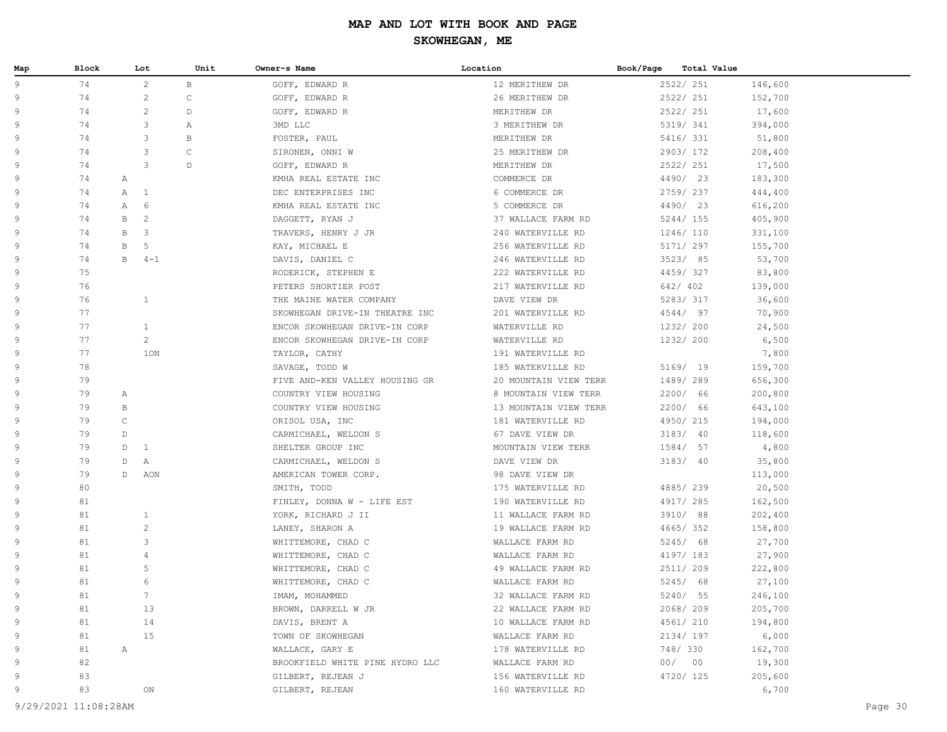| Map | Block | Lot                          | Unit        | Owner~s Name                    | Location              | Book/Page | Total Value |         |  |
|-----|-------|------------------------------|-------------|---------------------------------|-----------------------|-----------|-------------|---------|--|
| 9   | 74    | $\overline{2}$               | B           | GOFF, EDWARD R                  | 12 MERITHEW DR        |           | 2522/ 251   | 146,600 |  |
| 9   | 74    | $\sqrt{2}$                   | $\mathsf C$ | GOFF, EDWARD R                  | 26 MERITHEW DR        |           | 2522/ 251   | 152,700 |  |
| 9   | 74    | $\mathbf{2}$                 | $\mathbb D$ | GOFF, EDWARD R                  | MERITHEW DR           |           | 2522/ 251   | 17,600  |  |
| 9   | 74    | 3                            | Α           | 3MD LLC                         | 3 MERITHEW DR         |           | 5319/ 341   | 394,000 |  |
| 9   | 74    | 3                            | В           | FOSTER, PAUL                    | MERITHEW DR           |           | 5416/ 331   | 51,800  |  |
| 9   | 74    | 3                            | $\mathsf C$ | SIRONEN, ONNI W                 | 25 MERITHEW DR        |           | 2903/172    | 208,400 |  |
| 9   | 74    | 3                            | $\mathbb D$ | GOFF, EDWARD R                  | MERITHEW DR           |           | 2522/ 251   | 17,500  |  |
| 9   | 74    | Α                            |             | KMHA REAL ESTATE INC            | COMMERCE DR           |           | 4490/ 23    | 183,300 |  |
| 9   | 74    | $\mathbb{A}$<br><sup>1</sup> |             | DEC ENTERPRISES INC             | 6 COMMERCE DR         |           | 2759/237    | 444,400 |  |
| 9   | 74    | $\mathbb{A}$<br>6            |             | KMHA REAL ESTATE INC            | 5 COMMERCE DR         |           | 4490/ 23    | 616,200 |  |
| 9   | 74    | $\overline{c}$<br>B          |             | DAGGETT, RYAN J                 | 37 WALLACE FARM RD    |           | 5244/ 155   | 405,900 |  |
| 9   | 74    | B<br>3                       |             | TRAVERS, HENRY J JR             | 240 WATERVILLE RD     |           | 1246/110    | 331,100 |  |
| 9   | 74    | 5<br>B                       |             | KAY, MICHAEL E                  | 256 WATERVILLE RD     |           | 5171/ 297   | 155,700 |  |
| 9   | 74    | B<br>$4 - 1$                 |             | DAVIS, DANIEL C                 | 246 WATERVILLE RD     |           | 3523/85     | 53,700  |  |
| 9   | 75    |                              |             | RODERICK, STEPHEN E             | 222 WATERVILLE RD     |           | 4459/327    | 83,800  |  |
| 9   | 76    |                              |             | PETERS SHORTIER POST            | 217 WATERVILLE RD     |           | 642/ 402    | 139,000 |  |
| 9   | 76    | $\mathbf{1}$                 |             | THE MAINE WATER COMPANY         | DAVE VIEW DR          |           | 5283/317    | 36,600  |  |
| 9   | 77    |                              |             | SKOWHEGAN DRIVE-IN THEATRE INC  | 201 WATERVILLE RD     |           | 4544/ 97    | 70,900  |  |
| 9   | 77    | $\mathbf{1}$                 |             | ENCOR SKOWHEGAN DRIVE-IN CORP   | WATERVILLE RD         |           | 1232/ 200   | 24,500  |  |
| 9   | 77    | $\mathbf{2}$                 |             | ENCOR SKOWHEGAN DRIVE-IN CORP   | WATERVILLE RD         |           | 1232/ 200   | 6,500   |  |
| 9   | 77    | 1ON                          |             | TAYLOR, CATHY                   | 191 WATERVILLE RD     |           |             | 7,800   |  |
| 9   | 78    |                              |             | SAVAGE, TODD W                  | 185 WATERVILLE RD     |           | 5169/ 19    | 159,700 |  |
| 9   | 79    |                              |             | FIVE AND-KEN VALLEY HOUSING GR  | 20 MOUNTAIN VIEW TERR |           | 1489/289    | 656,300 |  |
| 9   | 79    | Α                            |             | COUNTRY VIEW HOUSING            | 8 MOUNTAIN VIEW TERR  |           | 2200/ 66    | 200,800 |  |
| 9   | 79    | B                            |             | COUNTRY VIEW HOUSING            | 13 MOUNTAIN VIEW TERR |           | 2200/ 66    | 643,100 |  |
| 9   | 79    | $\mathsf C$                  |             | ORISOL USA, INC                 | 181 WATERVILLE RD     |           | 4950/215    | 194,000 |  |
| 9   | 79    | D                            |             | CARMICHAEL, WELDON S            | 67 DAVE VIEW DR       |           | 3183/ 40    | 118,600 |  |
| 9   | 79    | D<br><sup>1</sup>            |             | SHELTER GROUP INC               | MOUNTAIN VIEW TERR    |           | 1584/ 57    | 4,800   |  |
| 9   | 79    | D<br>Α                       |             | CARMICHAEL, WELDON S            | DAVE VIEW DR          |           | 3183/40     | 35,800  |  |
| 9   | 79    | D<br>AON                     |             | AMERICAN TOWER CORP.            | 98 DAVE VIEW DR       |           |             | 113,000 |  |
| 9   | 80    |                              |             | SMITH, TODD                     | 175 WATERVILLE RD     |           | 4885/239    | 20,500  |  |
| 9   | 81    |                              |             | FINLEY, DONNA W - LIFE EST      | 190 WATERVILLE RD     |           | 4917/ 285   | 162,500 |  |
| 9   | 81    | $\mathbf{1}$                 |             | YORK, RICHARD J II              | 11 WALLACE FARM RD    |           | 3910/ 88    | 202,400 |  |
| 9   | 81    | $\sqrt{2}$                   |             | LANEY, SHARON A                 | 19 WALLACE FARM RD    |           | 4665/352    | 158,800 |  |
| 9   | 81    | 3                            |             | WHITTEMORE, CHAD C              | WALLACE FARM RD       |           | 5245/ 68    | 27,700  |  |
| 9   | 81    | 4                            |             | WHITTEMORE, CHAD C              | WALLACE FARM RD       |           | 4197/ 183   | 27,900  |  |
| 9   | 81    | 5                            |             | WHITTEMORE, CHAD C              | 49 WALLACE FARM RD    |           | 2511/ 209   | 222,800 |  |
| 9   | 81    | 6                            |             | WHITTEMORE, CHAD C              | WALLACE FARM RD       |           | 5245/ 68    | 27,100  |  |
| 9   | 81    | $7\phantom{.0}$              |             | IMAM, MOHAMMED                  | 32 WALLACE FARM RD    |           | 5240/ 55    | 246,100 |  |
| 9   | 81    | 13                           |             | BROWN, DARRELL W JR             | 22 WALLACE FARM RD    |           | 2068/209    | 205,700 |  |
| 9   | 81    | 14                           |             | DAVIS, BRENT A                  | 10 WALLACE FARM RD    |           | 4561/ 210   | 194,800 |  |
| 9   | 81    | 15                           |             | TOWN OF SKOWHEGAN               | WALLACE FARM RD       |           | 2134/197    | 6,000   |  |
| 9   | 81    | $\mathbb{A}$                 |             | WALLACE, GARY E                 | 178 WATERVILLE RD     |           | 748/ 330    | 162,700 |  |
| 9   | 82    |                              |             | BROOKFIELD WHITE PINE HYDRO LLC | WALLACE FARM RD       |           | 00/00       | 19,300  |  |
| 9   | 83    |                              |             | GILBERT, REJEAN J               | 156 WATERVILLE RD     |           | 4720/ 125   | 205,600 |  |
| 9   | 83    | ON                           |             | GILBERT, REJEAN                 | 160 WATERVILLE RD     |           |             | 6,700   |  |
|     |       |                              |             |                                 |                       |           |             |         |  |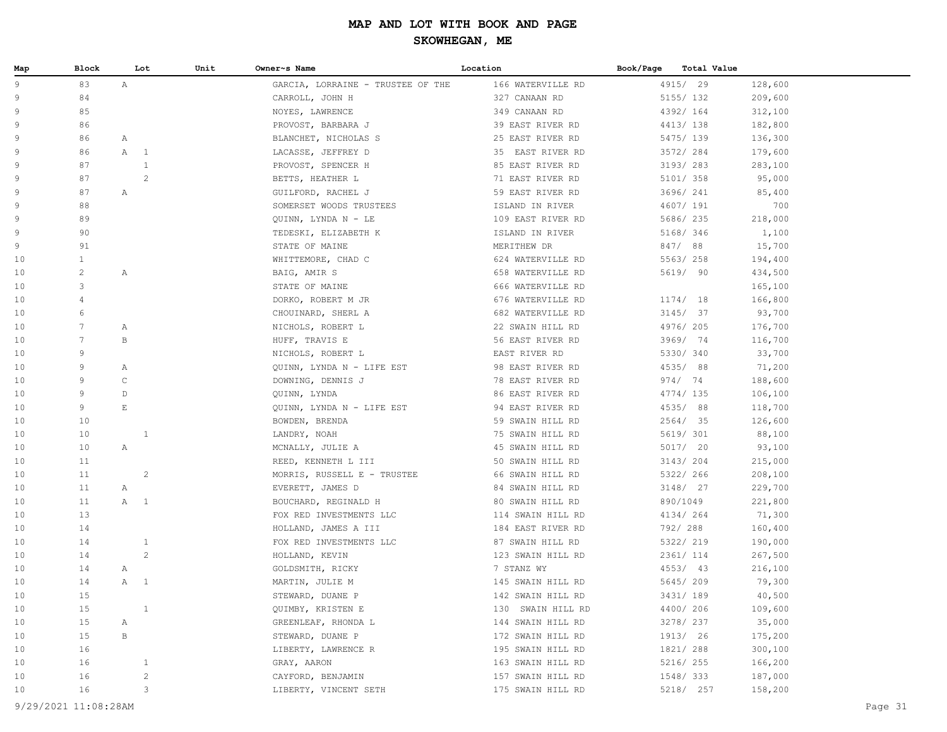| Map      | Block           |                       | Lot            | Unit | Owner~s Name                                       | Location                             | Book/Page | Total Value           |                    |
|----------|-----------------|-----------------------|----------------|------|----------------------------------------------------|--------------------------------------|-----------|-----------------------|--------------------|
| 9        | 83              | $\mathbb{A}$          |                |      | GARCIA, LORRAINE - TRUSTEE OF THE                  | 166 WATERVILLE RD                    |           | 4915/ 29              | 128,600            |
| 9        | 84              |                       |                |      | CARROLL, JOHN H                                    | 327 CANAAN RD                        |           | 5155/ 132             | 209,600            |
| 9        | 85              |                       |                |      | NOYES, LAWRENCE                                    | 349 CANAAN RD                        |           | 4392/ 164             | 312,100            |
| 9        | 86              |                       |                |      | PROVOST, BARBARA J                                 | 39 EAST RIVER RD                     |           | 4413/138              | 182,800            |
| 9        | 86              | $\mathbb{A}$          |                |      | BLANCHET, NICHOLAS S                               | 25 EAST RIVER RD                     |           | 5475/ 139             | 136,300            |
| 9        | 86              | A                     | $\overline{1}$ |      | LACASSE, JEFFREY D                                 | 35 EAST RIVER RD                     |           | 3572/284              | 179,600            |
| 9        | 87              |                       | $\mathbf{1}$   |      | PROVOST, SPENCER H                                 | 85 EAST RIVER RD                     |           | 3193/283              | 283,100            |
| 9        | 87              |                       | $\mathbf{2}$   |      | BETTS, HEATHER L                                   | 71 EAST RIVER RD                     |           | 5101/ 358             | 95,000             |
| 9        | 87              | $\mathbb{A}$          |                |      | GUILFORD, RACHEL J                                 | 59 EAST RIVER RD                     |           | 3696/ 241             | 85,400             |
| 9        | 88              |                       |                |      | SOMERSET WOODS TRUSTEES                            | ISLAND IN RIVER                      |           | 4607/ 191             | 700                |
| 9        | 89              |                       |                |      | QUINN, LYNDA N - LE                                | 109 EAST RIVER RD                    |           | 5686/ 235             | 218,000            |
| 9        | 90              |                       |                |      | TEDESKI, ELIZABETH K                               | ISLAND IN RIVER                      |           | 5168/ 346             | 1,100              |
| 9        | 91              |                       |                |      | STATE OF MAINE                                     | MERITHEW DR                          |           | 847/88                | 15,700             |
| 10       | $\mathbf{1}$    |                       |                |      | WHITTEMORE, CHAD C                                 | 624 WATERVILLE RD                    |           | 5563/258              | 194,400            |
| 10       | $\overline{c}$  | Α                     |                |      | BAIG, AMIR S                                       | 658 WATERVILLE RD                    |           | 5619/ 90              | 434,500            |
| 10       | 3               |                       |                |      | STATE OF MAINE                                     | 666 WATERVILLE RD                    |           |                       | 165,100            |
| 10       | $\overline{4}$  |                       |                |      | DORKO, ROBERT M JR                                 | 676 WATERVILLE RD                    |           | 1174/18               | 166,800            |
| 10       | 6               |                       |                |      | CHOUINARD, SHERL A                                 | 682 WATERVILLE RD                    |           | 3145/37               | 93,700             |
| 10       | $7\phantom{.0}$ | $\mathbb{A}$          |                |      | NICHOLS, ROBERT L                                  | 22 SWAIN HILL RD                     |           | 4976/205              | 176,700            |
| 10       | $7\phantom{.0}$ | B                     |                |      | HUFF, TRAVIS E                                     | 56 EAST RIVER RD                     |           | 3969/ 74              | 116,700            |
| 10       | 9               |                       |                |      | NICHOLS, ROBERT L                                  | EAST RIVER RD                        |           | 5330/ 340             | 33,700             |
| 10       | 9               | Α                     |                |      | QUINN, LYNDA N - LIFE EST                          | 98 EAST RIVER RD                     |           | 4535/88               | 71,200             |
| 10       | 9               | $\mathsf C$           |                |      | DOWNING, DENNIS J                                  | 78 EAST RIVER RD                     |           | 974/ 74               | 188,600            |
| 10       | 9               | $\mathbb D$           |                |      | QUINN, LYNDA                                       | 86 EAST RIVER RD                     |           | 4774/ 135             | 106,100            |
| 10       | 9               | $\mathop{}\mathbb{E}$ |                |      | QUINN, LYNDA N - LIFE EST                          | 94 EAST RIVER RD                     |           | 4535/88               | 118,700            |
| 10       | 10              |                       |                |      | BOWDEN, BRENDA                                     | 59 SWAIN HILL RD                     |           | 2564/ 35              | 126,600            |
| 10       | 10              |                       | $\mathbf{1}$   |      | LANDRY, NOAH                                       | 75 SWAIN HILL RD                     |           | 5619/ 301             | 88,100             |
| 10       | 10              | Α                     |                |      | MCNALLY, JULIE A                                   | 45 SWAIN HILL RD                     |           | 5017/ 20              | 93,100             |
| 10<br>10 | 11<br>11        |                       | $\overline{c}$ |      | REED, KENNETH L III<br>MORRIS, RUSSELL E - TRUSTEE | 50 SWAIN HILL RD<br>66 SWAIN HILL RD |           | 3143/204<br>5322/ 266 | 215,000<br>208,100 |
| 10       | 11              |                       |                |      | EVERETT, JAMES D                                   | 84 SWAIN HILL RD                     |           | 3148/ 27              | 229,700            |
| 10       | 11              | A                     | A 1            |      | BOUCHARD, REGINALD H                               | 80 SWAIN HILL RD                     |           | 890/1049              | 221,800            |
| 10       | 13              |                       |                |      | FOX RED INVESTMENTS LLC                            | 114 SWAIN HILL RD                    |           | 4134/ 264             | 71,300             |
| 10       | 14              |                       |                |      | HOLLAND, JAMES A III                               | 184 EAST RIVER RD                    |           | 792/ 288              | 160,400            |
| 10       | 14              |                       | $\mathbf{1}$   |      | FOX RED INVESTMENTS LLC                            | 87 SWAIN HILL RD                     |           | 5322/ 219             | 190,000            |
| 10       | 14              |                       | $\mathbf{2}$   |      | HOLLAND, KEVIN                                     | 123 SWAIN HILL RD                    |           | 2361/ 114             | 267,500            |
| 10       | 14              | A                     |                |      | GOLDSMITH, RICKY                                   | 7 STANZ WY                           |           | 4553/ 43              | 216,100            |
| 10       | 14              | A 1                   |                |      | MARTIN, JULIE M                                    | 145 SWAIN HILL RD                    |           | 5645/209              | 79,300             |
| 10       | 15              |                       |                |      | STEWARD, DUANE P                                   | 142 SWAIN HILL RD                    |           | 3431/ 189             | 40,500             |
| 10       | 15              |                       | $\mathbf{1}$   |      | QUIMBY, KRISTEN E                                  | 130 SWAIN HILL RD                    |           | 4400/206              | 109,600            |
| 10       | 15              | Α                     |                |      | GREENLEAF, RHONDA L                                | 144 SWAIN HILL RD                    |           | 3278/ 237             | 35,000             |
| 10       | 15              | В                     |                |      | STEWARD, DUANE P                                   | 172 SWAIN HILL RD                    |           | 1913/ 26              | 175,200            |
| 10       | 16              |                       |                |      | LIBERTY, LAWRENCE R                                | 195 SWAIN HILL RD                    |           | 1821/ 288             | 300,100            |
| 10       | 16              |                       | $\mathbf{1}$   |      | GRAY, AARON                                        | 163 SWAIN HILL RD                    |           | 5216/ 255             | 166,200            |
| 10       | 16              |                       | $\mathbf{2}$   |      | CAYFORD, BENJAMIN                                  | 157 SWAIN HILL RD                    |           | 1548/333              | 187,000            |
| 10       | 16              |                       | 3              |      | LIBERTY, VINCENT SETH                              | 175 SWAIN HILL RD                    |           | 5218/ 257             | 158,200            |
|          |                 |                       |                |      |                                                    |                                      |           |                       |                    |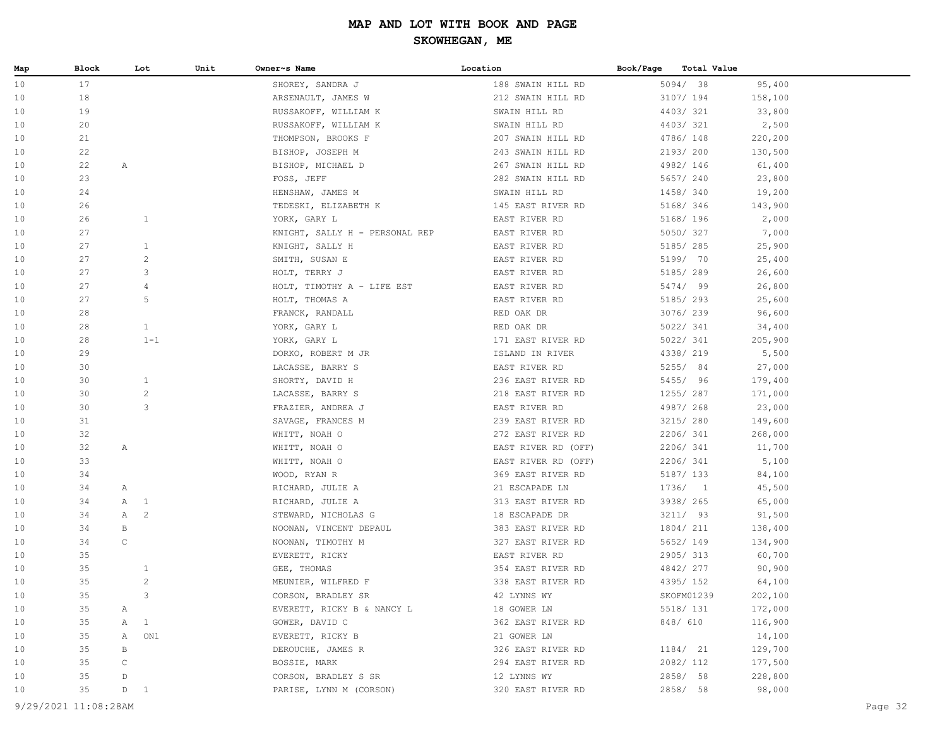| 17<br>5094/ 38<br>10<br>95,400<br>SHOREY, SANDRA J<br>188 SWAIN HILL RD<br>18<br>3107/ 194<br>158,100<br>10<br>ARSENAULT, JAMES W<br>212 SWAIN HILL RD<br>19<br>4403/321<br>10<br>RUSSAKOFF, WILLIAM K<br>SWAIN HILL RD<br>33,800<br>20<br>4403/321<br>10<br>RUSSAKOFF, WILLIAM K<br>SWAIN HILL RD<br>2,500<br>21<br>4786/ 148<br>220,200<br>THOMPSON, BROOKS F<br>207 SWAIN HILL RD<br>10<br>22<br>2193/200<br>130,500<br>10<br>BISHOP, JOSEPH M<br>243 SWAIN HILL RD<br>22<br>4982/146<br>10<br>A<br>BISHOP, MICHAEL D<br>267 SWAIN HILL RD<br>61,400<br>23<br>5657/ 240<br>10<br>FOSS, JEFF<br>282 SWAIN HILL RD<br>23,800<br>24<br>1458/ 340<br>10<br>SWAIN HILL RD<br>19,200<br>HENSHAW, JAMES M<br>5168/ 346<br>10<br>26<br>TEDESKI, ELIZABETH K<br>145 EAST RIVER RD<br>143,900<br>26<br>$\mathbf{1}$<br>5168/ 196<br>10<br>YORK, GARY L<br>EAST RIVER RD<br>2,000<br>5050/327<br>10<br>27<br>KNIGHT, SALLY H - PERSONAL REP<br>EAST RIVER RD<br>7,000<br>27<br>$\mathbf{1}$<br>EAST RIVER RD<br>5185/ 285<br>25,900<br>10<br>KNIGHT, SALLY H<br>27<br>$\overline{c}$<br>5199/ 70<br>10<br>SMITH, SUSAN E<br>EAST RIVER RD<br>25,400<br>27<br>3<br>5185/289<br>26,600<br>10<br>HOLT, TERRY J<br>EAST RIVER RD<br>27<br>5474/ 99<br>10<br>4<br>HOLT, TIMOTHY A - LIFE EST<br>EAST RIVER RD<br>26,800<br>27<br>5<br>5185/ 293<br>10<br>HOLT, THOMAS A<br>EAST RIVER RD<br>25,600<br>3076/239<br>10<br>28<br>FRANCK, RANDALL<br>RED OAK DR<br>96,600<br>28<br>$\mathbf{1}$<br>5022/ 341<br>10<br>YORK, GARY L<br>RED OAK DR<br>34,400<br>$1 - 1$<br>5022/ 341<br>10<br>28<br>YORK, GARY L<br>171 EAST RIVER RD<br>205,900<br>29<br>4338/ 219<br>5,500<br>10<br>DORKO, ROBERT M JR<br>ISLAND IN RIVER<br>5255/ 84<br>27,000<br>10<br>30<br>LACASSE, BARRY S<br>EAST RIVER RD<br>30<br>$\mathbf{1}$<br>5455/ 96<br>10<br>SHORTY, DAVID H<br>236 EAST RIVER RD<br>179,400<br>$\mathbf{2}$<br>1255/ 287<br>10<br>30<br>LACASSE, BARRY S<br>218 EAST RIVER RD<br>171,000<br>3<br>30<br>4987/ 268<br>10<br>FRAZIER, ANDREA J<br>EAST RIVER RD<br>23,000<br>3215/ 280<br>10<br>31<br>SAVAGE, FRANCES M<br>239 EAST RIVER RD<br>149,600<br>32<br>2206/341<br>10<br>WHITT, NOAH O<br>272 EAST RIVER RD<br>268,000<br>2206/341<br>10<br>32<br>Α<br>WHITT, NOAH O<br>EAST RIVER RD (OFF)<br>11,700<br>33<br>2206/341<br>WHITT, NOAH O<br>EAST RIVER RD (OFF)<br>5,100<br>10<br>5187/ 133<br>10<br>34<br>WOOD, RYAN R<br>369 EAST RIVER RD<br>84,100<br>34<br>1736/1<br>45,500<br>10<br>21 ESCAPADE LN<br>Α<br>RICHARD, JULIE A<br>3938/ 265<br>10<br>34<br>$\mathbb{A}$<br>$\mathbf{1}$<br>RICHARD, JULIE A<br>313 EAST RIVER RD<br>65,000<br>$\mathbb{A}$<br>2<br>3211/93<br>10<br>34<br>STEWARD, NICHOLAS G<br>18 ESCAPADE DR<br>91,500<br>1804/ 211<br>10<br>34<br>B<br>NOONAN, VINCENT DEPAUL<br>383 EAST RIVER RD<br>138,400<br>34<br>$\mathsf C$<br>5652/ 149<br>10<br>NOONAN, TIMOTHY M<br>327 EAST RIVER RD<br>134,900<br>2905/313<br>10<br>35<br>EVERETT, RICKY<br>EAST RIVER RD<br>60,700<br>35<br>4842/277<br>$\mathbf{1}$<br>GEE, THOMAS<br>354 EAST RIVER RD<br>90,900<br>10<br>35<br>$\overline{c}$<br>4395/ 152<br>10<br>MEUNIER, WILFRED F<br>338 EAST RIVER RD<br>64,100<br>35<br>3<br>CORSON, BRADLEY SR<br>42 LYNNS WY<br>SKOFM01239<br>202,100<br>10<br>5518/ 131<br>10<br>35<br>EVERETT, RICKY B & NANCY L<br>18 GOWER LN<br>172,000<br>Α<br>35<br>$\mathbf{1}$<br>GOWER, DAVID C<br>848/ 610<br>116,900<br>10<br>Α<br>362 EAST RIVER RD<br>14,100<br>10<br>35<br>$\mathbb{A}$<br>ON1<br>EVERETT, RICKY B<br>21 GOWER LN<br>35<br>1184/ 21<br>129,700<br>10<br>В<br>DEROUCHE, JAMES R<br>326 EAST RIVER RD<br>2082/ 112<br>10<br>35<br>С<br>BOSSIE, MARK<br>294 EAST RIVER RD<br>177,500<br>35<br>CORSON, BRADLEY S SR<br>2858/ 58<br>228,800<br>10<br>D<br>12 LYNNS WY<br>35<br>98,000<br>10<br>D<br>$\mathbf{1}$<br>PARISE, LYNN M (CORSON)<br>320 EAST RIVER RD<br>2858/ 58<br>9/29/2021 11:08:28AM | Map | Block | Lot | Unit | Owner~s Name | Location | Book/Page | Total Value |  |
|----------------------------------------------------------------------------------------------------------------------------------------------------------------------------------------------------------------------------------------------------------------------------------------------------------------------------------------------------------------------------------------------------------------------------------------------------------------------------------------------------------------------------------------------------------------------------------------------------------------------------------------------------------------------------------------------------------------------------------------------------------------------------------------------------------------------------------------------------------------------------------------------------------------------------------------------------------------------------------------------------------------------------------------------------------------------------------------------------------------------------------------------------------------------------------------------------------------------------------------------------------------------------------------------------------------------------------------------------------------------------------------------------------------------------------------------------------------------------------------------------------------------------------------------------------------------------------------------------------------------------------------------------------------------------------------------------------------------------------------------------------------------------------------------------------------------------------------------------------------------------------------------------------------------------------------------------------------------------------------------------------------------------------------------------------------------------------------------------------------------------------------------------------------------------------------------------------------------------------------------------------------------------------------------------------------------------------------------------------------------------------------------------------------------------------------------------------------------------------------------------------------------------------------------------------------------------------------------------------------------------------------------------------------------------------------------------------------------------------------------------------------------------------------------------------------------------------------------------------------------------------------------------------------------------------------------------------------------------------------------------------------------------------------------------------------------------------------------------------------------------------------------------------------------------------------------------------------------------------------------------------------------------------------------------------------------------------------------------------------------------------------------------------------------------------------------------------------------------------------------------------------------------------------------------------------------------------------------------------------------------------------------------------------------------------------------------------------------------------------------------------------------------------------------------------------------------------------------------------------------------------------------------------------------|-----|-------|-----|------|--------------|----------|-----------|-------------|--|
| Page 32                                                                                                                                                                                                                                                                                                                                                                                                                                                                                                                                                                                                                                                                                                                                                                                                                                                                                                                                                                                                                                                                                                                                                                                                                                                                                                                                                                                                                                                                                                                                                                                                                                                                                                                                                                                                                                                                                                                                                                                                                                                                                                                                                                                                                                                                                                                                                                                                                                                                                                                                                                                                                                                                                                                                                                                                                                                                                                                                                                                                                                                                                                                                                                                                                                                                                                                                                                                                                                                                                                                                                                                                                                                                                                                                                                                                                                                                                                              |     |       |     |      |              |          |           |             |  |
|                                                                                                                                                                                                                                                                                                                                                                                                                                                                                                                                                                                                                                                                                                                                                                                                                                                                                                                                                                                                                                                                                                                                                                                                                                                                                                                                                                                                                                                                                                                                                                                                                                                                                                                                                                                                                                                                                                                                                                                                                                                                                                                                                                                                                                                                                                                                                                                                                                                                                                                                                                                                                                                                                                                                                                                                                                                                                                                                                                                                                                                                                                                                                                                                                                                                                                                                                                                                                                                                                                                                                                                                                                                                                                                                                                                                                                                                                                                      |     |       |     |      |              |          |           |             |  |
|                                                                                                                                                                                                                                                                                                                                                                                                                                                                                                                                                                                                                                                                                                                                                                                                                                                                                                                                                                                                                                                                                                                                                                                                                                                                                                                                                                                                                                                                                                                                                                                                                                                                                                                                                                                                                                                                                                                                                                                                                                                                                                                                                                                                                                                                                                                                                                                                                                                                                                                                                                                                                                                                                                                                                                                                                                                                                                                                                                                                                                                                                                                                                                                                                                                                                                                                                                                                                                                                                                                                                                                                                                                                                                                                                                                                                                                                                                                      |     |       |     |      |              |          |           |             |  |
|                                                                                                                                                                                                                                                                                                                                                                                                                                                                                                                                                                                                                                                                                                                                                                                                                                                                                                                                                                                                                                                                                                                                                                                                                                                                                                                                                                                                                                                                                                                                                                                                                                                                                                                                                                                                                                                                                                                                                                                                                                                                                                                                                                                                                                                                                                                                                                                                                                                                                                                                                                                                                                                                                                                                                                                                                                                                                                                                                                                                                                                                                                                                                                                                                                                                                                                                                                                                                                                                                                                                                                                                                                                                                                                                                                                                                                                                                                                      |     |       |     |      |              |          |           |             |  |
|                                                                                                                                                                                                                                                                                                                                                                                                                                                                                                                                                                                                                                                                                                                                                                                                                                                                                                                                                                                                                                                                                                                                                                                                                                                                                                                                                                                                                                                                                                                                                                                                                                                                                                                                                                                                                                                                                                                                                                                                                                                                                                                                                                                                                                                                                                                                                                                                                                                                                                                                                                                                                                                                                                                                                                                                                                                                                                                                                                                                                                                                                                                                                                                                                                                                                                                                                                                                                                                                                                                                                                                                                                                                                                                                                                                                                                                                                                                      |     |       |     |      |              |          |           |             |  |
|                                                                                                                                                                                                                                                                                                                                                                                                                                                                                                                                                                                                                                                                                                                                                                                                                                                                                                                                                                                                                                                                                                                                                                                                                                                                                                                                                                                                                                                                                                                                                                                                                                                                                                                                                                                                                                                                                                                                                                                                                                                                                                                                                                                                                                                                                                                                                                                                                                                                                                                                                                                                                                                                                                                                                                                                                                                                                                                                                                                                                                                                                                                                                                                                                                                                                                                                                                                                                                                                                                                                                                                                                                                                                                                                                                                                                                                                                                                      |     |       |     |      |              |          |           |             |  |
|                                                                                                                                                                                                                                                                                                                                                                                                                                                                                                                                                                                                                                                                                                                                                                                                                                                                                                                                                                                                                                                                                                                                                                                                                                                                                                                                                                                                                                                                                                                                                                                                                                                                                                                                                                                                                                                                                                                                                                                                                                                                                                                                                                                                                                                                                                                                                                                                                                                                                                                                                                                                                                                                                                                                                                                                                                                                                                                                                                                                                                                                                                                                                                                                                                                                                                                                                                                                                                                                                                                                                                                                                                                                                                                                                                                                                                                                                                                      |     |       |     |      |              |          |           |             |  |
|                                                                                                                                                                                                                                                                                                                                                                                                                                                                                                                                                                                                                                                                                                                                                                                                                                                                                                                                                                                                                                                                                                                                                                                                                                                                                                                                                                                                                                                                                                                                                                                                                                                                                                                                                                                                                                                                                                                                                                                                                                                                                                                                                                                                                                                                                                                                                                                                                                                                                                                                                                                                                                                                                                                                                                                                                                                                                                                                                                                                                                                                                                                                                                                                                                                                                                                                                                                                                                                                                                                                                                                                                                                                                                                                                                                                                                                                                                                      |     |       |     |      |              |          |           |             |  |
|                                                                                                                                                                                                                                                                                                                                                                                                                                                                                                                                                                                                                                                                                                                                                                                                                                                                                                                                                                                                                                                                                                                                                                                                                                                                                                                                                                                                                                                                                                                                                                                                                                                                                                                                                                                                                                                                                                                                                                                                                                                                                                                                                                                                                                                                                                                                                                                                                                                                                                                                                                                                                                                                                                                                                                                                                                                                                                                                                                                                                                                                                                                                                                                                                                                                                                                                                                                                                                                                                                                                                                                                                                                                                                                                                                                                                                                                                                                      |     |       |     |      |              |          |           |             |  |
|                                                                                                                                                                                                                                                                                                                                                                                                                                                                                                                                                                                                                                                                                                                                                                                                                                                                                                                                                                                                                                                                                                                                                                                                                                                                                                                                                                                                                                                                                                                                                                                                                                                                                                                                                                                                                                                                                                                                                                                                                                                                                                                                                                                                                                                                                                                                                                                                                                                                                                                                                                                                                                                                                                                                                                                                                                                                                                                                                                                                                                                                                                                                                                                                                                                                                                                                                                                                                                                                                                                                                                                                                                                                                                                                                                                                                                                                                                                      |     |       |     |      |              |          |           |             |  |
|                                                                                                                                                                                                                                                                                                                                                                                                                                                                                                                                                                                                                                                                                                                                                                                                                                                                                                                                                                                                                                                                                                                                                                                                                                                                                                                                                                                                                                                                                                                                                                                                                                                                                                                                                                                                                                                                                                                                                                                                                                                                                                                                                                                                                                                                                                                                                                                                                                                                                                                                                                                                                                                                                                                                                                                                                                                                                                                                                                                                                                                                                                                                                                                                                                                                                                                                                                                                                                                                                                                                                                                                                                                                                                                                                                                                                                                                                                                      |     |       |     |      |              |          |           |             |  |
|                                                                                                                                                                                                                                                                                                                                                                                                                                                                                                                                                                                                                                                                                                                                                                                                                                                                                                                                                                                                                                                                                                                                                                                                                                                                                                                                                                                                                                                                                                                                                                                                                                                                                                                                                                                                                                                                                                                                                                                                                                                                                                                                                                                                                                                                                                                                                                                                                                                                                                                                                                                                                                                                                                                                                                                                                                                                                                                                                                                                                                                                                                                                                                                                                                                                                                                                                                                                                                                                                                                                                                                                                                                                                                                                                                                                                                                                                                                      |     |       |     |      |              |          |           |             |  |
|                                                                                                                                                                                                                                                                                                                                                                                                                                                                                                                                                                                                                                                                                                                                                                                                                                                                                                                                                                                                                                                                                                                                                                                                                                                                                                                                                                                                                                                                                                                                                                                                                                                                                                                                                                                                                                                                                                                                                                                                                                                                                                                                                                                                                                                                                                                                                                                                                                                                                                                                                                                                                                                                                                                                                                                                                                                                                                                                                                                                                                                                                                                                                                                                                                                                                                                                                                                                                                                                                                                                                                                                                                                                                                                                                                                                                                                                                                                      |     |       |     |      |              |          |           |             |  |
|                                                                                                                                                                                                                                                                                                                                                                                                                                                                                                                                                                                                                                                                                                                                                                                                                                                                                                                                                                                                                                                                                                                                                                                                                                                                                                                                                                                                                                                                                                                                                                                                                                                                                                                                                                                                                                                                                                                                                                                                                                                                                                                                                                                                                                                                                                                                                                                                                                                                                                                                                                                                                                                                                                                                                                                                                                                                                                                                                                                                                                                                                                                                                                                                                                                                                                                                                                                                                                                                                                                                                                                                                                                                                                                                                                                                                                                                                                                      |     |       |     |      |              |          |           |             |  |
|                                                                                                                                                                                                                                                                                                                                                                                                                                                                                                                                                                                                                                                                                                                                                                                                                                                                                                                                                                                                                                                                                                                                                                                                                                                                                                                                                                                                                                                                                                                                                                                                                                                                                                                                                                                                                                                                                                                                                                                                                                                                                                                                                                                                                                                                                                                                                                                                                                                                                                                                                                                                                                                                                                                                                                                                                                                                                                                                                                                                                                                                                                                                                                                                                                                                                                                                                                                                                                                                                                                                                                                                                                                                                                                                                                                                                                                                                                                      |     |       |     |      |              |          |           |             |  |
|                                                                                                                                                                                                                                                                                                                                                                                                                                                                                                                                                                                                                                                                                                                                                                                                                                                                                                                                                                                                                                                                                                                                                                                                                                                                                                                                                                                                                                                                                                                                                                                                                                                                                                                                                                                                                                                                                                                                                                                                                                                                                                                                                                                                                                                                                                                                                                                                                                                                                                                                                                                                                                                                                                                                                                                                                                                                                                                                                                                                                                                                                                                                                                                                                                                                                                                                                                                                                                                                                                                                                                                                                                                                                                                                                                                                                                                                                                                      |     |       |     |      |              |          |           |             |  |
|                                                                                                                                                                                                                                                                                                                                                                                                                                                                                                                                                                                                                                                                                                                                                                                                                                                                                                                                                                                                                                                                                                                                                                                                                                                                                                                                                                                                                                                                                                                                                                                                                                                                                                                                                                                                                                                                                                                                                                                                                                                                                                                                                                                                                                                                                                                                                                                                                                                                                                                                                                                                                                                                                                                                                                                                                                                                                                                                                                                                                                                                                                                                                                                                                                                                                                                                                                                                                                                                                                                                                                                                                                                                                                                                                                                                                                                                                                                      |     |       |     |      |              |          |           |             |  |
|                                                                                                                                                                                                                                                                                                                                                                                                                                                                                                                                                                                                                                                                                                                                                                                                                                                                                                                                                                                                                                                                                                                                                                                                                                                                                                                                                                                                                                                                                                                                                                                                                                                                                                                                                                                                                                                                                                                                                                                                                                                                                                                                                                                                                                                                                                                                                                                                                                                                                                                                                                                                                                                                                                                                                                                                                                                                                                                                                                                                                                                                                                                                                                                                                                                                                                                                                                                                                                                                                                                                                                                                                                                                                                                                                                                                                                                                                                                      |     |       |     |      |              |          |           |             |  |
|                                                                                                                                                                                                                                                                                                                                                                                                                                                                                                                                                                                                                                                                                                                                                                                                                                                                                                                                                                                                                                                                                                                                                                                                                                                                                                                                                                                                                                                                                                                                                                                                                                                                                                                                                                                                                                                                                                                                                                                                                                                                                                                                                                                                                                                                                                                                                                                                                                                                                                                                                                                                                                                                                                                                                                                                                                                                                                                                                                                                                                                                                                                                                                                                                                                                                                                                                                                                                                                                                                                                                                                                                                                                                                                                                                                                                                                                                                                      |     |       |     |      |              |          |           |             |  |
|                                                                                                                                                                                                                                                                                                                                                                                                                                                                                                                                                                                                                                                                                                                                                                                                                                                                                                                                                                                                                                                                                                                                                                                                                                                                                                                                                                                                                                                                                                                                                                                                                                                                                                                                                                                                                                                                                                                                                                                                                                                                                                                                                                                                                                                                                                                                                                                                                                                                                                                                                                                                                                                                                                                                                                                                                                                                                                                                                                                                                                                                                                                                                                                                                                                                                                                                                                                                                                                                                                                                                                                                                                                                                                                                                                                                                                                                                                                      |     |       |     |      |              |          |           |             |  |
|                                                                                                                                                                                                                                                                                                                                                                                                                                                                                                                                                                                                                                                                                                                                                                                                                                                                                                                                                                                                                                                                                                                                                                                                                                                                                                                                                                                                                                                                                                                                                                                                                                                                                                                                                                                                                                                                                                                                                                                                                                                                                                                                                                                                                                                                                                                                                                                                                                                                                                                                                                                                                                                                                                                                                                                                                                                                                                                                                                                                                                                                                                                                                                                                                                                                                                                                                                                                                                                                                                                                                                                                                                                                                                                                                                                                                                                                                                                      |     |       |     |      |              |          |           |             |  |
|                                                                                                                                                                                                                                                                                                                                                                                                                                                                                                                                                                                                                                                                                                                                                                                                                                                                                                                                                                                                                                                                                                                                                                                                                                                                                                                                                                                                                                                                                                                                                                                                                                                                                                                                                                                                                                                                                                                                                                                                                                                                                                                                                                                                                                                                                                                                                                                                                                                                                                                                                                                                                                                                                                                                                                                                                                                                                                                                                                                                                                                                                                                                                                                                                                                                                                                                                                                                                                                                                                                                                                                                                                                                                                                                                                                                                                                                                                                      |     |       |     |      |              |          |           |             |  |
|                                                                                                                                                                                                                                                                                                                                                                                                                                                                                                                                                                                                                                                                                                                                                                                                                                                                                                                                                                                                                                                                                                                                                                                                                                                                                                                                                                                                                                                                                                                                                                                                                                                                                                                                                                                                                                                                                                                                                                                                                                                                                                                                                                                                                                                                                                                                                                                                                                                                                                                                                                                                                                                                                                                                                                                                                                                                                                                                                                                                                                                                                                                                                                                                                                                                                                                                                                                                                                                                                                                                                                                                                                                                                                                                                                                                                                                                                                                      |     |       |     |      |              |          |           |             |  |
|                                                                                                                                                                                                                                                                                                                                                                                                                                                                                                                                                                                                                                                                                                                                                                                                                                                                                                                                                                                                                                                                                                                                                                                                                                                                                                                                                                                                                                                                                                                                                                                                                                                                                                                                                                                                                                                                                                                                                                                                                                                                                                                                                                                                                                                                                                                                                                                                                                                                                                                                                                                                                                                                                                                                                                                                                                                                                                                                                                                                                                                                                                                                                                                                                                                                                                                                                                                                                                                                                                                                                                                                                                                                                                                                                                                                                                                                                                                      |     |       |     |      |              |          |           |             |  |
|                                                                                                                                                                                                                                                                                                                                                                                                                                                                                                                                                                                                                                                                                                                                                                                                                                                                                                                                                                                                                                                                                                                                                                                                                                                                                                                                                                                                                                                                                                                                                                                                                                                                                                                                                                                                                                                                                                                                                                                                                                                                                                                                                                                                                                                                                                                                                                                                                                                                                                                                                                                                                                                                                                                                                                                                                                                                                                                                                                                                                                                                                                                                                                                                                                                                                                                                                                                                                                                                                                                                                                                                                                                                                                                                                                                                                                                                                                                      |     |       |     |      |              |          |           |             |  |
|                                                                                                                                                                                                                                                                                                                                                                                                                                                                                                                                                                                                                                                                                                                                                                                                                                                                                                                                                                                                                                                                                                                                                                                                                                                                                                                                                                                                                                                                                                                                                                                                                                                                                                                                                                                                                                                                                                                                                                                                                                                                                                                                                                                                                                                                                                                                                                                                                                                                                                                                                                                                                                                                                                                                                                                                                                                                                                                                                                                                                                                                                                                                                                                                                                                                                                                                                                                                                                                                                                                                                                                                                                                                                                                                                                                                                                                                                                                      |     |       |     |      |              |          |           |             |  |
|                                                                                                                                                                                                                                                                                                                                                                                                                                                                                                                                                                                                                                                                                                                                                                                                                                                                                                                                                                                                                                                                                                                                                                                                                                                                                                                                                                                                                                                                                                                                                                                                                                                                                                                                                                                                                                                                                                                                                                                                                                                                                                                                                                                                                                                                                                                                                                                                                                                                                                                                                                                                                                                                                                                                                                                                                                                                                                                                                                                                                                                                                                                                                                                                                                                                                                                                                                                                                                                                                                                                                                                                                                                                                                                                                                                                                                                                                                                      |     |       |     |      |              |          |           |             |  |
|                                                                                                                                                                                                                                                                                                                                                                                                                                                                                                                                                                                                                                                                                                                                                                                                                                                                                                                                                                                                                                                                                                                                                                                                                                                                                                                                                                                                                                                                                                                                                                                                                                                                                                                                                                                                                                                                                                                                                                                                                                                                                                                                                                                                                                                                                                                                                                                                                                                                                                                                                                                                                                                                                                                                                                                                                                                                                                                                                                                                                                                                                                                                                                                                                                                                                                                                                                                                                                                                                                                                                                                                                                                                                                                                                                                                                                                                                                                      |     |       |     |      |              |          |           |             |  |
|                                                                                                                                                                                                                                                                                                                                                                                                                                                                                                                                                                                                                                                                                                                                                                                                                                                                                                                                                                                                                                                                                                                                                                                                                                                                                                                                                                                                                                                                                                                                                                                                                                                                                                                                                                                                                                                                                                                                                                                                                                                                                                                                                                                                                                                                                                                                                                                                                                                                                                                                                                                                                                                                                                                                                                                                                                                                                                                                                                                                                                                                                                                                                                                                                                                                                                                                                                                                                                                                                                                                                                                                                                                                                                                                                                                                                                                                                                                      |     |       |     |      |              |          |           |             |  |
|                                                                                                                                                                                                                                                                                                                                                                                                                                                                                                                                                                                                                                                                                                                                                                                                                                                                                                                                                                                                                                                                                                                                                                                                                                                                                                                                                                                                                                                                                                                                                                                                                                                                                                                                                                                                                                                                                                                                                                                                                                                                                                                                                                                                                                                                                                                                                                                                                                                                                                                                                                                                                                                                                                                                                                                                                                                                                                                                                                                                                                                                                                                                                                                                                                                                                                                                                                                                                                                                                                                                                                                                                                                                                                                                                                                                                                                                                                                      |     |       |     |      |              |          |           |             |  |
|                                                                                                                                                                                                                                                                                                                                                                                                                                                                                                                                                                                                                                                                                                                                                                                                                                                                                                                                                                                                                                                                                                                                                                                                                                                                                                                                                                                                                                                                                                                                                                                                                                                                                                                                                                                                                                                                                                                                                                                                                                                                                                                                                                                                                                                                                                                                                                                                                                                                                                                                                                                                                                                                                                                                                                                                                                                                                                                                                                                                                                                                                                                                                                                                                                                                                                                                                                                                                                                                                                                                                                                                                                                                                                                                                                                                                                                                                                                      |     |       |     |      |              |          |           |             |  |
|                                                                                                                                                                                                                                                                                                                                                                                                                                                                                                                                                                                                                                                                                                                                                                                                                                                                                                                                                                                                                                                                                                                                                                                                                                                                                                                                                                                                                                                                                                                                                                                                                                                                                                                                                                                                                                                                                                                                                                                                                                                                                                                                                                                                                                                                                                                                                                                                                                                                                                                                                                                                                                                                                                                                                                                                                                                                                                                                                                                                                                                                                                                                                                                                                                                                                                                                                                                                                                                                                                                                                                                                                                                                                                                                                                                                                                                                                                                      |     |       |     |      |              |          |           |             |  |
|                                                                                                                                                                                                                                                                                                                                                                                                                                                                                                                                                                                                                                                                                                                                                                                                                                                                                                                                                                                                                                                                                                                                                                                                                                                                                                                                                                                                                                                                                                                                                                                                                                                                                                                                                                                                                                                                                                                                                                                                                                                                                                                                                                                                                                                                                                                                                                                                                                                                                                                                                                                                                                                                                                                                                                                                                                                                                                                                                                                                                                                                                                                                                                                                                                                                                                                                                                                                                                                                                                                                                                                                                                                                                                                                                                                                                                                                                                                      |     |       |     |      |              |          |           |             |  |
|                                                                                                                                                                                                                                                                                                                                                                                                                                                                                                                                                                                                                                                                                                                                                                                                                                                                                                                                                                                                                                                                                                                                                                                                                                                                                                                                                                                                                                                                                                                                                                                                                                                                                                                                                                                                                                                                                                                                                                                                                                                                                                                                                                                                                                                                                                                                                                                                                                                                                                                                                                                                                                                                                                                                                                                                                                                                                                                                                                                                                                                                                                                                                                                                                                                                                                                                                                                                                                                                                                                                                                                                                                                                                                                                                                                                                                                                                                                      |     |       |     |      |              |          |           |             |  |
|                                                                                                                                                                                                                                                                                                                                                                                                                                                                                                                                                                                                                                                                                                                                                                                                                                                                                                                                                                                                                                                                                                                                                                                                                                                                                                                                                                                                                                                                                                                                                                                                                                                                                                                                                                                                                                                                                                                                                                                                                                                                                                                                                                                                                                                                                                                                                                                                                                                                                                                                                                                                                                                                                                                                                                                                                                                                                                                                                                                                                                                                                                                                                                                                                                                                                                                                                                                                                                                                                                                                                                                                                                                                                                                                                                                                                                                                                                                      |     |       |     |      |              |          |           |             |  |
|                                                                                                                                                                                                                                                                                                                                                                                                                                                                                                                                                                                                                                                                                                                                                                                                                                                                                                                                                                                                                                                                                                                                                                                                                                                                                                                                                                                                                                                                                                                                                                                                                                                                                                                                                                                                                                                                                                                                                                                                                                                                                                                                                                                                                                                                                                                                                                                                                                                                                                                                                                                                                                                                                                                                                                                                                                                                                                                                                                                                                                                                                                                                                                                                                                                                                                                                                                                                                                                                                                                                                                                                                                                                                                                                                                                                                                                                                                                      |     |       |     |      |              |          |           |             |  |
|                                                                                                                                                                                                                                                                                                                                                                                                                                                                                                                                                                                                                                                                                                                                                                                                                                                                                                                                                                                                                                                                                                                                                                                                                                                                                                                                                                                                                                                                                                                                                                                                                                                                                                                                                                                                                                                                                                                                                                                                                                                                                                                                                                                                                                                                                                                                                                                                                                                                                                                                                                                                                                                                                                                                                                                                                                                                                                                                                                                                                                                                                                                                                                                                                                                                                                                                                                                                                                                                                                                                                                                                                                                                                                                                                                                                                                                                                                                      |     |       |     |      |              |          |           |             |  |
|                                                                                                                                                                                                                                                                                                                                                                                                                                                                                                                                                                                                                                                                                                                                                                                                                                                                                                                                                                                                                                                                                                                                                                                                                                                                                                                                                                                                                                                                                                                                                                                                                                                                                                                                                                                                                                                                                                                                                                                                                                                                                                                                                                                                                                                                                                                                                                                                                                                                                                                                                                                                                                                                                                                                                                                                                                                                                                                                                                                                                                                                                                                                                                                                                                                                                                                                                                                                                                                                                                                                                                                                                                                                                                                                                                                                                                                                                                                      |     |       |     |      |              |          |           |             |  |
|                                                                                                                                                                                                                                                                                                                                                                                                                                                                                                                                                                                                                                                                                                                                                                                                                                                                                                                                                                                                                                                                                                                                                                                                                                                                                                                                                                                                                                                                                                                                                                                                                                                                                                                                                                                                                                                                                                                                                                                                                                                                                                                                                                                                                                                                                                                                                                                                                                                                                                                                                                                                                                                                                                                                                                                                                                                                                                                                                                                                                                                                                                                                                                                                                                                                                                                                                                                                                                                                                                                                                                                                                                                                                                                                                                                                                                                                                                                      |     |       |     |      |              |          |           |             |  |
|                                                                                                                                                                                                                                                                                                                                                                                                                                                                                                                                                                                                                                                                                                                                                                                                                                                                                                                                                                                                                                                                                                                                                                                                                                                                                                                                                                                                                                                                                                                                                                                                                                                                                                                                                                                                                                                                                                                                                                                                                                                                                                                                                                                                                                                                                                                                                                                                                                                                                                                                                                                                                                                                                                                                                                                                                                                                                                                                                                                                                                                                                                                                                                                                                                                                                                                                                                                                                                                                                                                                                                                                                                                                                                                                                                                                                                                                                                                      |     |       |     |      |              |          |           |             |  |
|                                                                                                                                                                                                                                                                                                                                                                                                                                                                                                                                                                                                                                                                                                                                                                                                                                                                                                                                                                                                                                                                                                                                                                                                                                                                                                                                                                                                                                                                                                                                                                                                                                                                                                                                                                                                                                                                                                                                                                                                                                                                                                                                                                                                                                                                                                                                                                                                                                                                                                                                                                                                                                                                                                                                                                                                                                                                                                                                                                                                                                                                                                                                                                                                                                                                                                                                                                                                                                                                                                                                                                                                                                                                                                                                                                                                                                                                                                                      |     |       |     |      |              |          |           |             |  |
|                                                                                                                                                                                                                                                                                                                                                                                                                                                                                                                                                                                                                                                                                                                                                                                                                                                                                                                                                                                                                                                                                                                                                                                                                                                                                                                                                                                                                                                                                                                                                                                                                                                                                                                                                                                                                                                                                                                                                                                                                                                                                                                                                                                                                                                                                                                                                                                                                                                                                                                                                                                                                                                                                                                                                                                                                                                                                                                                                                                                                                                                                                                                                                                                                                                                                                                                                                                                                                                                                                                                                                                                                                                                                                                                                                                                                                                                                                                      |     |       |     |      |              |          |           |             |  |
|                                                                                                                                                                                                                                                                                                                                                                                                                                                                                                                                                                                                                                                                                                                                                                                                                                                                                                                                                                                                                                                                                                                                                                                                                                                                                                                                                                                                                                                                                                                                                                                                                                                                                                                                                                                                                                                                                                                                                                                                                                                                                                                                                                                                                                                                                                                                                                                                                                                                                                                                                                                                                                                                                                                                                                                                                                                                                                                                                                                                                                                                                                                                                                                                                                                                                                                                                                                                                                                                                                                                                                                                                                                                                                                                                                                                                                                                                                                      |     |       |     |      |              |          |           |             |  |
|                                                                                                                                                                                                                                                                                                                                                                                                                                                                                                                                                                                                                                                                                                                                                                                                                                                                                                                                                                                                                                                                                                                                                                                                                                                                                                                                                                                                                                                                                                                                                                                                                                                                                                                                                                                                                                                                                                                                                                                                                                                                                                                                                                                                                                                                                                                                                                                                                                                                                                                                                                                                                                                                                                                                                                                                                                                                                                                                                                                                                                                                                                                                                                                                                                                                                                                                                                                                                                                                                                                                                                                                                                                                                                                                                                                                                                                                                                                      |     |       |     |      |              |          |           |             |  |
|                                                                                                                                                                                                                                                                                                                                                                                                                                                                                                                                                                                                                                                                                                                                                                                                                                                                                                                                                                                                                                                                                                                                                                                                                                                                                                                                                                                                                                                                                                                                                                                                                                                                                                                                                                                                                                                                                                                                                                                                                                                                                                                                                                                                                                                                                                                                                                                                                                                                                                                                                                                                                                                                                                                                                                                                                                                                                                                                                                                                                                                                                                                                                                                                                                                                                                                                                                                                                                                                                                                                                                                                                                                                                                                                                                                                                                                                                                                      |     |       |     |      |              |          |           |             |  |
|                                                                                                                                                                                                                                                                                                                                                                                                                                                                                                                                                                                                                                                                                                                                                                                                                                                                                                                                                                                                                                                                                                                                                                                                                                                                                                                                                                                                                                                                                                                                                                                                                                                                                                                                                                                                                                                                                                                                                                                                                                                                                                                                                                                                                                                                                                                                                                                                                                                                                                                                                                                                                                                                                                                                                                                                                                                                                                                                                                                                                                                                                                                                                                                                                                                                                                                                                                                                                                                                                                                                                                                                                                                                                                                                                                                                                                                                                                                      |     |       |     |      |              |          |           |             |  |
|                                                                                                                                                                                                                                                                                                                                                                                                                                                                                                                                                                                                                                                                                                                                                                                                                                                                                                                                                                                                                                                                                                                                                                                                                                                                                                                                                                                                                                                                                                                                                                                                                                                                                                                                                                                                                                                                                                                                                                                                                                                                                                                                                                                                                                                                                                                                                                                                                                                                                                                                                                                                                                                                                                                                                                                                                                                                                                                                                                                                                                                                                                                                                                                                                                                                                                                                                                                                                                                                                                                                                                                                                                                                                                                                                                                                                                                                                                                      |     |       |     |      |              |          |           |             |  |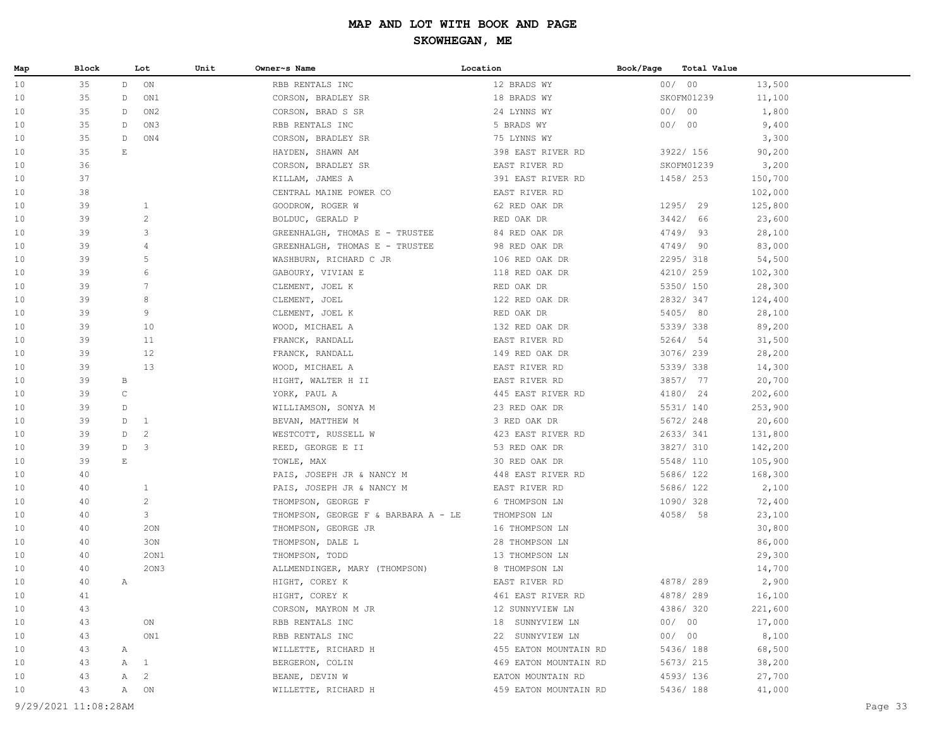| Map | Block                |                        | Lot            | Unit | Owner~s Name                        | Location                                   | Book/Page | <b>Total Value</b> |         |         |
|-----|----------------------|------------------------|----------------|------|-------------------------------------|--------------------------------------------|-----------|--------------------|---------|---------|
| 10  | 35                   | D                      | ON             |      | RBB RENTALS INC                     | 12 BRADS WY                                |           | 00/00              | 13,500  |         |
| 10  | 35                   | $\n  D\n$              | ON1            |      | CORSON, BRADLEY SR                  | 18 BRADS WY                                |           | SKOFM01239         | 11,100  |         |
| 10  | 35                   | $\n  D\n$              | ON2            |      | CORSON, BRAD S SR                   | 24 LYNNS WY                                |           | 00/00              | 1,800   |         |
| 10  | 35                   | $\n  D\n$              | ON3            |      | RBB RENTALS INC                     | 5 BRADS WY                                 |           | 00/00              | 9,400   |         |
| 10  | 35                   | $\n  D\n$              | ON4            |      | CORSON, BRADLEY SR                  | 75 LYNNS WY                                |           |                    | 3,300   |         |
| 10  | 35                   | $\mathop{}\mathcal{E}$ |                |      | HAYDEN, SHAWN AM                    | 398 EAST RIVER RD                          |           | 3922/ 156          | 90,200  |         |
| 10  | 36                   |                        |                |      | CORSON, BRADLEY SR                  | EAST RIVER RD                              |           | SKOFM01239         | 3,200   |         |
| 10  | 37                   |                        |                |      | KILLAM, JAMES A                     | 391 EAST RIVER RD                          |           | 1458/ 253          | 150,700 |         |
| 10  | 38                   |                        |                |      | CENTRAL MAINE POWER CO              | EAST RIVER RD                              |           |                    | 102,000 |         |
| 10  | 39                   |                        | $\mathbf{1}$   |      | GOODROW, ROGER W                    | 62 RED OAK DR                              |           | 1295/ 29           | 125,800 |         |
| 10  | 39                   |                        | $\mathbf{2}$   |      | BOLDUC, GERALD P                    | RED OAK DR                                 |           | 3442/ 66           | 23,600  |         |
| 10  | 39                   |                        | 3              |      | GREENHALGH, THOMAS E - TRUSTEE      | 84 RED OAK DR                              |           | 4749/ 93           | 28,100  |         |
| 10  | 39                   |                        | 4              |      | GREENHALGH, THOMAS E - TRUSTEE      | 98 RED OAK DR                              |           | 4749/ 90           | 83,000  |         |
| 10  | 39                   |                        | 5              |      | WASHBURN, RICHARD C JR              | 106 RED OAK DR                             |           | 2295/318           | 54,500  |         |
| 10  | 39                   |                        | 6              |      | GABOURY, VIVIAN E                   | 118 RED OAK DR                             |           | 4210/ 259          | 102,300 |         |
| 10  | 39                   |                        | 7              |      | CLEMENT, JOEL K                     | RED OAK DR                                 |           | 5350/ 150          | 28,300  |         |
| 10  | 39                   |                        | 8              |      | CLEMENT, JOEL                       | 122 RED OAK DR                             |           | 2832/347           | 124,400 |         |
| 10  | 39                   |                        | 9              |      | CLEMENT, JOEL K                     | RED OAK DR                                 |           | 5405/ 80           | 28,100  |         |
| 10  | 39                   |                        | 10             |      | WOOD, MICHAEL A                     | 132 RED OAK DR                             |           | 5339/338           | 89,200  |         |
| 10  | 39                   |                        | 11             |      | FRANCK, RANDALL                     | EAST RIVER RD                              |           | 5264/ 54           | 31,500  |         |
| 10  | 39                   |                        | 12             |      | FRANCK, RANDALL                     | 149 RED OAK DR                             |           | 3076/239           | 28,200  |         |
| 10  | 39                   |                        | 13             |      | WOOD, MICHAEL A                     | EAST RIVER RD                              |           | 5339/338           | 14,300  |         |
| 10  | 39                   | $\mathbf{B}$           |                |      | HIGHT, WALTER H II                  | EAST RIVER RD                              |           | 3857/ 77           | 20,700  |         |
| 10  | 39                   | $\mathsf{C}$           |                |      | YORK, PAUL A                        | 445 EAST RIVER RD                          |           | 4180/ 24           | 202,600 |         |
| 10  | 39                   | D                      |                |      | WILLIAMSON, SONYA M                 | 23 RED OAK DR                              |           | 5531/ 140          | 253,900 |         |
| 10  | 39                   | D                      | <sup>1</sup>   |      | BEVAN, MATTHEW M                    | 3 RED OAK DR                               |           | 5672/ 248          | 20,600  |         |
| 10  | 39                   | D                      | $\overline{c}$ |      | WESTCOTT, RUSSELL W                 | 423 EAST RIVER RD                          |           | 2633/341           | 131,800 |         |
| 10  | 39                   | D                      | 3              |      | REED, GEORGE E II                   | 53 RED OAK DR                              |           | 3827/ 310          | 142,200 |         |
| 10  | 39                   | $\mathbb E$            |                |      | TOWLE, MAX                          | 30 RED OAK DR                              |           | 5548/ 110          | 105,900 |         |
| 10  | 40                   |                        |                |      | PAIS, JOSEPH JR & NANCY M           | 448 EAST RIVER RD                          |           | 5686/ 122          | 168,300 |         |
| 10  | 40                   |                        | $\mathbf{1}$   |      | PAIS, JOSEPH JR & NANCY M           | EAST RIVER RD                              |           | 5686/ 122          | 2,100   |         |
| 10  | 40                   |                        | $\overline{c}$ |      | THOMPSON, GEORGE F                  | 6 THOMPSON LN                              |           | 1090/ 328          | 72,400  |         |
| 10  | 40                   |                        | 3              |      | THOMPSON, GEORGE F & BARBARA A - LE | THOMPSON LN                                |           | 4058/ 58           | 23,100  |         |
| 10  | 40                   |                        | 20N            |      | THOMPSON, GEORGE JR                 | 16 THOMPSON LN                             |           |                    | 30,800  |         |
| 10  | 40                   |                        | 30N            |      | THOMPSON, DALE L                    | 28 THOMPSON LN                             |           |                    | 86,000  |         |
| 10  | 40                   |                        | 20N1           |      | THOMPSON, TODD                      | 13 THOMPSON LN                             |           |                    | 29,300  |         |
| 10  | 40                   |                        | 20N3           |      | ALLMENDINGER, MARY (THOMPSON)       | 8 THOMPSON LN                              |           |                    | 14,700  |         |
| 10  | 40                   | Α                      |                |      | HIGHT, COREY K                      | EAST RIVER RD                              |           | 4878/289           | 2,900   |         |
| 10  | 41                   |                        |                |      | HIGHT, COREY K                      | 461 EAST RIVER RD                          |           | 4878/289           | 16,100  |         |
| 10  | 43                   |                        |                |      | CORSON, MAYRON M JR                 | 12 SUNNYVIEW LN                            |           | 4386/320           | 221,600 |         |
| 10  | 43                   |                        | ON             |      | RBB RENTALS INC                     | 18 SUNNYVIEW LN                            |           | 00/00              | 17,000  |         |
| 10  | 43                   |                        | ON1            |      | RBB RENTALS INC                     | 22 SUNNYVIEW LN                            |           | 00/00              | 8,100   |         |
| 10  | 43                   | Α                      |                |      |                                     | 455 EATON MOUNTAIN RD                      |           | 5436/ 188          | 68,500  |         |
|     | 43                   |                        |                |      | WILLETTE, RICHARD H                 |                                            |           | 5673/ 215          | 38,200  |         |
| 10  |                      | $\mathbb{A}$           | $\mathbf{1}$   |      | BERGERON, COLIN                     | 469 EATON MOUNTAIN RD                      |           |                    |         |         |
| 10  | 43                   | Α                      | $\overline{c}$ |      | BEANE, DEVIN W                      | EATON MOUNTAIN RD<br>459 EATON MOUNTAIN RD |           | 4593/136           | 27,700  |         |
| 10  | 43                   | A                      | ON             |      | WILLETTE, RICHARD H                 |                                            |           | 5436/ 188          | 41,000  |         |
|     | 9/29/2021 11:08:28AM |                        |                |      |                                     |                                            |           |                    |         | Page 33 |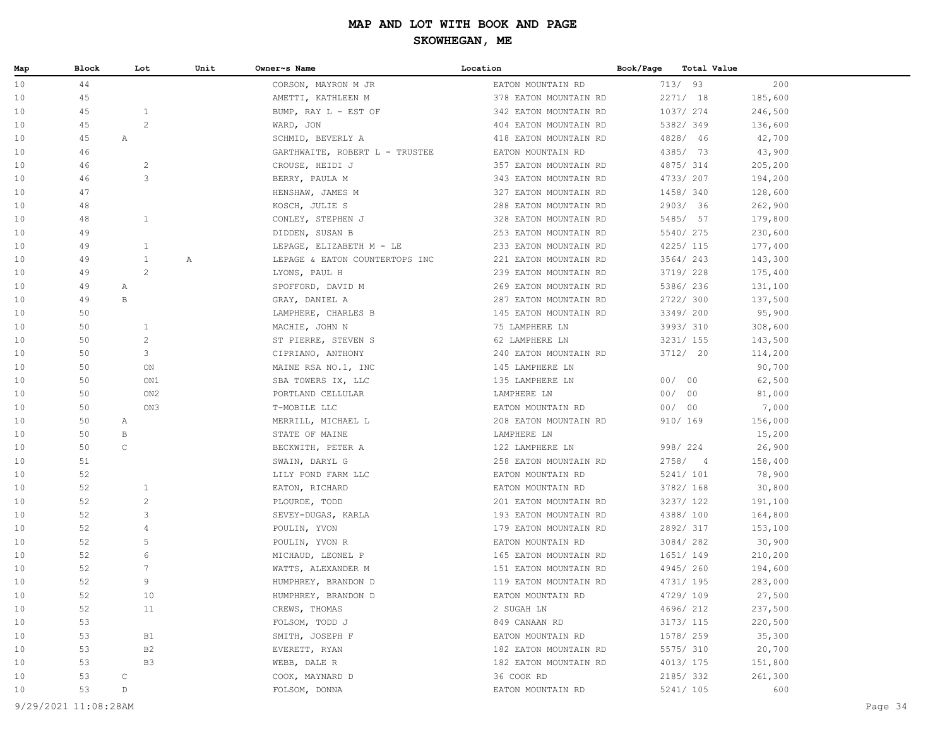| Map | Block | Lot                   | Unit | Owner~s Name                   | Location              | Total Value<br>Book/Page |         |  |
|-----|-------|-----------------------|------|--------------------------------|-----------------------|--------------------------|---------|--|
| 10  | 44    |                       |      | CORSON, MAYRON M JR            | EATON MOUNTAIN RD     | 713/93                   | 200     |  |
| 10  | 45    |                       |      | AMETTI, KATHLEEN M             | 378 EATON MOUNTAIN RD | 2271/18                  | 185,600 |  |
| 10  | 45    | $\mathbf{1}$          |      | BUMP, RAY L - EST OF           | 342 EATON MOUNTAIN RD | 1037/ 274                | 246,500 |  |
| 10  | 45    | $\overline{c}$        |      | WARD, JON                      | 404 EATON MOUNTAIN RD | 5382/349                 | 136,600 |  |
| 10  | 45    | Α                     |      | SCHMID, BEVERLY A              | 418 EATON MOUNTAIN RD | 4828/ 46                 | 42,700  |  |
| 10  | 46    |                       |      | GARTHWAITE, ROBERT L - TRUSTEE | EATON MOUNTAIN RD     | 4385/ 73                 | 43,900  |  |
| 10  | 46    | $\overline{c}$        |      | CROUSE, HEIDI J                | 357 EATON MOUNTAIN RD | 4875/ 314                | 205,200 |  |
| 10  | 46    | 3                     |      | BERRY, PAULA M                 | 343 EATON MOUNTAIN RD | 4733/ 207                | 194,200 |  |
| 10  | 47    |                       |      | HENSHAW, JAMES M               | 327 EATON MOUNTAIN RD | 1458/ 340                | 128,600 |  |
| 10  | 48    |                       |      | KOSCH, JULIE S                 | 288 EATON MOUNTAIN RD | 2903/ 36                 | 262,900 |  |
| 10  | 48    | $\mathbf{1}$          |      | CONLEY, STEPHEN J              | 328 EATON MOUNTAIN RD | 5485/ 57                 | 179,800 |  |
| 10  | 49    |                       |      | DIDDEN, SUSAN B                | 253 EATON MOUNTAIN RD | 5540/275                 | 230,600 |  |
| 10  | 49    | $\mathbf{1}$          |      | LEPAGE, ELIZABETH M - LE       | 233 EATON MOUNTAIN RD | 4225/ 115                | 177,400 |  |
| 10  | 49    | $\mathbf{1}$          | Α    | LEPAGE & EATON COUNTERTOPS INC | 221 EATON MOUNTAIN RD | 3564/243                 | 143,300 |  |
| 10  | 49    | $\mathbf{2}^{\prime}$ |      | LYONS, PAUL H                  | 239 EATON MOUNTAIN RD | 3719/ 228                | 175,400 |  |
| 10  | 49    | Α                     |      | SPOFFORD, DAVID M              | 269 EATON MOUNTAIN RD | 5386/ 236                | 131,100 |  |
| 10  | 49    | B                     |      | GRAY, DANIEL A                 | 287 EATON MOUNTAIN RD | 2722/ 300                | 137,500 |  |
| 10  | 50    |                       |      | LAMPHERE, CHARLES B            | 145 EATON MOUNTAIN RD | 3349/ 200                | 95,900  |  |
| 10  | 50    | $\mathbf{1}$          |      | MACHIE, JOHN N                 | 75 LAMPHERE LN        | 3993/ 310                | 308,600 |  |
| 10  | 50    | $\overline{c}$        |      | ST PIERRE, STEVEN S            | 62 LAMPHERE LN        | 3231/ 155                | 143,500 |  |
| 10  | 50    | 3                     |      | CIPRIANO, ANTHONY              | 240 EATON MOUNTAIN RD | 3712/ 20                 | 114,200 |  |
| 10  | 50    | ON                    |      | MAINE RSA NO.1, INC            | 145 LAMPHERE LN       |                          | 90,700  |  |
| 10  | 50    | ON1                   |      | SBA TOWERS IX, LLC             | 135 LAMPHERE LN       | 00/00                    | 62,500  |  |
| 10  | 50    | ON <sub>2</sub>       |      | PORTLAND CELLULAR              | LAMPHERE LN           | 00/00                    | 81,000  |  |
| 10  | 50    | ON3                   |      | T-MOBILE LLC                   | EATON MOUNTAIN RD     | 00/00                    | 7,000   |  |
| 10  | 50    | A                     |      | MERRILL, MICHAEL L             | 208 EATON MOUNTAIN RD | 910/ 169                 | 156,000 |  |
| 10  | 50    | В                     |      | STATE OF MAINE                 | LAMPHERE LN           |                          | 15,200  |  |
| 10  | 50    | $\mathsf C$           |      | BECKWITH, PETER A              | 122 LAMPHERE LN       | 998/ 224                 | 26,900  |  |
| 10  | 51    |                       |      | SWAIN, DARYL G                 | 258 EATON MOUNTAIN RD | 2758/4                   | 158,400 |  |
| 10  | 52    |                       |      | LILY POND FARM LLC             | EATON MOUNTAIN RD     | 5241/ 101                | 78,900  |  |
| 10  | 52    | $\mathbf{1}$          |      | EATON, RICHARD                 | EATON MOUNTAIN RD     | 3782/ 168                | 30,800  |  |
| 10  | 52    | $\overline{c}$        |      | PLOURDE, TODD                  | 201 EATON MOUNTAIN RD | 3237/ 122                | 191,100 |  |
| 10  | 52    | 3                     |      | SEVEY-DUGAS, KARLA             | 193 EATON MOUNTAIN RD | 4388/ 100                | 164,800 |  |
| 10  | 52    | 4                     |      | POULIN, YVON                   | 179 EATON MOUNTAIN RD | 2892/317                 | 153,100 |  |
| 10  | 52    | 5                     |      | POULIN, YVON R                 | EATON MOUNTAIN RD     | 3084/282                 | 30,900  |  |
| 10  | 52    | 6                     |      | MICHAUD, LEONEL P              | 165 EATON MOUNTAIN RD | 1651/ 149                | 210,200 |  |
| 10  | 52    | 7                     |      | WATTS, ALEXANDER M             | 151 EATON MOUNTAIN RD | 4945/260                 | 194,600 |  |
| 10  | 52    | 9                     |      | HUMPHREY, BRANDON D            | 119 EATON MOUNTAIN RD | 4731/ 195                | 283,000 |  |
| 10  | 52    | 10                    |      | HUMPHREY, BRANDON D            | EATON MOUNTAIN RD     | 4729/109                 | 27,500  |  |
| 10  | 52    | 11                    |      | CREWS, THOMAS                  | 2 SUGAH LN            | 4696/212                 | 237,500 |  |
| 10  | 53    |                       |      | FOLSOM, TODD J                 | 849 CANAAN RD         | 3173/ 115                | 220,500 |  |
| 10  | 53    | <b>B1</b>             |      | SMITH, JOSEPH F                | EATON MOUNTAIN RD     | 1578/ 259                | 35,300  |  |
| 10  | 53    | B2                    |      | EVERETT, RYAN                  | 182 EATON MOUNTAIN RD | 5575/ 310                | 20,700  |  |
| 10  | 53    | B3                    |      | WEBB, DALE R                   | 182 EATON MOUNTAIN RD | 4013/ 175                | 151,800 |  |
| 10  | 53    | $\mathsf C$           |      | COOK, MAYNARD D                | 36 COOK RD            | 2185/332                 | 261,300 |  |
| 10  | 53    | D                     |      | FOLSOM, DONNA                  | EATON MOUNTAIN RD     | 5241/ 105                | 600     |  |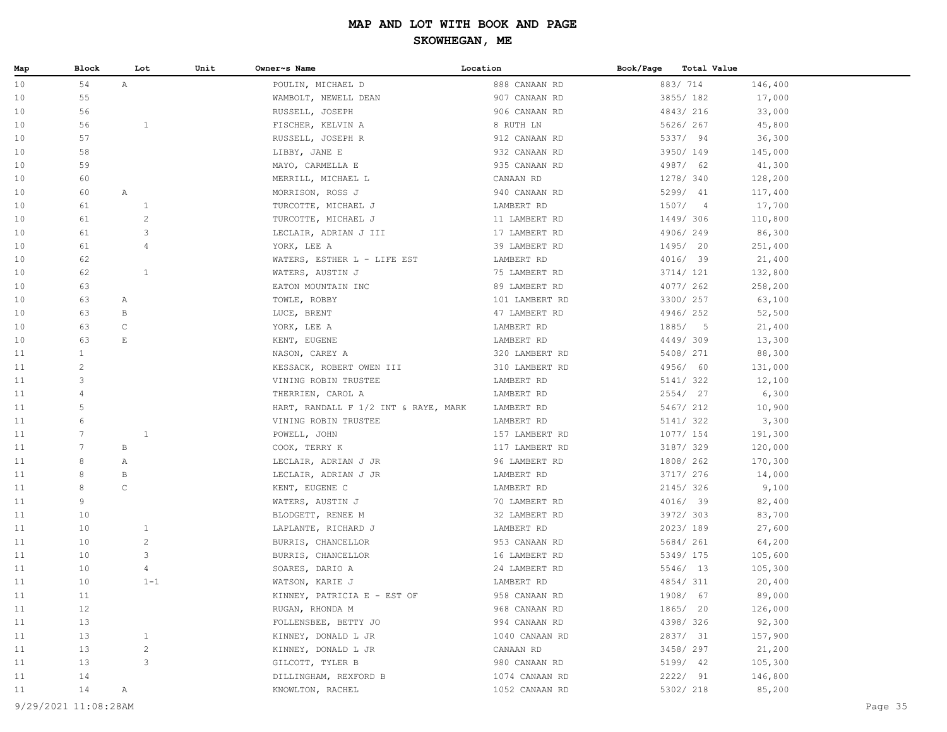| Map | Block                | Lot                   | Unit | Owner~s Name                         | Location       | Book/Page | Total Value |         |
|-----|----------------------|-----------------------|------|--------------------------------------|----------------|-----------|-------------|---------|
| 10  | 54                   | $\mathbb{A}$          |      | POULIN, MICHAEL D                    | 888 CANAAN RD  |           | 883/714     | 146,400 |
| 10  | 55                   |                       |      | WAMBOLT, NEWELL DEAN                 | 907 CANAAN RD  |           | 3855/182    | 17,000  |
| 10  | 56                   |                       |      | RUSSELL, JOSEPH                      | 906 CANAAN RD  |           | 4843/216    | 33,000  |
| 10  | 56                   | $\mathbf{1}$          |      | FISCHER, KELVIN A                    | 8 RUTH LN      |           | 5626/ 267   | 45,800  |
| 10  | 57                   |                       |      | RUSSELL, JOSEPH R                    | 912 CANAAN RD  |           | 5337/ 94    | 36,300  |
| 10  | 58                   |                       |      | LIBBY, JANE E                        | 932 CANAAN RD  |           | 3950/ 149   | 145,000 |
| 10  | 59                   |                       |      | MAYO, CARMELLA E                     | 935 CANAAN RD  |           | 4987/ 62    | 41,300  |
| 10  | 60                   |                       |      | MERRILL, MICHAEL L                   | CANAAN RD      |           | 1278/ 340   | 128,200 |
| 10  | 60                   | Α                     |      | MORRISON, ROSS J                     | 940 CANAAN RD  |           | 5299/ 41    | 117,400 |
| 10  | 61                   | $\mathbf{1}$          |      | TURCOTTE, MICHAEL J                  | LAMBERT RD     |           | 1507/4      | 17,700  |
| 10  | 61                   | $\sqrt{2}$            |      | TURCOTTE, MICHAEL J                  | 11 LAMBERT RD  |           | 1449/ 306   | 110,800 |
| 10  | 61                   | 3                     |      | LECLAIR, ADRIAN J III                | 17 LAMBERT RD  |           | 4906/249    | 86,300  |
| 10  | 61                   | 4                     |      | YORK, LEE A                          | 39 LAMBERT RD  |           | 1495/ 20    | 251,400 |
| 10  | 62                   |                       |      | WATERS, ESTHER L - LIFE EST          | LAMBERT RD     |           | 4016/ 39    | 21,400  |
| 10  | 62                   | $\mathbf{1}$          |      | WATERS, AUSTIN J                     | 75 LAMBERT RD  |           | 3714/ 121   | 132,800 |
| 10  | 63                   |                       |      | EATON MOUNTAIN INC                   | 89 LAMBERT RD  |           | 4077/262    | 258,200 |
| 10  | 63                   | A                     |      | TOWLE, ROBBY                         | 101 LAMBERT RD |           | 3300/ 257   | 63,100  |
| 10  | 63                   | В                     |      | LUCE, BRENT                          | 47 LAMBERT RD  |           | 4946/252    | 52,500  |
| 10  | 63                   | $\mathsf C$           |      | YORK, LEE A                          | LAMBERT RD     |           | 1885/5      | 21,400  |
| 10  | 63                   | $\mathop{}\mathbb{E}$ |      | KENT, EUGENE                         | LAMBERT RD     |           | 4449/309    | 13,300  |
| 11  | $\mathbf{1}$         |                       |      | NASON, CAREY A                       | 320 LAMBERT RD |           | 5408/ 271   | 88,300  |
| 11  | $\overline{c}$       |                       |      | KESSACK, ROBERT OWEN III             | 310 LAMBERT RD |           | 4956/ 60    | 131,000 |
| 11  | 3                    |                       |      | VINING ROBIN TRUSTEE                 | LAMBERT RD     |           | 5141/ 322   | 12,100  |
| 11  | $\overline{4}$       |                       |      | THERRIEN, CAROL A                    | LAMBERT RD     |           | 2554/ 27    | 6,300   |
| 11  | 5                    |                       |      | HART, RANDALL F 1/2 INT & RAYE, MARK | LAMBERT RD     |           | 5467/ 212   | 10,900  |
| 11  | 6                    |                       |      | VINING ROBIN TRUSTEE                 | LAMBERT RD     |           | 5141/ 322   | 3,300   |
| 11  | $7\phantom{.0}$      | $1\,$                 |      | POWELL, JOHN                         | 157 LAMBERT RD |           | 1077/ 154   | 191,300 |
| 11  | $7\phantom{.0}$      | В                     |      | COOK, TERRY K                        | 117 LAMBERT RD |           | 3187/ 329   | 120,000 |
| 11  | 8                    | Α                     |      | LECLAIR, ADRIAN J JR                 | 96 LAMBERT RD  |           | 1808/ 262   | 170,300 |
| 11  | 8                    | В                     |      | LECLAIR, ADRIAN J JR                 | LAMBERT RD     |           | 3717/ 276   | 14,000  |
| 11  | 8                    | $\mathsf C$           |      | KENT, EUGENE C                       | LAMBERT RD     |           | 2145/326    | 9,100   |
| 11  | 9                    |                       |      | WATERS, AUSTIN J                     | 70 LAMBERT RD  |           | 4016/ 39    | 82,400  |
| 11  | 10                   |                       |      | BLODGETT, RENEE M                    | 32 LAMBERT RD  |           | 3972/303    | 83,700  |
| 11  | 10                   | $\mathbf{1}$          |      | LAPLANTE, RICHARD J                  | LAMBERT RD     |           | 2023/189    | 27,600  |
| 11  | 10                   | $\sqrt{2}$            |      | BURRIS, CHANCELLOR                   | 953 CANAAN RD  |           | 5684/ 261   | 64,200  |
| 11  | 10                   | 3                     |      | BURRIS, CHANCELLOR                   | 16 LAMBERT RD  |           | 5349/ 175   | 105,600 |
| 11  | 10                   | 4                     |      | SOARES, DARIO A                      | 24 LAMBERT RD  |           | 5546/ 13    | 105,300 |
| 11  | 10                   | $1 - 1$               |      | WATSON, KARIE J                      | LAMBERT RD     |           | 4854/311    | 20,400  |
| 11  | 11                   |                       |      | KINNEY, PATRICIA E - EST OF          | 958 CANAAN RD  |           | 1908/ 67    | 89,000  |
| 11  | 12                   |                       |      | RUGAN, RHONDA M                      | 968 CANAAN RD  |           | 1865/ 20    | 126,000 |
| 11  | 13                   |                       |      | FOLLENSBEE, BETTY JO                 | 994 CANAAN RD  |           | 4398/326    | 92,300  |
| 11  | 13                   | $\mathbf{1}$          |      | KINNEY, DONALD L JR                  | 1040 CANAAN RD |           | 2837/ 31    | 157,900 |
| 11  | 13                   | $\sqrt{2}$            |      | KINNEY, DONALD L JR                  | CANAAN RD      |           | 3458/ 297   | 21,200  |
| 11  | 13                   | 3                     |      | GILCOTT, TYLER B                     | 980 CANAAN RD  |           | 5199/ 42    | 105,300 |
| 11  | 14                   |                       |      | DILLINGHAM, REXFORD B                | 1074 CANAAN RD |           | 2222/ 91    | 146,800 |
| 11  | $14$                 | Α                     |      | KNOWLTON, RACHEL                     | 1052 CANAAN RD |           | 5302/ 218   | 85,200  |
|     |                      |                       |      |                                      |                |           |             |         |
|     | 9/29/2021 11:08:28AM |                       |      |                                      |                |           |             | Page 35 |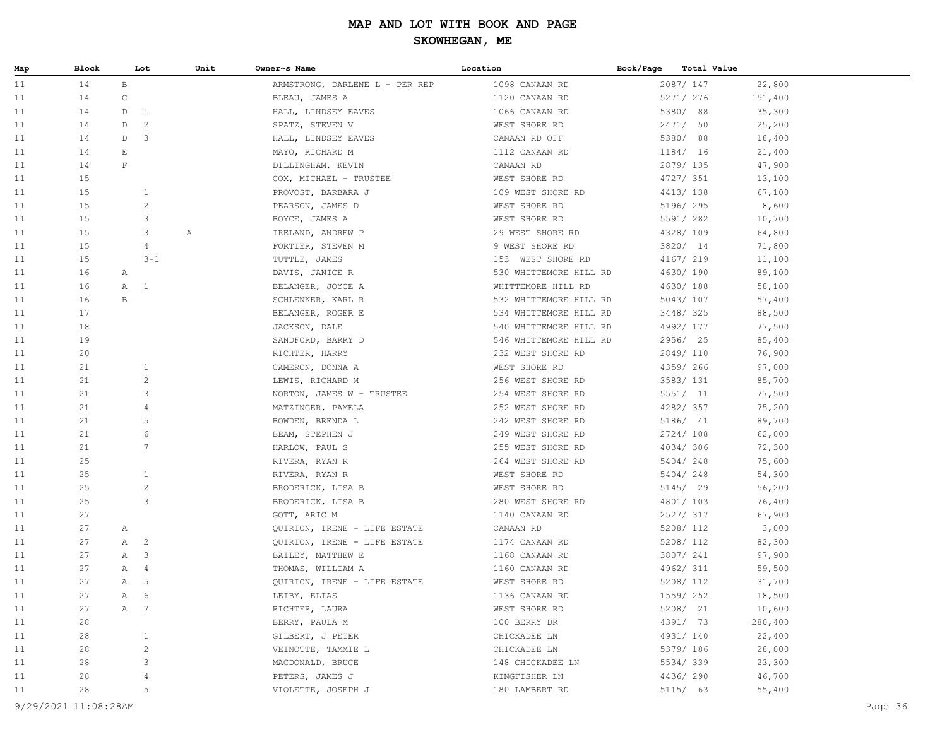| Map | Block |                       | Lot             | Unit | Owner~s Name                   | Location               | Book/Page | Total Value |         |  |
|-----|-------|-----------------------|-----------------|------|--------------------------------|------------------------|-----------|-------------|---------|--|
| 11  | 14    | $\, {\bf B}$          |                 |      | ARMSTRONG, DARLENE L - PER REP | 1098 CANAAN RD         |           | 2087/ 147   | 22,800  |  |
| 11  | 14    | $\mathsf C$           |                 |      | BLEAU, JAMES A                 | 1120 CANAAN RD         |           | 5271/ 276   | 151,400 |  |
| 11  | 14    | D                     | $\mathbf{1}$    |      | HALL, LINDSEY EAVES            | 1066 CANAAN RD         |           | 5380/ 88    | 35,300  |  |
| 11  | 14    | D                     | $\overline{c}$  |      | SPATZ, STEVEN V                | WEST SHORE RD          |           | 2471/ 50    | 25,200  |  |
| 11  | 14    | D                     | 3               |      | HALL, LINDSEY EAVES            | CANAAN RD OFF          |           | 5380/ 88    | 18,400  |  |
| 11  | 14    | $\mathop{}\mathbb{E}$ |                 |      | MAYO, RICHARD M                | 1112 CANAAN RD         |           | 1184/ 16    | 21,400  |  |
| 11  | 14    | $\mathbf{F}$          |                 |      | DILLINGHAM, KEVIN              | CANAAN RD              |           | 2879/ 135   | 47,900  |  |
| 11  | 15    |                       |                 |      | COX, MICHAEL - TRUSTEE         | WEST SHORE RD          |           | 4727/ 351   | 13,100  |  |
| 11  | 15    |                       | $\mathbf{1}$    |      | PROVOST, BARBARA J             | 109 WEST SHORE RD      |           | 4413/ 138   | 67,100  |  |
| 11  | 15    |                       | $\sqrt{2}$      |      | PEARSON, JAMES D               | WEST SHORE RD          |           | 5196/ 295   | 8,600   |  |
| 11  | 15    |                       | 3               |      | BOYCE, JAMES A                 | WEST SHORE RD          |           | 5591/282    | 10,700  |  |
| 11  | 15    |                       | 3               | Α    | IRELAND, ANDREW P              | 29 WEST SHORE RD       |           | 4328/109    | 64,800  |  |
| 11  | 15    |                       | $\overline{4}$  |      | FORTIER, STEVEN M              | 9 WEST SHORE RD        |           | 3820/ 14    | 71,800  |  |
| 11  | 15    |                       | $3 - 1$         |      | TUTTLE, JAMES                  | 153 WEST SHORE RD      |           | 4167/ 219   | 11,100  |  |
| 11  | 16    | A                     |                 |      | DAVIS, JANICE R                | 530 WHITTEMORE HILL RD |           | 4630/ 190   | 89,100  |  |
| 11  | 16    | Α                     | $\mathbf{1}$    |      | BELANGER, JOYCE A              | WHITTEMORE HILL RD     |           | 4630/188    | 58,100  |  |
| 11  | 16    | $\, {\bf B}$          |                 |      | SCHLENKER, KARL R              | 532 WHITTEMORE HILL RD |           | 5043/ 107   | 57,400  |  |
| 11  | 17    |                       |                 |      | BELANGER, ROGER E              | 534 WHITTEMORE HILL RD |           | 3448/325    | 88,500  |  |
| 11  | 18    |                       |                 |      | JACKSON, DALE                  | 540 WHITTEMORE HILL RD |           | 4992/ 177   | 77,500  |  |
| 11  | 19    |                       |                 |      | SANDFORD, BARRY D              | 546 WHITTEMORE HILL RD |           | 2956/ 25    | 85,400  |  |
| 11  | 20    |                       |                 |      | RICHTER, HARRY                 | 232 WEST SHORE RD      |           | 2849/ 110   | 76,900  |  |
| 11  | 21    |                       | $\mathbf{1}$    |      | CAMERON, DONNA A               | WEST SHORE RD          |           | 4359/266    | 97,000  |  |
| 11  | 21    |                       | $\mathbf{2}$    |      | LEWIS, RICHARD M               | 256 WEST SHORE RD      |           | 3583/ 131   | 85,700  |  |
| 11  | 21    |                       | 3               |      | NORTON, JAMES W - TRUSTEE      | 254 WEST SHORE RD      |           | 5551/ 11    | 77,500  |  |
| 11  | 21    |                       | $\overline{4}$  |      | MATZINGER, PAMELA              | 252 WEST SHORE RD      |           | 4282/357    | 75,200  |  |
| 11  | 21    |                       | 5               |      | BOWDEN, BRENDA L               | 242 WEST SHORE RD      |           | 5186/ 41    | 89,700  |  |
| 11  | 21    |                       | 6               |      | BEAM, STEPHEN J                | 249 WEST SHORE RD      |           | 2724/108    | 62,000  |  |
| 11  | 21    |                       | $7\phantom{.0}$ |      | HARLOW, PAUL S                 | 255 WEST SHORE RD      |           | 4034/306    | 72,300  |  |
| 11  | 25    |                       |                 |      | RIVERA, RYAN R                 | 264 WEST SHORE RD      |           | 5404/248    | 75,600  |  |
| 11  | 25    |                       | $\mathbf{1}$    |      | RIVERA, RYAN R                 | WEST SHORE RD          |           | 5404/248    | 54,300  |  |
| 11  | 25    |                       | $\mathbf{2}$    |      | BRODERICK, LISA B              | WEST SHORE RD          |           | 5145/ 29    | 56,200  |  |
| 11  | 25    |                       | 3               |      | BRODERICK, LISA B              | 280 WEST SHORE RD      |           | 4801/103    | 76,400  |  |
| 11  | 27    |                       |                 |      | GOTT, ARIC M                   | 1140 CANAAN RD         |           | 2527/ 317   | 67,900  |  |
| 11  | 27    | A                     |                 |      | QUIRION, IRENE - LIFE ESTATE   | CANAAN RD              |           | 5208/ 112   | 3,000   |  |
| 11  | 27    | $\mathbb{A}$          | $\overline{c}$  |      | QUIRION, IRENE - LIFE ESTATE   | 1174 CANAAN RD         |           | 5208/ 112   | 82,300  |  |
| 11  | 27    | $\mathbb{A}$          | 3               |      | BAILEY, MATTHEW E              | 1168 CANAAN RD         |           | 3807/ 241   | 97,900  |  |
| 11  | 27    | A                     | $\overline{4}$  |      | THOMAS, WILLIAM A              | 1160 CANAAN RD         |           | 4962/ 311   | 59,500  |  |
| 11  | 27    | Α                     | 5               |      | OUIRION, IRENE - LIFE ESTATE   | WEST SHORE RD          |           | 5208/ 112   | 31,700  |  |
| 11  | 27    | Α                     | 6               |      | LEIBY, ELIAS                   | 1136 CANAAN RD         |           | 1559/252    | 18,500  |  |
| 11  | 27    | A 7                   |                 |      | RICHTER, LAURA                 | WEST SHORE RD          |           | 5208/ 21    | 10,600  |  |
| 11  | 28    |                       |                 |      | BERRY, PAULA M                 | 100 BERRY DR           |           | 4391/ 73    | 280,400 |  |
| 11  | 28    |                       | $\mathbf{1}$    |      | GILBERT, J PETER               | CHICKADEE LN           |           | 4931/140    | 22,400  |  |
| 11  | 28    |                       | $\mathbf{2}$    |      | VEINOTTE, TAMMIE L             | CHICKADEE LN           |           | 5379/ 186   | 28,000  |  |
| 11  | 28    |                       | 3               |      | MACDONALD, BRUCE               | 148 CHICKADEE LN       |           | 5534/339    | 23,300  |  |
| 11  | 28    |                       | $\overline{4}$  |      | PETERS, JAMES J                | KINGFISHER LN          |           | 4436/290    | 46,700  |  |
| 11  | 28    |                       | 5               |      | VIOLETTE, JOSEPH J             | 180 LAMBERT RD         |           | 5115/ 63    | 55,400  |  |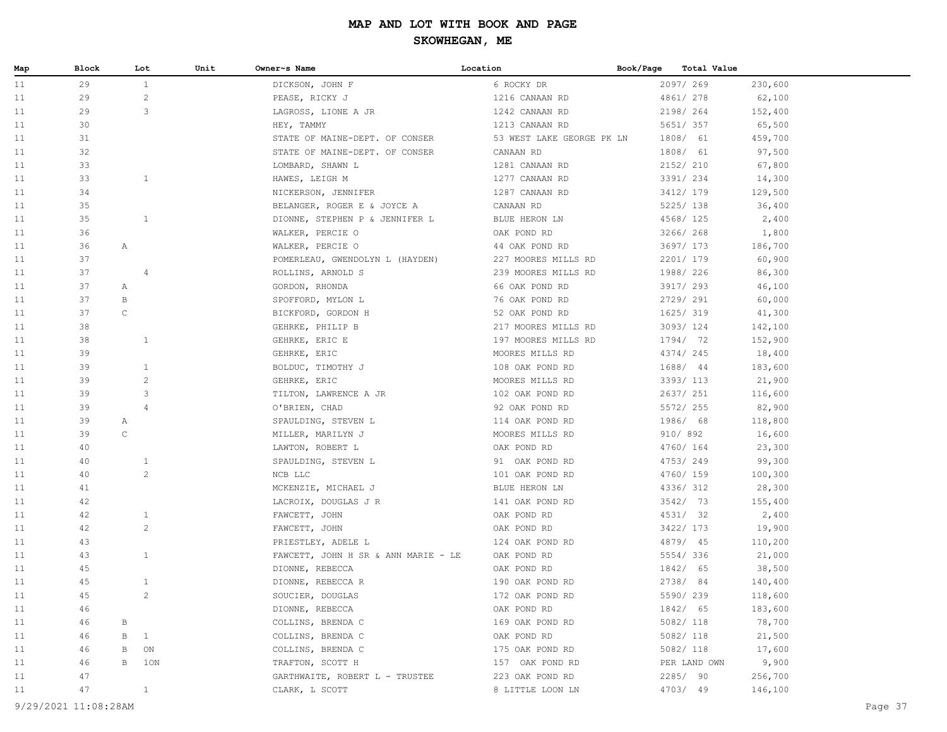| Map | Block                |             | Lot            | Unit | Owner~s Name                        | Location                  | Book/Page |              | Total Value |         |
|-----|----------------------|-------------|----------------|------|-------------------------------------|---------------------------|-----------|--------------|-------------|---------|
| 11  | 29                   |             | $\mathbf{1}$   |      | DICKSON, JOHN F                     | 6 ROCKY DR                |           | 2097/269     | 230,600     |         |
| 11  | 29                   |             | 2              |      | PEASE, RICKY J                      | 1216 CANAAN RD            |           | 4861/ 278    | 62,100      |         |
| 11  | 29                   |             | 3              |      | LAGROSS, LIONE A JR                 | 1242 CANAAN RD            |           | 2198/ 264    | 152,400     |         |
| 11  | 30                   |             |                |      | HEY, TAMMY                          | 1213 CANAAN RD            |           | 5651/ 357    | 65,500      |         |
| 11  | 31                   |             |                |      | STATE OF MAINE-DEPT. OF CONSER      | 53 WEST LAKE GEORGE PK LN |           | 1808/ 61     | 459,700     |         |
| 11  | 32                   |             |                |      | STATE OF MAINE-DEPT. OF CONSER      | CANAAN RD                 |           | 1808/ 61     | 97,500      |         |
| 11  | 33                   |             |                |      | LOMBARD, SHAWN L                    | 1281 CANAAN RD            |           | 2152/ 210    | 67,800      |         |
| 11  | 33                   |             | $\mathbf{1}$   |      | HAWES, LEIGH M                      | 1277 CANAAN RD            |           | 3391/ 234    | 14,300      |         |
| 11  | 34                   |             |                |      | NICKERSON, JENNIFER                 | 1287 CANAAN RD            |           | 3412/ 179    | 129,500     |         |
| 11  | 35                   |             |                |      | BELANGER, ROGER E & JOYCE A         | CANAAN RD                 |           | 5225/ 138    | 36,400      |         |
| 11  | 35                   |             | $\mathbf{1}$   |      | DIONNE, STEPHEN P & JENNIFER L      | BLUE HERON LN             |           | 4568/ 125    | 2,400       |         |
| 11  | 36                   |             |                |      | WALKER, PERCIE O                    | OAK POND RD               |           | 3266/268     | 1,800       |         |
| 11  | 36                   | Α           |                |      | WALKER, PERCIE O                    | 44 OAK POND RD            |           | 3697/ 173    | 186,700     |         |
| 11  | 37                   |             |                |      | POMERLEAU, GWENDOLYN L (HAYDEN)     | 227 MOORES MILLS RD       |           | 2201/ 179    | 60,900      |         |
| 11  | 37                   |             | 4              |      | ROLLINS, ARNOLD S                   | 239 MOORES MILLS RD       |           | 1988/ 226    | 86,300      |         |
| 11  | 37                   | Α           |                |      | GORDON, RHONDA                      | 66 OAK POND RD            |           | 3917/ 293    | 46,100      |         |
| 11  | 37                   | B           |                |      | SPOFFORD, MYLON L                   | 76 OAK POND RD            |           | 2729/ 291    | 60,000      |         |
| 11  | 37                   | $\mathsf C$ |                |      | BICKFORD, GORDON H                  | 52 OAK POND RD            |           | 1625/ 319    | 41,300      |         |
| 11  | 38                   |             |                |      | GEHRKE, PHILIP B                    | 217 MOORES MILLS RD       |           | 3093/124     | 142,100     |         |
| 11  | 38                   |             | $\mathbf{1}$   |      | GEHRKE, ERIC E                      | 197 MOORES MILLS RD       |           | 1794/ 72     | 152,900     |         |
| 11  | 39                   |             |                |      | GEHRKE, ERIC                        | MOORES MILLS RD           |           | 4374/245     | 18,400      |         |
| 11  | 39                   |             | $\mathbf{1}$   |      | BOLDUC, TIMOTHY J                   | 108 OAK POND RD           |           | 1688/ 44     | 183,600     |         |
| 11  | 39                   |             | $\overline{c}$ |      | GEHRKE, ERIC                        | MOORES MILLS RD           |           | 3393/ 113    | 21,900      |         |
| 11  | 39                   |             | 3              |      | TILTON, LAWRENCE A JR               | 102 OAK POND RD           |           | 2637/ 251    | 116,600     |         |
| 11  | 39                   |             | $\overline{4}$ |      | O'BRIEN, CHAD                       | 92 OAK POND RD            |           | 5572/ 255    | 82,900      |         |
| 11  | 39                   | Α           |                |      | SPAULDING, STEVEN L                 | 114 OAK POND RD           |           | 1986/ 68     | 118,800     |         |
| 11  | 39                   | $\mathsf C$ |                |      | MILLER, MARILYN J                   | MOORES MILLS RD           |           | 910/892      | 16,600      |         |
| 11  | 40                   |             |                |      | LAWTON, ROBERT L                    | OAK POND RD               |           | 4760/ 164    | 23,300      |         |
| 11  | 40                   |             | $\mathbf{1}$   |      | SPAULDING, STEVEN L                 | 91 OAK POND RD            |           | 4753/249     | 99,300      |         |
| 11  | 40                   |             | 2              |      | NCB LLC                             | 101 OAK POND RD           |           | 4760/ 159    | 100,300     |         |
| 11  | 41                   |             |                |      | MCKENZIE, MICHAEL J                 | BLUE HERON LN             |           | 4336/312     | 28,300      |         |
| 11  | 42                   |             |                |      | LACROIX, DOUGLAS J R                | 141 OAK POND RD           |           | 3542/73      | 155,400     |         |
| 11  | 42                   |             | $\mathbf{1}$   |      | FAWCETT, JOHN                       | OAK POND RD               |           | 4531/ 32     | 2,400       |         |
| 11  | 42                   |             | 2              |      | FAWCETT, JOHN                       | OAK POND RD               |           | 3422/ 173    | 19,900      |         |
| 11  | 43                   |             |                |      | PRIESTLEY, ADELE L                  | 124 OAK POND RD           |           | 4879/ 45     | 110,200     |         |
| 11  | 43                   |             | $\mathbf{1}$   |      | FAWCETT, JOHN H SR & ANN MARIE - LE | OAK POND RD               |           | 5554/336     | 21,000      |         |
| 11  | 45                   |             |                |      | DIONNE, REBECCA                     | OAK POND RD               |           | 1842/ 65     | 38,500      |         |
| 11  | 45                   |             | $\mathbf{1}$   |      | DIONNE, REBECCA R                   | 190 OAK POND RD           |           | 2738/ 84     | 140,400     |         |
| 11  | 45                   |             | 2              |      | SOUCIER, DOUGLAS                    | 172 OAK POND RD           |           | 5590/239     | 118,600     |         |
| 11  | 46                   |             |                |      | DIONNE, REBECCA                     | OAK POND RD               |           | 1842/ 65     | 183,600     |         |
| 11  | 46                   | В           |                |      | COLLINS, BRENDA C                   | 169 OAK POND RD           |           | 5082/ 118    | 78,700      |         |
| 11  | 46                   | В           | $\mathbf{1}$   |      | COLLINS, BRENDA C                   | OAK POND RD               |           | 5082/ 118    | 21,500      |         |
| 11  | 46                   | В           | ON             |      | COLLINS, BRENDA C                   | 175 OAK POND RD           |           | 5082/ 118    | 17,600      |         |
| 11  | 46                   | B           | 1ON            |      | TRAFTON, SCOTT H                    | 157 OAK POND RD           |           | PER LAND OWN | 9,900       |         |
| 11  | 47                   |             |                |      | GARTHWAITE, ROBERT L - TRUSTEE      | 223 OAK POND RD           |           | 2285/ 90     | 256,700     |         |
| 11  | 47                   |             | $\mathbf{1}$   |      | CLARK, L SCOTT                      | 8 LITTLE LOON LN          |           | 4703/ 49     | 146,100     |         |
|     | 9/29/2021 11:08:28AM |             |                |      |                                     |                           |           |              |             | Page 37 |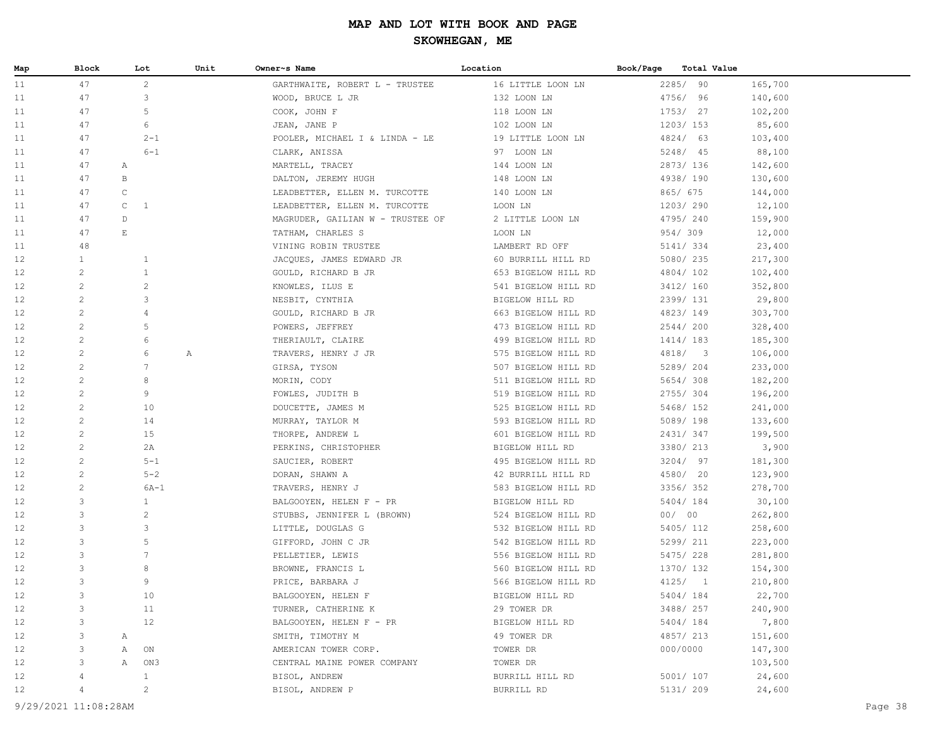| Map | Block                | Lot                   | Unit | Owner~s Name                     | Location            | Book/Page<br>Total Value |         |         |
|-----|----------------------|-----------------------|------|----------------------------------|---------------------|--------------------------|---------|---------|
| 11  | 47                   | $\overline{2}$        |      | GARTHWAITE, ROBERT L - TRUSTEE   | 16 LITTLE LOON LN   | 2285/ 90                 | 165,700 |         |
| 11  | 47                   | 3                     |      | WOOD, BRUCE L JR                 | 132 LOON LN         | 4756/ 96                 | 140,600 |         |
| 11  | 47                   | 5                     |      | COOK, JOHN F                     | 118 LOON LN         | 1753/ 27                 | 102,200 |         |
| 11  | 47                   | 6                     |      | JEAN, JANE P                     | 102 LOON LN         | 1203/153                 | 85,600  |         |
| 11  | 47                   | $2 - 1$               |      | POOLER, MICHAEL I & LINDA - LE   | 19 LITTLE LOON LN   | 4824/ 63                 | 103,400 |         |
| 11  | 47                   | $6 - 1$               |      | CLARK, ANISSA                    | 97 LOON LN          | 5248/ 45                 | 88,100  |         |
| 11  | 47                   | Α                     |      | MARTELL, TRACEY                  | 144 LOON LN         | 2873/136                 | 142,600 |         |
| 11  | 47                   | B                     |      | DALTON, JEREMY HUGH              | 148 LOON LN         | 4938/190                 | 130,600 |         |
| 11  | 47                   | $\mathsf C$           |      | LEADBETTER, ELLEN M. TURCOTTE    | 140 LOON LN         | 865/ 675                 | 144,000 |         |
| 11  | 47                   | $\mathsf C$<br>1      |      | LEADBETTER, ELLEN M. TURCOTTE    | LOON LN             | 1203/290                 | 12,100  |         |
| 11  | 47                   | D                     |      | MAGRUDER, GAILIAN W - TRUSTEE OF | 2 LITTLE LOON LN    | 4795/240                 | 159,900 |         |
| 11  | 47                   | $\mathop{}\mathbb{E}$ |      | TATHAM, CHARLES S                | LOON LN             | 954/309                  | 12,000  |         |
| 11  | 48                   |                       |      | VINING ROBIN TRUSTEE             | LAMBERT RD OFF      | 5141/ 334                | 23,400  |         |
| 12  | $\mathbf{1}$         | $\mathbf{1}$          |      | JACQUES, JAMES EDWARD JR         | 60 BURRILL HILL RD  | 5080/235                 | 217,300 |         |
| 12  | 2                    | 1                     |      | GOULD, RICHARD B JR              | 653 BIGELOW HILL RD | 4804/102                 | 102,400 |         |
| 12  | $\overline{c}$       | $\overline{c}$        |      | KNOWLES, ILUS E                  | 541 BIGELOW HILL RD | 3412/ 160                | 352,800 |         |
| 12  | $\mathbf{2}$         | 3                     |      | NESBIT, CYNTHIA                  | BIGELOW HILL RD     | 2399/ 131                | 29,800  |         |
| 12  | 2                    | 4                     |      | GOULD, RICHARD B JR              | 663 BIGELOW HILL RD | 4823/149                 | 303,700 |         |
| 12  | 2                    | 5                     |      | POWERS, JEFFREY                  | 473 BIGELOW HILL RD | 2544/200                 | 328,400 |         |
| 12  | 2                    | 6                     |      | THERIAULT, CLAIRE                | 499 BIGELOW HILL RD | 1414/183                 | 185,300 |         |
| 12  | $\mathbf{2}$         | 6                     | Α    | TRAVERS, HENRY J JR              | 575 BIGELOW HILL RD | 4818/3                   | 106,000 |         |
| 12  | 2                    | 7                     |      | GIRSA, TYSON                     | 507 BIGELOW HILL RD | 5289/ 204                | 233,000 |         |
| 12  | $\mathbf{2}$         | 8                     |      | MORIN, CODY                      | 511 BIGELOW HILL RD | 5654/308                 | 182,200 |         |
| 12  | 2                    | 9                     |      | FOWLES, JUDITH B                 | 519 BIGELOW HILL RD | 2755/304                 | 196,200 |         |
| 12  | 2                    | 10                    |      | DOUCETTE, JAMES M                | 525 BIGELOW HILL RD | 5468/ 152                | 241,000 |         |
| 12  | 2                    | 14                    |      |                                  | 593 BIGELOW HILL RD | 5089/198                 | 133,600 |         |
| 12  | $\mathbf{2}$         | 15                    |      | MURRAY, TAYLOR M                 |                     | 2431/347                 |         |         |
|     | $\mathbf{2}$         |                       |      | THORPE, ANDREW L                 | 601 BIGELOW HILL RD | 3380/ 213                | 199,500 |         |
| 12  | $\mathbf{2}$         | 2A<br>$5 - 1$         |      | PERKINS, CHRISTOPHER             | BIGELOW HILL RD     | 3204/97                  | 3,900   |         |
| 12  | 2                    |                       |      | SAUCIER, ROBERT                  | 495 BIGELOW HILL RD |                          | 181,300 |         |
| 12  | 2                    | $5 - 2$               |      | DORAN, SHAWN A                   | 42 BURRILL HILL RD  | 4580/ 20                 | 123,900 |         |
| 12  |                      | $6A-1$                |      | TRAVERS, HENRY J                 | 583 BIGELOW HILL RD | 3356/352                 | 278,700 |         |
| 12  | 3                    | $\mathbf{1}$          |      | BALGOOYEN, HELEN F - PR          | BIGELOW HILL RD     | 5404/184                 | 30,100  |         |
| 12  | 3                    | $\sqrt{2}$            |      | STUBBS, JENNIFER L (BROWN)       | 524 BIGELOW HILL RD | 00/00                    | 262,800 |         |
| 12  | 3                    | 3                     |      | LITTLE, DOUGLAS G                | 532 BIGELOW HILL RD | 5405/ 112                | 258,600 |         |
| 12  | 3                    | 5                     |      | GIFFORD, JOHN C JR               | 542 BIGELOW HILL RD | 5299/ 211                | 223,000 |         |
| 12  | 3                    | 7                     |      | PELLETIER, LEWIS                 | 556 BIGELOW HILL RD | 5475/228                 | 281,800 |         |
| 12  | 3                    | 8                     |      | BROWNE, FRANCIS L                | 560 BIGELOW HILL RD | 1370/ 132                | 154,300 |         |
| 12  | 3                    | 9                     |      | PRICE, BARBARA J                 | 566 BIGELOW HILL RD | 4125/1                   | 210,800 |         |
| 12  | 3                    | 10                    |      | BALGOOYEN, HELEN F               | BIGELOW HILL RD     | 5404/184                 | 22,700  |         |
| 12  | 3                    | 11                    |      | TURNER, CATHERINE K              | 29 TOWER DR         | 3488/ 257                | 240,900 |         |
| 12  | 3                    | 12                    |      | BALGOOYEN, HELEN F - PR          | BIGELOW HILL RD     | 5404/184                 | 7,800   |         |
| 12  | 3                    | Α                     |      | SMITH, TIMOTHY M                 | 49 TOWER DR         | 4857/ 213                | 151,600 |         |
| 12  | 3                    | ON<br>Α               |      | AMERICAN TOWER CORP.             | TOWER DR            | 000/0000                 | 147,300 |         |
| 12  | 3                    | Α<br>ON3              |      | CENTRAL MAINE POWER COMPANY      | TOWER DR            |                          | 103,500 |         |
| 12  |                      | 1                     |      | BISOL, ANDREW                    | BURRILL HILL RD     | 5001/ 107                | 24,600  |         |
| 12  |                      | $\overline{c}$        |      | BISOL, ANDREW P                  | BURRILL RD          | 5131/ 209                | 24,600  |         |
|     | 9/29/2021 11:08:28AM |                       |      |                                  |                     |                          |         | Page 38 |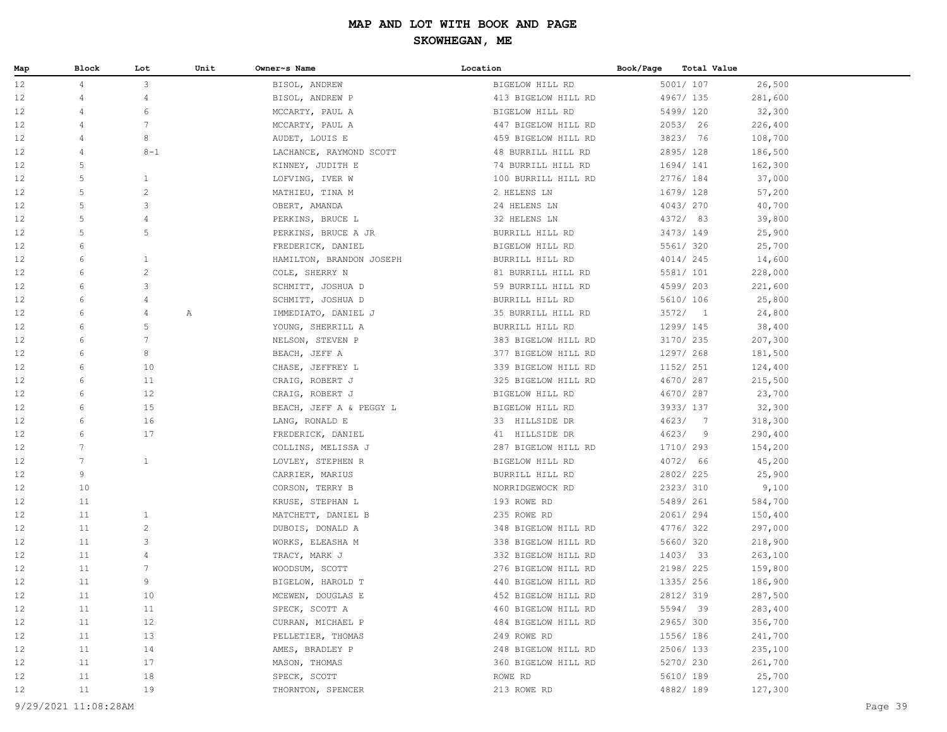| Map               | Block           | Lot            | Unit | Owner~s Name             | Location            | Book/Page<br>Total Value |         |
|-------------------|-----------------|----------------|------|--------------------------|---------------------|--------------------------|---------|
| 12                | $\overline{4}$  | 3              |      | BISOL, ANDREW            | BIGELOW HILL RD     | 5001/ 107                | 26,500  |
| 12                | 4               | 4              |      | BISOL, ANDREW P          | 413 BIGELOW HILL RD | 4967/ 135                | 281,600 |
| 12                | 4               | 6              |      | MCCARTY, PAUL A          | BIGELOW HILL RD     | 5499/ 120                | 32,300  |
| 12                | 4               | 7              |      | MCCARTY, PAUL A          | 447 BIGELOW HILL RD | 2053/26                  | 226,400 |
| 12                | 4               | 8              |      | AUDET, LOUIS E           | 459 BIGELOW HILL RD | 3823/ 76                 | 108,700 |
| 12                | 4               | $8 - 1$        |      | LACHANCE, RAYMOND SCOTT  | 48 BURRILL HILL RD  | 2895/128                 | 186,500 |
| 12                | 5               |                |      | KINNEY, JUDITH E         | 74 BURRILL HILL RD  | 1694/ 141                | 162,300 |
| 12                | 5               | 1              |      | LOFVING, IVER W          | 100 BURRILL HILL RD | 2776/ 184                | 37,000  |
| 12                | 5               | 2              |      | MATHIEU, TINA M          | 2 HELENS LN         | 1679/ 128                | 57,200  |
| 12                | 5               | 3              |      | OBERT, AMANDA            | 24 HELENS LN        | 4043/270                 | 40,700  |
| 12                | 5               | 4              |      | PERKINS, BRUCE L         | 32 HELENS LN        | 4372/ 83                 | 39,800  |
| 12                | 5               | 5              |      | PERKINS, BRUCE A JR      | BURRILL HILL RD     | 3473/149                 | 25,900  |
| 12                | 6               |                |      | FREDERICK, DANIEL        | BIGELOW HILL RD     | 5561/ 320                | 25,700  |
| 12                | 6               | 1              |      | HAMILTON, BRANDON JOSEPH | BURRILL HILL RD     | 4014/245                 | 14,600  |
| 12                | 6               | $\overline{c}$ |      | COLE, SHERRY N           | 81 BURRILL HILL RD  | 5581/ 101                | 228,000 |
| 12                | 6               | 3              |      | SCHMITT, JOSHUA D        | 59 BURRILL HILL RD  | 4599/ 203                | 221,600 |
| 12                | 6               | $\overline{4}$ |      | SCHMITT, JOSHUA D        | BURRILL HILL RD     | 5610/ 106                | 25,800  |
| 12                | 6               | $\overline{4}$ | Α    | IMMEDIATO, DANIEL J      | 35 BURRILL HILL RD  | 3572/1                   | 24,800  |
| 12                | 6               | 5              |      | YOUNG, SHERRILL A        | BURRILL HILL RD     | 1299/ 145                | 38,400  |
| 12                | 6               | 7              |      | NELSON, STEVEN P         | 383 BIGELOW HILL RD | 3170/ 235                | 207,300 |
| 12                | 6               | 8              |      | BEACH, JEFF A            | 377 BIGELOW HILL RD | 1297/ 268                | 181,500 |
| 12                | 6               | 10             |      | CHASE, JEFFREY L         | 339 BIGELOW HILL RD | 1152/ 251                | 124,400 |
| 12                | 6               | 11             |      | CRAIG, ROBERT J          | 325 BIGELOW HILL RD | 4670/287                 | 215,500 |
| 12                | 6               | 12             |      | CRAIG, ROBERT J          | BIGELOW HILL RD     | 4670/287                 | 23,700  |
| 12                | 6               | 15             |      | BEACH, JEFF A & PEGGY L  | BIGELOW HILL RD     | 3933/ 137                | 32,300  |
| 12                | 6               | 16             |      | LANG, RONALD E           | 33 HILLSIDE DR      | 4623/ 7                  | 318,300 |
| 12                | 6               | 17             |      | FREDERICK, DANIEL        | 41 HILLSIDE DR      | 4623/9                   | 290,400 |
| 12                | $7\phantom{.0}$ |                |      | COLLINS, MELISSA J       | 287 BIGELOW HILL RD | 1710/ 293                | 154,200 |
| 12                | 7               | $\mathbf{1}$   |      | LOVLEY, STEPHEN R        | BIGELOW HILL RD     | 4072/ 66                 | 45,200  |
| 12                | 9               |                |      | CARRIER, MARIUS          | BURRILL HILL RD     | 2802/225                 | 25,900  |
| 12                | 10              |                |      | CORSON, TERRY B          | NORRIDGEWOCK RD     | 2323/310                 | 9,100   |
| 12                | 11              |                |      | KRUSE, STEPHAN L         | 193 ROWE RD         | 5489/ 261                | 584,700 |
| 12                | 11              | 1              |      | MATCHETT, DANIEL B       | 235 ROWE RD         | 2061/294                 | 150,400 |
| 12                | 11              | $\overline{c}$ |      | DUBOIS, DONALD A         | 348 BIGELOW HILL RD | 4776/322                 | 297,000 |
| 12                | 11              | 3              |      | WORKS, ELEASHA M         | 338 BIGELOW HILL RD | 5660/320                 | 218,900 |
| 12                | 11              | $\overline{4}$ |      | TRACY, MARK J            | 332 BIGELOW HILL RD | 1403/33                  | 263,100 |
| 12                | 11              | 7              |      | WOODSUM, SCOTT           | 276 BIGELOW HILL RD | 2198/ 225                | 159,800 |
| 12                | 11              | 9              |      | BIGELOW, HAROLD T        | 440 BIGELOW HILL RD | 1335/ 256                | 186,900 |
| 12                | 11              | 10             |      | MCEWEN, DOUGLAS E        | 452 BIGELOW HILL RD | 2812/319                 | 287,500 |
| 12                | 11              | 11             |      | SPECK, SCOTT A           | 460 BIGELOW HILL RD | 5594/ 39                 | 283,400 |
| 12                | 11              | 12             |      | CURRAN, MICHAEL P        | 484 BIGELOW HILL RD | 2965/300                 | 356,700 |
| 12                | 11              | 13             |      | PELLETIER, THOMAS        | 249 ROWE RD         | 1556/186                 | 241,700 |
| 12                | 11              | 14             |      | AMES, BRADLEY P          | 248 BIGELOW HILL RD | 2506/133                 | 235,100 |
| 12                | 11              | 17             |      | MASON, THOMAS            | 360 BIGELOW HILL RD | 5270/ 230                | 261,700 |
| 12                | 11              | 18             |      | SPECK, SCOTT             | ROWE RD             | 5610/ 189                | 25,700  |
| $12 \overline{ }$ | 11              | 19             |      | THORNTON, SPENCER        | 213 ROWE RD         | 4882/189                 | 127,300 |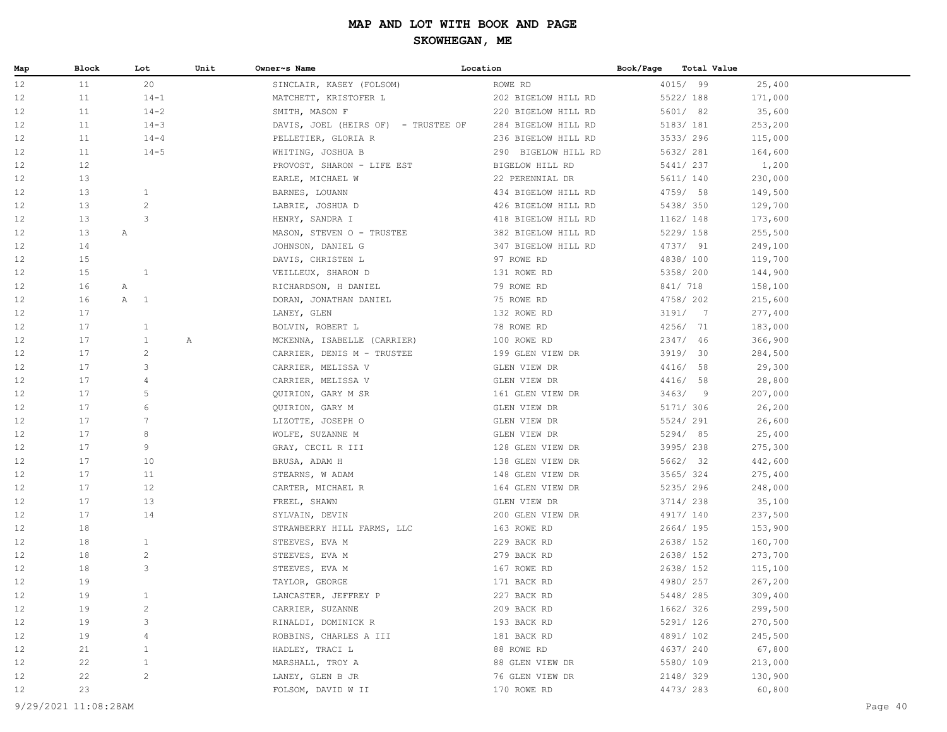| Map      | Block    | Lot                 | Unit | Owner~s Name                                 | Location                        | Book/Page              | <b>Total Value</b> |                    |
|----------|----------|---------------------|------|----------------------------------------------|---------------------------------|------------------------|--------------------|--------------------|
| 12       | 11       | 20                  |      | SINCLAIR, KASEY (FOLSOM)                     | ROWE RD                         | 4015/ 99               |                    | 25,400             |
| 12       | 11       | $14 - 1$            |      | MATCHETT, KRISTOFER L                        | 202 BIGELOW HILL RD             | 5522/ 188              |                    | 171,000            |
| 12       | 11       | $14 - 2$            |      | SMITH, MASON F                               | 220 BIGELOW HILL RD             | 5601/ 82               |                    | 35,600             |
| 12       | 11       | $14 - 3$            |      | DAVIS, JOEL (HEIRS OF) - TRUSTEE OF          | 284 BIGELOW HILL RD             | 5183/ 181              |                    | 253,200            |
| 12       | 11       | $14 - 4$            |      | PELLETIER, GLORIA R                          | 236 BIGELOW HILL RD             | 3533/296               |                    | 115,000            |
| 12       | 11       | $14 - 5$            |      | WHITING, JOSHUA B                            | 290 BIGELOW HILL RD             | 5632/ 281              |                    | 164,600            |
| 12       | 12       |                     |      | PROVOST, SHARON - LIFE EST                   | BIGELOW HILL RD                 | 5441/ 237              |                    | 1,200              |
| 12       | 13       |                     |      | EARLE, MICHAEL W                             | 22 PERENNIAL DR                 | 5611/ 140              |                    | 230,000            |
| 12       | 13       | $\mathbf{1}$        |      | BARNES, LOUANN                               | 434 BIGELOW HILL RD             | 4759/ 58               |                    | 149,500            |
| 12       | 13       | $\mathbf{2}$        |      | LABRIE, JOSHUA D                             | 426 BIGELOW HILL RD             | 5438/ 350              |                    | 129,700            |
| 12       | 13       | 3                   |      | HENRY, SANDRA I                              | 418 BIGELOW HILL RD             | 1162/ 148              |                    | 173,600            |
| 12       | 13<br>Α  |                     |      | MASON, STEVEN O - TRUSTEE                    | 382 BIGELOW HILL RD             | 5229/ 158              |                    | 255,500            |
| 12       | 14       |                     |      | JOHNSON, DANIEL G                            | 347 BIGELOW HILL RD             | 4737/ 91               |                    | 249,100            |
| 12       | 15       |                     |      | DAVIS, CHRISTEN L                            | 97 ROWE RD                      | 4838/100               |                    | 119,700            |
| 12       | 15       | $\mathbf{1}$        |      | VEILLEUX, SHARON D                           | 131 ROWE RD                     | 5358/ 200              |                    | 144,900            |
| 12       | 16<br>Α  |                     |      | RICHARDSON, H DANIEL                         | 79 ROWE RD                      | 841/ 718               |                    | 158,100            |
| 12       | 16       | A<br>$\overline{1}$ |      | DORAN, JONATHAN DANIEL                       | 75 ROWE RD                      | 4758/ 202              |                    | 215,600            |
| 12       | 17       |                     |      | LANEY, GLEN                                  | 132 ROWE RD                     | 3191/7                 |                    | 277,400            |
| 12       | 17       | $\mathbf{1}$        |      | BOLVIN, ROBERT L                             | 78 ROWE RD                      | 4256/ 71               |                    | 183,000            |
| 12       | 17       | $\mathbf{1}$        | Α    | MCKENNA, ISABELLE (CARRIER)                  | 100 ROWE RD                     | 2347/ 46               |                    | 366,900            |
| 12       | 17       | $\overline{c}$      |      | CARRIER, DENIS M - TRUSTEE                   | 199 GLEN VIEW DR                | 3919/ 30               |                    | 284,500            |
| 12       | 17       | 3                   |      | CARRIER, MELISSA V                           | GLEN VIEW DR                    | 4416/ 58               |                    | 29,300             |
| 12       | 17       | 4                   |      | CARRIER, MELISSA V                           | GLEN VIEW DR                    | 4416/ 58               |                    | 28,800             |
| 12       | 17       | 5                   |      | QUIRION, GARY M SR                           | 161 GLEN VIEW DR                | 3463/9                 |                    | 207,000            |
| 12       | 17       | 6                   |      | QUIRION, GARY M                              | GLEN VIEW DR                    | 5171/ 306              |                    | 26,200             |
| 12       | 17       | $7\phantom{.0}$     |      | LIZOTTE, JOSEPH O                            | GLEN VIEW DR                    | 5524/ 291              |                    | 26,600             |
| 12       | 17       | 8                   |      | WOLFE, SUZANNE M                             | GLEN VIEW DR                    | 5294/ 85               |                    | 25,400             |
| 12       | 17       | 9                   |      | GRAY, CECIL R III                            | 128 GLEN VIEW DR                | 3995/238               |                    | 275,300            |
| 12       | 17       | 10                  |      | BRUSA, ADAM H                                | 138 GLEN VIEW DR                | 5662/ 32               |                    | 442,600            |
| 12       | 17       | 11                  |      | STEARNS, W ADAM                              | 148 GLEN VIEW DR                | 3565/324               |                    | 275,400            |
| 12       | 17       | 12                  |      | CARTER, MICHAEL R                            | 164 GLEN VIEW DR                | 5235/ 296              |                    | 248,000            |
| 12       | 17       | 13<br>14            |      | FREEL, SHAWN                                 | GLEN VIEW DR                    | 3714/238               |                    | 35,100             |
| 12<br>12 | 17<br>18 |                     |      | SYLVAIN, DEVIN                               | 200 GLEN VIEW DR<br>163 ROWE RD | 4917/ 140<br>2664/ 195 |                    | 237,500            |
| 12       | 18       | $\mathbf{1}$        |      | STRAWBERRY HILL FARMS, LLC<br>STEEVES, EVA M | 229 BACK RD                     | 2638/ 152              |                    | 153,900<br>160,700 |
| 12       | 18       | $\overline{c}$      |      | STEEVES, EVA M                               | 279 BACK RD                     | 2638/ 152              |                    | 273,700            |
| 12       | 18       | 3                   |      | STEEVES, EVA M                               | 167 ROWE RD                     | 2638/ 152              |                    | 115,100            |
| 12       | 19       |                     |      | TAYLOR, GEORGE                               | 171 BACK RD                     | 4980/ 257              |                    | 267,200            |
| 12       | 19       | $\mathbf{1}$        |      | LANCASTER, JEFFREY P                         | 227 BACK RD                     | 5448/285               |                    | 309,400            |
| 12       | 19       | $\overline{c}$      |      | CARRIER, SUZANNE                             | 209 BACK RD                     | 1662/326               |                    | 299,500            |
| 12       | 19       | 3                   |      | RINALDI, DOMINICK R                          | 193 BACK RD                     | 5291/ 126              |                    | 270,500            |
| 12       | 19       | 4                   |      | ROBBINS, CHARLES A III                       | 181 BACK RD                     | 4891/102               |                    | 245,500            |
| 12       | 21       | $\mathbf{1}$        |      | HADLEY, TRACI L                              | 88 ROWE RD                      | 4637/ 240              |                    | 67,800             |
| 12       | 22       | $\mathbf{1}$        |      | MARSHALL, TROY A                             | 88 GLEN VIEW DR                 | 5580/ 109              |                    | 213,000            |
| 12       | 22       | $\overline{c}$      |      | LANEY, GLEN B JR                             | 76 GLEN VIEW DR                 | 2148/329               |                    | 130,900            |
| 12       | 23       |                     |      | FOLSOM, DAVID W II                           | 170 ROWE RD                     | 4473/283               |                    | 60,800             |
|          |          |                     |      |                                              |                                 |                        |                    |                    |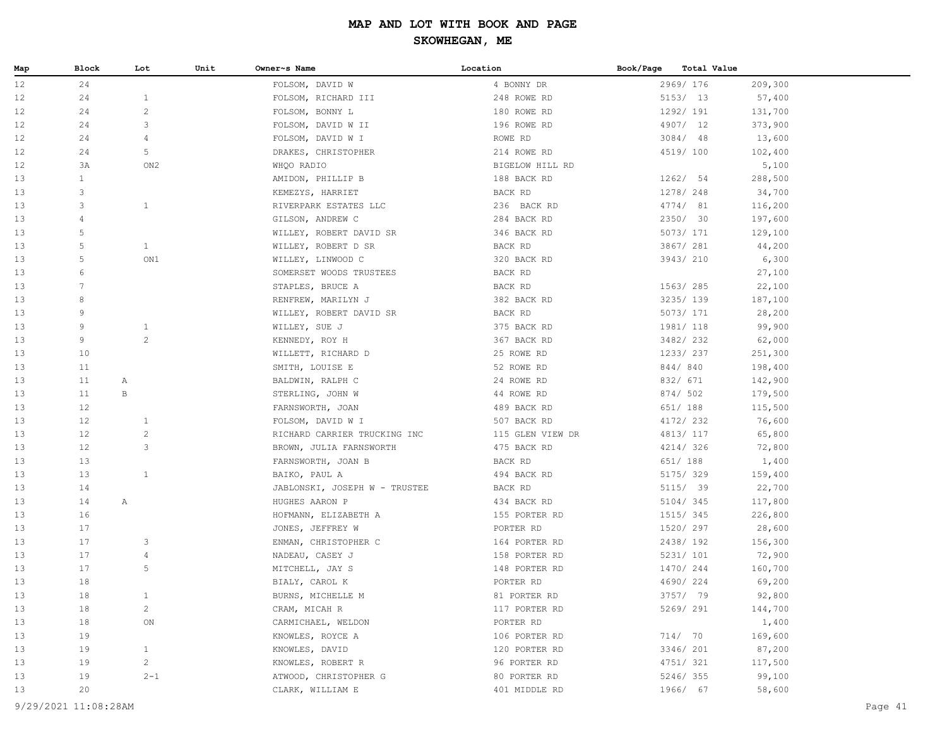| Map | Block           | Lot             | Unit | Owner~s Name                  | Location         | Book/Page<br><b>Total Value</b> |         |
|-----|-----------------|-----------------|------|-------------------------------|------------------|---------------------------------|---------|
| 12  | 24              |                 |      | FOLSOM, DAVID W               | 4 BONNY DR       | 2969/ 176                       | 209,300 |
| 12  | 24              | $\mathbf{1}$    |      | FOLSOM, RICHARD III           | 248 ROWE RD      | 5153/ 13                        | 57,400  |
| 12  | 24              | $\sqrt{2}$      |      | FOLSOM, BONNY L               | 180 ROWE RD      | 1292/ 191                       | 131,700 |
| 12  | 24              | 3               |      | FOLSOM, DAVID W II            | 196 ROWE RD      | 4907/ 12                        | 373,900 |
| 12  | 24              | 4               |      | FOLSOM, DAVID W I             | ROWE RD          | $3084/$ 48                      | 13,600  |
| 12  | 24              | 5               |      | DRAKES, CHRISTOPHER           | 214 ROWE RD      | 4519/ 100                       | 102,400 |
| 12  | 3A              | ON <sub>2</sub> |      | WHQO RADIO                    | BIGELOW HILL RD  |                                 | 5,100   |
| 13  | $\mathbf{1}$    |                 |      | AMIDON, PHILLIP B             | 188 BACK RD      | 1262/54                         | 288,500 |
| 13  | 3               |                 |      | KEMEZYS, HARRIET              | BACK RD          | 1278/ 248                       | 34,700  |
| 13  | 3               | $\mathbf{1}$    |      | RIVERPARK ESTATES LLC         | 236 BACK RD      | 4774/ 81                        | 116,200 |
| 13  | $\overline{4}$  |                 |      | GILSON, ANDREW C              | 284 BACK RD      | 2350/ 30                        | 197,600 |
| 13  | 5               |                 |      | WILLEY, ROBERT DAVID SR       | 346 BACK RD      | 5073/ 171                       | 129,100 |
| 13  | 5               | $\mathbf{1}$    |      | WILLEY, ROBERT D SR           | BACK RD          | 3867/ 281                       | 44,200  |
| 13  | 5               | ON1             |      | WILLEY, LINWOOD C             | 320 BACK RD      | 3943/ 210                       | 6,300   |
| 13  | 6               |                 |      | SOMERSET WOODS TRUSTEES       | BACK RD          |                                 | 27,100  |
| 13  | $7\phantom{.0}$ |                 |      | STAPLES, BRUCE A              | BACK RD          | 1563/ 285                       | 22,100  |
| 13  | 8               |                 |      | RENFREW, MARILYN J            | 382 BACK RD      | 3235/ 139                       | 187,100 |
| 13  | 9               |                 |      | WILLEY, ROBERT DAVID SR       | BACK RD          | 5073/ 171                       | 28,200  |
| 13  | 9               | $\mathbf{1}$    |      | WILLEY, SUE J                 | 375 BACK RD      | 1981/ 118                       | 99,900  |
| 13  | 9               | $\mathbf{2}$    |      | KENNEDY, ROY H                | 367 BACK RD      | 3482/232                        | 62,000  |
| 13  | 10              |                 |      | WILLETT, RICHARD D            | 25 ROWE RD       | 1233/ 237                       | 251,300 |
| 13  | 11              |                 |      | SMITH, LOUISE E               | 52 ROWE RD       | 844/840                         | 198,400 |
| 13  | 11              | A               |      | BALDWIN, RALPH C              | 24 ROWE RD       | 832/ 671                        | 142,900 |
| 13  | 11              | B               |      | STERLING, JOHN W              | 44 ROWE RD       | 874/ 502                        | 179,500 |
| 13  | 12              |                 |      | FARNSWORTH, JOAN              | 489 BACK RD      | 651/ 188                        | 115,500 |
| 13  | 12              | $\mathbf{1}$    |      | FOLSOM, DAVID W I             | 507 BACK RD      | 4172/ 232                       | 76,600  |
| 13  | 12              | $\overline{c}$  |      | RICHARD CARRIER TRUCKING INC  | 115 GLEN VIEW DR | 4813/ 117                       | 65,800  |
| 13  | 12              | 3               |      | BROWN, JULIA FARNSWORTH       | 475 BACK RD      | 4214/326                        | 72,800  |
| 13  | 13              |                 |      | FARNSWORTH, JOAN B            | BACK RD          | 651/ 188                        | 1,400   |
| 13  | 13              | $\mathbf{1}$    |      | BAIKO, PAUL A                 | 494 BACK RD      | 5175/ 329                       | 159,400 |
| 13  | 14              |                 |      | JABLONSKI, JOSEPH W - TRUSTEE | BACK RD          | 5115/ 39                        | 22,700  |
| 13  | 14              | A               |      | HUGHES AARON P                | 434 BACK RD      | 5104/345                        | 117,800 |
| 13  | 16              |                 |      | HOFMANN, ELIZABETH A          | 155 PORTER RD    | 1515/ 345                       | 226,800 |
| 13  | 17              |                 |      | JONES, JEFFREY W              | PORTER RD        | 1520/ 297                       | 28,600  |
| 13  | 17              | 3               |      | ENMAN, CHRISTOPHER C          | 164 PORTER RD    | 2438/192                        | 156,300 |
| 13  | 17              | $\overline{4}$  |      | NADEAU, CASEY J               | 158 PORTER RD    | 5231/ 101                       | 72,900  |
| 13  | 17              | 5               |      | MITCHELL, JAY S               | 148 PORTER RD    | 1470/244                        | 160,700 |
| 13  | 18              |                 |      | BIALY, CAROL K                | PORTER RD        | 4690/224                        | 69,200  |
| 13  | 18              | $\mathbf{1}$    |      | BURNS, MICHELLE M             | 81 PORTER RD     | 3757/ 79                        | 92,800  |
| 13  | 18              | 2               |      | CRAM, MICAH R                 | 117 PORTER RD    | 5269/ 291                       | 144,700 |
| 13  | 18              | ON              |      | CARMICHAEL, WELDON            | PORTER RD        |                                 | 1,400   |
| 13  | 19              |                 |      | KNOWLES, ROYCE A              | 106 PORTER RD    | 714/ 70                         | 169,600 |
| 13  | 19              | $\mathbf{1}$    |      | KNOWLES, DAVID                | 120 PORTER RD    | 3346/ 201                       | 87,200  |
| 13  | 19              | $\overline{c}$  |      | KNOWLES, ROBERT R             | 96 PORTER RD     | 4751/ 321                       | 117,500 |
| 13  | 19              | $2 - 1$         |      | ATWOOD, CHRISTOPHER G         | 80 PORTER RD     | 5246/355                        | 99,100  |
| 13  | 20              |                 |      | CLARK, WILLIAM E              | 401 MIDDLE RD    | 1966/ 67                        | 58,600  |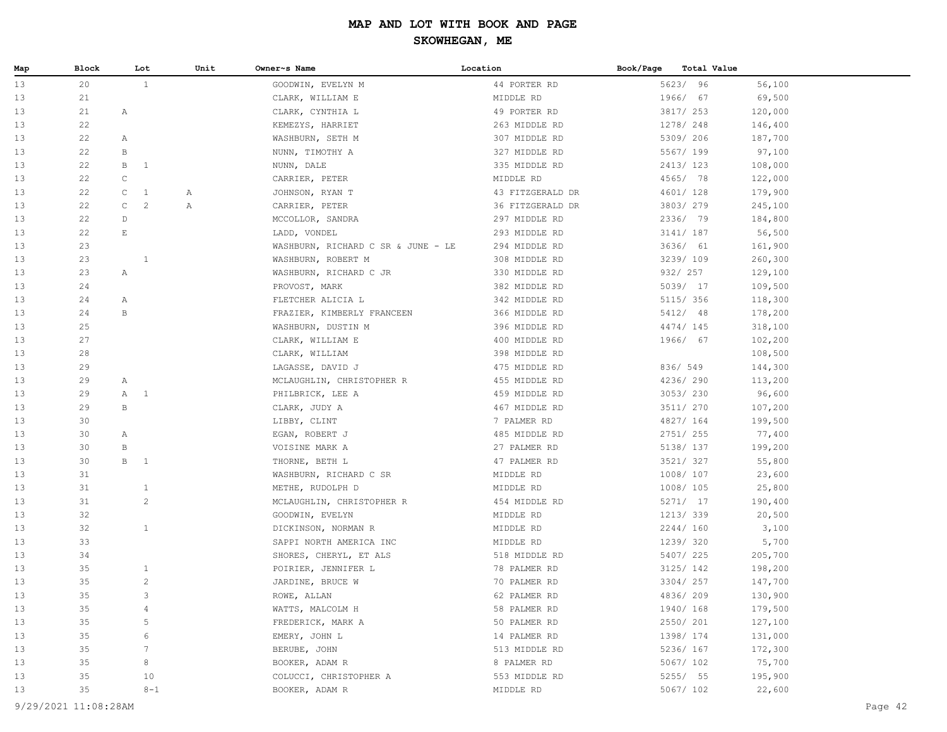| Map | Block | Lot                   | Unit | Owner~s Name                       | Location         | Book/Page | Total Value |
|-----|-------|-----------------------|------|------------------------------------|------------------|-----------|-------------|
| 13  | 20    | $\mathbf{1}$          |      | GOODWIN, EVELYN M                  | 44 PORTER RD     | 5623/ 96  | 56,100      |
| 13  | 21    |                       |      | CLARK, WILLIAM E                   | MIDDLE RD        | 1966/ 67  | 69,500      |
| 13  | 21    | Α                     |      | CLARK, CYNTHIA L                   | 49 PORTER RD     | 3817/ 253 | 120,000     |
| 13  | 22    |                       |      | KEMEZYS, HARRIET                   | 263 MIDDLE RD    | 1278/ 248 | 146,400     |
| 13  | 22    | Α                     |      | WASHBURN, SETH M                   | 307 MIDDLE RD    | 5309/ 206 | 187,700     |
| 13  | 22    | В                     |      | NUNN, TIMOTHY A                    | 327 MIDDLE RD    | 5567/ 199 | 97,100      |
| 13  | 22    | В<br><sup>1</sup>     |      | NUNN, DALE                         | 335 MIDDLE RD    | 2413/123  | 108,000     |
| 13  | 22    | $\mathtt{C}$          |      | CARRIER, PETER                     | MIDDLE RD        | 4565/ 78  | 122,000     |
| 13  | 22    | C<br><sup>1</sup>     | Α    | JOHNSON, RYAN T                    | 43 FITZGERALD DR | 4601/ 128 | 179,900     |
| 13  | 22    | $\mathsf C$<br>2      | Α    | CARRIER, PETER                     | 36 FITZGERALD DR | 3803/279  | 245,100     |
| 13  | 22    | $\mathbb D$           |      | MCCOLLOR, SANDRA                   | 297 MIDDLE RD    | 2336/ 79  | 184,800     |
| 13  | 22    | $\mathop{}\mathbb{E}$ |      | LADD, VONDEL                       | 293 MIDDLE RD    | 3141/ 187 | 56,500      |
| 13  | 23    |                       |      | WASHBURN, RICHARD C SR & JUNE - LE | 294 MIDDLE RD    | 3636/ 61  | 161,900     |
| 13  | 23    | $\mathbf{1}$          |      | WASHBURN, ROBERT M                 | 308 MIDDLE RD    | 3239/109  | 260,300     |
| 13  | 23    | Α                     |      | WASHBURN, RICHARD C JR             | 330 MIDDLE RD    | 932/ 257  | 129,100     |
| 13  | 24    |                       |      | PROVOST, MARK                      | 382 MIDDLE RD    | 5039/ 17  | 109,500     |
| 13  | 24    | Α                     |      | FLETCHER ALICIA L                  | 342 MIDDLE RD    | 5115/ 356 | 118,300     |
| 13  | 24    | $\, {\bf B}$          |      | FRAZIER, KIMBERLY FRANCEEN         | 366 MIDDLE RD    | 5412/ 48  | 178,200     |
| 13  | 25    |                       |      | WASHBURN, DUSTIN M                 | 396 MIDDLE RD    | 4474/ 145 | 318,100     |
| 13  | 27    |                       |      | CLARK, WILLIAM E                   | 400 MIDDLE RD    | 1966/ 67  | 102,200     |
| 13  | 28    |                       |      | CLARK, WILLIAM                     | 398 MIDDLE RD    |           | 108,500     |
| 13  | 29    |                       |      | LAGASSE, DAVID J                   | 475 MIDDLE RD    | 836/ 549  | 144,300     |
| 13  | 29    | Α                     |      | MCLAUGHLIN, CHRISTOPHER R          | 455 MIDDLE RD    | 4236/290  | 113,200     |
| 13  | 29    | $\overline{1}$<br>A   |      | PHILBRICK, LEE A                   | 459 MIDDLE RD    | 3053/230  | 96,600      |
| 13  | 29    | B                     |      | CLARK, JUDY A                      | 467 MIDDLE RD    | 3511/ 270 | 107,200     |
| 13  | 30    |                       |      | LIBBY, CLINT                       | 7 PALMER RD      | 4827/ 164 | 199,500     |
| 13  | 30    | Α                     |      | EGAN, ROBERT J                     | 485 MIDDLE RD    | 2751/ 255 | 77,400      |
| 13  | 30    | В                     |      | VOISINE MARK A                     | 27 PALMER RD     | 5138/ 137 | 199,200     |
| 13  | 30    | B<br>$\overline{1}$   |      | THORNE, BETH L                     | 47 PALMER RD     | 3521/327  | 55,800      |
| 13  | 31    |                       |      | WASHBURN, RICHARD C SR             | MIDDLE RD        | 1008/107  | 23,600      |
| 13  | 31    | $\mathbf{1}$          |      | METHE, RUDOLPH D                   | MIDDLE RD        | 1008/105  | 25,800      |
| 13  | 31    | $\overline{c}$        |      | MCLAUGHLIN, CHRISTOPHER R          | 454 MIDDLE RD    | 5271/ 17  | 190,400     |
| 13  | 32    |                       |      | GOODWIN, EVELYN                    | MIDDLE RD        | 1213/339  | 20,500      |
| 13  | 32    | $\mathbf{1}$          |      | DICKINSON, NORMAN R                | MIDDLE RD        | 2244/160  | 3,100       |
| 13  | 33    |                       |      | SAPPI NORTH AMERICA INC            | MIDDLE RD        | 1239/ 320 | 5,700       |
| 13  | 34    |                       |      | SHORES, CHERYL, ET ALS             | 518 MIDDLE RD    | 5407/225  | 205,700     |
| 13  | 35    | $\mathbf{1}$          |      | POIRIER, JENNIFER L                | 78 PALMER RD     | 3125/ 142 | 198,200     |
| 13  | 35    | $\overline{c}$        |      | JARDINE, BRUCE W                   | 70 PALMER RD     | 3304/257  | 147,700     |
| 13  | 35    | 3                     |      | ROWE, ALLAN                        | 62 PALMER RD     | 4836/209  | 130,900     |
| 13  | 35    | 4                     |      | WATTS, MALCOLM H                   | 58 PALMER RD     | 1940/168  | 179,500     |
| 13  | 35    | 5                     |      | FREDERICK, MARK A                  | 50 PALMER RD     | 2550/ 201 | 127,100     |
| 13  | 35    | 6                     |      | EMERY, JOHN L                      | 14 PALMER RD     | 1398/ 174 | 131,000     |
| 13  | 35    | 7                     |      | BERUBE, JOHN                       | 513 MIDDLE RD    | 5236/ 167 | 172,300     |
| 13  | 35    | 8                     |      | BOOKER, ADAM R                     | 8 PALMER RD      | 5067/ 102 | 75,700      |
| 13  | 35    | 10                    |      | COLUCCI, CHRISTOPHER A             | 553 MIDDLE RD    | 5255/ 55  | 195,900     |
| 13  | 35    | $8 - 1$               |      | BOOKER, ADAM R                     | MIDDLE RD        | 5067/ 102 | 22,600      |
|     |       |                       |      |                                    |                  |           |             |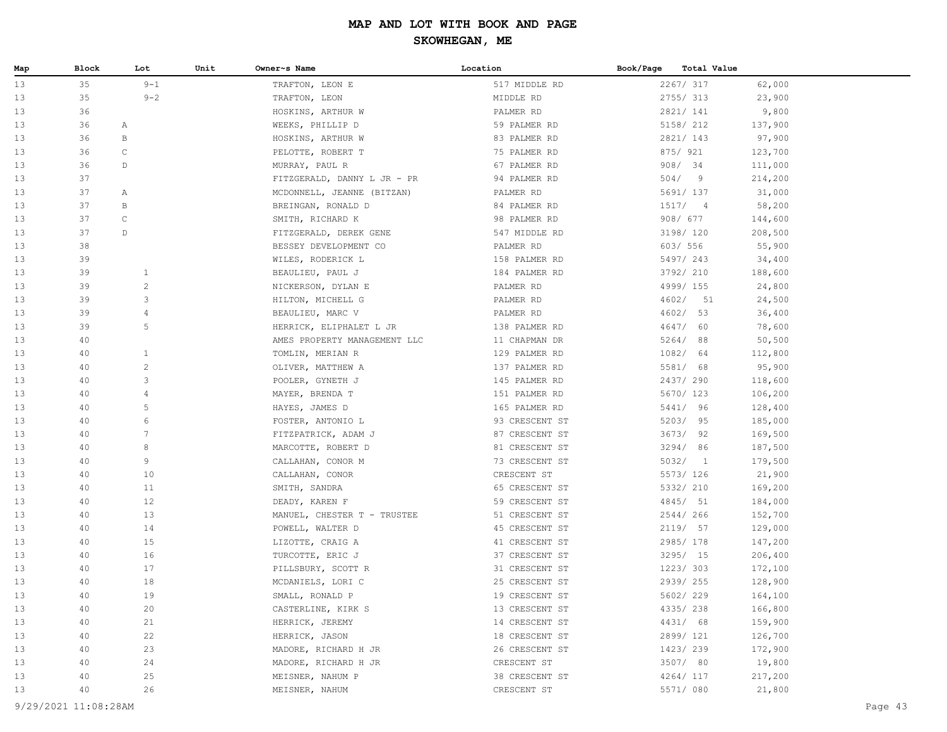| Map | Block                | Lot            | Unit | Owner~s Name                 | Location       | Book/Page | Total Value |         |
|-----|----------------------|----------------|------|------------------------------|----------------|-----------|-------------|---------|
| 13  | 35                   | $9 - 1$        |      | TRAFTON, LEON E              | 517 MIDDLE RD  |           | 2267/ 317   | 62,000  |
| 13  | 35                   | $9 - 2$        |      | TRAFTON, LEON                | MIDDLE RD      |           | 2755/313    | 23,900  |
| 13  | 36                   |                |      | HOSKINS, ARTHUR W            | PALMER RD      |           | 2821/ 141   | 9,800   |
| 13  | 36                   | Α              |      | WEEKS, PHILLIP D             | 59 PALMER RD   |           | 5158/ 212   | 137,900 |
| 13  | 36                   | В              |      | HOSKINS, ARTHUR W            | 83 PALMER RD   |           | 2821/ 143   | 97,900  |
| 13  | 36                   | $\mathsf{C}$   |      | PELOTTE, ROBERT T            | 75 PALMER RD   |           | 875/ 921    | 123,700 |
| 13  | 36                   | D              |      | MURRAY, PAUL R               | 67 PALMER RD   |           | 908/34      | 111,000 |
| 13  | 37                   |                |      | FITZGERALD, DANNY L JR - PR  | 94 PALMER RD   |           | 504/9       | 214,200 |
| 13  | 37                   | Α              |      | MCDONNELL, JEANNE (BITZAN)   | PALMER RD      |           | 5691/ 137   | 31,000  |
| 13  | 37                   | В              |      | BREINGAN, RONALD D           | 84 PALMER RD   |           | 1517/4      | 58,200  |
| 13  | 37                   | $\mathtt{C}$   |      | SMITH, RICHARD K             | 98 PALMER RD   |           | 908/ 677    | 144,600 |
| 13  | 37                   | D              |      | FITZGERALD, DEREK GENE       | 547 MIDDLE RD  |           | 3198/ 120   | 208,500 |
| 13  | 38                   |                |      | BESSEY DEVELOPMENT CO        | PALMER RD      |           | 603/ 556    | 55,900  |
| 13  | 39                   |                |      | WILES, RODERICK L            | 158 PALMER RD  |           | 5497/243    | 34,400  |
| 13  | 39                   | $\mathbf{1}$   |      | BEAULIEU, PAUL J             | 184 PALMER RD  |           | 3792/ 210   | 188,600 |
| 13  | 39                   | $\overline{c}$ |      | NICKERSON, DYLAN E           | PALMER RD      |           | 4999/ 155   | 24,800  |
| 13  | 39                   | 3              |      | HILTON, MICHELL G            | PALMER RD      |           | 4602/<br>51 | 24,500  |
| 13  | 39                   | $\overline{4}$ |      | BEAULIEU, MARC V             | PALMER RD      |           | 4602/ 53    | 36,400  |
| 13  | 39                   | 5              |      | HERRICK, ELIPHALET L JR      | 138 PALMER RD  |           | 4647/ 60    | 78,600  |
| 13  | 40                   |                |      | AMES PROPERTY MANAGEMENT LLC | 11 CHAPMAN DR  |           | 5264/88     | 50, 500 |
| 13  | 40                   | $\mathbf{1}$   |      | TOMLIN, MERIAN R             | 129 PALMER RD  |           | 1082/ 64    | 112,800 |
| 13  | 40                   | $\overline{c}$ |      | OLIVER, MATTHEW A            | 137 PALMER RD  |           | 5581/ 68    | 95,900  |
| 13  | 40                   | 3              |      | POOLER, GYNETH J             | 145 PALMER RD  |           | 2437/290    | 118,600 |
| 13  | 40                   | 4              |      | MAYER, BRENDA T              | 151 PALMER RD  |           | 5670/ 123   | 106,200 |
| 13  | 40                   | 5              |      | HAYES, JAMES D               | 165 PALMER RD  |           | 5441/ 96    | 128,400 |
| 13  | 40                   | 6              |      | FOSTER, ANTONIO L            | 93 CRESCENT ST |           | 5203/95     | 185,000 |
| 13  | 40                   | 7              |      | FITZPATRICK, ADAM J          | 87 CRESCENT ST |           | 3673/92     | 169,500 |
| 13  | 40                   | 8              |      | MARCOTTE, ROBERT D           | 81 CRESCENT ST |           | 3294/ 86    | 187,500 |
| 13  | 40                   | 9              |      | CALLAHAN, CONOR M            | 73 CRESCENT ST |           | 5032/1      | 179,500 |
| 13  | 40                   | 10             |      | CALLAHAN, CONOR              | CRESCENT ST    |           | 5573/ 126   | 21,900  |
| 13  | 40                   | 11             |      | SMITH, SANDRA                | 65 CRESCENT ST |           | 5332/ 210   | 169,200 |
| 13  | 40                   | 12             |      | DEADY, KAREN F               | 59 CRESCENT ST |           | 4845/ 51    | 184,000 |
| 13  | 40                   | 13             |      | MANUEL, CHESTER T - TRUSTEE  | 51 CRESCENT ST |           | 2544/266    | 152,700 |
| 13  | 40                   | 14             |      | POWELL, WALTER D             | 45 CRESCENT ST |           | 2119/ 57    | 129,000 |
| 13  | 40                   | 15             |      | LIZOTTE, CRAIG A             | 41 CRESCENT ST |           | 2985/178    | 147,200 |
| 13  | 40                   | 16             |      | TURCOTTE, ERIC J             | 37 CRESCENT ST |           | 3295/ 15    | 206,400 |
| 13  | 40                   | 17             |      | PILLSBURY, SCOTT R           | 31 CRESCENT ST |           | 1223/303    | 172,100 |
| 13  | 40                   | 18             |      | MCDANIELS, LORI C            | 25 CRESCENT ST |           | 2939/255    | 128,900 |
| 13  | 40                   | 19             |      | SMALL, RONALD P              | 19 CRESCENT ST |           | 5602/229    | 164,100 |
| 13  | 40                   | 20             |      | CASTERLINE, KIRK S           | 13 CRESCENT ST |           | 4335/238    | 166,800 |
| 13  | 40                   | 21             |      | HERRICK, JEREMY              | 14 CRESCENT ST |           | 4431/ 68    | 159,900 |
| 13  | 40                   | 22             |      | HERRICK, JASON               | 18 CRESCENT ST |           | 2899/ 121   | 126,700 |
| 13  | 40                   | 23             |      | MADORE, RICHARD H JR         | 26 CRESCENT ST |           | 1423/239    | 172,900 |
| 13  | 40                   | 24             |      | MADORE, RICHARD H JR         | CRESCENT ST    |           | 3507/ 80    | 19,800  |
| 13  | 40                   | 25             |      | MEISNER, NAHUM P             | 38 CRESCENT ST |           | 4264/ 117   | 217,200 |
| 13  | 40                   | 26             |      | MEISNER, NAHUM               | CRESCENT ST    |           | 5571/ 080   | 21,800  |
|     | 9/29/2021 11:08:28AM |                |      |                              |                |           |             | Page 43 |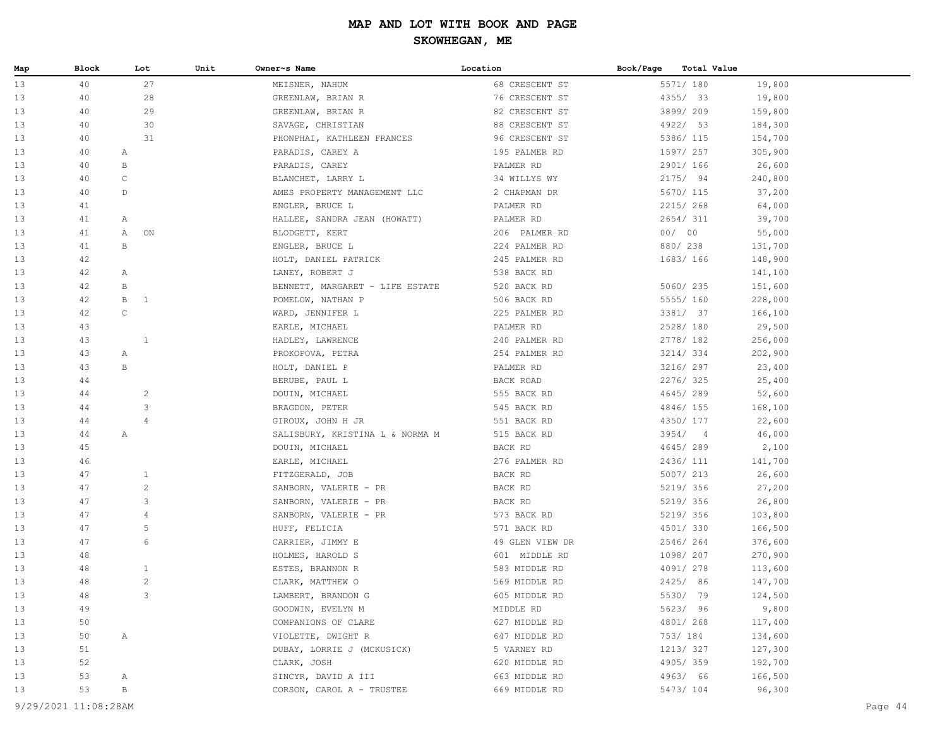| Map | Block | Lot               | Unit | Owner~s Name                    | Location        | Book/Page | Total Value |         |
|-----|-------|-------------------|------|---------------------------------|-----------------|-----------|-------------|---------|
| 13  | 40    |                   | 27   | MEISNER, NAHUM                  | 68 CRESCENT ST  |           | 5571/ 180   | 19,800  |
| 13  | 40    |                   | 28   | GREENLAW, BRIAN R               | 76 CRESCENT ST  |           | 4355/ 33    | 19,800  |
| 13  | 40    |                   | 29   | GREENLAW, BRIAN R               | 82 CRESCENT ST  |           | 3899/209    | 159,800 |
| 13  | 40    |                   | 30   | SAVAGE, CHRISTIAN               | 88 CRESCENT ST  |           | 4922/ 53    | 184,300 |
| 13  | 40    |                   | 31   | PHONPHAI, KATHLEEN FRANCES      | 96 CRESCENT ST  |           | 5386/ 115   | 154,700 |
| 13  | 40    | A                 |      | PARADIS, CAREY A                | 195 PALMER RD   |           | 1597/ 257   | 305,900 |
| 13  | 40    | В                 |      | PARADIS, CAREY                  | PALMER RD       |           | 2901/ 166   | 26,600  |
| 13  | 40    | $\mathsf C$       |      | BLANCHET, LARRY L               | 34 WILLYS WY    |           | 2175/ 94    | 240,800 |
| 13  | 40    | D                 |      | AMES PROPERTY MANAGEMENT LLC    | 2 CHAPMAN DR    |           | 5670/ 115   | 37,200  |
| 13  | 41    |                   |      | ENGLER, BRUCE L                 | PALMER RD       |           | 2215/268    | 64,000  |
| 13  | 41    | $\mathbb{A}$      |      | HALLEE, SANDRA JEAN (HOWATT)    | PALMER RD       |           | 2654/311    | 39,700  |
| 13  | 41    | Α                 | ON   | BLODGETT, KERT                  | 206 PALMER RD   |           | 00/00       | 55,000  |
| 13  | 41    | $\, {\bf B}$      |      | ENGLER, BRUCE L                 | 224 PALMER RD   |           | 880/238     | 131,700 |
| 13  | 42    |                   |      | HOLT, DANIEL PATRICK            | 245 PALMER RD   |           | 1683/166    | 148,900 |
| 13  | 42    | Α                 |      | LANEY, ROBERT J                 | 538 BACK RD     |           |             | 141,100 |
| 13  | 42    | В                 |      | BENNETT, MARGARET - LIFE ESTATE | 520 BACK RD     |           | 5060/235    | 151,600 |
| 13  | 42    | $\mathbf{B}$<br>1 |      | POMELOW, NATHAN P               | 506 BACK RD     |           | 5555/ 160   | 228,000 |
| 13  | 42    | $\mathsf C$       |      | WARD, JENNIFER L                | 225 PALMER RD   |           | 3381/ 37    | 166,100 |
| 13  | 43    |                   |      | EARLE, MICHAEL                  | PALMER RD       |           | 2528/180    | 29,500  |
| 13  | 43    | 1                 |      | HADLEY, LAWRENCE                | 240 PALMER RD   |           | 2778/ 182   | 256,000 |
| 13  | 43    | Α                 |      | PROKOPOVA, PETRA                | 254 PALMER RD   |           | 3214/334    | 202,900 |
| 13  | 43    | $\, {\bf B}$      |      | HOLT, DANIEL P                  | PALMER RD       |           | 3216/ 297   | 23,400  |
| 13  | 44    |                   |      | BERUBE, PAUL L                  | BACK ROAD       |           | 2276/325    | 25,400  |
| 13  | 44    | $\overline{c}$    |      | DOUIN, MICHAEL                  | 555 BACK RD     |           | 4645/289    | 52,600  |
| 13  | 44    | $\mathsf 3$       |      | BRAGDON, PETER                  | 545 BACK RD     |           | 4846/155    | 168,100 |
| 13  | 44    | $\overline{4}$    |      | GIROUX, JOHN H JR               | 551 BACK RD     |           | 4350/ 177   | 22,600  |
| 13  | 44    | $\mathbb{A}$      |      | SALISBURY, KRISTINA L & NORMA M | 515 BACK RD     |           | 3954/4      | 46,000  |
| 13  | 45    |                   |      | DOUIN, MICHAEL                  | BACK RD         |           | 4645/289    | 2,100   |
| 13  | 46    |                   |      | EARLE, MICHAEL                  | 276 PALMER RD   |           | 2436/ 111   | 141,700 |
| 13  | 47    | $\mathbf{1}$      |      | FITZGERALD, JOB                 | BACK RD         |           | 5007/ 213   | 26,600  |
| 13  | 47    | $\overline{c}$    |      | SANBORN, VALERIE - PR           | BACK RD         |           | 5219/ 356   | 27,200  |
| 13  | 47    | $\mathsf 3$       |      | SANBORN, VALERIE - PR           | BACK RD         |           | 5219/ 356   | 26,800  |
| 13  | 47    | $\overline{4}$    |      | SANBORN, VALERIE - PR           | 573 BACK RD     |           | 5219/ 356   | 103,800 |
| 13  | 47    | $\mathsf S$       |      | HUFF, FELICIA                   | 571 BACK RD     |           | 4501/ 330   | 166,500 |
| 13  | 47    | 6                 |      | CARRIER, JIMMY E                | 49 GLEN VIEW DR |           | 2546/264    | 376,600 |
| 13  | 48    |                   |      | HOLMES, HAROLD S                | 601 MIDDLE RD   |           | 1098/ 207   | 270,900 |
| 13  | 48    | $\mathbf{1}$      |      | ESTES, BRANNON R                | 583 MIDDLE RD   |           | 4091/ 278   | 113,600 |
| 13  | 48    | $\overline{c}$    |      | CLARK, MATTHEW O                | 569 MIDDLE RD   |           | 2425/ 86    | 147,700 |
| 13  | 48    | 3                 |      | LAMBERT, BRANDON G              | 605 MIDDLE RD   |           | 5530/ 79    | 124,500 |
| 13  | 49    |                   |      | GOODWIN, EVELYN M               | MIDDLE RD       |           | 5623/ 96    | 9,800   |
| 13  | 50    |                   |      | COMPANIONS OF CLARE             | 627 MIDDLE RD   |           | 4801/ 268   | 117,400 |
| 13  | 50    | Α                 |      | VIOLETTE, DWIGHT R              | 647 MIDDLE RD   |           | 753/ 184    | 134,600 |
| 13  | 51    |                   |      | DUBAY, LORRIE J (MCKUSICK)      | 5 VARNEY RD     |           | 1213/327    | 127,300 |
| 13  | 52    |                   |      | CLARK, JOSH                     | 620 MIDDLE RD   |           | 4905/359    | 192,700 |
| 13  | 53    | Α                 |      | SINCYR, DAVID A III             | 663 MIDDLE RD   |           | 4963/ 66    | 166,500 |
| 13  | 53    | В                 |      | CORSON, CAROL A - TRUSTEE       | 669 MIDDLE RD   |           | 5473/ 104   | 96,300  |
|     |       |                   |      |                                 |                 |           |             |         |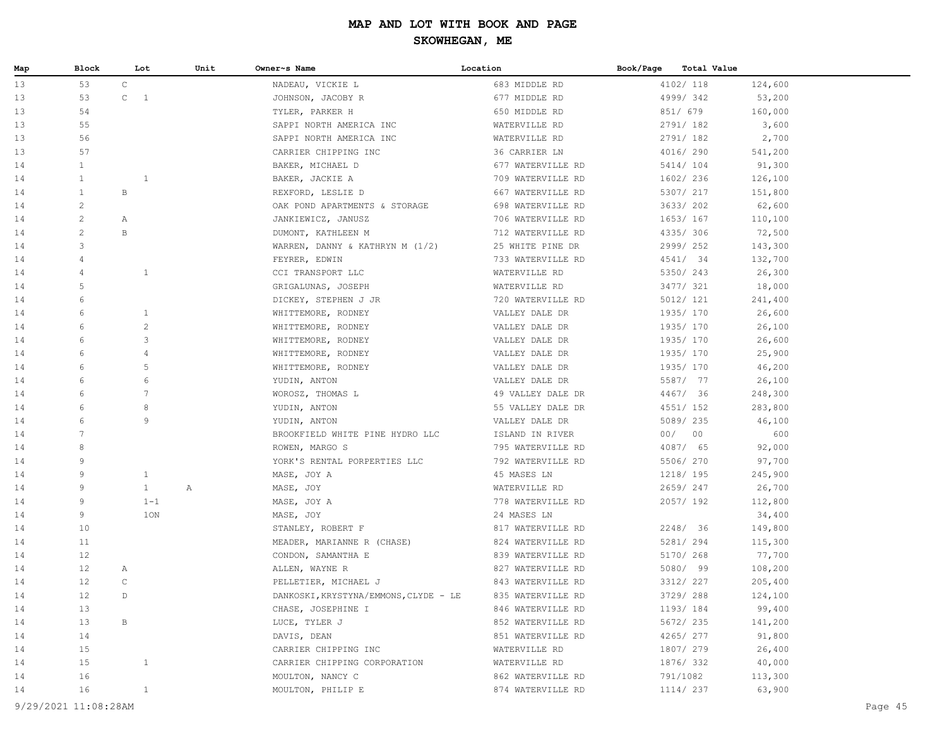| Map | Block                 | Lot                            |         | Unit         | Owner~s Name                          | Location          | Book/Page | Total Value |         |
|-----|-----------------------|--------------------------------|---------|--------------|---------------------------------------|-------------------|-----------|-------------|---------|
| 13  | 53                    | $\mathsf{C}$                   |         |              | NADEAU, VICKIE L                      | 683 MIDDLE RD     |           | 4102/ 118   | 124,600 |
| 13  | 53                    | $\mathsf{C}^-$<br><sup>1</sup> |         |              | JOHNSON, JACOBY R                     | 677 MIDDLE RD     |           | 4999/342    | 53,200  |
| 13  | 54                    |                                |         |              | TYLER, PARKER H                       | 650 MIDDLE RD     |           | 851/ 679    | 160,000 |
| 13  | 55                    |                                |         |              | SAPPI NORTH AMERICA INC               | WATERVILLE RD     |           | 2791/182    | 3,600   |
| 13  | 56                    |                                |         |              | SAPPI NORTH AMERICA INC               | WATERVILLE RD     |           | 2791/182    | 2,700   |
| 13  | 57                    |                                |         |              | CARRIER CHIPPING INC                  | 36 CARRIER LN     |           | 4016/ 290   | 541,200 |
| 14  | $\mathbf{1}$          |                                |         |              | BAKER, MICHAEL D                      | 677 WATERVILLE RD |           | 5414/ 104   | 91,300  |
| 14  | $\mathbf{1}$          | $\mathbf{1}$                   |         |              | BAKER, JACKIE A                       | 709 WATERVILLE RD |           | 1602/ 236   | 126,100 |
| 14  | $\mathbf{1}$          | В                              |         |              | REXFORD, LESLIE D                     | 667 WATERVILLE RD |           | 5307/ 217   | 151,800 |
| 14  | $\overline{c}$        |                                |         |              | OAK POND APARTMENTS & STORAGE         | 698 WATERVILLE RD |           | 3633/ 202   | 62,600  |
| 14  | $\mathbf{2}$          | Α                              |         |              | JANKIEWICZ, JANUSZ                    | 706 WATERVILLE RD |           | 1653/ 167   | 110,100 |
| 14  | $\mathbf{2}^{\prime}$ | $\, {\bf B}$                   |         |              | DUMONT, KATHLEEN M                    | 712 WATERVILLE RD |           | 4335/ 306   | 72,500  |
| 14  | 3                     |                                |         |              | WARREN, DANNY & KATHRYN M $(1/2)$     | 25 WHITE PINE DR  |           | 2999/ 252   | 143,300 |
| 14  | 4                     |                                |         |              | FEYRER, EDWIN                         | 733 WATERVILLE RD |           | 4541/ 34    | 132,700 |
| 14  | 4                     | $\mathbf{1}$                   |         |              | CCI TRANSPORT LLC                     | WATERVILLE RD     |           | 5350/ 243   | 26,300  |
| 14  | 5                     |                                |         |              | GRIGALUNAS, JOSEPH                    | WATERVILLE RD     |           | 3477/ 321   | 18,000  |
| 14  | 6                     |                                |         |              | DICKEY, STEPHEN J JR                  | 720 WATERVILLE RD |           | 5012/ 121   | 241,400 |
| 14  | 6                     | $\mathbf{1}$                   |         |              | WHITTEMORE, RODNEY                    | VALLEY DALE DR    |           | 1935/ 170   | 26,600  |
| 14  | 6                     | $\mathbf{2}$                   |         |              | WHITTEMORE, RODNEY                    | VALLEY DALE DR    |           | 1935/ 170   | 26,100  |
| 14  | 6                     | 3                              |         |              | WHITTEMORE, RODNEY                    | VALLEY DALE DR    |           | 1935/170    | 26,600  |
| 14  | 6                     | 4                              |         |              | WHITTEMORE, RODNEY                    | VALLEY DALE DR    |           | 1935/170    | 25,900  |
| 14  | 6                     | 5                              |         |              | WHITTEMORE, RODNEY                    | VALLEY DALE DR    |           | 1935/ 170   | 46,200  |
| 14  | 6                     | 6                              |         |              | YUDIN, ANTON                          | VALLEY DALE DR    |           | 5587/ 77    | 26,100  |
| 14  | 6                     | $7\phantom{.0}$                |         |              | WOROSZ, THOMAS L                      | 49 VALLEY DALE DR |           | 4467/ 36    | 248,300 |
| 14  | 6                     | 8                              |         |              | YUDIN, ANTON                          | 55 VALLEY DALE DR |           | 4551/ 152   | 283,800 |
| 14  | 6                     | 9                              |         |              | YUDIN, ANTON                          | VALLEY DALE DR    |           | 5089/ 235   | 46,100  |
| 14  | $7\overline{ }$       |                                |         |              | BROOKFIELD WHITE PINE HYDRO LLC       | ISLAND IN RIVER   |           | 00/00       | 600     |
| 14  | 8                     |                                |         |              | ROWEN, MARGO S                        | 795 WATERVILLE RD |           | 4087/ 65    | 92,000  |
| 14  | 9                     |                                |         |              | YORK'S RENTAL PORPERTIES LLC          | 792 WATERVILLE RD |           | 5506/ 270   | 97,700  |
| 14  | 9                     | $\mathbf{1}$                   |         |              | MASE, JOY A                           | 45 MASES LN       |           | 1218/ 195   | 245,900 |
| 14  | 9                     | 1                              |         | $\mathbb{A}$ | MASE, JOY                             | WATERVILLE RD     |           | 2659/247    | 26,700  |
| 14  | 9                     |                                | $1 - 1$ |              | MASE, JOY A                           | 778 WATERVILLE RD |           | 2057/192    | 112,800 |
| 14  | 9                     |                                | 1ON     |              | MASE, JOY                             | 24 MASES LN       |           |             | 34,400  |
| 14  | 10                    |                                |         |              | STANLEY, ROBERT F                     | 817 WATERVILLE RD |           | 2248/ 36    | 149,800 |
| 14  | 11                    |                                |         |              | MEADER, MARIANNE R (CHASE)            | 824 WATERVILLE RD |           | 5281/ 294   | 115,300 |
| 14  | $12 \overline{ }$     |                                |         |              | CONDON, SAMANTHA E                    | 839 WATERVILLE RD |           | 5170/ 268   | 77,700  |
| 14  | 12                    | Α                              |         |              | ALLEN, WAYNE R                        | 827 WATERVILLE RD |           | 5080/ 99    | 108,200 |
| 14  | $12 \overline{ }$     | $\mathsf C$                    |         |              | PELLETIER, MICHAEL J                  | 843 WATERVILLE RD |           | 3312/ 227   | 205,400 |
| 14  | 12                    | D                              |         |              | DANKOSKI, KRYSTYNA/EMMONS, CLYDE - LE | 835 WATERVILLE RD |           | 3729/ 288   | 124,100 |
| 14  | 13                    |                                |         |              | CHASE, JOSEPHINE I                    | 846 WATERVILLE RD |           | 1193/184    | 99,400  |
| 14  | 13                    | В                              |         |              | LUCE, TYLER J                         | 852 WATERVILLE RD |           | 5672/ 235   | 141,200 |
| 14  | 14                    |                                |         |              | DAVIS, DEAN                           | 851 WATERVILLE RD |           | 4265/ 277   | 91,800  |
| 14  | 15                    |                                |         |              | CARRIER CHIPPING INC                  | WATERVILLE RD     |           | 1807/ 279   | 26,400  |
| 14  | 15                    | $\mathbf{1}$                   |         |              | CARRIER CHIPPING CORPORATION          | WATERVILLE RD     |           | 1876/332    | 40,000  |
| 14  | 16                    |                                |         |              | MOULTON, NANCY C                      | 862 WATERVILLE RD |           | 791/1082    | 113,300 |
| 14  | 16                    | $\mathbf{1}$                   |         |              | MOULTON, PHILIP E                     | 874 WATERVILLE RD |           | 1114/ 237   | 63,900  |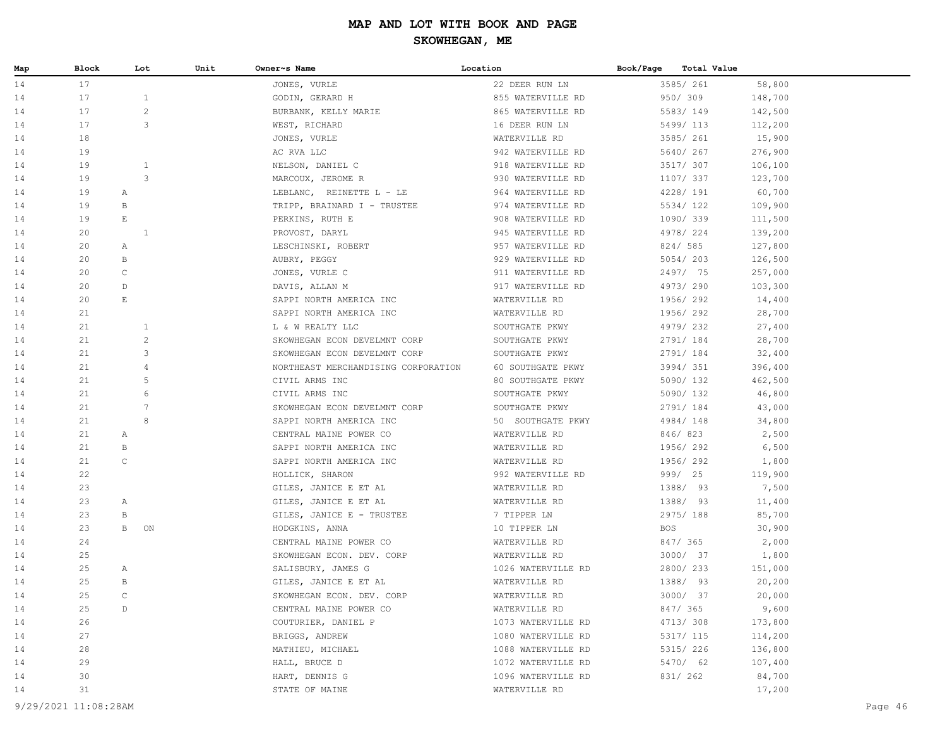| Map | Block                | Lot            | Unit | Owner~s Name                        | Location           | Book/Page<br>Total Value |         |         |
|-----|----------------------|----------------|------|-------------------------------------|--------------------|--------------------------|---------|---------|
| 14  | 17                   |                |      | JONES, VURLE                        | 22 DEER RUN LN     | 3585/ 261                | 58,800  |         |
| 14  | 17                   | $\mathbf{1}$   |      | GODIN, GERARD H                     | 855 WATERVILLE RD  | 950/ 309                 | 148,700 |         |
| 14  | 17                   | $\mathbf{2}$   |      | BURBANK, KELLY MARIE                | 865 WATERVILLE RD  | 5583/149                 | 142,500 |         |
| 14  | 17                   | 3              |      | WEST, RICHARD                       | 16 DEER RUN LN     | 5499/ 113                | 112,200 |         |
| 14  | 18                   |                |      | JONES, VURLE                        | WATERVILLE RD      | 3585/ 261                | 15,900  |         |
| 14  | 19                   |                |      | AC RVA LLC                          | 942 WATERVILLE RD  | 5640/267                 | 276,900 |         |
| 14  | 19                   | $\mathbf{1}$   |      | NELSON, DANIEL C                    | 918 WATERVILLE RD  | 3517/ 307                | 106,100 |         |
| 14  | 19                   | 3              |      | MARCOUX, JEROME R                   | 930 WATERVILLE RD  | 1107/ 337                | 123,700 |         |
| 14  | 19                   | Α              |      | LEBLANC, REINETTE L - LE            | 964 WATERVILLE RD  | 4228/ 191                | 60,700  |         |
| 14  | 19                   | B              |      | TRIPP, BRAINARD I - TRUSTEE         | 974 WATERVILLE RD  | 5534/122                 | 109,900 |         |
| 14  | 19                   | $\mathbf E$    |      | PERKINS, RUTH E                     | 908 WATERVILLE RD  | 1090/339                 | 111,500 |         |
| 14  | 20                   | $\mathbf{1}$   |      | PROVOST, DARYL                      | 945 WATERVILLE RD  | 4978/224                 | 139,200 |         |
| 14  | 20                   | Α              |      | LESCHINSKI, ROBERT                  | 957 WATERVILLE RD  | 824/ 585                 | 127,800 |         |
| 14  | 20                   | B              |      | AUBRY, PEGGY                        | 929 WATERVILLE RD  | 5054/203                 | 126,500 |         |
| 14  | 20                   | $\mathsf C$    |      | JONES, VURLE C                      | 911 WATERVILLE RD  | 2497/ 75                 | 257,000 |         |
| 14  | 20                   | $\mathbb D$    |      | DAVIS, ALLAN M                      | 917 WATERVILLE RD  | 4973/290                 | 103,300 |         |
| 14  | 20                   | $\mathbf E$    |      | SAPPI NORTH AMERICA INC             | WATERVILLE RD      | 1956/292                 | 14,400  |         |
| 14  | 21                   |                |      | SAPPI NORTH AMERICA INC             | WATERVILLE RD      | 1956/292                 | 28,700  |         |
| 14  | 21                   | 1              |      | L & W REALTY LLC                    | SOUTHGATE PKWY     | 4979/232                 | 27,400  |         |
| 14  | 21                   | $\overline{c}$ |      | SKOWHEGAN ECON DEVELMNT CORP        | SOUTHGATE PKWY     | 2791/184                 | 28,700  |         |
| 14  | 21                   | 3              |      | SKOWHEGAN ECON DEVELMNT CORP        | SOUTHGATE PKWY     | 2791/184                 | 32,400  |         |
| 14  | 21                   | 4              |      | NORTHEAST MERCHANDISING CORPORATION | 60 SOUTHGATE PKWY  | 3994/351                 | 396,400 |         |
| 14  | 21                   | 5              |      | CIVIL ARMS INC                      | 80 SOUTHGATE PKWY  | 5090/ 132                | 462,500 |         |
| 14  | 21                   | 6              |      | CIVIL ARMS INC                      | SOUTHGATE PKWY     | 5090/ 132                | 46,800  |         |
| 14  | 21                   | $\overline{7}$ |      | SKOWHEGAN ECON DEVELMNT CORP        | SOUTHGATE PKWY     | 2791/184                 | 43,000  |         |
| 14  | 21                   | 8              |      | SAPPI NORTH AMERICA INC             | 50 SOUTHGATE PKWY  | 4984/148                 | 34,800  |         |
| 14  | 21                   | Α              |      | CENTRAL MAINE POWER CO              | WATERVILLE RD      | 846/823                  | 2,500   |         |
| 14  | 21                   | $\, {\bf B}$   |      | SAPPI NORTH AMERICA INC             | WATERVILLE RD      | 1956/292                 | 6,500   |         |
| 14  | 21                   | $\mathsf C$    |      | SAPPI NORTH AMERICA INC             | WATERVILLE RD      | 1956/292                 | 1,800   |         |
| 14  | 22                   |                |      | HOLLICK, SHARON                     | 992 WATERVILLE RD  | 999/ 25                  | 119,900 |         |
| 14  | 23                   |                |      | GILES, JANICE E ET AL               | WATERVILLE RD      | 1388/ 93                 | 7,500   |         |
| 14  | 23                   | Α              |      | GILES, JANICE E ET AL               | WATERVILLE RD      | 1388/ 93                 | 11,400  |         |
| 14  | 23                   | B              |      | GILES, JANICE E - TRUSTEE           | 7 TIPPER LN        | 2975/ 188                | 85,700  |         |
| 14  | 23                   | B<br>ON        |      | HODGKINS, ANNA                      | 10 TIPPER LN       | <b>BOS</b>               | 30,900  |         |
| 14  | 24                   |                |      | CENTRAL MAINE POWER CO              | WATERVILLE RD      | 847/ 365                 | 2,000   |         |
| 14  | 25                   |                |      | SKOWHEGAN ECON. DEV. CORP           | WATERVILLE RD      | 3000/ 37                 | 1,800   |         |
| 14  | 25                   | Α              |      | SALISBURY, JAMES G                  | 1026 WATERVILLE RD | 2800/233                 | 151,000 |         |
| 14  | 25                   | B              |      | GILES, JANICE E ET AL               | WATERVILLE RD      | 1388/ 93                 | 20,200  |         |
| 14  | 25                   | $\mathcal{C}$  |      | SKOWHEGAN ECON. DEV. CORP           | WATERVILLE RD      | 3000/ 37                 | 20,000  |         |
| 14  | 25                   | $\mathbb D$    |      | CENTRAL MAINE POWER CO              | WATERVILLE RD      | 847/ 365                 | 9,600   |         |
| 14  | 26                   |                |      | COUTURIER, DANIEL P                 | 1073 WATERVILLE RD | 4713/ 308                | 173,800 |         |
| 14  | 27                   |                |      | BRIGGS, ANDREW                      | 1080 WATERVILLE RD | 5317/ 115                | 114,200 |         |
| 14  | 28                   |                |      | MATHIEU, MICHAEL                    | 1088 WATERVILLE RD | 5315/ 226                | 136,800 |         |
| 14  | 29                   |                |      | HALL, BRUCE D                       | 1072 WATERVILLE RD | 5470/ 62                 | 107,400 |         |
| 14  | 30                   |                |      | HART, DENNIS G                      | 1096 WATERVILLE RD | 831/ 262                 | 84,700  |         |
| 14  | 31                   |                |      | STATE OF MAINE                      | WATERVILLE RD      |                          | 17,200  |         |
|     | 9/29/2021 11:08:28AM |                |      |                                     |                    |                          |         | Page 46 |
|     |                      |                |      |                                     |                    |                          |         |         |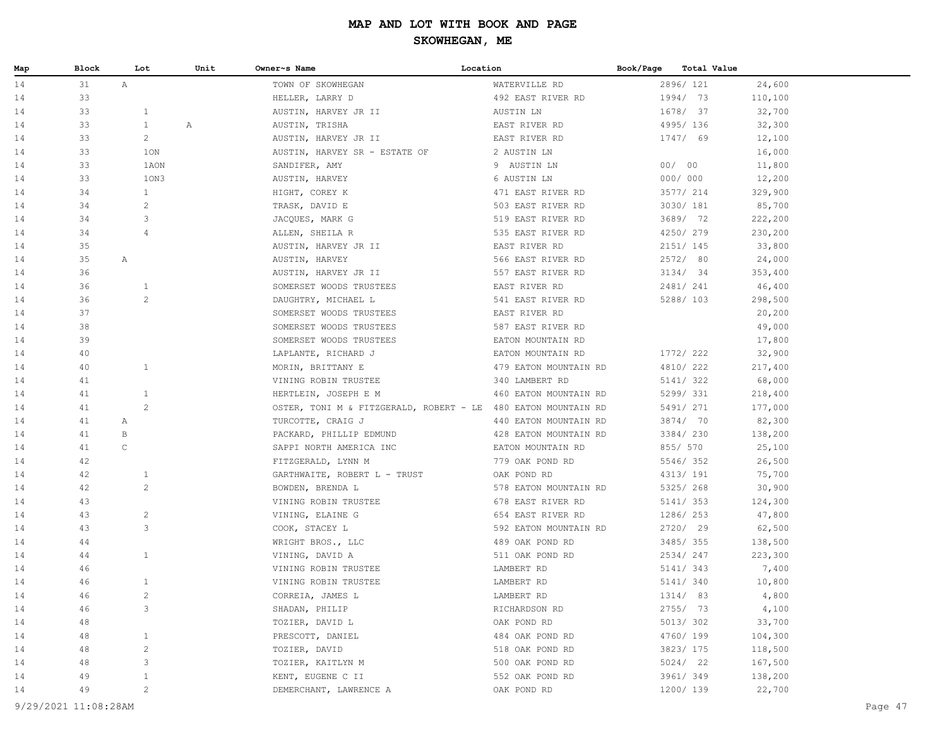| Map | Block | Lot                            | Unit | Owner~s Name                                                  | Location              | Book/Page | <b>Total Value</b> |         |
|-----|-------|--------------------------------|------|---------------------------------------------------------------|-----------------------|-----------|--------------------|---------|
| 14  | 31    | $\mathbb{A}$                   |      | TOWN OF SKOWHEGAN                                             | WATERVILLE RD         |           | 2896/ 121          | 24,600  |
| 14  | 33    |                                |      | HELLER, LARRY D                                               | 492 EAST RIVER RD     |           | 1994/ 73           | 110,100 |
| 14  | 33    | $\mathbf{1}$                   |      | AUSTIN, HARVEY JR II                                          | AUSTIN LN             |           | 1678/ 37           | 32,700  |
| 14  | 33    | $\mathbf{1}$                   | Α    | AUSTIN, TRISHA                                                | EAST RIVER RD         |           | 4995/136           | 32,300  |
| 14  | 33    | $\overline{c}$                 |      | AUSTIN, HARVEY JR II                                          | EAST RIVER RD         |           | 1747/ 69           | 12,100  |
| 14  | 33    | 1ON                            |      | AUSTIN, HARVEY SR - ESTATE OF                                 | 2 AUSTIN LN           |           |                    | 16,000  |
| 14  | 33    | 1AON                           |      | SANDIFER, AMY                                                 | 9 AUSTIN LN           |           | 00/00              | 11,800  |
| 14  | 33    | 10N3                           |      | AUSTIN, HARVEY                                                | 6 AUSTIN LN           |           | 000/000            | 12,200  |
| 14  | 34    | 1                              |      | HIGHT, COREY K                                                | 471 EAST RIVER RD     |           | 3577/ 214          | 329,900 |
| 14  | 34    | $\overline{c}$                 |      | TRASK, DAVID E                                                | 503 EAST RIVER RD     |           | 3030/ 181          | 85,700  |
| 14  | 34    | 3                              |      | JACQUES, MARK G                                               | 519 EAST RIVER RD     |           | 3689/ 72           | 222,200 |
| 14  | 34    | 4                              |      | ALLEN, SHEILA R                                               | 535 EAST RIVER RD     |           | 4250/ 279          | 230,200 |
| 14  | 35    |                                |      | AUSTIN, HARVEY JR II                                          | EAST RIVER RD         |           | 2151/ 145          | 33,800  |
| 14  | 35    | Α                              |      | AUSTIN, HARVEY                                                | 566 EAST RIVER RD     |           | 2572/ 80           | 24,000  |
| 14  | 36    |                                |      | AUSTIN, HARVEY JR II                                          | 557 EAST RIVER RD     |           | 3134/34            | 353,400 |
| 14  | 36    | $\mathbf{1}$                   |      | SOMERSET WOODS TRUSTEES                                       | EAST RIVER RD         |           | 2481/ 241          | 46,400  |
| 14  | 36    | $\overline{c}$                 |      | DAUGHTRY, MICHAEL L                                           | 541 EAST RIVER RD     |           | 5288/ 103          | 298,500 |
| 14  | 37    |                                |      | SOMERSET WOODS TRUSTEES                                       | EAST RIVER RD         |           |                    | 20,200  |
| 14  | 38    |                                |      | SOMERSET WOODS TRUSTEES                                       | 587 EAST RIVER RD     |           |                    | 49,000  |
| 14  | 39    |                                |      | SOMERSET WOODS TRUSTEES                                       | EATON MOUNTAIN RD     |           |                    | 17,800  |
| 14  | 40    |                                |      | LAPLANTE, RICHARD J                                           | EATON MOUNTAIN RD     |           | 1772/ 222          | 32,900  |
| 14  | 40    | $\mathbf{1}$                   |      | MORIN, BRITTANY E                                             | 479 EATON MOUNTAIN RD |           | 4810/ 222          | 217,400 |
| 14  | 41    |                                |      | VINING ROBIN TRUSTEE                                          | 340 LAMBERT RD        |           | 5141/ 322          | 68,000  |
| 14  | 41    | 1                              |      | HERTLEIN, JOSEPH E M                                          | 460 EATON MOUNTAIN RD |           | 5299/331           | 218,400 |
| 14  | 41    | 2                              |      | OSTER, TONI M & FITZGERALD, ROBERT - LE 480 EATON MOUNTAIN RD |                       |           | 5491/ 271          | 177,000 |
| 14  | 41    | Α                              |      | TURCOTTE, CRAIG J                                             | 440 EATON MOUNTAIN RD |           | 3874/ 70           | 82,300  |
| 14  | 41    | B                              |      | PACKARD, PHILLIP EDMUND                                       | 428 EATON MOUNTAIN RD |           | 3384/230           | 138,200 |
| 14  | 41    | C                              |      | SAPPI NORTH AMERICA INC                                       | EATON MOUNTAIN RD     |           | 855/ 570           | 25,100  |
| 14  | 42    |                                |      | FITZGERALD, LYNN M                                            | 779 OAK POND RD       |           | 5546/352           | 26,500  |
| 14  | 42    | 1                              |      | GARTHWAITE, ROBERT L - TRUST                                  | OAK POND RD           |           | 4313/191           | 75,700  |
| 14  | 42    | 2                              |      | BOWDEN, BRENDA L                                              | 578 EATON MOUNTAIN RD |           | 5325/268           | 30,900  |
| 14  | 43    |                                |      | VINING ROBIN TRUSTEE                                          | 678 EAST RIVER RD     |           | 5141/353           | 124,300 |
| 14  | 43    | $\overline{c}$                 |      | VINING, ELAINE G                                              | 654 EAST RIVER RD     |           | 1286/ 253          | 47,800  |
| 14  | 43    | 3                              |      | COOK, STACEY L                                                | 592 EATON MOUNTAIN RD |           | 2720/ 29           | 62,500  |
| 14  | 44    |                                |      | WRIGHT BROS., LLC                                             | 489 OAK POND RD       |           | 3485/355           | 138,500 |
| 14  | 44    | $\mathbf{1}$                   |      | VINING, DAVID A                                               | 511 OAK POND RD       |           | 2534/247           | 223,300 |
| 14  | 46    |                                |      | VINING ROBIN TRUSTEE                                          | LAMBERT RD            |           | 5141/ 343          | 7,400   |
| 14  | 46    | $\mathbf{1}$                   |      | VINING ROBIN TRUSTEE                                          | LAMBERT RD            |           | 5141/ 340          | 10,800  |
| 14  | 46    | 2                              |      | CORREIA, JAMES L                                              | LAMBERT RD            |           | 1314/ 83           | 4,800   |
| 14  | 46    | 3                              |      | SHADAN, PHILIP                                                | RICHARDSON RD         |           | 2755/ 73           | 4,100   |
| 14  | 48    |                                |      | TOZIER, DAVID L                                               | OAK POND RD           |           | 5013/302           | 33,700  |
| 14  | 48    | $\mathbf{1}$                   |      | PRESCOTT, DANIEL                                              | 484 OAK POND RD       |           | 4760/ 199          | 104,300 |
| 14  | 48    | $\overline{c}$<br>3            |      | TOZIER, DAVID                                                 | 518 OAK POND RD       |           | 3823/ 175          | 118,500 |
| 14  | 48    |                                |      | TOZIER, KAITLYN M                                             | 500 OAK POND RD       |           | 5024/ 22           | 167,500 |
| 14  | 49    | $\mathbf{1}$<br>$\overline{c}$ |      | KENT, EUGENE C II                                             | 552 OAK POND RD       |           | 3961/349           | 138,200 |
| 14  | 49    |                                |      | DEMERCHANT, LAWRENCE A                                        | OAK POND RD           |           | 1200/ 139          | 22,700  |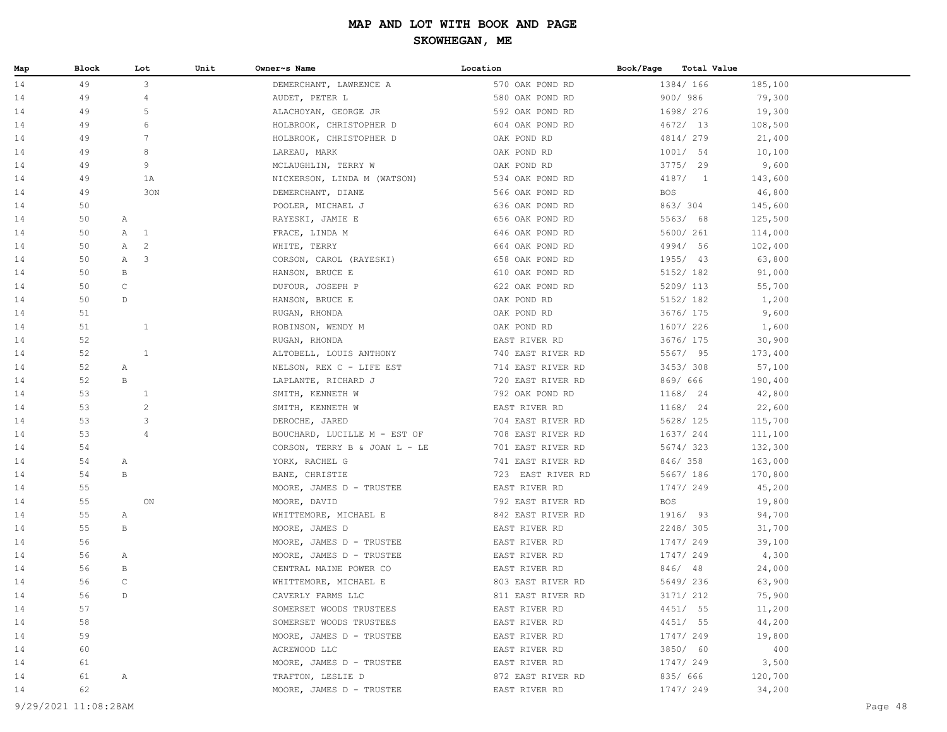| Map | Block | Lot                            | Unit | Owner~s Name                  | Location          | Book/Page  | Total Value                       |         |
|-----|-------|--------------------------------|------|-------------------------------|-------------------|------------|-----------------------------------|---------|
| 14  | 49    | $\mathcal{S}$                  |      | DEMERCHANT, LAWRENCE A        | 570 OAK POND RD   |            | 1384/ 166                         | 185,100 |
| 14  | 49    | $\overline{4}$                 |      | AUDET, PETER L                | 580 OAK POND RD   |            | 900/986                           | 79,300  |
| 14  | 49    | 5                              |      | ALACHOYAN, GEORGE JR          | 592 OAK POND RD   |            | 1698/ 276                         | 19,300  |
| 14  | 49    | 6                              |      | HOLBROOK, CHRISTOPHER D       | 604 OAK POND RD   |            | 4672/13                           | 108,500 |
| 14  | 49    | $7\phantom{.0}$                |      | HOLBROOK, CHRISTOPHER D       | OAK POND RD       |            | 4814/279                          | 21,400  |
| 14  | 49    | 8                              |      | LAREAU, MARK                  | OAK POND RD       |            | 1001/54                           | 10,100  |
| 14  | 49    | 9                              |      | MCLAUGHLIN, TERRY W           | OAK POND RD       |            | 3775/29                           | 9,600   |
| 14  | 49    | 1A                             |      | NICKERSON, LINDA M (WATSON)   | 534 OAK POND RD   |            | 4187/<br>$\overline{\phantom{1}}$ | 143,600 |
| 14  | 49    |                                | 30N  | DEMERCHANT, DIANE             | 566 OAK POND RD   | <b>BOS</b> |                                   | 46,800  |
| 14  | 50    |                                |      | POOLER, MICHAEL J             | 636 OAK POND RD   |            | 863/304                           | 145,600 |
| 14  | 50    | A                              |      | RAYESKI, JAMIE E              | 656 OAK POND RD   |            | 5563/ 68                          | 125,500 |
| 14  | 50    | $\mathbf{1}$<br>$\mathbb{A}$   |      | FRACE, LINDA M                | 646 OAK POND RD   |            | 5600/ 261                         | 114,000 |
| 14  | 50    | $\overline{c}$<br>$\mathbb{A}$ |      | WHITE, TERRY                  | 664 OAK POND RD   |            | 4994/ 56                          | 102,400 |
| 14  | 50    | $\mathbf{3}$<br>А              |      | CORSON, CAROL (RAYESKI)       | 658 OAK POND RD   |            | 1955/ 43                          | 63,800  |
| 14  | 50    | В                              |      | HANSON, BRUCE E               | 610 OAK POND RD   |            | 5152/ 182                         | 91,000  |
| 14  | 50    | $\mathsf C$                    |      | DUFOUR, JOSEPH P              | 622 OAK POND RD   |            | 5209/ 113                         | 55,700  |
| 14  | 50    | D                              |      | HANSON, BRUCE E               | OAK POND RD       |            | 5152/ 182                         | 1,200   |
| 14  | 51    |                                |      | RUGAN, RHONDA                 | OAK POND RD       |            | 3676/ 175                         | 9,600   |
| 14  | 51    | $\mathbf{1}$                   |      | ROBINSON, WENDY M             | OAK POND RD       |            | 1607/ 226                         | 1,600   |
| 14  | 52    |                                |      | RUGAN, RHONDA                 | EAST RIVER RD     |            | 3676/ 175                         | 30,900  |
| 14  | 52    | $\mathbf{1}$                   |      | ALTOBELL, LOUIS ANTHONY       | 740 EAST RIVER RD |            | 5567/ 95                          | 173,400 |
| 14  | 52    | A                              |      | NELSON, REX C - LIFE EST      | 714 EAST RIVER RD |            | 3453/308                          | 57,100  |
| 14  | 52    | B                              |      | LAPLANTE, RICHARD J           | 720 EAST RIVER RD |            | 869/ 666                          | 190,400 |
| 14  | 53    | 1                              |      | SMITH, KENNETH W              | 792 OAK POND RD   |            | 1168/ 24                          | 42,800  |
| 14  | 53    | $\overline{c}$                 |      | SMITH, KENNETH W              | EAST RIVER RD     |            | 1168/ 24                          | 22,600  |
| 14  | 53    | 3                              |      | DEROCHE, JARED                | 704 EAST RIVER RD |            | 5628/ 125                         | 115,700 |
| 14  | 53    | $\overline{4}$                 |      | BOUCHARD, LUCILLE M - EST OF  | 708 EAST RIVER RD |            | 1637/ 244                         | 111,100 |
| 14  | 54    |                                |      | CORSON, TERRY B & JOAN L - LE | 701 EAST RIVER RD |            | 5674/323                          | 132,300 |
| 14  | 54    | A                              |      | YORK, RACHEL G                | 741 EAST RIVER RD |            | 846/358                           | 163,000 |
| 14  | 54    | $\, {\bf B}$                   |      | BANE, CHRISTIE                | 723 EAST RIVER RD |            | 5667/ 186                         | 170,800 |
| 14  | 55    |                                |      | MOORE, JAMES D - TRUSTEE      | EAST RIVER RD     |            | 1747/ 249                         | 45,200  |
| 14  | 55    | ON                             |      | MOORE, DAVID                  | 792 EAST RIVER RD | BOS        |                                   | 19,800  |
| 14  | 55    | $\mathbb{A}$                   |      | WHITTEMORE, MICHAEL E         | 842 EAST RIVER RD |            | 1916/ 93                          | 94,700  |
| 14  | 55    | B                              |      | MOORE, JAMES D                | EAST RIVER RD     |            | 2248/305                          | 31,700  |
| 14  | 56    |                                |      | MOORE, JAMES D - TRUSTEE      | EAST RIVER RD     |            | 1747/249                          | 39,100  |
| 14  | 56    | A                              |      | MOORE, JAMES D - TRUSTEE      | EAST RIVER RD     |            | 1747/249                          | 4,300   |
| 14  | 56    | В                              |      | CENTRAL MAINE POWER CO        | EAST RIVER RD     |            | 846/ 48                           | 24,000  |
| 14  | 56    | $\mathsf C$                    |      | WHITTEMORE, MICHAEL E         | 803 EAST RIVER RD |            | 5649/236                          | 63,900  |
| 14  | 56    | $\mathbb{D}$                   |      | CAVERLY FARMS LLC             | 811 EAST RIVER RD |            | 3171/ 212                         | 75,900  |
| 14  | 57    |                                |      | SOMERSET WOODS TRUSTEES       | EAST RIVER RD     |            | 4451/ 55                          | 11,200  |
| 14  | 58    |                                |      | SOMERSET WOODS TRUSTEES       | EAST RIVER RD     |            | 4451/ 55                          | 44,200  |
| 14  | 59    |                                |      | MOORE, JAMES D - TRUSTEE      | EAST RIVER RD     |            | 1747/249                          | 19,800  |
| 14  | 60    |                                |      | ACREWOOD LLC                  | EAST RIVER RD     |            | 3850/ 60                          | 400     |
| 14  | 61    |                                |      | MOORE, JAMES D - TRUSTEE      | EAST RIVER RD     |            | 1747/ 249                         | 3,500   |
| 14  | 61    | Α                              |      | TRAFTON, LESLIE D             | 872 EAST RIVER RD |            | 835/ 666                          | 120,700 |
| 14  | 62    |                                |      | MOORE, JAMES D - TRUSTEE      | EAST RIVER RD     |            | 1747/249                          | 34,200  |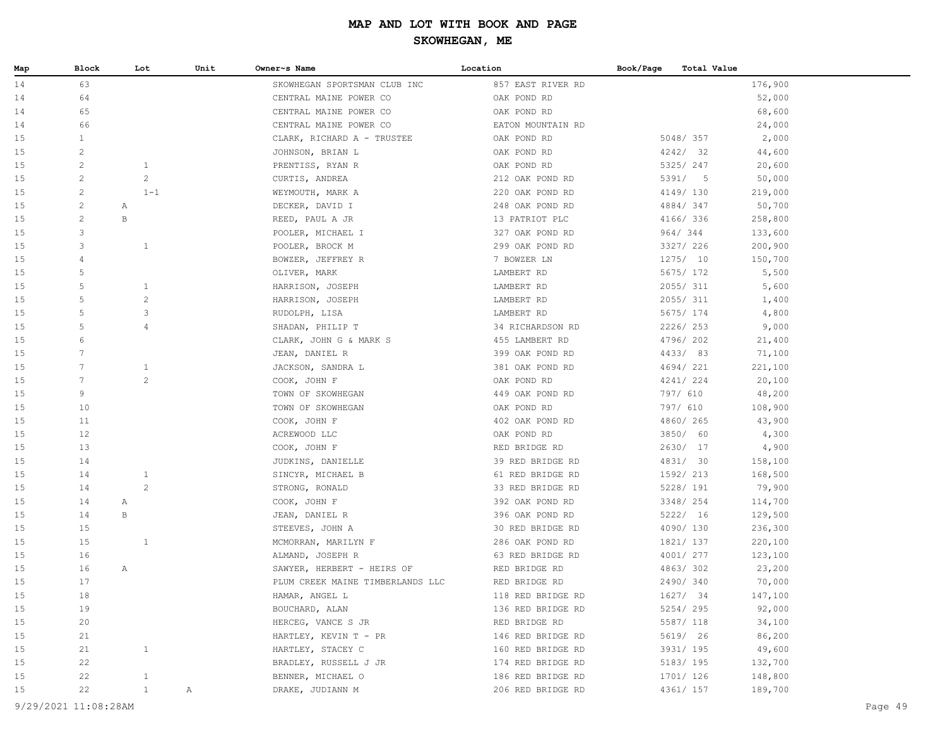| Map      | Block                 | Lot                          | Unit    | Owner~s Name                          | Location                               | Book/Page<br>Total Value |                    |
|----------|-----------------------|------------------------------|---------|---------------------------------------|----------------------------------------|--------------------------|--------------------|
| 14       | 63                    |                              |         | SKOWHEGAN SPORTSMAN CLUB INC          | 857 EAST RIVER RD                      |                          | 176,900            |
| 14       | 64                    |                              |         | CENTRAL MAINE POWER CO                | OAK POND RD                            |                          | 52,000             |
| 14       | 65                    |                              |         | CENTRAL MAINE POWER CO                | OAK POND RD                            |                          | 68,600             |
| 14       | 66                    |                              |         | CENTRAL MAINE POWER CO                | EATON MOUNTAIN RD                      |                          | 24,000             |
| 15       | $\mathbf{1}$          |                              |         | CLARK, RICHARD A - TRUSTEE            | OAK POND RD                            | 5048/357                 | 2,000              |
| 15       | $\mathbf{2}^{\prime}$ |                              |         | JOHNSON, BRIAN L                      | OAK POND RD                            | 4242/32                  | 44,600             |
| 15       | $\mathbf{2}$          | 1                            |         | PRENTISS, RYAN R                      | OAK POND RD                            | 5325/ 247                | 20,600             |
| 15       | $\mathbf{2}^{\prime}$ | $\overline{c}$               |         | CURTIS, ANDREA                        | 212 OAK POND RD                        | 5391/5                   | 50,000             |
| 15       | $\mathbf{2}$          |                              | $1 - 1$ | WEYMOUTH, MARK A                      | 220 OAK POND RD                        | 4149/ 130                | 219,000            |
| 15       | $\overline{c}$        | Α                            |         | DECKER, DAVID I                       | 248 OAK POND RD                        | 4884/347                 | 50,700             |
| 15       | $\overline{c}$        | $\, {\bf B}$                 |         | REED, PAUL A JR                       | 13 PATRIOT PLC                         | 4166/ 336                | 258,800            |
| 15       | 3                     |                              |         | POOLER, MICHAEL I                     | 327 OAK POND RD                        | 964/344                  | 133,600            |
| 15       | 3                     | $\mathbf{1}$                 |         | POOLER, BROCK M                       | 299 OAK POND RD                        | 3327/ 226                | 200,900            |
| 15       | 4                     |                              |         | BOWZER, JEFFREY R                     | 7 BOWZER LN                            | 1275/10                  | 150,700            |
| 15       | 5                     |                              |         | OLIVER, MARK                          | LAMBERT RD                             | 5675/ 172                | 5,500              |
| 15       | 5                     | 1                            |         | HARRISON, JOSEPH                      | LAMBERT RD                             | 2055/ 311                | 5,600              |
| 15       | 5                     | $\mathbf{2}$                 |         | HARRISON, JOSEPH                      | LAMBERT RD                             | 2055/ 311                | 1,400              |
| 15       | 5                     | 3                            |         | RUDOLPH, LISA                         | LAMBERT RD                             | 5675/ 174                | 4,800              |
| 15       | 5                     | 4                            |         | SHADAN, PHILIP T                      | 34 RICHARDSON RD                       | 2226/253                 | 9,000              |
| 15       | 6                     |                              |         | CLARK, JOHN G & MARK S                | 455 LAMBERT RD                         | 4796/202                 | 21,400             |
| 15       | 7                     |                              |         | JEAN, DANIEL R                        | 399 OAK POND RD                        | 4433/83                  | 71,100             |
| 15       | 7                     | $\mathbf{1}$                 |         | JACKSON, SANDRA L                     | 381 OAK POND RD                        | 4694/221                 | 221,100            |
| 15       | $7\phantom{.}$        | $\overline{c}$               |         | COOK, JOHN F                          | OAK POND RD                            | 4241/224                 | 20,100             |
| 15       | 9                     |                              |         | TOWN OF SKOWHEGAN                     | 449 OAK POND RD                        | 797/ 610                 | 48,200             |
| 15       | 10                    |                              |         | TOWN OF SKOWHEGAN                     | OAK POND RD                            | 797/ 610                 | 108,900            |
| 15       | 11                    |                              |         | COOK, JOHN F                          | 402 OAK POND RD                        | 4860/265                 | 43,900             |
| 15       | 12                    |                              |         | ACREWOOD LLC                          | OAK POND RD                            | 3850/ 60                 | 4,300              |
| 15       | 13                    |                              |         | COOK, JOHN F                          | RED BRIDGE RD                          | 2630/ 17                 | 4,900              |
| 15       | 14                    |                              |         | JUDKINS, DANIELLE                     | 39 RED BRIDGE RD                       | 4831/ 30                 | 158,100            |
| 15       | 14                    | $\mathbf{1}$                 |         | SINCYR, MICHAEL B                     | 61 RED BRIDGE RD                       | 1592/ 213                | 168,500            |
| 15       | 14                    | 2                            |         | STRONG, RONALD                        | 33 RED BRIDGE RD                       | 5228/ 191                | 79,900             |
| 15       | 14                    | A                            |         | COOK, JOHN F                          | 392 OAK POND RD                        | 3348/ 254                | 114,700            |
| 15       | 14                    | B                            |         | JEAN, DANIEL R                        | 396 OAK POND RD                        | 5222/ 16                 | 129,500            |
| 15       | 15                    |                              |         | STEEVES, JOHN A                       | 30 RED BRIDGE RD                       | 4090/130                 | 236,300            |
| 15       | 15                    | 1                            |         | MCMORRAN, MARILYN F                   | 286 OAK POND RD                        | 1821/ 137                | 220,100            |
| 15       | 16                    |                              |         | ALMAND, JOSEPH R                      | 63 RED BRIDGE RD                       | 4001/ 277                | 123,100            |
| 15       | 16                    | Α                            |         | SAWYER, HERBERT - HEIRS OF            | RED BRIDGE RD                          | 4863/302                 | 23,200             |
| 15       | 17                    |                              |         | PLUM CREEK MAINE TIMBERLANDS LLC      | RED BRIDGE RD                          | 2490/340                 | 70,000             |
| 15       | 18                    |                              |         | HAMAR, ANGEL L                        | 118 RED BRIDGE RD                      | 1627/ 34                 | 147,100            |
| 15       | 19                    |                              |         | BOUCHARD, ALAN                        | 136 RED BRIDGE RD                      | 5254/295                 | 92,000             |
| 15       | 20                    |                              |         | HERCEG, VANCE S JR                    | RED BRIDGE RD                          | 5587/ 118                | 34,100             |
| 15       | 21                    |                              |         | HARTLEY, KEVIN T - PR                 | 146 RED BRIDGE RD                      | 5619/ 26                 | 86,200             |
| 15       | 21                    | $\mathbf{1}$                 |         | HARTLEY, STACEY C                     | 160 RED BRIDGE RD                      | 3931/ 195                | 49,600             |
| 15       | 22                    |                              |         | BRADLEY, RUSSELL J JR                 | 174 RED BRIDGE RD<br>186 RED BRIDGE RD | 5183/ 195<br>1701/ 126   | 132,700            |
| 15<br>15 | 22<br>22              | $\mathbf{1}$<br>$\mathbf{1}$ |         | BENNER, MICHAEL O<br>DRAKE, JUDIANN M |                                        | 4361/ 157                | 148,800<br>189,700 |
|          |                       |                              | Α       |                                       | 206 RED BRIDGE RD                      |                          |                    |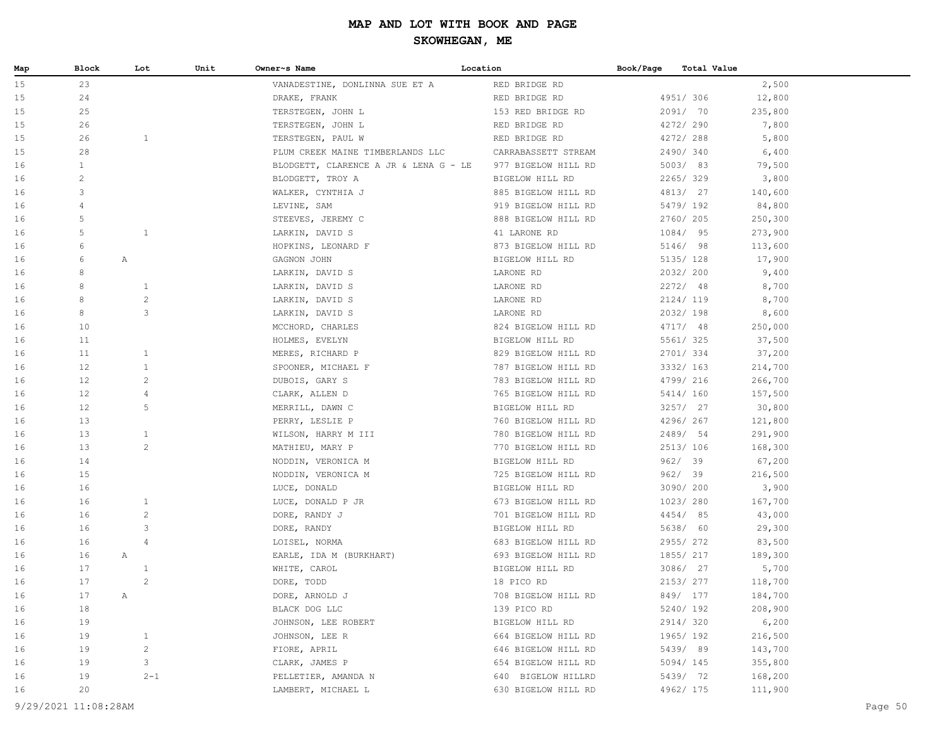| Map | Block          |              | Lot            | Unit | Owner~s Name                          | Location            | Book/Page | Total Value |         |
|-----|----------------|--------------|----------------|------|---------------------------------------|---------------------|-----------|-------------|---------|
| 15  | 23             |              |                |      | VANADESTINE, DONLINNA SUE ET A        | RED BRIDGE RD       |           |             | 2,500   |
| 15  | 24             |              |                |      | DRAKE, FRANK                          | RED BRIDGE RD       |           | 4951/ 306   | 12,800  |
| 15  | 25             |              |                |      | TERSTEGEN, JOHN L                     | 153 RED BRIDGE RD   |           | 2091/ 70    | 235,800 |
| 15  | 26             |              |                |      | TERSTEGEN, JOHN L                     | RED BRIDGE RD       |           | 4272/290    | 7,800   |
| 15  | 26             |              | $\mathbf{1}$   |      | TERSTEGEN, PAUL W                     | RED BRIDGE RD       |           | 4272/288    | 5,800   |
| 15  | 28             |              |                |      | PLUM CREEK MAINE TIMBERLANDS LLC      | CARRABASSETT STREAM |           | 2490/340    | 6,400   |
| 16  | $\mathbf{1}$   |              |                |      | BLODGETT, CLARENCE A JR & LENA G - LE | 977 BIGELOW HILL RD |           | 5003/83     | 79,500  |
| 16  | $\overline{c}$ |              |                |      | BLODGETT, TROY A                      | BIGELOW HILL RD     |           | 2265/329    | 3,800   |
| 16  | 3              |              |                |      | WALKER, CYNTHIA J                     | 885 BIGELOW HILL RD |           | 4813/ 27    | 140,600 |
| 16  | 4              |              |                |      | LEVINE, SAM                           | 919 BIGELOW HILL RD |           | 5479/ 192   | 84,800  |
| 16  | 5              |              |                |      | STEEVES, JEREMY C                     | 888 BIGELOW HILL RD |           | 2760/ 205   | 250,300 |
| 16  | 5              |              | $\mathbf{1}$   |      | LARKIN, DAVID S                       | 41 LARONE RD        |           | 1084/ 95    | 273,900 |
| 16  | 6              |              |                |      | HOPKINS, LEONARD F                    | 873 BIGELOW HILL RD |           | 5146/ 98    | 113,600 |
| 16  | 6              | Α            |                |      | GAGNON JOHN                           | BIGELOW HILL RD     |           | 5135/ 128   | 17,900  |
| 16  | 8              |              |                |      | LARKIN, DAVID S                       | LARONE RD           |           | 2032/200    | 9,400   |
| 16  | 8              |              | 1              |      | LARKIN, DAVID S                       | LARONE RD           |           | 2272/ 48    | 8,700   |
| 16  | 8              |              | $\mathbf{2}$   |      | LARKIN, DAVID S                       | LARONE RD           |           | 2124/ 119   | 8,700   |
| 16  | 8              |              | 3              |      | LARKIN, DAVID S                       | LARONE RD           |           | 2032/198    | 8,600   |
| 16  | 10             |              |                |      | MCCHORD, CHARLES                      | 824 BIGELOW HILL RD |           | 4717/ 48    | 250,000 |
| 16  | 11             |              |                |      | HOLMES, EVELYN                        | BIGELOW HILL RD     |           | 5561/ 325   | 37,500  |
| 16  | 11             |              | $\mathbf{1}$   |      | MERES, RICHARD P                      | 829 BIGELOW HILL RD |           | 2701/334    | 37,200  |
| 16  | 12             |              | $\mathbf{1}$   |      | SPOONER, MICHAEL F                    | 787 BIGELOW HILL RD |           | 3332/ 163   | 214,700 |
| 16  | 12             |              | $\overline{c}$ |      | DUBOIS, GARY S                        | 783 BIGELOW HILL RD |           | 4799/ 216   | 266,700 |
| 16  | 12             |              | $\overline{4}$ |      | CLARK, ALLEN D                        | 765 BIGELOW HILL RD |           | 5414/ 160   | 157,500 |
| 16  | 12             |              | 5              |      | MERRILL, DAWN C                       | BIGELOW HILL RD     |           | 3257/27     | 30,800  |
| 16  | 13             |              |                |      | PERRY, LESLIE P                       | 760 BIGELOW HILL RD |           | 4296/267    | 121,800 |
| 16  | 13             |              | $\mathbf{1}$   |      | WILSON, HARRY M III                   | 780 BIGELOW HILL RD |           | 2489/ 54    | 291,900 |
| 16  | 13             |              | $\mathbf{2}$   |      | MATHIEU, MARY P                       | 770 BIGELOW HILL RD |           | 2513/ 106   | 168,300 |
| 16  | 14             |              |                |      | NODDIN, VERONICA M                    | BIGELOW HILL RD     |           | 962/39      | 67,200  |
| 16  | 15             |              |                |      | NODDIN, VERONICA M                    | 725 BIGELOW HILL RD |           | 962/39      | 216,500 |
| 16  | 16             |              |                |      | LUCE, DONALD                          | BIGELOW HILL RD     |           | 3090/ 200   | 3,900   |
| 16  | 16             |              | 1              |      | LUCE, DONALD P JR                     | 673 BIGELOW HILL RD |           | 1023/ 280   | 167,700 |
| 16  | 16             |              | $\overline{c}$ |      | DORE, RANDY J                         | 701 BIGELOW HILL RD |           | 4454/ 85    | 43,000  |
| 16  | 16             |              | 3              |      | DORE, RANDY                           | BIGELOW HILL RD     |           | 5638/ 60    | 29,300  |
| 16  | 16             |              | $\overline{4}$ |      | LOISEL, NORMA                         | 683 BIGELOW HILL RD |           | 2955/272    | 83,500  |
| 16  | 16             | $\mathbb{A}$ |                |      | EARLE, IDA M (BURKHART)               | 693 BIGELOW HILL RD |           | 1855/ 217   | 189,300 |
| 16  | 17             |              | $\mathbf{1}$   |      | WHITE, CAROL                          | BIGELOW HILL RD     |           | 3086/ 27    | 5,700   |
| 16  | 17             |              | 2              |      | DORE, TODD                            | 18 PICO RD          |           | 2153/ 277   | 118,700 |
| 16  | 17             | Α            |                |      | DORE, ARNOLD J                        | 708 BIGELOW HILL RD |           | 849/ 177    | 184,700 |
| 16  | 18             |              |                |      | BLACK DOG LLC                         | 139 PICO RD         |           | 5240/ 192   | 208,900 |
| 16  | 19             |              |                |      | JOHNSON, LEE ROBERT                   | BIGELOW HILL RD     |           | 2914/320    | 6,200   |
| 16  | 19             |              | $\mathbf{1}$   |      | JOHNSON, LEE R                        | 664 BIGELOW HILL RD |           | 1965/192    | 216,500 |
| 16  | 19             |              | $\mathbf{2}$   |      | FIORE, APRIL                          | 646 BIGELOW HILL RD |           | 5439/ 89    | 143,700 |
| 16  | 19             |              | 3              |      | CLARK, JAMES P                        | 654 BIGELOW HILL RD |           | 5094/145    | 355,800 |
| 16  | 19             |              | $2 - 1$        |      | PELLETIER, AMANDA N                   | 640 BIGELOW HILLRD  |           | 5439/ 72    | 168,200 |
| 16  | 20             |              |                |      | LAMBERT, MICHAEL L                    | 630 BIGELOW HILL RD |           | 4962/ 175   | 111,900 |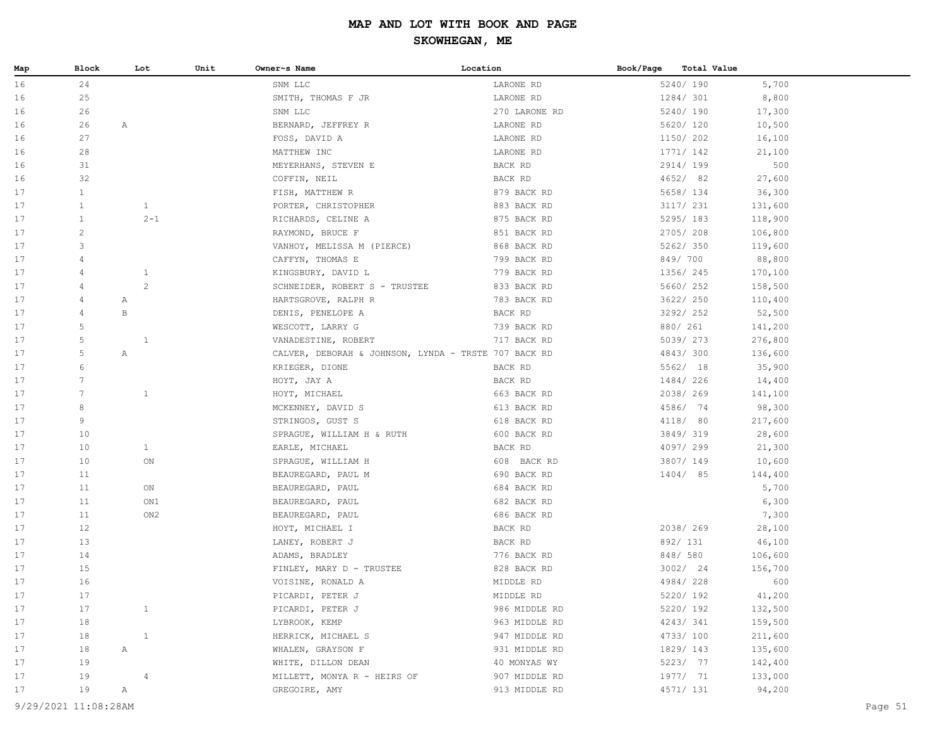| Map                  | Block           | Lot            | Unit | Owner~s Name                                         | Location      | Book/Page |           | Total Value |         |         |
|----------------------|-----------------|----------------|------|------------------------------------------------------|---------------|-----------|-----------|-------------|---------|---------|
| 16                   | 24              |                |      | SNM LLC                                              | LARONE RD     |           | 5240/190  |             | 5,700   |         |
| 16                   | 25              |                |      | SMITH, THOMAS F JR                                   | LARONE RD     |           | 1284/ 301 |             | 8,800   |         |
| 16                   | 26              |                |      | SNM LLC                                              | 270 LARONE RD |           | 5240/190  |             | 17,300  |         |
| 16                   | 26              | Α              |      | BERNARD, JEFFREY R                                   | LARONE RD     |           | 5620/ 120 |             | 10,500  |         |
| 16                   | 27              |                |      | FOSS, DAVID A                                        | LARONE RD     |           | 1150/ 202 |             | 16,100  |         |
| 16                   | 28              |                |      | MATTHEW INC                                          | LARONE RD     |           | 1771/ 142 |             | 21,100  |         |
| 16                   | 31              |                |      | MEYERHANS, STEVEN E                                  | BACK RD       |           | 2914/199  |             | 500     |         |
| 16                   | 32              |                |      | COFFIN, NEIL                                         | BACK RD       |           | 4652/ 82  |             | 27,600  |         |
| 17                   | $\mathbf{1}$    |                |      | FISH, MATTHEW R                                      | 879 BACK RD   |           | 5658/ 134 |             | 36,300  |         |
| 17                   | $\mathbf{1}$    | $\mathbf{1}$   |      | PORTER, CHRISTOPHER                                  | 883 BACK RD   |           | 3117/ 231 |             | 131,600 |         |
| 17                   | $\mathbf{1}$    | $2 - 1$        |      | RICHARDS, CELINE A                                   | 875 BACK RD   |           | 5295/183  |             | 118,900 |         |
| 17                   | $\overline{c}$  |                |      | RAYMOND, BRUCE F                                     | 851 BACK RD   |           | 2705/208  |             | 106,800 |         |
| 17                   | 3               |                |      | VANHOY, MELISSA M (PIERCE)                           | 868 BACK RD   |           | 5262/350  |             | 119,600 |         |
| 17                   | 4               |                |      | CAFFYN, THOMAS E                                     | 799 BACK RD   |           | 849/700   |             | 88,800  |         |
| 17                   | 4               | $\mathbf{1}$   |      | KINGSBURY, DAVID L                                   | 779 BACK RD   |           | 1356/ 245 |             | 170,100 |         |
| 17                   | $\overline{4}$  | $\overline{c}$ |      | SCHNEIDER, ROBERT S - TRUSTEE                        | 833 BACK RD   |           | 5660/ 252 |             | 158,500 |         |
| 17                   | $\overline{4}$  | Α              |      | HARTSGROVE, RALPH R                                  | 783 BACK RD   |           | 3622/ 250 |             | 110,400 |         |
| 17                   | $\overline{4}$  | $\, {\bf B}$   |      | DENIS, PENELOPE A                                    | BACK RD       |           | 3292/ 252 |             | 52,500  |         |
| 17                   | 5               |                |      | WESCOTT, LARRY G                                     | 739 BACK RD   |           | 880/ 261  |             | 141,200 |         |
| 17                   | 5               | $\mathbf{1}$   |      | VANADESTINE, ROBERT                                  | 717 BACK RD   |           | 5039/ 273 |             | 276,800 |         |
| 17                   | $\mathsf S$     | $\mathbb{A}$   |      | CALVER, DEBORAH & JOHNSON, LYNDA - TRSTE 707 BACK RD |               |           | 4843/300  |             | 136,600 |         |
| 17                   | 6               |                |      | KRIEGER, DIONE                                       | BACK RD       |           | 5562/ 18  |             | 35,900  |         |
| 17                   | $7\phantom{.0}$ |                |      | HOYT, JAY A                                          | BACK RD       |           | 1484/226  |             | 14,400  |         |
| 17                   | $7\phantom{.0}$ | $\mathbf{1}$   |      | HOYT, MICHAEL                                        | 663 BACK RD   |           | 2038/269  |             | 141,100 |         |
| 17                   | 8               |                |      | MCKENNEY, DAVID S                                    | 613 BACK RD   |           | 4586/ 74  |             | 98,300  |         |
| 17                   | 9               |                |      | STRINGOS, GUST S                                     | 618 BACK RD   |           | 4118/ 80  |             | 217,600 |         |
| 17                   | 10              |                |      | SPRAGUE, WILLIAM H & RUTH                            | 600 BACK RD   |           | 3849/319  |             | 28,600  |         |
| 17                   | 10              | $\mathbf{1}$   |      | EARLE, MICHAEL                                       | BACK RD       |           | 4097/299  |             | 21,300  |         |
| 17                   | 10              | ON             |      | SPRAGUE, WILLIAM H                                   | 608 BACK RD   |           | 3807/149  |             | 10,600  |         |
| 17                   | 11              |                |      | BEAUREGARD, PAUL M                                   | 690 BACK RD   |           | 1404/ 85  |             | 144,400 |         |
| 17                   | 11              | ON             |      | BEAUREGARD, PAUL                                     | 684 BACK RD   |           |           |             | 5,700   |         |
| 17                   | 11              | ON1            |      | BEAUREGARD, PAUL                                     | 682 BACK RD   |           |           |             | 6,300   |         |
| 17                   | 11              | ON2            |      | BEAUREGARD, PAUL                                     | 686 BACK RD   |           |           |             | 7,300   |         |
| 17                   | 12              |                |      | HOYT, MICHAEL I                                      | BACK RD       |           | 2038/269  |             | 28,100  |         |
| 17                   | 13              |                |      | LANEY, ROBERT J                                      | BACK RD       |           | 892/ 131  |             | 46,100  |         |
| 17                   | 14              |                |      | ADAMS, BRADLEY                                       | 776 BACK RD   |           | 848/ 580  |             | 106,600 |         |
| 17                   | 15              |                |      | FINLEY, MARY D - TRUSTEE                             | 828 BACK RD   |           | 3002/24   |             | 156,700 |         |
| 17                   | 16              |                |      | VOISINE, RONALD A                                    | MIDDLE RD     |           | 4984/228  |             | 600     |         |
| 17                   | 17              |                |      | PICARDI, PETER J                                     | MIDDLE RD     |           | 5220/ 192 |             | 41,200  |         |
| 17                   | 17              | $\mathbf{1}$   |      | PICARDI, PETER J                                     | 986 MIDDLE RD |           | 5220/ 192 |             | 132,500 |         |
| 17                   | 18              |                |      | LYBROOK, KEMP                                        | 963 MIDDLE RD |           | 4243/341  |             | 159,500 |         |
| 17                   | 18              | $\mathbf{1}$   |      | HERRICK, MICHAEL S                                   | 947 MIDDLE RD |           | 4733/100  |             | 211,600 |         |
| 17                   | 18              | Α              |      | WHALEN, GRAYSON F                                    | 931 MIDDLE RD |           | 1829/ 143 |             | 135,600 |         |
| 17                   | 19              |                |      | WHITE, DILLON DEAN                                   | 40 MONYAS WY  |           | 5223/ 77  |             | 142,400 |         |
| 17                   | 19              | $\overline{4}$ |      | MILLETT, MONYA R - HEIRS OF                          | 907 MIDDLE RD |           | 1977/ 71  |             | 133,000 |         |
| 17                   | 19              | $\mathbb{A}$   |      | GREGOIRE, AMY                                        | 913 MIDDLE RD |           | 4571/ 131 |             | 94,200  |         |
| 9/29/2021 11:08:28AM |                 |                |      |                                                      |               |           |           |             |         | Page 51 |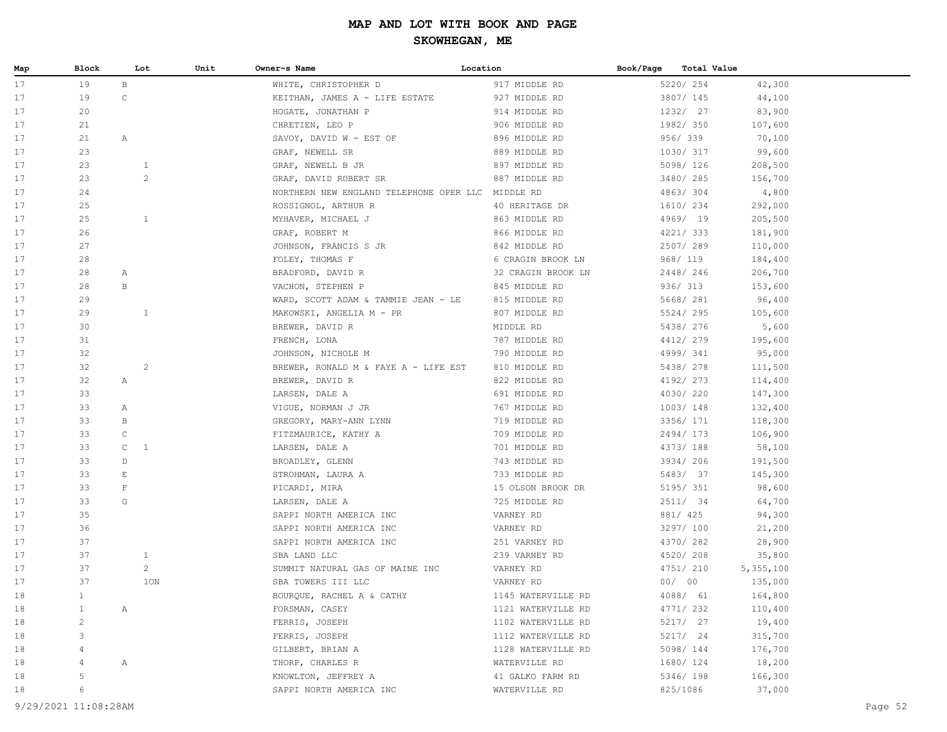| Map | Block          |                 | Unit<br>Lot    | Owner~s Name                                      | Location           | Book/Page | Total Value |           |
|-----|----------------|-----------------|----------------|---------------------------------------------------|--------------------|-----------|-------------|-----------|
| 17  | 19             | $\, {\bf B} \,$ |                | WHITE, CHRISTOPHER D                              | 917 MIDDLE RD      |           | 5220/ 254   | 42,300    |
| 17  | 19             | $\mathtt{C}$    |                | KEITHAN, JAMES A - LIFE ESTATE                    | 927 MIDDLE RD      |           | 3807/ 145   | 44,100    |
| 17  | 20             |                 |                | HOGATE, JONATHAN P                                | 914 MIDDLE RD      |           | 1232/ 27    | 83,900    |
| 17  | 21             |                 |                | CHRETIEN, LEO P                                   | 906 MIDDLE RD      |           | 1982/ 350   | 107,600   |
| 17  | 21             | Α               |                | SAVOY, DAVID W - EST OF                           | 896 MIDDLE RD      |           | 956/339     | 70,100    |
| 17  | 23             |                 |                | GRAF, NEWELL SR                                   | 889 MIDDLE RD      |           | 1030/ 317   | 99,600    |
| 17  | 23             |                 | $\mathbf{1}$   | GRAF, NEWELL B JR                                 | 897 MIDDLE RD      |           | 5098/ 126   | 208,500   |
| 17  | 23             |                 | $\mathbf{2}$   | GRAF, DAVID ROBERT SR                             | 887 MIDDLE RD      |           | 3480/ 285   | 156,700   |
| 17  | 24             |                 |                | NORTHERN NEW ENGLAND TELEPHONE OPER LLC MIDDLE RD |                    |           | 4863/304    | 4,800     |
| 17  | 25             |                 |                | ROSSIGNOL, ARTHUR R                               | 40 HERITAGE DR     |           | 1610/234    | 292,000   |
| 17  | 25             |                 | $\mathbf{1}$   | MYHAVER, MICHAEL J                                | 863 MIDDLE RD      |           | 4969/ 19    | 205,500   |
| 17  | 26             |                 |                | GRAF, ROBERT M                                    | 866 MIDDLE RD      |           | 4221/333    | 181,900   |
| 17  | 27             |                 |                | JOHNSON, FRANCIS S JR                             | 842 MIDDLE RD      |           | 2507/289    | 110,000   |
| 17  | 28             |                 |                | FOLEY, THOMAS F                                   | 6 CRAGIN BROOK LN  |           | 968/ 119    | 184,400   |
| 17  | 28             | Α               |                | BRADFORD, DAVID R                                 | 32 CRAGIN BROOK LN |           | 2448/246    | 206,700   |
| 17  | 28             | $\,$ B          |                | VACHON, STEPHEN P                                 | 845 MIDDLE RD      |           | 936/ 313    | 153,600   |
| 17  | 29             |                 |                | WARD, SCOTT ADAM & TAMMIE JEAN - LE               | 815 MIDDLE RD      |           | 5668/ 281   | 96,400    |
| 17  | 29             |                 | $\mathbf{1}$   | MAKOWSKI, ANGELIA M - PR                          | 807 MIDDLE RD      |           | 5524/295    | 105,600   |
| 17  | 30             |                 |                | BREWER, DAVID R                                   | MIDDLE RD          |           | 5438/ 276   | 5,600     |
| 17  | 31             |                 |                | FRENCH, LONA                                      | 787 MIDDLE RD      |           | 4412/279    | 195,600   |
| 17  | 32             |                 |                | JOHNSON, NICHOLE M                                | 790 MIDDLE RD      |           | 4999/ 341   | 95,000    |
| 17  | 32             |                 | $\overline{c}$ | BREWER, RONALD M & FAYE A - LIFE EST              | 810 MIDDLE RD      |           | 5438/ 278   | 111,500   |
| 17  | 32             | Α               |                | BREWER, DAVID R                                   | 822 MIDDLE RD      |           | 4192/ 273   | 114,400   |
| 17  | 33             |                 |                | LARSEN, DALE A                                    | 691 MIDDLE RD      |           | 4030/220    | 147,300   |
| 17  | 33             | Α               |                | VIGUE, NORMAN J JR                                | 767 MIDDLE RD      |           | 1003/148    | 132,400   |
| 17  | 33             | В               |                | GREGORY, MARY-ANN LYNN                            | 719 MIDDLE RD      |           | 3356/ 171   | 118,300   |
| 17  | 33             | $\mathtt{C}$    |                | FITZMAURICE, KATHY A                              | 709 MIDDLE RD      |           | 2494/173    | 106,900   |
| 17  | 33             | $\mathsf{C}$    | $\mathbf{1}$   | LARSEN, DALE A                                    | 701 MIDDLE RD      |           | 4373/ 188   | 58,100    |
| 17  | 33             | D               |                | BROADLEY, GLENN                                   | 743 MIDDLE RD      |           | 3934/ 206   | 191,500   |
| 17  | 33             | E               |                | STROHMAN, LAURA A                                 | 733 MIDDLE RD      |           | 5483/ 37    | 145,300   |
| 17  | 33             | $\mathbf{F}$    |                | PICARDI, MIRA                                     | 15 OLSON BROOK DR  |           | 5195/ 351   | 98,600    |
| 17  | 33             | G               |                | LARSEN, DALE A                                    | 725 MIDDLE RD      |           | 2511/ 34    | 64,700    |
| 17  | 35             |                 |                | SAPPI NORTH AMERICA INC                           | VARNEY RD          |           | 881/ 425    | 94,300    |
| 17  | 36             |                 |                | SAPPI NORTH AMERICA INC                           | VARNEY RD          |           | 3297/ 100   | 21,200    |
| 17  | 37             |                 |                | SAPPI NORTH AMERICA INC                           | 251 VARNEY RD      |           | 4370/ 282   | 28,900    |
| 17  | 37             |                 | $\mathbf{1}$   | SBA LAND LLC                                      | 239 VARNEY RD      |           | 4520/208    | 35,800    |
| 17  | 37             |                 | $\overline{c}$ | SUMMIT NATURAL GAS OF MAINE INC                   | VARNEY RD          |           | 4751/ 210   | 5,355,100 |
| 17  | 37             |                 | 1ON            | SBA TOWERS III LLC                                | VARNEY RD          |           | 00/00       | 135,000   |
| 18  | $\mathbf{1}$   |                 |                | BOURQUE, RACHEL A & CATHY                         | 1145 WATERVILLE RD |           | 4088/ 61    | 164,800   |
| 18  |                | Α               |                | FORSMAN, CASEY                                    | 1121 WATERVILLE RD |           | 4771/ 232   | 110,400   |
| 18  | $\overline{c}$ |                 |                | FERRIS, JOSEPH                                    | 1102 WATERVILLE RD |           | 5217/ 27    | 19,400    |
| 18  | 3              |                 |                | FERRIS, JOSEPH                                    | 1112 WATERVILLE RD |           | 5217/ 24    | 315,700   |
| 18  | $\overline{4}$ |                 |                | GILBERT, BRIAN A                                  | 1128 WATERVILLE RD |           | 5098/144    | 176,700   |
| 18  | 4              | Α               |                | THORP, CHARLES R                                  | WATERVILLE RD      |           | 1680/ 124   | 18,200    |
| 18  | 5              |                 |                | KNOWLTON, JEFFREY A                               | 41 GALKO FARM RD   |           | 5346/ 198   | 166,300   |
| 18  | 6              |                 |                | SAPPI NORTH AMERICA INC                           | WATERVILLE RD      |           | 825/1086    | 37,000    |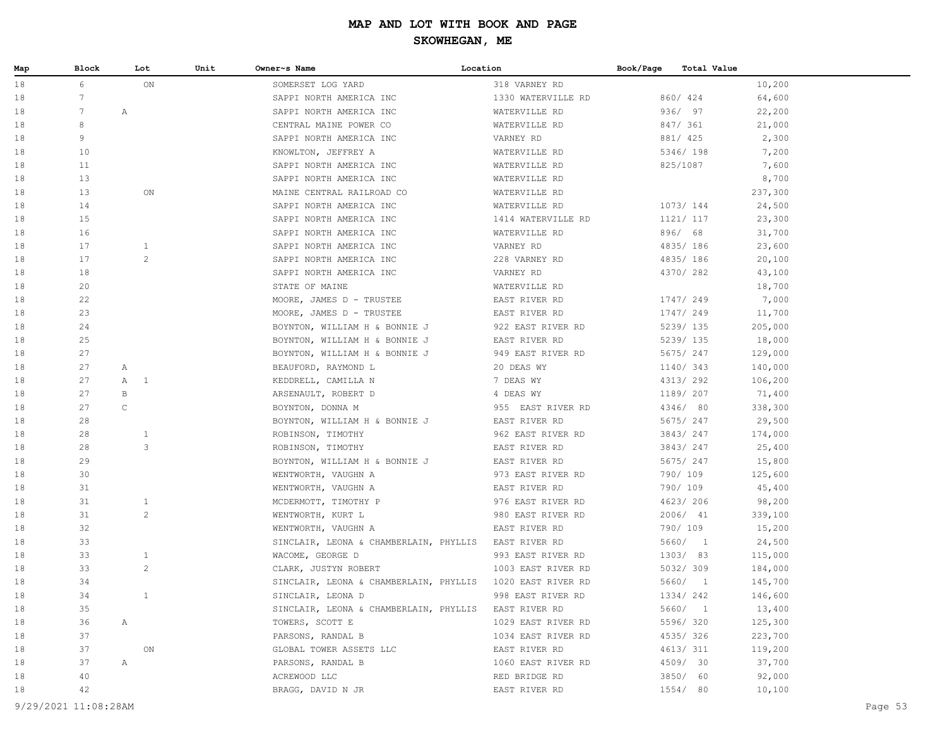| Map | Block | Lot              | Unit | Owner~s Name                           | Location           | Book/Page | Total Value |         |
|-----|-------|------------------|------|----------------------------------------|--------------------|-----------|-------------|---------|
| 18  | 6     | ON               |      | SOMERSET LOG YARD                      | 318 VARNEY RD      |           |             | 10,200  |
| 18  | 7     |                  |      | SAPPI NORTH AMERICA INC                | 1330 WATERVILLE RD |           | 860/ 424    | 64,600  |
| 18  | 7     | $\mathbb{A}$     |      | SAPPI NORTH AMERICA INC                | WATERVILLE RD      |           | 936/ 97     | 22,200  |
| 18  | 8     |                  |      | CENTRAL MAINE POWER CO                 | WATERVILLE RD      |           | 847/ 361    | 21,000  |
| 18  | 9     |                  |      | SAPPI NORTH AMERICA INC                | VARNEY RD          |           | 881/ 425    | 2,300   |
| 18  | 10    |                  |      | KNOWLTON, JEFFREY A                    | WATERVILLE RD      |           | 5346/ 198   | 7,200   |
| 18  | 11    |                  |      | SAPPI NORTH AMERICA INC                | WATERVILLE RD      |           | 825/1087    | 7,600   |
| 18  | 13    |                  |      | SAPPI NORTH AMERICA INC                | WATERVILLE RD      |           |             | 8,700   |
| 18  | 13    | ON               |      | MAINE CENTRAL RAILROAD CO              | WATERVILLE RD      |           |             | 237,300 |
| 18  | 14    |                  |      | SAPPI NORTH AMERICA INC                | WATERVILLE RD      |           | 1073/144    | 24,500  |
| 18  | 15    |                  |      | SAPPI NORTH AMERICA INC                | 1414 WATERVILLE RD |           | 1121/ 117   | 23,300  |
| 18  | 16    |                  |      | SAPPI NORTH AMERICA INC                | WATERVILLE RD      |           | 896/ 68     | 31,700  |
| 18  | 17    | $\mathbf{1}$     |      | SAPPI NORTH AMERICA INC                | VARNEY RD          |           | 4835/ 186   | 23,600  |
| 18  | 17    | 2                |      | SAPPI NORTH AMERICA INC                | 228 VARNEY RD      |           | 4835/186    | 20,100  |
| 18  | 18    |                  |      | SAPPI NORTH AMERICA INC                | VARNEY RD          |           | 4370/282    | 43,100  |
| 18  | 20    |                  |      | STATE OF MAINE                         | WATERVILLE RD      |           |             | 18,700  |
| 18  | 22    |                  |      | MOORE, JAMES D - TRUSTEE               | EAST RIVER RD      |           | 1747/249    | 7,000   |
| 18  | 23    |                  |      | MOORE, JAMES D - TRUSTEE               | EAST RIVER RD      |           | 1747/249    | 11,700  |
| 18  | 24    |                  |      | BOYNTON, WILLIAM H & BONNIE J          | 922 EAST RIVER RD  |           | 5239/ 135   | 205,000 |
| 18  | 25    |                  |      | BOYNTON, WILLIAM H & BONNIE J          | EAST RIVER RD      |           | 5239/ 135   | 18,000  |
| 18  | 27    |                  |      | BOYNTON, WILLIAM H & BONNIE J          | 949 EAST RIVER RD  |           | 5675/247    | 129,000 |
| 18  | 27    | Α                |      | BEAUFORD, RAYMOND L                    | 20 DEAS WY         |           | 1140/343    | 140,000 |
| 18  | 27    | $\mathbb A$<br>1 |      | KEDDRELL, CAMILLA N                    | 7 DEAS WY          |           | 4313/292    | 106,200 |
| 18  | 27    | B                |      | ARSENAULT, ROBERT D                    | 4 DEAS WY          |           | 1189/ 207   | 71,400  |
| 18  | 27    | $\mathsf C$      |      | BOYNTON, DONNA M                       | 955 EAST RIVER RD  |           | 4346/ 80    | 338,300 |
| 18  | 28    |                  |      | BOYNTON, WILLIAM H & BONNIE J          | EAST RIVER RD      |           | 5675/247    | 29,500  |
| 18  | 28    | $\mathbf{1}$     |      | ROBINSON, TIMOTHY                      | 962 EAST RIVER RD  |           | 3843/247    | 174,000 |
| 18  | 28    | 3                |      | ROBINSON, TIMOTHY                      | EAST RIVER RD      |           | 3843/247    | 25,400  |
| 18  | 29    |                  |      | BOYNTON, WILLIAM H & BONNIE J          | EAST RIVER RD      |           | 5675/247    | 15,800  |
| 18  | 30    |                  |      | WENTWORTH, VAUGHN A                    | 973 EAST RIVER RD  |           | 790/ 109    | 125,600 |
| 18  | 31    |                  |      | WENTWORTH, VAUGHN A                    | EAST RIVER RD      |           | 790/ 109    | 45,400  |
| 18  | 31    | 1                |      | MCDERMOTT, TIMOTHY P                   | 976 EAST RIVER RD  |           | 4623/206    | 98,200  |
| 18  | 31    | 2                |      | WENTWORTH, KURT L                      | 980 EAST RIVER RD  |           | 2006/ 41    | 339,100 |
| 18  | 32    |                  |      | WENTWORTH, VAUGHN A                    | EAST RIVER RD      |           | 790/ 109    | 15,200  |
| 18  | 33    |                  |      | SINCLAIR, LEONA & CHAMBERLAIN, PHYLLIS | EAST RIVER RD      |           | 5660/1      | 24,500  |
| 18  | 33    | $\mathbf{1}$     |      | WACOME, GEORGE D                       | 993 EAST RIVER RD  |           | 1303/ 83    | 115,000 |
| 18  | 33    | $\overline{c}$   |      | CLARK, JUSTYN ROBERT                   | 1003 EAST RIVER RD |           | 5032/309    | 184,000 |
| 18  | 34    |                  |      | SINCLAIR, LEONA & CHAMBERLAIN, PHYLLIS | 1020 EAST RIVER RD |           | 5660/ 1     | 145,700 |
| 18  | 34    | $\mathbf{1}$     |      | SINCLAIR, LEONA D                      | 998 EAST RIVER RD  |           | 1334/242    | 146,600 |
| 18  | 35    |                  |      | SINCLAIR, LEONA & CHAMBERLAIN, PHYLLIS | EAST RIVER RD      |           | 5660/ 1     | 13,400  |
| 18  | 36    | A                |      | TOWERS, SCOTT E                        | 1029 EAST RIVER RD |           | 5596/ 320   | 125,300 |
| 18  | 37    |                  |      | PARSONS, RANDAL B                      | 1034 EAST RIVER RD |           | 4535/326    | 223,700 |
| 18  | 37    | $\mathsf{ON}$    |      | GLOBAL TOWER ASSETS LLC                | EAST RIVER RD      |           | 4613/ 311   | 119,200 |
| 18  | 37    | Α                |      | PARSONS, RANDAL B                      | 1060 EAST RIVER RD |           | 4509/ 30    | 37,700  |
| 18  | 40    |                  |      | ACREWOOD LLC                           | RED BRIDGE RD      |           | 3850/ 60    | 92,000  |
| 18  | 42    |                  |      | BRAGG, DAVID N JR                      | EAST RIVER RD      |           | 1554/ 80    | 10,100  |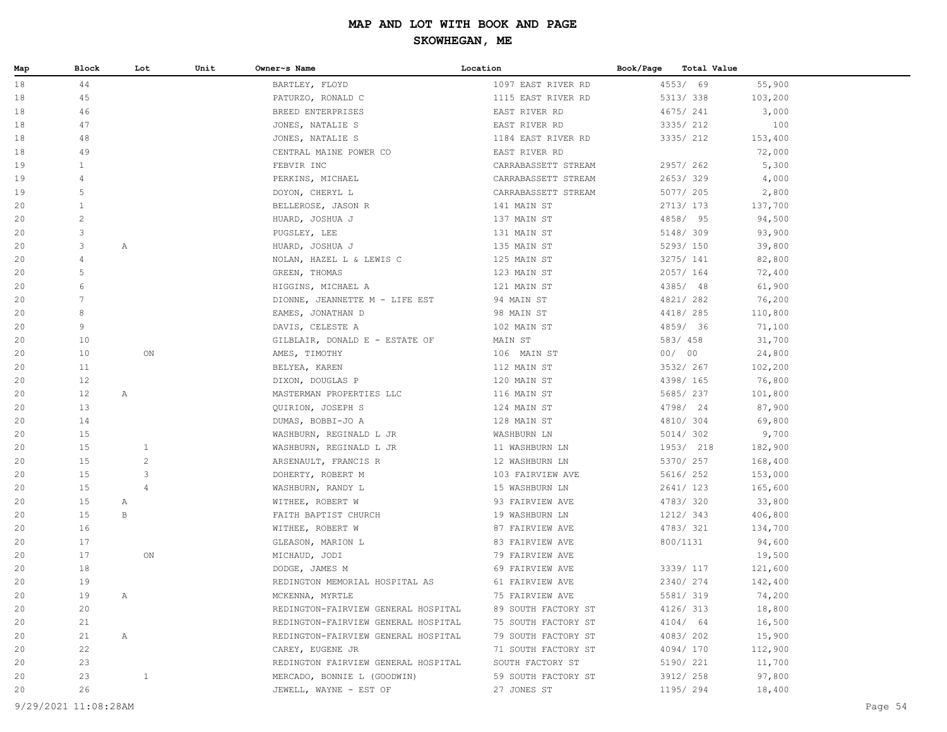| Map | Block           | Lot            | Unit | Owner~s Name                        | Location            | Book/Page | Total Value |         |
|-----|-----------------|----------------|------|-------------------------------------|---------------------|-----------|-------------|---------|
| 18  | 44              |                |      | BARTLEY, FLOYD                      | 1097 EAST RIVER RD  | 4553/ 69  |             | 55,900  |
| 18  | 45              |                |      | PATURZO, RONALD C                   | 1115 EAST RIVER RD  | 5313/338  |             | 103,200 |
| 18  | 46              |                |      | BREED ENTERPRISES                   | EAST RIVER RD       | 4675/ 241 |             | 3,000   |
| 18  | 47              |                |      | JONES, NATALIE S                    | EAST RIVER RD       | 3335/ 212 |             | 100     |
| 18  | 48              |                |      | JONES, NATALIE S                    | 1184 EAST RIVER RD  | 3335/ 212 |             | 153,400 |
| 18  | 49              |                |      | CENTRAL MAINE POWER CO              | EAST RIVER RD       |           |             | 72,000  |
| 19  | 1               |                |      | FEBVIR INC                          | CARRABASSETT STREAM | 2957/262  |             | 5,300   |
| 19  | $\overline{4}$  |                |      | PERKINS, MICHAEL                    | CARRABASSETT STREAM | 2653/329  |             | 4,000   |
| 19  | 5               |                |      | DOYON, CHERYL L                     | CARRABASSETT STREAM | 5077/ 205 |             | 2,800   |
| 20  | $\mathbf{1}$    |                |      | BELLEROSE, JASON R                  | 141 MAIN ST         | 2713/ 173 |             | 137,700 |
| 20  | $\mathbf{2}$    |                |      | HUARD, JOSHUA J                     | 137 MAIN ST         | 4858/ 95  |             | 94,500  |
| 20  | 3               |                |      | PUGSLEY, LEE                        | 131 MAIN ST         | 5148/ 309 |             | 93,900  |
| 20  | 3               | A              |      | HUARD, JOSHUA J                     | 135 MAIN ST         |           | 5293/ 150   | 39,800  |
| 20  | $\overline{4}$  |                |      | NOLAN, HAZEL L & LEWIS C            | 125 MAIN ST         | 3275/ 141 |             | 82,800  |
| 20  | 5               |                |      | GREEN, THOMAS                       | 123 MAIN ST         | 2057/ 164 |             | 72,400  |
| 20  | 6               |                |      | HIGGINS, MICHAEL A                  | 121 MAIN ST         | 4385/ 48  |             | 61,900  |
| 20  | $7\phantom{.0}$ |                |      | DIONNE, JEANNETTE M - LIFE EST      | 94 MAIN ST          | 4821/ 282 |             | 76,200  |
| 20  | 8               |                |      | EAMES, JONATHAN D                   | 98 MAIN ST          | 4418/ 285 |             | 110,800 |
| 20  | 9               |                |      | DAVIS, CELESTE A                    | 102 MAIN ST         | 4859/ 36  |             | 71,100  |
| 20  | 10              |                |      | GILBLAIR, DONALD E - ESTATE OF      | MAIN ST             | 583/ 458  |             | 31,700  |
| 20  | 10              | ON             |      | AMES, TIMOTHY                       | 106 MAIN ST         | 00/00     |             | 24,800  |
| 20  | 11              |                |      | BELYEA, KAREN                       | 112 MAIN ST         | 3532/ 267 |             | 102,200 |
| 20  | 12              |                |      | DIXON, DOUGLAS P                    | 120 MAIN ST         | 4398/ 165 |             | 76,800  |
| 20  | 12              | A              |      | MASTERMAN PROPERTIES LLC            | 116 MAIN ST         |           | 5685/ 237   | 101,800 |
| 20  | 13              |                |      | QUIRION, JOSEPH S                   | 124 MAIN ST         | 4798/ 24  |             | 87,900  |
| 20  | 14              |                |      | DUMAS, BOBBI-JO A                   | 128 MAIN ST         | 4810/ 304 |             | 69,800  |
| 20  | 15              |                |      | WASHBURN, REGINALD L JR             | WASHBURN LN         | 5014/ 302 |             | 9,700   |
| 20  | 15              | $\mathbf{1}$   |      | WASHBURN, REGINALD L JR             | 11 WASHBURN LN      |           | 1953/ 218   | 182,900 |
| 20  | 15              | $\overline{c}$ |      | ARSENAULT, FRANCIS R                | 12 WASHBURN LN      |           | 5370/ 257   | 168,400 |
| 20  | 15              | 3              |      | DOHERTY, ROBERT M                   | 103 FAIRVIEW AVE    |           | 5616/ 252   | 153,000 |
| 20  | 15              | $\overline{4}$ |      | WASHBURN, RANDY L                   | 15 WASHBURN LN      |           | 2641/ 123   | 165,600 |
| 20  | 15              | A              |      | WITHEE, ROBERT W                    | 93 FAIRVIEW AVE     | 4783/320  |             | 33,800  |
| 20  | 15              | B              |      | FAITH BAPTIST CHURCH                | 19 WASHBURN LN      | 1212/ 343 |             | 406,800 |
| 20  | 16              |                |      | WITHEE, ROBERT W                    | 87 FAIRVIEW AVE     | 4783/321  |             | 134,700 |
| 20  | 17              |                |      | GLEASON, MARION L                   | 83 FAIRVIEW AVE     | 800/1131  |             | 94,600  |
| 20  | 17              | ON             |      | MICHAUD, JODI                       | 79 FAIRVIEW AVE     |           |             | 19,500  |
| 20  | 18              |                |      | DODGE, JAMES M                      | 69 FAIRVIEW AVE     |           | 3339/ 117   | 121,600 |
| 20  | 19              |                |      | REDINGTON MEMORIAL HOSPITAL AS      | 61 FAIRVIEW AVE     | 2340/274  |             | 142,400 |
| 20  | 19              | A              |      | MCKENNA, MYRTLE                     | 75 FAIRVIEW AVE     |           | 5581/ 319   | 74,200  |
| 20  | 20              |                |      | REDINGTON-FAIRVIEW GENERAL HOSPITAL | 89 SOUTH FACTORY ST |           | 4126/ 313   | 18,800  |
| 20  | 21              |                |      | REDINGTON-FAIRVIEW GENERAL HOSPITAL | 75 SOUTH FACTORY ST |           | 4104/ 64    | 16,500  |
| 20  | 21              | A              |      | REDINGTON-FAIRVIEW GENERAL HOSPITAL | 79 SOUTH FACTORY ST |           | 4083/202    | 15,900  |
| 20  | 22              |                |      | CAREY, EUGENE JR                    | 71 SOUTH FACTORY ST |           | 4094/170    | 112,900 |
| 20  | 23              |                |      | REDINGTON FAIRVIEW GENERAL HOSPITAL | SOUTH FACTORY ST    | 5190/ 221 |             | 11,700  |
| 20  | 23              | $\mathbf{1}$   |      | MERCADO, BONNIE L (GOODWIN)         | 59 SOUTH FACTORY ST | 3912/ 258 |             | 97,800  |
| 20  | 26              |                |      | JEWELL, WAYNE - EST OF              | 27 JONES ST         |           | 1195/ 294   | 18,400  |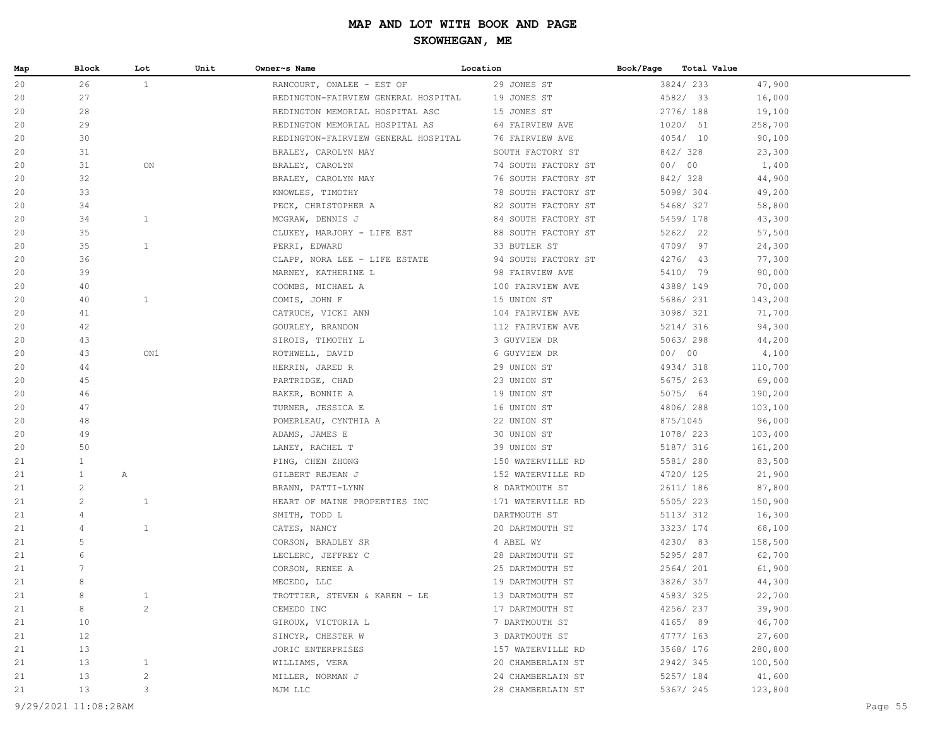| Map | Block                | Lot            | Unit | Owner~s Name                        | Location            | Book/Page | <b>Total Value</b> |         |         |
|-----|----------------------|----------------|------|-------------------------------------|---------------------|-----------|--------------------|---------|---------|
| 20  | 26                   | $\mathbf{1}$   |      | RANCOURT, ONALEE - EST OF           | 29 JONES ST         |           | 3824/233           | 47,900  |         |
| 20  | 27                   |                |      | REDINGTON-FAIRVIEW GENERAL HOSPITAL | 19 JONES ST         |           | 4582/ 33           | 16,000  |         |
| 20  | 28                   |                |      | REDINGTON MEMORIAL HOSPITAL ASC     | 15 JONES ST         |           | 2776/ 188          | 19,100  |         |
| 20  | 29                   |                |      | REDINGTON MEMORIAL HOSPITAL AS      | 64 FAIRVIEW AVE     |           | 1020/ 51           | 258,700 |         |
| 20  | 30                   |                |      | REDINGTON-FAIRVIEW GENERAL HOSPITAL | 76 FAIRVIEW AVE     |           | 4054/10            | 90,100  |         |
| 20  | 31                   |                |      | BRALEY, CAROLYN MAY                 | SOUTH FACTORY ST    |           | 842/328            | 23,300  |         |
| 20  | 31                   | $_{\rm ON}$    |      | BRALEY, CAROLYN                     | 74 SOUTH FACTORY ST |           | 00/00              | 1,400   |         |
| 20  | 32                   |                |      | BRALEY, CAROLYN MAY                 | 76 SOUTH FACTORY ST |           | 842/328            | 44,900  |         |
| 20  | 33                   |                |      | KNOWLES, TIMOTHY                    | 78 SOUTH FACTORY ST |           | 5098/ 304          | 49,200  |         |
| 20  | 34                   |                |      | PECK, CHRISTOPHER A                 | 82 SOUTH FACTORY ST |           | 5468/327           | 58,800  |         |
| 20  | 34                   | $\mathbf{1}$   |      | MCGRAW, DENNIS J                    | 84 SOUTH FACTORY ST |           | 5459/ 178          | 43,300  |         |
| 20  | 35                   |                |      | CLUKEY, MARJORY - LIFE EST          | 88 SOUTH FACTORY ST |           | 5262/ 22           | 57,500  |         |
| 20  | 35                   | $\mathbf{1}$   |      | PERRI, EDWARD                       | 33 BUTLER ST        |           | 4709/ 97           | 24,300  |         |
| 20  | 36                   |                |      | CLAPP, NORA LEE - LIFE ESTATE       | 94 SOUTH FACTORY ST |           | $4276/$ 43         | 77,300  |         |
| 20  | 39                   |                |      | MARNEY, KATHERINE L                 | 98 FAIRVIEW AVE     |           | 5410/ 79           | 90,000  |         |
| 20  | 40                   |                |      | COOMBS, MICHAEL A                   | 100 FAIRVIEW AVE    |           | 4388/ 149          | 70,000  |         |
| 20  | 40                   | $\mathbf{1}$   |      | COMIS, JOHN F                       | 15 UNION ST         |           | 5686/ 231          | 143,200 |         |
| 20  | 41                   |                |      | CATRUCH, VICKI ANN                  | 104 FAIRVIEW AVE    |           | 3098/321           | 71,700  |         |
| 20  | 42                   |                |      | GOURLEY, BRANDON                    | 112 FAIRVIEW AVE    |           | 5214/ 316          | 94,300  |         |
| 20  | 43                   |                |      | SIROIS, TIMOTHY L                   | 3 GUYVIEW DR        |           | 5063/298           | 44,200  |         |
| 20  | 43                   | ON1            |      | ROTHWELL, DAVID                     | 6 GUYVIEW DR        |           | 00/00              | 4,100   |         |
| 20  | 44                   |                |      | HERRIN, JARED R                     | 29 UNION ST         |           | 4934/318           | 110,700 |         |
| 20  | 45                   |                |      | PARTRIDGE, CHAD                     | 23 UNION ST         |           | 5675/263           | 69,000  |         |
| 20  | 46                   |                |      | BAKER, BONNIE A                     | 19 UNION ST         |           | 5075/ 64           | 190,200 |         |
| 20  | 47                   |                |      | TURNER, JESSICA E                   | 16 UNION ST         |           | 4806/288           | 103,100 |         |
| 20  | 48                   |                |      | POMERLEAU, CYNTHIA A                | 22 UNION ST         |           | 875/1045           | 96,000  |         |
| 20  | 49                   |                |      | ADAMS, JAMES E                      | 30 UNION ST         |           | 1078/ 223          | 103,400 |         |
| 20  | 50                   |                |      | LANEY, RACHEL T                     | 39 UNION ST         |           | 5187/ 316          | 161,200 |         |
| 21  | $\mathbf{1}$         |                |      | PING, CHEN ZHONG                    | 150 WATERVILLE RD   |           | 5581/ 280          | 83,500  |         |
| 21  | $\mathbf{1}$<br>Α    |                |      | GILBERT REJEAN J                    | 152 WATERVILLE RD   |           | 4720/ 125          | 21,900  |         |
| 21  | $\overline{c}$       |                |      | BRANN, PATTI-LYNN                   | 8 DARTMOUTH ST      |           | 2611/ 186          | 87,800  |         |
| 21  | 2                    | 1              |      | HEART OF MAINE PROPERTIES INC       | 171 WATERVILLE RD   |           | 5505/223           | 150,900 |         |
| 21  | 4                    |                |      | SMITH, TODD L                       | DARTMOUTH ST        |           | 5113/ 312          | 16,300  |         |
| 21  | 4                    | $\mathbf{1}$   |      | CATES, NANCY                        | 20 DARTMOUTH ST     |           | 3323/ 174          | 68,100  |         |
| 21  | 5                    |                |      | CORSON, BRADLEY SR                  | 4 ABEL WY           |           | 4230/ 83           | 158,500 |         |
| 21  | 6                    |                |      | LECLERC, JEFFREY C                  | 28 DARTMOUTH ST     |           | 5295/287           | 62,700  |         |
| 21  |                      |                |      | CORSON, RENEE A                     | 25 DARTMOUTH ST     |           | 2564/ 201          | 61,900  |         |
| 21  | 8                    |                |      | MECEDO, LLC                         | 19 DARTMOUTH ST     |           | 3826/357           | 44,300  |         |
| 21  | 8                    | $\mathbf{1}$   |      | TROTTIER, STEVEN & KAREN - LE       | 13 DARTMOUTH ST     |           | 4583/325           | 22,700  |         |
| 21  | 8                    | $\overline{c}$ |      | CEMEDO INC                          | 17 DARTMOUTH ST     |           | 4256/237           | 39,900  |         |
| 21  | 10                   |                |      | GIROUX, VICTORIA L                  | 7 DARTMOUTH ST      |           | 4165/ 89           | 46,700  |         |
| 21  | 12                   |                |      | SINCYR, CHESTER W                   | 3 DARTMOUTH ST      |           | 4777/ 163          | 27,600  |         |
| 21  | 13                   |                |      | JORIC ENTERPRISES                   | 157 WATERVILLE RD   |           | 3568/ 176          | 280,800 |         |
| 21  | 13                   | $\mathbf{1}$   |      | WILLIAMS, VERA                      | 20 CHAMBERLAIN ST   |           | 2942/345           | 100,500 |         |
| 21  | 13                   | $\overline{c}$ |      | MILLER, NORMAN J                    | 24 CHAMBERLAIN ST   |           | 5257/ 184          | 41,600  |         |
| 21  | 13                   | 3              |      | MJM LLC                             | 28 CHAMBERLAIN ST   |           | 5367/ 245          | 123,800 |         |
|     | 9/29/2021 11:08:28AM |                |      |                                     |                     |           |                    |         | Page 55 |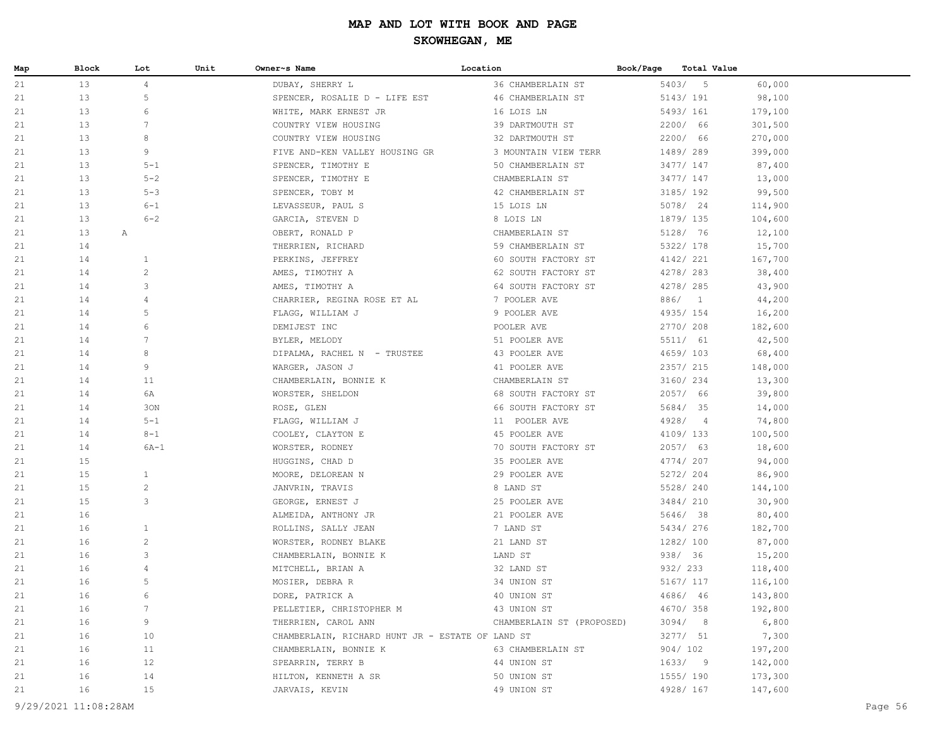| Map | Block              | Lot            | Unit | Owner~s Name                                     | Location                  | Book/Page | Total Value |         |
|-----|--------------------|----------------|------|--------------------------------------------------|---------------------------|-----------|-------------|---------|
| 21  | 13                 | $\overline{4}$ |      | DUBAY, SHERRY L                                  | 36 CHAMBERLAIN ST         |           | 5403/5      | 60,000  |
| 21  | 13                 | 5              |      | SPENCER, ROSALIE D - LIFE EST                    | 46 CHAMBERLAIN ST         |           | 5143/191    | 98,100  |
| 21  | 13                 | 6              |      | WHITE, MARK ERNEST JR                            | 16 LOIS LN                |           | 5493/ 161   | 179,100 |
| 21  | 13                 | 7              |      | COUNTRY VIEW HOUSING                             | 39 DARTMOUTH ST           |           | 2200/ 66    | 301,500 |
| 21  | 13                 | 8              |      | COUNTRY VIEW HOUSING                             | 32 DARTMOUTH ST           |           | 2200/ 66    | 270,000 |
| 21  | 13                 | 9              |      | FIVE AND-KEN VALLEY HOUSING GR                   | 3 MOUNTAIN VIEW TERR      |           | 1489/289    | 399,000 |
| 21  | 13                 | $5 - 1$        |      | SPENCER, TIMOTHY E                               | 50 CHAMBERLAIN ST         |           | 3477/ 147   | 87,400  |
| 21  | 13                 | $5 - 2$        |      | SPENCER, TIMOTHY E                               | CHAMBERLAIN ST            |           | 3477/ 147   | 13,000  |
| 21  | 13                 | $5 - 3$        |      | SPENCER, TOBY M                                  | 42 CHAMBERLAIN ST         |           | 3185/ 192   | 99,500  |
| 21  | 13                 | $6 - 1$        |      | LEVASSEUR, PAUL S                                | 15 LOIS LN                |           | 5078/ 24    | 114,900 |
| 21  | 13                 | $6 - 2$        |      | GARCIA, STEVEN D                                 | 8 LOIS LN                 |           | 1879/ 135   | 104,600 |
| 21  | 13<br>$\mathbb{A}$ |                |      | OBERT, RONALD P                                  | CHAMBERLAIN ST            |           | 5128/ 76    | 12,100  |
| 21  | 14                 |                |      | THERRIEN, RICHARD                                | 59 CHAMBERLAIN ST         |           | 5322/ 178   | 15,700  |
| 21  | 14                 | $\mathbf{1}$   |      | PERKINS, JEFFREY                                 | 60 SOUTH FACTORY ST       |           | 4142/ 221   | 167,700 |
| 21  | 14                 | $\overline{c}$ |      | AMES, TIMOTHY A                                  | 62 SOUTH FACTORY ST       |           | 4278/ 283   | 38,400  |
| 21  | 14                 | 3              |      | AMES, TIMOTHY A                                  | 64 SOUTH FACTORY ST       |           | 4278/ 285   | 43,900  |
| 21  | 14                 | 4              |      | CHARRIER, REGINA ROSE ET AL                      | 7 POOLER AVE              |           | 886/ 1      | 44,200  |
| 21  | 14                 | 5              |      | FLAGG, WILLIAM J                                 | 9 POOLER AVE              |           | 4935/ 154   | 16,200  |
| 21  | 14                 | 6              |      | DEMIJEST INC                                     | POOLER AVE                |           | 2770/208    | 182,600 |
| 21  | 14                 | 7              |      | BYLER, MELODY                                    | 51 POOLER AVE             |           | 5511/ 61    | 42,500  |
| 21  | 14                 | 8              |      | DIPALMA, RACHEL N - TRUSTEE                      | 43 POOLER AVE             |           | 4659/103    | 68,400  |
| 21  | 14                 | 9              |      | WARGER, JASON J                                  | 41 POOLER AVE             |           | 2357/ 215   | 148,000 |
| 21  | 14                 | 11             |      | CHAMBERLAIN, BONNIE K                            | CHAMBERLAIN ST            |           | 3160/ 234   | 13,300  |
| 21  | 14                 | 6A             |      | WORSTER, SHELDON                                 | 68 SOUTH FACTORY ST       |           | 2057/ 66    | 39,800  |
| 21  | 14                 | 30N            |      | ROSE, GLEN                                       | 66 SOUTH FACTORY ST       |           | 5684/ 35    | 14,000  |
| 21  | 14                 | $5 - 1$        |      | FLAGG, WILLIAM J                                 | 11 POOLER AVE             |           | 4928/4      | 74,800  |
| 21  | 14                 | $8 - 1$        |      | COOLEY, CLAYTON E                                | 45 POOLER AVE             |           | 4109/133    | 100,500 |
| 21  | 14                 | $6A-1$         |      | WORSTER, RODNEY                                  | 70 SOUTH FACTORY ST       |           | 2057/63     | 18,600  |
| 21  | 15                 |                |      | HUGGINS, CHAD D                                  | 35 POOLER AVE             |           | 4774/207    | 94,000  |
| 21  | 15                 | $\mathbf{1}$   |      | MOORE, DELOREAN N                                | 29 POOLER AVE             |           | 5272/204    | 86,900  |
| 21  | 15                 | $\overline{c}$ |      | JANVRIN, TRAVIS                                  | 8 LAND ST                 |           | 5528/ 240   | 144,100 |
| 21  | 15                 | 3              |      | GEORGE, ERNEST J                                 | 25 POOLER AVE             |           | 3484/ 210   | 30,900  |
| 21  | 16                 |                |      | ALMEIDA, ANTHONY JR                              | 21 POOLER AVE             |           | 5646/ 38    | 80,400  |
| 21  | 16                 | $\mathbf{1}$   |      | ROLLINS, SALLY JEAN                              | 7 LAND ST                 |           | 5434/276    | 182,700 |
| 21  | 16                 | $\mathbf{2}$   |      | WORSTER, RODNEY BLAKE                            | 21 LAND ST                |           | 1282/ 100   | 87,000  |
| 21  | 16                 | 3              |      | CHAMBERLAIN, BONNIE K                            | LAND ST                   |           | 938/ 36     | 15,200  |
| 21  | 16                 | 4              |      | MITCHELL, BRIAN A                                | 32 LAND ST                |           | 932/ 233    | 118,400 |
| 21  | 16                 | 5              |      | MOSIER, DEBRA R                                  | 34 UNION ST               |           | 5167/ 117   | 116,100 |
| 21  | 16                 | 6              |      | DORE, PATRICK A                                  | 40 UNION ST               |           | 4686/ 46    | 143,800 |
| 21  | 16                 | 7              |      | PELLETIER, CHRISTOPHER M                         | 43 UNION ST               |           | 4670/358    | 192,800 |
| 21  | 16                 | 9              |      | THERRIEN, CAROL ANN                              | CHAMBERLAIN ST (PROPOSED) |           | 3094/8      | 6,800   |
| 21  | 16                 | 10             |      | CHAMBERLAIN, RICHARD HUNT JR - ESTATE OF LAND ST |                           |           | 3277/51     | 7,300   |
| 21  | 16                 | 11             |      | CHAMBERLAIN, BONNIE K                            | 63 CHAMBERLAIN ST         |           | 904/102     | 197,200 |
| 21  | 16                 | 12             |      | SPEARRIN, TERRY B                                | 44 UNION ST               |           | 1633/9      | 142,000 |
| 21  | 16                 | 14             |      | HILTON, KENNETH A SR                             | 50 UNION ST               |           | 1555/ 190   | 173,300 |
| 21  | 16                 | 15             |      | JARVAIS, KEVIN                                   | 49 UNION ST               |           | 4928/ 167   | 147,600 |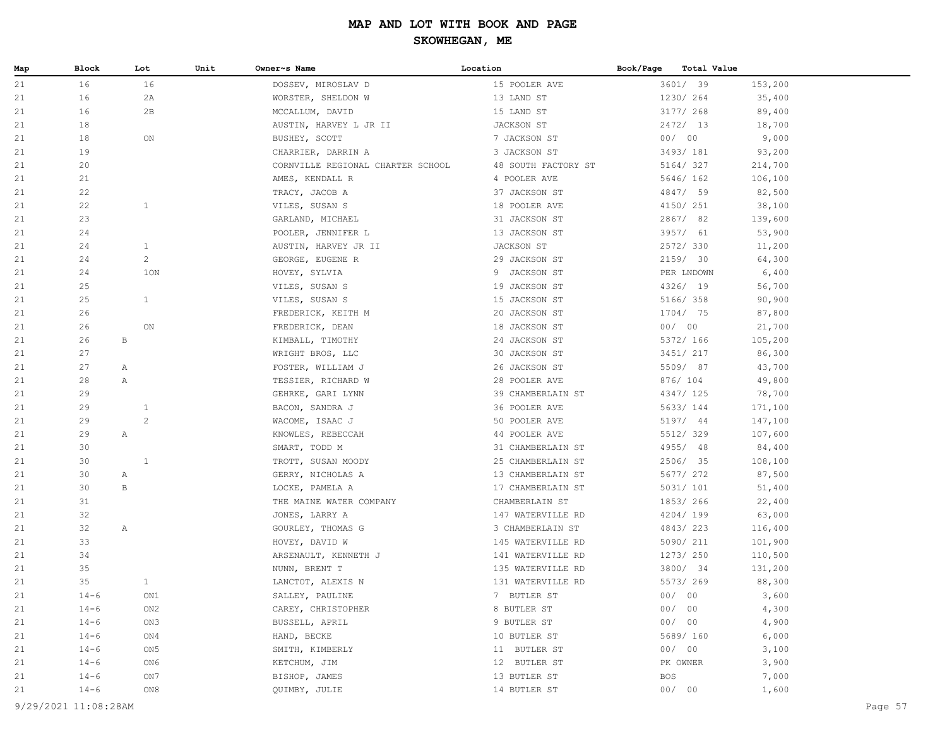| Map | Block                | Lot            | Unit | Owner~s Name                      | Location            | Book/Page<br>Total Value |         |         |
|-----|----------------------|----------------|------|-----------------------------------|---------------------|--------------------------|---------|---------|
| 21  | 16                   | 16             |      | DOSSEV, MIROSLAV D                | 15 POOLER AVE       | 3601/ 39                 | 153,200 |         |
| 21  | 16                   | 2A             |      | WORSTER, SHELDON W                | 13 LAND ST          | 1230/ 264                | 35,400  |         |
| 21  | 16                   | 2B             |      | MCCALLUM, DAVID                   | 15 LAND ST          | 3177/ 268                | 89,400  |         |
| 21  | 18                   |                |      | AUSTIN, HARVEY L JR II            | JACKSON ST          | 2472/ 13                 | 18,700  |         |
| 21  | 18                   | ON             |      | BUSHEY, SCOTT                     | 7 JACKSON ST        | 00/00                    | 9,000   |         |
| 21  | 19                   |                |      | CHARRIER, DARRIN A                | 3 JACKSON ST        | 3493/ 181                | 93,200  |         |
| 21  | 20                   |                |      | CORNVILLE REGIONAL CHARTER SCHOOL | 48 SOUTH FACTORY ST | 5164/327                 | 214,700 |         |
| 21  | 21                   |                |      | AMES, KENDALL R                   | 4 POOLER AVE        | 5646/ 162                | 106,100 |         |
| 21  | 22                   |                |      | TRACY, JACOB A                    | 37 JACKSON ST       | 4847/ 59                 | 82,500  |         |
| 21  | 22                   | $\mathbf{1}$   |      | VILES, SUSAN S                    | 18 POOLER AVE       | 4150/ 251                | 38,100  |         |
| 21  | 23                   |                |      | GARLAND, MICHAEL                  | 31 JACKSON ST       | 2867/82                  | 139,600 |         |
| 21  | 24                   |                |      | POOLER, JENNIFER L                | 13 JACKSON ST       | 3957/ 61                 | 53,900  |         |
| 21  | 24                   | $\mathbf{1}$   |      | AUSTIN, HARVEY JR II              | JACKSON ST          | 2572/330                 | 11,200  |         |
| 21  | 24                   | $\overline{c}$ |      | GEORGE, EUGENE R                  | 29 JACKSON ST       | 2159/ 30                 | 64,300  |         |
| 21  | 24                   | 1ON            |      | HOVEY, SYLVIA                     | 9 JACKSON ST        | PER LNDOWN               | 6,400   |         |
| 21  | 25                   |                |      | VILES, SUSAN S                    | 19 JACKSON ST       | 4326/ 19                 | 56,700  |         |
| 21  | 25                   | $\mathbf{1}$   |      | VILES, SUSAN S                    | 15 JACKSON ST       | 5166/ 358                | 90,900  |         |
| 21  | 26                   |                |      | FREDERICK, KEITH M                | 20 JACKSON ST       | 1704/ 75                 | 87,800  |         |
| 21  | 26                   | ON             |      | FREDERICK, DEAN                   | 18 JACKSON ST       | 00/00                    | 21,700  |         |
| 21  | 26                   | $\, {\bf B}$   |      | KIMBALL, TIMOTHY                  | 24 JACKSON ST       | 5372/ 166                | 105,200 |         |
| 21  | 27                   |                |      | WRIGHT BROS, LLC                  | 30 JACKSON ST       | 3451/ 217                | 86,300  |         |
| 21  | 27                   | $\mathbb{A}$   |      | FOSTER, WILLIAM J                 | 26 JACKSON ST       | 5509/87                  | 43,700  |         |
| 21  | 28                   | Α              |      | TESSIER, RICHARD W                | 28 POOLER AVE       | 876/104                  | 49,800  |         |
| 21  | 29                   |                |      | GEHRKE, GARI LYNN                 | 39 CHAMBERLAIN ST   | 4347/ 125                | 78,700  |         |
| 21  | 29                   | $\mathbf{1}$   |      | BACON, SANDRA J                   | 36 POOLER AVE       | 5633/ 144                | 171,100 |         |
| 21  | 29                   | $\mathbf{2}$   |      | WACOME, ISAAC J                   | 50 POOLER AVE       | 5197/ 44                 | 147,100 |         |
| 21  | 29                   | Α              |      | KNOWLES, REBECCAH                 | 44 POOLER AVE       | 5512/329                 | 107,600 |         |
| 21  | 30                   |                |      | SMART, TODD M                     | 31 CHAMBERLAIN ST   | 4955/ 48                 | 84,400  |         |
| 21  | 30                   | $\mathbf{1}$   |      | TROTT, SUSAN MOODY                | 25 CHAMBERLAIN ST   | 2506/ 35                 | 108,100 |         |
| 21  | 30                   | $\mathbb{A}$   |      | GERRY, NICHOLAS A                 | 13 CHAMBERLAIN ST   | 5677/ 272                | 87,500  |         |
| 21  | 30                   | $_{\rm B}$     |      | LOCKE, PAMELA A                   | 17 CHAMBERLAIN ST   | 5031/ 101                | 51,400  |         |
| 21  | 31                   |                |      | THE MAINE WATER COMPANY           | CHAMBERLAIN ST      | 1853/266                 | 22,400  |         |
| 21  | 32                   |                |      | JONES, LARRY A                    | 147 WATERVILLE RD   | 4204/199                 | 63,000  |         |
| 21  | 32                   | $\mathbb{A}$   |      | GOURLEY, THOMAS G                 | 3 CHAMBERLAIN ST    | 4843/223                 | 116,400 |         |
| 21  | 33                   |                |      | HOVEY, DAVID W                    | 145 WATERVILLE RD   | 5090/ 211                | 101,900 |         |
| 21  | 34                   |                |      | ARSENAULT, KENNETH J              | 141 WATERVILLE RD   | 1273/ 250                | 110,500 |         |
| 21  | 35                   |                |      | NUNN, BRENT T                     | 135 WATERVILLE RD   | 3800/ 34                 | 131,200 |         |
| 21  | 35                   | $\mathbf{1}$   |      | LANCTOT, ALEXIS N                 | 131 WATERVILLE RD   | 5573/269                 | 88,300  |         |
| 21  | $14 - 6$             | ON1            |      | SALLEY, PAULINE                   | 7 BUTLER ST         | 00/<br>00                | 3,600   |         |
| 21  | $14 - 6$             | ON2            |      | CAREY, CHRISTOPHER                | 8 BUTLER ST         | 00/00                    | 4,300   |         |
| 21  | $14 - 6$             | ON3            |      | BUSSELL, APRIL                    | 9 BUTLER ST         | 00/00                    | 4,900   |         |
| 21  | $14 - 6$             | ON4            |      | HAND, BECKE                       | 10 BUTLER ST        | 5689/ 160                | 6,000   |         |
| 21  | $14 - 6$             | ON 5           |      | SMITH, KIMBERLY                   | 11 BUTLER ST        | 00/00                    | 3,100   |         |
| 21  | $14 - 6$             | ON6            |      | KETCHUM, JIM                      | 12 BUTLER ST        | PK OWNER                 | 3,900   |         |
| 21  | $14 - 6$             | ON 7           |      | BISHOP, JAMES                     | 13 BUTLER ST        | BOS                      | 7,000   |         |
| 21  | $14 - 6$             | ON8            |      | QUIMBY, JULIE                     | 14 BUTLER ST        | 00/00                    | 1,600   |         |
|     | 9/29/2021 11:08:28AM |                |      |                                   |                     |                          |         | Page 57 |
|     |                      |                |      |                                   |                     |                          |         |         |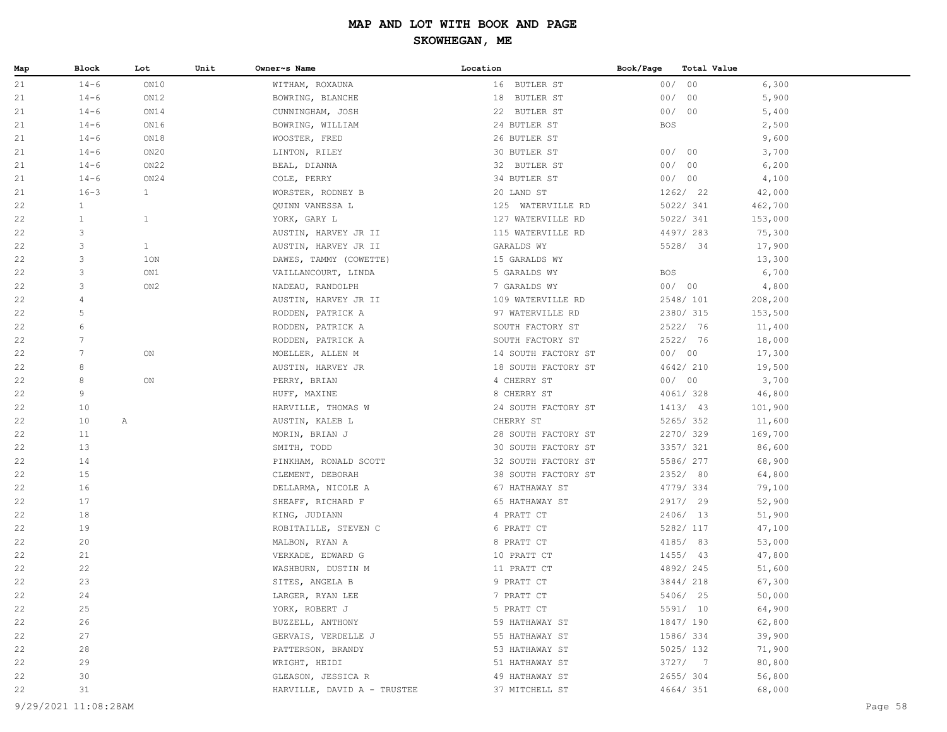| Map | <b>Block</b> | Lot          | Unit | Owner~s Name                | Location                         | Book/Page  | Total Value |         |
|-----|--------------|--------------|------|-----------------------------|----------------------------------|------------|-------------|---------|
| 21  | $14 - 6$     | ON10         |      | WITHAM, ROXAUNA             | 16 BUTLER ST                     | 00/00      |             | 6,300   |
| 21  | $14 - 6$     | ON12         |      | BOWRING, BLANCHE            | 18 BUTLER ST                     | 00/00      |             | 5,900   |
| 21  | $14 - 6$     | ON14         |      | CUNNINGHAM, JOSH            | 22 BUTLER ST                     | 00/00      |             | 5,400   |
| 21  | $14 - 6$     | ON16         |      | BOWRING, WILLIAM            | 24 BUTLER ST                     | <b>BOS</b> |             | 2,500   |
| 21  | $14 - 6$     | ON18         |      | WOOSTER, FRED               | 26 BUTLER ST                     |            |             | 9,600   |
| 21  | $14 - 6$     | ON20         |      | LINTON, RILEY               | 30 BUTLER ST                     | 00/00      |             | 3,700   |
| 21  | $14 - 6$     | ON22         |      | BEAL, DIANNA                | 32 BUTLER ST                     | 00/00      |             | 6,200   |
| 21  | $14 - 6$     | ON24         |      | COLE, PERRY                 | 34 BUTLER ST                     | 00/00      |             | 4,100   |
| 21  | $16 - 3$     | $\mathbf{1}$ |      | WORSTER, RODNEY B           | 20 LAND ST                       |            | 1262/22     | 42,000  |
| 22  | $\mathbf{1}$ |              |      | QUINN VANESSA L             | 125 WATERVILLE RD                |            | 5022/ 341   | 462,700 |
| 22  | $\mathbf{1}$ | $\mathbf{1}$ |      | YORK, GARY L                | 127 WATERVILLE RD                |            | 5022/ 341   | 153,000 |
| 22  | 3            |              |      | AUSTIN, HARVEY JR II        | 115 WATERVILLE RD                |            | 4497/283    | 75,300  |
| 22  | 3            | $\mathbf{1}$ |      | AUSTIN, HARVEY JR II        | GARALDS WY                       |            | 5528/ 34    | 17,900  |
| 22  | 3            | 1ON          |      | DAWES, TAMMY (COWETTE)      | 15 GARALDS WY                    |            |             | 13,300  |
| 22  | 3            | ON1          |      | VAILLANCOURT, LINDA         | 5 GARALDS WY                     | <b>BOS</b> |             | 6,700   |
| 22  | 3            | ON2          |      | NADEAU, RANDOLPH            | 7 GARALDS WY                     | 00/00      |             | 4,800   |
| 22  | 4            |              |      | AUSTIN, HARVEY JR II        | 109 WATERVILLE RD                |            | 2548/ 101   | 208,200 |
| 22  | 5            |              |      | RODDEN, PATRICK A           | 97 WATERVILLE RD                 |            | 2380/ 315   | 153,500 |
| 22  | 6            |              |      | RODDEN, PATRICK A           | SOUTH FACTORY ST                 |            | 2522/ 76    | 11,400  |
| 22  | 7            |              |      | RODDEN, PATRICK A           | SOUTH FACTORY ST                 |            | 2522/ 76    | 18,000  |
| 22  | 7            | ON           |      | MOELLER, ALLEN M            | 14 SOUTH FACTORY ST              | 00/00      |             | 17,300  |
| 22  | 8            |              |      | AUSTIN, HARVEY JR           | 18 SOUTH FACTORY ST              |            | 4642/ 210   | 19,500  |
| 22  | 8            | ON           |      | PERRY, BRIAN                | 4 CHERRY ST                      | 00/00      |             | 3,700   |
| 22  | 9            |              |      | HUFF, MAXINE                | 8 CHERRY ST                      |            | 4061/328    | 46,800  |
| 22  | 10           |              |      | HARVILLE, THOMAS W          | 24 SOUTH FACTORY ST              |            | 1413/ 43    | 101,900 |
| 22  | 10           | Α            |      | AUSTIN, KALEB L             | CHERRY ST                        |            | 5265/352    | 11,600  |
| 22  | 11           |              |      | MORIN, BRIAN J              | 28 SOUTH FACTORY ST              |            | 2270/329    | 169,700 |
| 22  | 13           |              |      | SMITH, TODD                 | 30 SOUTH FACTORY ST              |            | 3357/ 321   | 86,600  |
| 22  | 14           |              |      | PINKHAM, RONALD SCOTT       | 32 SOUTH FACTORY ST              |            | 5586/ 277   | 68,900  |
| 22  | 15           |              |      | CLEMENT, DEBORAH            | 38 SOUTH FACTORY ST              |            | 2352/ 80    | 64,800  |
| 22  | 16           |              |      | DELLARMA, NICOLE A          | 67 HATHAWAY ST                   |            | 4779/334    | 79,100  |
| 22  | 17           |              |      | SHEAFF, RICHARD F           | 65 HATHAWAY ST                   |            | 2917/ 29    | 52,900  |
| 22  | 18           |              |      | KING, JUDIANN               | 4 PRATT CT                       |            | 2406/ 13    | 51,900  |
| 22  | 19           |              |      | ROBITAILLE, STEVEN C        | 6 PRATT CT                       |            | 5282/ 117   | 47,100  |
| 22  | 20           |              |      | MALBON, RYAN A              | 8 PRATT CT                       |            | 4185/ 83    | 53,000  |
| 22  | 21           |              |      | VERKADE, EDWARD G           | 10 PRATT CT                      |            | $1455/$ 43  | 47,800  |
| 22  | 22           |              |      | WASHBURN, DUSTIN M          | 11 PRATT CT                      |            | 4892/245    | 51,600  |
| 22  | 23           |              |      | SITES, ANGELA B             | 9 PRATT CT                       |            | 3844/ 218   | 67,300  |
| 22  | 24           |              |      | LARGER, RYAN LEE            | 7 PRATT CT                       |            | 5406/ 25    | 50,000  |
| 22  | 25           |              |      | YORK, ROBERT J              | 5 PRATT CT                       |            | 5591/ 10    | 64,900  |
| 22  | 26           |              |      | BUZZELL, ANTHONY            | 59 HATHAWAY ST                   |            | 1847/ 190   | 62,800  |
| 22  | 27           |              |      | GERVAIS, VERDELLE J         | 55 HATHAWAY ST                   |            | 1586/334    | 39,900  |
| 22  | 28           |              |      | PATTERSON, BRANDY           | 53 HATHAWAY ST                   |            | 5025/132    | 71,900  |
| 22  | 29           |              |      | WRIGHT, HEIDI               | 51 HATHAWAY ST<br>49 HATHAWAY ST |            | 3727/7      | 80,800  |
| 22  | 30           |              |      | GLEASON, JESSICA R          |                                  |            | 2655/304    | 56,800  |
| 22  | 31           |              |      | HARVILLE, DAVID A - TRUSTEE | 37 MITCHELL ST                   |            | 4664/ 351   | 68,000  |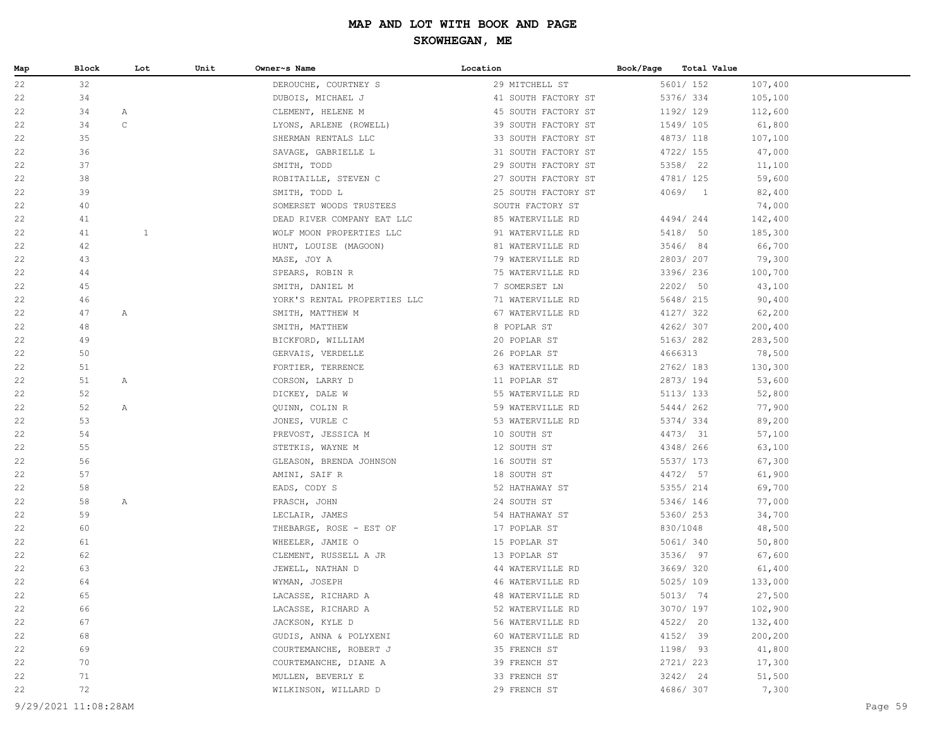| Map      | Block    | Lot          | Unit | Owner~s Name                                | Location                   | Book/Page<br>Total Value |                  |
|----------|----------|--------------|------|---------------------------------------------|----------------------------|--------------------------|------------------|
| 22       | 32       |              |      | DEROUCHE, COURTNEY S                        | 29 MITCHELL ST             | 5601/ 152                | 107,400          |
| 22       | 34       |              |      | DUBOIS, MICHAEL J                           | 41 SOUTH FACTORY ST        | 5376/ 334                | 105,100          |
| 22       | 34       | $\mathbb{A}$ |      | CLEMENT, HELENE M                           | 45 SOUTH FACTORY ST        | 1192/ 129                | 112,600          |
| 22       | 34       | $\mathsf C$  |      | LYONS, ARLENE (ROWELL)                      | 39 SOUTH FACTORY ST        | 1549/105                 | 61,800           |
| 22       | 35       |              |      | SHERMAN RENTALS LLC                         | 33 SOUTH FACTORY ST        | 4873/ 118                | 107,100          |
| 22       | 36       |              |      | SAVAGE, GABRIELLE L                         | 31 SOUTH FACTORY ST        | 4722/ 155                | 47,000           |
| 22       | 37       |              |      | SMITH, TODD                                 | 29 SOUTH FACTORY ST        | 5358/ 22                 | 11,100           |
| 22       | 38       |              |      | ROBITAILLE, STEVEN C                        | 27 SOUTH FACTORY ST        | 4781/ 125                | 59,600           |
| 22       | 39       |              |      | SMITH, TODD L                               | 25 SOUTH FACTORY ST        | 4069/1                   | 82,400           |
| 22       | 40       |              |      | SOMERSET WOODS TRUSTEES                     | SOUTH FACTORY ST           |                          | 74,000           |
| 22       | 41       |              |      | DEAD RIVER COMPANY EAT LLC                  | 85 WATERVILLE RD           | 4494/244                 | 142,400          |
| 22       | 41       | $\mathbf{1}$ |      | WOLF MOON PROPERTIES LLC                    | 91 WATERVILLE RD           | 5418/ 50                 | 185,300          |
| 22       | 42       |              |      | HUNT, LOUISE (MAGOON)                       | 81 WATERVILLE RD           | 3546/ 84                 | 66,700           |
| 22       | 43       |              |      | MASE, JOY A                                 | 79 WATERVILLE RD           | 2803/207                 | 79,300           |
| 22       | 44       |              |      | SPEARS, ROBIN R                             | 75 WATERVILLE RD           | 3396/ 236                | 100,700          |
| 22       | 45       |              |      | SMITH, DANIEL M                             | 7 SOMERSET LN              | 2202/ 50                 | 43,100           |
| 22       | 46       |              |      | YORK'S RENTAL PROPERTIES LLC                | 71 WATERVILLE RD           | 5648/ 215                | 90,400           |
| 22       | 47       | $\mathbb{A}$ |      | SMITH, MATTHEW M                            | 67 WATERVILLE RD           | 4127/ 322                | 62,200           |
| 22       | 48       |              |      | SMITH, MATTHEW                              | 8 POPLAR ST                | 4262/307                 | 200,400          |
| 22       | 49       |              |      | BICKFORD, WILLIAM                           | 20 POPLAR ST               | 5163/ 282                | 283,500          |
| 22       | 50       |              |      | GERVAIS, VERDELLE                           | 26 POPLAR ST               | 4666313                  | 78,500           |
| 22       | 51       |              |      | FORTIER, TERRENCE                           | 63 WATERVILLE RD           | 2762/ 183                | 130,300          |
| 22       | 51       | Α            |      | CORSON, LARRY D                             | 11 POPLAR ST               | 2873/194                 | 53,600           |
| 22       | 52       |              |      | DICKEY, DALE W                              | 55 WATERVILLE RD           | 5113/ 133                | 52,800           |
| 22       | 52       | Α            |      | QUINN, COLIN R                              | 59 WATERVILLE RD           | 5444/262                 | 77,900           |
| 22       | 53       |              |      | JONES, VURLE C                              | 53 WATERVILLE RD           | 5374/334                 | 89,200           |
| 22       | 54<br>55 |              |      | PREVOST, JESSICA M                          | 10 SOUTH ST                | 4473/ 31<br>4348/ 266    | 57,100           |
| 22<br>22 | 56       |              |      | STETKIS, WAYNE M<br>GLEASON, BRENDA JOHNSON | 12 SOUTH ST<br>16 SOUTH ST | 5537/ 173                | 63,100<br>67,300 |
| 22       | 57       |              |      | AMINI, SAIF R                               | 18 SOUTH ST                | 4472/ 57                 | 61,900           |
| 22       | 58       |              |      | EADS, CODY S                                | 52 HATHAWAY ST             | 5355/ 214                | 69,700           |
| 22       | 58       | A            |      | PRASCH, JOHN                                | 24 SOUTH ST                | 5346/ 146                | 77,000           |
| 22       | 59       |              |      | LECLAIR, JAMES                              | 54 HATHAWAY ST             | 5360/ 253                | 34,700           |
| 22       | 60       |              |      | THEBARGE, ROSE - EST OF                     | 17 POPLAR ST               | 830/1048                 | 48,500           |
| 22       | 61       |              |      | WHEELER, JAMIE O                            | 15 POPLAR ST               | 5061/ 340                | 50,800           |
| 22       | 62       |              |      | CLEMENT, RUSSELL A JR                       | 13 POPLAR ST               | 3536/ 97                 | 67,600           |
| 22       | 63       |              |      | JEWELL, NATHAN D                            | 44 WATERVILLE RD           | 3669/320                 | 61,400           |
| 22       | 64       |              |      | WYMAN, JOSEPH                               | 46 WATERVILLE RD           | 5025/ 109                | 133,000          |
| 22       | 65       |              |      | LACASSE, RICHARD A                          | 48 WATERVILLE RD           | 5013/ 74                 | 27,500           |
| 22       | 66       |              |      | LACASSE, RICHARD A                          | 52 WATERVILLE RD           | 3070/ 197                | 102,900          |
| 22       | 67       |              |      | JACKSON, KYLE D                             | 56 WATERVILLE RD           | 4522/ 20                 | 132,400          |
| 22       | 68       |              |      | GUDIS, ANNA & POLYXENI                      | 60 WATERVILLE RD           | 4152/ 39                 | 200,200          |
| 22       | 69       |              |      | COURTEMANCHE, ROBERT J                      | 35 FRENCH ST               | 1198/ 93                 | 41,800           |
| 22       | 70       |              |      | COURTEMANCHE, DIANE A                       | 39 FRENCH ST               | 2721/ 223                | 17,300           |
| 22       | 71       |              |      | MULLEN, BEVERLY E                           | 33 FRENCH ST               | 3242/24                  | 51,500           |
| 22       | 72       |              |      | WILKINSON, WILLARD D                        | 29 FRENCH ST               | 4686/307                 | 7,300            |
|          |          |              |      |                                             |                            |                          |                  |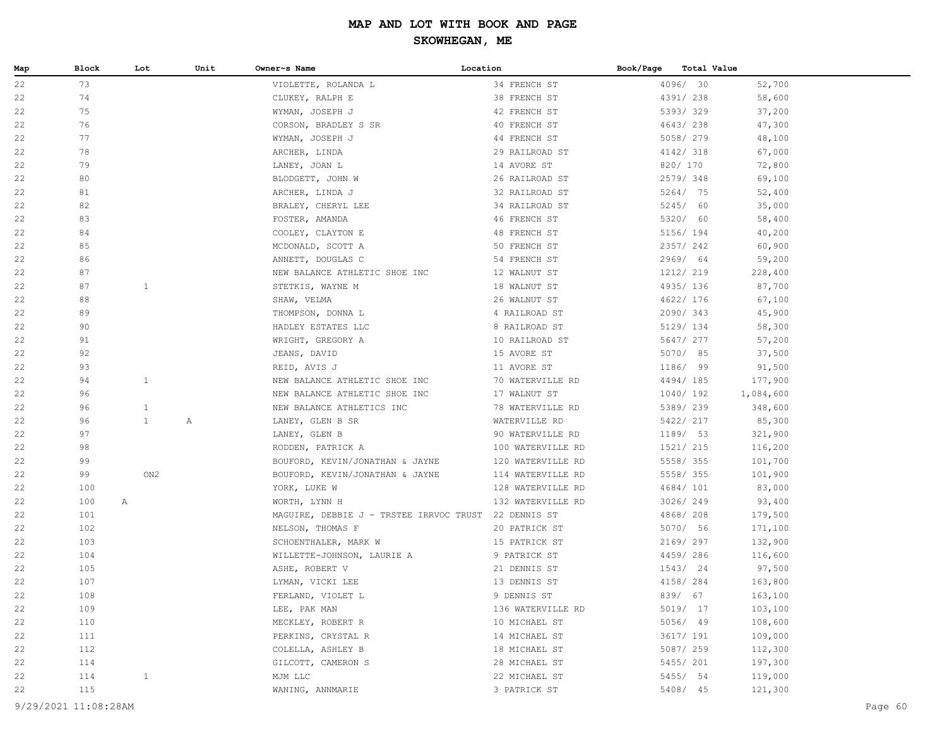| Map | Block | Lot          | Unit | Owner~s Name                                         | Location          | Book/Page | Total Value |                    |
|-----|-------|--------------|------|------------------------------------------------------|-------------------|-----------|-------------|--------------------|
| 22  | 73    |              |      | VIOLETTE, ROLANDA L                                  | 34 FRENCH ST      |           | 4096/ 30    | 52,700             |
| 22  | 74    |              |      | CLUKEY, RALPH E                                      | 38 FRENCH ST      |           | 4391/ 238   | 58,600             |
| 22  | 75    |              |      | WYMAN, JOSEPH J                                      | 42 FRENCH ST      |           | 5393/329    | 37,200             |
| 22  | 76    |              |      | CORSON, BRADLEY S SR                                 | 40 FRENCH ST      |           | 4643/238    | 47,300             |
| 22  | 77    |              |      | WYMAN, JOSEPH J                                      | 44 FRENCH ST      |           | 5058/279    | 48,100             |
| 22  | 78    |              |      | ARCHER, LINDA                                        | 29 RAILROAD ST    |           | 4142/ 318   | 67,000             |
| 22  | 79    |              |      | LANEY, JOAN L                                        | 14 AVORE ST       |           | 820/ 170    | 72,800             |
| 22  | 80    |              |      | BLODGETT, JOHN W                                     | 26 RAILROAD ST    |           | 2579/348    | 69,100             |
| 22  | 81    |              |      | ARCHER, LINDA J                                      | 32 RAILROAD ST    |           | 5264/ 75    | 52,400             |
| 22  | 82    |              |      | BRALEY, CHERYL LEE                                   | 34 RAILROAD ST    |           | 5245/ 60    | 35,000             |
| 22  | 83    |              |      | FOSTER, AMANDA                                       | 46 FRENCH ST      |           | 5320/ 60    | 58,400             |
| 22  | 84    |              |      | COOLEY, CLAYTON E                                    | 48 FRENCH ST      |           | 5156/ 194   | 40,200             |
| 22  | 85    |              |      | MCDONALD, SCOTT A                                    | 50 FRENCH ST      |           | 2357/242    | 60,900             |
| 22  | 86    |              |      | ANNETT, DOUGLAS C                                    | 54 FRENCH ST      |           | 2969/ 64    | 59,200             |
| 22  | 87    |              |      | NEW BALANCE ATHLETIC SHOE INC                        | 12 WALNUT ST      |           | 1212/ 219   | 228,400            |
| 22  | 87    | $\mathbf{1}$ |      | STETKIS, WAYNE M                                     | 18 WALNUT ST      |           | 4935/136    | 87,700             |
| 22  | 88    |              |      | SHAW, VELMA                                          | 26 WALNUT ST      |           | 4622/ 176   | 67,100             |
| 22  | 89    |              |      | THOMPSON, DONNA L                                    | 4 RAILROAD ST     |           | 2090/343    | 45,900             |
| 22  | 90    |              |      | HADLEY ESTATES LLC                                   | 8 RAILROAD ST     |           | 5129/ 134   | 58,300             |
| 22  | 91    |              |      | WRIGHT, GREGORY A                                    | 10 RAILROAD ST    |           | 5647/ 277   | 57,200             |
| 22  | 92    |              |      | JEANS, DAVID                                         | 15 AVORE ST       |           | 5070/ 85    | 37,500             |
| 22  | 93    |              |      | REID, AVIS J                                         | 11 AVORE ST       |           | 1186/ 99    | 91,500             |
| 22  | 94    | $\mathbf{1}$ |      | NEW BALANCE ATHLETIC SHOE INC                        | 70 WATERVILLE RD  |           | 4494/185    | 177,900            |
| 22  | 96    |              |      | NEW BALANCE ATHLETIC SHOE INC                        | 17 WALNUT ST      |           | 1040/192    | 1,084,600          |
| 22  | 96    | $\mathbf{1}$ |      | NEW BALANCE ATHLETICS INC                            | 78 WATERVILLE RD  |           | 5389/239    | 348,600            |
| 22  | 96    | $\mathbf{1}$ | Α    | LANEY, GLEN B SR                                     | WATERVILLE RD     |           | 5422/ 217   | 85,300             |
| 22  | 97    |              |      | LANEY, GLEN B                                        | 90 WATERVILLE RD  |           | 1189/ 53    | 321,900            |
| 22  | 98    |              |      | RODDEN, PATRICK A                                    | 100 WATERVILLE RD |           | 1521/ 215   | 116,200            |
| 22  | 99    |              |      | BOUFORD, KEVIN/JONATHAN & JAYNE                      | 120 WATERVILLE RD |           | 5558/355    | 101,700            |
| 22  | 99    | ON2          |      | BOUFORD, KEVIN/JONATHAN & JAYNE                      | 114 WATERVILLE RD |           | 5558/355    | 101,900            |
| 22  | 100   |              |      | YORK, LUKE W                                         | 128 WATERVILLE RD |           | 4684/ 101   | 83,000             |
| 22  | 100   | A            |      | WORTH, LYNN H                                        | 132 WATERVILLE RD |           | 3026/249    | 93,400             |
| 22  | 101   |              |      | MAGUIRE, DEBBIE J - TRSTEE IRRVOC TRUST 22 DENNIS ST |                   |           | 4868/ 208   | 179,500            |
| 22  | 102   |              |      | NELSON, THOMAS F                                     | 20 PATRICK ST     |           | 5070/ 56    | 171,100            |
| 22  | 103   |              |      | SCHOENTHALER, MARK W                                 | 15 PATRICK ST     |           | 2169/ 297   | 132,900            |
| 22  | 104   |              |      | WILLETTE-JOHNSON, LAURIE A                           | 9 PATRICK ST      |           | 4459/286    | 116,600            |
| 22  | 105   |              |      | ASHE, ROBERT V                                       | 21 DENNIS ST      |           | 1543/24     | 97,500             |
| 22  | 107   |              |      | LYMAN, VICKI LEE                                     | 13 DENNIS ST      |           | 4158/ 284   | 163,800            |
| 22  | 108   |              |      | FERLAND, VIOLET L                                    | 9 DENNIS ST       |           | 839/ 67     | 163,100            |
| 22  | 109   |              |      | LEE, PAK MAN                                         | 136 WATERVILLE RD |           | 5019/ 17    | 103,100            |
| 22  | 110   |              |      | MECKLEY, ROBERT R                                    | 10 MICHAEL ST     |           | 5056/ 49    | 108,600            |
| 22  | 111   |              |      | PERKINS, CRYSTAL R                                   | 14 MICHAEL ST     |           | 3617/ 191   | 109,000            |
| 22  | 112   |              |      | COLELLA, ASHLEY B<br>GILCOTT, CAMERON S              | 18 MICHAEL ST     |           | 5087/ 259   | 112,300<br>197,300 |
| 22  | 114   |              |      |                                                      | 28 MICHAEL ST     |           | 5455/ 201   |                    |
| 22  | 114   | $\mathbf{1}$ |      | MJM LLC                                              | 22 MICHAEL ST     |           | 5455/ 54    | 119,000<br>121,300 |
| 22  | 115   |              |      | WANING, ANNMARIE                                     | 3 PATRICK ST      |           | 5408/ 45    |                    |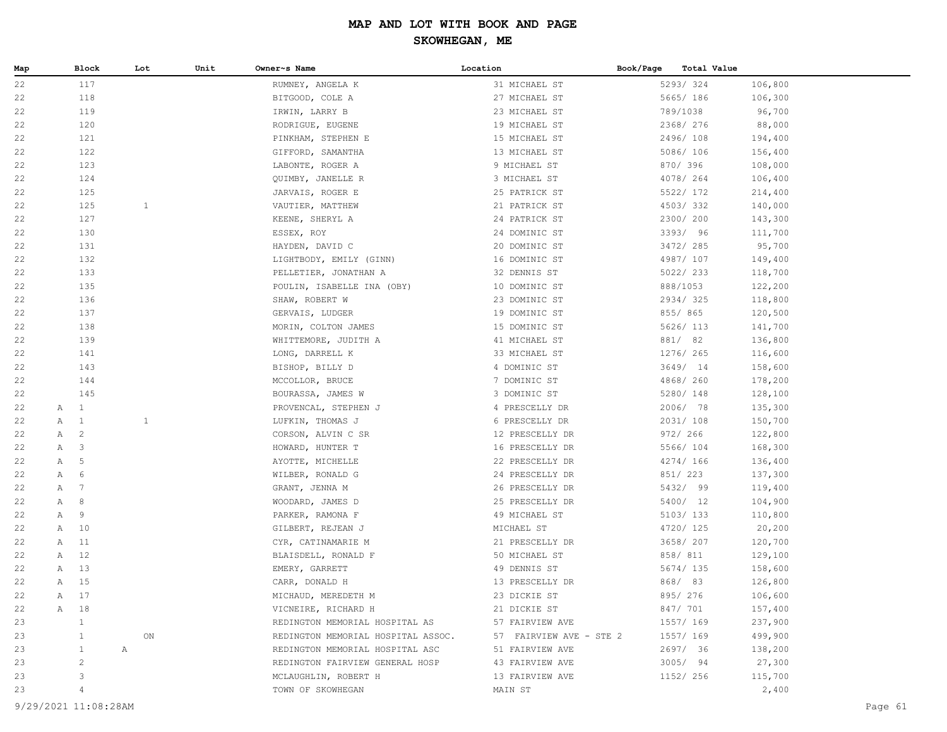| 5293/324<br>22<br>117<br>RUMNEY, ANGELA K<br>31 MICHAEL ST<br>106,800<br>118<br>27 MICHAEL ST<br>5665/ 186<br>22<br>BITGOOD, COLE A<br>106,300<br>119<br>23 MICHAEL ST<br>789/1038<br>96,700<br>22<br>IRWIN, LARRY B<br>120<br>2368/ 276<br>88,000<br>22<br>RODRIGUE, EUGENE<br>19 MICHAEL ST<br>121<br>15 MICHAEL ST<br>2496/108<br>22<br>PINKHAM, STEPHEN E<br>194,400<br>122<br>13 MICHAEL ST<br>5086/106<br>156,400<br>22<br>GIFFORD, SAMANTHA<br>123<br>9 MICHAEL ST<br>870/ 396<br>22<br>LABONTE, ROGER A<br>108,000<br>4078/264<br>22<br>124<br>QUIMBY, JANELLE R<br>3 MICHAEL ST<br>106,400<br>22<br>125<br>JARVAIS, ROGER E<br>25 PATRICK ST<br>5522/ 172<br>214,400<br>125<br>4503/332<br>22<br>$\mathbf{1}$<br>VAUTIER, MATTHEW<br>21 PATRICK ST<br>140,000<br>127<br>2300/200<br>22<br>KEENE, SHERYL A<br>24 PATRICK ST<br>143,300<br>130<br>3393/ 96<br>22<br>ESSEX, ROY<br>24 DOMINIC ST<br>111,700<br>20 DOMINIC ST<br>3472/285<br>22<br>131<br>95,700<br>HAYDEN, DAVID C<br>132<br>16 DOMINIC ST<br>4987/ 107<br>22<br>LIGHTBODY, EMILY (GINN)<br>149,400<br>133<br>32 DENNIS ST<br>5022/ 233<br>22<br>PELLETIER, JONATHAN A<br>118,700<br>888/1053<br>22<br>135<br>POULIN, ISABELLE INA (OBY)<br>10 DOMINIC ST<br>122,200<br>22<br>136<br>SHAW, ROBERT W<br>23 DOMINIC ST<br>2934/325<br>118,800<br>137<br>855/865<br>22<br>GERVAIS, LUDGER<br>19 DOMINIC ST<br>120,500<br>138<br>5626/ 113<br>22<br>MORIN, COLTON JAMES<br>15 DOMINIC ST<br>141,700<br>139<br>881/ 82<br>22<br>WHITTEMORE, JUDITH A<br>41 MICHAEL ST<br>136,800<br>33 MICHAEL ST<br>1276/ 265<br>22<br>141<br>LONG, DARRELL K<br>116,600<br>143<br>4 DOMINIC ST<br>3649/ 14<br>158,600<br>22<br>BISHOP, BILLY D<br>7 DOMINIC ST<br>4868/260<br>178,200<br>22<br>144<br>MCCOLLOR, BRUCE<br>145<br>5280/ 148<br>22<br>BOURASSA, JAMES W<br>3 DOMINIC ST<br>128,100<br>$\overline{1}$<br>2006/ 78<br>22<br>$\mathbb A$<br>4 PRESCELLY DR<br>135,300<br>PROVENCAL, STEPHEN J<br>A 1<br>$\mathbf{1}$<br>2031/108<br>22<br>LUFKIN, THOMAS J<br>6 PRESCELLY DR<br>150,700<br>$\overline{c}$<br>972/ 266<br>22<br>A<br>CORSON, ALVIN C SR<br>12 PRESCELLY DR<br>122,800<br>$\mathbf{3}$<br>5566/ 104<br>22<br>A<br>HOWARD, HUNTER T<br>16 PRESCELLY DR<br>168,300<br>4274/ 166<br>$\overline{5}$<br>AYOTTE, MICHELLE<br>22 PRESCELLY DR<br>136,400<br>22<br>A<br>851/ 223<br>137,300<br>22<br>6<br>WILBER, RONALD G<br>24 PRESCELLY DR<br>A<br>7<br>5432/ 99<br>22<br>GRANT, JENNA M<br>26 PRESCELLY DR<br>119,400<br>A<br>8<br>5400/ 12<br>22<br>A<br>WOODARD, JAMES D<br>25 PRESCELLY DR<br>104,900<br>9<br>5103/ 133<br>22<br>$\mathbb{A}$<br>PARKER, RAMONA F<br>49 MICHAEL ST<br>110,800<br>10<br>4720/ 125<br>22<br>Α<br>GILBERT, REJEAN J<br>MICHAEL ST<br>20,200<br>11<br>3658/ 207<br>A<br>CYR, CATINAMARIE M<br>21 PRESCELLY DR<br>120,700<br>22<br>A 12<br>858/ 811<br>22<br>BLAISDELL, RONALD F<br>50 MICHAEL ST<br>129,100<br>13<br>A<br>EMERY, GARRETT<br>49 DENNIS ST<br>5674/ 135<br>158,600<br>22<br>A 15<br>868/83<br>126,800<br>22<br>CARR, DONALD H<br>13 PRESCELLY DR<br>23 DICKIE ST<br>895/ 276<br>A 17<br>MICHAUD, MEREDETH M<br>106,600<br>22<br>847/ 701<br>VICNEIRE, RICHARD H<br>21 DICKIE ST<br>157,400<br>22<br>A 18<br>23<br>1<br>REDINGTON MEMORIAL HOSPITAL AS<br>57 FAIRVIEW AVE<br>1557/ 169<br>237,900<br>23<br>ON<br>REDINGTON MEMORIAL HOSPITAL ASSOC.<br>57 FAIRVIEW AVE - STE 2<br>1557/ 169<br>499,900<br>$\mathbf{1}$<br>23<br>REDINGTON MEMORIAL HOSPITAL ASC<br>51 FAIRVIEW AVE<br>2697/ 36<br>138,200<br>1<br>A<br>2<br>3005/94<br>27,300<br>23<br>REDINGTON FAIRVIEW GENERAL HOSP<br>43 FAIRVIEW AVE<br>3<br>115,700<br>23<br>1152/ 256<br>MCLAUGHLIN, ROBERT H<br>13 FAIRVIEW AVE<br>2,400<br>23<br>$\overline{4}$<br>TOWN OF SKOWHEGAN<br>MAIN ST<br>9/29/2021 11:08:28AM | Map | Block | Lot | Unit | Owner~s Name | Location | Book/Page<br>Total Value |         |
|-----------------------------------------------------------------------------------------------------------------------------------------------------------------------------------------------------------------------------------------------------------------------------------------------------------------------------------------------------------------------------------------------------------------------------------------------------------------------------------------------------------------------------------------------------------------------------------------------------------------------------------------------------------------------------------------------------------------------------------------------------------------------------------------------------------------------------------------------------------------------------------------------------------------------------------------------------------------------------------------------------------------------------------------------------------------------------------------------------------------------------------------------------------------------------------------------------------------------------------------------------------------------------------------------------------------------------------------------------------------------------------------------------------------------------------------------------------------------------------------------------------------------------------------------------------------------------------------------------------------------------------------------------------------------------------------------------------------------------------------------------------------------------------------------------------------------------------------------------------------------------------------------------------------------------------------------------------------------------------------------------------------------------------------------------------------------------------------------------------------------------------------------------------------------------------------------------------------------------------------------------------------------------------------------------------------------------------------------------------------------------------------------------------------------------------------------------------------------------------------------------------------------------------------------------------------------------------------------------------------------------------------------------------------------------------------------------------------------------------------------------------------------------------------------------------------------------------------------------------------------------------------------------------------------------------------------------------------------------------------------------------------------------------------------------------------------------------------------------------------------------------------------------------------------------------------------------------------------------------------------------------------------------------------------------------------------------------------------------------------------------------------------------------------------------------------------------------------------------------------------------------------------------------------------------------------------------------------------------------------------------------------------------------------------------------------------------------------------------------------------------------------------------------------------------|-----|-------|-----|------|--------------|----------|--------------------------|---------|
|                                                                                                                                                                                                                                                                                                                                                                                                                                                                                                                                                                                                                                                                                                                                                                                                                                                                                                                                                                                                                                                                                                                                                                                                                                                                                                                                                                                                                                                                                                                                                                                                                                                                                                                                                                                                                                                                                                                                                                                                                                                                                                                                                                                                                                                                                                                                                                                                                                                                                                                                                                                                                                                                                                                                                                                                                                                                                                                                                                                                                                                                                                                                                                                                                                                                                                                                                                                                                                                                                                                                                                                                                                                                                                                                                                                                     |     |       |     |      |              |          |                          |         |
|                                                                                                                                                                                                                                                                                                                                                                                                                                                                                                                                                                                                                                                                                                                                                                                                                                                                                                                                                                                                                                                                                                                                                                                                                                                                                                                                                                                                                                                                                                                                                                                                                                                                                                                                                                                                                                                                                                                                                                                                                                                                                                                                                                                                                                                                                                                                                                                                                                                                                                                                                                                                                                                                                                                                                                                                                                                                                                                                                                                                                                                                                                                                                                                                                                                                                                                                                                                                                                                                                                                                                                                                                                                                                                                                                                                                     |     |       |     |      |              |          |                          |         |
|                                                                                                                                                                                                                                                                                                                                                                                                                                                                                                                                                                                                                                                                                                                                                                                                                                                                                                                                                                                                                                                                                                                                                                                                                                                                                                                                                                                                                                                                                                                                                                                                                                                                                                                                                                                                                                                                                                                                                                                                                                                                                                                                                                                                                                                                                                                                                                                                                                                                                                                                                                                                                                                                                                                                                                                                                                                                                                                                                                                                                                                                                                                                                                                                                                                                                                                                                                                                                                                                                                                                                                                                                                                                                                                                                                                                     |     |       |     |      |              |          |                          |         |
|                                                                                                                                                                                                                                                                                                                                                                                                                                                                                                                                                                                                                                                                                                                                                                                                                                                                                                                                                                                                                                                                                                                                                                                                                                                                                                                                                                                                                                                                                                                                                                                                                                                                                                                                                                                                                                                                                                                                                                                                                                                                                                                                                                                                                                                                                                                                                                                                                                                                                                                                                                                                                                                                                                                                                                                                                                                                                                                                                                                                                                                                                                                                                                                                                                                                                                                                                                                                                                                                                                                                                                                                                                                                                                                                                                                                     |     |       |     |      |              |          |                          |         |
|                                                                                                                                                                                                                                                                                                                                                                                                                                                                                                                                                                                                                                                                                                                                                                                                                                                                                                                                                                                                                                                                                                                                                                                                                                                                                                                                                                                                                                                                                                                                                                                                                                                                                                                                                                                                                                                                                                                                                                                                                                                                                                                                                                                                                                                                                                                                                                                                                                                                                                                                                                                                                                                                                                                                                                                                                                                                                                                                                                                                                                                                                                                                                                                                                                                                                                                                                                                                                                                                                                                                                                                                                                                                                                                                                                                                     |     |       |     |      |              |          |                          |         |
|                                                                                                                                                                                                                                                                                                                                                                                                                                                                                                                                                                                                                                                                                                                                                                                                                                                                                                                                                                                                                                                                                                                                                                                                                                                                                                                                                                                                                                                                                                                                                                                                                                                                                                                                                                                                                                                                                                                                                                                                                                                                                                                                                                                                                                                                                                                                                                                                                                                                                                                                                                                                                                                                                                                                                                                                                                                                                                                                                                                                                                                                                                                                                                                                                                                                                                                                                                                                                                                                                                                                                                                                                                                                                                                                                                                                     |     |       |     |      |              |          |                          |         |
|                                                                                                                                                                                                                                                                                                                                                                                                                                                                                                                                                                                                                                                                                                                                                                                                                                                                                                                                                                                                                                                                                                                                                                                                                                                                                                                                                                                                                                                                                                                                                                                                                                                                                                                                                                                                                                                                                                                                                                                                                                                                                                                                                                                                                                                                                                                                                                                                                                                                                                                                                                                                                                                                                                                                                                                                                                                                                                                                                                                                                                                                                                                                                                                                                                                                                                                                                                                                                                                                                                                                                                                                                                                                                                                                                                                                     |     |       |     |      |              |          |                          |         |
|                                                                                                                                                                                                                                                                                                                                                                                                                                                                                                                                                                                                                                                                                                                                                                                                                                                                                                                                                                                                                                                                                                                                                                                                                                                                                                                                                                                                                                                                                                                                                                                                                                                                                                                                                                                                                                                                                                                                                                                                                                                                                                                                                                                                                                                                                                                                                                                                                                                                                                                                                                                                                                                                                                                                                                                                                                                                                                                                                                                                                                                                                                                                                                                                                                                                                                                                                                                                                                                                                                                                                                                                                                                                                                                                                                                                     |     |       |     |      |              |          |                          |         |
|                                                                                                                                                                                                                                                                                                                                                                                                                                                                                                                                                                                                                                                                                                                                                                                                                                                                                                                                                                                                                                                                                                                                                                                                                                                                                                                                                                                                                                                                                                                                                                                                                                                                                                                                                                                                                                                                                                                                                                                                                                                                                                                                                                                                                                                                                                                                                                                                                                                                                                                                                                                                                                                                                                                                                                                                                                                                                                                                                                                                                                                                                                                                                                                                                                                                                                                                                                                                                                                                                                                                                                                                                                                                                                                                                                                                     |     |       |     |      |              |          |                          |         |
|                                                                                                                                                                                                                                                                                                                                                                                                                                                                                                                                                                                                                                                                                                                                                                                                                                                                                                                                                                                                                                                                                                                                                                                                                                                                                                                                                                                                                                                                                                                                                                                                                                                                                                                                                                                                                                                                                                                                                                                                                                                                                                                                                                                                                                                                                                                                                                                                                                                                                                                                                                                                                                                                                                                                                                                                                                                                                                                                                                                                                                                                                                                                                                                                                                                                                                                                                                                                                                                                                                                                                                                                                                                                                                                                                                                                     |     |       |     |      |              |          |                          |         |
|                                                                                                                                                                                                                                                                                                                                                                                                                                                                                                                                                                                                                                                                                                                                                                                                                                                                                                                                                                                                                                                                                                                                                                                                                                                                                                                                                                                                                                                                                                                                                                                                                                                                                                                                                                                                                                                                                                                                                                                                                                                                                                                                                                                                                                                                                                                                                                                                                                                                                                                                                                                                                                                                                                                                                                                                                                                                                                                                                                                                                                                                                                                                                                                                                                                                                                                                                                                                                                                                                                                                                                                                                                                                                                                                                                                                     |     |       |     |      |              |          |                          |         |
|                                                                                                                                                                                                                                                                                                                                                                                                                                                                                                                                                                                                                                                                                                                                                                                                                                                                                                                                                                                                                                                                                                                                                                                                                                                                                                                                                                                                                                                                                                                                                                                                                                                                                                                                                                                                                                                                                                                                                                                                                                                                                                                                                                                                                                                                                                                                                                                                                                                                                                                                                                                                                                                                                                                                                                                                                                                                                                                                                                                                                                                                                                                                                                                                                                                                                                                                                                                                                                                                                                                                                                                                                                                                                                                                                                                                     |     |       |     |      |              |          |                          |         |
|                                                                                                                                                                                                                                                                                                                                                                                                                                                                                                                                                                                                                                                                                                                                                                                                                                                                                                                                                                                                                                                                                                                                                                                                                                                                                                                                                                                                                                                                                                                                                                                                                                                                                                                                                                                                                                                                                                                                                                                                                                                                                                                                                                                                                                                                                                                                                                                                                                                                                                                                                                                                                                                                                                                                                                                                                                                                                                                                                                                                                                                                                                                                                                                                                                                                                                                                                                                                                                                                                                                                                                                                                                                                                                                                                                                                     |     |       |     |      |              |          |                          |         |
|                                                                                                                                                                                                                                                                                                                                                                                                                                                                                                                                                                                                                                                                                                                                                                                                                                                                                                                                                                                                                                                                                                                                                                                                                                                                                                                                                                                                                                                                                                                                                                                                                                                                                                                                                                                                                                                                                                                                                                                                                                                                                                                                                                                                                                                                                                                                                                                                                                                                                                                                                                                                                                                                                                                                                                                                                                                                                                                                                                                                                                                                                                                                                                                                                                                                                                                                                                                                                                                                                                                                                                                                                                                                                                                                                                                                     |     |       |     |      |              |          |                          |         |
|                                                                                                                                                                                                                                                                                                                                                                                                                                                                                                                                                                                                                                                                                                                                                                                                                                                                                                                                                                                                                                                                                                                                                                                                                                                                                                                                                                                                                                                                                                                                                                                                                                                                                                                                                                                                                                                                                                                                                                                                                                                                                                                                                                                                                                                                                                                                                                                                                                                                                                                                                                                                                                                                                                                                                                                                                                                                                                                                                                                                                                                                                                                                                                                                                                                                                                                                                                                                                                                                                                                                                                                                                                                                                                                                                                                                     |     |       |     |      |              |          |                          |         |
|                                                                                                                                                                                                                                                                                                                                                                                                                                                                                                                                                                                                                                                                                                                                                                                                                                                                                                                                                                                                                                                                                                                                                                                                                                                                                                                                                                                                                                                                                                                                                                                                                                                                                                                                                                                                                                                                                                                                                                                                                                                                                                                                                                                                                                                                                                                                                                                                                                                                                                                                                                                                                                                                                                                                                                                                                                                                                                                                                                                                                                                                                                                                                                                                                                                                                                                                                                                                                                                                                                                                                                                                                                                                                                                                                                                                     |     |       |     |      |              |          |                          |         |
|                                                                                                                                                                                                                                                                                                                                                                                                                                                                                                                                                                                                                                                                                                                                                                                                                                                                                                                                                                                                                                                                                                                                                                                                                                                                                                                                                                                                                                                                                                                                                                                                                                                                                                                                                                                                                                                                                                                                                                                                                                                                                                                                                                                                                                                                                                                                                                                                                                                                                                                                                                                                                                                                                                                                                                                                                                                                                                                                                                                                                                                                                                                                                                                                                                                                                                                                                                                                                                                                                                                                                                                                                                                                                                                                                                                                     |     |       |     |      |              |          |                          |         |
|                                                                                                                                                                                                                                                                                                                                                                                                                                                                                                                                                                                                                                                                                                                                                                                                                                                                                                                                                                                                                                                                                                                                                                                                                                                                                                                                                                                                                                                                                                                                                                                                                                                                                                                                                                                                                                                                                                                                                                                                                                                                                                                                                                                                                                                                                                                                                                                                                                                                                                                                                                                                                                                                                                                                                                                                                                                                                                                                                                                                                                                                                                                                                                                                                                                                                                                                                                                                                                                                                                                                                                                                                                                                                                                                                                                                     |     |       |     |      |              |          |                          |         |
|                                                                                                                                                                                                                                                                                                                                                                                                                                                                                                                                                                                                                                                                                                                                                                                                                                                                                                                                                                                                                                                                                                                                                                                                                                                                                                                                                                                                                                                                                                                                                                                                                                                                                                                                                                                                                                                                                                                                                                                                                                                                                                                                                                                                                                                                                                                                                                                                                                                                                                                                                                                                                                                                                                                                                                                                                                                                                                                                                                                                                                                                                                                                                                                                                                                                                                                                                                                                                                                                                                                                                                                                                                                                                                                                                                                                     |     |       |     |      |              |          |                          |         |
|                                                                                                                                                                                                                                                                                                                                                                                                                                                                                                                                                                                                                                                                                                                                                                                                                                                                                                                                                                                                                                                                                                                                                                                                                                                                                                                                                                                                                                                                                                                                                                                                                                                                                                                                                                                                                                                                                                                                                                                                                                                                                                                                                                                                                                                                                                                                                                                                                                                                                                                                                                                                                                                                                                                                                                                                                                                                                                                                                                                                                                                                                                                                                                                                                                                                                                                                                                                                                                                                                                                                                                                                                                                                                                                                                                                                     |     |       |     |      |              |          |                          |         |
|                                                                                                                                                                                                                                                                                                                                                                                                                                                                                                                                                                                                                                                                                                                                                                                                                                                                                                                                                                                                                                                                                                                                                                                                                                                                                                                                                                                                                                                                                                                                                                                                                                                                                                                                                                                                                                                                                                                                                                                                                                                                                                                                                                                                                                                                                                                                                                                                                                                                                                                                                                                                                                                                                                                                                                                                                                                                                                                                                                                                                                                                                                                                                                                                                                                                                                                                                                                                                                                                                                                                                                                                                                                                                                                                                                                                     |     |       |     |      |              |          |                          |         |
|                                                                                                                                                                                                                                                                                                                                                                                                                                                                                                                                                                                                                                                                                                                                                                                                                                                                                                                                                                                                                                                                                                                                                                                                                                                                                                                                                                                                                                                                                                                                                                                                                                                                                                                                                                                                                                                                                                                                                                                                                                                                                                                                                                                                                                                                                                                                                                                                                                                                                                                                                                                                                                                                                                                                                                                                                                                                                                                                                                                                                                                                                                                                                                                                                                                                                                                                                                                                                                                                                                                                                                                                                                                                                                                                                                                                     |     |       |     |      |              |          |                          |         |
|                                                                                                                                                                                                                                                                                                                                                                                                                                                                                                                                                                                                                                                                                                                                                                                                                                                                                                                                                                                                                                                                                                                                                                                                                                                                                                                                                                                                                                                                                                                                                                                                                                                                                                                                                                                                                                                                                                                                                                                                                                                                                                                                                                                                                                                                                                                                                                                                                                                                                                                                                                                                                                                                                                                                                                                                                                                                                                                                                                                                                                                                                                                                                                                                                                                                                                                                                                                                                                                                                                                                                                                                                                                                                                                                                                                                     |     |       |     |      |              |          |                          |         |
|                                                                                                                                                                                                                                                                                                                                                                                                                                                                                                                                                                                                                                                                                                                                                                                                                                                                                                                                                                                                                                                                                                                                                                                                                                                                                                                                                                                                                                                                                                                                                                                                                                                                                                                                                                                                                                                                                                                                                                                                                                                                                                                                                                                                                                                                                                                                                                                                                                                                                                                                                                                                                                                                                                                                                                                                                                                                                                                                                                                                                                                                                                                                                                                                                                                                                                                                                                                                                                                                                                                                                                                                                                                                                                                                                                                                     |     |       |     |      |              |          |                          |         |
|                                                                                                                                                                                                                                                                                                                                                                                                                                                                                                                                                                                                                                                                                                                                                                                                                                                                                                                                                                                                                                                                                                                                                                                                                                                                                                                                                                                                                                                                                                                                                                                                                                                                                                                                                                                                                                                                                                                                                                                                                                                                                                                                                                                                                                                                                                                                                                                                                                                                                                                                                                                                                                                                                                                                                                                                                                                                                                                                                                                                                                                                                                                                                                                                                                                                                                                                                                                                                                                                                                                                                                                                                                                                                                                                                                                                     |     |       |     |      |              |          |                          |         |
|                                                                                                                                                                                                                                                                                                                                                                                                                                                                                                                                                                                                                                                                                                                                                                                                                                                                                                                                                                                                                                                                                                                                                                                                                                                                                                                                                                                                                                                                                                                                                                                                                                                                                                                                                                                                                                                                                                                                                                                                                                                                                                                                                                                                                                                                                                                                                                                                                                                                                                                                                                                                                                                                                                                                                                                                                                                                                                                                                                                                                                                                                                                                                                                                                                                                                                                                                                                                                                                                                                                                                                                                                                                                                                                                                                                                     |     |       |     |      |              |          |                          |         |
|                                                                                                                                                                                                                                                                                                                                                                                                                                                                                                                                                                                                                                                                                                                                                                                                                                                                                                                                                                                                                                                                                                                                                                                                                                                                                                                                                                                                                                                                                                                                                                                                                                                                                                                                                                                                                                                                                                                                                                                                                                                                                                                                                                                                                                                                                                                                                                                                                                                                                                                                                                                                                                                                                                                                                                                                                                                                                                                                                                                                                                                                                                                                                                                                                                                                                                                                                                                                                                                                                                                                                                                                                                                                                                                                                                                                     |     |       |     |      |              |          |                          |         |
|                                                                                                                                                                                                                                                                                                                                                                                                                                                                                                                                                                                                                                                                                                                                                                                                                                                                                                                                                                                                                                                                                                                                                                                                                                                                                                                                                                                                                                                                                                                                                                                                                                                                                                                                                                                                                                                                                                                                                                                                                                                                                                                                                                                                                                                                                                                                                                                                                                                                                                                                                                                                                                                                                                                                                                                                                                                                                                                                                                                                                                                                                                                                                                                                                                                                                                                                                                                                                                                                                                                                                                                                                                                                                                                                                                                                     |     |       |     |      |              |          |                          |         |
|                                                                                                                                                                                                                                                                                                                                                                                                                                                                                                                                                                                                                                                                                                                                                                                                                                                                                                                                                                                                                                                                                                                                                                                                                                                                                                                                                                                                                                                                                                                                                                                                                                                                                                                                                                                                                                                                                                                                                                                                                                                                                                                                                                                                                                                                                                                                                                                                                                                                                                                                                                                                                                                                                                                                                                                                                                                                                                                                                                                                                                                                                                                                                                                                                                                                                                                                                                                                                                                                                                                                                                                                                                                                                                                                                                                                     |     |       |     |      |              |          |                          |         |
|                                                                                                                                                                                                                                                                                                                                                                                                                                                                                                                                                                                                                                                                                                                                                                                                                                                                                                                                                                                                                                                                                                                                                                                                                                                                                                                                                                                                                                                                                                                                                                                                                                                                                                                                                                                                                                                                                                                                                                                                                                                                                                                                                                                                                                                                                                                                                                                                                                                                                                                                                                                                                                                                                                                                                                                                                                                                                                                                                                                                                                                                                                                                                                                                                                                                                                                                                                                                                                                                                                                                                                                                                                                                                                                                                                                                     |     |       |     |      |              |          |                          |         |
|                                                                                                                                                                                                                                                                                                                                                                                                                                                                                                                                                                                                                                                                                                                                                                                                                                                                                                                                                                                                                                                                                                                                                                                                                                                                                                                                                                                                                                                                                                                                                                                                                                                                                                                                                                                                                                                                                                                                                                                                                                                                                                                                                                                                                                                                                                                                                                                                                                                                                                                                                                                                                                                                                                                                                                                                                                                                                                                                                                                                                                                                                                                                                                                                                                                                                                                                                                                                                                                                                                                                                                                                                                                                                                                                                                                                     |     |       |     |      |              |          |                          |         |
|                                                                                                                                                                                                                                                                                                                                                                                                                                                                                                                                                                                                                                                                                                                                                                                                                                                                                                                                                                                                                                                                                                                                                                                                                                                                                                                                                                                                                                                                                                                                                                                                                                                                                                                                                                                                                                                                                                                                                                                                                                                                                                                                                                                                                                                                                                                                                                                                                                                                                                                                                                                                                                                                                                                                                                                                                                                                                                                                                                                                                                                                                                                                                                                                                                                                                                                                                                                                                                                                                                                                                                                                                                                                                                                                                                                                     |     |       |     |      |              |          |                          |         |
|                                                                                                                                                                                                                                                                                                                                                                                                                                                                                                                                                                                                                                                                                                                                                                                                                                                                                                                                                                                                                                                                                                                                                                                                                                                                                                                                                                                                                                                                                                                                                                                                                                                                                                                                                                                                                                                                                                                                                                                                                                                                                                                                                                                                                                                                                                                                                                                                                                                                                                                                                                                                                                                                                                                                                                                                                                                                                                                                                                                                                                                                                                                                                                                                                                                                                                                                                                                                                                                                                                                                                                                                                                                                                                                                                                                                     |     |       |     |      |              |          |                          |         |
|                                                                                                                                                                                                                                                                                                                                                                                                                                                                                                                                                                                                                                                                                                                                                                                                                                                                                                                                                                                                                                                                                                                                                                                                                                                                                                                                                                                                                                                                                                                                                                                                                                                                                                                                                                                                                                                                                                                                                                                                                                                                                                                                                                                                                                                                                                                                                                                                                                                                                                                                                                                                                                                                                                                                                                                                                                                                                                                                                                                                                                                                                                                                                                                                                                                                                                                                                                                                                                                                                                                                                                                                                                                                                                                                                                                                     |     |       |     |      |              |          |                          |         |
|                                                                                                                                                                                                                                                                                                                                                                                                                                                                                                                                                                                                                                                                                                                                                                                                                                                                                                                                                                                                                                                                                                                                                                                                                                                                                                                                                                                                                                                                                                                                                                                                                                                                                                                                                                                                                                                                                                                                                                                                                                                                                                                                                                                                                                                                                                                                                                                                                                                                                                                                                                                                                                                                                                                                                                                                                                                                                                                                                                                                                                                                                                                                                                                                                                                                                                                                                                                                                                                                                                                                                                                                                                                                                                                                                                                                     |     |       |     |      |              |          |                          |         |
|                                                                                                                                                                                                                                                                                                                                                                                                                                                                                                                                                                                                                                                                                                                                                                                                                                                                                                                                                                                                                                                                                                                                                                                                                                                                                                                                                                                                                                                                                                                                                                                                                                                                                                                                                                                                                                                                                                                                                                                                                                                                                                                                                                                                                                                                                                                                                                                                                                                                                                                                                                                                                                                                                                                                                                                                                                                                                                                                                                                                                                                                                                                                                                                                                                                                                                                                                                                                                                                                                                                                                                                                                                                                                                                                                                                                     |     |       |     |      |              |          |                          |         |
|                                                                                                                                                                                                                                                                                                                                                                                                                                                                                                                                                                                                                                                                                                                                                                                                                                                                                                                                                                                                                                                                                                                                                                                                                                                                                                                                                                                                                                                                                                                                                                                                                                                                                                                                                                                                                                                                                                                                                                                                                                                                                                                                                                                                                                                                                                                                                                                                                                                                                                                                                                                                                                                                                                                                                                                                                                                                                                                                                                                                                                                                                                                                                                                                                                                                                                                                                                                                                                                                                                                                                                                                                                                                                                                                                                                                     |     |       |     |      |              |          |                          |         |
|                                                                                                                                                                                                                                                                                                                                                                                                                                                                                                                                                                                                                                                                                                                                                                                                                                                                                                                                                                                                                                                                                                                                                                                                                                                                                                                                                                                                                                                                                                                                                                                                                                                                                                                                                                                                                                                                                                                                                                                                                                                                                                                                                                                                                                                                                                                                                                                                                                                                                                                                                                                                                                                                                                                                                                                                                                                                                                                                                                                                                                                                                                                                                                                                                                                                                                                                                                                                                                                                                                                                                                                                                                                                                                                                                                                                     |     |       |     |      |              |          |                          |         |
|                                                                                                                                                                                                                                                                                                                                                                                                                                                                                                                                                                                                                                                                                                                                                                                                                                                                                                                                                                                                                                                                                                                                                                                                                                                                                                                                                                                                                                                                                                                                                                                                                                                                                                                                                                                                                                                                                                                                                                                                                                                                                                                                                                                                                                                                                                                                                                                                                                                                                                                                                                                                                                                                                                                                                                                                                                                                                                                                                                                                                                                                                                                                                                                                                                                                                                                                                                                                                                                                                                                                                                                                                                                                                                                                                                                                     |     |       |     |      |              |          |                          |         |
|                                                                                                                                                                                                                                                                                                                                                                                                                                                                                                                                                                                                                                                                                                                                                                                                                                                                                                                                                                                                                                                                                                                                                                                                                                                                                                                                                                                                                                                                                                                                                                                                                                                                                                                                                                                                                                                                                                                                                                                                                                                                                                                                                                                                                                                                                                                                                                                                                                                                                                                                                                                                                                                                                                                                                                                                                                                                                                                                                                                                                                                                                                                                                                                                                                                                                                                                                                                                                                                                                                                                                                                                                                                                                                                                                                                                     |     |       |     |      |              |          |                          |         |
|                                                                                                                                                                                                                                                                                                                                                                                                                                                                                                                                                                                                                                                                                                                                                                                                                                                                                                                                                                                                                                                                                                                                                                                                                                                                                                                                                                                                                                                                                                                                                                                                                                                                                                                                                                                                                                                                                                                                                                                                                                                                                                                                                                                                                                                                                                                                                                                                                                                                                                                                                                                                                                                                                                                                                                                                                                                                                                                                                                                                                                                                                                                                                                                                                                                                                                                                                                                                                                                                                                                                                                                                                                                                                                                                                                                                     |     |       |     |      |              |          |                          |         |
|                                                                                                                                                                                                                                                                                                                                                                                                                                                                                                                                                                                                                                                                                                                                                                                                                                                                                                                                                                                                                                                                                                                                                                                                                                                                                                                                                                                                                                                                                                                                                                                                                                                                                                                                                                                                                                                                                                                                                                                                                                                                                                                                                                                                                                                                                                                                                                                                                                                                                                                                                                                                                                                                                                                                                                                                                                                                                                                                                                                                                                                                                                                                                                                                                                                                                                                                                                                                                                                                                                                                                                                                                                                                                                                                                                                                     |     |       |     |      |              |          |                          |         |
|                                                                                                                                                                                                                                                                                                                                                                                                                                                                                                                                                                                                                                                                                                                                                                                                                                                                                                                                                                                                                                                                                                                                                                                                                                                                                                                                                                                                                                                                                                                                                                                                                                                                                                                                                                                                                                                                                                                                                                                                                                                                                                                                                                                                                                                                                                                                                                                                                                                                                                                                                                                                                                                                                                                                                                                                                                                                                                                                                                                                                                                                                                                                                                                                                                                                                                                                                                                                                                                                                                                                                                                                                                                                                                                                                                                                     |     |       |     |      |              |          |                          |         |
|                                                                                                                                                                                                                                                                                                                                                                                                                                                                                                                                                                                                                                                                                                                                                                                                                                                                                                                                                                                                                                                                                                                                                                                                                                                                                                                                                                                                                                                                                                                                                                                                                                                                                                                                                                                                                                                                                                                                                                                                                                                                                                                                                                                                                                                                                                                                                                                                                                                                                                                                                                                                                                                                                                                                                                                                                                                                                                                                                                                                                                                                                                                                                                                                                                                                                                                                                                                                                                                                                                                                                                                                                                                                                                                                                                                                     |     |       |     |      |              |          |                          |         |
|                                                                                                                                                                                                                                                                                                                                                                                                                                                                                                                                                                                                                                                                                                                                                                                                                                                                                                                                                                                                                                                                                                                                                                                                                                                                                                                                                                                                                                                                                                                                                                                                                                                                                                                                                                                                                                                                                                                                                                                                                                                                                                                                                                                                                                                                                                                                                                                                                                                                                                                                                                                                                                                                                                                                                                                                                                                                                                                                                                                                                                                                                                                                                                                                                                                                                                                                                                                                                                                                                                                                                                                                                                                                                                                                                                                                     |     |       |     |      |              |          |                          |         |
|                                                                                                                                                                                                                                                                                                                                                                                                                                                                                                                                                                                                                                                                                                                                                                                                                                                                                                                                                                                                                                                                                                                                                                                                                                                                                                                                                                                                                                                                                                                                                                                                                                                                                                                                                                                                                                                                                                                                                                                                                                                                                                                                                                                                                                                                                                                                                                                                                                                                                                                                                                                                                                                                                                                                                                                                                                                                                                                                                                                                                                                                                                                                                                                                                                                                                                                                                                                                                                                                                                                                                                                                                                                                                                                                                                                                     |     |       |     |      |              |          |                          |         |
|                                                                                                                                                                                                                                                                                                                                                                                                                                                                                                                                                                                                                                                                                                                                                                                                                                                                                                                                                                                                                                                                                                                                                                                                                                                                                                                                                                                                                                                                                                                                                                                                                                                                                                                                                                                                                                                                                                                                                                                                                                                                                                                                                                                                                                                                                                                                                                                                                                                                                                                                                                                                                                                                                                                                                                                                                                                                                                                                                                                                                                                                                                                                                                                                                                                                                                                                                                                                                                                                                                                                                                                                                                                                                                                                                                                                     |     |       |     |      |              |          |                          | Page 61 |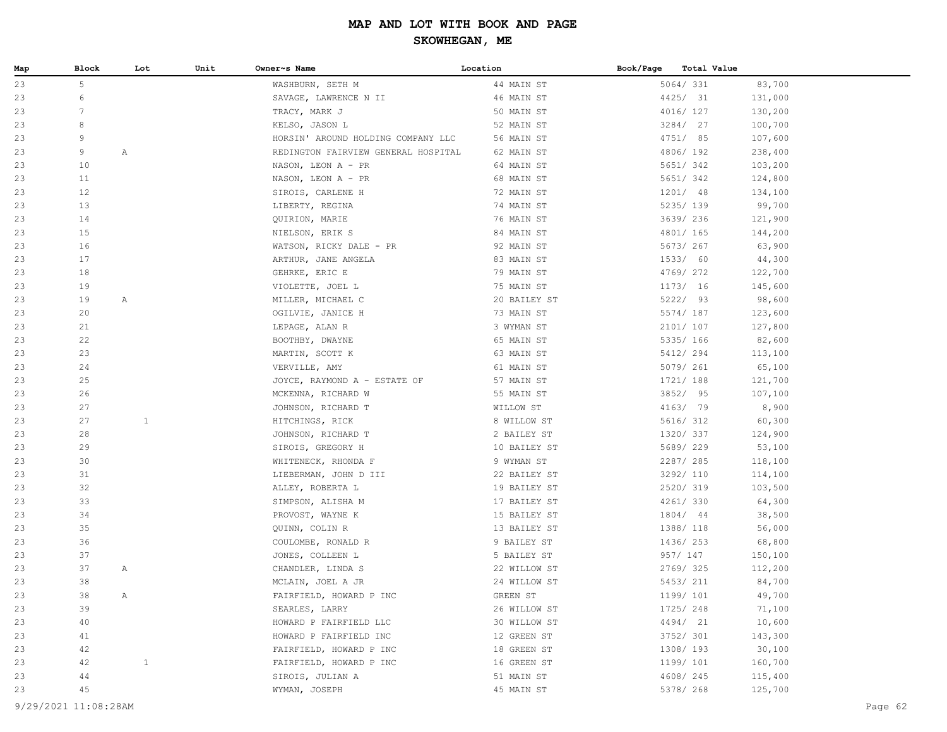| Map | Block                | Lot          | Unit | Owner~s Name                        | Location     | Book/Page | Total Value |         |  |
|-----|----------------------|--------------|------|-------------------------------------|--------------|-----------|-------------|---------|--|
| 23  | 5                    |              |      | WASHBURN, SETH M                    | 44 MAIN ST   |           | 5064/ 331   | 83,700  |  |
| 23  | 6                    |              |      | SAVAGE, LAWRENCE N II               | 46 MAIN ST   |           | 4425/ 31    | 131,000 |  |
| 23  | $7\phantom{.0}$      |              |      | TRACY, MARK J                       | 50 MAIN ST   |           | 4016/ 127   | 130,200 |  |
| 23  | 8                    |              |      | KELSO, JASON L                      | 52 MAIN ST   |           | 3284/ 27    | 100,700 |  |
| 23  | 9                    |              |      | HORSIN' AROUND HOLDING COMPANY LLC  | 56 MAIN ST   |           | 4751/ 85    | 107,600 |  |
| 23  | 9                    | $\mathbb{A}$ |      | REDINGTON FAIRVIEW GENERAL HOSPITAL | 62 MAIN ST   |           | 4806/192    | 238,400 |  |
| 23  | 10                   |              |      | NASON, LEON A - PR                  | 64 MAIN ST   |           | 5651/342    | 103,200 |  |
| 23  | 11                   |              |      | NASON, LEON A - PR                  | 68 MAIN ST   |           | 5651/342    | 124,800 |  |
| 23  | 12                   |              |      | SIROIS, CARLENE H                   | 72 MAIN ST   |           | 1201/ 48    | 134,100 |  |
| 23  | 13                   |              |      | LIBERTY, REGINA                     | 74 MAIN ST   |           | 5235/ 139   | 99,700  |  |
| 23  | 14                   |              |      | QUIRION, MARIE                      | 76 MAIN ST   |           | 3639/236    | 121,900 |  |
| 23  | 15                   |              |      | NIELSON, ERIK S                     | 84 MAIN ST   |           | 4801/ 165   | 144,200 |  |
| 23  | 16                   |              |      | WATSON, RICKY DALE - PR             | 92 MAIN ST   |           | 5673/ 267   | 63,900  |  |
| 23  | 17                   |              |      | ARTHUR, JANE ANGELA                 | 83 MAIN ST   |           | 1533/ 60    | 44,300  |  |
| 23  | 18                   |              |      | GEHRKE, ERIC E                      | 79 MAIN ST   |           | 4769/ 272   | 122,700 |  |
| 23  | 19                   |              |      | VIOLETTE, JOEL L                    | 75 MAIN ST   |           | 1173/16     | 145,600 |  |
| 23  | 19                   | $\mathbb{A}$ |      | MILLER, MICHAEL C                   | 20 BAILEY ST |           | 5222/ 93    | 98,600  |  |
| 23  | 20                   |              |      | OGILVIE, JANICE H                   | 73 MAIN ST   |           | 5574/ 187   | 123,600 |  |
| 23  | 21                   |              |      | LEPAGE, ALAN R                      | 3 WYMAN ST   |           | 2101/ 107   | 127,800 |  |
| 23  | 22                   |              |      | BOOTHBY, DWAYNE                     | 65 MAIN ST   |           | 5335/ 166   | 82,600  |  |
| 23  | 23                   |              |      | MARTIN, SCOTT K                     | 63 MAIN ST   |           | 5412/ 294   | 113,100 |  |
| 23  | 24                   |              |      | VERVILLE, AMY                       | 61 MAIN ST   |           | 5079/ 261   | 65,100  |  |
| 23  | 25                   |              |      | JOYCE, RAYMOND A - ESTATE OF        | 57 MAIN ST   |           | 1721/ 188   | 121,700 |  |
| 23  | 26                   |              |      | MCKENNA, RICHARD W                  | 55 MAIN ST   |           | 3852/ 95    | 107,100 |  |
| 23  | 27                   |              |      | JOHNSON, RICHARD T                  | WILLOW ST    |           | 4163/ 79    | 8,900   |  |
| 23  | 27                   | $\mathbf{1}$ |      | HITCHINGS, RICK                     | 8 WILLOW ST  |           | 5616/ 312   | 60,300  |  |
| 23  | 28                   |              |      | JOHNSON, RICHARD T                  | 2 BAILEY ST  |           | 1320/ 337   | 124,900 |  |
| 23  | 29                   |              |      | SIROIS, GREGORY H                   | 10 BAILEY ST |           | 5689/229    | 53,100  |  |
| 23  | 30                   |              |      | WHITENECK, RHONDA F                 | 9 WYMAN ST   |           | 2287/285    | 118,100 |  |
| 23  | 31                   |              |      | LIEBERMAN, JOHN D III               | 22 BAILEY ST |           | 3292/ 110   | 114,100 |  |
| 23  | 32                   |              |      | ALLEY, ROBERTA L                    | 19 BAILEY ST |           | 2520/ 319   | 103,500 |  |
| 23  | 33                   |              |      | SIMPSON, ALISHA M                   | 17 BAILEY ST |           | 4261/330    | 64,300  |  |
| 23  | 34                   |              |      | PROVOST, WAYNE K                    | 15 BAILEY ST |           | 1804/ 44    | 38,500  |  |
| 23  | 35                   |              |      | QUINN, COLIN R                      | 13 BAILEY ST |           | 1388/ 118   | 56,000  |  |
| 23  | 36                   |              |      | COULOMBE, RONALD R                  | 9 BAILEY ST  |           | 1436/ 253   | 68,800  |  |
| 23  | 37                   |              |      | JONES, COLLEEN L                    | 5 BAILEY ST  |           | 957/ 147    | 150,100 |  |
| 23  | 37                   | Α            |      | CHANDLER, LINDA S                   | 22 WILLOW ST |           | 2769/325    | 112,200 |  |
| 23  | 38                   |              |      | MCLAIN, JOEL A JR                   | 24 WILLOW ST |           | 5453/ 211   | 84,700  |  |
| 23  | 38                   | Α            |      | FAIRFIELD, HOWARD P INC             | GREEN ST     |           | 1199/ 101   | 49,700  |  |
| 23  | 39                   |              |      | SEARLES, LARRY                      | 26 WILLOW ST |           | 1725/248    | 71,100  |  |
| 23  | 40                   |              |      | HOWARD P FAIRFIELD LLC              | 30 WILLOW ST |           | 4494/ 21    | 10,600  |  |
| 23  | 41                   |              |      | HOWARD P FAIRFIELD INC              | 12 GREEN ST  |           | 3752/ 301   | 143,300 |  |
| 23  | 42                   |              |      | FAIRFIELD, HOWARD P INC             | 18 GREEN ST  |           | 1308/193    | 30,100  |  |
| 23  | 42                   | $\mathbf{1}$ |      | FAIRFIELD, HOWARD P INC             | 16 GREEN ST  |           | 1199/ 101   | 160,700 |  |
| 23  | 44                   |              |      | SIROIS, JULIAN A                    | 51 MAIN ST   |           | 4608/245    | 115,400 |  |
| 23  | 45                   |              |      | WYMAN, JOSEPH                       | 45 MAIN ST   |           | 5378/ 268   | 125,700 |  |
|     | 9/29/2021 11:08:28AM |              |      |                                     |              |           |             | Page 62 |  |
|     |                      |              |      |                                     |              |           |             |         |  |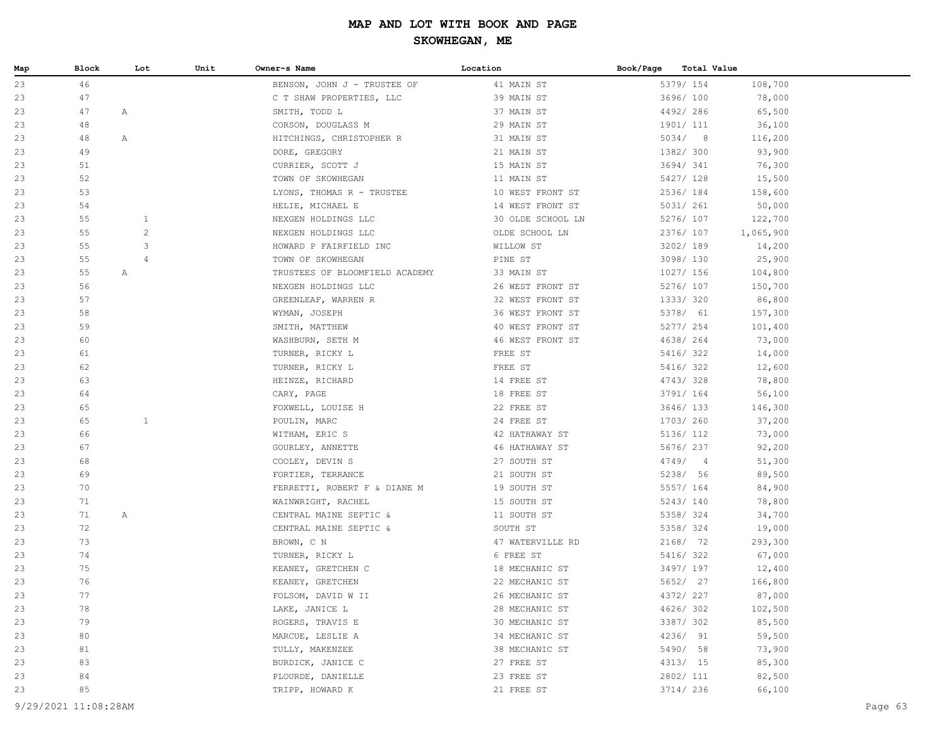| Map | Block | Lot            | Unit | Owner~s Name                   | Location          | Book/Page | <b>Total Value</b> |           |
|-----|-------|----------------|------|--------------------------------|-------------------|-----------|--------------------|-----------|
| 23  | 46    |                |      | BENSON, JOHN J - TRUSTEE OF    | 41 MAIN ST        |           | 5379/ 154          | 108,700   |
| 23  | 47    |                |      | C T SHAW PROPERTIES, LLC       | 39 MAIN ST        |           | 3696/100           | 78,000    |
| 23  | 47    | $\mathbb{A}$   |      | SMITH, TODD L                  | 37 MAIN ST        |           | 4492/286           | 65,500    |
| 23  | 48    |                |      | CORSON, DOUGLASS M             | 29 MAIN ST        |           | 1901/ 111          | 36,100    |
| 23  | 48    | $\mathbb{A}$   |      | HITCHINGS, CHRISTOPHER R       | 31 MAIN ST        |           | 5034/8             | 116,200   |
| 23  | 49    |                |      | DORE, GREGORY                  | 21 MAIN ST        |           | 1382/ 300          | 93,900    |
| 23  | 51    |                |      | CURRIER, SCOTT J               | 15 MAIN ST        |           | 3694/341           | 76,300    |
| 23  | 52    |                |      | TOWN OF SKOWHEGAN              | 11 MAIN ST        |           | 5427/ 128          | 15,500    |
| 23  | 53    |                |      | LYONS, THOMAS R - TRUSTEE      | 10 WEST FRONT ST  |           | 2536/184           | 158,600   |
| 23  | 54    |                |      | HELIE, MICHAEL E               | 14 WEST FRONT ST  |           | 5031/ 261          | 50,000    |
| 23  | 55    | $\mathbf{1}$   |      | NEXGEN HOLDINGS LLC            | 30 OLDE SCHOOL LN |           | 5276/ 107          | 122,700   |
| 23  | 55    | $\overline{c}$ |      | NEXGEN HOLDINGS LLC            | OLDE SCHOOL LN    |           | 2376/ 107          | 1,065,900 |
| 23  | 55    | 3              |      | HOWARD P FAIRFIELD INC         | WILLOW ST         |           | 3202/189           | 14,200    |
| 23  | 55    | $\overline{4}$ |      | TOWN OF SKOWHEGAN              | PINE ST           |           | 3098/130           | 25,900    |
| 23  | 55    | $\mathbb{A}$   |      | TRUSTEES OF BLOOMFIELD ACADEMY | 33 MAIN ST        |           | 1027/ 156          | 104,800   |
| 23  | 56    |                |      | NEXGEN HOLDINGS LLC            | 26 WEST FRONT ST  |           | 5276/ 107          | 150,700   |
| 23  | 57    |                |      | GREENLEAF, WARREN R            | 32 WEST FRONT ST  |           | 1333/320           | 86,800    |
| 23  | 58    |                |      | WYMAN, JOSEPH                  | 36 WEST FRONT ST  |           | 5378/ 61           | 157,300   |
| 23  | 59    |                |      | SMITH, MATTHEW                 | 40 WEST FRONT ST  |           | 5277/ 254          | 101,400   |
| 23  | 60    |                |      | WASHBURN, SETH M               | 46 WEST FRONT ST  |           | 4638/ 264          | 73,000    |
| 23  | 61    |                |      | TURNER, RICKY L                | FREE ST           |           | 5416/ 322          | 14,000    |
| 23  | 62    |                |      | TURNER, RICKY L                | FREE ST           |           | 5416/ 322          | 12,600    |
| 23  | 63    |                |      | HEINZE, RICHARD                | 14 FREE ST        |           | 4743/328           | 78,800    |
| 23  | 64    |                |      | CARY, PAGE                     | 18 FREE ST        |           | 3791/ 164          | 56,100    |
| 23  | 65    |                |      | FOXWELL, LOUISE H              | 22 FREE ST        |           | 3646/ 133          | 146,300   |
| 23  | 65    | $\mathbf{1}$   |      | POULIN, MARC                   | 24 FREE ST        |           | 1703/ 260          | 37,200    |
| 23  | 66    |                |      | WITHAM, ERIC S                 | 42 HATHAWAY ST    |           | 5136/ 112          | 73,000    |
| 23  | 67    |                |      | GOURLEY, ANNETTE               | 46 HATHAWAY ST    |           | 5676/ 237          | 92,200    |
| 23  | 68    |                |      | COOLEY, DEVIN S                | 27 SOUTH ST       |           | 4749/4             | 51,300    |
| 23  | 69    |                |      | FORTIER, TERRANCE              | 21 SOUTH ST       |           | 5238/ 56           | 89,500    |
| 23  | 70    |                |      | FERRETTI, ROBERT F & DIANE M   | 19 SOUTH ST       |           | 5557/ 164          | 84,900    |
| 23  | 71    |                |      | WAINWRIGHT, RACHEL             | 15 SOUTH ST       |           | 5243/140           | 78,800    |
| 23  | 71    | $\mathbb{A}$   |      | CENTRAL MAINE SEPTIC &         | 11 SOUTH ST       |           | 5358/324           | 34,700    |
| 23  | 72    |                |      | CENTRAL MAINE SEPTIC &         | SOUTH ST          |           | 5358/324           | 19,000    |
| 23  | 73    |                |      | BROWN, C N                     | 47 WATERVILLE RD  |           | 2168/ 72           | 293,300   |
| 23  | 74    |                |      | TURNER, RICKY L                | 6 FREE ST         |           | 5416/ 322          | 67,000    |
| 23  | 75    |                |      | KEANEY, GRETCHEN C             | 18 MECHANIC ST    |           | 3497/ 197          | 12,400    |
| 23  | 76    |                |      | KEANEY, GRETCHEN               | 22 MECHANIC ST    |           | 5652/ 27           | 166,800   |
| 23  | 77    |                |      | FOLSOM, DAVID W II             | 26 MECHANIC ST    |           | 4372/ 227          | 87,000    |
| 23  | 78    |                |      | LAKE, JANICE L                 | 28 MECHANIC ST    |           | 4626/302           | 102,500   |
| 23  | 79    |                |      | ROGERS, TRAVIS E               | 30 MECHANIC ST    |           | 3387/302           | 85,500    |
| 23  | 80    |                |      | MARCUE, LESLIE A               | 34 MECHANIC ST    |           | 4236/ 91           | 59,500    |
| 23  | 81    |                |      | TULLY, MAKENZEE                | 38 MECHANIC ST    |           | 5490/ 58           | 73,900    |
| 23  | 83    |                |      | BURDICK, JANICE C              | 27 FREE ST        |           | 4313/ 15           | 85,300    |
| 23  | 84    |                |      | PLOURDE, DANIELLE              | 23 FREE ST        |           | 2802/ 111          | 82,500    |
| 23  | 85    |                |      | TRIPP, HOWARD K                | 21 FREE ST        |           | 3714/ 236          | 66,100    |
|     |       |                |      |                                |                   |           |                    |           |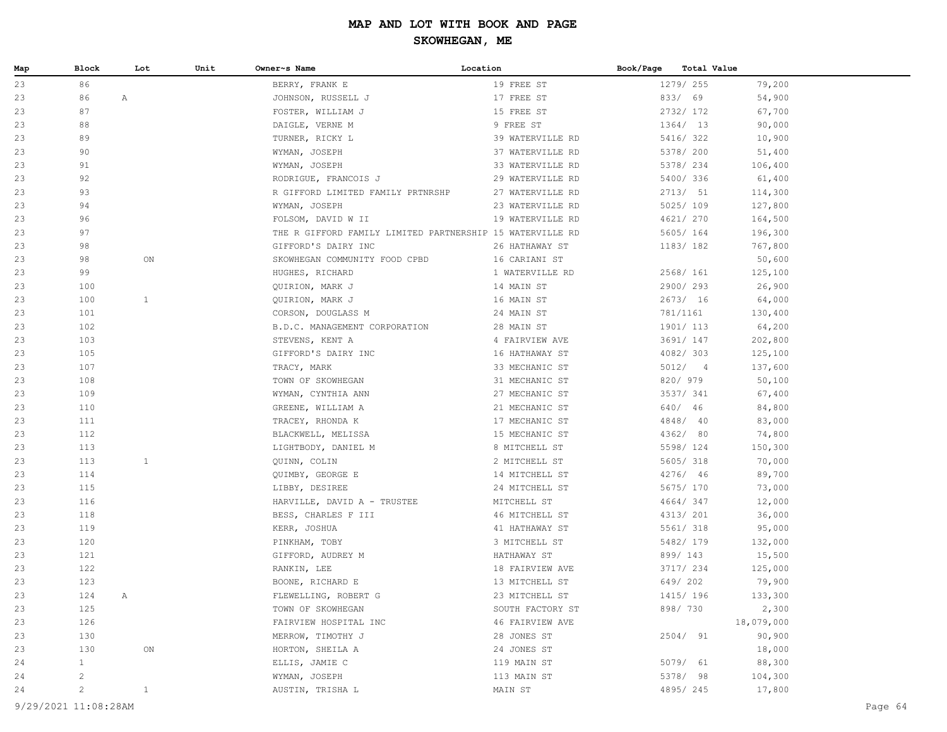| Map | Block                | Lot          | Unit | Owner~s Name                                              | Location         | Book/Page | <b>Total Value</b> |            |         |
|-----|----------------------|--------------|------|-----------------------------------------------------------|------------------|-----------|--------------------|------------|---------|
| 23  | 86                   |              |      | BERRY, FRANK E                                            | 19 FREE ST       |           | 1279/ 255          | 79,200     |         |
| 23  | 86                   | $\mathbb{A}$ |      | JOHNSON, RUSSELL J                                        | 17 FREE ST       |           | 833/ 69            | 54,900     |         |
| 23  | 87                   |              |      | FOSTER, WILLIAM J                                         | 15 FREE ST       |           | 2732/ 172          | 67,700     |         |
| 23  | 88                   |              |      | DAIGLE, VERNE M                                           | 9 FREE ST        |           | 1364/ 13           | 90,000     |         |
| 23  | 89                   |              |      | TURNER, RICKY L                                           | 39 WATERVILLE RD |           | 5416/322           | 10,900     |         |
| 23  | 90                   |              |      | WYMAN, JOSEPH                                             | 37 WATERVILLE RD |           | 5378/ 200          | 51,400     |         |
| 23  | 91                   |              |      | WYMAN, JOSEPH                                             | 33 WATERVILLE RD |           | 5378/ 234          | 106,400    |         |
| 23  | 92                   |              |      | RODRIGUE, FRANCOIS J                                      | 29 WATERVILLE RD |           | 5400/336           | 61,400     |         |
| 23  | 93                   |              |      | R GIFFORD LIMITED FAMILY PRTNRSHP                         | 27 WATERVILLE RD |           | 2713/ 51           | 114,300    |         |
| 23  | 94                   |              |      | WYMAN, JOSEPH                                             | 23 WATERVILLE RD |           | 5025/109           | 127,800    |         |
| 23  | 96                   |              |      | FOLSOM, DAVID W II                                        | 19 WATERVILLE RD |           | 4621/ 270          | 164,500    |         |
| 23  | 97                   |              |      | THE R GIFFORD FAMILY LIMITED PARTNERSHIP 15 WATERVILLE RD |                  |           | 5605/ 164          | 196,300    |         |
| 23  | 98                   |              |      | GIFFORD'S DAIRY INC                                       | 26 HATHAWAY ST   |           | 1183/182           | 767,800    |         |
| 23  | 98                   | ON           |      | SKOWHEGAN COMMUNITY FOOD CPBD                             | 16 CARIANI ST    |           |                    | 50,600     |         |
| 23  | 99                   |              |      | HUGHES, RICHARD                                           | 1 WATERVILLE RD  |           | 2568/ 161          | 125,100    |         |
| 23  | 100                  |              |      | QUIRION, MARK J                                           | 14 MAIN ST       |           | 2900/293           | 26,900     |         |
| 23  | 100                  | $\mathbf{1}$ |      | QUIRION, MARK J                                           | 16 MAIN ST       |           | 2673/ 16           | 64,000     |         |
| 23  | 101                  |              |      | CORSON, DOUGLASS M                                        | 24 MAIN ST       |           | 781/1161           | 130,400    |         |
| 23  | 102                  |              |      | B.D.C. MANAGEMENT CORPORATION                             | 28 MAIN ST       |           | 1901/ 113          | 64,200     |         |
| 23  | 103                  |              |      | STEVENS, KENT A                                           | 4 FAIRVIEW AVE   |           | 3691/ 147          | 202,800    |         |
| 23  | 105                  |              |      | GIFFORD'S DAIRY INC                                       | 16 HATHAWAY ST   |           | 4082/303           | 125,100    |         |
| 23  | 107                  |              |      | TRACY, MARK                                               | 33 MECHANIC ST   |           | 5012/4             | 137,600    |         |
| 23  | 108                  |              |      | TOWN OF SKOWHEGAN                                         | 31 MECHANIC ST   |           | 820/ 979           | 50,100     |         |
| 23  | 109                  |              |      | WYMAN, CYNTHIA ANN                                        | 27 MECHANIC ST   |           | 3537/ 341          | 67,400     |         |
| 23  | 110                  |              |      | GREENE, WILLIAM A                                         | 21 MECHANIC ST   |           | 640/ 46            | 84,800     |         |
| 23  | 111                  |              |      | TRACEY, RHONDA K                                          | 17 MECHANIC ST   |           | 4848/ 40           | 83,000     |         |
| 23  | 112                  |              |      | BLACKWELL, MELISSA                                        | 15 MECHANIC ST   |           | 4362/ 80           | 74,800     |         |
| 23  | 113                  |              |      | LIGHTBODY, DANIEL M                                       | 8 MITCHELL ST    |           | 5598/ 124          | 150,300    |         |
| 23  | 113                  | $\mathbf{1}$ |      | QUINN, COLIN                                              | 2 MITCHELL ST    |           | 5605/318           | 70,000     |         |
| 23  | 114                  |              |      | QUIMBY, GEORGE E                                          | 14 MITCHELL ST   |           | 4276/ 46           | 89,700     |         |
| 23  | 115                  |              |      | LIBBY, DESIREE                                            | 24 MITCHELL ST   |           | 5675/ 170          | 73,000     |         |
| 23  | 116                  |              |      | HARVILLE, DAVID A - TRUSTEE                               | MITCHELL ST      |           | 4664/347           | 12,000     |         |
| 23  | 118                  |              |      | BESS, CHARLES F III                                       | 46 MITCHELL ST   |           | 4313/ 201          | 36,000     |         |
| 23  | 119                  |              |      | KERR, JOSHUA                                              | 41 HATHAWAY ST   |           | 5561/ 318          | 95,000     |         |
| 23  | 120                  |              |      | PINKHAM, TOBY                                             | 3 MITCHELL ST    |           | 5482/ 179          | 132,000    |         |
| 23  | 121                  |              |      | GIFFORD, AUDREY M                                         | HATHAWAY ST      |           | 899/ 143           | 15,500     |         |
| 23  | 122                  |              |      | RANKIN, LEE                                               | 18 FAIRVIEW AVE  |           | 3717/ 234          | 125,000    |         |
| 23  | 123                  |              |      | BOONE, RICHARD E                                          | 13 MITCHELL ST   |           | 649/202            | 79,900     |         |
| 23  | 124                  | Α            |      | FLEWELLING, ROBERT G                                      | 23 MITCHELL ST   |           | 1415/ 196          | 133,300    |         |
| 23  | 125                  |              |      | TOWN OF SKOWHEGAN                                         | SOUTH FACTORY ST |           | 898/730            | 2,300      |         |
| 23  | 126                  |              |      | FAIRVIEW HOSPITAL INC                                     | 46 FAIRVIEW AVE  |           |                    | 18,079,000 |         |
| 23  | 130                  |              |      | MERROW, TIMOTHY J                                         | 28 JONES ST      |           | 2504/ 91           | 90,900     |         |
| 23  | 130                  | ON           |      | HORTON, SHEILA A                                          | 24 JONES ST      |           |                    | 18,000     |         |
| 24  | $\mathbf{1}$         |              |      | ELLIS, JAMIE C                                            | 119 MAIN ST      |           | 5079/ 61           | 88,300     |         |
| 24  | $\overline{c}$       |              |      | WYMAN, JOSEPH                                             | 113 MAIN ST      |           | 5378/ 98           | 104,300    |         |
| 24  | $\overline{c}$       | $\mathbf{1}$ |      | AUSTIN, TRISHA L                                          | MAIN ST          |           | 4895/245           | 17,800     |         |
|     | 9/29/2021 11:08:28AM |              |      |                                                           |                  |           |                    |            | Page 64 |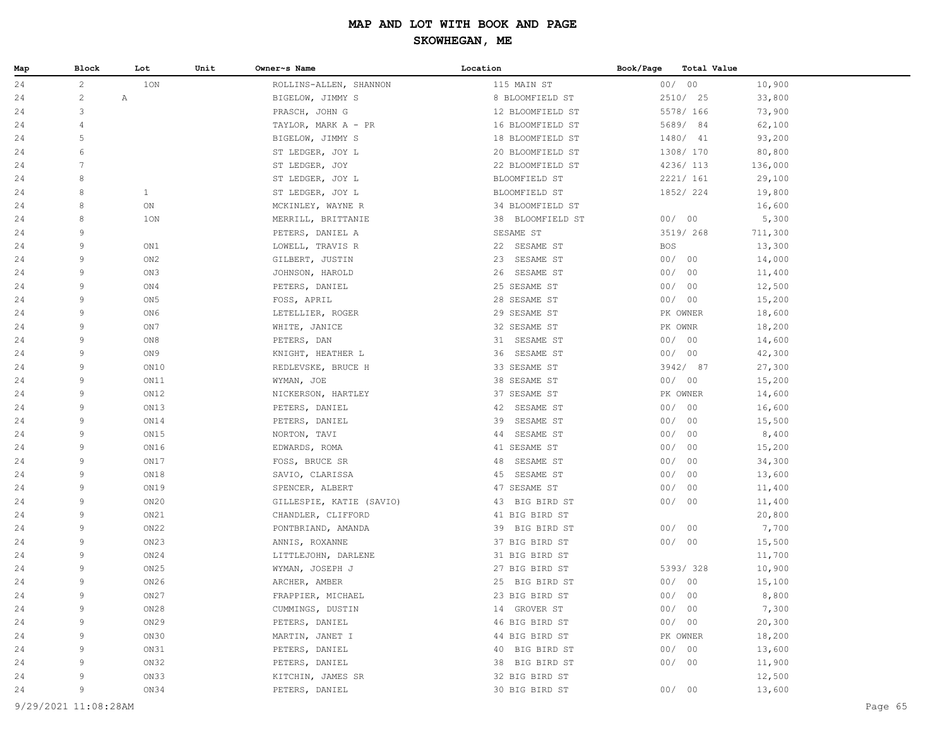| Map      | Block               | Lot             | Unit | Owner~s Name                      | Location                         | Book/Page  | Total Value       |                  |
|----------|---------------------|-----------------|------|-----------------------------------|----------------------------------|------------|-------------------|------------------|
| 24       | $\overline{c}$      | 1ON             |      | ROLLINS-ALLEN, SHANNON            | 115 MAIN ST                      |            | 00/00             | 10,900           |
| 24       | $\overline{c}$<br>Α |                 |      | BIGELOW, JIMMY S                  | 8 BLOOMFIELD ST                  |            | 2510/ 25          | 33,800           |
| 24       | 3                   |                 |      | PRASCH, JOHN G                    | 12 BLOOMFIELD ST                 |            | 5578/ 166         | 73,900           |
| 24       | 4                   |                 |      | TAYLOR, MARK A - PR               | 16 BLOOMFIELD ST                 |            | 5689/84           | 62,100           |
| 24       | 5                   |                 |      | BIGELOW, JIMMY S                  | 18 BLOOMFIELD ST                 |            | 1480/ 41          | 93,200           |
| 24       | 6                   |                 |      | ST LEDGER, JOY L                  | 20 BLOOMFIELD ST                 |            | 1308/170          | 80,800           |
| 24       | 7                   |                 |      | ST LEDGER, JOY                    | 22 BLOOMFIELD ST                 |            | 4236/ 113         | 136,000          |
| 24       | 8                   |                 |      | ST LEDGER, JOY L                  | BLOOMFIELD ST                    |            | 2221/ 161         | 29,100           |
| 24       | 8                   | $\mathbf{1}$    |      | ST LEDGER, JOY L                  | BLOOMFIELD ST                    |            | 1852/ 224         | 19,800           |
| 24       | 8                   | ON              |      | MCKINLEY, WAYNE R                 | 34 BLOOMFIELD ST                 |            |                   | 16,600           |
| 24       | 8                   | 10N             |      | MERRILL, BRITTANIE                | 38 BLOOMFIELD ST                 |            | 00/00             | 5,300            |
| 24       | 9                   |                 |      | PETERS, DANIEL A                  | SESAME ST                        |            | 3519/ 268         | 711,300          |
| 24       | 9                   | ON1             |      | LOWELL, TRAVIS R                  | 22 SESAME ST                     | <b>BOS</b> |                   | 13,300           |
| 24       | 9                   | ON <sub>2</sub> |      | GILBERT, JUSTIN                   | 23 SESAME ST                     |            | 00/00             | 14,000           |
| 24       | 9                   | ON3             |      | JOHNSON, HAROLD                   | 26 SESAME ST                     |            | 00/00             | 11,400           |
| 24       | 9                   | ON4             |      | PETERS, DANIEL                    | 25 SESAME ST                     |            | 00/00             | 12,500           |
| 24       | 9                   | ON <sub>5</sub> |      | FOSS, APRIL                       | 28 SESAME ST                     |            | 00/00             | 15,200           |
| 24       | 9                   | ON6             |      | LETELLIER, ROGER                  | 29 SESAME ST                     |            | PK OWNER          | 18,600           |
| 24       | 9                   | ON7             |      | WHITE, JANICE                     | 32 SESAME ST                     |            | PK OWNR           | 18,200           |
| 24       | 9                   | ON8             |      | PETERS, DAN                       | 31 SESAME ST                     |            | 00/00             | 14,600           |
| 24       | 9                   | ON9             |      | KNIGHT, HEATHER L                 | 36 SESAME ST                     |            | 00/00             | 42,300           |
| 24       | 9                   | ON10            |      | REDLEVSKE, BRUCE H                | 33 SESAME ST                     |            | 3942/ 87          | 27,300           |
| 24       | 9                   | ON11            |      | WYMAN, JOE                        | 38 SESAME ST                     |            | 00/00             | 15,200           |
| 24       | 9                   | ON12            |      | NICKERSON, HARTLEY                | 37 SESAME ST                     |            | PK OWNER          | 14,600           |
| 24       | 9                   | ON13            |      | PETERS, DANIEL                    | 42<br>SESAME ST                  |            | 00/00             | 16,600           |
| 24       | 9                   | ON14            |      | PETERS, DANIEL                    | SESAME ST<br>39                  | 00/        | 00                | 15,500           |
| 24       | 9                   | ON15            |      | NORTON, TAVI                      | 44<br>SESAME ST                  | 00/        | 00                | 8,400            |
| 24       | 9                   | ON16            |      | EDWARDS, ROMA                     | 41 SESAME ST                     | 00/        | 00                | 15,200           |
| 24       | 9                   | ON17            |      | FOSS, BRUCE SR                    | 48 SESAME ST                     | 00/        | 00                | 34,300           |
| 24       | 9                   | ON18            |      | SAVIO, CLARISSA                   | 45 SESAME ST                     | 00/        | 00                | 13,600           |
| 24       | 9                   | ON19            |      | SPENCER, ALBERT                   | 47 SESAME ST                     | 00/        | 00                | 11,400           |
| 24       | 9                   | ON20            |      | GILLESPIE, KATIE (SAVIO)          | 43 BIG BIRD ST                   |            | 00/00             | 11,400           |
| 24       | 9                   | ON21            |      | CHANDLER, CLIFFORD                | 41 BIG BIRD ST                   |            |                   | 20,800           |
| 24       | 9                   | ON22            |      | PONTBRIAND, AMANDA                | 39 BIG BIRD ST                   |            | 00/00             | 7,700            |
| 24       | 9                   | ON23            |      | ANNIS, ROXANNE                    | 37 BIG BIRD ST                   |            | 00/00             | 15,500           |
| 24       | 9                   | ON24            |      | LITTLEJOHN, DARLENE               | 31 BIG BIRD ST                   |            |                   | 11,700           |
| 24       | 9                   | ON25            |      | WYMAN, JOSEPH J                   | 27 BIG BIRD ST                   |            | 5393/328          | 10,900           |
| 24       | 9<br>Q              | ON26            |      | ARCHER, AMBER                     | 25 BIG BIRD ST                   |            | 00/00             | 15,100           |
| 24       | 9                   | ON27            |      | FRAPPIER, MICHAEL                 | 23 BIG BIRD ST                   | 00/        | 00                | 8,800            |
| 24       | 9                   | ON28            |      | CUMMINGS, DUSTIN                  | 14 GROVER ST                     |            | 00/00             | 7,300            |
| 24<br>24 | 9                   | ON29<br>ON30    |      | PETERS, DANIEL<br>MARTIN, JANET I | 46 BIG BIRD ST<br>44 BIG BIRD ST |            | 00/00<br>PK OWNER | 20,300<br>18,200 |
| 24       | 9                   | ON31            |      | PETERS, DANIEL                    | 40 BIG BIRD ST                   |            | 00/00             | 13,600           |
| 24       | 9                   | ON32            |      | PETERS, DANIEL                    | 38 BIG BIRD ST                   |            | 00/00             | 11,900           |
| 24       | 9                   | ON33            |      | KITCHIN, JAMES SR                 | 32 BIG BIRD ST                   |            |                   | 12,500           |
| 24       | 9                   | ON34            |      | PETERS, DANIEL                    | 30 BIG BIRD ST                   |            | 00/00             | 13,600           |
|          |                     |                 |      |                                   |                                  |            |                   |                  |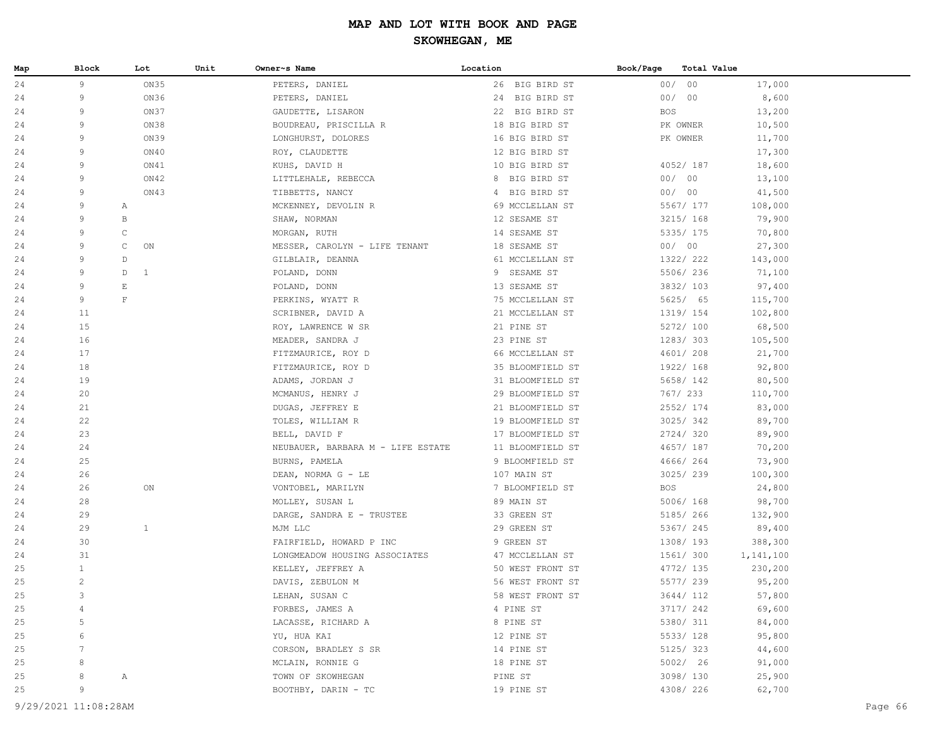| 24<br>9<br>ON35<br>00/00<br>PETERS, DANIEL<br>26 BIG BIRD ST<br>17,000<br>00/00<br>24<br>9<br>ON36<br>8,600<br>PETERS, DANIEL<br>24 BIG BIRD ST<br>ON37<br>24<br>9<br>GAUDETTE, LISARON<br>22 BIG BIRD ST<br><b>BOS</b><br>13,200<br>9<br>ON38<br>24<br>BOUDREAU, PRISCILLA R<br>18 BIG BIRD ST<br>PK OWNER<br>10,500<br>24<br>9<br>ON39<br>LONGHURST, DOLORES<br>16 BIG BIRD ST<br>PK OWNER<br>11,700<br>9<br>ON40<br>17,300<br>24<br>ROY, CLAUDETTE<br>12 BIG BIRD ST<br>4052/187<br>18,600<br>24<br>9<br>ON41<br>KUHS, DAVID H<br>10 BIG BIRD ST<br>ON42<br>00/00<br>13,100<br>24<br>9<br>LITTLEHALE, REBECCA<br>8 BIG BIRD ST<br>ON43<br>00/00<br>24<br>9<br>TIBBETTS, NANCY<br>4 BIG BIRD ST<br>41,500<br>24<br>9<br>MCKENNEY, DEVOLIN R<br>69 MCCLELLAN ST<br>5567/ 177<br>108,000<br>Α<br>24<br>9<br>В<br>12 SESAME ST<br>3215/ 168<br>79,900<br>SHAW, NORMAN<br>9<br>$\mathsf C$<br>5335/ 175<br>24<br>MORGAN, RUTH<br>14 SESAME ST<br>70,800<br>00/00<br>24<br>9<br>C<br>ON<br>MESSER, CAROLYN - LIFE TENANT<br>18 SESAME ST<br>27,300<br>9<br>1322/ 222<br>24<br>$\mathbb D$<br>61 MCCLELLAN ST<br>143,000<br>GILBLAIR, DEANNA<br>9 SESAME ST<br>5506/236<br>24<br>9<br>D<br>$\mathbf{1}$<br>71,100<br>POLAND, DONN<br>$\mathop{}\mathbb{E}$<br>13 SESAME ST<br>3832/ 103<br>97,400<br>24<br>9<br>POLAND, DONN<br>$\mathbf F$<br>5625/ 65<br>24<br>9<br>PERKINS, WYATT R<br>75 MCCLELLAN ST<br>115,700<br>11<br>1319/ 154<br>24<br>SCRIBNER, DAVID A<br>21 MCCLELLAN ST<br>102,800<br>15<br>5272/ 100<br>68,500<br>24<br>ROY, LAWRENCE W SR<br>21 PINE ST<br>16<br>23 PINE ST<br>1283/303<br>24<br>MEADER, SANDRA J<br>105,500<br>17<br>4601/ 208<br>24<br>FITZMAURICE, ROY D<br>66 MCCLELLAN ST<br>21,700<br>18<br>1922/ 168<br>24<br>FITZMAURICE, ROY D<br>35 BLOOMFIELD ST<br>92,800<br>24<br>19<br>ADAMS, JORDAN J<br>31 BLOOMFIELD ST<br>5658/ 142<br>80,500<br>20<br>767/ 233<br>24<br>MCMANUS, HENRY J<br>29 BLOOMFIELD ST<br>110,700<br>21<br>2552/ 174<br>24<br>DUGAS, JEFFREY E<br>21 BLOOMFIELD ST<br>83,000<br>22<br>3025/342<br>24<br>19 BLOOMFIELD ST<br>89,700<br>TOLES, WILLIAM R<br>23<br>2724/320<br>24<br>BELL, DAVID F<br>17 BLOOMFIELD ST<br>89,900<br>24<br>4657/ 187<br>24<br>NEUBAUER, BARBARA M - LIFE ESTATE<br>11 BLOOMFIELD ST<br>70,200<br>24<br>25<br>9 BLOOMFIELD ST<br>4666/ 264<br>73,900<br>BURNS, PAMELA<br>26<br>3025/239<br>100,300<br>24<br>DEAN, NORMA G - LE<br>107 MAIN ST<br>24<br>26<br>ON<br>7 BLOOMFIELD ST<br><b>BOS</b><br>24,800<br>VONTOBEL, MARILYN<br>28<br>5006/168<br>98,700<br>24<br>MOLLEY, SUSAN L<br>89 MAIN ST<br>24<br>29<br>DARGE, SANDRA E - TRUSTEE<br>33 GREEN ST<br>5185/ 266<br>132,900<br>29<br>24<br>1<br>MJM LLC<br>29 GREEN ST<br>5367/ 245<br>89,400<br>30<br>24<br>FAIRFIELD, HOWARD P INC<br>9 GREEN ST<br>1308/193<br>388,300<br>31<br>1561/ 300<br>24<br>LONGMEADOW HOUSING ASSOCIATES<br>47 MCCLELLAN ST<br>1,141,100<br>$\mathbf{1}$<br>4772/ 135<br>25<br>50 WEST FRONT ST<br>230,200<br>KELLEY, JEFFREY A<br>25<br>$\overline{c}$<br>5577/239<br>DAVIS, ZEBULON M<br>56 WEST FRONT ST<br>95,200<br>3<br>3644/ 112<br>25<br>LEHAN, SUSAN C<br>58 WEST FRONT ST<br>57,800<br>69,600<br>25<br>FORBES, JAMES A<br>4 PINE ST<br>3717/ 242<br>4<br>84,000<br>25<br>5<br>LACASSE, RICHARD A<br>8 PINE ST<br>5380/ 311<br>5533/ 128<br>95,800<br>25<br>6<br>YU, HUA KAI<br>12 PINE ST<br>5125/323<br>44,600<br>25<br>CORSON, BRADLEY S SR<br>14 PINE ST<br>5002/ 26<br>25<br>8<br>MCLAIN, RONNIE G<br>18 PINE ST<br>91,000<br>25,900<br>25<br>TOWN OF SKOWHEGAN<br>PINE ST<br>3098/130<br>8<br>Α<br>9<br>62,700<br>25<br>BOOTHBY, DARIN - TC<br>19 PINE ST<br>4308/ 226 | Map | Block | Lot | Unit | Owner~s Name | Location | Book/Page<br>Total Value |         |
|---------------------------------------------------------------------------------------------------------------------------------------------------------------------------------------------------------------------------------------------------------------------------------------------------------------------------------------------------------------------------------------------------------------------------------------------------------------------------------------------------------------------------------------------------------------------------------------------------------------------------------------------------------------------------------------------------------------------------------------------------------------------------------------------------------------------------------------------------------------------------------------------------------------------------------------------------------------------------------------------------------------------------------------------------------------------------------------------------------------------------------------------------------------------------------------------------------------------------------------------------------------------------------------------------------------------------------------------------------------------------------------------------------------------------------------------------------------------------------------------------------------------------------------------------------------------------------------------------------------------------------------------------------------------------------------------------------------------------------------------------------------------------------------------------------------------------------------------------------------------------------------------------------------------------------------------------------------------------------------------------------------------------------------------------------------------------------------------------------------------------------------------------------------------------------------------------------------------------------------------------------------------------------------------------------------------------------------------------------------------------------------------------------------------------------------------------------------------------------------------------------------------------------------------------------------------------------------------------------------------------------------------------------------------------------------------------------------------------------------------------------------------------------------------------------------------------------------------------------------------------------------------------------------------------------------------------------------------------------------------------------------------------------------------------------------------------------------------------------------------------------------------------------------------------------------------------------------------------------------------------------------------------------------------------------------------------------------------------------------------------------------------------------------------------------------------------------------------------------------------------------------------------------------------------------------------------------------------------------------------------------------------------------|-----|-------|-----|------|--------------|----------|--------------------------|---------|
|                                                                                                                                                                                                                                                                                                                                                                                                                                                                                                                                                                                                                                                                                                                                                                                                                                                                                                                                                                                                                                                                                                                                                                                                                                                                                                                                                                                                                                                                                                                                                                                                                                                                                                                                                                                                                                                                                                                                                                                                                                                                                                                                                                                                                                                                                                                                                                                                                                                                                                                                                                                                                                                                                                                                                                                                                                                                                                                                                                                                                                                                                                                                                                                                                                                                                                                                                                                                                                                                                                                                                                                                                                                         |     |       |     |      |              |          |                          |         |
|                                                                                                                                                                                                                                                                                                                                                                                                                                                                                                                                                                                                                                                                                                                                                                                                                                                                                                                                                                                                                                                                                                                                                                                                                                                                                                                                                                                                                                                                                                                                                                                                                                                                                                                                                                                                                                                                                                                                                                                                                                                                                                                                                                                                                                                                                                                                                                                                                                                                                                                                                                                                                                                                                                                                                                                                                                                                                                                                                                                                                                                                                                                                                                                                                                                                                                                                                                                                                                                                                                                                                                                                                                                         |     |       |     |      |              |          |                          |         |
|                                                                                                                                                                                                                                                                                                                                                                                                                                                                                                                                                                                                                                                                                                                                                                                                                                                                                                                                                                                                                                                                                                                                                                                                                                                                                                                                                                                                                                                                                                                                                                                                                                                                                                                                                                                                                                                                                                                                                                                                                                                                                                                                                                                                                                                                                                                                                                                                                                                                                                                                                                                                                                                                                                                                                                                                                                                                                                                                                                                                                                                                                                                                                                                                                                                                                                                                                                                                                                                                                                                                                                                                                                                         |     |       |     |      |              |          |                          |         |
|                                                                                                                                                                                                                                                                                                                                                                                                                                                                                                                                                                                                                                                                                                                                                                                                                                                                                                                                                                                                                                                                                                                                                                                                                                                                                                                                                                                                                                                                                                                                                                                                                                                                                                                                                                                                                                                                                                                                                                                                                                                                                                                                                                                                                                                                                                                                                                                                                                                                                                                                                                                                                                                                                                                                                                                                                                                                                                                                                                                                                                                                                                                                                                                                                                                                                                                                                                                                                                                                                                                                                                                                                                                         |     |       |     |      |              |          |                          |         |
|                                                                                                                                                                                                                                                                                                                                                                                                                                                                                                                                                                                                                                                                                                                                                                                                                                                                                                                                                                                                                                                                                                                                                                                                                                                                                                                                                                                                                                                                                                                                                                                                                                                                                                                                                                                                                                                                                                                                                                                                                                                                                                                                                                                                                                                                                                                                                                                                                                                                                                                                                                                                                                                                                                                                                                                                                                                                                                                                                                                                                                                                                                                                                                                                                                                                                                                                                                                                                                                                                                                                                                                                                                                         |     |       |     |      |              |          |                          |         |
|                                                                                                                                                                                                                                                                                                                                                                                                                                                                                                                                                                                                                                                                                                                                                                                                                                                                                                                                                                                                                                                                                                                                                                                                                                                                                                                                                                                                                                                                                                                                                                                                                                                                                                                                                                                                                                                                                                                                                                                                                                                                                                                                                                                                                                                                                                                                                                                                                                                                                                                                                                                                                                                                                                                                                                                                                                                                                                                                                                                                                                                                                                                                                                                                                                                                                                                                                                                                                                                                                                                                                                                                                                                         |     |       |     |      |              |          |                          |         |
|                                                                                                                                                                                                                                                                                                                                                                                                                                                                                                                                                                                                                                                                                                                                                                                                                                                                                                                                                                                                                                                                                                                                                                                                                                                                                                                                                                                                                                                                                                                                                                                                                                                                                                                                                                                                                                                                                                                                                                                                                                                                                                                                                                                                                                                                                                                                                                                                                                                                                                                                                                                                                                                                                                                                                                                                                                                                                                                                                                                                                                                                                                                                                                                                                                                                                                                                                                                                                                                                                                                                                                                                                                                         |     |       |     |      |              |          |                          |         |
|                                                                                                                                                                                                                                                                                                                                                                                                                                                                                                                                                                                                                                                                                                                                                                                                                                                                                                                                                                                                                                                                                                                                                                                                                                                                                                                                                                                                                                                                                                                                                                                                                                                                                                                                                                                                                                                                                                                                                                                                                                                                                                                                                                                                                                                                                                                                                                                                                                                                                                                                                                                                                                                                                                                                                                                                                                                                                                                                                                                                                                                                                                                                                                                                                                                                                                                                                                                                                                                                                                                                                                                                                                                         |     |       |     |      |              |          |                          |         |
|                                                                                                                                                                                                                                                                                                                                                                                                                                                                                                                                                                                                                                                                                                                                                                                                                                                                                                                                                                                                                                                                                                                                                                                                                                                                                                                                                                                                                                                                                                                                                                                                                                                                                                                                                                                                                                                                                                                                                                                                                                                                                                                                                                                                                                                                                                                                                                                                                                                                                                                                                                                                                                                                                                                                                                                                                                                                                                                                                                                                                                                                                                                                                                                                                                                                                                                                                                                                                                                                                                                                                                                                                                                         |     |       |     |      |              |          |                          |         |
|                                                                                                                                                                                                                                                                                                                                                                                                                                                                                                                                                                                                                                                                                                                                                                                                                                                                                                                                                                                                                                                                                                                                                                                                                                                                                                                                                                                                                                                                                                                                                                                                                                                                                                                                                                                                                                                                                                                                                                                                                                                                                                                                                                                                                                                                                                                                                                                                                                                                                                                                                                                                                                                                                                                                                                                                                                                                                                                                                                                                                                                                                                                                                                                                                                                                                                                                                                                                                                                                                                                                                                                                                                                         |     |       |     |      |              |          |                          |         |
|                                                                                                                                                                                                                                                                                                                                                                                                                                                                                                                                                                                                                                                                                                                                                                                                                                                                                                                                                                                                                                                                                                                                                                                                                                                                                                                                                                                                                                                                                                                                                                                                                                                                                                                                                                                                                                                                                                                                                                                                                                                                                                                                                                                                                                                                                                                                                                                                                                                                                                                                                                                                                                                                                                                                                                                                                                                                                                                                                                                                                                                                                                                                                                                                                                                                                                                                                                                                                                                                                                                                                                                                                                                         |     |       |     |      |              |          |                          |         |
|                                                                                                                                                                                                                                                                                                                                                                                                                                                                                                                                                                                                                                                                                                                                                                                                                                                                                                                                                                                                                                                                                                                                                                                                                                                                                                                                                                                                                                                                                                                                                                                                                                                                                                                                                                                                                                                                                                                                                                                                                                                                                                                                                                                                                                                                                                                                                                                                                                                                                                                                                                                                                                                                                                                                                                                                                                                                                                                                                                                                                                                                                                                                                                                                                                                                                                                                                                                                                                                                                                                                                                                                                                                         |     |       |     |      |              |          |                          |         |
|                                                                                                                                                                                                                                                                                                                                                                                                                                                                                                                                                                                                                                                                                                                                                                                                                                                                                                                                                                                                                                                                                                                                                                                                                                                                                                                                                                                                                                                                                                                                                                                                                                                                                                                                                                                                                                                                                                                                                                                                                                                                                                                                                                                                                                                                                                                                                                                                                                                                                                                                                                                                                                                                                                                                                                                                                                                                                                                                                                                                                                                                                                                                                                                                                                                                                                                                                                                                                                                                                                                                                                                                                                                         |     |       |     |      |              |          |                          |         |
|                                                                                                                                                                                                                                                                                                                                                                                                                                                                                                                                                                                                                                                                                                                                                                                                                                                                                                                                                                                                                                                                                                                                                                                                                                                                                                                                                                                                                                                                                                                                                                                                                                                                                                                                                                                                                                                                                                                                                                                                                                                                                                                                                                                                                                                                                                                                                                                                                                                                                                                                                                                                                                                                                                                                                                                                                                                                                                                                                                                                                                                                                                                                                                                                                                                                                                                                                                                                                                                                                                                                                                                                                                                         |     |       |     |      |              |          |                          |         |
|                                                                                                                                                                                                                                                                                                                                                                                                                                                                                                                                                                                                                                                                                                                                                                                                                                                                                                                                                                                                                                                                                                                                                                                                                                                                                                                                                                                                                                                                                                                                                                                                                                                                                                                                                                                                                                                                                                                                                                                                                                                                                                                                                                                                                                                                                                                                                                                                                                                                                                                                                                                                                                                                                                                                                                                                                                                                                                                                                                                                                                                                                                                                                                                                                                                                                                                                                                                                                                                                                                                                                                                                                                                         |     |       |     |      |              |          |                          |         |
|                                                                                                                                                                                                                                                                                                                                                                                                                                                                                                                                                                                                                                                                                                                                                                                                                                                                                                                                                                                                                                                                                                                                                                                                                                                                                                                                                                                                                                                                                                                                                                                                                                                                                                                                                                                                                                                                                                                                                                                                                                                                                                                                                                                                                                                                                                                                                                                                                                                                                                                                                                                                                                                                                                                                                                                                                                                                                                                                                                                                                                                                                                                                                                                                                                                                                                                                                                                                                                                                                                                                                                                                                                                         |     |       |     |      |              |          |                          |         |
|                                                                                                                                                                                                                                                                                                                                                                                                                                                                                                                                                                                                                                                                                                                                                                                                                                                                                                                                                                                                                                                                                                                                                                                                                                                                                                                                                                                                                                                                                                                                                                                                                                                                                                                                                                                                                                                                                                                                                                                                                                                                                                                                                                                                                                                                                                                                                                                                                                                                                                                                                                                                                                                                                                                                                                                                                                                                                                                                                                                                                                                                                                                                                                                                                                                                                                                                                                                                                                                                                                                                                                                                                                                         |     |       |     |      |              |          |                          |         |
|                                                                                                                                                                                                                                                                                                                                                                                                                                                                                                                                                                                                                                                                                                                                                                                                                                                                                                                                                                                                                                                                                                                                                                                                                                                                                                                                                                                                                                                                                                                                                                                                                                                                                                                                                                                                                                                                                                                                                                                                                                                                                                                                                                                                                                                                                                                                                                                                                                                                                                                                                                                                                                                                                                                                                                                                                                                                                                                                                                                                                                                                                                                                                                                                                                                                                                                                                                                                                                                                                                                                                                                                                                                         |     |       |     |      |              |          |                          |         |
|                                                                                                                                                                                                                                                                                                                                                                                                                                                                                                                                                                                                                                                                                                                                                                                                                                                                                                                                                                                                                                                                                                                                                                                                                                                                                                                                                                                                                                                                                                                                                                                                                                                                                                                                                                                                                                                                                                                                                                                                                                                                                                                                                                                                                                                                                                                                                                                                                                                                                                                                                                                                                                                                                                                                                                                                                                                                                                                                                                                                                                                                                                                                                                                                                                                                                                                                                                                                                                                                                                                                                                                                                                                         |     |       |     |      |              |          |                          |         |
|                                                                                                                                                                                                                                                                                                                                                                                                                                                                                                                                                                                                                                                                                                                                                                                                                                                                                                                                                                                                                                                                                                                                                                                                                                                                                                                                                                                                                                                                                                                                                                                                                                                                                                                                                                                                                                                                                                                                                                                                                                                                                                                                                                                                                                                                                                                                                                                                                                                                                                                                                                                                                                                                                                                                                                                                                                                                                                                                                                                                                                                                                                                                                                                                                                                                                                                                                                                                                                                                                                                                                                                                                                                         |     |       |     |      |              |          |                          |         |
|                                                                                                                                                                                                                                                                                                                                                                                                                                                                                                                                                                                                                                                                                                                                                                                                                                                                                                                                                                                                                                                                                                                                                                                                                                                                                                                                                                                                                                                                                                                                                                                                                                                                                                                                                                                                                                                                                                                                                                                                                                                                                                                                                                                                                                                                                                                                                                                                                                                                                                                                                                                                                                                                                                                                                                                                                                                                                                                                                                                                                                                                                                                                                                                                                                                                                                                                                                                                                                                                                                                                                                                                                                                         |     |       |     |      |              |          |                          |         |
|                                                                                                                                                                                                                                                                                                                                                                                                                                                                                                                                                                                                                                                                                                                                                                                                                                                                                                                                                                                                                                                                                                                                                                                                                                                                                                                                                                                                                                                                                                                                                                                                                                                                                                                                                                                                                                                                                                                                                                                                                                                                                                                                                                                                                                                                                                                                                                                                                                                                                                                                                                                                                                                                                                                                                                                                                                                                                                                                                                                                                                                                                                                                                                                                                                                                                                                                                                                                                                                                                                                                                                                                                                                         |     |       |     |      |              |          |                          |         |
|                                                                                                                                                                                                                                                                                                                                                                                                                                                                                                                                                                                                                                                                                                                                                                                                                                                                                                                                                                                                                                                                                                                                                                                                                                                                                                                                                                                                                                                                                                                                                                                                                                                                                                                                                                                                                                                                                                                                                                                                                                                                                                                                                                                                                                                                                                                                                                                                                                                                                                                                                                                                                                                                                                                                                                                                                                                                                                                                                                                                                                                                                                                                                                                                                                                                                                                                                                                                                                                                                                                                                                                                                                                         |     |       |     |      |              |          |                          |         |
|                                                                                                                                                                                                                                                                                                                                                                                                                                                                                                                                                                                                                                                                                                                                                                                                                                                                                                                                                                                                                                                                                                                                                                                                                                                                                                                                                                                                                                                                                                                                                                                                                                                                                                                                                                                                                                                                                                                                                                                                                                                                                                                                                                                                                                                                                                                                                                                                                                                                                                                                                                                                                                                                                                                                                                                                                                                                                                                                                                                                                                                                                                                                                                                                                                                                                                                                                                                                                                                                                                                                                                                                                                                         |     |       |     |      |              |          |                          |         |
|                                                                                                                                                                                                                                                                                                                                                                                                                                                                                                                                                                                                                                                                                                                                                                                                                                                                                                                                                                                                                                                                                                                                                                                                                                                                                                                                                                                                                                                                                                                                                                                                                                                                                                                                                                                                                                                                                                                                                                                                                                                                                                                                                                                                                                                                                                                                                                                                                                                                                                                                                                                                                                                                                                                                                                                                                                                                                                                                                                                                                                                                                                                                                                                                                                                                                                                                                                                                                                                                                                                                                                                                                                                         |     |       |     |      |              |          |                          |         |
|                                                                                                                                                                                                                                                                                                                                                                                                                                                                                                                                                                                                                                                                                                                                                                                                                                                                                                                                                                                                                                                                                                                                                                                                                                                                                                                                                                                                                                                                                                                                                                                                                                                                                                                                                                                                                                                                                                                                                                                                                                                                                                                                                                                                                                                                                                                                                                                                                                                                                                                                                                                                                                                                                                                                                                                                                                                                                                                                                                                                                                                                                                                                                                                                                                                                                                                                                                                                                                                                                                                                                                                                                                                         |     |       |     |      |              |          |                          |         |
|                                                                                                                                                                                                                                                                                                                                                                                                                                                                                                                                                                                                                                                                                                                                                                                                                                                                                                                                                                                                                                                                                                                                                                                                                                                                                                                                                                                                                                                                                                                                                                                                                                                                                                                                                                                                                                                                                                                                                                                                                                                                                                                                                                                                                                                                                                                                                                                                                                                                                                                                                                                                                                                                                                                                                                                                                                                                                                                                                                                                                                                                                                                                                                                                                                                                                                                                                                                                                                                                                                                                                                                                                                                         |     |       |     |      |              |          |                          |         |
|                                                                                                                                                                                                                                                                                                                                                                                                                                                                                                                                                                                                                                                                                                                                                                                                                                                                                                                                                                                                                                                                                                                                                                                                                                                                                                                                                                                                                                                                                                                                                                                                                                                                                                                                                                                                                                                                                                                                                                                                                                                                                                                                                                                                                                                                                                                                                                                                                                                                                                                                                                                                                                                                                                                                                                                                                                                                                                                                                                                                                                                                                                                                                                                                                                                                                                                                                                                                                                                                                                                                                                                                                                                         |     |       |     |      |              |          |                          |         |
|                                                                                                                                                                                                                                                                                                                                                                                                                                                                                                                                                                                                                                                                                                                                                                                                                                                                                                                                                                                                                                                                                                                                                                                                                                                                                                                                                                                                                                                                                                                                                                                                                                                                                                                                                                                                                                                                                                                                                                                                                                                                                                                                                                                                                                                                                                                                                                                                                                                                                                                                                                                                                                                                                                                                                                                                                                                                                                                                                                                                                                                                                                                                                                                                                                                                                                                                                                                                                                                                                                                                                                                                                                                         |     |       |     |      |              |          |                          |         |
|                                                                                                                                                                                                                                                                                                                                                                                                                                                                                                                                                                                                                                                                                                                                                                                                                                                                                                                                                                                                                                                                                                                                                                                                                                                                                                                                                                                                                                                                                                                                                                                                                                                                                                                                                                                                                                                                                                                                                                                                                                                                                                                                                                                                                                                                                                                                                                                                                                                                                                                                                                                                                                                                                                                                                                                                                                                                                                                                                                                                                                                                                                                                                                                                                                                                                                                                                                                                                                                                                                                                                                                                                                                         |     |       |     |      |              |          |                          |         |
|                                                                                                                                                                                                                                                                                                                                                                                                                                                                                                                                                                                                                                                                                                                                                                                                                                                                                                                                                                                                                                                                                                                                                                                                                                                                                                                                                                                                                                                                                                                                                                                                                                                                                                                                                                                                                                                                                                                                                                                                                                                                                                                                                                                                                                                                                                                                                                                                                                                                                                                                                                                                                                                                                                                                                                                                                                                                                                                                                                                                                                                                                                                                                                                                                                                                                                                                                                                                                                                                                                                                                                                                                                                         |     |       |     |      |              |          |                          |         |
|                                                                                                                                                                                                                                                                                                                                                                                                                                                                                                                                                                                                                                                                                                                                                                                                                                                                                                                                                                                                                                                                                                                                                                                                                                                                                                                                                                                                                                                                                                                                                                                                                                                                                                                                                                                                                                                                                                                                                                                                                                                                                                                                                                                                                                                                                                                                                                                                                                                                                                                                                                                                                                                                                                                                                                                                                                                                                                                                                                                                                                                                                                                                                                                                                                                                                                                                                                                                                                                                                                                                                                                                                                                         |     |       |     |      |              |          |                          |         |
|                                                                                                                                                                                                                                                                                                                                                                                                                                                                                                                                                                                                                                                                                                                                                                                                                                                                                                                                                                                                                                                                                                                                                                                                                                                                                                                                                                                                                                                                                                                                                                                                                                                                                                                                                                                                                                                                                                                                                                                                                                                                                                                                                                                                                                                                                                                                                                                                                                                                                                                                                                                                                                                                                                                                                                                                                                                                                                                                                                                                                                                                                                                                                                                                                                                                                                                                                                                                                                                                                                                                                                                                                                                         |     |       |     |      |              |          |                          |         |
|                                                                                                                                                                                                                                                                                                                                                                                                                                                                                                                                                                                                                                                                                                                                                                                                                                                                                                                                                                                                                                                                                                                                                                                                                                                                                                                                                                                                                                                                                                                                                                                                                                                                                                                                                                                                                                                                                                                                                                                                                                                                                                                                                                                                                                                                                                                                                                                                                                                                                                                                                                                                                                                                                                                                                                                                                                                                                                                                                                                                                                                                                                                                                                                                                                                                                                                                                                                                                                                                                                                                                                                                                                                         |     |       |     |      |              |          |                          |         |
|                                                                                                                                                                                                                                                                                                                                                                                                                                                                                                                                                                                                                                                                                                                                                                                                                                                                                                                                                                                                                                                                                                                                                                                                                                                                                                                                                                                                                                                                                                                                                                                                                                                                                                                                                                                                                                                                                                                                                                                                                                                                                                                                                                                                                                                                                                                                                                                                                                                                                                                                                                                                                                                                                                                                                                                                                                                                                                                                                                                                                                                                                                                                                                                                                                                                                                                                                                                                                                                                                                                                                                                                                                                         |     |       |     |      |              |          |                          |         |
|                                                                                                                                                                                                                                                                                                                                                                                                                                                                                                                                                                                                                                                                                                                                                                                                                                                                                                                                                                                                                                                                                                                                                                                                                                                                                                                                                                                                                                                                                                                                                                                                                                                                                                                                                                                                                                                                                                                                                                                                                                                                                                                                                                                                                                                                                                                                                                                                                                                                                                                                                                                                                                                                                                                                                                                                                                                                                                                                                                                                                                                                                                                                                                                                                                                                                                                                                                                                                                                                                                                                                                                                                                                         |     |       |     |      |              |          |                          |         |
|                                                                                                                                                                                                                                                                                                                                                                                                                                                                                                                                                                                                                                                                                                                                                                                                                                                                                                                                                                                                                                                                                                                                                                                                                                                                                                                                                                                                                                                                                                                                                                                                                                                                                                                                                                                                                                                                                                                                                                                                                                                                                                                                                                                                                                                                                                                                                                                                                                                                                                                                                                                                                                                                                                                                                                                                                                                                                                                                                                                                                                                                                                                                                                                                                                                                                                                                                                                                                                                                                                                                                                                                                                                         |     |       |     |      |              |          |                          |         |
|                                                                                                                                                                                                                                                                                                                                                                                                                                                                                                                                                                                                                                                                                                                                                                                                                                                                                                                                                                                                                                                                                                                                                                                                                                                                                                                                                                                                                                                                                                                                                                                                                                                                                                                                                                                                                                                                                                                                                                                                                                                                                                                                                                                                                                                                                                                                                                                                                                                                                                                                                                                                                                                                                                                                                                                                                                                                                                                                                                                                                                                                                                                                                                                                                                                                                                                                                                                                                                                                                                                                                                                                                                                         |     |       |     |      |              |          |                          |         |
|                                                                                                                                                                                                                                                                                                                                                                                                                                                                                                                                                                                                                                                                                                                                                                                                                                                                                                                                                                                                                                                                                                                                                                                                                                                                                                                                                                                                                                                                                                                                                                                                                                                                                                                                                                                                                                                                                                                                                                                                                                                                                                                                                                                                                                                                                                                                                                                                                                                                                                                                                                                                                                                                                                                                                                                                                                                                                                                                                                                                                                                                                                                                                                                                                                                                                                                                                                                                                                                                                                                                                                                                                                                         |     |       |     |      |              |          |                          |         |
|                                                                                                                                                                                                                                                                                                                                                                                                                                                                                                                                                                                                                                                                                                                                                                                                                                                                                                                                                                                                                                                                                                                                                                                                                                                                                                                                                                                                                                                                                                                                                                                                                                                                                                                                                                                                                                                                                                                                                                                                                                                                                                                                                                                                                                                                                                                                                                                                                                                                                                                                                                                                                                                                                                                                                                                                                                                                                                                                                                                                                                                                                                                                                                                                                                                                                                                                                                                                                                                                                                                                                                                                                                                         |     |       |     |      |              |          |                          |         |
|                                                                                                                                                                                                                                                                                                                                                                                                                                                                                                                                                                                                                                                                                                                                                                                                                                                                                                                                                                                                                                                                                                                                                                                                                                                                                                                                                                                                                                                                                                                                                                                                                                                                                                                                                                                                                                                                                                                                                                                                                                                                                                                                                                                                                                                                                                                                                                                                                                                                                                                                                                                                                                                                                                                                                                                                                                                                                                                                                                                                                                                                                                                                                                                                                                                                                                                                                                                                                                                                                                                                                                                                                                                         |     |       |     |      |              |          |                          |         |
|                                                                                                                                                                                                                                                                                                                                                                                                                                                                                                                                                                                                                                                                                                                                                                                                                                                                                                                                                                                                                                                                                                                                                                                                                                                                                                                                                                                                                                                                                                                                                                                                                                                                                                                                                                                                                                                                                                                                                                                                                                                                                                                                                                                                                                                                                                                                                                                                                                                                                                                                                                                                                                                                                                                                                                                                                                                                                                                                                                                                                                                                                                                                                                                                                                                                                                                                                                                                                                                                                                                                                                                                                                                         |     |       |     |      |              |          |                          |         |
|                                                                                                                                                                                                                                                                                                                                                                                                                                                                                                                                                                                                                                                                                                                                                                                                                                                                                                                                                                                                                                                                                                                                                                                                                                                                                                                                                                                                                                                                                                                                                                                                                                                                                                                                                                                                                                                                                                                                                                                                                                                                                                                                                                                                                                                                                                                                                                                                                                                                                                                                                                                                                                                                                                                                                                                                                                                                                                                                                                                                                                                                                                                                                                                                                                                                                                                                                                                                                                                                                                                                                                                                                                                         |     |       |     |      |              |          |                          |         |
|                                                                                                                                                                                                                                                                                                                                                                                                                                                                                                                                                                                                                                                                                                                                                                                                                                                                                                                                                                                                                                                                                                                                                                                                                                                                                                                                                                                                                                                                                                                                                                                                                                                                                                                                                                                                                                                                                                                                                                                                                                                                                                                                                                                                                                                                                                                                                                                                                                                                                                                                                                                                                                                                                                                                                                                                                                                                                                                                                                                                                                                                                                                                                                                                                                                                                                                                                                                                                                                                                                                                                                                                                                                         |     |       |     |      |              |          |                          |         |
|                                                                                                                                                                                                                                                                                                                                                                                                                                                                                                                                                                                                                                                                                                                                                                                                                                                                                                                                                                                                                                                                                                                                                                                                                                                                                                                                                                                                                                                                                                                                                                                                                                                                                                                                                                                                                                                                                                                                                                                                                                                                                                                                                                                                                                                                                                                                                                                                                                                                                                                                                                                                                                                                                                                                                                                                                                                                                                                                                                                                                                                                                                                                                                                                                                                                                                                                                                                                                                                                                                                                                                                                                                                         |     |       |     |      |              |          |                          |         |
|                                                                                                                                                                                                                                                                                                                                                                                                                                                                                                                                                                                                                                                                                                                                                                                                                                                                                                                                                                                                                                                                                                                                                                                                                                                                                                                                                                                                                                                                                                                                                                                                                                                                                                                                                                                                                                                                                                                                                                                                                                                                                                                                                                                                                                                                                                                                                                                                                                                                                                                                                                                                                                                                                                                                                                                                                                                                                                                                                                                                                                                                                                                                                                                                                                                                                                                                                                                                                                                                                                                                                                                                                                                         |     |       |     |      |              |          |                          |         |
| 9/29/2021 11:08:28AM                                                                                                                                                                                                                                                                                                                                                                                                                                                                                                                                                                                                                                                                                                                                                                                                                                                                                                                                                                                                                                                                                                                                                                                                                                                                                                                                                                                                                                                                                                                                                                                                                                                                                                                                                                                                                                                                                                                                                                                                                                                                                                                                                                                                                                                                                                                                                                                                                                                                                                                                                                                                                                                                                                                                                                                                                                                                                                                                                                                                                                                                                                                                                                                                                                                                                                                                                                                                                                                                                                                                                                                                                                    |     |       |     |      |              |          |                          | Page 66 |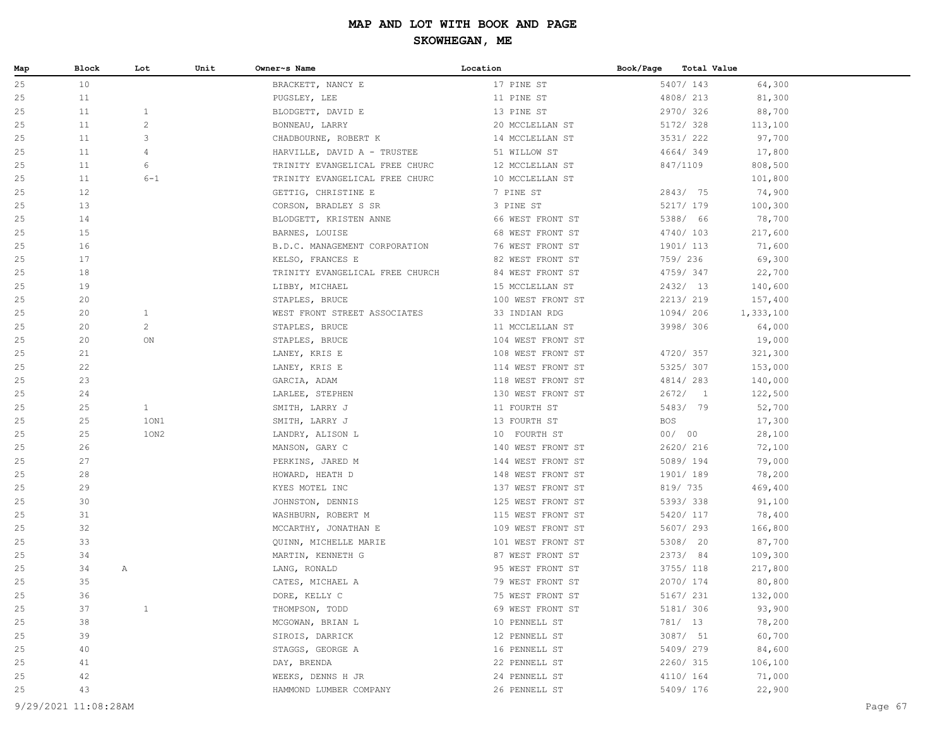| Map      | Block    | Lot            | Unit | Owner~s Name                      | Location                             | Book/Page<br>Total Value |                   |  |
|----------|----------|----------------|------|-----------------------------------|--------------------------------------|--------------------------|-------------------|--|
| 25       | 10       |                |      | BRACKETT, NANCY E                 | 17 PINE ST                           | 5407/ 143                | 64,300            |  |
| 25       | 11       |                |      | PUGSLEY, LEE                      | 11 PINE ST                           | 4808/ 213                | 81,300            |  |
| 25       | 11       | $\mathbf{1}$   |      | BLODGETT, DAVID E                 | 13 PINE ST                           | 2970/326                 | 88,700            |  |
| 25       | 11       | $\overline{c}$ |      | BONNEAU, LARRY                    | 20 MCCLELLAN ST                      | 5172/ 328                | 113,100           |  |
| 25       | 11       | 3              |      | CHADBOURNE, ROBERT K              | 14 MCCLELLAN ST                      | 3531/222                 | 97,700            |  |
| 25       | 11       | 4              |      | HARVILLE, DAVID A - TRUSTEE       | 51 WILLOW ST                         | 4664/349                 | 17,800            |  |
| 25       | 11       | 6              |      | TRINITY EVANGELICAL FREE CHURC    | 12 MCCLELLAN ST                      | 847/1109                 | 808,500           |  |
| 25       | 11       | $6 - 1$        |      | TRINITY EVANGELICAL FREE CHURC    | 10 MCCLELLAN ST                      |                          | 101,800           |  |
| 25       | 12       |                |      | GETTIG, CHRISTINE E               | 7 PINE ST                            | 2843/ 75                 | 74,900            |  |
| 25       | 13       |                |      | CORSON, BRADLEY S SR              | 3 PINE ST                            | 5217/ 179                | 100,300           |  |
| 25       | 14       |                |      | BLODGETT, KRISTEN ANNE            | 66 WEST FRONT ST                     | 5388/ 66                 | 78,700            |  |
| 25       | 15       |                |      | BARNES, LOUISE                    | 68 WEST FRONT ST                     | 4740/103                 | 217,600           |  |
| 25       | 16       |                |      | B.D.C. MANAGEMENT CORPORATION     | 76 WEST FRONT ST                     | 1901/ 113                | 71,600            |  |
| 25       | 17       |                |      | KELSO, FRANCES E                  | 82 WEST FRONT ST                     | 759/ 236                 | 69,300            |  |
| 25       | 18       |                |      | TRINITY EVANGELICAL FREE CHURCH   | 84 WEST FRONT ST                     | 4759/347                 | 22,700            |  |
| 25       | 19       |                |      | LIBBY, MICHAEL                    | 15 MCCLELLAN ST                      | 2432/ 13                 | 140,600           |  |
| 25       | 20       |                |      | STAPLES, BRUCE                    | 100 WEST FRONT ST                    | 2213/219                 | 157,400           |  |
| 25       | 20       | $\mathbf{1}$   |      | WEST FRONT STREET ASSOCIATES      | 33 INDIAN RDG                        | 1094/ 206                | 1,333,100         |  |
| 25       | 20       | $\overline{c}$ |      | STAPLES, BRUCE                    | 11 MCCLELLAN ST                      | 3998/ 306                | 64,000            |  |
| 25       | 20       | ON             |      | STAPLES, BRUCE                    | 104 WEST FRONT ST                    |                          | 19,000            |  |
| 25       | 21       |                |      | LANEY, KRIS E                     | 108 WEST FRONT ST                    | 4720/ 357                | 321,300           |  |
| 25       | 22       |                |      | LANEY, KRIS E                     | 114 WEST FRONT ST                    | 5325/307                 | 153,000           |  |
| 25       | 23       |                |      | GARCIA, ADAM                      | 118 WEST FRONT ST                    | 4814/283                 | 140,000           |  |
| 25       | 24       |                |      | LARLEE, STEPHEN                   | 130 WEST FRONT ST                    | 2672/1                   | 122,500           |  |
| 25       | 25       | $\mathbf{1}$   |      | SMITH, LARRY J                    | 11 FOURTH ST                         | 5483/ 79                 | 52,700            |  |
| 25       | 25       | 10N1           |      | SMITH, LARRY J                    | 13 FOURTH ST                         | <b>BOS</b>               | 17,300            |  |
| 25       | 25       | 10N2           |      | LANDRY, ALISON L                  | 10 FOURTH ST                         | 00/ 00                   | 28,100            |  |
| 25       | 26       |                |      | MANSON, GARY C                    | 140 WEST FRONT ST                    | 2620/ 216                | 72,100            |  |
| 25       | 27       |                |      | PERKINS, JARED M                  | 144 WEST FRONT ST                    | 5089/194                 | 79,000            |  |
| 25       | 28       |                |      | HOWARD, HEATH D                   | 148 WEST FRONT ST                    | 1901/189                 | 78,200            |  |
| 25       | 29       |                |      | KYES MOTEL INC                    | 137 WEST FRONT ST                    | 819/ 735                 | 469,400           |  |
| 25       | 30       |                |      | JOHNSTON, DENNIS                  | 125 WEST FRONT ST                    | 5393/338                 | 91,100            |  |
| 25       | 31       |                |      | WASHBURN, ROBERT M                | 115 WEST FRONT ST                    | 5420/ 117                | 78,400            |  |
| 25       | 32       |                |      | MCCARTHY, JONATHAN E              | 109 WEST FRONT ST                    | 5607/ 293                | 166,800           |  |
| 25       | 33       |                |      | QUINN, MICHELLE MARIE             | 101 WEST FRONT ST                    | 5308/ 20                 | 87,700            |  |
| 25       | 34       |                |      | MARTIN, KENNETH G                 | 87 WEST FRONT ST                     | 2373/84<br>3755/ 118     | 109,300           |  |
| 25<br>25 | 34<br>35 | A              |      | LANG, RONALD                      | 95 WEST FRONT ST                     | 2070/ 174                | 217,800           |  |
| 25       | 36       |                |      | CATES, MICHAEL A<br>DORE, KELLY C | 79 WEST FRONT ST<br>75 WEST FRONT ST | 5167/ 231                | 80,800<br>132,000 |  |
| 25       | 37       | $\mathbf{1}$   |      | THOMPSON, TODD                    | 69 WEST FRONT ST                     | 5181/ 306                | 93,900            |  |
| 25       | 38       |                |      | MCGOWAN, BRIAN L                  | 10 PENNELL ST                        | 781/ 13                  | 78,200            |  |
| 25       | 39       |                |      | SIROIS, DARRICK                   | 12 PENNELL ST                        | 3087/ 51                 | 60,700            |  |
| 25       | 40       |                |      | STAGGS, GEORGE A                  | 16 PENNELL ST                        | 5409/279                 | 84,600            |  |
| 25       | 41       |                |      | DAY, BRENDA                       | 22 PENNELL ST                        | 2260/ 315                | 106,100           |  |
| 25       | 42       |                |      | WEEKS, DENNS H JR                 | 24 PENNELL ST                        | 4110/ 164                | 71,000            |  |
| 25       | 43       |                |      | HAMMOND LUMBER COMPANY            | 26 PENNELL ST                        | 5409/ 176                | 22,900            |  |
|          |          |                |      |                                   |                                      |                          |                   |  |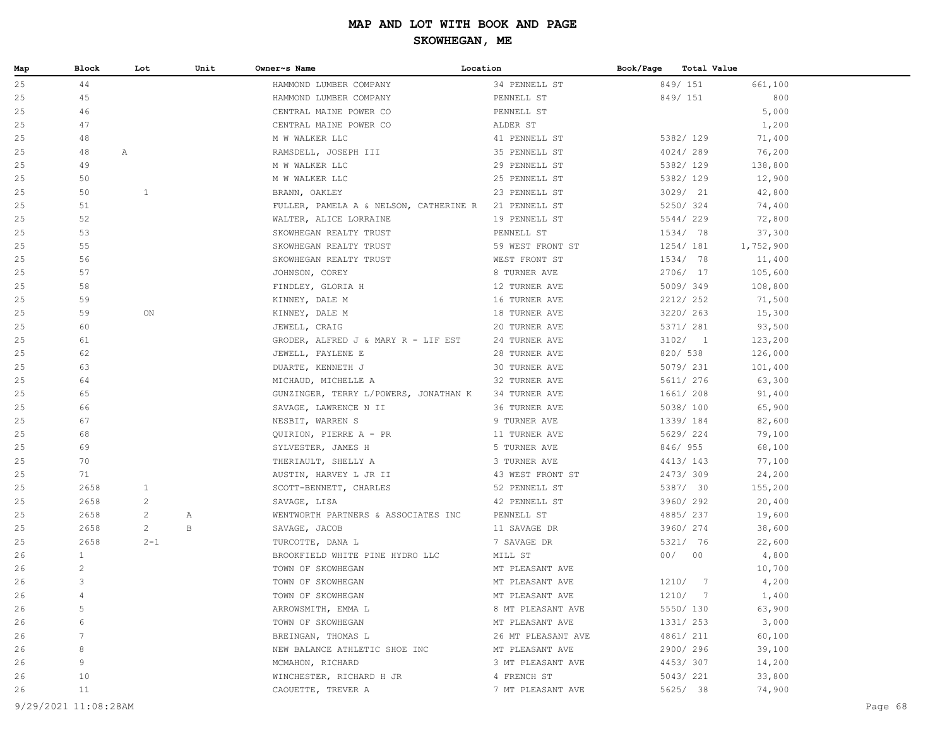| Map | Block          | Lot            | Unit | Owner~s Name                                         | Location           | Book/Page | <b>Total Value</b> |           |
|-----|----------------|----------------|------|------------------------------------------------------|--------------------|-----------|--------------------|-----------|
| 25  | 44             |                |      | HAMMOND LUMBER COMPANY                               | 34 PENNELL ST      |           | 849/ 151           | 661,100   |
| 25  | 45             |                |      | HAMMOND LUMBER COMPANY                               | PENNELL ST         |           | 849/ 151           | 800       |
| 25  | 46             |                |      | CENTRAL MAINE POWER CO                               | PENNELL ST         |           |                    | 5,000     |
| 25  | 47             |                |      | CENTRAL MAINE POWER CO                               | ALDER ST           |           |                    | 1,200     |
| 25  | 48             |                |      | M W WALKER LLC                                       | 41 PENNELL ST      |           | 5382/ 129          | 71,400    |
| 25  | 48             | Α              |      | RAMSDELL, JOSEPH III                                 | 35 PENNELL ST      |           | 4024/289           | 76,200    |
| 25  | 49             |                |      | M W WALKER LLC                                       | 29 PENNELL ST      |           | 5382/ 129          | 138,800   |
| 25  | 50             |                |      | M W WALKER LLC                                       | 25 PENNELL ST      |           | 5382/ 129          | 12,900    |
| 25  | 50             | $\mathbf{1}$   |      | BRANN, OAKLEY                                        | 23 PENNELL ST      |           | 3029/21            | 42,800    |
| 25  | 51             |                |      | FULLER, PAMELA A & NELSON, CATHERINE R 21 PENNELL ST |                    |           | 5250/324           | 74,400    |
| 25  | 52             |                |      | WALTER, ALICE LORRAINE                               | 19 PENNELL ST      |           | 5544/229           | 72,800    |
| 25  | 53             |                |      | SKOWHEGAN REALTY TRUST                               | PENNELL ST         |           | 1534/ 78           | 37,300    |
| 25  | 55             |                |      | SKOWHEGAN REALTY TRUST                               | 59 WEST FRONT ST   |           | 1254/ 181          | 1,752,900 |
| 25  | 56             |                |      | SKOWHEGAN REALTY TRUST                               | WEST FRONT ST      |           | 1534/ 78           | 11,400    |
| 25  | 57             |                |      | JOHNSON, COREY                                       | 8 TURNER AVE       |           | 2706/ 17           | 105,600   |
| 25  | 58             |                |      | FINDLEY, GLORIA H                                    | 12 TURNER AVE      |           | 5009/349           | 108,800   |
| 25  | 59             |                |      | KINNEY, DALE M                                       | 16 TURNER AVE      |           | 2212/ 252          | 71,500    |
| 25  | 59             | ON             |      | KINNEY, DALE M                                       | 18 TURNER AVE      |           | 3220/ 263          | 15,300    |
| 25  | 60             |                |      | JEWELL, CRAIG                                        | 20 TURNER AVE      |           | 5371/ 281          | 93,500    |
| 25  | 61             |                |      | GRODER, ALFRED J & MARY R - LIF EST                  | 24 TURNER AVE      |           | 3102/1             | 123,200   |
| 25  | 62             |                |      | JEWELL, FAYLENE E                                    | 28 TURNER AVE      |           | 820/ 538           | 126,000   |
| 25  | 63             |                |      | DUARTE, KENNETH J                                    | 30 TURNER AVE      |           | 5079/ 231          | 101,400   |
| 25  | 64             |                |      | MICHAUD, MICHELLE A                                  | 32 TURNER AVE      |           | 5611/ 276          | 63,300    |
| 25  | 65             |                |      | GUNZINGER, TERRY L/POWERS, JONATHAN K                | 34 TURNER AVE      |           | 1661/ 208          | 91,400    |
| 25  | 66             |                |      | SAVAGE, LAWRENCE N II                                | 36 TURNER AVE      |           | 5038/100           | 65,900    |
| 25  | 67             |                |      | NESBIT, WARREN S                                     | 9 TURNER AVE       |           | 1339/184           | 82,600    |
| 25  | 68             |                |      | QUIRION, PIERRE A - PR                               | 11 TURNER AVE      |           | 5629/224           | 79,100    |
| 25  | 69             |                |      | SYLVESTER, JAMES H                                   | 5 TURNER AVE       |           | 846/955            | 68,100    |
| 25  | 70             |                |      | THERIAULT, SHELLY A                                  | 3 TURNER AVE       |           | 4413/143           | 77,100    |
| 25  | 71             |                |      | AUSTIN, HARVEY L JR II                               | 43 WEST FRONT ST   |           | 2473/309           | 24,200    |
| 25  | 2658           | 1              |      | SCOTT-BENNETT, CHARLES                               | 52 PENNELL ST      |           | 5387/ 30           | 155,200   |
| 25  | 2658           | 2              |      | SAVAGE, LISA                                         | 42 PENNELL ST      |           | 3960/292           | 20,400    |
| 25  | 2658           | 2              | Α    | WENTWORTH PARTNERS & ASSOCIATES INC                  | PENNELL ST         |           | 4885/237           | 19,600    |
| 25  | 2658           | $\overline{2}$ | B    | SAVAGE, JACOB                                        | 11 SAVAGE DR       |           | 3960/ 274          | 38,600    |
| 25  | 2658           | $2 - 1$        |      | TURCOTTE, DANA L                                     | 7 SAVAGE DR        |           | 5321/ 76           | 22,600    |
| 26  | $\mathbf{1}$   |                |      | BROOKFIELD WHITE PINE HYDRO LLC                      | MILL ST            |           | 00/00              | 4,800     |
| 26  | $\overline{2}$ |                |      | TOWN OF SKOWHEGAN                                    | MT PLEASANT AVE    |           |                    | 10,700    |
| 26  | 3              |                |      | TOWN OF SKOWHEGAN                                    | MT PLEASANT AVE    |           | 1210/7             | 4,200     |
| 26  | 4              |                |      | TOWN OF SKOWHEGAN                                    | MT PLEASANT AVE    |           | 1210/ 7            | 1,400     |
| 26  | 5              |                |      | ARROWSMITH, EMMA L                                   | 8 MT PLEASANT AVE  |           | 5550/ 130          | 63,900    |
| 26  | 6              |                |      | TOWN OF SKOWHEGAN                                    | MT PLEASANT AVE    |           | 1331/ 253          | 3,000     |
| 26  | 7              |                |      | BREINGAN, THOMAS L                                   | 26 MT PLEASANT AVE |           | 4861/ 211          | 60,100    |
| 26  | 8              |                |      | NEW BALANCE ATHLETIC SHOE INC                        | MT PLEASANT AVE    |           | 2900/296           | 39,100    |
| 26  | 9              |                |      | MCMAHON, RICHARD                                     | 3 MT PLEASANT AVE  |           | 4453/307           | 14,200    |
| 26  | 10             |                |      | WINCHESTER, RICHARD H JR                             | 4 FRENCH ST        |           | 5043/ 221          | 33,800    |
| 26  | 11             |                |      | CAOUETTE, TREVER A                                   | 7 MT PLEASANT AVE  |           | 5625/ 38           | 74,900    |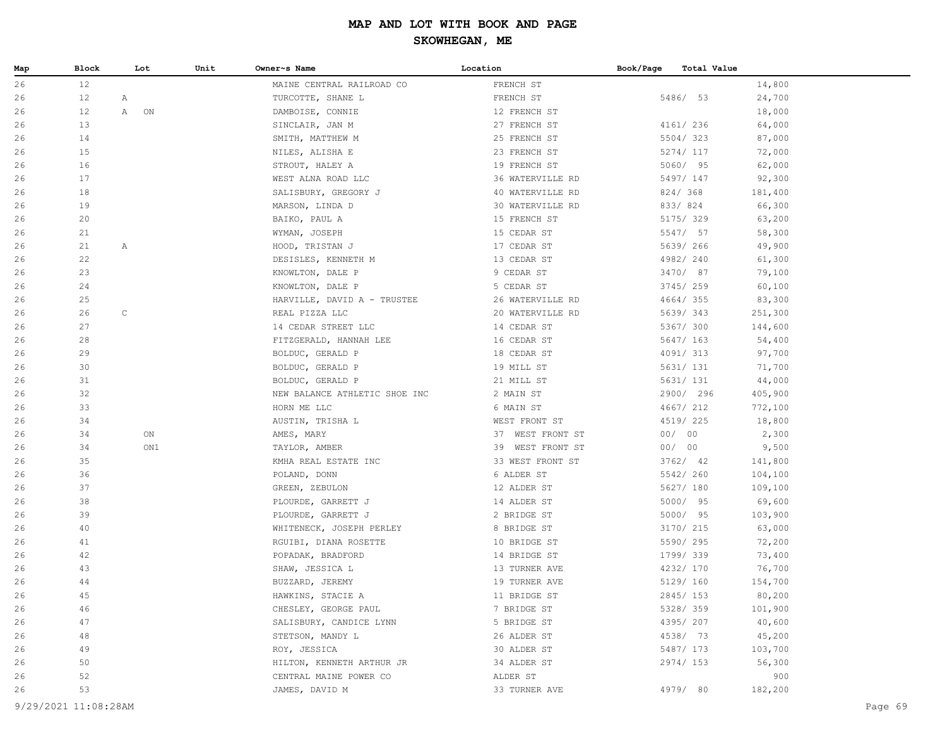| Map | Block | Lot          | Unit | Owner~s Name                  | Location         | Book/Page | Total Value |         |
|-----|-------|--------------|------|-------------------------------|------------------|-----------|-------------|---------|
| 26  | 12    |              |      | MAINE CENTRAL RAILROAD CO     | FRENCH ST        |           |             | 14,800  |
| 26  | 12    | A            |      | TURCOTTE, SHANE L             | FRENCH ST        |           | 5486/ 53    | 24,700  |
| 26  | 12    | A<br>ON      |      | DAMBOISE, CONNIE              | 12 FRENCH ST     |           |             | 18,000  |
| 26  | 13    |              |      | SINCLAIR, JAN M               | 27 FRENCH ST     |           | 4161/ 236   | 64,000  |
| 26  | 14    |              |      | SMITH, MATTHEW M              | 25 FRENCH ST     |           | 5504/323    | 87,000  |
| 26  | 15    |              |      | NILES, ALISHA E               | 23 FRENCH ST     |           | 5274/ 117   | 72,000  |
| 26  | 16    |              |      | STROUT, HALEY A               | 19 FRENCH ST     |           | 5060/ 95    | 62,000  |
| 26  | 17    |              |      | WEST ALNA ROAD LLC            | 36 WATERVILLE RD |           | 5497/ 147   | 92,300  |
| 26  | 18    |              |      | SALISBURY, GREGORY J          | 40 WATERVILLE RD |           | 824/368     | 181,400 |
| 26  | 19    |              |      | MARSON, LINDA D               | 30 WATERVILLE RD |           | 833/824     | 66,300  |
| 26  | 20    |              |      | BAIKO, PAUL A                 | 15 FRENCH ST     |           | 5175/ 329   | 63,200  |
| 26  | 21    |              |      | WYMAN, JOSEPH                 | 15 CEDAR ST      |           | 5547/ 57    | 58,300  |
| 26  | 21    | $\mathbb{A}$ |      | HOOD, TRISTAN J               | 17 CEDAR ST      |           | 5639/ 266   | 49,900  |
| 26  | 22    |              |      | DESISLES, KENNETH M           | 13 CEDAR ST      |           | 4982/240    | 61,300  |
| 26  | 23    |              |      | KNOWLTON, DALE P              | 9 CEDAR ST       |           | 3470/ 87    | 79,100  |
| 26  | 24    |              |      | KNOWLTON, DALE P              | 5 CEDAR ST       |           | 3745/259    | 60,100  |
| 26  | 25    |              |      | HARVILLE, DAVID A - TRUSTEE   | 26 WATERVILLE RD |           | 4664/355    | 83,300  |
| 26  | 26    | $\mathsf C$  |      | REAL PIZZA LLC                | 20 WATERVILLE RD |           | 5639/343    | 251,300 |
| 26  | 27    |              |      | 14 CEDAR STREET LLC           | 14 CEDAR ST      |           | 5367/ 300   | 144,600 |
| 26  | 28    |              |      | FITZGERALD, HANNAH LEE        | 16 CEDAR ST      |           | 5647/ 163   | 54,400  |
| 26  | 29    |              |      | BOLDUC, GERALD P              | 18 CEDAR ST      |           | 4091/313    | 97,700  |
| 26  | 30    |              |      | BOLDUC, GERALD P              | 19 MILL ST       |           | 5631/ 131   | 71,700  |
| 26  | 31    |              |      | BOLDUC, GERALD P              | 21 MILL ST       |           | 5631/ 131   | 44,000  |
| 26  | 32    |              |      | NEW BALANCE ATHLETIC SHOE INC | 2 MAIN ST        |           | 2900/ 296   | 405,900 |
| 26  | 33    |              |      | HORN ME LLC                   | 6 MAIN ST        |           | 4667/ 212   | 772,100 |
| 26  | 34    |              |      | AUSTIN, TRISHA L              | WEST FRONT ST    |           | 4519/225    | 18,800  |
| 26  | 34    | ON           |      | AMES, MARY                    | 37 WEST FRONT ST |           | 00/00       | 2,300   |
| 26  | 34    | ON1          |      | TAYLOR, AMBER                 | 39 WEST FRONT ST |           | 00/00       | 9,500   |
| 26  | 35    |              |      | KMHA REAL ESTATE INC          | 33 WEST FRONT ST |           | $3762/$ 42  | 141,800 |
| 26  | 36    |              |      | POLAND, DONN                  | 6 ALDER ST       |           | 5542/260    | 104,100 |
| 26  | 37    |              |      | GREEN, ZEBULON                | 12 ALDER ST      |           | 5627/ 180   | 109,100 |
| 26  | 38    |              |      | PLOURDE, GARRETT J            | 14 ALDER ST      |           | 5000/ 95    | 69,600  |
| 26  | 39    |              |      | PLOURDE, GARRETT J            | 2 BRIDGE ST      |           | 5000/ 95    | 103,900 |
| 26  | 40    |              |      | WHITENECK, JOSEPH PERLEY      | 8 BRIDGE ST      |           | 3170/ 215   | 63,000  |
| 26  | 41    |              |      | RGUIBI, DIANA ROSETTE         | 10 BRIDGE ST     |           | 5590/295    | 72,200  |
| 26  | 42    |              |      | POPADAK, BRADFORD             | 14 BRIDGE ST     |           | 1799/339    | 73,400  |
| 26  | 43    |              |      | SHAW, JESSICA L               | 13 TURNER AVE    |           | 4232/ 170   | 76,700  |
| 26  | 44    |              |      | BUZZARD, JEREMY               | 19 TURNER AVE    |           | 5129/ 160   | 154,700 |
| 26  | 45    |              |      | HAWKINS, STACIE A             | 11 BRIDGE ST     |           | 2845/153    | 80,200  |
| 26  | 46    |              |      | CHESLEY, GEORGE PAUL          | 7 BRIDGE ST      |           | 5328/359    | 101,900 |
| 26  | 47    |              |      | SALISBURY, CANDICE LYNN       | 5 BRIDGE ST      |           | 4395/207    | 40,600  |
| 26  | 48    |              |      | STETSON, MANDY L              | 26 ALDER ST      |           | 4538/ 73    | 45,200  |
| 26  | 49    |              |      | ROY, JESSICA                  | 30 ALDER ST      |           | 5487/ 173   | 103,700 |
| 26  | 50    |              |      | HILTON, KENNETH ARTHUR JR     | 34 ALDER ST      |           | 2974/153    | 56,300  |
| 26  | 52    |              |      | CENTRAL MAINE POWER CO        | ALDER ST         |           |             | 900     |
| 26  | 53    |              |      | JAMES, DAVID M                | 33 TURNER AVE    |           | 4979/ 80    | 182,200 |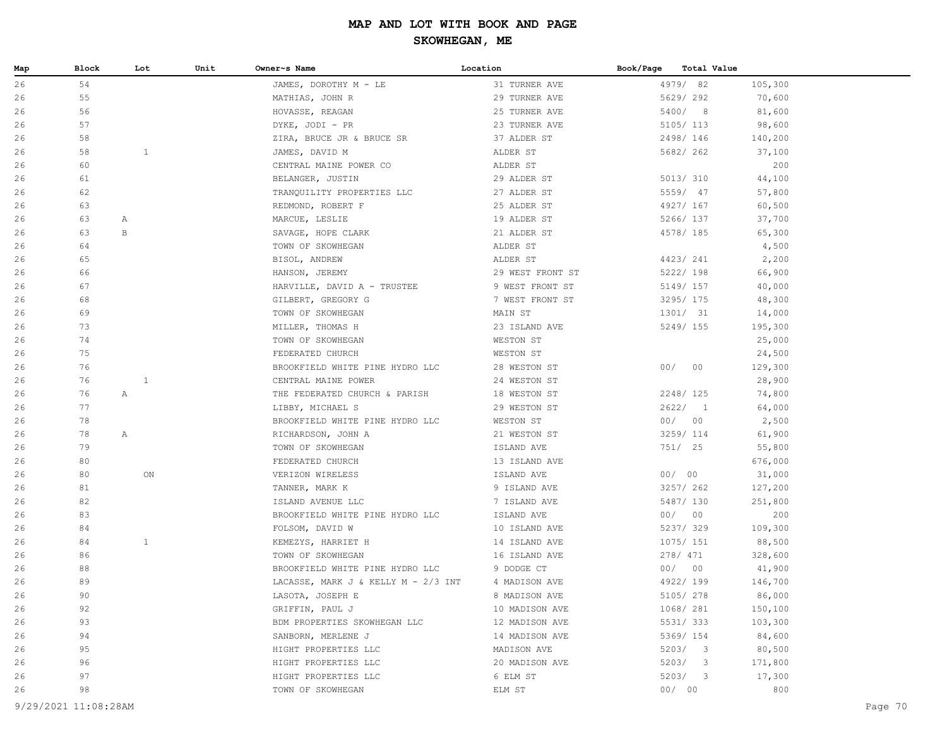| 4979/82<br>26<br>54<br>JAMES, DOROTHY M - LE<br>31 TURNER AVE<br>105,300<br>5629/ 292<br>26<br>55<br>MATHIAS, JOHN R<br>29 TURNER AVE<br>70,600<br>56<br>5400/ 8<br>26<br>HOVASSE, REAGAN<br>25 TURNER AVE<br>81,600<br>57<br>26<br>DYKE, JODI - PR<br>23 TURNER AVE<br>5105/ 113<br>98,600<br>58<br>26<br>ZIRA, BRUCE JR & BRUCE SR<br>37 ALDER ST<br>2498/146<br>140,200<br>58<br>$\mathbf{1}$<br>5682/ 262<br>26<br>ALDER ST<br>37,100<br>JAMES, DAVID M<br>200<br>26<br>60<br>CENTRAL MAINE POWER CO<br>ALDER ST<br>44,100<br>26<br>61<br>29 ALDER ST<br>5013/ 310<br>BELANGER, JUSTIN<br>5559/ 47<br>26<br>62<br>27 ALDER ST<br>57,800<br>TRANQUILITY PROPERTIES LLC<br>63<br>4927/ 167<br>26<br>25 ALDER ST<br>60,500<br>REDMOND, ROBERT F<br>26<br>63<br>19 ALDER ST<br>5266/ 137<br>37,700<br>A<br>MARCUE, LESLIE<br>63<br>$_{\rm B}$<br>26<br>21 ALDER ST<br>4578/ 185<br>65,300<br>SAVAGE, HOPE CLARK<br>26<br>64<br>ALDER ST<br>4,500<br>TOWN OF SKOWHEGAN<br>4423/ 241<br>2,200<br>26<br>65<br>BISOL, ANDREW<br>ALDER ST<br>5222/ 198<br>26<br>66<br>HANSON, JEREMY<br>29 WEST FRONT ST<br>66,900<br>67<br>26<br>HARVILLE, DAVID A - TRUSTEE<br>9 WEST FRONT ST<br>5149/ 157<br>40,000<br>26<br>68<br>7 WEST FRONT ST<br>3295/ 175<br>48,300<br>GILBERT, GREGORY G<br>69<br>1301/ 31<br>26<br>TOWN OF SKOWHEGAN<br>MAIN ST<br>14,000<br>73<br>26<br>MILLER, THOMAS H<br>23 ISLAND AVE<br>5249/ 155<br>195,300<br>74<br>26<br>TOWN OF SKOWHEGAN<br>WESTON ST<br>25,000<br>75<br>26<br>WESTON ST<br>24,500<br>FEDERATED CHURCH<br>76<br>00/00<br>129,300<br>26<br>BROOKFIELD WHITE PINE HYDRO LLC<br>28 WESTON ST<br>$\mathbf{1}$<br>26<br>76<br>CENTRAL MAINE POWER<br>24 WESTON ST<br>28,900<br>76<br>26<br>$\mathbb{A}$<br>THE FEDERATED CHURCH & PARISH<br>18 WESTON ST<br>2248/ 125<br>74,800<br>77<br>2622/1<br>26<br>29 WESTON ST<br>64,000<br>LIBBY, MICHAEL S<br>78<br>00/00<br>26<br>BROOKFIELD WHITE PINE HYDRO LLC<br>WESTON ST<br>2,500<br>78<br>3259/ 114<br>26<br>21 WESTON ST<br>61,900<br>A<br>RICHARDSON, JOHN A<br>79<br>26<br>TOWN OF SKOWHEGAN<br>ISLAND AVE<br>751/ 25<br>55,800<br>80<br>13 ISLAND AVE<br>676,000<br>26<br>FEDERATED CHURCH<br>00/00<br>26<br>80<br>ON<br>VERIZON WIRELESS<br>ISLAND AVE<br>31,000<br>3257/ 262<br>26<br>81<br>9 ISLAND AVE<br>127,200<br>TANNER, MARK K<br>82<br>5487/ 130<br>26<br>7 ISLAND AVE<br>251,800<br>ISLAND AVENUE LLC<br>83<br>00/00<br>26<br>ISLAND AVE<br>200<br>BROOKFIELD WHITE PINE HYDRO LLC<br>5237/329<br>26<br>84<br>10 ISLAND AVE<br>109,300<br>FOLSOM, DAVID W<br>$\mathbf{1}$<br>26<br>84<br>14 ISLAND AVE<br>1075/ 151<br>88,500<br>KEMEZYS, HARRIET H<br>86<br>278/ 471<br>26<br>16 ISLAND AVE<br>328,600<br>TOWN OF SKOWHEGAN<br>00/00<br>88<br>BROOKFIELD WHITE PINE HYDRO LLC<br>9 DODGE CT<br>41,900<br>26<br>89<br>4 MADISON AVE<br>4922/199<br>26<br>LACASSE, MARK J & KELLY M - 2/3 INT<br>146,700<br>5105/278<br>90<br>LASOTA, JOSEPH E<br>8 MADISON AVE<br>86,000<br>26<br>26<br>92<br>GRIFFIN, PAUL J<br>10 MADISON AVE<br>1068/ 281<br>150,100<br>5531/333<br>93<br>BDM PROPERTIES SKOWHEGAN LLC<br>12 MADISON AVE<br>103,300<br>26<br>84,600<br>94<br>SANBORN, MERLENE J<br>14 MADISON AVE<br>5369/ 154<br>26<br>80,500<br>95<br>HIGHT PROPERTIES LLC<br>MADISON AVE<br>5203/3<br>26<br>96<br>5203/3<br>26<br>HIGHT PROPERTIES LLC<br>20 MADISON AVE<br>171,800<br>97<br>5203/3<br>17,300<br>HIGHT PROPERTIES LLC<br>6 ELM ST<br>26<br>98<br>00/00<br>800<br>26<br>TOWN OF SKOWHEGAN<br>ELM ST<br>9/29/2021 11:08:28AM<br>Page 70 | Map | Block | Lot | Unit | Owner~s Name | Location | Book/Page | Total Value |  |
|------------------------------------------------------------------------------------------------------------------------------------------------------------------------------------------------------------------------------------------------------------------------------------------------------------------------------------------------------------------------------------------------------------------------------------------------------------------------------------------------------------------------------------------------------------------------------------------------------------------------------------------------------------------------------------------------------------------------------------------------------------------------------------------------------------------------------------------------------------------------------------------------------------------------------------------------------------------------------------------------------------------------------------------------------------------------------------------------------------------------------------------------------------------------------------------------------------------------------------------------------------------------------------------------------------------------------------------------------------------------------------------------------------------------------------------------------------------------------------------------------------------------------------------------------------------------------------------------------------------------------------------------------------------------------------------------------------------------------------------------------------------------------------------------------------------------------------------------------------------------------------------------------------------------------------------------------------------------------------------------------------------------------------------------------------------------------------------------------------------------------------------------------------------------------------------------------------------------------------------------------------------------------------------------------------------------------------------------------------------------------------------------------------------------------------------------------------------------------------------------------------------------------------------------------------------------------------------------------------------------------------------------------------------------------------------------------------------------------------------------------------------------------------------------------------------------------------------------------------------------------------------------------------------------------------------------------------------------------------------------------------------------------------------------------------------------------------------------------------------------------------------------------------------------------------------------------------------------------------------------------------------------------------------------------------------------------------------------------------------------------------------------------------------------------------------------------------------------------------------------------------------------------------------|-----|-------|-----|------|--------------|----------|-----------|-------------|--|
|                                                                                                                                                                                                                                                                                                                                                                                                                                                                                                                                                                                                                                                                                                                                                                                                                                                                                                                                                                                                                                                                                                                                                                                                                                                                                                                                                                                                                                                                                                                                                                                                                                                                                                                                                                                                                                                                                                                                                                                                                                                                                                                                                                                                                                                                                                                                                                                                                                                                                                                                                                                                                                                                                                                                                                                                                                                                                                                                                                                                                                                                                                                                                                                                                                                                                                                                                                                                                                                                                                                                          |     |       |     |      |              |          |           |             |  |
|                                                                                                                                                                                                                                                                                                                                                                                                                                                                                                                                                                                                                                                                                                                                                                                                                                                                                                                                                                                                                                                                                                                                                                                                                                                                                                                                                                                                                                                                                                                                                                                                                                                                                                                                                                                                                                                                                                                                                                                                                                                                                                                                                                                                                                                                                                                                                                                                                                                                                                                                                                                                                                                                                                                                                                                                                                                                                                                                                                                                                                                                                                                                                                                                                                                                                                                                                                                                                                                                                                                                          |     |       |     |      |              |          |           |             |  |
|                                                                                                                                                                                                                                                                                                                                                                                                                                                                                                                                                                                                                                                                                                                                                                                                                                                                                                                                                                                                                                                                                                                                                                                                                                                                                                                                                                                                                                                                                                                                                                                                                                                                                                                                                                                                                                                                                                                                                                                                                                                                                                                                                                                                                                                                                                                                                                                                                                                                                                                                                                                                                                                                                                                                                                                                                                                                                                                                                                                                                                                                                                                                                                                                                                                                                                                                                                                                                                                                                                                                          |     |       |     |      |              |          |           |             |  |
|                                                                                                                                                                                                                                                                                                                                                                                                                                                                                                                                                                                                                                                                                                                                                                                                                                                                                                                                                                                                                                                                                                                                                                                                                                                                                                                                                                                                                                                                                                                                                                                                                                                                                                                                                                                                                                                                                                                                                                                                                                                                                                                                                                                                                                                                                                                                                                                                                                                                                                                                                                                                                                                                                                                                                                                                                                                                                                                                                                                                                                                                                                                                                                                                                                                                                                                                                                                                                                                                                                                                          |     |       |     |      |              |          |           |             |  |
|                                                                                                                                                                                                                                                                                                                                                                                                                                                                                                                                                                                                                                                                                                                                                                                                                                                                                                                                                                                                                                                                                                                                                                                                                                                                                                                                                                                                                                                                                                                                                                                                                                                                                                                                                                                                                                                                                                                                                                                                                                                                                                                                                                                                                                                                                                                                                                                                                                                                                                                                                                                                                                                                                                                                                                                                                                                                                                                                                                                                                                                                                                                                                                                                                                                                                                                                                                                                                                                                                                                                          |     |       |     |      |              |          |           |             |  |
|                                                                                                                                                                                                                                                                                                                                                                                                                                                                                                                                                                                                                                                                                                                                                                                                                                                                                                                                                                                                                                                                                                                                                                                                                                                                                                                                                                                                                                                                                                                                                                                                                                                                                                                                                                                                                                                                                                                                                                                                                                                                                                                                                                                                                                                                                                                                                                                                                                                                                                                                                                                                                                                                                                                                                                                                                                                                                                                                                                                                                                                                                                                                                                                                                                                                                                                                                                                                                                                                                                                                          |     |       |     |      |              |          |           |             |  |
|                                                                                                                                                                                                                                                                                                                                                                                                                                                                                                                                                                                                                                                                                                                                                                                                                                                                                                                                                                                                                                                                                                                                                                                                                                                                                                                                                                                                                                                                                                                                                                                                                                                                                                                                                                                                                                                                                                                                                                                                                                                                                                                                                                                                                                                                                                                                                                                                                                                                                                                                                                                                                                                                                                                                                                                                                                                                                                                                                                                                                                                                                                                                                                                                                                                                                                                                                                                                                                                                                                                                          |     |       |     |      |              |          |           |             |  |
|                                                                                                                                                                                                                                                                                                                                                                                                                                                                                                                                                                                                                                                                                                                                                                                                                                                                                                                                                                                                                                                                                                                                                                                                                                                                                                                                                                                                                                                                                                                                                                                                                                                                                                                                                                                                                                                                                                                                                                                                                                                                                                                                                                                                                                                                                                                                                                                                                                                                                                                                                                                                                                                                                                                                                                                                                                                                                                                                                                                                                                                                                                                                                                                                                                                                                                                                                                                                                                                                                                                                          |     |       |     |      |              |          |           |             |  |
|                                                                                                                                                                                                                                                                                                                                                                                                                                                                                                                                                                                                                                                                                                                                                                                                                                                                                                                                                                                                                                                                                                                                                                                                                                                                                                                                                                                                                                                                                                                                                                                                                                                                                                                                                                                                                                                                                                                                                                                                                                                                                                                                                                                                                                                                                                                                                                                                                                                                                                                                                                                                                                                                                                                                                                                                                                                                                                                                                                                                                                                                                                                                                                                                                                                                                                                                                                                                                                                                                                                                          |     |       |     |      |              |          |           |             |  |
|                                                                                                                                                                                                                                                                                                                                                                                                                                                                                                                                                                                                                                                                                                                                                                                                                                                                                                                                                                                                                                                                                                                                                                                                                                                                                                                                                                                                                                                                                                                                                                                                                                                                                                                                                                                                                                                                                                                                                                                                                                                                                                                                                                                                                                                                                                                                                                                                                                                                                                                                                                                                                                                                                                                                                                                                                                                                                                                                                                                                                                                                                                                                                                                                                                                                                                                                                                                                                                                                                                                                          |     |       |     |      |              |          |           |             |  |
|                                                                                                                                                                                                                                                                                                                                                                                                                                                                                                                                                                                                                                                                                                                                                                                                                                                                                                                                                                                                                                                                                                                                                                                                                                                                                                                                                                                                                                                                                                                                                                                                                                                                                                                                                                                                                                                                                                                                                                                                                                                                                                                                                                                                                                                                                                                                                                                                                                                                                                                                                                                                                                                                                                                                                                                                                                                                                                                                                                                                                                                                                                                                                                                                                                                                                                                                                                                                                                                                                                                                          |     |       |     |      |              |          |           |             |  |
|                                                                                                                                                                                                                                                                                                                                                                                                                                                                                                                                                                                                                                                                                                                                                                                                                                                                                                                                                                                                                                                                                                                                                                                                                                                                                                                                                                                                                                                                                                                                                                                                                                                                                                                                                                                                                                                                                                                                                                                                                                                                                                                                                                                                                                                                                                                                                                                                                                                                                                                                                                                                                                                                                                                                                                                                                                                                                                                                                                                                                                                                                                                                                                                                                                                                                                                                                                                                                                                                                                                                          |     |       |     |      |              |          |           |             |  |
|                                                                                                                                                                                                                                                                                                                                                                                                                                                                                                                                                                                                                                                                                                                                                                                                                                                                                                                                                                                                                                                                                                                                                                                                                                                                                                                                                                                                                                                                                                                                                                                                                                                                                                                                                                                                                                                                                                                                                                                                                                                                                                                                                                                                                                                                                                                                                                                                                                                                                                                                                                                                                                                                                                                                                                                                                                                                                                                                                                                                                                                                                                                                                                                                                                                                                                                                                                                                                                                                                                                                          |     |       |     |      |              |          |           |             |  |
|                                                                                                                                                                                                                                                                                                                                                                                                                                                                                                                                                                                                                                                                                                                                                                                                                                                                                                                                                                                                                                                                                                                                                                                                                                                                                                                                                                                                                                                                                                                                                                                                                                                                                                                                                                                                                                                                                                                                                                                                                                                                                                                                                                                                                                                                                                                                                                                                                                                                                                                                                                                                                                                                                                                                                                                                                                                                                                                                                                                                                                                                                                                                                                                                                                                                                                                                                                                                                                                                                                                                          |     |       |     |      |              |          |           |             |  |
|                                                                                                                                                                                                                                                                                                                                                                                                                                                                                                                                                                                                                                                                                                                                                                                                                                                                                                                                                                                                                                                                                                                                                                                                                                                                                                                                                                                                                                                                                                                                                                                                                                                                                                                                                                                                                                                                                                                                                                                                                                                                                                                                                                                                                                                                                                                                                                                                                                                                                                                                                                                                                                                                                                                                                                                                                                                                                                                                                                                                                                                                                                                                                                                                                                                                                                                                                                                                                                                                                                                                          |     |       |     |      |              |          |           |             |  |
|                                                                                                                                                                                                                                                                                                                                                                                                                                                                                                                                                                                                                                                                                                                                                                                                                                                                                                                                                                                                                                                                                                                                                                                                                                                                                                                                                                                                                                                                                                                                                                                                                                                                                                                                                                                                                                                                                                                                                                                                                                                                                                                                                                                                                                                                                                                                                                                                                                                                                                                                                                                                                                                                                                                                                                                                                                                                                                                                                                                                                                                                                                                                                                                                                                                                                                                                                                                                                                                                                                                                          |     |       |     |      |              |          |           |             |  |
|                                                                                                                                                                                                                                                                                                                                                                                                                                                                                                                                                                                                                                                                                                                                                                                                                                                                                                                                                                                                                                                                                                                                                                                                                                                                                                                                                                                                                                                                                                                                                                                                                                                                                                                                                                                                                                                                                                                                                                                                                                                                                                                                                                                                                                                                                                                                                                                                                                                                                                                                                                                                                                                                                                                                                                                                                                                                                                                                                                                                                                                                                                                                                                                                                                                                                                                                                                                                                                                                                                                                          |     |       |     |      |              |          |           |             |  |
|                                                                                                                                                                                                                                                                                                                                                                                                                                                                                                                                                                                                                                                                                                                                                                                                                                                                                                                                                                                                                                                                                                                                                                                                                                                                                                                                                                                                                                                                                                                                                                                                                                                                                                                                                                                                                                                                                                                                                                                                                                                                                                                                                                                                                                                                                                                                                                                                                                                                                                                                                                                                                                                                                                                                                                                                                                                                                                                                                                                                                                                                                                                                                                                                                                                                                                                                                                                                                                                                                                                                          |     |       |     |      |              |          |           |             |  |
|                                                                                                                                                                                                                                                                                                                                                                                                                                                                                                                                                                                                                                                                                                                                                                                                                                                                                                                                                                                                                                                                                                                                                                                                                                                                                                                                                                                                                                                                                                                                                                                                                                                                                                                                                                                                                                                                                                                                                                                                                                                                                                                                                                                                                                                                                                                                                                                                                                                                                                                                                                                                                                                                                                                                                                                                                                                                                                                                                                                                                                                                                                                                                                                                                                                                                                                                                                                                                                                                                                                                          |     |       |     |      |              |          |           |             |  |
|                                                                                                                                                                                                                                                                                                                                                                                                                                                                                                                                                                                                                                                                                                                                                                                                                                                                                                                                                                                                                                                                                                                                                                                                                                                                                                                                                                                                                                                                                                                                                                                                                                                                                                                                                                                                                                                                                                                                                                                                                                                                                                                                                                                                                                                                                                                                                                                                                                                                                                                                                                                                                                                                                                                                                                                                                                                                                                                                                                                                                                                                                                                                                                                                                                                                                                                                                                                                                                                                                                                                          |     |       |     |      |              |          |           |             |  |
|                                                                                                                                                                                                                                                                                                                                                                                                                                                                                                                                                                                                                                                                                                                                                                                                                                                                                                                                                                                                                                                                                                                                                                                                                                                                                                                                                                                                                                                                                                                                                                                                                                                                                                                                                                                                                                                                                                                                                                                                                                                                                                                                                                                                                                                                                                                                                                                                                                                                                                                                                                                                                                                                                                                                                                                                                                                                                                                                                                                                                                                                                                                                                                                                                                                                                                                                                                                                                                                                                                                                          |     |       |     |      |              |          |           |             |  |
|                                                                                                                                                                                                                                                                                                                                                                                                                                                                                                                                                                                                                                                                                                                                                                                                                                                                                                                                                                                                                                                                                                                                                                                                                                                                                                                                                                                                                                                                                                                                                                                                                                                                                                                                                                                                                                                                                                                                                                                                                                                                                                                                                                                                                                                                                                                                                                                                                                                                                                                                                                                                                                                                                                                                                                                                                                                                                                                                                                                                                                                                                                                                                                                                                                                                                                                                                                                                                                                                                                                                          |     |       |     |      |              |          |           |             |  |
|                                                                                                                                                                                                                                                                                                                                                                                                                                                                                                                                                                                                                                                                                                                                                                                                                                                                                                                                                                                                                                                                                                                                                                                                                                                                                                                                                                                                                                                                                                                                                                                                                                                                                                                                                                                                                                                                                                                                                                                                                                                                                                                                                                                                                                                                                                                                                                                                                                                                                                                                                                                                                                                                                                                                                                                                                                                                                                                                                                                                                                                                                                                                                                                                                                                                                                                                                                                                                                                                                                                                          |     |       |     |      |              |          |           |             |  |
|                                                                                                                                                                                                                                                                                                                                                                                                                                                                                                                                                                                                                                                                                                                                                                                                                                                                                                                                                                                                                                                                                                                                                                                                                                                                                                                                                                                                                                                                                                                                                                                                                                                                                                                                                                                                                                                                                                                                                                                                                                                                                                                                                                                                                                                                                                                                                                                                                                                                                                                                                                                                                                                                                                                                                                                                                                                                                                                                                                                                                                                                                                                                                                                                                                                                                                                                                                                                                                                                                                                                          |     |       |     |      |              |          |           |             |  |
|                                                                                                                                                                                                                                                                                                                                                                                                                                                                                                                                                                                                                                                                                                                                                                                                                                                                                                                                                                                                                                                                                                                                                                                                                                                                                                                                                                                                                                                                                                                                                                                                                                                                                                                                                                                                                                                                                                                                                                                                                                                                                                                                                                                                                                                                                                                                                                                                                                                                                                                                                                                                                                                                                                                                                                                                                                                                                                                                                                                                                                                                                                                                                                                                                                                                                                                                                                                                                                                                                                                                          |     |       |     |      |              |          |           |             |  |
|                                                                                                                                                                                                                                                                                                                                                                                                                                                                                                                                                                                                                                                                                                                                                                                                                                                                                                                                                                                                                                                                                                                                                                                                                                                                                                                                                                                                                                                                                                                                                                                                                                                                                                                                                                                                                                                                                                                                                                                                                                                                                                                                                                                                                                                                                                                                                                                                                                                                                                                                                                                                                                                                                                                                                                                                                                                                                                                                                                                                                                                                                                                                                                                                                                                                                                                                                                                                                                                                                                                                          |     |       |     |      |              |          |           |             |  |
|                                                                                                                                                                                                                                                                                                                                                                                                                                                                                                                                                                                                                                                                                                                                                                                                                                                                                                                                                                                                                                                                                                                                                                                                                                                                                                                                                                                                                                                                                                                                                                                                                                                                                                                                                                                                                                                                                                                                                                                                                                                                                                                                                                                                                                                                                                                                                                                                                                                                                                                                                                                                                                                                                                                                                                                                                                                                                                                                                                                                                                                                                                                                                                                                                                                                                                                                                                                                                                                                                                                                          |     |       |     |      |              |          |           |             |  |
|                                                                                                                                                                                                                                                                                                                                                                                                                                                                                                                                                                                                                                                                                                                                                                                                                                                                                                                                                                                                                                                                                                                                                                                                                                                                                                                                                                                                                                                                                                                                                                                                                                                                                                                                                                                                                                                                                                                                                                                                                                                                                                                                                                                                                                                                                                                                                                                                                                                                                                                                                                                                                                                                                                                                                                                                                                                                                                                                                                                                                                                                                                                                                                                                                                                                                                                                                                                                                                                                                                                                          |     |       |     |      |              |          |           |             |  |
|                                                                                                                                                                                                                                                                                                                                                                                                                                                                                                                                                                                                                                                                                                                                                                                                                                                                                                                                                                                                                                                                                                                                                                                                                                                                                                                                                                                                                                                                                                                                                                                                                                                                                                                                                                                                                                                                                                                                                                                                                                                                                                                                                                                                                                                                                                                                                                                                                                                                                                                                                                                                                                                                                                                                                                                                                                                                                                                                                                                                                                                                                                                                                                                                                                                                                                                                                                                                                                                                                                                                          |     |       |     |      |              |          |           |             |  |
|                                                                                                                                                                                                                                                                                                                                                                                                                                                                                                                                                                                                                                                                                                                                                                                                                                                                                                                                                                                                                                                                                                                                                                                                                                                                                                                                                                                                                                                                                                                                                                                                                                                                                                                                                                                                                                                                                                                                                                                                                                                                                                                                                                                                                                                                                                                                                                                                                                                                                                                                                                                                                                                                                                                                                                                                                                                                                                                                                                                                                                                                                                                                                                                                                                                                                                                                                                                                                                                                                                                                          |     |       |     |      |              |          |           |             |  |
|                                                                                                                                                                                                                                                                                                                                                                                                                                                                                                                                                                                                                                                                                                                                                                                                                                                                                                                                                                                                                                                                                                                                                                                                                                                                                                                                                                                                                                                                                                                                                                                                                                                                                                                                                                                                                                                                                                                                                                                                                                                                                                                                                                                                                                                                                                                                                                                                                                                                                                                                                                                                                                                                                                                                                                                                                                                                                                                                                                                                                                                                                                                                                                                                                                                                                                                                                                                                                                                                                                                                          |     |       |     |      |              |          |           |             |  |
|                                                                                                                                                                                                                                                                                                                                                                                                                                                                                                                                                                                                                                                                                                                                                                                                                                                                                                                                                                                                                                                                                                                                                                                                                                                                                                                                                                                                                                                                                                                                                                                                                                                                                                                                                                                                                                                                                                                                                                                                                                                                                                                                                                                                                                                                                                                                                                                                                                                                                                                                                                                                                                                                                                                                                                                                                                                                                                                                                                                                                                                                                                                                                                                                                                                                                                                                                                                                                                                                                                                                          |     |       |     |      |              |          |           |             |  |
|                                                                                                                                                                                                                                                                                                                                                                                                                                                                                                                                                                                                                                                                                                                                                                                                                                                                                                                                                                                                                                                                                                                                                                                                                                                                                                                                                                                                                                                                                                                                                                                                                                                                                                                                                                                                                                                                                                                                                                                                                                                                                                                                                                                                                                                                                                                                                                                                                                                                                                                                                                                                                                                                                                                                                                                                                                                                                                                                                                                                                                                                                                                                                                                                                                                                                                                                                                                                                                                                                                                                          |     |       |     |      |              |          |           |             |  |
|                                                                                                                                                                                                                                                                                                                                                                                                                                                                                                                                                                                                                                                                                                                                                                                                                                                                                                                                                                                                                                                                                                                                                                                                                                                                                                                                                                                                                                                                                                                                                                                                                                                                                                                                                                                                                                                                                                                                                                                                                                                                                                                                                                                                                                                                                                                                                                                                                                                                                                                                                                                                                                                                                                                                                                                                                                                                                                                                                                                                                                                                                                                                                                                                                                                                                                                                                                                                                                                                                                                                          |     |       |     |      |              |          |           |             |  |
|                                                                                                                                                                                                                                                                                                                                                                                                                                                                                                                                                                                                                                                                                                                                                                                                                                                                                                                                                                                                                                                                                                                                                                                                                                                                                                                                                                                                                                                                                                                                                                                                                                                                                                                                                                                                                                                                                                                                                                                                                                                                                                                                                                                                                                                                                                                                                                                                                                                                                                                                                                                                                                                                                                                                                                                                                                                                                                                                                                                                                                                                                                                                                                                                                                                                                                                                                                                                                                                                                                                                          |     |       |     |      |              |          |           |             |  |
|                                                                                                                                                                                                                                                                                                                                                                                                                                                                                                                                                                                                                                                                                                                                                                                                                                                                                                                                                                                                                                                                                                                                                                                                                                                                                                                                                                                                                                                                                                                                                                                                                                                                                                                                                                                                                                                                                                                                                                                                                                                                                                                                                                                                                                                                                                                                                                                                                                                                                                                                                                                                                                                                                                                                                                                                                                                                                                                                                                                                                                                                                                                                                                                                                                                                                                                                                                                                                                                                                                                                          |     |       |     |      |              |          |           |             |  |
|                                                                                                                                                                                                                                                                                                                                                                                                                                                                                                                                                                                                                                                                                                                                                                                                                                                                                                                                                                                                                                                                                                                                                                                                                                                                                                                                                                                                                                                                                                                                                                                                                                                                                                                                                                                                                                                                                                                                                                                                                                                                                                                                                                                                                                                                                                                                                                                                                                                                                                                                                                                                                                                                                                                                                                                                                                                                                                                                                                                                                                                                                                                                                                                                                                                                                                                                                                                                                                                                                                                                          |     |       |     |      |              |          |           |             |  |
|                                                                                                                                                                                                                                                                                                                                                                                                                                                                                                                                                                                                                                                                                                                                                                                                                                                                                                                                                                                                                                                                                                                                                                                                                                                                                                                                                                                                                                                                                                                                                                                                                                                                                                                                                                                                                                                                                                                                                                                                                                                                                                                                                                                                                                                                                                                                                                                                                                                                                                                                                                                                                                                                                                                                                                                                                                                                                                                                                                                                                                                                                                                                                                                                                                                                                                                                                                                                                                                                                                                                          |     |       |     |      |              |          |           |             |  |
|                                                                                                                                                                                                                                                                                                                                                                                                                                                                                                                                                                                                                                                                                                                                                                                                                                                                                                                                                                                                                                                                                                                                                                                                                                                                                                                                                                                                                                                                                                                                                                                                                                                                                                                                                                                                                                                                                                                                                                                                                                                                                                                                                                                                                                                                                                                                                                                                                                                                                                                                                                                                                                                                                                                                                                                                                                                                                                                                                                                                                                                                                                                                                                                                                                                                                                                                                                                                                                                                                                                                          |     |       |     |      |              |          |           |             |  |
|                                                                                                                                                                                                                                                                                                                                                                                                                                                                                                                                                                                                                                                                                                                                                                                                                                                                                                                                                                                                                                                                                                                                                                                                                                                                                                                                                                                                                                                                                                                                                                                                                                                                                                                                                                                                                                                                                                                                                                                                                                                                                                                                                                                                                                                                                                                                                                                                                                                                                                                                                                                                                                                                                                                                                                                                                                                                                                                                                                                                                                                                                                                                                                                                                                                                                                                                                                                                                                                                                                                                          |     |       |     |      |              |          |           |             |  |
|                                                                                                                                                                                                                                                                                                                                                                                                                                                                                                                                                                                                                                                                                                                                                                                                                                                                                                                                                                                                                                                                                                                                                                                                                                                                                                                                                                                                                                                                                                                                                                                                                                                                                                                                                                                                                                                                                                                                                                                                                                                                                                                                                                                                                                                                                                                                                                                                                                                                                                                                                                                                                                                                                                                                                                                                                                                                                                                                                                                                                                                                                                                                                                                                                                                                                                                                                                                                                                                                                                                                          |     |       |     |      |              |          |           |             |  |
|                                                                                                                                                                                                                                                                                                                                                                                                                                                                                                                                                                                                                                                                                                                                                                                                                                                                                                                                                                                                                                                                                                                                                                                                                                                                                                                                                                                                                                                                                                                                                                                                                                                                                                                                                                                                                                                                                                                                                                                                                                                                                                                                                                                                                                                                                                                                                                                                                                                                                                                                                                                                                                                                                                                                                                                                                                                                                                                                                                                                                                                                                                                                                                                                                                                                                                                                                                                                                                                                                                                                          |     |       |     |      |              |          |           |             |  |
|                                                                                                                                                                                                                                                                                                                                                                                                                                                                                                                                                                                                                                                                                                                                                                                                                                                                                                                                                                                                                                                                                                                                                                                                                                                                                                                                                                                                                                                                                                                                                                                                                                                                                                                                                                                                                                                                                                                                                                                                                                                                                                                                                                                                                                                                                                                                                                                                                                                                                                                                                                                                                                                                                                                                                                                                                                                                                                                                                                                                                                                                                                                                                                                                                                                                                                                                                                                                                                                                                                                                          |     |       |     |      |              |          |           |             |  |
|                                                                                                                                                                                                                                                                                                                                                                                                                                                                                                                                                                                                                                                                                                                                                                                                                                                                                                                                                                                                                                                                                                                                                                                                                                                                                                                                                                                                                                                                                                                                                                                                                                                                                                                                                                                                                                                                                                                                                                                                                                                                                                                                                                                                                                                                                                                                                                                                                                                                                                                                                                                                                                                                                                                                                                                                                                                                                                                                                                                                                                                                                                                                                                                                                                                                                                                                                                                                                                                                                                                                          |     |       |     |      |              |          |           |             |  |
|                                                                                                                                                                                                                                                                                                                                                                                                                                                                                                                                                                                                                                                                                                                                                                                                                                                                                                                                                                                                                                                                                                                                                                                                                                                                                                                                                                                                                                                                                                                                                                                                                                                                                                                                                                                                                                                                                                                                                                                                                                                                                                                                                                                                                                                                                                                                                                                                                                                                                                                                                                                                                                                                                                                                                                                                                                                                                                                                                                                                                                                                                                                                                                                                                                                                                                                                                                                                                                                                                                                                          |     |       |     |      |              |          |           |             |  |
|                                                                                                                                                                                                                                                                                                                                                                                                                                                                                                                                                                                                                                                                                                                                                                                                                                                                                                                                                                                                                                                                                                                                                                                                                                                                                                                                                                                                                                                                                                                                                                                                                                                                                                                                                                                                                                                                                                                                                                                                                                                                                                                                                                                                                                                                                                                                                                                                                                                                                                                                                                                                                                                                                                                                                                                                                                                                                                                                                                                                                                                                                                                                                                                                                                                                                                                                                                                                                                                                                                                                          |     |       |     |      |              |          |           |             |  |
|                                                                                                                                                                                                                                                                                                                                                                                                                                                                                                                                                                                                                                                                                                                                                                                                                                                                                                                                                                                                                                                                                                                                                                                                                                                                                                                                                                                                                                                                                                                                                                                                                                                                                                                                                                                                                                                                                                                                                                                                                                                                                                                                                                                                                                                                                                                                                                                                                                                                                                                                                                                                                                                                                                                                                                                                                                                                                                                                                                                                                                                                                                                                                                                                                                                                                                                                                                                                                                                                                                                                          |     |       |     |      |              |          |           |             |  |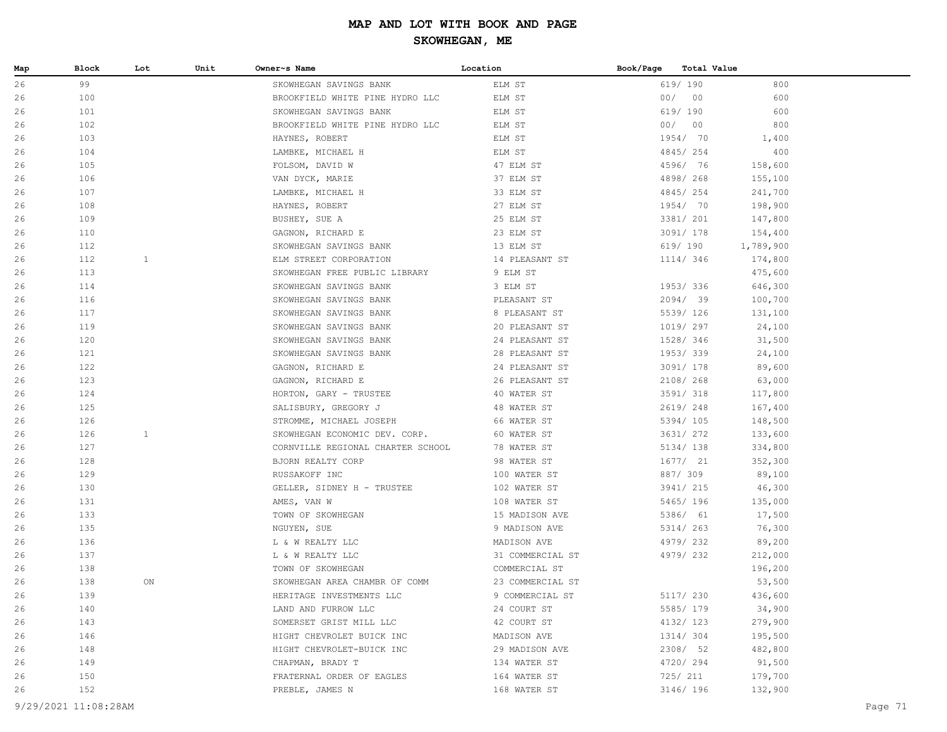| 99<br>26<br>619/ 190<br>800<br>ELM ST<br>SKOWHEGAN SAVINGS BANK<br>100<br>00/<br>00<br>600<br>26<br>BROOKFIELD WHITE PINE HYDRO LLC<br>ELM ST<br>101<br>619/ 190<br>600<br>26<br>SKOWHEGAN SAVINGS BANK<br>ELM ST<br>00/<br>800<br>26<br>102<br>BROOKFIELD WHITE PINE HYDRO LLC<br>ELM ST<br>00<br>103<br>ELM ST<br>1954/ 70<br>26<br>HAYNES, ROBERT<br>1,400<br>4845/254<br>26<br>104<br>LAMBKE, MICHAEL H<br>ELM ST<br>400<br>105<br>4596/ 76<br>26<br>FOLSOM, DAVID W<br>47 ELM ST<br>158,600<br>106<br>4898/268<br>26<br>VAN DYCK, MARIE<br>37 ELM ST<br>155,100<br>107<br>4845/254<br>26<br>33 ELM ST<br>241,700<br>LAMBKE, MICHAEL H<br>1954/ 70<br>26<br>108<br>HAYNES, ROBERT<br>27 ELM ST<br>198,900<br>3381/ 201<br>26<br>109<br>BUSHEY, SUE A<br>25 ELM ST<br>147,800<br>23 ELM ST<br>26<br>110<br>3091/ 178<br>154,400<br>GAGNON, RICHARD E<br>13 ELM ST<br>619/ 190<br>26<br>112<br>SKOWHEGAN SAVINGS BANK<br>1,789,900<br>$\mathbf{1}$<br>26<br>112<br>ELM STREET CORPORATION<br>14 PLEASANT ST<br>1114/ 346<br>174,800<br>113<br>9 ELM ST<br>26<br>SKOWHEGAN FREE PUBLIC LIBRARY<br>475,600<br>26<br>114<br>SKOWHEGAN SAVINGS BANK<br>3 ELM ST<br>1953/336<br>646,300<br>116<br>2094/ 39<br>26<br>SKOWHEGAN SAVINGS BANK<br>PLEASANT ST<br>100,700<br>5539/ 126<br>26<br>117<br>SKOWHEGAN SAVINGS BANK<br>8 PLEASANT ST<br>131,100<br>119<br>SKOWHEGAN SAVINGS BANK<br>1019/ 297<br>26<br>20 PLEASANT ST<br>24,100<br>1528/ 346<br>26<br>120<br>SKOWHEGAN SAVINGS BANK<br>24 PLEASANT ST<br>31,500<br>121<br>1953/339<br>26<br>SKOWHEGAN SAVINGS BANK<br>28 PLEASANT ST<br>24,100<br>122<br>3091/ 178<br>89,600<br>26<br>GAGNON, RICHARD E<br>24 PLEASANT ST<br>123<br>2108/268<br>26<br>GAGNON, RICHARD E<br>26 PLEASANT ST<br>63,000<br>26<br>124<br>HORTON, GARY - TRUSTEE<br>40 WATER ST<br>3591/ 318<br>117,800<br>125<br>2619/248<br>26<br>SALISBURY, GREGORY J<br>48 WATER ST<br>167,400<br>26<br>126<br>STROMME, MICHAEL JOSEPH<br>66 WATER ST<br>5394/105<br>148,500<br>$\mathbf{1}$<br>3631/ 272<br>26<br>126<br>SKOWHEGAN ECONOMIC DEV. CORP.<br>60 WATER ST<br>133,600<br>26<br>127<br>CORNVILLE REGIONAL CHARTER SCHOOL<br>78 WATER ST<br>5134/ 138<br>334,800<br>128<br>1677/21<br>26<br>BJORN REALTY CORP<br>98 WATER ST<br>352,300<br>129<br>887/ 309<br>89,100<br>26<br>RUSSAKOFF INC<br>100 WATER ST<br>130<br>3941/ 215<br>26<br>GELLER, SIDNEY H - TRUSTEE<br>102 WATER ST<br>46,300<br>5465/ 196<br>26<br>131<br>AMES, VAN W<br>108 WATER ST<br>135,000<br>133<br>5386/ 61<br>26<br>15 MADISON AVE<br>17,500<br>TOWN OF SKOWHEGAN<br>135<br>5314/ 263<br>26<br>NGUYEN, SUE<br>9 MADISON AVE<br>76,300<br>136<br>4979/232<br>26<br>L & W REALTY LLC<br>MADISON AVE<br>89,200<br>26<br>137<br>L & W REALTY LLC<br>31 COMMERCIAL ST<br>4979/232<br>212,000<br>26<br>138<br>TOWN OF SKOWHEGAN<br>COMMERCIAL ST<br>196,200<br>26<br>138<br>ON<br>SKOWHEGAN AREA CHAMBR OF COMM<br>23 COMMERCIAL ST<br>53,500<br>9 COMMERCIAL ST<br>5117/ 230<br>436,600<br>26<br>139<br>HERITAGE INVESTMENTS LLC<br>34,900<br>140<br>LAND AND FURROW LLC<br>24 COURT ST<br>5585/ 179<br>26<br>4132/ 123<br>279,900<br>143<br>42 COURT ST<br>26<br>SOMERSET GRIST MILL LLC<br>146<br>MADISON AVE<br>1314/ 304<br>195,500<br>26<br>HIGHT CHEVROLET BUICK INC<br>2308/ 52<br>148<br>HIGHT CHEVROLET-BUICK INC<br>29 MADISON AVE<br>482,800<br>26<br>149<br>134 WATER ST<br>4720/294<br>91,500<br>26<br>CHAPMAN, BRADY T<br>725/ 211<br>179,700<br>150<br>FRATERNAL ORDER OF EAGLES<br>164 WATER ST<br>26<br>152<br>PREBLE, JAMES N<br>168 WATER ST<br>3146/ 196<br>132,900<br>26 | Map | Block | Lot | Unit | Owner~s Name | Location | Book/Page<br>Total Value |  |
|----------------------------------------------------------------------------------------------------------------------------------------------------------------------------------------------------------------------------------------------------------------------------------------------------------------------------------------------------------------------------------------------------------------------------------------------------------------------------------------------------------------------------------------------------------------------------------------------------------------------------------------------------------------------------------------------------------------------------------------------------------------------------------------------------------------------------------------------------------------------------------------------------------------------------------------------------------------------------------------------------------------------------------------------------------------------------------------------------------------------------------------------------------------------------------------------------------------------------------------------------------------------------------------------------------------------------------------------------------------------------------------------------------------------------------------------------------------------------------------------------------------------------------------------------------------------------------------------------------------------------------------------------------------------------------------------------------------------------------------------------------------------------------------------------------------------------------------------------------------------------------------------------------------------------------------------------------------------------------------------------------------------------------------------------------------------------------------------------------------------------------------------------------------------------------------------------------------------------------------------------------------------------------------------------------------------------------------------------------------------------------------------------------------------------------------------------------------------------------------------------------------------------------------------------------------------------------------------------------------------------------------------------------------------------------------------------------------------------------------------------------------------------------------------------------------------------------------------------------------------------------------------------------------------------------------------------------------------------------------------------------------------------------------------------------------------------------------------------------------------------------------------------------------------------------------------------------------------------------------------------------------------------------------------------------------------------------------------------------------------------------------------------------------------------------------------------------------------------------------------------------------------------------------------------------------------------------------------|-----|-------|-----|------|--------------|----------|--------------------------|--|
|                                                                                                                                                                                                                                                                                                                                                                                                                                                                                                                                                                                                                                                                                                                                                                                                                                                                                                                                                                                                                                                                                                                                                                                                                                                                                                                                                                                                                                                                                                                                                                                                                                                                                                                                                                                                                                                                                                                                                                                                                                                                                                                                                                                                                                                                                                                                                                                                                                                                                                                                                                                                                                                                                                                                                                                                                                                                                                                                                                                                                                                                                                                                                                                                                                                                                                                                                                                                                                                                                                                                                                                              |     |       |     |      |              |          |                          |  |
|                                                                                                                                                                                                                                                                                                                                                                                                                                                                                                                                                                                                                                                                                                                                                                                                                                                                                                                                                                                                                                                                                                                                                                                                                                                                                                                                                                                                                                                                                                                                                                                                                                                                                                                                                                                                                                                                                                                                                                                                                                                                                                                                                                                                                                                                                                                                                                                                                                                                                                                                                                                                                                                                                                                                                                                                                                                                                                                                                                                                                                                                                                                                                                                                                                                                                                                                                                                                                                                                                                                                                                                              |     |       |     |      |              |          |                          |  |
|                                                                                                                                                                                                                                                                                                                                                                                                                                                                                                                                                                                                                                                                                                                                                                                                                                                                                                                                                                                                                                                                                                                                                                                                                                                                                                                                                                                                                                                                                                                                                                                                                                                                                                                                                                                                                                                                                                                                                                                                                                                                                                                                                                                                                                                                                                                                                                                                                                                                                                                                                                                                                                                                                                                                                                                                                                                                                                                                                                                                                                                                                                                                                                                                                                                                                                                                                                                                                                                                                                                                                                                              |     |       |     |      |              |          |                          |  |
|                                                                                                                                                                                                                                                                                                                                                                                                                                                                                                                                                                                                                                                                                                                                                                                                                                                                                                                                                                                                                                                                                                                                                                                                                                                                                                                                                                                                                                                                                                                                                                                                                                                                                                                                                                                                                                                                                                                                                                                                                                                                                                                                                                                                                                                                                                                                                                                                                                                                                                                                                                                                                                                                                                                                                                                                                                                                                                                                                                                                                                                                                                                                                                                                                                                                                                                                                                                                                                                                                                                                                                                              |     |       |     |      |              |          |                          |  |
|                                                                                                                                                                                                                                                                                                                                                                                                                                                                                                                                                                                                                                                                                                                                                                                                                                                                                                                                                                                                                                                                                                                                                                                                                                                                                                                                                                                                                                                                                                                                                                                                                                                                                                                                                                                                                                                                                                                                                                                                                                                                                                                                                                                                                                                                                                                                                                                                                                                                                                                                                                                                                                                                                                                                                                                                                                                                                                                                                                                                                                                                                                                                                                                                                                                                                                                                                                                                                                                                                                                                                                                              |     |       |     |      |              |          |                          |  |
|                                                                                                                                                                                                                                                                                                                                                                                                                                                                                                                                                                                                                                                                                                                                                                                                                                                                                                                                                                                                                                                                                                                                                                                                                                                                                                                                                                                                                                                                                                                                                                                                                                                                                                                                                                                                                                                                                                                                                                                                                                                                                                                                                                                                                                                                                                                                                                                                                                                                                                                                                                                                                                                                                                                                                                                                                                                                                                                                                                                                                                                                                                                                                                                                                                                                                                                                                                                                                                                                                                                                                                                              |     |       |     |      |              |          |                          |  |
|                                                                                                                                                                                                                                                                                                                                                                                                                                                                                                                                                                                                                                                                                                                                                                                                                                                                                                                                                                                                                                                                                                                                                                                                                                                                                                                                                                                                                                                                                                                                                                                                                                                                                                                                                                                                                                                                                                                                                                                                                                                                                                                                                                                                                                                                                                                                                                                                                                                                                                                                                                                                                                                                                                                                                                                                                                                                                                                                                                                                                                                                                                                                                                                                                                                                                                                                                                                                                                                                                                                                                                                              |     |       |     |      |              |          |                          |  |
|                                                                                                                                                                                                                                                                                                                                                                                                                                                                                                                                                                                                                                                                                                                                                                                                                                                                                                                                                                                                                                                                                                                                                                                                                                                                                                                                                                                                                                                                                                                                                                                                                                                                                                                                                                                                                                                                                                                                                                                                                                                                                                                                                                                                                                                                                                                                                                                                                                                                                                                                                                                                                                                                                                                                                                                                                                                                                                                                                                                                                                                                                                                                                                                                                                                                                                                                                                                                                                                                                                                                                                                              |     |       |     |      |              |          |                          |  |
|                                                                                                                                                                                                                                                                                                                                                                                                                                                                                                                                                                                                                                                                                                                                                                                                                                                                                                                                                                                                                                                                                                                                                                                                                                                                                                                                                                                                                                                                                                                                                                                                                                                                                                                                                                                                                                                                                                                                                                                                                                                                                                                                                                                                                                                                                                                                                                                                                                                                                                                                                                                                                                                                                                                                                                                                                                                                                                                                                                                                                                                                                                                                                                                                                                                                                                                                                                                                                                                                                                                                                                                              |     |       |     |      |              |          |                          |  |
|                                                                                                                                                                                                                                                                                                                                                                                                                                                                                                                                                                                                                                                                                                                                                                                                                                                                                                                                                                                                                                                                                                                                                                                                                                                                                                                                                                                                                                                                                                                                                                                                                                                                                                                                                                                                                                                                                                                                                                                                                                                                                                                                                                                                                                                                                                                                                                                                                                                                                                                                                                                                                                                                                                                                                                                                                                                                                                                                                                                                                                                                                                                                                                                                                                                                                                                                                                                                                                                                                                                                                                                              |     |       |     |      |              |          |                          |  |
|                                                                                                                                                                                                                                                                                                                                                                                                                                                                                                                                                                                                                                                                                                                                                                                                                                                                                                                                                                                                                                                                                                                                                                                                                                                                                                                                                                                                                                                                                                                                                                                                                                                                                                                                                                                                                                                                                                                                                                                                                                                                                                                                                                                                                                                                                                                                                                                                                                                                                                                                                                                                                                                                                                                                                                                                                                                                                                                                                                                                                                                                                                                                                                                                                                                                                                                                                                                                                                                                                                                                                                                              |     |       |     |      |              |          |                          |  |
|                                                                                                                                                                                                                                                                                                                                                                                                                                                                                                                                                                                                                                                                                                                                                                                                                                                                                                                                                                                                                                                                                                                                                                                                                                                                                                                                                                                                                                                                                                                                                                                                                                                                                                                                                                                                                                                                                                                                                                                                                                                                                                                                                                                                                                                                                                                                                                                                                                                                                                                                                                                                                                                                                                                                                                                                                                                                                                                                                                                                                                                                                                                                                                                                                                                                                                                                                                                                                                                                                                                                                                                              |     |       |     |      |              |          |                          |  |
|                                                                                                                                                                                                                                                                                                                                                                                                                                                                                                                                                                                                                                                                                                                                                                                                                                                                                                                                                                                                                                                                                                                                                                                                                                                                                                                                                                                                                                                                                                                                                                                                                                                                                                                                                                                                                                                                                                                                                                                                                                                                                                                                                                                                                                                                                                                                                                                                                                                                                                                                                                                                                                                                                                                                                                                                                                                                                                                                                                                                                                                                                                                                                                                                                                                                                                                                                                                                                                                                                                                                                                                              |     |       |     |      |              |          |                          |  |
|                                                                                                                                                                                                                                                                                                                                                                                                                                                                                                                                                                                                                                                                                                                                                                                                                                                                                                                                                                                                                                                                                                                                                                                                                                                                                                                                                                                                                                                                                                                                                                                                                                                                                                                                                                                                                                                                                                                                                                                                                                                                                                                                                                                                                                                                                                                                                                                                                                                                                                                                                                                                                                                                                                                                                                                                                                                                                                                                                                                                                                                                                                                                                                                                                                                                                                                                                                                                                                                                                                                                                                                              |     |       |     |      |              |          |                          |  |
|                                                                                                                                                                                                                                                                                                                                                                                                                                                                                                                                                                                                                                                                                                                                                                                                                                                                                                                                                                                                                                                                                                                                                                                                                                                                                                                                                                                                                                                                                                                                                                                                                                                                                                                                                                                                                                                                                                                                                                                                                                                                                                                                                                                                                                                                                                                                                                                                                                                                                                                                                                                                                                                                                                                                                                                                                                                                                                                                                                                                                                                                                                                                                                                                                                                                                                                                                                                                                                                                                                                                                                                              |     |       |     |      |              |          |                          |  |
|                                                                                                                                                                                                                                                                                                                                                                                                                                                                                                                                                                                                                                                                                                                                                                                                                                                                                                                                                                                                                                                                                                                                                                                                                                                                                                                                                                                                                                                                                                                                                                                                                                                                                                                                                                                                                                                                                                                                                                                                                                                                                                                                                                                                                                                                                                                                                                                                                                                                                                                                                                                                                                                                                                                                                                                                                                                                                                                                                                                                                                                                                                                                                                                                                                                                                                                                                                                                                                                                                                                                                                                              |     |       |     |      |              |          |                          |  |
|                                                                                                                                                                                                                                                                                                                                                                                                                                                                                                                                                                                                                                                                                                                                                                                                                                                                                                                                                                                                                                                                                                                                                                                                                                                                                                                                                                                                                                                                                                                                                                                                                                                                                                                                                                                                                                                                                                                                                                                                                                                                                                                                                                                                                                                                                                                                                                                                                                                                                                                                                                                                                                                                                                                                                                                                                                                                                                                                                                                                                                                                                                                                                                                                                                                                                                                                                                                                                                                                                                                                                                                              |     |       |     |      |              |          |                          |  |
|                                                                                                                                                                                                                                                                                                                                                                                                                                                                                                                                                                                                                                                                                                                                                                                                                                                                                                                                                                                                                                                                                                                                                                                                                                                                                                                                                                                                                                                                                                                                                                                                                                                                                                                                                                                                                                                                                                                                                                                                                                                                                                                                                                                                                                                                                                                                                                                                                                                                                                                                                                                                                                                                                                                                                                                                                                                                                                                                                                                                                                                                                                                                                                                                                                                                                                                                                                                                                                                                                                                                                                                              |     |       |     |      |              |          |                          |  |
|                                                                                                                                                                                                                                                                                                                                                                                                                                                                                                                                                                                                                                                                                                                                                                                                                                                                                                                                                                                                                                                                                                                                                                                                                                                                                                                                                                                                                                                                                                                                                                                                                                                                                                                                                                                                                                                                                                                                                                                                                                                                                                                                                                                                                                                                                                                                                                                                                                                                                                                                                                                                                                                                                                                                                                                                                                                                                                                                                                                                                                                                                                                                                                                                                                                                                                                                                                                                                                                                                                                                                                                              |     |       |     |      |              |          |                          |  |
|                                                                                                                                                                                                                                                                                                                                                                                                                                                                                                                                                                                                                                                                                                                                                                                                                                                                                                                                                                                                                                                                                                                                                                                                                                                                                                                                                                                                                                                                                                                                                                                                                                                                                                                                                                                                                                                                                                                                                                                                                                                                                                                                                                                                                                                                                                                                                                                                                                                                                                                                                                                                                                                                                                                                                                                                                                                                                                                                                                                                                                                                                                                                                                                                                                                                                                                                                                                                                                                                                                                                                                                              |     |       |     |      |              |          |                          |  |
|                                                                                                                                                                                                                                                                                                                                                                                                                                                                                                                                                                                                                                                                                                                                                                                                                                                                                                                                                                                                                                                                                                                                                                                                                                                                                                                                                                                                                                                                                                                                                                                                                                                                                                                                                                                                                                                                                                                                                                                                                                                                                                                                                                                                                                                                                                                                                                                                                                                                                                                                                                                                                                                                                                                                                                                                                                                                                                                                                                                                                                                                                                                                                                                                                                                                                                                                                                                                                                                                                                                                                                                              |     |       |     |      |              |          |                          |  |
|                                                                                                                                                                                                                                                                                                                                                                                                                                                                                                                                                                                                                                                                                                                                                                                                                                                                                                                                                                                                                                                                                                                                                                                                                                                                                                                                                                                                                                                                                                                                                                                                                                                                                                                                                                                                                                                                                                                                                                                                                                                                                                                                                                                                                                                                                                                                                                                                                                                                                                                                                                                                                                                                                                                                                                                                                                                                                                                                                                                                                                                                                                                                                                                                                                                                                                                                                                                                                                                                                                                                                                                              |     |       |     |      |              |          |                          |  |
|                                                                                                                                                                                                                                                                                                                                                                                                                                                                                                                                                                                                                                                                                                                                                                                                                                                                                                                                                                                                                                                                                                                                                                                                                                                                                                                                                                                                                                                                                                                                                                                                                                                                                                                                                                                                                                                                                                                                                                                                                                                                                                                                                                                                                                                                                                                                                                                                                                                                                                                                                                                                                                                                                                                                                                                                                                                                                                                                                                                                                                                                                                                                                                                                                                                                                                                                                                                                                                                                                                                                                                                              |     |       |     |      |              |          |                          |  |
|                                                                                                                                                                                                                                                                                                                                                                                                                                                                                                                                                                                                                                                                                                                                                                                                                                                                                                                                                                                                                                                                                                                                                                                                                                                                                                                                                                                                                                                                                                                                                                                                                                                                                                                                                                                                                                                                                                                                                                                                                                                                                                                                                                                                                                                                                                                                                                                                                                                                                                                                                                                                                                                                                                                                                                                                                                                                                                                                                                                                                                                                                                                                                                                                                                                                                                                                                                                                                                                                                                                                                                                              |     |       |     |      |              |          |                          |  |
|                                                                                                                                                                                                                                                                                                                                                                                                                                                                                                                                                                                                                                                                                                                                                                                                                                                                                                                                                                                                                                                                                                                                                                                                                                                                                                                                                                                                                                                                                                                                                                                                                                                                                                                                                                                                                                                                                                                                                                                                                                                                                                                                                                                                                                                                                                                                                                                                                                                                                                                                                                                                                                                                                                                                                                                                                                                                                                                                                                                                                                                                                                                                                                                                                                                                                                                                                                                                                                                                                                                                                                                              |     |       |     |      |              |          |                          |  |
|                                                                                                                                                                                                                                                                                                                                                                                                                                                                                                                                                                                                                                                                                                                                                                                                                                                                                                                                                                                                                                                                                                                                                                                                                                                                                                                                                                                                                                                                                                                                                                                                                                                                                                                                                                                                                                                                                                                                                                                                                                                                                                                                                                                                                                                                                                                                                                                                                                                                                                                                                                                                                                                                                                                                                                                                                                                                                                                                                                                                                                                                                                                                                                                                                                                                                                                                                                                                                                                                                                                                                                                              |     |       |     |      |              |          |                          |  |
|                                                                                                                                                                                                                                                                                                                                                                                                                                                                                                                                                                                                                                                                                                                                                                                                                                                                                                                                                                                                                                                                                                                                                                                                                                                                                                                                                                                                                                                                                                                                                                                                                                                                                                                                                                                                                                                                                                                                                                                                                                                                                                                                                                                                                                                                                                                                                                                                                                                                                                                                                                                                                                                                                                                                                                                                                                                                                                                                                                                                                                                                                                                                                                                                                                                                                                                                                                                                                                                                                                                                                                                              |     |       |     |      |              |          |                          |  |
|                                                                                                                                                                                                                                                                                                                                                                                                                                                                                                                                                                                                                                                                                                                                                                                                                                                                                                                                                                                                                                                                                                                                                                                                                                                                                                                                                                                                                                                                                                                                                                                                                                                                                                                                                                                                                                                                                                                                                                                                                                                                                                                                                                                                                                                                                                                                                                                                                                                                                                                                                                                                                                                                                                                                                                                                                                                                                                                                                                                                                                                                                                                                                                                                                                                                                                                                                                                                                                                                                                                                                                                              |     |       |     |      |              |          |                          |  |
|                                                                                                                                                                                                                                                                                                                                                                                                                                                                                                                                                                                                                                                                                                                                                                                                                                                                                                                                                                                                                                                                                                                                                                                                                                                                                                                                                                                                                                                                                                                                                                                                                                                                                                                                                                                                                                                                                                                                                                                                                                                                                                                                                                                                                                                                                                                                                                                                                                                                                                                                                                                                                                                                                                                                                                                                                                                                                                                                                                                                                                                                                                                                                                                                                                                                                                                                                                                                                                                                                                                                                                                              |     |       |     |      |              |          |                          |  |
|                                                                                                                                                                                                                                                                                                                                                                                                                                                                                                                                                                                                                                                                                                                                                                                                                                                                                                                                                                                                                                                                                                                                                                                                                                                                                                                                                                                                                                                                                                                                                                                                                                                                                                                                                                                                                                                                                                                                                                                                                                                                                                                                                                                                                                                                                                                                                                                                                                                                                                                                                                                                                                                                                                                                                                                                                                                                                                                                                                                                                                                                                                                                                                                                                                                                                                                                                                                                                                                                                                                                                                                              |     |       |     |      |              |          |                          |  |
|                                                                                                                                                                                                                                                                                                                                                                                                                                                                                                                                                                                                                                                                                                                                                                                                                                                                                                                                                                                                                                                                                                                                                                                                                                                                                                                                                                                                                                                                                                                                                                                                                                                                                                                                                                                                                                                                                                                                                                                                                                                                                                                                                                                                                                                                                                                                                                                                                                                                                                                                                                                                                                                                                                                                                                                                                                                                                                                                                                                                                                                                                                                                                                                                                                                                                                                                                                                                                                                                                                                                                                                              |     |       |     |      |              |          |                          |  |
|                                                                                                                                                                                                                                                                                                                                                                                                                                                                                                                                                                                                                                                                                                                                                                                                                                                                                                                                                                                                                                                                                                                                                                                                                                                                                                                                                                                                                                                                                                                                                                                                                                                                                                                                                                                                                                                                                                                                                                                                                                                                                                                                                                                                                                                                                                                                                                                                                                                                                                                                                                                                                                                                                                                                                                                                                                                                                                                                                                                                                                                                                                                                                                                                                                                                                                                                                                                                                                                                                                                                                                                              |     |       |     |      |              |          |                          |  |
|                                                                                                                                                                                                                                                                                                                                                                                                                                                                                                                                                                                                                                                                                                                                                                                                                                                                                                                                                                                                                                                                                                                                                                                                                                                                                                                                                                                                                                                                                                                                                                                                                                                                                                                                                                                                                                                                                                                                                                                                                                                                                                                                                                                                                                                                                                                                                                                                                                                                                                                                                                                                                                                                                                                                                                                                                                                                                                                                                                                                                                                                                                                                                                                                                                                                                                                                                                                                                                                                                                                                                                                              |     |       |     |      |              |          |                          |  |
|                                                                                                                                                                                                                                                                                                                                                                                                                                                                                                                                                                                                                                                                                                                                                                                                                                                                                                                                                                                                                                                                                                                                                                                                                                                                                                                                                                                                                                                                                                                                                                                                                                                                                                                                                                                                                                                                                                                                                                                                                                                                                                                                                                                                                                                                                                                                                                                                                                                                                                                                                                                                                                                                                                                                                                                                                                                                                                                                                                                                                                                                                                                                                                                                                                                                                                                                                                                                                                                                                                                                                                                              |     |       |     |      |              |          |                          |  |
|                                                                                                                                                                                                                                                                                                                                                                                                                                                                                                                                                                                                                                                                                                                                                                                                                                                                                                                                                                                                                                                                                                                                                                                                                                                                                                                                                                                                                                                                                                                                                                                                                                                                                                                                                                                                                                                                                                                                                                                                                                                                                                                                                                                                                                                                                                                                                                                                                                                                                                                                                                                                                                                                                                                                                                                                                                                                                                                                                                                                                                                                                                                                                                                                                                                                                                                                                                                                                                                                                                                                                                                              |     |       |     |      |              |          |                          |  |
|                                                                                                                                                                                                                                                                                                                                                                                                                                                                                                                                                                                                                                                                                                                                                                                                                                                                                                                                                                                                                                                                                                                                                                                                                                                                                                                                                                                                                                                                                                                                                                                                                                                                                                                                                                                                                                                                                                                                                                                                                                                                                                                                                                                                                                                                                                                                                                                                                                                                                                                                                                                                                                                                                                                                                                                                                                                                                                                                                                                                                                                                                                                                                                                                                                                                                                                                                                                                                                                                                                                                                                                              |     |       |     |      |              |          |                          |  |
|                                                                                                                                                                                                                                                                                                                                                                                                                                                                                                                                                                                                                                                                                                                                                                                                                                                                                                                                                                                                                                                                                                                                                                                                                                                                                                                                                                                                                                                                                                                                                                                                                                                                                                                                                                                                                                                                                                                                                                                                                                                                                                                                                                                                                                                                                                                                                                                                                                                                                                                                                                                                                                                                                                                                                                                                                                                                                                                                                                                                                                                                                                                                                                                                                                                                                                                                                                                                                                                                                                                                                                                              |     |       |     |      |              |          |                          |  |
|                                                                                                                                                                                                                                                                                                                                                                                                                                                                                                                                                                                                                                                                                                                                                                                                                                                                                                                                                                                                                                                                                                                                                                                                                                                                                                                                                                                                                                                                                                                                                                                                                                                                                                                                                                                                                                                                                                                                                                                                                                                                                                                                                                                                                                                                                                                                                                                                                                                                                                                                                                                                                                                                                                                                                                                                                                                                                                                                                                                                                                                                                                                                                                                                                                                                                                                                                                                                                                                                                                                                                                                              |     |       |     |      |              |          |                          |  |
|                                                                                                                                                                                                                                                                                                                                                                                                                                                                                                                                                                                                                                                                                                                                                                                                                                                                                                                                                                                                                                                                                                                                                                                                                                                                                                                                                                                                                                                                                                                                                                                                                                                                                                                                                                                                                                                                                                                                                                                                                                                                                                                                                                                                                                                                                                                                                                                                                                                                                                                                                                                                                                                                                                                                                                                                                                                                                                                                                                                                                                                                                                                                                                                                                                                                                                                                                                                                                                                                                                                                                                                              |     |       |     |      |              |          |                          |  |
|                                                                                                                                                                                                                                                                                                                                                                                                                                                                                                                                                                                                                                                                                                                                                                                                                                                                                                                                                                                                                                                                                                                                                                                                                                                                                                                                                                                                                                                                                                                                                                                                                                                                                                                                                                                                                                                                                                                                                                                                                                                                                                                                                                                                                                                                                                                                                                                                                                                                                                                                                                                                                                                                                                                                                                                                                                                                                                                                                                                                                                                                                                                                                                                                                                                                                                                                                                                                                                                                                                                                                                                              |     |       |     |      |              |          |                          |  |
|                                                                                                                                                                                                                                                                                                                                                                                                                                                                                                                                                                                                                                                                                                                                                                                                                                                                                                                                                                                                                                                                                                                                                                                                                                                                                                                                                                                                                                                                                                                                                                                                                                                                                                                                                                                                                                                                                                                                                                                                                                                                                                                                                                                                                                                                                                                                                                                                                                                                                                                                                                                                                                                                                                                                                                                                                                                                                                                                                                                                                                                                                                                                                                                                                                                                                                                                                                                                                                                                                                                                                                                              |     |       |     |      |              |          |                          |  |
|                                                                                                                                                                                                                                                                                                                                                                                                                                                                                                                                                                                                                                                                                                                                                                                                                                                                                                                                                                                                                                                                                                                                                                                                                                                                                                                                                                                                                                                                                                                                                                                                                                                                                                                                                                                                                                                                                                                                                                                                                                                                                                                                                                                                                                                                                                                                                                                                                                                                                                                                                                                                                                                                                                                                                                                                                                                                                                                                                                                                                                                                                                                                                                                                                                                                                                                                                                                                                                                                                                                                                                                              |     |       |     |      |              |          |                          |  |
|                                                                                                                                                                                                                                                                                                                                                                                                                                                                                                                                                                                                                                                                                                                                                                                                                                                                                                                                                                                                                                                                                                                                                                                                                                                                                                                                                                                                                                                                                                                                                                                                                                                                                                                                                                                                                                                                                                                                                                                                                                                                                                                                                                                                                                                                                                                                                                                                                                                                                                                                                                                                                                                                                                                                                                                                                                                                                                                                                                                                                                                                                                                                                                                                                                                                                                                                                                                                                                                                                                                                                                                              |     |       |     |      |              |          |                          |  |
|                                                                                                                                                                                                                                                                                                                                                                                                                                                                                                                                                                                                                                                                                                                                                                                                                                                                                                                                                                                                                                                                                                                                                                                                                                                                                                                                                                                                                                                                                                                                                                                                                                                                                                                                                                                                                                                                                                                                                                                                                                                                                                                                                                                                                                                                                                                                                                                                                                                                                                                                                                                                                                                                                                                                                                                                                                                                                                                                                                                                                                                                                                                                                                                                                                                                                                                                                                                                                                                                                                                                                                                              |     |       |     |      |              |          |                          |  |
|                                                                                                                                                                                                                                                                                                                                                                                                                                                                                                                                                                                                                                                                                                                                                                                                                                                                                                                                                                                                                                                                                                                                                                                                                                                                                                                                                                                                                                                                                                                                                                                                                                                                                                                                                                                                                                                                                                                                                                                                                                                                                                                                                                                                                                                                                                                                                                                                                                                                                                                                                                                                                                                                                                                                                                                                                                                                                                                                                                                                                                                                                                                                                                                                                                                                                                                                                                                                                                                                                                                                                                                              |     |       |     |      |              |          |                          |  |
|                                                                                                                                                                                                                                                                                                                                                                                                                                                                                                                                                                                                                                                                                                                                                                                                                                                                                                                                                                                                                                                                                                                                                                                                                                                                                                                                                                                                                                                                                                                                                                                                                                                                                                                                                                                                                                                                                                                                                                                                                                                                                                                                                                                                                                                                                                                                                                                                                                                                                                                                                                                                                                                                                                                                                                                                                                                                                                                                                                                                                                                                                                                                                                                                                                                                                                                                                                                                                                                                                                                                                                                              |     |       |     |      |              |          |                          |  |
| 9/29/2021 11:08:28AM<br>Page 71                                                                                                                                                                                                                                                                                                                                                                                                                                                                                                                                                                                                                                                                                                                                                                                                                                                                                                                                                                                                                                                                                                                                                                                                                                                                                                                                                                                                                                                                                                                                                                                                                                                                                                                                                                                                                                                                                                                                                                                                                                                                                                                                                                                                                                                                                                                                                                                                                                                                                                                                                                                                                                                                                                                                                                                                                                                                                                                                                                                                                                                                                                                                                                                                                                                                                                                                                                                                                                                                                                                                                              |     |       |     |      |              |          |                          |  |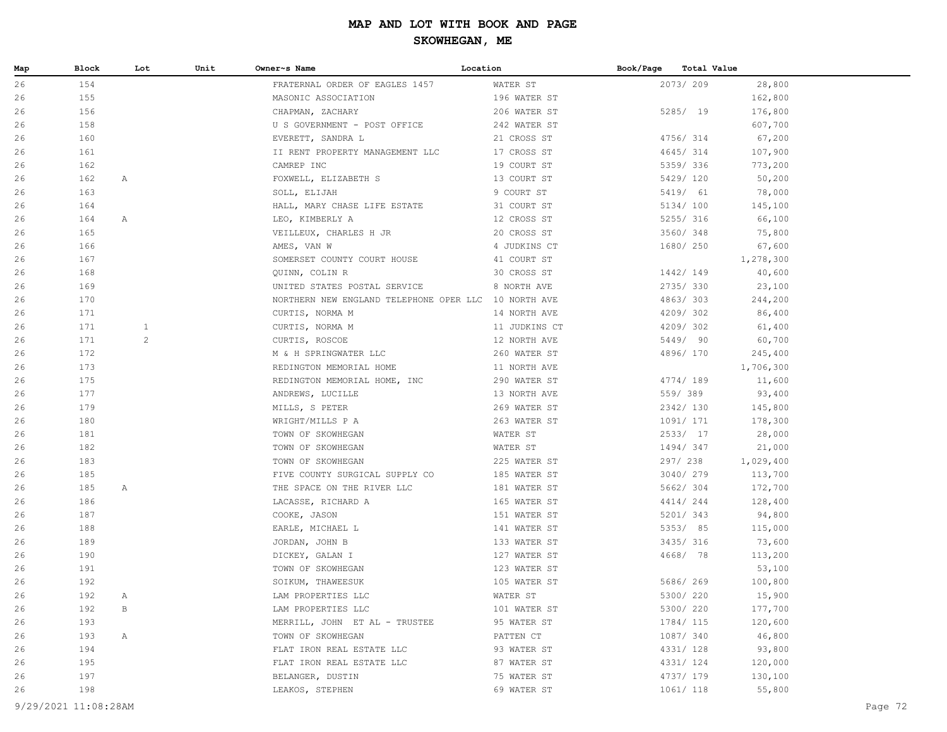| Map | Block | Lot          | Unit | Owner~s Name                                         | Location      | Book/Page | Total Value |           |  |
|-----|-------|--------------|------|------------------------------------------------------|---------------|-----------|-------------|-----------|--|
| 26  | 154   |              |      | FRATERNAL ORDER OF EAGLES 1457                       | WATER ST      |           | 2073/209    | 28,800    |  |
| 26  | 155   |              |      | MASONIC ASSOCIATION                                  | 196 WATER ST  |           |             | 162,800   |  |
| 26  | 156   |              |      | CHAPMAN, ZACHARY                                     | 206 WATER ST  |           | 5285/ 19    | 176,800   |  |
| 26  | 158   |              |      | U S GOVERNMENT - POST OFFICE                         | 242 WATER ST  |           |             | 607,700   |  |
| 26  | 160   |              |      | EVERETT, SANDRA L                                    | 21 CROSS ST   |           | 4756/ 314   | 67,200    |  |
| 26  | 161   |              |      | II RENT PROPERTY MANAGEMENT LLC 17 CROSS ST          |               |           | 4645/314    | 107,900   |  |
| 26  | 162   |              |      | CAMREP INC                                           | 19 COURT ST   |           | 5359/336    | 773,200   |  |
| 26  | 162   | A            |      | FOXWELL, ELIZABETH S 13 COURT ST                     |               |           | 5429/ 120   | 50,200    |  |
| 26  | 163   |              |      | SOLL, ELIJAH                                         | 9 COURT ST    |           | 5419/ 61    | 78,000    |  |
| 26  | 164   |              |      | HALL, MARY CHASE LIFE ESTATE                         | 31 COURT ST   |           | 5134/ 100   | 145,100   |  |
| 26  | 164   | А            |      | LEO, KIMBERLY A                                      | 12 CROSS ST   |           | 5255/ 316   | 66,100    |  |
| 26  | 165   |              |      | VEILLEUX, CHARLES H JR                               | 20 CROSS ST   |           | 3560/348    | 75,800    |  |
| 26  | 166   |              |      | AMES, VAN W                                          | 4 JUDKINS CT  |           | 1680/ 250   | 67,600    |  |
| 26  | 167   |              |      | SOMERSET COUNTY COURT HOUSE                          | 41 COURT ST   |           |             | 1,278,300 |  |
| 26  | 168   |              |      | QUINN, COLIN R                                       | 30 CROSS ST   |           | 1442/149    | 40,600    |  |
| 26  | 169   |              |      | UNITED STATES POSTAL SERVICE                         | 8 NORTH AVE   |           | 2735/330    | 23,100    |  |
| 26  | 170   |              |      | NORTHERN NEW ENGLAND TELEPHONE OPER LLC 10 NORTH AVE |               |           | 4863/303    | 244,200   |  |
| 26  | 171   |              |      | CURTIS, NORMA M                                      | 14 NORTH AVE  |           | 4209/302    | 86,400    |  |
| 26  | 171   | $\mathbf{1}$ |      | CURTIS, NORMA M                                      | 11 JUDKINS CT |           | 4209/302    | 61,400    |  |
| 26  | 171   | 2            |      | CURTIS, ROSCOE                                       | 12 NORTH AVE  |           | 5449/ 90    | 60,700    |  |
| 26  | 172   |              |      | M & H SPRINGWATER LLC                                | 260 WATER ST  |           | 4896/170    | 245,400   |  |
| 26  | 173   |              |      | REDINGTON MEMORIAL HOME                              | 11 NORTH AVE  |           |             | 1,706,300 |  |
| 26  | 175   |              |      | REDINGTON MEMORIAL HOME, INC                         | 290 WATER ST  |           | 4774/ 189   | 11,600    |  |
| 26  | 177   |              |      | ANDREWS, LUCILLE                                     | 13 NORTH AVE  |           | 559/389     | 93,400    |  |
| 26  | 179   |              |      | MILLS, S PETER                                       | 269 WATER ST  |           | 2342/ 130   | 145,800   |  |
| 26  | 180   |              |      | WRIGHT/MILLS P A                                     | 263 WATER ST  |           | 1091/ 171   | 178,300   |  |
| 26  | 181   |              |      | TOWN OF SKOWHEGAN                                    | WATER ST      |           | 2533/ 17    | 28,000    |  |
| 26  | 182   |              |      | TOWN OF SKOWHEGAN                                    | WATER ST      |           | 1494/347    | 21,000    |  |
| 26  | 183   |              |      | TOWN OF SKOWHEGAN                                    | 225 WATER ST  |           | 297/ 238    | 1,029,400 |  |
| 26  | 185   |              |      | FIVE COUNTY SURGICAL SUPPLY CO 185 WATER ST          |               |           | 3040/279    | 113,700   |  |
| 26  | 185   | Α            |      | THE SPACE ON THE RIVER LLC                           | 181 WATER ST  |           | 5662/304    | 172,700   |  |
| 26  | 186   |              |      | LACASSE, RICHARD A                                   | 165 WATER ST  |           | 4414/244    | 128,400   |  |
| 26  | 187   |              |      | COOKE, JASON                                         | 151 WATER ST  |           | 5201/343    | 94,800    |  |
| 26  | 188   |              |      | EARLE, MICHAEL L                                     | 141 WATER ST  |           | 5353/85     | 115,000   |  |
| 26  | 189   |              |      | JORDAN, JOHN B                                       | 133 WATER ST  |           | 3435/ 316   | 73,600    |  |
| 26  | 190   |              |      | DICKEY, GALAN I                                      | 127 WATER ST  |           | 4668/ 78    | 113,200   |  |
| 26  | 191   |              |      | TOWN OF SKOWHEGAN                                    | 123 WATER ST  |           |             | 53,100    |  |
| 26  | 192   |              |      | SOIKUM, THAWEESUK                                    | 105 WATER ST  |           | 5686/ 269   | 100,800   |  |
| 26  | 192   | A            |      | LAM PROPERTIES LLC                                   | WATER ST      |           | 5300/ 220   | 15,900    |  |
| 26  | 192   | В            |      | LAM PROPERTIES LLC                                   | 101 WATER ST  |           | 5300/ 220   | 177,700   |  |
| 26  | 193   |              |      | MERRILL, JOHN ET AL - TRUSTEE                        | 95 WATER ST   |           | 1784/ 115   | 120,600   |  |
| 26  | 193   | $\mathbb{A}$ |      | TOWN OF SKOWHEGAN                                    | PATTEN CT     |           | 1087/ 340   | 46,800    |  |
| 26  | 194   |              |      | FLAT IRON REAL ESTATE LLC                            | 93 WATER ST   |           | 4331/ 128   | 93,800    |  |
| 26  | 195   |              |      | FLAT IRON REAL ESTATE LLC                            | 87 WATER ST   |           | 4331/ 124   | 120,000   |  |
| 26  | 197   |              |      | BELANGER, DUSTIN                                     | 75 WATER ST   |           | 4737/ 179   | 130,100   |  |
| 26  | 198   |              |      | LEAKOS, STEPHEN                                      | 69 WATER ST   |           | 1061/ 118   | 55,800    |  |
|     |       |              |      |                                                      |               |           |             |           |  |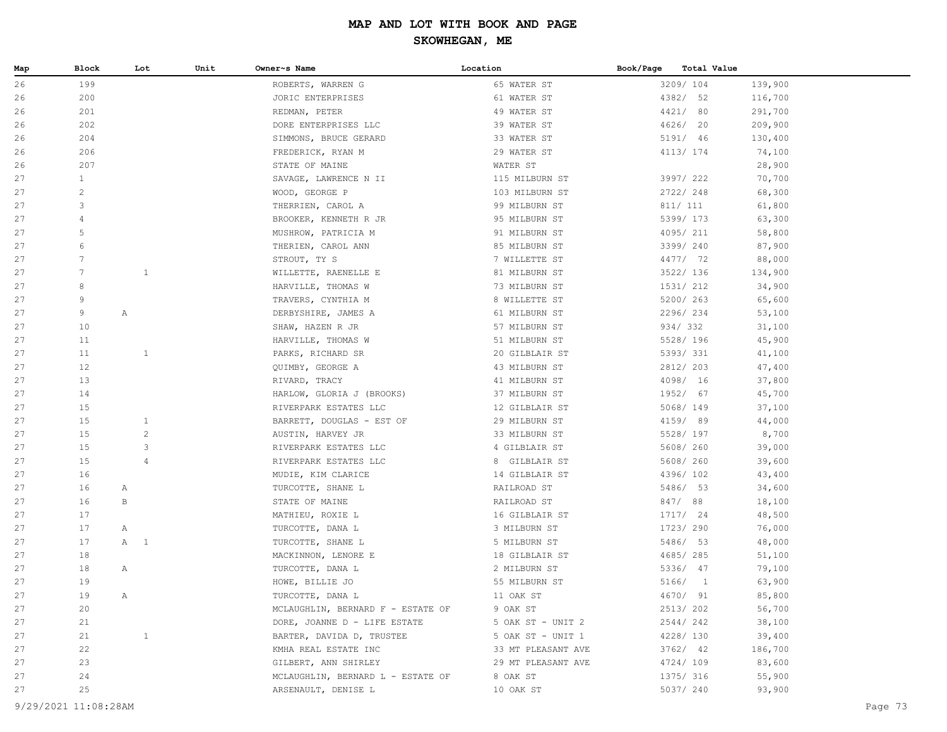| Map | <b>Block</b>    |              | Lot            | Unit | Owner~s Name                      | Location           | Book/Page | Total Value |         |
|-----|-----------------|--------------|----------------|------|-----------------------------------|--------------------|-----------|-------------|---------|
| 26  | 199             |              |                |      | ROBERTS, WARREN G                 | 65 WATER ST        |           | 3209/104    | 139,900 |
| 26  | 200             |              |                |      | JORIC ENTERPRISES                 | 61 WATER ST        |           | 4382/ 52    | 116,700 |
| 26  | 201             |              |                |      | REDMAN, PETER                     | 49 WATER ST        |           | 4421/ 80    | 291,700 |
| 26  | 202             |              |                |      | DORE ENTERPRISES LLC              | 39 WATER ST        |           | 4626/ 20    | 209,900 |
| 26  | 204             |              |                |      | SIMMONS, BRUCE GERARD             | 33 WATER ST        |           | 5191/ 46    | 130,400 |
| 26  | 206             |              |                |      | FREDERICK, RYAN M                 | 29 WATER ST        |           | 4113/ 174   | 74,100  |
| 26  | 207             |              |                |      | STATE OF MAINE                    | WATER ST           |           |             | 28,900  |
| 27  | $\mathbf{1}$    |              |                |      | SAVAGE, LAWRENCE N II             | 115 MILBURN ST     |           | 3997/ 222   | 70,700  |
| 27  | 2               |              |                |      | WOOD, GEORGE P                    | 103 MILBURN ST     |           | 2722/248    | 68,300  |
| 27  | 3               |              |                |      | THERRIEN, CAROL A                 | 99 MILBURN ST      |           | 811/ 111    | 61,800  |
| 27  | $\overline{4}$  |              |                |      | BROOKER, KENNETH R JR             | 95 MILBURN ST      |           | 5399/ 173   | 63,300  |
| 27  | 5               |              |                |      | MUSHROW, PATRICIA M               | 91 MILBURN ST      |           | 4095/211    | 58,800  |
| 27  | 6               |              |                |      | THERIEN, CAROL ANN                | 85 MILBURN ST      |           | 3399/240    | 87,900  |
| 27  | 7               |              |                |      | STROUT, TY S                      | 7 WILLETTE ST      |           | 4477/ 72    | 88,000  |
| 27  | $7\phantom{.0}$ |              | $\mathbf{1}$   |      | WILLETTE, RAENELLE E              | 81 MILBURN ST      |           | 3522/ 136   | 134,900 |
| 27  | 8               |              |                |      | HARVILLE, THOMAS W                | 73 MILBURN ST      |           | 1531/ 212   | 34,900  |
| 27  | 9               |              |                |      | TRAVERS, CYNTHIA M                | 8 WILLETTE ST      |           | 5200/ 263   | 65,600  |
| 27  | 9               | $\mathbb{A}$ |                |      | DERBYSHIRE, JAMES A               | 61 MILBURN ST      |           | 2296/234    | 53,100  |
| 27  | 10              |              |                |      | SHAW, HAZEN R JR                  | 57 MILBURN ST      |           | 934/332     | 31,100  |
| 27  | 11              |              |                |      | HARVILLE, THOMAS W                | 51 MILBURN ST      |           | 5528/ 196   | 45,900  |
| 27  | 11              |              | $\mathbf{1}$   |      | PARKS, RICHARD SR                 | 20 GILBLAIR ST     |           | 5393/331    | 41,100  |
| 27  | 12              |              |                |      | QUIMBY, GEORGE A                  | 43 MILBURN ST      |           | 2812/ 203   | 47,400  |
| 27  | 13              |              |                |      | RIVARD, TRACY                     | 41 MILBURN ST      |           | 4098/ 16    | 37,800  |
| 27  | 14              |              |                |      | HARLOW, GLORIA J (BROOKS)         | 37 MILBURN ST      |           | 1952/ 67    | 45,700  |
| 27  | 15              |              |                |      | RIVERPARK ESTATES LLC             | 12 GILBLAIR ST     |           | 5068/ 149   | 37,100  |
| 27  | 15              |              | $\mathbf{1}$   |      | BARRETT, DOUGLAS - EST OF         | 29 MILBURN ST      |           | 4159/ 89    | 44,000  |
| 27  | 15              |              | $\overline{c}$ |      | AUSTIN, HARVEY JR                 | 33 MILBURN ST      |           | 5528/ 197   | 8,700   |
| 27  | 15              |              | 3              |      | RIVERPARK ESTATES LLC             | 4 GILBLAIR ST      |           | 5608/ 260   | 39,000  |
| 27  | 15              |              | $\overline{4}$ |      | RIVERPARK ESTATES LLC             | 8 GILBLAIR ST      |           | 5608/ 260   | 39,600  |
| 27  | 16              |              |                |      | MUDIE, KIM CLARICE                | 14 GILBLAIR ST     |           | 4396/102    | 43,400  |
| 27  | 16              | Α            |                |      | TURCOTTE, SHANE L                 | RAILROAD ST        |           | 5486/ 53    | 34,600  |
| 27  | 16              | B            |                |      | STATE OF MAINE                    | RAILROAD ST        |           | 847/88      | 18,100  |
| 27  | 17              |              |                |      | MATHIEU, ROXIE L                  | 16 GILBLAIR ST     |           | 1717/ 24    | 48,500  |
| 27  | 17              | $\mathbb{A}$ |                |      | TURCOTTE, DANA L                  | 3 MILBURN ST       |           | 1723/ 290   | 76,000  |
| 27  | 17              | A 1          |                |      | TURCOTTE, SHANE L                 | 5 MILBURN ST       |           | 5486/ 53    | 48,000  |
| 27  | 18              |              |                |      | MACKINNON, LENORE E               | 18 GILBLAIR ST     |           | 4685/285    | 51,100  |
| 27  | 18              | Α            |                |      | TURCOTTE, DANA L                  | 2 MILBURN ST       |           | 5336/ 47    | 79,100  |
| 27  | 19              |              |                |      | HOWE, BILLIE JO                   | 55 MILBURN ST      |           | 5166/1      | 63,900  |
| 27  | 19              | Α            |                |      | TURCOTTE, DANA L                  | 11 OAK ST          |           | 4670/ 91    | 85,800  |
| 27  | 20              |              |                |      | MCLAUGHLIN, BERNARD F - ESTATE OF | 9 OAK ST           |           | 2513/202    | 56,700  |
| 27  | 21              |              |                |      | DORE, JOANNE D - LIFE ESTATE      | 5 OAK ST - UNIT 2  |           | 2544/242    | 38,100  |
| 27  | 21              |              | $\mathbf{1}$   |      | BARTER, DAVIDA D, TRUSTEE         | 5 OAK ST - UNIT 1  |           | 4228/ 130   | 39,400  |
| 27  | 22              |              |                |      | KMHA REAL ESTATE INC              | 33 MT PLEASANT AVE |           | $3762/$ 42  | 186,700 |
| 27  | 23              |              |                |      | GILBERT, ANN SHIRLEY              | 29 MT PLEASANT AVE |           | 4724/ 109   | 83,600  |
| 27  | 24              |              |                |      | MCLAUGHLIN, BERNARD L - ESTATE OF | 8 OAK ST           |           | 1375/ 316   | 55,900  |
| 27  | 25              |              |                |      | ARSENAULT, DENISE L               | 10 OAK ST          |           | 5037/ 240   | 93,900  |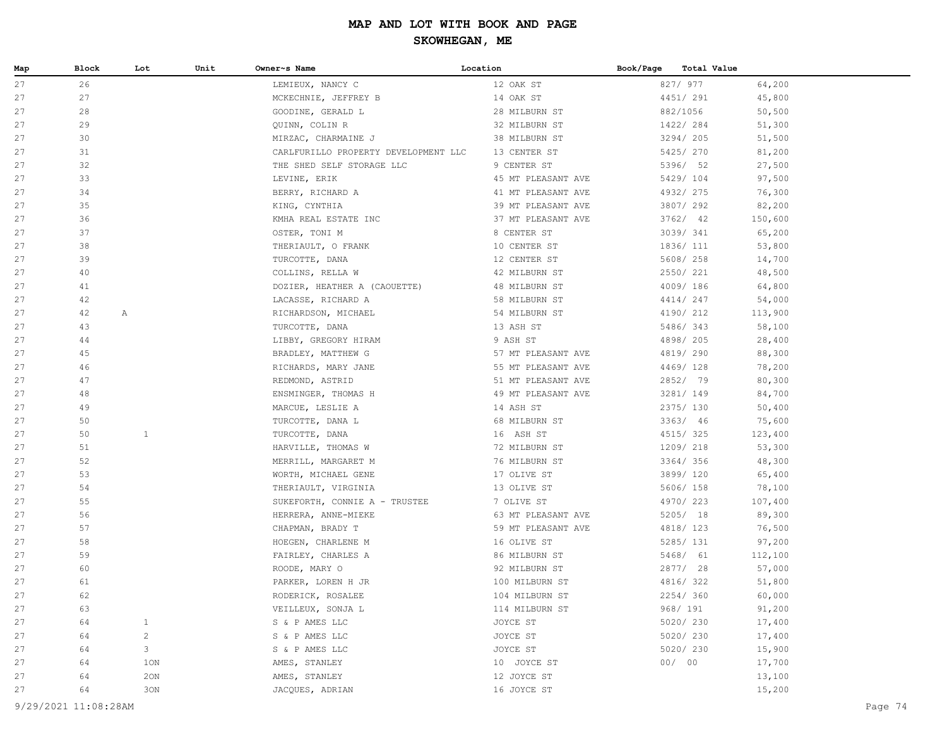### **SKOWHEGAN, ME**

| Map      | Block    | Lot          | Unit | Owner~s Name                           | Location                         | Book/Page<br>Total Value |                  |
|----------|----------|--------------|------|----------------------------------------|----------------------------------|--------------------------|------------------|
| 27       | 26       |              |      | LEMIEUX, NANCY C                       | 12 OAK ST                        | 827/ 977                 | 64,200           |
| 27       | 27       |              |      | MCKECHNIE, JEFFREY B                   | 14 OAK ST                        | 4451/291                 | 45,800           |
| 27       | 28       |              |      | GOODINE, GERALD L                      | 28 MILBURN ST                    | 882/1056                 | 50,500           |
| 27       | 29       |              |      | QUINN, COLIN R                         | 32 MILBURN ST                    | 1422/284                 | 51,300           |
| 27       | 30       |              |      | MIRZAC, CHARMAINE J                    | 38 MILBURN ST                    | 3294/ 205                | 51,500           |
| 27       | 31       |              |      | CARLFURILLO PROPERTY DEVELOPMENT LLC   | 13 CENTER ST                     | 5425/ 270                | 81,200           |
| 27       | 32       |              |      | THE SHED SELF STORAGE LLC              | 9 CENTER ST                      | 5396/ 52                 | 27,500           |
| 27       | 33       |              |      | LEVINE, ERIK                           | 45 MT PLEASANT AVE               | 5429/ 104                | 97,500           |
| 27       | 34       |              |      | BERRY, RICHARD A                       | 41 MT PLEASANT AVE               | 4932/ 275                | 76,300           |
| 27       | 35       |              |      | KING, CYNTHIA                          | 39 MT PLEASANT AVE               | 3807/292                 | 82,200           |
| 27       | 36       |              |      | KMHA REAL ESTATE INC                   | 37 MT PLEASANT AVE               | 3762/ 42                 | 150,600          |
| 27       | 37       |              |      | OSTER, TONI M                          | 8 CENTER ST                      | 3039/341                 | 65,200           |
| 27       | 38       |              |      | THERIAULT, O FRANK                     | 10 CENTER ST                     | 1836/ 111                | 53,800           |
| 27       | 39       |              |      | TURCOTTE, DANA                         | 12 CENTER ST                     | 5608/ 258                | 14,700           |
| 27       | 40       |              |      | COLLINS, RELLA W                       | 42 MILBURN ST                    | 2550/ 221                | 48,500           |
| 27       | 41       |              |      | DOZIER, HEATHER A (CAOUETTE)           | 48 MILBURN ST                    | 4009/186                 | 64,800           |
| 27       | 42       |              |      | LACASSE, RICHARD A                     | 58 MILBURN ST                    | 4414/247                 | 54,000           |
| 27       | 42       | Α            |      | RICHARDSON, MICHAEL                    | 54 MILBURN ST                    | 4190/ 212                | 113,900          |
| 27       | 43       |              |      | TURCOTTE, DANA                         | 13 ASH ST                        | 5486/343                 | 58,100           |
| 27       | 44       |              |      | LIBBY, GREGORY HIRAM                   | 9 ASH ST                         | 4898/ 205                | 28,400           |
| 27       | 45       |              |      | BRADLEY, MATTHEW G                     | 57 MT PLEASANT AVE               | 4819/290                 | 88,300           |
| 27       | 46       |              |      | RICHARDS, MARY JANE                    | 55 MT PLEASANT AVE               | 4469/128                 | 78,200           |
| 27       | 47       |              |      | REDMOND, ASTRID                        | 51 MT PLEASANT AVE               | 2852/ 79                 | 80,300           |
| 27       | 48       |              |      | ENSMINGER, THOMAS H                    | 49 MT PLEASANT AVE               | 3281/ 149                | 84,700           |
| 27       | 49       |              |      | MARCUE, LESLIE A                       | 14 ASH ST                        | 2375/ 130                | 50,400           |
| 27       | 50       |              |      | TURCOTTE, DANA L                       | 68 MILBURN ST                    | 3363/ 46                 | 75,600           |
| 27       | 50       | $\mathbf{1}$ |      | TURCOTTE, DANA                         | 16 ASH ST                        | 4515/325                 | 123,400          |
| 27       | 51       |              |      | HARVILLE, THOMAS W                     | 72 MILBURN ST                    | 1209/218                 | 53,300           |
| 27       | 52       |              |      | MERRILL, MARGARET M                    | 76 MILBURN ST                    | 3364/356                 | 48,300           |
| 27       | 53       |              |      | WORTH, MICHAEL GENE                    | 17 OLIVE ST                      | 3899/ 120                | 65,400           |
| 27       | 54<br>55 |              |      | THERIAULT, VIRGINIA                    | 13 OLIVE ST                      | 5606/ 158                | 78,100           |
| 27<br>27 | 56       |              |      | SUKEFORTH, CONNIE A - TRUSTEE          | 7 OLIVE ST<br>63 MT PLEASANT AVE | 4970/223                 | 107,400          |
| 27       | 57       |              |      | HERRERA, ANNE-MIEKE                    | 59 MT PLEASANT AVE               | 5205/ 18<br>4818/ 123    | 89,300           |
| 27       | 58       |              |      | CHAPMAN, BRADY T<br>HOEGEN, CHARLENE M | 16 OLIVE ST                      | 5285/ 131                | 76,500<br>97,200 |
| 27       | 59       |              |      | FAIRLEY, CHARLES A                     | 86 MILBURN ST                    | 5468/ 61                 | 112,100          |
| 27       | 60       |              |      | ROODE, MARY O                          | 92 MILBURN ST                    | 2877/ 28                 | 57,000           |
| 27       | 61       |              |      | PARKER, LOREN H JR                     | 100 MILBURN ST                   | 4816/322                 | 51,800           |
| 27       | 62       |              |      | RODERICK, ROSALEE                      | 104 MILBURN ST                   | 2254/360                 | 60,000           |
| 27       | 63       |              |      | VEILLEUX, SONJA L                      | 114 MILBURN ST                   | 968/ 191                 | 91,200           |
| 27       | 64       | $\mathbf{1}$ |      | S & P AMES LLC                         | JOYCE ST                         | 5020/230                 | 17,400           |
| 27       | 64       | $\sqrt{2}$   |      | S & P AMES LLC                         | JOYCE ST                         | 5020/230                 | 17,400           |
| 27       | 64       | 3            |      | S & P AMES LLC                         | JOYCE ST                         | 5020/ 230                | 15,900           |
| 27       | 64       | 1ON          |      | AMES, STANLEY                          | 10 JOYCE ST                      | 00/00                    | 17,700           |
| 27       | 64       | 20N          |      | AMES, STANLEY                          | 12 JOYCE ST                      |                          | 13,100           |
| 27       | 64       | 30N          |      | JACQUES, ADRIAN                        | 16 JOYCE ST                      |                          | 15,200           |
|          |          |              |      |                                        |                                  |                          |                  |

9/29/2021 11:08:28AM Page 74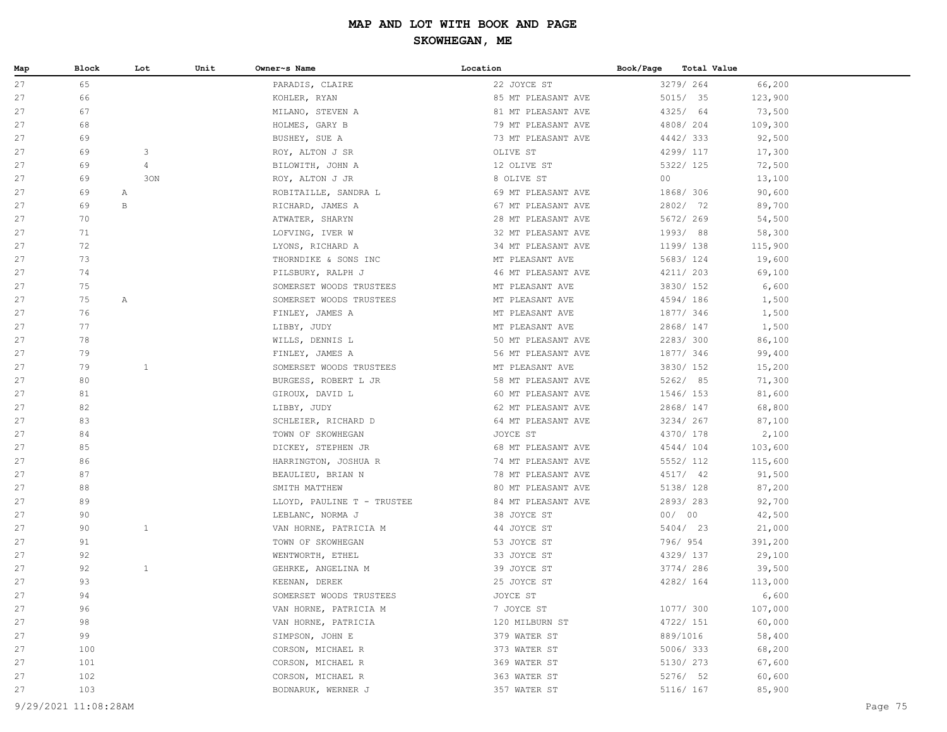| Map | Block                | Lot            | Unit | Owner~s Name               | Location           | Book/Page | Total Value |         |         |
|-----|----------------------|----------------|------|----------------------------|--------------------|-----------|-------------|---------|---------|
| 27  | 65                   |                |      | PARADIS, CLAIRE            | 22 JOYCE ST        |           | 3279/264    | 66,200  |         |
| 27  | 66                   |                |      | KOHLER, RYAN               | 85 MT PLEASANT AVE |           | 5015/ 35    | 123,900 |         |
| 27  | 67                   |                |      | MILANO, STEVEN A           | 81 MT PLEASANT AVE |           | 4325/ 64    | 73,500  |         |
| 27  | 68                   |                |      | HOLMES, GARY B             | 79 MT PLEASANT AVE |           | 4808/204    | 109,300 |         |
| 27  | 69                   |                |      | BUSHEY, SUE A              | 73 MT PLEASANT AVE |           | 4442/333    | 92,500  |         |
| 27  | 69                   | 3              |      | ROY, ALTON J SR            | OLIVE ST           |           | 4299/ 117   | 17,300  |         |
| 27  | 69                   | $\overline{4}$ |      | BILOWITH, JOHN A           | 12 OLIVE ST        |           | 5322/ 125   | 72,500  |         |
| 27  | 69                   | 30N            |      | ROY, ALTON J JR            | 8 OLIVE ST         | 00        |             | 13,100  |         |
| 27  | 69                   | $\mathbb{A}$   |      | ROBITAILLE, SANDRA L       | 69 MT PLEASANT AVE |           | 1868/ 306   | 90,600  |         |
| 27  | 69                   | B              |      | RICHARD, JAMES A           | 67 MT PLEASANT AVE |           | 2802/ 72    | 89,700  |         |
| 27  | 70                   |                |      | ATWATER, SHARYN            | 28 MT PLEASANT AVE |           | 5672/ 269   | 54,500  |         |
| 27  | 71                   |                |      | LOFVING, IVER W            | 32 MT PLEASANT AVE |           | 1993/88     | 58,300  |         |
| 27  | 72                   |                |      | LYONS, RICHARD A           | 34 MT PLEASANT AVE |           | 1199/138    | 115,900 |         |
| 27  | 73                   |                |      | THORNDIKE & SONS INC       | MT PLEASANT AVE    |           | 5683/ 124   | 19,600  |         |
| 27  | 74                   |                |      | PILSBURY, RALPH J          | 46 MT PLEASANT AVE |           | 4211/ 203   | 69,100  |         |
| 27  | 75                   |                |      | SOMERSET WOODS TRUSTEES    | MT PLEASANT AVE    |           | 3830/ 152   | 6,600   |         |
| 27  | 75                   | $\mathbb{A}$   |      | SOMERSET WOODS TRUSTEES    | MT PLEASANT AVE    |           | 4594/186    | 1,500   |         |
| 27  | 76                   |                |      | FINLEY, JAMES A            | MT PLEASANT AVE    |           | 1877/ 346   | 1,500   |         |
| 27  | 77                   |                |      | LIBBY, JUDY                | MT PLEASANT AVE    |           | 2868/ 147   | 1,500   |         |
| 27  | 78                   |                |      | WILLS, DENNIS L            | 50 MT PLEASANT AVE |           | 2283/300    | 86,100  |         |
| 27  | 79                   |                |      | FINLEY, JAMES A            | 56 MT PLEASANT AVE |           | 1877/ 346   | 99,400  |         |
| 27  | 79                   | $\mathbf{1}$   |      | SOMERSET WOODS TRUSTEES    | MT PLEASANT AVE    |           | 3830/ 152   | 15,200  |         |
| 27  | 80                   |                |      | BURGESS, ROBERT L JR       | 58 MT PLEASANT AVE |           | 5262/ 85    | 71,300  |         |
| 27  | 81                   |                |      | GIROUX, DAVID L            | 60 MT PLEASANT AVE |           | 1546/ 153   | 81,600  |         |
| 27  | 82                   |                |      | LIBBY, JUDY                | 62 MT PLEASANT AVE |           | 2868/ 147   | 68,800  |         |
| 27  | 83                   |                |      | SCHLEIER, RICHARD D        | 64 MT PLEASANT AVE |           | 3234/ 267   | 87,100  |         |
| 27  | 84                   |                |      | TOWN OF SKOWHEGAN          | JOYCE ST           |           | 4370/ 178   | 2,100   |         |
| 27  | 85                   |                |      | DICKEY, STEPHEN JR         | 68 MT PLEASANT AVE |           | 4544/104    | 103,600 |         |
| 27  | 86                   |                |      | HARRINGTON, JOSHUA R       | 74 MT PLEASANT AVE |           | 5552/ 112   | 115,600 |         |
| 27  | 87                   |                |      | BEAULIEU, BRIAN N          | 78 MT PLEASANT AVE |           | 4517/ 42    | 91,500  |         |
| 27  | 88                   |                |      | SMITH MATTHEW              | 80 MT PLEASANT AVE |           | 5138/ 128   | 87,200  |         |
| 27  | 89                   |                |      | LLOYD, PAULINE T - TRUSTEE | 84 MT PLEASANT AVE |           | 2893/283    | 92,700  |         |
| 27  | 90                   |                |      | LEBLANC, NORMA J           | 38 JOYCE ST        |           | 00/00       | 42,500  |         |
| 27  | 90                   | $\mathbf{1}$   |      | VAN HORNE, PATRICIA M      | 44 JOYCE ST        |           | 5404/ 23    | 21,000  |         |
| 27  | 91                   |                |      | TOWN OF SKOWHEGAN          | 53 JOYCE ST        |           | 796/ 954    | 391,200 |         |
| 27  | 92                   |                |      | WENTWORTH, ETHEL           | 33 JOYCE ST        |           | 4329/ 137   | 29,100  |         |
| 27  | 92                   | $\mathbf{1}$   |      | GEHRKE, ANGELINA M         | 39 JOYCE ST        |           | 3774/286    | 39,500  |         |
| 27  | 93                   |                |      | KEENAN, DEREK              | 25 JOYCE ST        |           | 4282/ 164   | 113,000 |         |
| 27  | 94                   |                |      | SOMERSET WOODS TRUSTEES    | JOYCE ST           |           |             | 6,600   |         |
| 27  | 96                   |                |      | VAN HORNE, PATRICIA M      | 7 JOYCE ST         |           | 1077/ 300   | 107,000 |         |
| 27  | 98                   |                |      | VAN HORNE, PATRICIA        | 120 MILBURN ST     |           | 4722/ 151   | 60,000  |         |
| 27  | 99                   |                |      | SIMPSON, JOHN E            | 379 WATER ST       |           | 889/1016    | 58,400  |         |
| 27  | 100                  |                |      | CORSON, MICHAEL R          | 373 WATER ST       |           | 5006/333    | 68,200  |         |
| 27  | 101                  |                |      | CORSON, MICHAEL R          | 369 WATER ST       |           | 5130/ 273   | 67,600  |         |
| 27  | 102                  |                |      | CORSON, MICHAEL R          | 363 WATER ST       |           | 5276/ 52    | 60,600  |         |
| 27  | 103                  |                |      | BODNARUK, WERNER J         | 357 WATER ST       |           | 5116/ 167   | 85,900  |         |
|     | 9/29/2021 11:08:28AM |                |      |                            |                    |           |             |         |         |
|     |                      |                |      |                            |                    |           |             |         | Page 75 |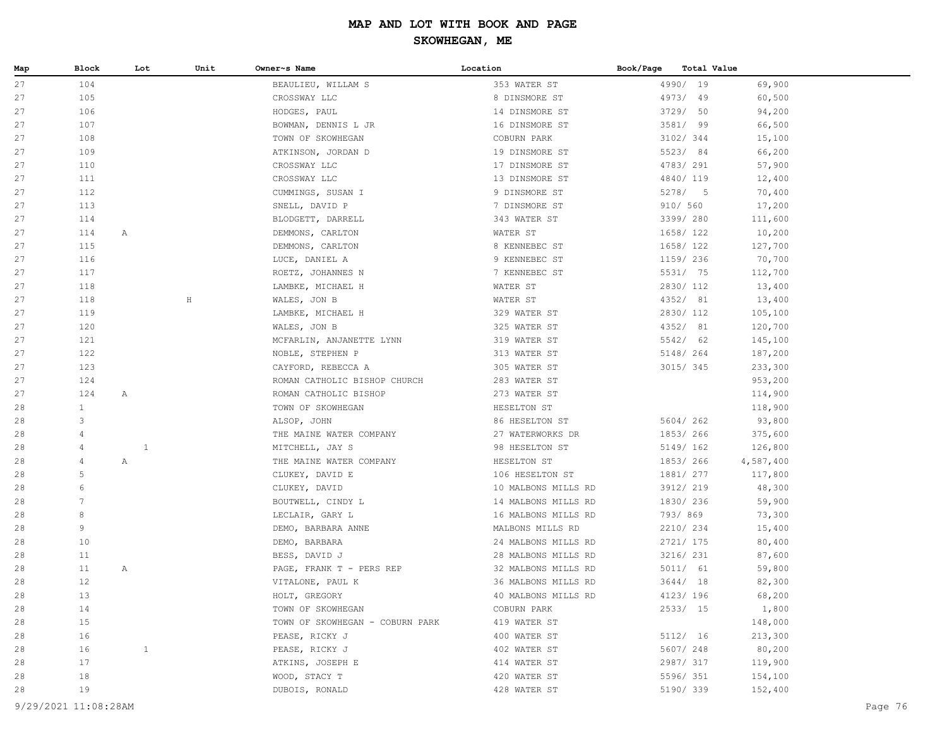| Map                  | <b>Block</b>    | Lot          | Unit    | Owner~s Name                    | Location            | Book/Page | Total Value |           |
|----------------------|-----------------|--------------|---------|---------------------------------|---------------------|-----------|-------------|-----------|
| 27                   | 104             |              |         | BEAULIEU, WILLAM S              | 353 WATER ST        |           | 4990/ 19    | 69,900    |
| 27                   | 105             |              |         | CROSSWAY LLC                    | 8 DINSMORE ST       |           | 4973/ 49    | 60,500    |
| 27                   | 106             |              |         | HODGES, PAUL                    | 14 DINSMORE ST      |           | 3729/ 50    | 94,200    |
| 27                   | 107             |              |         | BOWMAN, DENNIS L JR             | 16 DINSMORE ST      |           | 3581/ 99    | 66,500    |
| 27                   | 108             |              |         | TOWN OF SKOWHEGAN               | COBURN PARK         |           | 3102/ 344   | 15,100    |
| 27                   | 109             |              |         | ATKINSON, JORDAN D              | 19 DINSMORE ST      |           | 5523/84     | 66,200    |
| 27                   | 110             |              |         | CROSSWAY LLC                    | 17 DINSMORE ST      |           | 4783/ 291   | 57,900    |
| 27                   | 111             |              |         | CROSSWAY LLC                    | 13 DINSMORE ST      |           | 4840/ 119   | 12,400    |
| 27                   | 112             |              |         | CUMMINGS, SUSAN I               | 9 DINSMORE ST       |           | 5278/5      | 70,400    |
| 27                   | 113             |              |         | SNELL, DAVID P                  | 7 DINSMORE ST       | 910/ 560  |             | 17,200    |
| 27                   | 114             |              |         | BLODGETT, DARRELL               | 343 WATER ST        |           | 3399/ 280   | 111,600   |
| 27                   | 114             | $\mathbb{A}$ |         | DEMMONS, CARLTON                | WATER ST            |           | 1658/ 122   | 10,200    |
| 27                   | 115             |              |         | DEMMONS, CARLTON                | 8 KENNEBEC ST       |           | 1658/ 122   | 127,700   |
| 27                   | 116             |              |         | LUCE, DANIEL A                  | 9 KENNEBEC ST       |           | 1159/ 236   | 70,700    |
| 27                   | 117             |              |         | ROETZ, JOHANNES N               | 7 KENNEBEC ST       |           | 5531/ 75    | 112,700   |
| 27                   | 118             |              |         | LAMBKE, MICHAEL H               | WATER ST            |           | 2830/ 112   | 13,400    |
| 27                   | 118             |              | $\rm H$ | WALES, JON B                    | WATER ST            |           | 4352/ 81    | 13,400    |
| 27                   | 119             |              |         | LAMBKE, MICHAEL H               | 329 WATER ST        |           | 2830/ 112   | 105,100   |
| 27                   | 120             |              |         | WALES, JON B                    | 325 WATER ST        |           | 4352/ 81    | 120,700   |
| 27                   | 121             |              |         | MCFARLIN, ANJANETTE LYNN        | 319 WATER ST        |           | 5542/ 62    | 145,100   |
| 27                   | 122             |              |         | NOBLE, STEPHEN P                | 313 WATER ST        |           | 5148/ 264   | 187,200   |
| 27                   | 123             |              |         | CAYFORD, REBECCA A              | 305 WATER ST        |           | 3015/345    | 233,300   |
| 27                   | 124             |              |         | ROMAN CATHOLIC BISHOP CHURCH    | 283 WATER ST        |           |             | 953,200   |
| 27                   | 124             | Α            |         | ROMAN CATHOLIC BISHOP           | 273 WATER ST        |           |             | 114,900   |
| 28                   | $\mathbf{1}$    |              |         | TOWN OF SKOWHEGAN               | HESELTON ST         |           |             | 118,900   |
| 28                   | 3               |              |         | ALSOP, JOHN                     | 86 HESELTON ST      |           | 5604/262    | 93,800    |
| 28                   | $\overline{4}$  |              |         | THE MAINE WATER COMPANY         | 27 WATERWORKS DR    |           | 1853/266    | 375,600   |
| 28                   | $\overline{4}$  | $\mathbf{1}$ |         | MITCHELL, JAY S                 | 98 HESELTON ST      |           | 5149/ 162   | 126,800   |
| 28                   | $\overline{4}$  | $\mathbb{A}$ |         | THE MAINE WATER COMPANY         | HESELTON ST         |           | 1853/266    | 4,587,400 |
| 28                   | 5               |              |         | CLUKEY, DAVID E                 | 106 HESELTON ST     |           | 1881/ 277   | 117,800   |
| 28                   | 6               |              |         | CLUKEY, DAVID                   | 10 MALBONS MILLS RD |           | 3912/ 219   | 48,300    |
| 28                   | $7\phantom{.0}$ |              |         | BOUTWELL, CINDY L               | 14 MALBONS MILLS RD |           | 1830/ 236   | 59,900    |
| 28                   | 8               |              |         | LECLAIR, GARY L                 | 16 MALBONS MILLS RD | 793/869   |             | 73,300    |
| 28                   | 9               |              |         | DEMO, BARBARA ANNE              | MALBONS MILLS RD    |           | 2210/234    | 15,400    |
| 28                   | 10              |              |         | DEMO, BARBARA                   | 24 MALBONS MILLS RD |           | 2721/ 175   | 80,400    |
| 28                   | 11              |              |         | BESS, DAVID J                   | 28 MALBONS MILLS RD |           | 3216/ 231   | 87,600    |
| 28                   | 11              | $\mathbb{A}$ |         | PAGE, FRANK T - PERS REP        | 32 MALBONS MILLS RD |           | 5011/ 61    | 59,800    |
| 28                   | 12              |              |         | VITALONE, PAUL K                | 36 MALBONS MILLS RD |           | 3644/18     | 82,300    |
| 28                   | 13              |              |         | HOLT, GREGORY                   | 40 MALBONS MILLS RD |           | 4123/ 196   | 68,200    |
| 28                   | 14              |              |         | TOWN OF SKOWHEGAN               | COBURN PARK         |           | 2533/15     | 1,800     |
| 28                   | 15              |              |         | TOWN OF SKOWHEGAN - COBURN PARK | 419 WATER ST        |           |             | 148,000   |
| 28                   | 16              |              |         | PEASE, RICKY J                  | 400 WATER ST        |           | 5112/ 16    | 213,300   |
| 28                   | 16              | $\mathbf{1}$ |         | PEASE, RICKY J                  | 402 WATER ST        |           | 5607/248    | 80,200    |
| 28                   | 17              |              |         | ATKINS, JOSEPH E                | 414 WATER ST        |           | 2987/ 317   | 119,900   |
| 28                   | 18              |              |         | WOOD, STACY T                   | 420 WATER ST        |           | 5596/ 351   | 154,100   |
| 28                   | 19              |              |         | DUBOIS, RONALD                  | 428 WATER ST        |           | 5190/ 339   | 152,400   |
| 9/29/2021 11:08:28AM |                 |              |         |                                 |                     |           |             |           |
|                      |                 |              |         |                                 |                     |           |             | Page 76   |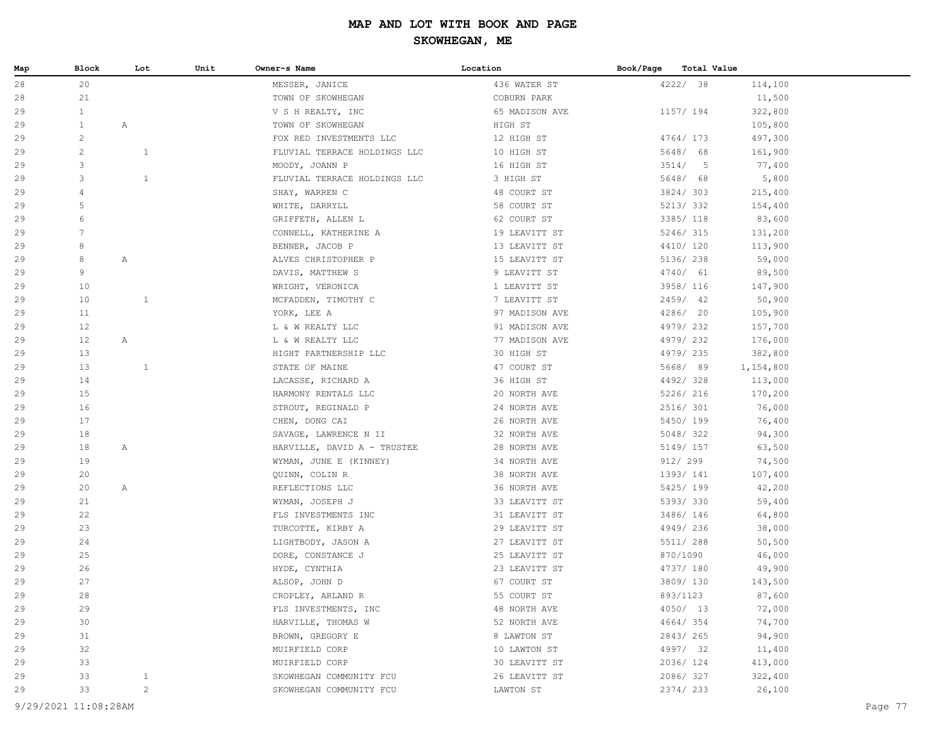| Map | Block          | Lot          | Unit | Owner~s Name                 | Location       | Book/Page | Total Value |           |
|-----|----------------|--------------|------|------------------------------|----------------|-----------|-------------|-----------|
| 28  | 20             |              |      | MESSER, JANICE               | 436 WATER ST   |           | 4222/ 38    | 114,100   |
| 28  | 21             |              |      | TOWN OF SKOWHEGAN            | COBURN PARK    |           |             | 11,500    |
| 29  | $\mathbf{1}$   |              |      | V S H REALTY, INC            | 65 MADISON AVE |           | 1157/ 194   | 322,800   |
| 29  | $\mathbf{1}$   | $\mathbb{A}$ |      | TOWN OF SKOWHEGAN            | HIGH ST        |           |             | 105,800   |
| 29  | $\overline{c}$ |              |      | FOX RED INVESTMENTS LLC      | 12 HIGH ST     |           | 4764/173    | 497,300   |
| 29  | $\overline{c}$ | $\mathbf{1}$ |      | FLUVIAL TERRACE HOLDINGS LLC | 10 HIGH ST     |           | 5648/ 68    | 161,900   |
| 29  | 3              |              |      | MOODY, JOANN P               | 16 HIGH ST     |           | 3514/5      | 77,400    |
| 29  | 3              | $\mathbf{1}$ |      | FLUVIAL TERRACE HOLDINGS LLC | 3 HIGH ST      |           | 5648/ 68    | 5,800     |
| 29  | $\overline{4}$ |              |      | SHAY, WARREN C               | 48 COURT ST    |           | 3824/303    | 215,400   |
| 29  | 5              |              |      | WHITE, DARRYLL               | 58 COURT ST    |           | 5213/332    | 154,400   |
| 29  | 6              |              |      | GRIFFETH, ALLEN L            | 62 COURT ST    |           | 3385/ 118   | 83,600    |
| 29  | 7              |              |      | CONNELL, KATHERINE A         | 19 LEAVITT ST  |           | 5246/315    | 131,200   |
| 29  | 8              |              |      | BENNER, JACOB P              | 13 LEAVITT ST  |           | 4410/ 120   | 113,900   |
| 29  | 8              | $\mathbb{A}$ |      | ALVES CHRISTOPHER P          | 15 LEAVITT ST  |           | 5136/ 238   | 59,000    |
| 29  | 9              |              |      | DAVIS, MATTHEW S             | 9 LEAVITT ST   |           | 4740/ 61    | 89,500    |
| 29  | 10             |              |      | WRIGHT, VERONICA             | 1 LEAVITT ST   |           | 3958/ 116   | 147,900   |
| 29  | 10             | $\mathbf{1}$ |      | MCFADDEN, TIMOTHY C          | 7 LEAVITT ST   |           | 2459/ 42    | 50,900    |
| 29  | 11             |              |      | YORK, LEE A                  | 97 MADISON AVE |           | 4286/ 20    | 105,900   |
| 29  | 12             |              |      | L & W REALTY LLC             | 91 MADISON AVE |           | 4979/232    | 157,700   |
| 29  | 12             | $\mathbb{A}$ |      | L & W REALTY LLC             | 77 MADISON AVE |           | 4979/232    | 176,000   |
| 29  | 13             |              |      | HIGHT PARTNERSHIP LLC        | 30 HIGH ST     |           | 4979/235    | 382,800   |
| 29  | 13             | $\mathbf{1}$ |      | STATE OF MAINE               | 47 COURT ST    |           | 5668/89     | 1,154,800 |
| 29  | 14             |              |      | LACASSE, RICHARD A           | 36 HIGH ST     |           | 4492/328    | 113,000   |
| 29  | 15             |              |      | HARMONY RENTALS LLC          | 20 NORTH AVE   |           | 5226/ 216   | 170,200   |
| 29  | 16             |              |      | STROUT, REGINALD P           | 24 NORTH AVE   |           | 2516/ 301   | 76,000    |
| 29  | 17             |              |      | CHEN, DONG CAI               | 26 NORTH AVE   |           | 5450/ 199   | 76,400    |
| 29  | 18             |              |      | SAVAGE, LAWRENCE N II        | 32 NORTH AVE   |           | 5048/322    | 94,300    |
| 29  | 18             | $\mathbb{A}$ |      | HARVILLE, DAVID A - TRUSTEE  | 28 NORTH AVE   |           | 5149/ 157   | 63,500    |
| 29  | 19             |              |      | WYMAN, JUNE E (KINNEY)       | 34 NORTH AVE   |           | 912/ 299    | 74,500    |
| 29  | 20             |              |      | QUINN, COLIN R               | 38 NORTH AVE   |           | 1393/ 141   | 107,400   |
| 29  | 20             | $\mathbb{A}$ |      | REFLECTIONS LLC              | 36 NORTH AVE   |           | 5425/ 199   | 42,200    |
| 29  | 21             |              |      | WYMAN, JOSEPH J              | 33 LEAVITT ST  |           | 5393/330    | 59,400    |
| 29  | 22             |              |      | FLS INVESTMENTS INC          | 31 LEAVITT ST  |           | 3486/ 146   | 64,800    |
| 29  | 23             |              |      | TURCOTTE, KIRBY A            | 29 LEAVITT ST  |           | 4949/236    | 38,000    |
| 29  | 24             |              |      | LIGHTBODY, JASON A           | 27 LEAVITT ST  |           | 5511/ 288   | 50,500    |
| 29  | 25             |              |      | DORE, CONSTANCE J            | 25 LEAVITT ST  |           | 870/1090    | 46,000    |
| 29  | 26             |              |      | HYDE, CYNTHIA                | 23 LEAVITT ST  |           | 4737/ 180   | 49,900    |
| 29  | 27             |              |      | ALSOP, JOHN D                | 67 COURT ST    |           | 3809/130    | 143,500   |
| 29  | 28             |              |      | CROPLEY, ARLAND R            | 55 COURT ST    |           | 893/1123    | 87,600    |
| 29  | 29             |              |      | FLS INVESTMENTS, INC         | 48 NORTH AVE   |           | 4050/ 13    | 72,000    |
| 29  | 30             |              |      | HARVILLE, THOMAS W           | 52 NORTH AVE   |           | 4664/354    | 74,700    |
| 29  | 31             |              |      | BROWN, GREGORY E             | 8 LAWTON ST    |           | 2843/265    | 94,900    |
| 29  | 32             |              |      | MUIRFIELD CORP               | 10 LAWTON ST   |           | 4997/ 32    | 11,400    |
| 29  | 33             |              |      | MUIRFIELD CORP               | 30 LEAVITT ST  |           | 2036/124    | 413,000   |
| 29  | 33             | $\mathbf{1}$ |      | SKOWHEGAN COMMUNITY FCU      | 26 LEAVITT ST  |           | 2086/327    | 322,400   |
| 29  | 33             | $\mathbf{2}$ |      | SKOWHEGAN COMMUNITY FCU      | LAWTON ST      |           | 2374/ 233   | 26,100    |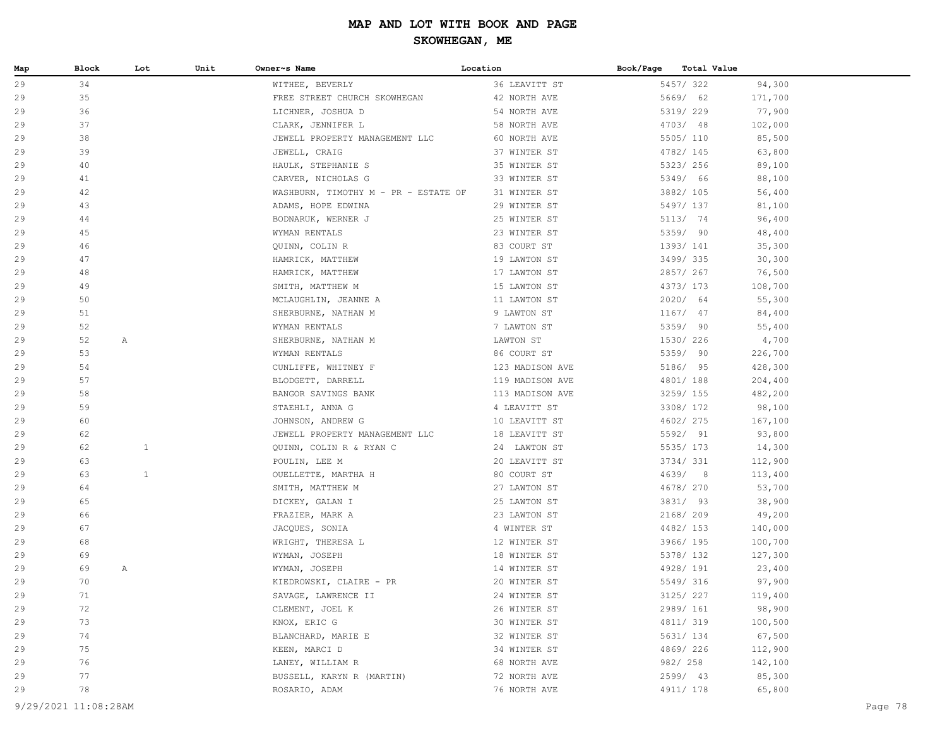| Map | Block | Lot          | Unit | Owner~s Name                         | Location        | Book/Page | Total Value |         |
|-----|-------|--------------|------|--------------------------------------|-----------------|-----------|-------------|---------|
| 29  | 34    |              |      | WITHEE, BEVERLY                      | 36 LEAVITT ST   |           | 5457/322    | 94,300  |
| 29  | 35    |              |      | FREE STREET CHURCH SKOWHEGAN         | 42 NORTH AVE    |           | 5669/ 62    | 171,700 |
| 29  | 36    |              |      | LICHNER, JOSHUA D                    | 54 NORTH AVE    |           | 5319/ 229   | 77,900  |
| 29  | 37    |              |      | CLARK, JENNIFER L                    | 58 NORTH AVE    |           | 4703/48     | 102,000 |
| 29  | 38    |              |      | JEWELL PROPERTY MANAGEMENT LLC       | 60 NORTH AVE    |           | 5505/ 110   | 85,500  |
| 29  | 39    |              |      | JEWELL, CRAIG                        | 37 WINTER ST    |           | 4782/ 145   | 63,800  |
| 29  | 40    |              |      | HAULK, STEPHANIE S                   | 35 WINTER ST    |           | 5323/ 256   | 89,100  |
| 29  | 41    |              |      | CARVER, NICHOLAS G                   | 33 WINTER ST    |           | 5349/ 66    | 88,100  |
| 29  | 42    |              |      | WASHBURN, TIMOTHY M - PR - ESTATE OF | 31 WINTER ST    |           | 3882/ 105   | 56,400  |
| 29  | 43    |              |      | ADAMS, HOPE EDWINA                   | 29 WINTER ST    |           | 5497/ 137   | 81,100  |
| 29  | 44    |              |      | BODNARUK, WERNER J                   | 25 WINTER ST    |           | 5113/ 74    | 96,400  |
| 29  | 45    |              |      | WYMAN RENTALS                        | 23 WINTER ST    |           | 5359/ 90    | 48,400  |
| 29  | 46    |              |      | QUINN, COLIN R                       | 83 COURT ST     |           | 1393/ 141   | 35,300  |
| 29  | 47    |              |      | HAMRICK, MATTHEW                     | 19 LAWTON ST    |           | 3499/335    | 30,300  |
| 29  | 48    |              |      | HAMRICK, MATTHEW                     | 17 LAWTON ST    |           | 2857/267    | 76,500  |
| 29  | 49    |              |      | SMITH, MATTHEW M                     | 15 LAWTON ST    |           | 4373/ 173   | 108,700 |
| 29  | 50    |              |      | MCLAUGHLIN, JEANNE A                 | 11 LAWTON ST    |           | 2020/ 64    | 55,300  |
| 29  | 51    |              |      | SHERBURNE, NATHAN M                  | 9 LAWTON ST     |           | $1167/$ 47  | 84,400  |
| 29  | 52    |              |      | WYMAN RENTALS                        | 7 LAWTON ST     |           | 5359/ 90    | 55,400  |
| 29  | 52    | Α            |      | SHERBURNE, NATHAN M                  | LAWTON ST       |           | 1530/ 226   | 4,700   |
| 29  | 53    |              |      | WYMAN RENTALS                        | 86 COURT ST     |           | 5359/ 90    | 226,700 |
| 29  | 54    |              |      | CUNLIFFE, WHITNEY F                  | 123 MADISON AVE |           | 5186/ 95    | 428,300 |
| 29  | 57    |              |      | BLODGETT, DARRELL                    | 119 MADISON AVE |           | 4801/188    | 204,400 |
| 29  | 58    |              |      | BANGOR SAVINGS BANK                  | 113 MADISON AVE |           | 3259/ 155   | 482,200 |
| 29  | 59    |              |      | STAEHLI, ANNA G                      | 4 LEAVITT ST    |           | 3308/ 172   | 98,100  |
| 29  | 60    |              |      | JOHNSON, ANDREW G                    | 10 LEAVITT ST   |           | 4602/ 275   | 167,100 |
| 29  | 62    |              |      | JEWELL PROPERTY MANAGEMENT LLC       | 18 LEAVITT ST   |           | 5592/ 91    | 93,800  |
| 29  | 62    | $\mathbf{1}$ |      | QUINN, COLIN R & RYAN C              | 24 LAWTON ST    |           | 5535/ 173   | 14,300  |
| 29  | 63    |              |      | POULIN, LEE M                        | 20 LEAVITT ST   |           | 3734/331    | 112,900 |
| 29  | 63    | $\mathbf{1}$ |      | OUELLETTE, MARTHA H                  | 80 COURT ST     |           | 4639/8      | 113,400 |
| 29  | 64    |              |      | SMITH, MATTHEW M                     | 27 LAWTON ST    |           | 4678/ 270   | 53,700  |
| 29  | 65    |              |      | DICKEY, GALAN I                      | 25 LAWTON ST    |           | 3831/ 93    | 38,900  |
| 29  | 66    |              |      | FRAZIER, MARK A                      | 23 LAWTON ST    |           | 2168/ 209   | 49,200  |
| 29  | 67    |              |      | JACQUES, SONIA                       | 4 WINTER ST     |           | 4482/ 153   | 140,000 |
| 29  | 68    |              |      | WRIGHT, THERESA L                    | 12 WINTER ST    |           | 3966/ 195   | 100,700 |
| 29  | 69    |              |      | WYMAN, JOSEPH                        | 18 WINTER ST    |           | 5378/ 132   | 127,300 |
| 29  | 69    | Α            |      | WYMAN, JOSEPH                        | 14 WINTER ST    |           | 4928/191    | 23,400  |
| 29  | 70    |              |      | KIEDROWSKI, CLAIRE - PR              | 20 WINTER ST    |           | 5549/ 316   | 97,900  |
| 29  | 71    |              |      | SAVAGE, LAWRENCE II                  | 24 WINTER ST    |           | 3125/ 227   | 119,400 |
| 29  | 72    |              |      | CLEMENT, JOEL K                      | 26 WINTER ST    |           | 2989/ 161   | 98,900  |
| 29  | 73    |              |      | KNOX, ERIC G                         | 30 WINTER ST    |           | 4811/ 319   | 100,500 |
| 29  | 74    |              |      | BLANCHARD, MARIE E                   | 32 WINTER ST    |           | 5631/ 134   | 67,500  |
| 29  | 75    |              |      | KEEN, MARCI D                        | 34 WINTER ST    |           | 4869/226    | 112,900 |
| 29  | 76    |              |      | LANEY, WILLIAM R                     | 68 NORTH AVE    |           | 982/ 258    | 142,100 |
| 29  | 77    |              |      | BUSSELL, KARYN R (MARTIN)            | 72 NORTH AVE    |           | 2599/ 43    | 85,300  |
| 29  | 78    |              |      | ROSARIO, ADAM                        | 76 NORTH AVE    |           | 4911/ 178   | 65,800  |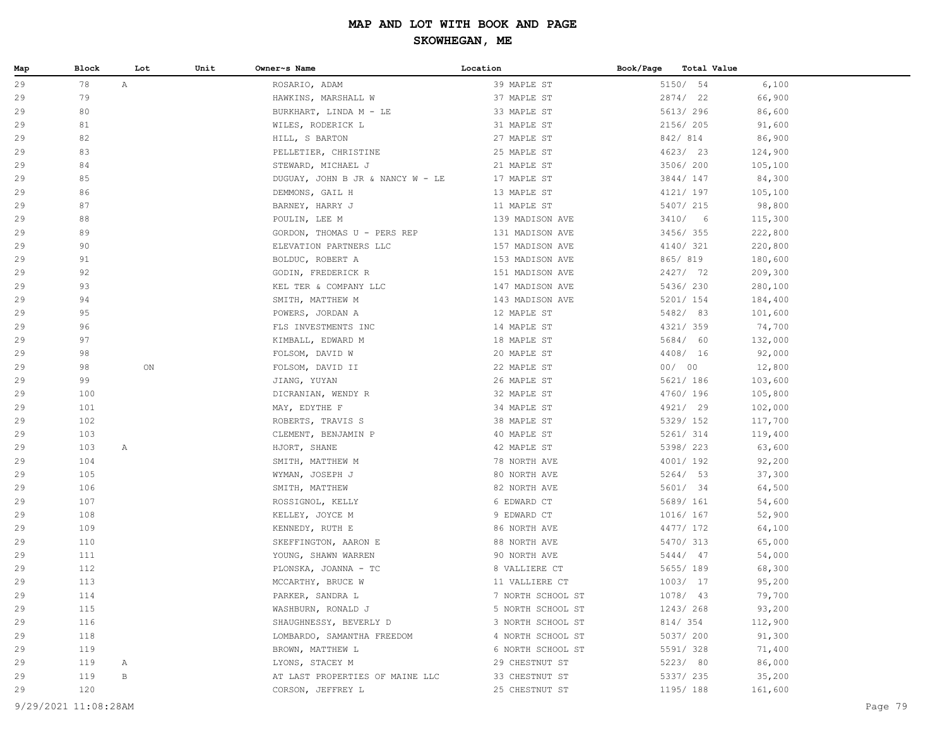| Map | Block                | Lot          | Unit | Owner~s Name                     | Location          | Book/Page<br>Total Value |         |
|-----|----------------------|--------------|------|----------------------------------|-------------------|--------------------------|---------|
| 29  | 78                   | $\mathbb{A}$ |      | ROSARIO, ADAM                    | 39 MAPLE ST       | 5150/ 54                 | 6,100   |
| 29  | 79                   |              |      | HAWKINS, MARSHALL W              | 37 MAPLE ST       | 2874/ 22                 | 66,900  |
| 29  | 80                   |              |      | BURKHART, LINDA M - LE           | 33 MAPLE ST       | 5613/ 296                | 86,600  |
| 29  | 81                   |              |      | WILES, RODERICK L                | 31 MAPLE ST       | 2156/ 205                | 91,600  |
| 29  | 82                   |              |      | HILL, S BARTON                   | 27 MAPLE ST       | 842/814                  | 86,900  |
| 29  | 83                   |              |      | PELLETIER, CHRISTINE             | 25 MAPLE ST       | 4623/23                  | 124,900 |
| 29  | 84                   |              |      | STEWARD, MICHAEL J               | 21 MAPLE ST       | 3506/200                 | 105,100 |
| 29  | 85                   |              |      | DUGUAY, JOHN B JR & NANCY W - LE | 17 MAPLE ST       | 3844/ 147                | 84,300  |
| 29  | 86                   |              |      | DEMMONS, GAIL H                  | 13 MAPLE ST       | 4121/ 197                | 105,100 |
| 29  | 87                   |              |      | BARNEY, HARRY J                  | 11 MAPLE ST       | 5407/ 215                | 98,800  |
| 29  | 88                   |              |      | POULIN, LEE M                    | 139 MADISON AVE   | 3410/6                   | 115,300 |
| 29  | 89                   |              |      | GORDON, THOMAS U - PERS REP      | 131 MADISON AVE   | 3456/355                 | 222,800 |
| 29  | 90                   |              |      | ELEVATION PARTNERS LLC           | 157 MADISON AVE   | 4140/ 321                | 220,800 |
| 29  | 91                   |              |      | BOLDUC, ROBERT A                 | 153 MADISON AVE   | 865/819                  | 180,600 |
| 29  | 92                   |              |      | GODIN, FREDERICK R               | 151 MADISON AVE   | 2427/ 72                 | 209,300 |
| 29  | 93                   |              |      | KEL TER & COMPANY LLC            | 147 MADISON AVE   | 5436/230                 | 280,100 |
| 29  | 94                   |              |      | SMITH, MATTHEW M                 | 143 MADISON AVE   | 5201/ 154                | 184,400 |
| 29  | 95                   |              |      | POWERS, JORDAN A                 | 12 MAPLE ST       | 5482/ 83                 | 101,600 |
| 29  | 96                   |              |      | FLS INVESTMENTS INC              | 14 MAPLE ST       | 4321/ 359                | 74,700  |
| 29  | 97                   |              |      | KIMBALL, EDWARD M                | 18 MAPLE ST       | 5684/ 60                 | 132,000 |
| 29  | 98                   |              |      | FOLSOM, DAVID W                  | 20 MAPLE ST       | 4408/ 16                 | 92,000  |
| 29  | 98                   | ON           |      | FOLSOM, DAVID II                 | 22 MAPLE ST       | 00/00                    | 12,800  |
| 29  | 99                   |              |      | JIANG, YUYAN                     | 26 MAPLE ST       | 5621/ 186                | 103,600 |
| 29  | 100                  |              |      | DICRANIAN, WENDY R               | 32 MAPLE ST       | 4760/ 196                | 105,800 |
| 29  | 101                  |              |      | MAY, EDYTHE F                    | 34 MAPLE ST       | 4921/ 29                 | 102,000 |
| 29  | 102                  |              |      | ROBERTS, TRAVIS S                | 38 MAPLE ST       | 5329/ 152                | 117,700 |
| 29  | 103                  |              |      | CLEMENT, BENJAMIN P              | 40 MAPLE ST       | 5261/ 314                | 119,400 |
| 29  | 103                  | A            |      | HJORT, SHANE                     | 42 MAPLE ST       | 5398/ 223                | 63,600  |
| 29  | 104                  |              |      | SMITH, MATTHEW M                 | 78 NORTH AVE      | 4001/192                 | 92,200  |
| 29  | 105                  |              |      | WYMAN, JOSEPH J                  | 80 NORTH AVE      | 5264/53                  | 37,300  |
| 29  | 106                  |              |      | SMITH, MATTHEW                   | 82 NORTH AVE      | 5601/ 34                 | 64,500  |
| 29  | 107                  |              |      | ROSSIGNOL, KELLY                 | 6 EDWARD CT       | 5689/ 161                | 54,600  |
| 29  | 108                  |              |      | KELLEY, JOYCE M                  | 9 EDWARD CT       | 1016/ 167                | 52,900  |
| 29  | 109                  |              |      | KENNEDY, RUTH E                  | 86 NORTH AVE      | 4477/ 172                | 64,100  |
| 29  | 110                  |              |      | SKEFFINGTON, AARON E             | 88 NORTH AVE      | 5470/ 313                | 65,000  |
| 29  | 111                  |              |      | YOUNG, SHAWN WARREN              | 90 NORTH AVE      | 5444/ 47                 | 54,000  |
| 29  | 112                  |              |      | PLONSKA, JOANNA - TC             | 8 VALLIERE CT     | 5655/ 189                | 68,300  |
| 29  | 113                  |              |      | MCCARTHY, BRUCE W                | 11 VALLIERE CT    | 1003/17                  | 95,200  |
| 29  | 114                  |              |      | PARKER, SANDRA L                 | 7 NORTH SCHOOL ST | 1078/ 43                 | 79,700  |
| 29  | 115                  |              |      | WASHBURN, RONALD J               | 5 NORTH SCHOOL ST | 1243/268                 | 93,200  |
| 29  | 116                  |              |      | SHAUGHNESSY, BEVERLY D           | 3 NORTH SCHOOL ST | 814/ 354                 | 112,900 |
| 29  | 118                  |              |      | LOMBARDO, SAMANTHA FREEDOM       | 4 NORTH SCHOOL ST | 5037/ 200                | 91,300  |
| 29  | 119                  |              |      | BROWN, MATTHEW L                 | 6 NORTH SCHOOL ST | 5591/328                 | 71,400  |
| 29  | 119                  | A            |      | LYONS, STACEY M                  | 29 CHESTNUT ST    | 5223/ 80                 | 86,000  |
| 29  | 119                  | В            |      | AT LAST PROPERTIES OF MAINE LLC  | 33 CHESTNUT ST    | 5337/ 235                | 35,200  |
| 29  | 120                  |              |      | CORSON, JEFFREY L                | 25 CHESTNUT ST    | 1195/ 188                | 161,600 |
|     | 9/29/2021 11:08:28AM |              |      |                                  |                   |                          |         |
|     |                      |              |      |                                  |                   |                          | Page 79 |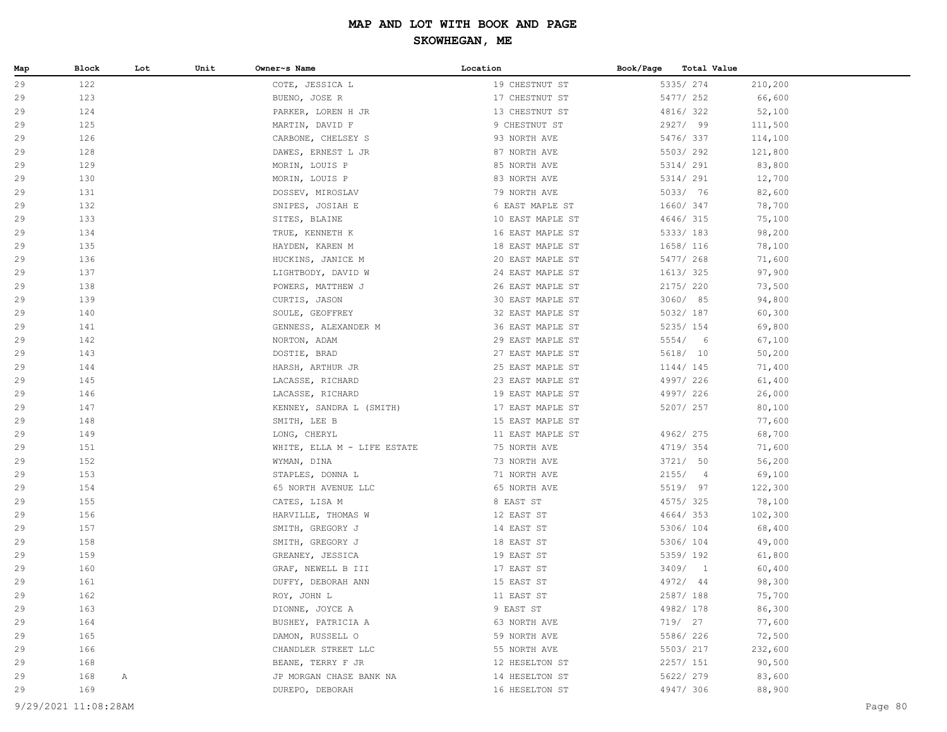| Map      | Block      | Lot | Unit | Owner~s Name                         | Location                 | Book/Page<br>Total Value |                  |
|----------|------------|-----|------|--------------------------------------|--------------------------|--------------------------|------------------|
| 29       | 122        |     |      | COTE, JESSICA L                      | 19 CHESTNUT ST           | 5335/ 274                | 210,200          |
| 29       | 123        |     |      | BUENO, JOSE R                        | 17 CHESTNUT ST           | 5477/ 252                | 66,600           |
| 29       | 124        |     |      | PARKER, LOREN H JR                   | 13 CHESTNUT ST           | 4816/ 322                | 52,100           |
| 29       | 125        |     |      | MARTIN, DAVID F                      | 9 CHESTNUT ST            | 2927/ 99                 | 111,500          |
| 29       | 126        |     |      | CARBONE, CHELSEY S                   | 93 NORTH AVE             | 5476/337                 | 114,100          |
| 29       | 128        |     |      | DAWES, ERNEST L JR                   | 87 NORTH AVE             | 5503/292                 | 121,800          |
| 29       | 129        |     |      | MORIN, LOUIS P                       | 85 NORTH AVE             | 5314/ 291                | 83,800           |
| 29       | 130        |     |      | MORIN, LOUIS P                       | 83 NORTH AVE             | 5314/ 291                | 12,700           |
| 29       | 131        |     |      | DOSSEV, MIROSLAV                     | 79 NORTH AVE             | 5033/ 76                 | 82,600           |
| 29       | 132        |     |      | SNIPES, JOSIAH E                     | 6 EAST MAPLE ST          | 1660/ 347                | 78,700           |
| 29       | 133        |     |      | SITES, BLAINE                        | 10 EAST MAPLE ST         | 4646/ 315                | 75,100           |
| 29       | 134        |     |      | TRUE, KENNETH K                      | 16 EAST MAPLE ST         | 5333/ 183                | 98,200           |
| 29       | 135        |     |      | HAYDEN, KAREN M                      | 18 EAST MAPLE ST         | 1658/ 116                | 78,100           |
| 29       | 136        |     |      | HUCKINS, JANICE M                    | 20 EAST MAPLE ST         | 5477/ 268                | 71,600           |
| 29       | 137        |     |      | LIGHTBODY, DAVID W                   | 24 EAST MAPLE ST         | 1613/325                 | 97,900           |
| 29       | 138        |     |      | POWERS, MATTHEW J                    | 26 EAST MAPLE ST         | 2175/ 220                | 73,500           |
| 29       | 139        |     |      | CURTIS, JASON                        | 30 EAST MAPLE ST         | 3060/ 85                 | 94,800           |
| 29       | 140        |     |      | SOULE, GEOFFREY                      | 32 EAST MAPLE ST         | 5032/ 187                | 60,300           |
| 29       | 141        |     |      | GENNESS, ALEXANDER M                 | 36 EAST MAPLE ST         | 5235/ 154                | 69,800           |
| 29       | 142        |     |      | NORTON, ADAM                         | 29 EAST MAPLE ST         | 5554/6                   | 67,100           |
| 29       | 143        |     |      | DOSTIE, BRAD                         | 27 EAST MAPLE ST         | 5618/ 10                 | 50,200           |
| 29       | 144        |     |      | HARSH, ARTHUR JR                     | 25 EAST MAPLE ST         | 1144/ 145                | 71,400           |
| 29       | 145        |     |      | LACASSE, RICHARD                     | 23 EAST MAPLE ST         | 4997/ 226                | 61,400           |
| 29       | 146        |     |      | LACASSE, RICHARD                     | 19 EAST MAPLE ST         | 4997/ 226                | 26,000           |
| 29       | 147        |     |      | KENNEY, SANDRA L (SMITH)             | 17 EAST MAPLE ST         | 5207/ 257                | 80,100           |
| 29       | 148        |     |      | SMITH, LEE B                         | 15 EAST MAPLE ST         |                          | 77,600           |
| 29       | 149        |     |      | LONG, CHERYL                         | 11 EAST MAPLE ST         | 4962/ 275                | 68,700           |
| 29       | 151        |     |      | WHITE, ELLA M - LIFE ESTATE          | 75 NORTH AVE             | 4719/ 354                | 71,600           |
| 29       | 152        |     |      | WYMAN, DINA                          | 73 NORTH AVE             | 3721/ 50                 | 56,200           |
| 29       | 153        |     |      | STAPLES, DONNA L                     | 71 NORTH AVE             | 2155/4                   | 69,100           |
| 29       | 154        |     |      | 65 NORTH AVENUE LLC                  | 65 NORTH AVE             | 5519/ 97                 | 122,300          |
| 29       | 155        |     |      | CATES, LISA M                        | 8 EAST ST                | 4575/325                 | 78,100           |
| 29       | 156        |     |      | HARVILLE, THOMAS W                   | 12 EAST ST               | 4664/353                 | 102,300          |
| 29<br>29 | 157<br>158 |     |      | SMITH, GREGORY J                     | 14 EAST ST               | 5306/ 104                | 68,400           |
| 29       | 159        |     |      | SMITH, GREGORY J<br>GREANEY, JESSICA | 18 EAST ST<br>19 EAST ST | 5306/ 104<br>5359/192    | 49,000<br>61,800 |
| 29       | 160        |     |      | GRAF, NEWELL B III                   | 17 EAST ST               | 3409/1                   | 60,400           |
| 29       | 161        |     |      | DUFFY, DEBORAH ANN                   | 15 EAST ST               | 4972/ 44                 | 98,300           |
| 29       | 162        |     |      | ROY, JOHN L                          | 11 EAST ST               | 2587/ 188                | 75,700           |
| 29       | 163        |     |      | DIONNE, JOYCE A                      | 9 EAST ST                | 4982/ 178                | 86,300           |
| 29       | 164        |     |      | BUSHEY, PATRICIA A                   | 63 NORTH AVE             | 719/ 27                  | 77,600           |
| 29       | 165        |     |      | DAMON, RUSSELL O                     | 59 NORTH AVE             | 5586/226                 | 72,500           |
| 29       | 166        |     |      | CHANDLER STREET LLC                  | 55 NORTH AVE             | 5503/ 217                | 232,600          |
| 29       | 168        |     |      | BEANE, TERRY F JR                    | 12 HESELTON ST           | 2257/ 151                | 90,500           |
| 29       | 168        | Α   |      | JP MORGAN CHASE BANK NA              | 14 HESELTON ST           | 5622/ 279                | 83,600           |
| 29       | 169        |     |      | DUREPO, DEBORAH                      | 16 HESELTON ST           | 4947/ 306                | 88,900           |
|          |            |     |      |                                      |                          |                          |                  |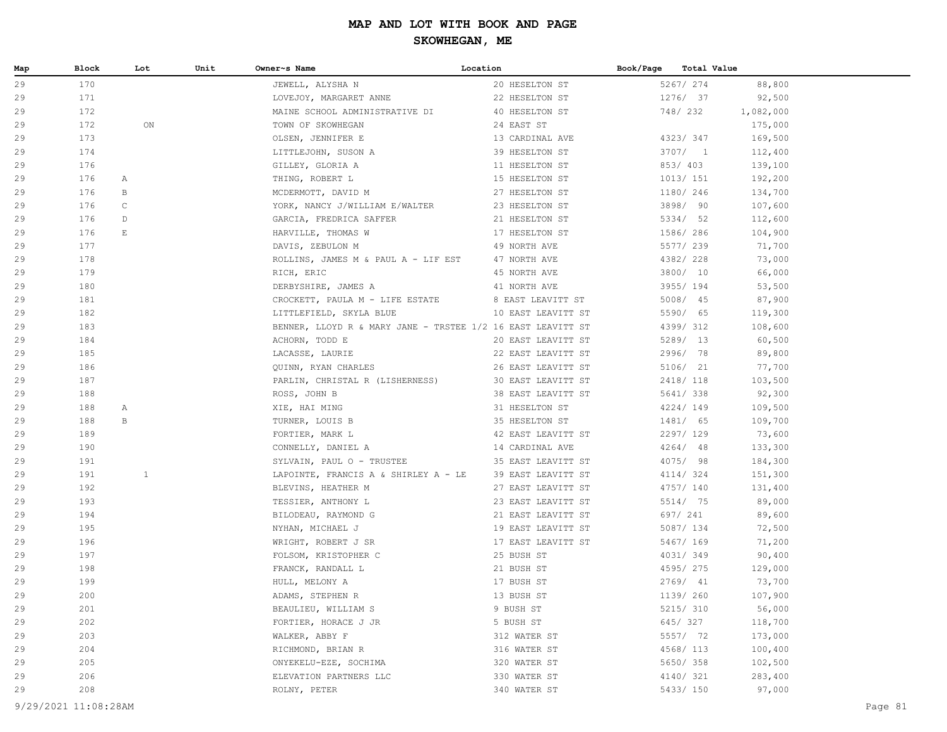| Map      | Block      | Lot                   | Unit | Owner~s Name                                                       | Location           | Book/Page Total Value |                        |                    |  |
|----------|------------|-----------------------|------|--------------------------------------------------------------------|--------------------|-----------------------|------------------------|--------------------|--|
| 29       | 170        |                       |      | JEWELL, ALYSHA N                                                   | 20 HESELTON ST     |                       | 5267/ 274              | 88,800             |  |
| 29       | 171        |                       |      | LOVEJOY, MARGARET ANNE                                             | 22 HESELTON ST     |                       | 1276/ 37               | 92,500             |  |
| 29       | 172        |                       |      | MAINE SCHOOL ADMINISTRATIVE DI 40 HESELTON ST                      |                    |                       | 748/ 232               | 1,082,000          |  |
| 29       | 172        | ON                    |      | TOWN OF SKOWHEGAN                                                  | 24 EAST ST         |                       |                        | 175,000            |  |
| 29       | 173        |                       |      | OLSEN, JENNIFER E                                                  | 13 CARDINAL AVE    |                       | 4323/347               | 169,500            |  |
| 29       | 174        |                       |      | LITTLEJOHN, SUSON A                                                | 39 HESELTON ST     |                       | 3707/1                 | 112,400            |  |
| 29       | 176        |                       |      | GILLEY, GLORIA A                                                   | 11 HESELTON ST     |                       | 853/ 403               | 139,100            |  |
| 29       | 176        | А                     |      | THING, ROBERT L                                                    | 15 HESELTON ST     |                       | 1013/ 151              | 192,200            |  |
| 29       | 176        | B                     |      | MCDERMOTT, DAVID M                                                 | 27 HESELTON ST     |                       | 1180/ 246              | 134,700            |  |
| 29       | 176        | $\mathbb C$           |      | YORK, NANCY J/WILLIAM E/WALTER 23 HESELTON ST                      |                    |                       | 3898/ 90               | 107,600            |  |
| 29       | 176        | D                     |      | GARCIA, FREDRICA SAFFER                                            | 21 HESELTON ST     |                       | 5334/ 52               | 112,600            |  |
| 29       | 176        | $\mathop{}\mathbb{E}$ |      | HARVILLE, THOMAS W                                                 | 17 HESELTON ST     |                       | 1586/ 286              | 104,900            |  |
| 29       | 177        |                       |      | DAVIS, ZEBULON M                                                   | 49 NORTH AVE       |                       | 5577/239               | 71,700             |  |
| 29       | 178        |                       |      | ROLLINS, JAMES M & PAUL A - LIF EST 47 NORTH AVE                   |                    |                       | 4382/ 228              | 73,000             |  |
| 29       | 179        |                       |      | RICH, ERIC                                                         | 45 NORTH AVE       |                       | 3800/ 10               | 66,000             |  |
| 29       | 180        |                       |      | DERBYSHIRE, JAMES A                                                | 41 NORTH AVE       |                       | 3955/194               | 53,500             |  |
| 29       | 181        |                       |      | CROCKETT, PAULA $M - L$ IFE ESTATE 8 EAST LEAVITT ST               |                    |                       | 5008/ 45               | 87,900             |  |
| 29       | 182        |                       |      | LITTLEFIELD, SKYLA BLUE                                            | 10 EAST LEAVITT ST |                       | 5590/ 65               | 119,300            |  |
| 29       | 183        |                       |      | BENNER, LLOYD R & MARY JANE - TRSTEE 1/2 16 EAST LEAVITT ST        |                    |                       | 4399/ 312              | 108,600            |  |
| 29       | 184        |                       |      | ACHORN, TODD E                                                     | 20 EAST LEAVITT ST |                       | 5289/ 13               | 60,500             |  |
| 29       | 185        |                       |      | LACASSE, LAURIE                                                    | 22 EAST LEAVITT ST |                       | 2996/ 78               | 89,800             |  |
| 29       | 186        |                       |      | QUINN, RYAN CHARLES                                                | 26 EAST LEAVITT ST |                       | 5106/ 21               | 77,700             |  |
| 29       | 187        |                       |      | PARLIN, CHRISTAL R (LISHERNESS) 30 EAST LEAVITT ST                 |                    |                       | 2418/ 118              | 103,500            |  |
| 29       | 188        |                       |      | ROSS, JOHN B                                                       | 38 EAST LEAVITT ST |                       | 5641/338               | 92,300             |  |
| 29       | 188        | А                     |      | XIE, HAI MING                                                      | 31 HESELTON ST     |                       | 4224/149               | 109,500            |  |
| 29       | 188<br>189 | B                     |      | TURNER, LOUIS B                                                    | 35 HESELTON ST     |                       | 1481/ 65<br>2297/129   | 109,700            |  |
| 29       |            |                       |      | FORTIER, MARK L                                                    | 42 EAST LEAVITT ST |                       |                        | 73,600             |  |
| 29<br>29 | 190<br>191 |                       |      | CONNELLY, DANIEL A<br>SYLVAIN, PAUL O - TRUSTEE 35 EAST LEAVITT ST | 14 CARDINAL AVE    |                       | $4264/$ 48<br>4075/ 98 | 133,300            |  |
| 29       | 191        | $\mathbf{1}$          |      | LAPOINTE, FRANCIS A & SHIRLEY A - LE                               | 39 EAST LEAVITT ST |                       | 4114/324               | 184,300<br>151,300 |  |
| 29       | 192        |                       |      | BLEVINS, HEATHER M                                                 | 27 EAST LEAVITT ST |                       | 4757/ 140              | 131,400            |  |
| 29       | 193        |                       |      | TESSIER, ANTHONY L                                                 | 23 EAST LEAVITT ST |                       | 5514/ 75               | 89,000             |  |
| 29       | 194        |                       |      | BILODEAU, RAYMOND G                                                | 21 EAST LEAVITT ST |                       | 697/ 241               | 89,600             |  |
| 29       | 195        |                       |      | NYHAN, MICHAEL J                                                   | 19 EAST LEAVITT ST |                       | 5087/ 134              | 72,500             |  |
| 29       | 196        |                       |      | WRIGHT, ROBERT J SR                                                | 17 EAST LEAVITT ST |                       | 5467/ 169              | 71,200             |  |
| 29       | 197        |                       |      | FOLSOM, KRISTOPHER C                                               | 25 BUSH ST         |                       | 4031/349               | 90,400             |  |
| 29       | 198        |                       |      | FRANCK, RANDALL L                                                  | 21 BUSH ST         |                       | 4595/275               | 129,000            |  |
| 29       | 199        |                       |      | HULL, MELONY A                                                     | 17 BUSH ST         |                       | 2769/ 41               | 73,700             |  |
| 29       | 200        |                       |      | ADAMS, STEPHEN R                                                   | 13 BUSH ST         |                       | 1139/ 260              | 107,900            |  |
| 29       | 201        |                       |      | BEAULIEU, WILLIAM S                                                | 9 BUSH ST          |                       | 5215/ 310              | 56,000             |  |
| 29       | 202        |                       |      | FORTIER, HORACE J JR                                               | 5 BUSH ST          |                       | 645/327                | 118,700            |  |
| 29       | 203        |                       |      | WALKER, ABBY F                                                     | 312 WATER ST       |                       | 5557/ 72               | 173,000            |  |
| 29       | 204        |                       |      | RICHMOND, BRIAN R                                                  | 316 WATER ST       |                       | 4568/ 113              | 100,400            |  |
| 29       | 205        |                       |      | ONYEKELU-EZE, SOCHIMA                                              | 320 WATER ST       |                       | 5650/358               | 102,500            |  |
| 29       | 206        |                       |      | ELEVATION PARTNERS LLC                                             | 330 WATER ST       |                       | 4140/321               | 283,400            |  |
| 29       | 208        |                       |      | ROLNY, PETER                                                       | 340 WATER ST       |                       | 5433/ 150              | 97,000             |  |
|          |            |                       |      |                                                                    |                    |                       |                        |                    |  |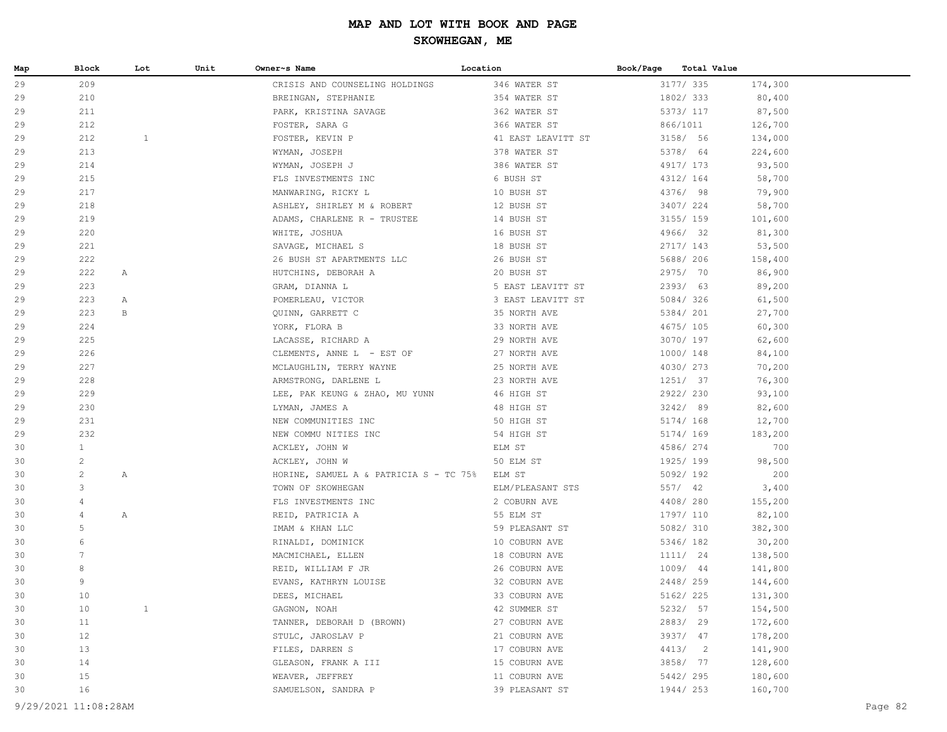| 29<br>209<br>346 WATER ST<br>3177/ 335<br>174,300<br>CRISIS AND COUNSELING HOLDINGS<br>1802/333<br>29<br>210<br>BREINGAN, STEPHANIE<br>354 WATER ST<br>80,400<br>211<br>PARK, KRISTINA SAVAGE<br>362 WATER ST<br>5373/ 117<br>87,500<br>29<br>866/1011<br>29<br>212<br>FOSTER, SARA G<br>366 WATER ST<br>126,700<br>212<br>$\mathbf{1}$<br>3158/ 56<br>29<br>FOSTER, KEVIN P<br>41 EAST LEAVITT ST<br>134,000<br>213<br>5378/ 64<br>29<br>WYMAN, JOSEPH<br>378 WATER ST<br>224,600<br>386 WATER ST<br>4917/ 173<br>29<br>214<br>WYMAN, JOSEPH J<br>93,500<br>29<br>215<br>FLS INVESTMENTS INC<br>6 BUSH ST<br>4312/ 164<br>58,700<br>4376/ 98<br>29<br>217<br>10 BUSH ST<br>79,900<br>MANWARING, RICKY L<br>3407/224<br>29<br>218<br>12 BUSH ST<br>58,700<br>ASHLEY, SHIRLEY M & ROBERT<br>219<br>3155/ 159<br>29<br>14 BUSH ST<br>101,600<br>ADAMS, CHARLENE R - TRUSTEE<br>220<br>4966/ 32<br>29<br>16 BUSH ST<br>81,300<br>WHITE, JOSHUA<br>2717/ 143<br>29<br>221<br>18 BUSH ST<br>53,500<br>SAVAGE, MICHAEL S<br>26 BUSH ST APARTMENTS LLC<br>26 BUSH ST<br>5688/ 206<br>29<br>222<br>158,400<br>222<br>2975/ 70<br>29<br>HUTCHINS, DEBORAH A<br>20 BUSH ST<br>86,900<br>Α<br>223<br>2393/ 63<br>29<br>GRAM, DIANNA L<br>5 EAST LEAVITT ST<br>89,200<br>5084/326<br>29<br>223<br>3 EAST LEAVITT ST<br>61,500<br>Α<br>POMERLEAU, VICTOR<br>223<br>5384/ 201<br>29<br>$\mathbf{B}$<br>QUINN, GARRETT C<br>35 NORTH AVE<br>27,700<br>224<br>4675/105<br>29<br>YORK, FLORA B<br>33 NORTH AVE<br>60,300<br>225<br>3070/ 197<br>29<br>29 NORTH AVE<br>62,600<br>LACASSE, RICHARD A<br>27 NORTH AVE<br>29<br>226<br>CLEMENTS, ANNE L - EST OF<br>1000/ 148<br>84,100<br>4030/273<br>29<br>227<br>MCLAUGHLIN, TERRY WAYNE<br>25 NORTH AVE<br>70,200<br>228<br>1251/ 37<br>76,300<br>29<br>ARMSTRONG, DARLENE L<br>23 NORTH AVE<br>229<br>2922/230<br>29<br>LEE, PAK KEUNG & ZHAO, MU YUNN<br>46 HIGH ST<br>93,100<br>230<br>3242/89<br>29<br>48 HIGH ST<br>82,600<br>LYMAN, JAMES A<br>231<br>5174/ 168<br>29<br>50 HIGH ST<br>12,700<br>NEW COMMUNITIES INC<br>232<br>29<br>NEW COMMU NITIES INC<br>54 HIGH ST<br>5174/ 169<br>183,200<br>$\mathbf{1}$<br>30<br>ELM ST<br>4586/274<br>700<br>ACKLEY, JOHN W<br>$\overline{c}$<br>1925/199<br>50 ELM ST<br>98,500<br>30<br>ACKLEY, JOHN W<br>$\overline{c}$<br>5092/192<br>200<br>30<br>HORINE, SAMUEL A & PATRICIA S - TC 75% ELM ST<br>Α<br>3<br>557/ 42<br>30<br>ELM/PLEASANT STS<br>3,400<br>TOWN OF SKOWHEGAN<br>$\overline{4}$<br>4408/280<br>30<br>FLS INVESTMENTS INC<br>2 COBURN AVE<br>155,200<br>30<br>4<br>$\mathbb{A}$<br>55 ELM ST<br>1797/ 110<br>82,100<br>REID, PATRICIA A<br>5<br>5082/ 310<br>30<br>IMAM & KHAN LLC<br>59 PLEASANT ST<br>382,300<br>6<br>5346/ 182<br>10 COBURN AVE<br>30,200<br>30<br>RINALDI, DOMINICK<br>$7\phantom{.0}$<br>1111/ 24<br>30<br>18 COBURN AVE<br>138,500<br>MACMICHAEL, ELLEN<br>8<br>1009/ 44<br>26 COBURN AVE<br>141,800<br>30<br>REID, WILLIAM F JR<br>9<br>32 COBURN AVE<br>2448/259<br>30<br>EVANS, KATHRYN LOUISE<br>144,600<br>10<br>33 COBURN AVE<br>5162/ 225<br>DEES, MICHAEL<br>131,300<br>30<br>$\mathbf{1}$<br>5232/ 57<br>30<br>10<br>GAGNON, NOAH<br>42 SUMMER ST<br>154,500<br>2883/29<br>11<br>TANNER, DEBORAH D (BROWN)<br>27 COBURN AVE<br>172,600<br>30<br>12<br>3937/ 47<br>STULC, JAROSLAV P<br>21 COBURN AVE<br>178,200<br>30<br>13<br>4413/2<br>FILES, DARREN S<br>17 COBURN AVE<br>141,900<br>30<br>3858/ 77<br>128,600<br>30<br>14<br>GLEASON, FRANK A III<br>15 COBURN AVE<br>15<br>5442/295<br>180,600<br>WEAVER, JEFFREY<br>11 COBURN AVE<br>30<br>16<br>160,700<br>30<br>SAMUELSON, SANDRA P<br>39 PLEASANT ST<br>1944/253<br>9/29/2021 11:08:28AM<br>Page 82 | Map | Block | Lot | Unit | Owner~s Name | Location | Book/Page | Total Value |  |
|----------------------------------------------------------------------------------------------------------------------------------------------------------------------------------------------------------------------------------------------------------------------------------------------------------------------------------------------------------------------------------------------------------------------------------------------------------------------------------------------------------------------------------------------------------------------------------------------------------------------------------------------------------------------------------------------------------------------------------------------------------------------------------------------------------------------------------------------------------------------------------------------------------------------------------------------------------------------------------------------------------------------------------------------------------------------------------------------------------------------------------------------------------------------------------------------------------------------------------------------------------------------------------------------------------------------------------------------------------------------------------------------------------------------------------------------------------------------------------------------------------------------------------------------------------------------------------------------------------------------------------------------------------------------------------------------------------------------------------------------------------------------------------------------------------------------------------------------------------------------------------------------------------------------------------------------------------------------------------------------------------------------------------------------------------------------------------------------------------------------------------------------------------------------------------------------------------------------------------------------------------------------------------------------------------------------------------------------------------------------------------------------------------------------------------------------------------------------------------------------------------------------------------------------------------------------------------------------------------------------------------------------------------------------------------------------------------------------------------------------------------------------------------------------------------------------------------------------------------------------------------------------------------------------------------------------------------------------------------------------------------------------------------------------------------------------------------------------------------------------------------------------------------------------------------------------------------------------------------------------------------------------------------------------------------------------------------------------------------------------------------------------------------------------------------------------------------------------------------------------------------------------------------------------------------------------------------------------------------------------------------------------------------------------------------------------|-----|-------|-----|------|--------------|----------|-----------|-------------|--|
|                                                                                                                                                                                                                                                                                                                                                                                                                                                                                                                                                                                                                                                                                                                                                                                                                                                                                                                                                                                                                                                                                                                                                                                                                                                                                                                                                                                                                                                                                                                                                                                                                                                                                                                                                                                                                                                                                                                                                                                                                                                                                                                                                                                                                                                                                                                                                                                                                                                                                                                                                                                                                                                                                                                                                                                                                                                                                                                                                                                                                                                                                                                                                                                                                                                                                                                                                                                                                                                                                                                                                                                                                                                                                              |     |       |     |      |              |          |           |             |  |
|                                                                                                                                                                                                                                                                                                                                                                                                                                                                                                                                                                                                                                                                                                                                                                                                                                                                                                                                                                                                                                                                                                                                                                                                                                                                                                                                                                                                                                                                                                                                                                                                                                                                                                                                                                                                                                                                                                                                                                                                                                                                                                                                                                                                                                                                                                                                                                                                                                                                                                                                                                                                                                                                                                                                                                                                                                                                                                                                                                                                                                                                                                                                                                                                                                                                                                                                                                                                                                                                                                                                                                                                                                                                                              |     |       |     |      |              |          |           |             |  |
|                                                                                                                                                                                                                                                                                                                                                                                                                                                                                                                                                                                                                                                                                                                                                                                                                                                                                                                                                                                                                                                                                                                                                                                                                                                                                                                                                                                                                                                                                                                                                                                                                                                                                                                                                                                                                                                                                                                                                                                                                                                                                                                                                                                                                                                                                                                                                                                                                                                                                                                                                                                                                                                                                                                                                                                                                                                                                                                                                                                                                                                                                                                                                                                                                                                                                                                                                                                                                                                                                                                                                                                                                                                                                              |     |       |     |      |              |          |           |             |  |
|                                                                                                                                                                                                                                                                                                                                                                                                                                                                                                                                                                                                                                                                                                                                                                                                                                                                                                                                                                                                                                                                                                                                                                                                                                                                                                                                                                                                                                                                                                                                                                                                                                                                                                                                                                                                                                                                                                                                                                                                                                                                                                                                                                                                                                                                                                                                                                                                                                                                                                                                                                                                                                                                                                                                                                                                                                                                                                                                                                                                                                                                                                                                                                                                                                                                                                                                                                                                                                                                                                                                                                                                                                                                                              |     |       |     |      |              |          |           |             |  |
|                                                                                                                                                                                                                                                                                                                                                                                                                                                                                                                                                                                                                                                                                                                                                                                                                                                                                                                                                                                                                                                                                                                                                                                                                                                                                                                                                                                                                                                                                                                                                                                                                                                                                                                                                                                                                                                                                                                                                                                                                                                                                                                                                                                                                                                                                                                                                                                                                                                                                                                                                                                                                                                                                                                                                                                                                                                                                                                                                                                                                                                                                                                                                                                                                                                                                                                                                                                                                                                                                                                                                                                                                                                                                              |     |       |     |      |              |          |           |             |  |
|                                                                                                                                                                                                                                                                                                                                                                                                                                                                                                                                                                                                                                                                                                                                                                                                                                                                                                                                                                                                                                                                                                                                                                                                                                                                                                                                                                                                                                                                                                                                                                                                                                                                                                                                                                                                                                                                                                                                                                                                                                                                                                                                                                                                                                                                                                                                                                                                                                                                                                                                                                                                                                                                                                                                                                                                                                                                                                                                                                                                                                                                                                                                                                                                                                                                                                                                                                                                                                                                                                                                                                                                                                                                                              |     |       |     |      |              |          |           |             |  |
|                                                                                                                                                                                                                                                                                                                                                                                                                                                                                                                                                                                                                                                                                                                                                                                                                                                                                                                                                                                                                                                                                                                                                                                                                                                                                                                                                                                                                                                                                                                                                                                                                                                                                                                                                                                                                                                                                                                                                                                                                                                                                                                                                                                                                                                                                                                                                                                                                                                                                                                                                                                                                                                                                                                                                                                                                                                                                                                                                                                                                                                                                                                                                                                                                                                                                                                                                                                                                                                                                                                                                                                                                                                                                              |     |       |     |      |              |          |           |             |  |
|                                                                                                                                                                                                                                                                                                                                                                                                                                                                                                                                                                                                                                                                                                                                                                                                                                                                                                                                                                                                                                                                                                                                                                                                                                                                                                                                                                                                                                                                                                                                                                                                                                                                                                                                                                                                                                                                                                                                                                                                                                                                                                                                                                                                                                                                                                                                                                                                                                                                                                                                                                                                                                                                                                                                                                                                                                                                                                                                                                                                                                                                                                                                                                                                                                                                                                                                                                                                                                                                                                                                                                                                                                                                                              |     |       |     |      |              |          |           |             |  |
|                                                                                                                                                                                                                                                                                                                                                                                                                                                                                                                                                                                                                                                                                                                                                                                                                                                                                                                                                                                                                                                                                                                                                                                                                                                                                                                                                                                                                                                                                                                                                                                                                                                                                                                                                                                                                                                                                                                                                                                                                                                                                                                                                                                                                                                                                                                                                                                                                                                                                                                                                                                                                                                                                                                                                                                                                                                                                                                                                                                                                                                                                                                                                                                                                                                                                                                                                                                                                                                                                                                                                                                                                                                                                              |     |       |     |      |              |          |           |             |  |
|                                                                                                                                                                                                                                                                                                                                                                                                                                                                                                                                                                                                                                                                                                                                                                                                                                                                                                                                                                                                                                                                                                                                                                                                                                                                                                                                                                                                                                                                                                                                                                                                                                                                                                                                                                                                                                                                                                                                                                                                                                                                                                                                                                                                                                                                                                                                                                                                                                                                                                                                                                                                                                                                                                                                                                                                                                                                                                                                                                                                                                                                                                                                                                                                                                                                                                                                                                                                                                                                                                                                                                                                                                                                                              |     |       |     |      |              |          |           |             |  |
|                                                                                                                                                                                                                                                                                                                                                                                                                                                                                                                                                                                                                                                                                                                                                                                                                                                                                                                                                                                                                                                                                                                                                                                                                                                                                                                                                                                                                                                                                                                                                                                                                                                                                                                                                                                                                                                                                                                                                                                                                                                                                                                                                                                                                                                                                                                                                                                                                                                                                                                                                                                                                                                                                                                                                                                                                                                                                                                                                                                                                                                                                                                                                                                                                                                                                                                                                                                                                                                                                                                                                                                                                                                                                              |     |       |     |      |              |          |           |             |  |
|                                                                                                                                                                                                                                                                                                                                                                                                                                                                                                                                                                                                                                                                                                                                                                                                                                                                                                                                                                                                                                                                                                                                                                                                                                                                                                                                                                                                                                                                                                                                                                                                                                                                                                                                                                                                                                                                                                                                                                                                                                                                                                                                                                                                                                                                                                                                                                                                                                                                                                                                                                                                                                                                                                                                                                                                                                                                                                                                                                                                                                                                                                                                                                                                                                                                                                                                                                                                                                                                                                                                                                                                                                                                                              |     |       |     |      |              |          |           |             |  |
|                                                                                                                                                                                                                                                                                                                                                                                                                                                                                                                                                                                                                                                                                                                                                                                                                                                                                                                                                                                                                                                                                                                                                                                                                                                                                                                                                                                                                                                                                                                                                                                                                                                                                                                                                                                                                                                                                                                                                                                                                                                                                                                                                                                                                                                                                                                                                                                                                                                                                                                                                                                                                                                                                                                                                                                                                                                                                                                                                                                                                                                                                                                                                                                                                                                                                                                                                                                                                                                                                                                                                                                                                                                                                              |     |       |     |      |              |          |           |             |  |
|                                                                                                                                                                                                                                                                                                                                                                                                                                                                                                                                                                                                                                                                                                                                                                                                                                                                                                                                                                                                                                                                                                                                                                                                                                                                                                                                                                                                                                                                                                                                                                                                                                                                                                                                                                                                                                                                                                                                                                                                                                                                                                                                                                                                                                                                                                                                                                                                                                                                                                                                                                                                                                                                                                                                                                                                                                                                                                                                                                                                                                                                                                                                                                                                                                                                                                                                                                                                                                                                                                                                                                                                                                                                                              |     |       |     |      |              |          |           |             |  |
|                                                                                                                                                                                                                                                                                                                                                                                                                                                                                                                                                                                                                                                                                                                                                                                                                                                                                                                                                                                                                                                                                                                                                                                                                                                                                                                                                                                                                                                                                                                                                                                                                                                                                                                                                                                                                                                                                                                                                                                                                                                                                                                                                                                                                                                                                                                                                                                                                                                                                                                                                                                                                                                                                                                                                                                                                                                                                                                                                                                                                                                                                                                                                                                                                                                                                                                                                                                                                                                                                                                                                                                                                                                                                              |     |       |     |      |              |          |           |             |  |
|                                                                                                                                                                                                                                                                                                                                                                                                                                                                                                                                                                                                                                                                                                                                                                                                                                                                                                                                                                                                                                                                                                                                                                                                                                                                                                                                                                                                                                                                                                                                                                                                                                                                                                                                                                                                                                                                                                                                                                                                                                                                                                                                                                                                                                                                                                                                                                                                                                                                                                                                                                                                                                                                                                                                                                                                                                                                                                                                                                                                                                                                                                                                                                                                                                                                                                                                                                                                                                                                                                                                                                                                                                                                                              |     |       |     |      |              |          |           |             |  |
|                                                                                                                                                                                                                                                                                                                                                                                                                                                                                                                                                                                                                                                                                                                                                                                                                                                                                                                                                                                                                                                                                                                                                                                                                                                                                                                                                                                                                                                                                                                                                                                                                                                                                                                                                                                                                                                                                                                                                                                                                                                                                                                                                                                                                                                                                                                                                                                                                                                                                                                                                                                                                                                                                                                                                                                                                                                                                                                                                                                                                                                                                                                                                                                                                                                                                                                                                                                                                                                                                                                                                                                                                                                                                              |     |       |     |      |              |          |           |             |  |
|                                                                                                                                                                                                                                                                                                                                                                                                                                                                                                                                                                                                                                                                                                                                                                                                                                                                                                                                                                                                                                                                                                                                                                                                                                                                                                                                                                                                                                                                                                                                                                                                                                                                                                                                                                                                                                                                                                                                                                                                                                                                                                                                                                                                                                                                                                                                                                                                                                                                                                                                                                                                                                                                                                                                                                                                                                                                                                                                                                                                                                                                                                                                                                                                                                                                                                                                                                                                                                                                                                                                                                                                                                                                                              |     |       |     |      |              |          |           |             |  |
|                                                                                                                                                                                                                                                                                                                                                                                                                                                                                                                                                                                                                                                                                                                                                                                                                                                                                                                                                                                                                                                                                                                                                                                                                                                                                                                                                                                                                                                                                                                                                                                                                                                                                                                                                                                                                                                                                                                                                                                                                                                                                                                                                                                                                                                                                                                                                                                                                                                                                                                                                                                                                                                                                                                                                                                                                                                                                                                                                                                                                                                                                                                                                                                                                                                                                                                                                                                                                                                                                                                                                                                                                                                                                              |     |       |     |      |              |          |           |             |  |
|                                                                                                                                                                                                                                                                                                                                                                                                                                                                                                                                                                                                                                                                                                                                                                                                                                                                                                                                                                                                                                                                                                                                                                                                                                                                                                                                                                                                                                                                                                                                                                                                                                                                                                                                                                                                                                                                                                                                                                                                                                                                                                                                                                                                                                                                                                                                                                                                                                                                                                                                                                                                                                                                                                                                                                                                                                                                                                                                                                                                                                                                                                                                                                                                                                                                                                                                                                                                                                                                                                                                                                                                                                                                                              |     |       |     |      |              |          |           |             |  |
|                                                                                                                                                                                                                                                                                                                                                                                                                                                                                                                                                                                                                                                                                                                                                                                                                                                                                                                                                                                                                                                                                                                                                                                                                                                                                                                                                                                                                                                                                                                                                                                                                                                                                                                                                                                                                                                                                                                                                                                                                                                                                                                                                                                                                                                                                                                                                                                                                                                                                                                                                                                                                                                                                                                                                                                                                                                                                                                                                                                                                                                                                                                                                                                                                                                                                                                                                                                                                                                                                                                                                                                                                                                                                              |     |       |     |      |              |          |           |             |  |
|                                                                                                                                                                                                                                                                                                                                                                                                                                                                                                                                                                                                                                                                                                                                                                                                                                                                                                                                                                                                                                                                                                                                                                                                                                                                                                                                                                                                                                                                                                                                                                                                                                                                                                                                                                                                                                                                                                                                                                                                                                                                                                                                                                                                                                                                                                                                                                                                                                                                                                                                                                                                                                                                                                                                                                                                                                                                                                                                                                                                                                                                                                                                                                                                                                                                                                                                                                                                                                                                                                                                                                                                                                                                                              |     |       |     |      |              |          |           |             |  |
|                                                                                                                                                                                                                                                                                                                                                                                                                                                                                                                                                                                                                                                                                                                                                                                                                                                                                                                                                                                                                                                                                                                                                                                                                                                                                                                                                                                                                                                                                                                                                                                                                                                                                                                                                                                                                                                                                                                                                                                                                                                                                                                                                                                                                                                                                                                                                                                                                                                                                                                                                                                                                                                                                                                                                                                                                                                                                                                                                                                                                                                                                                                                                                                                                                                                                                                                                                                                                                                                                                                                                                                                                                                                                              |     |       |     |      |              |          |           |             |  |
|                                                                                                                                                                                                                                                                                                                                                                                                                                                                                                                                                                                                                                                                                                                                                                                                                                                                                                                                                                                                                                                                                                                                                                                                                                                                                                                                                                                                                                                                                                                                                                                                                                                                                                                                                                                                                                                                                                                                                                                                                                                                                                                                                                                                                                                                                                                                                                                                                                                                                                                                                                                                                                                                                                                                                                                                                                                                                                                                                                                                                                                                                                                                                                                                                                                                                                                                                                                                                                                                                                                                                                                                                                                                                              |     |       |     |      |              |          |           |             |  |
|                                                                                                                                                                                                                                                                                                                                                                                                                                                                                                                                                                                                                                                                                                                                                                                                                                                                                                                                                                                                                                                                                                                                                                                                                                                                                                                                                                                                                                                                                                                                                                                                                                                                                                                                                                                                                                                                                                                                                                                                                                                                                                                                                                                                                                                                                                                                                                                                                                                                                                                                                                                                                                                                                                                                                                                                                                                                                                                                                                                                                                                                                                                                                                                                                                                                                                                                                                                                                                                                                                                                                                                                                                                                                              |     |       |     |      |              |          |           |             |  |
|                                                                                                                                                                                                                                                                                                                                                                                                                                                                                                                                                                                                                                                                                                                                                                                                                                                                                                                                                                                                                                                                                                                                                                                                                                                                                                                                                                                                                                                                                                                                                                                                                                                                                                                                                                                                                                                                                                                                                                                                                                                                                                                                                                                                                                                                                                                                                                                                                                                                                                                                                                                                                                                                                                                                                                                                                                                                                                                                                                                                                                                                                                                                                                                                                                                                                                                                                                                                                                                                                                                                                                                                                                                                                              |     |       |     |      |              |          |           |             |  |
|                                                                                                                                                                                                                                                                                                                                                                                                                                                                                                                                                                                                                                                                                                                                                                                                                                                                                                                                                                                                                                                                                                                                                                                                                                                                                                                                                                                                                                                                                                                                                                                                                                                                                                                                                                                                                                                                                                                                                                                                                                                                                                                                                                                                                                                                                                                                                                                                                                                                                                                                                                                                                                                                                                                                                                                                                                                                                                                                                                                                                                                                                                                                                                                                                                                                                                                                                                                                                                                                                                                                                                                                                                                                                              |     |       |     |      |              |          |           |             |  |
|                                                                                                                                                                                                                                                                                                                                                                                                                                                                                                                                                                                                                                                                                                                                                                                                                                                                                                                                                                                                                                                                                                                                                                                                                                                                                                                                                                                                                                                                                                                                                                                                                                                                                                                                                                                                                                                                                                                                                                                                                                                                                                                                                                                                                                                                                                                                                                                                                                                                                                                                                                                                                                                                                                                                                                                                                                                                                                                                                                                                                                                                                                                                                                                                                                                                                                                                                                                                                                                                                                                                                                                                                                                                                              |     |       |     |      |              |          |           |             |  |
|                                                                                                                                                                                                                                                                                                                                                                                                                                                                                                                                                                                                                                                                                                                                                                                                                                                                                                                                                                                                                                                                                                                                                                                                                                                                                                                                                                                                                                                                                                                                                                                                                                                                                                                                                                                                                                                                                                                                                                                                                                                                                                                                                                                                                                                                                                                                                                                                                                                                                                                                                                                                                                                                                                                                                                                                                                                                                                                                                                                                                                                                                                                                                                                                                                                                                                                                                                                                                                                                                                                                                                                                                                                                                              |     |       |     |      |              |          |           |             |  |
|                                                                                                                                                                                                                                                                                                                                                                                                                                                                                                                                                                                                                                                                                                                                                                                                                                                                                                                                                                                                                                                                                                                                                                                                                                                                                                                                                                                                                                                                                                                                                                                                                                                                                                                                                                                                                                                                                                                                                                                                                                                                                                                                                                                                                                                                                                                                                                                                                                                                                                                                                                                                                                                                                                                                                                                                                                                                                                                                                                                                                                                                                                                                                                                                                                                                                                                                                                                                                                                                                                                                                                                                                                                                                              |     |       |     |      |              |          |           |             |  |
|                                                                                                                                                                                                                                                                                                                                                                                                                                                                                                                                                                                                                                                                                                                                                                                                                                                                                                                                                                                                                                                                                                                                                                                                                                                                                                                                                                                                                                                                                                                                                                                                                                                                                                                                                                                                                                                                                                                                                                                                                                                                                                                                                                                                                                                                                                                                                                                                                                                                                                                                                                                                                                                                                                                                                                                                                                                                                                                                                                                                                                                                                                                                                                                                                                                                                                                                                                                                                                                                                                                                                                                                                                                                                              |     |       |     |      |              |          |           |             |  |
|                                                                                                                                                                                                                                                                                                                                                                                                                                                                                                                                                                                                                                                                                                                                                                                                                                                                                                                                                                                                                                                                                                                                                                                                                                                                                                                                                                                                                                                                                                                                                                                                                                                                                                                                                                                                                                                                                                                                                                                                                                                                                                                                                                                                                                                                                                                                                                                                                                                                                                                                                                                                                                                                                                                                                                                                                                                                                                                                                                                                                                                                                                                                                                                                                                                                                                                                                                                                                                                                                                                                                                                                                                                                                              |     |       |     |      |              |          |           |             |  |
|                                                                                                                                                                                                                                                                                                                                                                                                                                                                                                                                                                                                                                                                                                                                                                                                                                                                                                                                                                                                                                                                                                                                                                                                                                                                                                                                                                                                                                                                                                                                                                                                                                                                                                                                                                                                                                                                                                                                                                                                                                                                                                                                                                                                                                                                                                                                                                                                                                                                                                                                                                                                                                                                                                                                                                                                                                                                                                                                                                                                                                                                                                                                                                                                                                                                                                                                                                                                                                                                                                                                                                                                                                                                                              |     |       |     |      |              |          |           |             |  |
|                                                                                                                                                                                                                                                                                                                                                                                                                                                                                                                                                                                                                                                                                                                                                                                                                                                                                                                                                                                                                                                                                                                                                                                                                                                                                                                                                                                                                                                                                                                                                                                                                                                                                                                                                                                                                                                                                                                                                                                                                                                                                                                                                                                                                                                                                                                                                                                                                                                                                                                                                                                                                                                                                                                                                                                                                                                                                                                                                                                                                                                                                                                                                                                                                                                                                                                                                                                                                                                                                                                                                                                                                                                                                              |     |       |     |      |              |          |           |             |  |
|                                                                                                                                                                                                                                                                                                                                                                                                                                                                                                                                                                                                                                                                                                                                                                                                                                                                                                                                                                                                                                                                                                                                                                                                                                                                                                                                                                                                                                                                                                                                                                                                                                                                                                                                                                                                                                                                                                                                                                                                                                                                                                                                                                                                                                                                                                                                                                                                                                                                                                                                                                                                                                                                                                                                                                                                                                                                                                                                                                                                                                                                                                                                                                                                                                                                                                                                                                                                                                                                                                                                                                                                                                                                                              |     |       |     |      |              |          |           |             |  |
|                                                                                                                                                                                                                                                                                                                                                                                                                                                                                                                                                                                                                                                                                                                                                                                                                                                                                                                                                                                                                                                                                                                                                                                                                                                                                                                                                                                                                                                                                                                                                                                                                                                                                                                                                                                                                                                                                                                                                                                                                                                                                                                                                                                                                                                                                                                                                                                                                                                                                                                                                                                                                                                                                                                                                                                                                                                                                                                                                                                                                                                                                                                                                                                                                                                                                                                                                                                                                                                                                                                                                                                                                                                                                              |     |       |     |      |              |          |           |             |  |
|                                                                                                                                                                                                                                                                                                                                                                                                                                                                                                                                                                                                                                                                                                                                                                                                                                                                                                                                                                                                                                                                                                                                                                                                                                                                                                                                                                                                                                                                                                                                                                                                                                                                                                                                                                                                                                                                                                                                                                                                                                                                                                                                                                                                                                                                                                                                                                                                                                                                                                                                                                                                                                                                                                                                                                                                                                                                                                                                                                                                                                                                                                                                                                                                                                                                                                                                                                                                                                                                                                                                                                                                                                                                                              |     |       |     |      |              |          |           |             |  |
|                                                                                                                                                                                                                                                                                                                                                                                                                                                                                                                                                                                                                                                                                                                                                                                                                                                                                                                                                                                                                                                                                                                                                                                                                                                                                                                                                                                                                                                                                                                                                                                                                                                                                                                                                                                                                                                                                                                                                                                                                                                                                                                                                                                                                                                                                                                                                                                                                                                                                                                                                                                                                                                                                                                                                                                                                                                                                                                                                                                                                                                                                                                                                                                                                                                                                                                                                                                                                                                                                                                                                                                                                                                                                              |     |       |     |      |              |          |           |             |  |
|                                                                                                                                                                                                                                                                                                                                                                                                                                                                                                                                                                                                                                                                                                                                                                                                                                                                                                                                                                                                                                                                                                                                                                                                                                                                                                                                                                                                                                                                                                                                                                                                                                                                                                                                                                                                                                                                                                                                                                                                                                                                                                                                                                                                                                                                                                                                                                                                                                                                                                                                                                                                                                                                                                                                                                                                                                                                                                                                                                                                                                                                                                                                                                                                                                                                                                                                                                                                                                                                                                                                                                                                                                                                                              |     |       |     |      |              |          |           |             |  |
|                                                                                                                                                                                                                                                                                                                                                                                                                                                                                                                                                                                                                                                                                                                                                                                                                                                                                                                                                                                                                                                                                                                                                                                                                                                                                                                                                                                                                                                                                                                                                                                                                                                                                                                                                                                                                                                                                                                                                                                                                                                                                                                                                                                                                                                                                                                                                                                                                                                                                                                                                                                                                                                                                                                                                                                                                                                                                                                                                                                                                                                                                                                                                                                                                                                                                                                                                                                                                                                                                                                                                                                                                                                                                              |     |       |     |      |              |          |           |             |  |
|                                                                                                                                                                                                                                                                                                                                                                                                                                                                                                                                                                                                                                                                                                                                                                                                                                                                                                                                                                                                                                                                                                                                                                                                                                                                                                                                                                                                                                                                                                                                                                                                                                                                                                                                                                                                                                                                                                                                                                                                                                                                                                                                                                                                                                                                                                                                                                                                                                                                                                                                                                                                                                                                                                                                                                                                                                                                                                                                                                                                                                                                                                                                                                                                                                                                                                                                                                                                                                                                                                                                                                                                                                                                                              |     |       |     |      |              |          |           |             |  |
|                                                                                                                                                                                                                                                                                                                                                                                                                                                                                                                                                                                                                                                                                                                                                                                                                                                                                                                                                                                                                                                                                                                                                                                                                                                                                                                                                                                                                                                                                                                                                                                                                                                                                                                                                                                                                                                                                                                                                                                                                                                                                                                                                                                                                                                                                                                                                                                                                                                                                                                                                                                                                                                                                                                                                                                                                                                                                                                                                                                                                                                                                                                                                                                                                                                                                                                                                                                                                                                                                                                                                                                                                                                                                              |     |       |     |      |              |          |           |             |  |
|                                                                                                                                                                                                                                                                                                                                                                                                                                                                                                                                                                                                                                                                                                                                                                                                                                                                                                                                                                                                                                                                                                                                                                                                                                                                                                                                                                                                                                                                                                                                                                                                                                                                                                                                                                                                                                                                                                                                                                                                                                                                                                                                                                                                                                                                                                                                                                                                                                                                                                                                                                                                                                                                                                                                                                                                                                                                                                                                                                                                                                                                                                                                                                                                                                                                                                                                                                                                                                                                                                                                                                                                                                                                                              |     |       |     |      |              |          |           |             |  |
|                                                                                                                                                                                                                                                                                                                                                                                                                                                                                                                                                                                                                                                                                                                                                                                                                                                                                                                                                                                                                                                                                                                                                                                                                                                                                                                                                                                                                                                                                                                                                                                                                                                                                                                                                                                                                                                                                                                                                                                                                                                                                                                                                                                                                                                                                                                                                                                                                                                                                                                                                                                                                                                                                                                                                                                                                                                                                                                                                                                                                                                                                                                                                                                                                                                                                                                                                                                                                                                                                                                                                                                                                                                                                              |     |       |     |      |              |          |           |             |  |
|                                                                                                                                                                                                                                                                                                                                                                                                                                                                                                                                                                                                                                                                                                                                                                                                                                                                                                                                                                                                                                                                                                                                                                                                                                                                                                                                                                                                                                                                                                                                                                                                                                                                                                                                                                                                                                                                                                                                                                                                                                                                                                                                                                                                                                                                                                                                                                                                                                                                                                                                                                                                                                                                                                                                                                                                                                                                                                                                                                                                                                                                                                                                                                                                                                                                                                                                                                                                                                                                                                                                                                                                                                                                                              |     |       |     |      |              |          |           |             |  |
|                                                                                                                                                                                                                                                                                                                                                                                                                                                                                                                                                                                                                                                                                                                                                                                                                                                                                                                                                                                                                                                                                                                                                                                                                                                                                                                                                                                                                                                                                                                                                                                                                                                                                                                                                                                                                                                                                                                                                                                                                                                                                                                                                                                                                                                                                                                                                                                                                                                                                                                                                                                                                                                                                                                                                                                                                                                                                                                                                                                                                                                                                                                                                                                                                                                                                                                                                                                                                                                                                                                                                                                                                                                                                              |     |       |     |      |              |          |           |             |  |
|                                                                                                                                                                                                                                                                                                                                                                                                                                                                                                                                                                                                                                                                                                                                                                                                                                                                                                                                                                                                                                                                                                                                                                                                                                                                                                                                                                                                                                                                                                                                                                                                                                                                                                                                                                                                                                                                                                                                                                                                                                                                                                                                                                                                                                                                                                                                                                                                                                                                                                                                                                                                                                                                                                                                                                                                                                                                                                                                                                                                                                                                                                                                                                                                                                                                                                                                                                                                                                                                                                                                                                                                                                                                                              |     |       |     |      |              |          |           |             |  |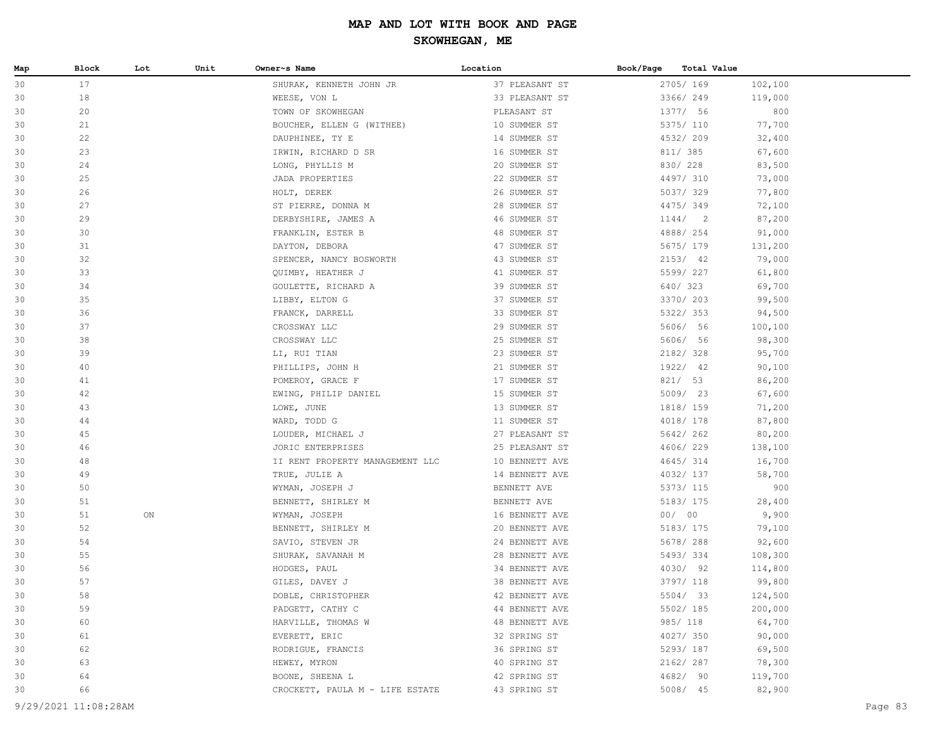| Map | Block                | Lot | Unit | Owner~s Name                    | Location       | Book/Page | Total Value |         |         |
|-----|----------------------|-----|------|---------------------------------|----------------|-----------|-------------|---------|---------|
| 30  | 17                   |     |      | SHURAK, KENNETH JOHN JR         | 37 PLEASANT ST |           | 2705/ 169   | 102,100 |         |
| 30  | 18                   |     |      | WEESE, VON L                    | 33 PLEASANT ST |           | 3366/ 249   | 119,000 |         |
| 30  | 20                   |     |      | TOWN OF SKOWHEGAN               | PLEASANT ST    |           | 1377/ 56    | 800     |         |
| 30  | 21                   |     |      | BOUCHER, ELLEN G (WITHEE)       | 10 SUMMER ST   |           | 5375/ 110   | 77,700  |         |
| 30  | 22                   |     |      | DAUPHINEE, TY E                 | 14 SUMMER ST   |           | 4532/209    | 32,400  |         |
| 30  | 23                   |     |      | IRWIN, RICHARD D SR             | 16 SUMMER ST   |           | 811/ 385    | 67,600  |         |
| 30  | 24                   |     |      | LONG, PHYLLIS M                 | 20 SUMMER ST   |           | 830/ 228    | 83,500  |         |
| 30  | 25                   |     |      | JADA PROPERTIES                 | 22 SUMMER ST   |           | 4497/ 310   | 73,000  |         |
| 30  | 26                   |     |      | HOLT, DEREK                     | 26 SUMMER ST   |           | 5037/329    | 77,800  |         |
| 30  | 27                   |     |      | ST PIERRE, DONNA M              | 28 SUMMER ST   |           | 4475/349    | 72,100  |         |
| 30  | 29                   |     |      | DERBYSHIRE, JAMES A             | 46 SUMMER ST   |           | 1144/2      | 87,200  |         |
| 30  | 30                   |     |      | FRANKLIN, ESTER B               | 48 SUMMER ST   |           | 4888/ 254   | 91,000  |         |
| 30  | 31                   |     |      | DAYTON, DEBORA                  | 47 SUMMER ST   |           | 5675/ 179   | 131,200 |         |
| 30  | 32                   |     |      | SPENCER, NANCY BOSWORTH         | 43 SUMMER ST   |           | 2153/42     | 79,000  |         |
| 30  | 33                   |     |      | QUIMBY, HEATHER J               | 41 SUMMER ST   |           | 5599/ 227   | 61,800  |         |
| 30  | 34                   |     |      | GOULETTE, RICHARD A             | 39 SUMMER ST   |           | 640/ 323    | 69,700  |         |
| 30  | 35                   |     |      | LIBBY, ELTON G                  | 37 SUMMER ST   |           | 3370/ 203   | 99,500  |         |
| 30  | 36                   |     |      | FRANCK, DARRELL                 | 33 SUMMER ST   |           | 5322/353    | 94,500  |         |
| 30  | 37                   |     |      | CROSSWAY LLC                    | 29 SUMMER ST   |           | 5606/ 56    | 100,100 |         |
| 30  | 38                   |     |      | CROSSWAY LLC                    | 25 SUMMER ST   |           | 5606/ 56    | 98,300  |         |
| 30  | 39                   |     |      | LI, RUI TIAN                    | 23 SUMMER ST   |           | 2182/328    | 95,700  |         |
| 30  | 40                   |     |      | PHILLIPS, JOHN H                | 21 SUMMER ST   |           | 1922/ 42    | 90,100  |         |
| 30  | 41                   |     |      | POMEROY, GRACE F                | 17 SUMMER ST   |           | 821/53      | 86,200  |         |
| 30  | 42                   |     |      | EWING, PHILIP DANIEL            | 15 SUMMER ST   |           | 5009/23     | 67,600  |         |
| 30  | 43                   |     |      | LOWE, JUNE                      | 13 SUMMER ST   |           | 1818/ 159   | 71,200  |         |
| 30  | 44                   |     |      | WARD, TODD G                    | 11 SUMMER ST   |           | 4018/ 178   | 87,800  |         |
| 30  | 45                   |     |      | LOUDER, MICHAEL J               | 27 PLEASANT ST |           | 5642/ 262   | 80,200  |         |
| 30  | 46                   |     |      | JORIC ENTERPRISES               | 25 PLEASANT ST |           | 4606/229    | 138,100 |         |
| 30  | 48                   |     |      | II RENT PROPERTY MANAGEMENT LLC | 10 BENNETT AVE |           | 4645/314    | 16,700  |         |
| 30  | 49                   |     |      | TRUE, JULIE A                   | 14 BENNETT AVE |           | 4032/ 137   | 58,700  |         |
| 30  | 50                   |     |      | WYMAN, JOSEPH J                 | BENNETT AVE    |           | 5373/ 115   | 900     |         |
| 30  | 51                   |     |      | BENNETT, SHIRLEY M              | BENNETT AVE    |           | 5183/ 175   | 28,400  |         |
| 30  | 51                   | ON  |      | WYMAN, JOSEPH                   | 16 BENNETT AVE |           | 00/00       | 9,900   |         |
| 30  | 52                   |     |      | BENNETT, SHIRLEY M              | 20 BENNETT AVE |           | 5183/ 175   | 79,100  |         |
| 30  | 54                   |     |      | SAVIO, STEVEN JR                | 24 BENNETT AVE |           | 5678/288    | 92,600  |         |
| 30  | 55                   |     |      | SHURAK, SAVANAH M               | 28 BENNETT AVE |           | 5493/334    | 108,300 |         |
| 30  | 56                   |     |      | HODGES, PAUL                    | 34 BENNETT AVE |           | 4030/ 92    | 114,800 |         |
| 30  | 57                   |     |      | GILES, DAVEY J                  | 38 BENNETT AVE |           | 3797/ 118   | 99,800  |         |
| 30  | 58                   |     |      | DOBLE, CHRISTOPHER              | 42 BENNETT AVE |           | 5504/ 33    | 124,500 |         |
| 30  | 59                   |     |      | PADGETT, CATHY C                | 44 BENNETT AVE |           | 5502/ 185   | 200,000 |         |
| 30  | 60                   |     |      | HARVILLE, THOMAS W              | 48 BENNETT AVE |           | 985/ 118    | 64,700  |         |
| 30  | 61                   |     |      | EVERETT, ERIC                   | 32 SPRING ST   |           | 4027/350    | 90,000  |         |
| 30  | 62                   |     |      | RODRIGUE, FRANCIS               | 36 SPRING ST   |           | 5293/ 187   | 69,500  |         |
| 30  | 63                   |     |      | HEWEY, MYRON                    | 40 SPRING ST   |           | 2162/ 287   | 78,300  |         |
| 30  | 64                   |     |      | BOONE, SHEENA L                 | 42 SPRING ST   |           | 4682/ 90    | 119,700 |         |
| 30  | 66                   |     |      | CROCKETT, PAULA M - LIFE ESTATE | 43 SPRING ST   |           | 5008/ 45    | 82,900  |         |
|     | 9/29/2021 11:08:28AM |     |      |                                 |                |           |             |         | Page 83 |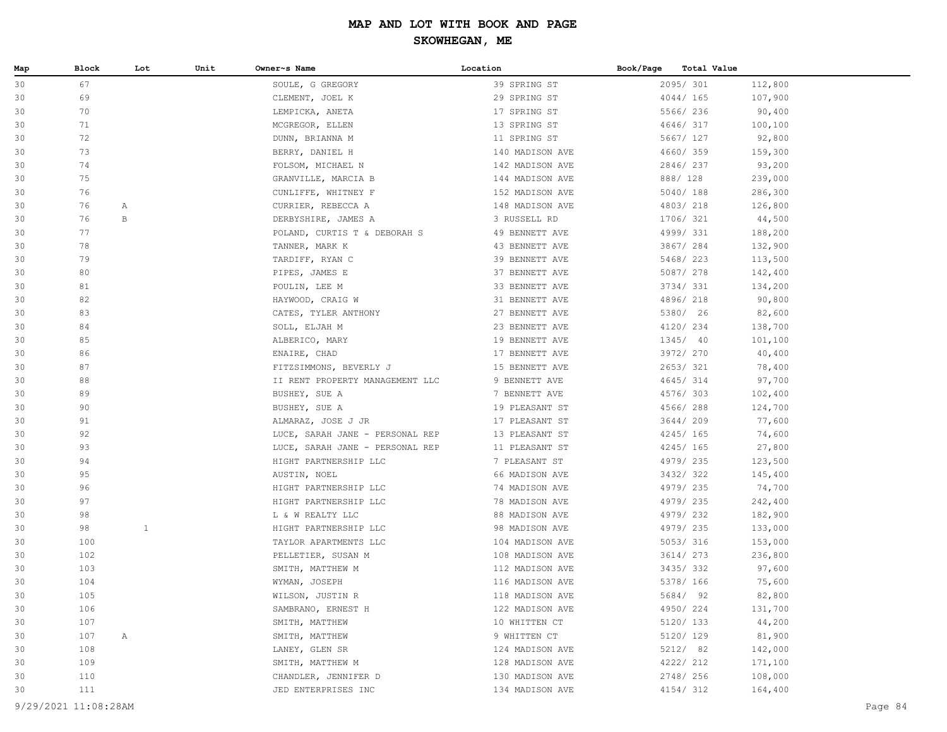| Map      | Block      | Lot          | Unit | Owner~s Name                     | Location                      | Book/Page<br>Total Value |                   |
|----------|------------|--------------|------|----------------------------------|-------------------------------|--------------------------|-------------------|
| 30       | 67         |              |      | SOULE, G GREGORY                 | 39 SPRING ST                  | 2095/301                 | 112,800           |
| 30       | 69         |              |      | CLEMENT, JOEL K                  | 29 SPRING ST                  | 4044/165                 | 107,900           |
| 30       | 70         |              |      | LEMPICKA, ANETA                  | 17 SPRING ST                  | 5566/ 236                | 90,400            |
| 30       | 71         |              |      | MCGREGOR, ELLEN                  | 13 SPRING ST                  | 4646/317                 | 100,100           |
| 30       | 72         |              |      | DUNN, BRIANNA M                  | 11 SPRING ST                  | 5667/ 127                | 92,800            |
| 30       | 73         |              |      | BERRY, DANIEL H                  | 140 MADISON AVE               | 4660/359                 | 159,300           |
| 30       | 74         |              |      | FOLSOM, MICHAEL N                | 142 MADISON AVE               | 2846/237                 | 93,200            |
| 30       | 75         |              |      | GRANVILLE, MARCIA B              | 144 MADISON AVE               | 888/ 128                 | 239,000           |
| 30       | 76         |              |      | CUNLIFFE, WHITNEY F              | 152 MADISON AVE               | 5040/188                 | 286,300           |
| 30       | 76         | Α            |      | CURRIER, REBECCA A               | 148 MADISON AVE               | 4803/218                 | 126,800           |
| 30       | 76         | B            |      | DERBYSHIRE, JAMES A              | 3 RUSSELL RD                  | 1706/ 321                | 44,500            |
| 30       | 77         |              |      | POLAND, CURTIS T & DEBORAH S     | 49 BENNETT AVE                | 4999/ 331                | 188,200           |
| 30       | 78         |              |      | TANNER, MARK K                   | 43 BENNETT AVE                | 3867/ 284                | 132,900           |
| 30       | 79         |              |      | TARDIFF, RYAN C                  | 39 BENNETT AVE                | 5468/ 223                | 113,500           |
| 30       | 80         |              |      | PIPES, JAMES E                   | 37 BENNETT AVE                | 5087/ 278                | 142,400           |
| 30       | 81         |              |      | POULIN, LEE M                    | 33 BENNETT AVE                | 3734/331                 | 134,200           |
| 30       | 82         |              |      | HAYWOOD, CRAIG W                 | 31 BENNETT AVE                | 4896/218                 | 90,800            |
| 30       | 83         |              |      | CATES, TYLER ANTHONY             | 27 BENNETT AVE                | 5380/ 26                 | 82,600            |
| 30       | 84         |              |      | SOLL, ELJAH M                    | 23 BENNETT AVE                | 4120/ 234                | 138,700           |
| 30       | 85         |              |      | ALBERICO, MARY                   | 19 BENNETT AVE                | 1345/ 40                 | 101,100           |
| 30       | 86         |              |      | ENAIRE, CHAD                     | 17 BENNETT AVE                | 3972/ 270                | 40,400            |
| 30       | 87         |              |      | FITZSIMMONS, BEVERLY J           | 15 BENNETT AVE                | 2653/321                 | 78,400            |
| 30       | 88         |              |      | II RENT PROPERTY MANAGEMENT LLC  | 9 BENNETT AVE                 | 4645/314                 | 97,700            |
| 30       | 89         |              |      | BUSHEY, SUE A                    | 7 BENNETT AVE                 | 4576/303                 | 102,400           |
| 30       | 90         |              |      | BUSHEY, SUE A                    | 19 PLEASANT ST                | 4566/288                 | 124,700           |
| 30       | 91         |              |      | ALMARAZ, JOSE J JR               | 17 PLEASANT ST                | 3644/ 209                | 77,600            |
| 30       | 92         |              |      | LUCE, SARAH JANE - PERSONAL REP  | 13 PLEASANT ST                | 4245/ 165                | 74,600            |
| 30       | 93         |              |      | LUCE, SARAH JANE - PERSONAL REP  | 11 PLEASANT ST                | 4245/ 165                | 27,800            |
| 30       | 94         |              |      | HIGHT PARTNERSHIP LLC            | 7 PLEASANT ST                 | 4979/ 235                | 123,500           |
| 30       | 95         |              |      | AUSTIN, NOEL                     | 66 MADISON AVE                | 3432/322                 | 145,400           |
| 30       | 96         |              |      | HIGHT PARTNERSHIP LLC            | 74 MADISON AVE                | 4979/ 235                | 74,700            |
| 30       | 97         |              |      | HIGHT PARTNERSHIP LLC            | 78 MADISON AVE                | 4979/ 235                | 242,400           |
| 30       | 98         |              |      | L & W REALTY LLC                 | 88 MADISON AVE                | 4979/232                 | 182,900           |
| 30       | 98         | $\mathbf{1}$ |      | HIGHT PARTNERSHIP LLC            | 98 MADISON AVE                | 4979/ 235                | 133,000           |
| 30       | 100        |              |      | TAYLOR APARTMENTS LLC            | 104 MADISON AVE               | 5053/316                 | 153,000           |
| 30       | 102        |              |      | PELLETIER, SUSAN M               | 108 MADISON AVE               | 3614/ 273                | 236,800           |
| 30       | 103        |              |      | SMITH, MATTHEW M                 | 112 MADISON AVE               | 3435/332                 | 97,600            |
| 30       | 104        |              |      | WYMAN, JOSEPH                    | 116 MADISON AVE               | 5378/ 166                | 75,600            |
| 30       | 105        |              |      | WILSON, JUSTIN R                 | 118 MADISON AVE               | 5684/ 92<br>4950/224     | 82,800            |
| 30       | 106<br>107 |              |      | SAMBRANO, ERNEST H               | 122 MADISON AVE               |                          | 131,700<br>44,200 |
| 30       |            |              |      | SMITH, MATTHEW<br>SMITH, MATTHEW | 10 WHITTEN CT<br>9 WHITTEN CT | 5120/ 133                | 81,900            |
| 30<br>30 | 107<br>108 | A            |      | LANEY, GLEN SR                   | 124 MADISON AVE               | 5120/ 129<br>5212/ 82    | 142,000           |
| 30       | 109        |              |      | SMITH, MATTHEW M                 | 128 MADISON AVE               | 4222/ 212                | 171,100           |
| 30       | 110        |              |      | CHANDLER, JENNIFER D             | 130 MADISON AVE               | 2748/ 256                | 108,000           |
| 30       | 111        |              |      | JED ENTERPRISES INC              | 134 MADISON AVE               | 4154/312                 | 164,400           |
|          |            |              |      |                                  |                               |                          |                   |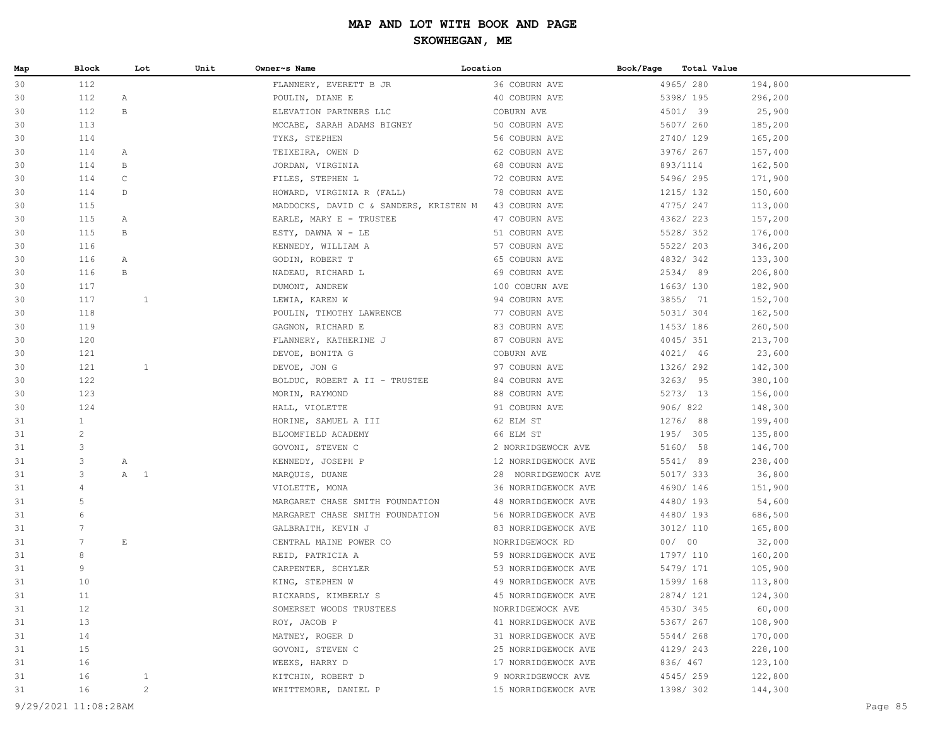| Map | Block           | Lot                   | Unit         | Owner~s Name                           | Location            | Book/Page | Total Value |         |
|-----|-----------------|-----------------------|--------------|----------------------------------------|---------------------|-----------|-------------|---------|
| 30  | 112             |                       |              | FLANNERY, EVERETT B JR                 | 36 COBURN AVE       |           | 4965/280    | 194,800 |
| 30  | 112             | $\mathbb{A}$          |              | POULIN, DIANE E                        | 40 COBURN AVE       |           | 5398/ 195   | 296,200 |
| 30  | 112             | B                     |              | ELEVATION PARTNERS LLC                 | COBURN AVE          |           | 4501/ 39    | 25,900  |
| 30  | 113             |                       |              | MCCABE, SARAH ADAMS BIGNEY             | 50 COBURN AVE       |           | 5607/260    | 185,200 |
| 30  | 114             |                       |              | TYKS, STEPHEN                          | 56 COBURN AVE       |           | 2740/129    | 165,200 |
| 30  | 114             | A                     |              | TEIXEIRA, OWEN D                       | 62 COBURN AVE       |           | 3976/267    | 157,400 |
| 30  | 114             | B                     |              | JORDAN, VIRGINIA                       | 68 COBURN AVE       |           | 893/1114    | 162,500 |
| 30  | 114             | $\mathsf C$           |              | FILES, STEPHEN L                       | 72 COBURN AVE       |           | 5496/295    | 171,900 |
| 30  | 114             | D                     |              | HOWARD, VIRGINIA R (FALL)              | 78 COBURN AVE       |           | 1215/ 132   | 150,600 |
| 30  | 115             |                       |              | MADDOCKS, DAVID C & SANDERS, KRISTEN M | 43 COBURN AVE       |           | 4775/247    | 113,000 |
| 30  | 115             | A                     |              | EARLE, MARY E - TRUSTEE                | 47 COBURN AVE       |           | 4362/223    | 157,200 |
| 30  | 115             | В                     |              | ESTY, DAWNA $W - LE$                   | 51 COBURN AVE       |           | 5528/352    | 176,000 |
| 30  | 116             |                       |              | KENNEDY, WILLIAM A                     | 57 COBURN AVE       |           | 5522/ 203   | 346,200 |
| 30  | 116             | A                     |              | GODIN, ROBERT T                        | 65 COBURN AVE       |           | 4832/342    | 133,300 |
| 30  | 116             | B                     |              | NADEAU, RICHARD L                      | 69 COBURN AVE       |           | 2534/89     | 206,800 |
| 30  | 117             |                       |              | DUMONT, ANDREW                         | 100 COBURN AVE      |           | 1663/130    | 182,900 |
| 30  | 117             |                       | 1            | LEWIA, KAREN W                         | 94 COBURN AVE       |           | 3855/ 71    | 152,700 |
| 30  | 118             |                       |              | POULIN, TIMOTHY LAWRENCE               | 77 COBURN AVE       |           | 5031/ 304   | 162,500 |
| 30  | 119             |                       |              | GAGNON, RICHARD E                      | 83 COBURN AVE       |           | 1453/186    | 260,500 |
| 30  | 120             |                       |              | FLANNERY, KATHERINE J                  | 87 COBURN AVE       |           | 4045/ 351   | 213,700 |
| 30  | 121             |                       |              | DEVOE, BONITA G                        | COBURN AVE          |           | 4021/ 46    | 23,600  |
| 30  | 121             |                       | $\mathbf{1}$ | DEVOE, JON G                           | 97 COBURN AVE       |           | 1326/ 292   | 142,300 |
| 30  | 122             |                       |              | BOLDUC, ROBERT A II - TRUSTEE          | 84 COBURN AVE       |           | 3263/95     | 380,100 |
| 30  | 123             |                       |              | MORIN, RAYMOND                         | 88 COBURN AVE       |           | 5273/ 13    | 156,000 |
| 30  | 124             |                       |              | HALL, VIOLETTE                         | 91 COBURN AVE       |           | 906/822     | 148,300 |
| 31  | $\mathbf{1}$    |                       |              | HORINE, SAMUEL A III                   | 62 ELM ST           |           | 1276/ 88    | 199,400 |
| 31  | $\overline{c}$  |                       |              | BLOOMFIELD ACADEMY                     | 66 ELM ST           |           | 195/ 305    | 135,800 |
| 31  | 3               |                       |              | GOVONI, STEVEN C                       | 2 NORRIDGEWOCK AVE  |           | 5160/ 58    | 146,700 |
| 31  | 3               | Α                     |              | KENNEDY, JOSEPH P                      | 12 NORRIDGEWOCK AVE |           | 5541/ 89    | 238,400 |
| 31  | 3               | A 1                   |              | MARQUIS, DUANE                         | 28 NORRIDGEWOCK AVE |           | 5017/ 333   | 36,800  |
| 31  | $\overline{4}$  |                       |              | VIOLETTE, MONA                         | 36 NORRIDGEWOCK AVE |           | 4690/146    | 151,900 |
| 31  | 5               |                       |              | MARGARET CHASE SMITH FOUNDATION        | 48 NORRIDGEWOCK AVE |           | 4480/193    | 54,600  |
| 31  | 6               |                       |              | MARGARET CHASE SMITH FOUNDATION        | 56 NORRIDGEWOCK AVE |           | 4480/193    | 686,500 |
| 31  | $7\phantom{.0}$ |                       |              | GALBRAITH, KEVIN J                     | 83 NORRIDGEWOCK AVE |           | 3012/ 110   | 165,800 |
| 31  | $7\phantom{.0}$ | $\mathop{}\mathbb{E}$ |              | CENTRAL MAINE POWER CO                 | NORRIDGEWOCK RD     |           | 00/00       | 32,000  |
| 31  | 8               |                       |              | REID, PATRICIA A                       | 59 NORRIDGEWOCK AVE |           | 1797/ 110   | 160,200 |
| 31  | 9               |                       |              | CARPENTER, SCHYLER                     | 53 NORRIDGEWOCK AVE |           | 5479/ 171   | 105,900 |
| 31  | 10              |                       |              | KING, STEPHEN W                        | 49 NORRIDGEWOCK AVE |           | 1599/ 168   | 113,800 |
| 31  | 11              |                       |              | RICKARDS, KIMBERLY S                   | 45 NORRIDGEWOCK AVE |           | 2874/ 121   | 124,300 |
| 31  | 12              |                       |              | SOMERSET WOODS TRUSTEES                | NORRIDGEWOCK AVE    |           | 4530/345    | 60,000  |
| 31  | 13              |                       |              | ROY, JACOB P                           | 41 NORRIDGEWOCK AVE |           | 5367/ 267   | 108,900 |
| 31  | 14              |                       |              | MATNEY, ROGER D                        | 31 NORRIDGEWOCK AVE |           | 5544/268    | 170,000 |
| 31  | 15              |                       |              | GOVONI, STEVEN C                       | 25 NORRIDGEWOCK AVE |           | 4129/ 243   | 228,100 |
| 31  | 16              |                       |              | WEEKS, HARRY D                         | 17 NORRIDGEWOCK AVE |           | 836/ 467    | 123,100 |
| 31  | 16              |                       | $\mathbf{1}$ | KITCHIN, ROBERT D                      | 9 NORRIDGEWOCK AVE  |           | 4545/259    | 122,800 |
| 31  | 16              |                       | $\mathbf{2}$ | WHITTEMORE, DANIEL P                   | 15 NORRIDGEWOCK AVE |           | 1398/ 302   | 144,300 |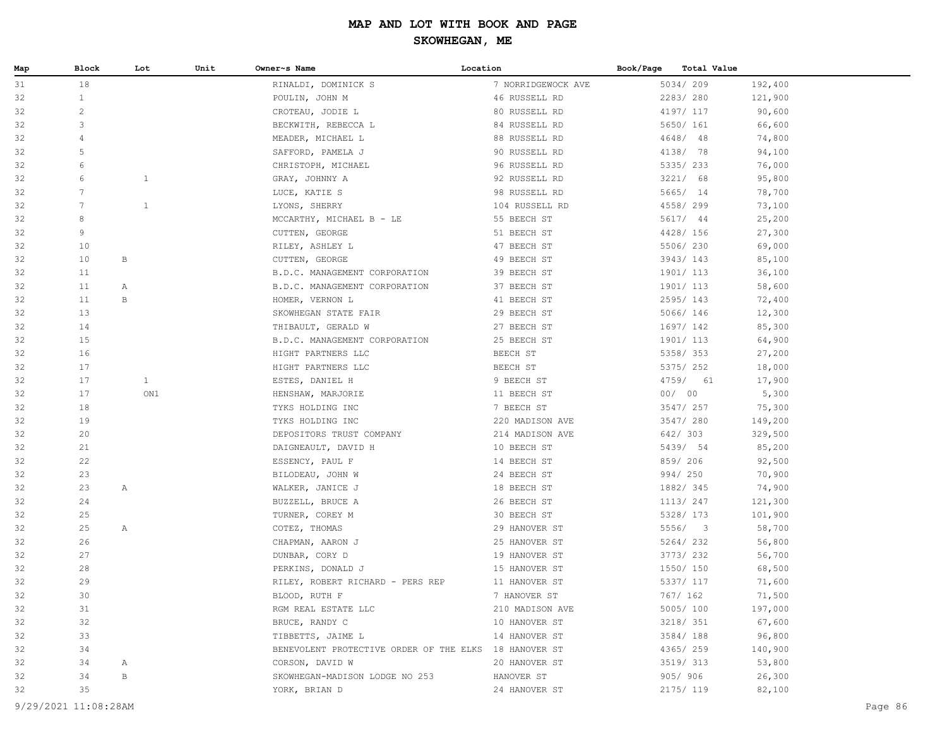| 31<br>18<br>5034/209<br>RINALDI, DOMINICK S<br>7 NORRIDGEWOCK AVE<br>192,400<br>$\mathbf{1}$<br>2283/280<br>32<br>POULIN, JOHN M<br>46 RUSSELL RD<br>121,900<br>$\sqrt{2}$<br>32<br>80 RUSSELL RD<br>4197/ 117<br>CROTEAU, JODIE L<br>90,600<br>3<br>32<br>BECKWITH, REBECCA L<br>84 RUSSELL RD<br>5650/ 161<br>66,600<br>32<br>88 RUSSELL RD<br>74,800<br>4<br>MEADER, MICHAEL L<br>$4648/$ 48<br>5<br>90 RUSSELL RD<br>32<br>SAFFORD, PAMELA J<br>4138/ 78<br>94,100<br>32<br>6<br>96 RUSSELL RD<br>5335/233<br>CHRISTOPH, MICHAEL<br>76,000<br>6<br>$\mathbf{1}$<br>32<br>92 RUSSELL RD<br>3221/ 68<br>95,800<br>GRAY, JOHNNY A<br>32<br>$7\phantom{.0}$<br>5665/ 14<br>LUCE, KATIE S<br>98 RUSSELL RD<br>78,700<br>$7\phantom{.0}$<br>$\mathbf{1}$<br>32<br>104 RUSSELL RD<br>4558/299<br>73,100<br>LYONS, SHERRY<br>32<br>8<br>55 BEECH ST<br>5617/ 44<br>MCCARTHY, MICHAEL B - LE<br>25,200<br>9<br>4428/ 156<br>32<br>51 BEECH ST<br>27,300<br>CUTTEN, GEORGE<br>47 BEECH ST<br>32<br>10<br>5506/230<br>69,000<br>RILEY, ASHLEY L<br>32<br>10<br>В<br>CUTTEN, GEORGE<br>49 BEECH ST<br>3943/143<br>85,100<br>32<br>11<br>B.D.C. MANAGEMENT CORPORATION<br>39 BEECH ST<br>1901/ 113<br>36,100<br>32<br>11<br>B.D.C. MANAGEMENT CORPORATION<br>37 BEECH ST<br>1901/ 113<br>58,600<br>A<br>32<br>11<br>$_{\rm B}$<br>41 BEECH ST<br>2595/143<br>72,400<br>HOMER, VERNON L<br>13<br>32<br>SKOWHEGAN STATE FAIR<br>29 BEECH ST<br>5066/146<br>12,300<br>32<br>14<br>27 BEECH ST<br>THIBAULT, GERALD W<br>1697/ 142<br>85,300<br>32<br>15<br>B.D.C. MANAGEMENT CORPORATION<br>25 BEECH ST<br>1901/ 113<br>64,900<br>16<br>32<br>HIGHT PARTNERS LLC<br>BEECH ST<br>5358/353<br>27,200<br>32<br>17<br>HIGHT PARTNERS LLC<br>BEECH ST<br>5375/ 252<br>18,000<br>32<br>17<br>$\mathbf{1}$<br>9 BEECH ST<br>4759/ 61<br>ESTES, DANIEL H<br>17,900<br>32<br>17<br>ON1<br>HENSHAW, MARJORIE<br>11 BEECH ST<br>00/00<br>5,300<br>32<br>18<br>7 BEECH ST<br>3547/ 257<br>75,300<br>TYKS HOLDING INC<br>32<br>19<br>220 MADISON AVE<br>3547/ 280<br>TYKS HOLDING INC<br>149,200<br>20<br>642/ 303<br>32<br>DEPOSITORS TRUST COMPANY<br>214 MADISON AVE<br>329,500<br>32<br>21<br>10 BEECH ST<br>5439/ 54<br>85,200<br>DAIGNEAULT, DAVID H<br>22<br>859/ 206<br>32<br>14 BEECH ST<br>92,500<br>ESSENCY, PAUL F<br>32<br>23<br>24 BEECH ST<br>994/ 250<br>70,900<br>BILODEAU, JOHN W<br>32<br>23<br>$\mathbb{A}$<br>WALKER, JANICE J<br>18 BEECH ST<br>1882/345<br>74,900<br>32<br>24<br>BUZZELL, BRUCE A<br>26 BEECH ST<br>1113/ 247<br>121,300<br>25<br>32<br>TURNER, COREY M<br>30 BEECH ST<br>5328/ 173<br>101,900<br>5556/ 3<br>32<br>25<br>$\mathbb{A}$<br>COTEZ, THOMAS<br>29 HANOVER ST<br>58,700<br>26<br>32<br>25 HANOVER ST<br>5264/232<br>56,800<br>CHAPMAN, AARON J<br>27<br>32<br>19 HANOVER ST<br>3773/232<br>56,700<br>DUNBAR, CORY D<br>28<br>32<br>15 HANOVER ST<br>1550/ 150<br>68,500<br>PERKINS, DONALD J<br>29<br>32<br>RILEY, ROBERT RICHARD - PERS REP<br>11 HANOVER ST<br>5337/ 117<br>71,600<br>32<br>30<br>BLOOD, RUTH F<br>7 HANOVER ST<br>767/ 162<br>71,500 | Map | Block | Lot | Unit | Owner~s Name        | Location        | Book/Page<br>Total Value |         |
|--------------------------------------------------------------------------------------------------------------------------------------------------------------------------------------------------------------------------------------------------------------------------------------------------------------------------------------------------------------------------------------------------------------------------------------------------------------------------------------------------------------------------------------------------------------------------------------------------------------------------------------------------------------------------------------------------------------------------------------------------------------------------------------------------------------------------------------------------------------------------------------------------------------------------------------------------------------------------------------------------------------------------------------------------------------------------------------------------------------------------------------------------------------------------------------------------------------------------------------------------------------------------------------------------------------------------------------------------------------------------------------------------------------------------------------------------------------------------------------------------------------------------------------------------------------------------------------------------------------------------------------------------------------------------------------------------------------------------------------------------------------------------------------------------------------------------------------------------------------------------------------------------------------------------------------------------------------------------------------------------------------------------------------------------------------------------------------------------------------------------------------------------------------------------------------------------------------------------------------------------------------------------------------------------------------------------------------------------------------------------------------------------------------------------------------------------------------------------------------------------------------------------------------------------------------------------------------------------------------------------------------------------------------------------------------------------------------------------------------------------------------------------------------------------------------------------------------------------------------------------------------------------------------------------------------------------------------------------------------------------------------------------------------------------------------------------------|-----|-------|-----|------|---------------------|-----------------|--------------------------|---------|
|                                                                                                                                                                                                                                                                                                                                                                                                                                                                                                                                                                                                                                                                                                                                                                                                                                                                                                                                                                                                                                                                                                                                                                                                                                                                                                                                                                                                                                                                                                                                                                                                                                                                                                                                                                                                                                                                                                                                                                                                                                                                                                                                                                                                                                                                                                                                                                                                                                                                                                                                                                                                                                                                                                                                                                                                                                                                                                                                                                                                                                                                                |     |       |     |      |                     |                 |                          |         |
|                                                                                                                                                                                                                                                                                                                                                                                                                                                                                                                                                                                                                                                                                                                                                                                                                                                                                                                                                                                                                                                                                                                                                                                                                                                                                                                                                                                                                                                                                                                                                                                                                                                                                                                                                                                                                                                                                                                                                                                                                                                                                                                                                                                                                                                                                                                                                                                                                                                                                                                                                                                                                                                                                                                                                                                                                                                                                                                                                                                                                                                                                |     |       |     |      |                     |                 |                          |         |
|                                                                                                                                                                                                                                                                                                                                                                                                                                                                                                                                                                                                                                                                                                                                                                                                                                                                                                                                                                                                                                                                                                                                                                                                                                                                                                                                                                                                                                                                                                                                                                                                                                                                                                                                                                                                                                                                                                                                                                                                                                                                                                                                                                                                                                                                                                                                                                                                                                                                                                                                                                                                                                                                                                                                                                                                                                                                                                                                                                                                                                                                                |     |       |     |      |                     |                 |                          |         |
|                                                                                                                                                                                                                                                                                                                                                                                                                                                                                                                                                                                                                                                                                                                                                                                                                                                                                                                                                                                                                                                                                                                                                                                                                                                                                                                                                                                                                                                                                                                                                                                                                                                                                                                                                                                                                                                                                                                                                                                                                                                                                                                                                                                                                                                                                                                                                                                                                                                                                                                                                                                                                                                                                                                                                                                                                                                                                                                                                                                                                                                                                |     |       |     |      |                     |                 |                          |         |
|                                                                                                                                                                                                                                                                                                                                                                                                                                                                                                                                                                                                                                                                                                                                                                                                                                                                                                                                                                                                                                                                                                                                                                                                                                                                                                                                                                                                                                                                                                                                                                                                                                                                                                                                                                                                                                                                                                                                                                                                                                                                                                                                                                                                                                                                                                                                                                                                                                                                                                                                                                                                                                                                                                                                                                                                                                                                                                                                                                                                                                                                                |     |       |     |      |                     |                 |                          |         |
|                                                                                                                                                                                                                                                                                                                                                                                                                                                                                                                                                                                                                                                                                                                                                                                                                                                                                                                                                                                                                                                                                                                                                                                                                                                                                                                                                                                                                                                                                                                                                                                                                                                                                                                                                                                                                                                                                                                                                                                                                                                                                                                                                                                                                                                                                                                                                                                                                                                                                                                                                                                                                                                                                                                                                                                                                                                                                                                                                                                                                                                                                |     |       |     |      |                     |                 |                          |         |
|                                                                                                                                                                                                                                                                                                                                                                                                                                                                                                                                                                                                                                                                                                                                                                                                                                                                                                                                                                                                                                                                                                                                                                                                                                                                                                                                                                                                                                                                                                                                                                                                                                                                                                                                                                                                                                                                                                                                                                                                                                                                                                                                                                                                                                                                                                                                                                                                                                                                                                                                                                                                                                                                                                                                                                                                                                                                                                                                                                                                                                                                                |     |       |     |      |                     |                 |                          |         |
|                                                                                                                                                                                                                                                                                                                                                                                                                                                                                                                                                                                                                                                                                                                                                                                                                                                                                                                                                                                                                                                                                                                                                                                                                                                                                                                                                                                                                                                                                                                                                                                                                                                                                                                                                                                                                                                                                                                                                                                                                                                                                                                                                                                                                                                                                                                                                                                                                                                                                                                                                                                                                                                                                                                                                                                                                                                                                                                                                                                                                                                                                |     |       |     |      |                     |                 |                          |         |
|                                                                                                                                                                                                                                                                                                                                                                                                                                                                                                                                                                                                                                                                                                                                                                                                                                                                                                                                                                                                                                                                                                                                                                                                                                                                                                                                                                                                                                                                                                                                                                                                                                                                                                                                                                                                                                                                                                                                                                                                                                                                                                                                                                                                                                                                                                                                                                                                                                                                                                                                                                                                                                                                                                                                                                                                                                                                                                                                                                                                                                                                                |     |       |     |      |                     |                 |                          |         |
|                                                                                                                                                                                                                                                                                                                                                                                                                                                                                                                                                                                                                                                                                                                                                                                                                                                                                                                                                                                                                                                                                                                                                                                                                                                                                                                                                                                                                                                                                                                                                                                                                                                                                                                                                                                                                                                                                                                                                                                                                                                                                                                                                                                                                                                                                                                                                                                                                                                                                                                                                                                                                                                                                                                                                                                                                                                                                                                                                                                                                                                                                |     |       |     |      |                     |                 |                          |         |
|                                                                                                                                                                                                                                                                                                                                                                                                                                                                                                                                                                                                                                                                                                                                                                                                                                                                                                                                                                                                                                                                                                                                                                                                                                                                                                                                                                                                                                                                                                                                                                                                                                                                                                                                                                                                                                                                                                                                                                                                                                                                                                                                                                                                                                                                                                                                                                                                                                                                                                                                                                                                                                                                                                                                                                                                                                                                                                                                                                                                                                                                                |     |       |     |      |                     |                 |                          |         |
|                                                                                                                                                                                                                                                                                                                                                                                                                                                                                                                                                                                                                                                                                                                                                                                                                                                                                                                                                                                                                                                                                                                                                                                                                                                                                                                                                                                                                                                                                                                                                                                                                                                                                                                                                                                                                                                                                                                                                                                                                                                                                                                                                                                                                                                                                                                                                                                                                                                                                                                                                                                                                                                                                                                                                                                                                                                                                                                                                                                                                                                                                |     |       |     |      |                     |                 |                          |         |
|                                                                                                                                                                                                                                                                                                                                                                                                                                                                                                                                                                                                                                                                                                                                                                                                                                                                                                                                                                                                                                                                                                                                                                                                                                                                                                                                                                                                                                                                                                                                                                                                                                                                                                                                                                                                                                                                                                                                                                                                                                                                                                                                                                                                                                                                                                                                                                                                                                                                                                                                                                                                                                                                                                                                                                                                                                                                                                                                                                                                                                                                                |     |       |     |      |                     |                 |                          |         |
|                                                                                                                                                                                                                                                                                                                                                                                                                                                                                                                                                                                                                                                                                                                                                                                                                                                                                                                                                                                                                                                                                                                                                                                                                                                                                                                                                                                                                                                                                                                                                                                                                                                                                                                                                                                                                                                                                                                                                                                                                                                                                                                                                                                                                                                                                                                                                                                                                                                                                                                                                                                                                                                                                                                                                                                                                                                                                                                                                                                                                                                                                |     |       |     |      |                     |                 |                          |         |
|                                                                                                                                                                                                                                                                                                                                                                                                                                                                                                                                                                                                                                                                                                                                                                                                                                                                                                                                                                                                                                                                                                                                                                                                                                                                                                                                                                                                                                                                                                                                                                                                                                                                                                                                                                                                                                                                                                                                                                                                                                                                                                                                                                                                                                                                                                                                                                                                                                                                                                                                                                                                                                                                                                                                                                                                                                                                                                                                                                                                                                                                                |     |       |     |      |                     |                 |                          |         |
|                                                                                                                                                                                                                                                                                                                                                                                                                                                                                                                                                                                                                                                                                                                                                                                                                                                                                                                                                                                                                                                                                                                                                                                                                                                                                                                                                                                                                                                                                                                                                                                                                                                                                                                                                                                                                                                                                                                                                                                                                                                                                                                                                                                                                                                                                                                                                                                                                                                                                                                                                                                                                                                                                                                                                                                                                                                                                                                                                                                                                                                                                |     |       |     |      |                     |                 |                          |         |
|                                                                                                                                                                                                                                                                                                                                                                                                                                                                                                                                                                                                                                                                                                                                                                                                                                                                                                                                                                                                                                                                                                                                                                                                                                                                                                                                                                                                                                                                                                                                                                                                                                                                                                                                                                                                                                                                                                                                                                                                                                                                                                                                                                                                                                                                                                                                                                                                                                                                                                                                                                                                                                                                                                                                                                                                                                                                                                                                                                                                                                                                                |     |       |     |      |                     |                 |                          |         |
|                                                                                                                                                                                                                                                                                                                                                                                                                                                                                                                                                                                                                                                                                                                                                                                                                                                                                                                                                                                                                                                                                                                                                                                                                                                                                                                                                                                                                                                                                                                                                                                                                                                                                                                                                                                                                                                                                                                                                                                                                                                                                                                                                                                                                                                                                                                                                                                                                                                                                                                                                                                                                                                                                                                                                                                                                                                                                                                                                                                                                                                                                |     |       |     |      |                     |                 |                          |         |
|                                                                                                                                                                                                                                                                                                                                                                                                                                                                                                                                                                                                                                                                                                                                                                                                                                                                                                                                                                                                                                                                                                                                                                                                                                                                                                                                                                                                                                                                                                                                                                                                                                                                                                                                                                                                                                                                                                                                                                                                                                                                                                                                                                                                                                                                                                                                                                                                                                                                                                                                                                                                                                                                                                                                                                                                                                                                                                                                                                                                                                                                                |     |       |     |      |                     |                 |                          |         |
|                                                                                                                                                                                                                                                                                                                                                                                                                                                                                                                                                                                                                                                                                                                                                                                                                                                                                                                                                                                                                                                                                                                                                                                                                                                                                                                                                                                                                                                                                                                                                                                                                                                                                                                                                                                                                                                                                                                                                                                                                                                                                                                                                                                                                                                                                                                                                                                                                                                                                                                                                                                                                                                                                                                                                                                                                                                                                                                                                                                                                                                                                |     |       |     |      |                     |                 |                          |         |
|                                                                                                                                                                                                                                                                                                                                                                                                                                                                                                                                                                                                                                                                                                                                                                                                                                                                                                                                                                                                                                                                                                                                                                                                                                                                                                                                                                                                                                                                                                                                                                                                                                                                                                                                                                                                                                                                                                                                                                                                                                                                                                                                                                                                                                                                                                                                                                                                                                                                                                                                                                                                                                                                                                                                                                                                                                                                                                                                                                                                                                                                                |     |       |     |      |                     |                 |                          |         |
|                                                                                                                                                                                                                                                                                                                                                                                                                                                                                                                                                                                                                                                                                                                                                                                                                                                                                                                                                                                                                                                                                                                                                                                                                                                                                                                                                                                                                                                                                                                                                                                                                                                                                                                                                                                                                                                                                                                                                                                                                                                                                                                                                                                                                                                                                                                                                                                                                                                                                                                                                                                                                                                                                                                                                                                                                                                                                                                                                                                                                                                                                |     |       |     |      |                     |                 |                          |         |
|                                                                                                                                                                                                                                                                                                                                                                                                                                                                                                                                                                                                                                                                                                                                                                                                                                                                                                                                                                                                                                                                                                                                                                                                                                                                                                                                                                                                                                                                                                                                                                                                                                                                                                                                                                                                                                                                                                                                                                                                                                                                                                                                                                                                                                                                                                                                                                                                                                                                                                                                                                                                                                                                                                                                                                                                                                                                                                                                                                                                                                                                                |     |       |     |      |                     |                 |                          |         |
|                                                                                                                                                                                                                                                                                                                                                                                                                                                                                                                                                                                                                                                                                                                                                                                                                                                                                                                                                                                                                                                                                                                                                                                                                                                                                                                                                                                                                                                                                                                                                                                                                                                                                                                                                                                                                                                                                                                                                                                                                                                                                                                                                                                                                                                                                                                                                                                                                                                                                                                                                                                                                                                                                                                                                                                                                                                                                                                                                                                                                                                                                |     |       |     |      |                     |                 |                          |         |
|                                                                                                                                                                                                                                                                                                                                                                                                                                                                                                                                                                                                                                                                                                                                                                                                                                                                                                                                                                                                                                                                                                                                                                                                                                                                                                                                                                                                                                                                                                                                                                                                                                                                                                                                                                                                                                                                                                                                                                                                                                                                                                                                                                                                                                                                                                                                                                                                                                                                                                                                                                                                                                                                                                                                                                                                                                                                                                                                                                                                                                                                                |     |       |     |      |                     |                 |                          |         |
|                                                                                                                                                                                                                                                                                                                                                                                                                                                                                                                                                                                                                                                                                                                                                                                                                                                                                                                                                                                                                                                                                                                                                                                                                                                                                                                                                                                                                                                                                                                                                                                                                                                                                                                                                                                                                                                                                                                                                                                                                                                                                                                                                                                                                                                                                                                                                                                                                                                                                                                                                                                                                                                                                                                                                                                                                                                                                                                                                                                                                                                                                |     |       |     |      |                     |                 |                          |         |
|                                                                                                                                                                                                                                                                                                                                                                                                                                                                                                                                                                                                                                                                                                                                                                                                                                                                                                                                                                                                                                                                                                                                                                                                                                                                                                                                                                                                                                                                                                                                                                                                                                                                                                                                                                                                                                                                                                                                                                                                                                                                                                                                                                                                                                                                                                                                                                                                                                                                                                                                                                                                                                                                                                                                                                                                                                                                                                                                                                                                                                                                                |     |       |     |      |                     |                 |                          |         |
|                                                                                                                                                                                                                                                                                                                                                                                                                                                                                                                                                                                                                                                                                                                                                                                                                                                                                                                                                                                                                                                                                                                                                                                                                                                                                                                                                                                                                                                                                                                                                                                                                                                                                                                                                                                                                                                                                                                                                                                                                                                                                                                                                                                                                                                                                                                                                                                                                                                                                                                                                                                                                                                                                                                                                                                                                                                                                                                                                                                                                                                                                |     |       |     |      |                     |                 |                          |         |
|                                                                                                                                                                                                                                                                                                                                                                                                                                                                                                                                                                                                                                                                                                                                                                                                                                                                                                                                                                                                                                                                                                                                                                                                                                                                                                                                                                                                                                                                                                                                                                                                                                                                                                                                                                                                                                                                                                                                                                                                                                                                                                                                                                                                                                                                                                                                                                                                                                                                                                                                                                                                                                                                                                                                                                                                                                                                                                                                                                                                                                                                                |     |       |     |      |                     |                 |                          |         |
|                                                                                                                                                                                                                                                                                                                                                                                                                                                                                                                                                                                                                                                                                                                                                                                                                                                                                                                                                                                                                                                                                                                                                                                                                                                                                                                                                                                                                                                                                                                                                                                                                                                                                                                                                                                                                                                                                                                                                                                                                                                                                                                                                                                                                                                                                                                                                                                                                                                                                                                                                                                                                                                                                                                                                                                                                                                                                                                                                                                                                                                                                |     |       |     |      |                     |                 |                          |         |
|                                                                                                                                                                                                                                                                                                                                                                                                                                                                                                                                                                                                                                                                                                                                                                                                                                                                                                                                                                                                                                                                                                                                                                                                                                                                                                                                                                                                                                                                                                                                                                                                                                                                                                                                                                                                                                                                                                                                                                                                                                                                                                                                                                                                                                                                                                                                                                                                                                                                                                                                                                                                                                                                                                                                                                                                                                                                                                                                                                                                                                                                                |     |       |     |      |                     |                 |                          |         |
|                                                                                                                                                                                                                                                                                                                                                                                                                                                                                                                                                                                                                                                                                                                                                                                                                                                                                                                                                                                                                                                                                                                                                                                                                                                                                                                                                                                                                                                                                                                                                                                                                                                                                                                                                                                                                                                                                                                                                                                                                                                                                                                                                                                                                                                                                                                                                                                                                                                                                                                                                                                                                                                                                                                                                                                                                                                                                                                                                                                                                                                                                |     |       |     |      |                     |                 |                          |         |
|                                                                                                                                                                                                                                                                                                                                                                                                                                                                                                                                                                                                                                                                                                                                                                                                                                                                                                                                                                                                                                                                                                                                                                                                                                                                                                                                                                                                                                                                                                                                                                                                                                                                                                                                                                                                                                                                                                                                                                                                                                                                                                                                                                                                                                                                                                                                                                                                                                                                                                                                                                                                                                                                                                                                                                                                                                                                                                                                                                                                                                                                                |     |       |     |      |                     |                 |                          |         |
|                                                                                                                                                                                                                                                                                                                                                                                                                                                                                                                                                                                                                                                                                                                                                                                                                                                                                                                                                                                                                                                                                                                                                                                                                                                                                                                                                                                                                                                                                                                                                                                                                                                                                                                                                                                                                                                                                                                                                                                                                                                                                                                                                                                                                                                                                                                                                                                                                                                                                                                                                                                                                                                                                                                                                                                                                                                                                                                                                                                                                                                                                |     |       |     |      |                     |                 |                          |         |
|                                                                                                                                                                                                                                                                                                                                                                                                                                                                                                                                                                                                                                                                                                                                                                                                                                                                                                                                                                                                                                                                                                                                                                                                                                                                                                                                                                                                                                                                                                                                                                                                                                                                                                                                                                                                                                                                                                                                                                                                                                                                                                                                                                                                                                                                                                                                                                                                                                                                                                                                                                                                                                                                                                                                                                                                                                                                                                                                                                                                                                                                                |     |       |     |      |                     |                 |                          |         |
|                                                                                                                                                                                                                                                                                                                                                                                                                                                                                                                                                                                                                                                                                                                                                                                                                                                                                                                                                                                                                                                                                                                                                                                                                                                                                                                                                                                                                                                                                                                                                                                                                                                                                                                                                                                                                                                                                                                                                                                                                                                                                                                                                                                                                                                                                                                                                                                                                                                                                                                                                                                                                                                                                                                                                                                                                                                                                                                                                                                                                                                                                |     |       |     |      |                     |                 |                          |         |
|                                                                                                                                                                                                                                                                                                                                                                                                                                                                                                                                                                                                                                                                                                                                                                                                                                                                                                                                                                                                                                                                                                                                                                                                                                                                                                                                                                                                                                                                                                                                                                                                                                                                                                                                                                                                                                                                                                                                                                                                                                                                                                                                                                                                                                                                                                                                                                                                                                                                                                                                                                                                                                                                                                                                                                                                                                                                                                                                                                                                                                                                                |     |       |     |      |                     |                 |                          |         |
|                                                                                                                                                                                                                                                                                                                                                                                                                                                                                                                                                                                                                                                                                                                                                                                                                                                                                                                                                                                                                                                                                                                                                                                                                                                                                                                                                                                                                                                                                                                                                                                                                                                                                                                                                                                                                                                                                                                                                                                                                                                                                                                                                                                                                                                                                                                                                                                                                                                                                                                                                                                                                                                                                                                                                                                                                                                                                                                                                                                                                                                                                |     |       |     |      |                     |                 |                          |         |
|                                                                                                                                                                                                                                                                                                                                                                                                                                                                                                                                                                                                                                                                                                                                                                                                                                                                                                                                                                                                                                                                                                                                                                                                                                                                                                                                                                                                                                                                                                                                                                                                                                                                                                                                                                                                                                                                                                                                                                                                                                                                                                                                                                                                                                                                                                                                                                                                                                                                                                                                                                                                                                                                                                                                                                                                                                                                                                                                                                                                                                                                                |     |       |     |      |                     |                 |                          |         |
|                                                                                                                                                                                                                                                                                                                                                                                                                                                                                                                                                                                                                                                                                                                                                                                                                                                                                                                                                                                                                                                                                                                                                                                                                                                                                                                                                                                                                                                                                                                                                                                                                                                                                                                                                                                                                                                                                                                                                                                                                                                                                                                                                                                                                                                                                                                                                                                                                                                                                                                                                                                                                                                                                                                                                                                                                                                                                                                                                                                                                                                                                | 32  | 31    |     |      | RGM REAL ESTATE LLC | 210 MADISON AVE | 5005/100                 | 197,000 |
| 32<br>32<br>BRUCE, RANDY C<br>10 HANOVER ST<br>3218/ 351<br>67,600                                                                                                                                                                                                                                                                                                                                                                                                                                                                                                                                                                                                                                                                                                                                                                                                                                                                                                                                                                                                                                                                                                                                                                                                                                                                                                                                                                                                                                                                                                                                                                                                                                                                                                                                                                                                                                                                                                                                                                                                                                                                                                                                                                                                                                                                                                                                                                                                                                                                                                                                                                                                                                                                                                                                                                                                                                                                                                                                                                                                             |     |       |     |      |                     |                 |                          |         |
| 33<br>96,800<br>32<br>TIBBETTS, JAIME L<br>14 HANOVER ST<br>3584/188                                                                                                                                                                                                                                                                                                                                                                                                                                                                                                                                                                                                                                                                                                                                                                                                                                                                                                                                                                                                                                                                                                                                                                                                                                                                                                                                                                                                                                                                                                                                                                                                                                                                                                                                                                                                                                                                                                                                                                                                                                                                                                                                                                                                                                                                                                                                                                                                                                                                                                                                                                                                                                                                                                                                                                                                                                                                                                                                                                                                           |     |       |     |      |                     |                 |                          |         |
| 34<br>32<br>BENEVOLENT PROTECTIVE ORDER OF THE ELKS 18 HANOVER ST<br>4365/259<br>140,900                                                                                                                                                                                                                                                                                                                                                                                                                                                                                                                                                                                                                                                                                                                                                                                                                                                                                                                                                                                                                                                                                                                                                                                                                                                                                                                                                                                                                                                                                                                                                                                                                                                                                                                                                                                                                                                                                                                                                                                                                                                                                                                                                                                                                                                                                                                                                                                                                                                                                                                                                                                                                                                                                                                                                                                                                                                                                                                                                                                       |     |       |     |      |                     |                 |                          |         |
| 32<br>34<br>20 HANOVER ST<br>3519/ 313<br>53,800<br>Α<br>CORSON, DAVID W                                                                                                                                                                                                                                                                                                                                                                                                                                                                                                                                                                                                                                                                                                                                                                                                                                                                                                                                                                                                                                                                                                                                                                                                                                                                                                                                                                                                                                                                                                                                                                                                                                                                                                                                                                                                                                                                                                                                                                                                                                                                                                                                                                                                                                                                                                                                                                                                                                                                                                                                                                                                                                                                                                                                                                                                                                                                                                                                                                                                       |     |       |     |      |                     |                 |                          |         |
| 34<br>26,300<br>32<br>В<br>SKOWHEGAN-MADISON LODGE NO 253<br>HANOVER ST<br>905/906                                                                                                                                                                                                                                                                                                                                                                                                                                                                                                                                                                                                                                                                                                                                                                                                                                                                                                                                                                                                                                                                                                                                                                                                                                                                                                                                                                                                                                                                                                                                                                                                                                                                                                                                                                                                                                                                                                                                                                                                                                                                                                                                                                                                                                                                                                                                                                                                                                                                                                                                                                                                                                                                                                                                                                                                                                                                                                                                                                                             |     |       |     |      |                     |                 |                          |         |
| 35<br>82,100<br>32<br>24 HANOVER ST<br>2175/ 119<br>YORK, BRIAN D                                                                                                                                                                                                                                                                                                                                                                                                                                                                                                                                                                                                                                                                                                                                                                                                                                                                                                                                                                                                                                                                                                                                                                                                                                                                                                                                                                                                                                                                                                                                                                                                                                                                                                                                                                                                                                                                                                                                                                                                                                                                                                                                                                                                                                                                                                                                                                                                                                                                                                                                                                                                                                                                                                                                                                                                                                                                                                                                                                                                              |     |       |     |      |                     |                 |                          |         |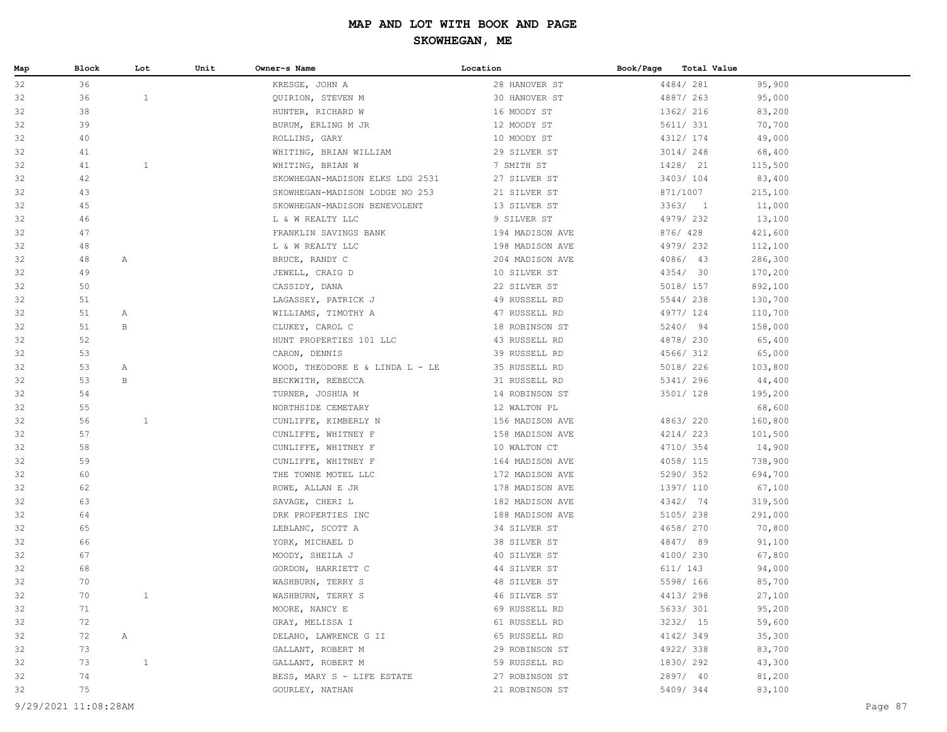| Map | Block | Lot          | Unit | Owner~s Name                    | Location        | Book/Page<br>Total Value |         |
|-----|-------|--------------|------|---------------------------------|-----------------|--------------------------|---------|
| 32  | 36    |              |      | KRESGE, JOHN A                  | 28 HANOVER ST   | 4484/281                 | 95,900  |
| 32  | 36    | $\mathbf{1}$ |      | QUIRION, STEVEN M               | 30 HANOVER ST   | 4887/ 263                | 95,000  |
| 32  | 38    |              |      | HUNTER, RICHARD W               | 16 MOODY ST     | 1362/ 216                | 83,200  |
| 32  | 39    |              |      | BURUM, ERLING M JR              | 12 MOODY ST     | 5611/ 331                | 70,700  |
| 32  | 40    |              |      | ROLLINS, GARY                   | 10 MOODY ST     | 4312/ 174                | 49,000  |
| 32  | 41    |              |      | WHITING, BRIAN WILLIAM          | 29 SILVER ST    | 3014/ 248                | 68,400  |
| 32  | 41    | $\mathbf{1}$ |      | WHITING, BRIAN W                | 7 SMITH ST      | 1428/ 21                 | 115,500 |
| 32  | 42    |              |      | SKOWHEGAN-MADISON ELKS LDG 2531 | 27 SILVER ST    | 3403/104                 | 83,400  |
| 32  | 43    |              |      | SKOWHEGAN-MADISON LODGE NO 253  | 21 SILVER ST    | 871/1007                 | 215,100 |
| 32  | 45    |              |      | SKOWHEGAN-MADISON BENEVOLENT    | 13 SILVER ST    | 3363/1                   | 11,000  |
| 32  | 46    |              |      | L & W REALTY LLC                | 9 SILVER ST     | 4979/232                 | 13,100  |
| 32  | 47    |              |      | FRANKLIN SAVINGS BANK           | 194 MADISON AVE | 876/ 428                 | 421,600 |
| 32  | 48    |              |      | L & W REALTY LLC                | 198 MADISON AVE | 4979/232                 | 112,100 |
| 32  | 48    | A            |      | BRUCE, RANDY C                  | 204 MADISON AVE | 4086/ 43                 | 286,300 |
| 32  | 49    |              |      | JEWELL, CRAIG D                 | 10 SILVER ST    | 4354/ 30                 | 170,200 |
| 32  | 50    |              |      | CASSIDY, DANA                   | 22 SILVER ST    | 5018/ 157                | 892,100 |
| 32  | 51    |              |      | LAGASSEY, PATRICK J             | 49 RUSSELL RD   | 5544/238                 | 130,700 |
| 32  | 51    | A            |      | WILLIAMS, TIMOTHY A             | 47 RUSSELL RD   | 4977/ 124                | 110,700 |
| 32  | 51    | $\mathbf{B}$ |      | CLUKEY, CAROL C                 | 18 ROBINSON ST  | 5240/ 94                 | 158,000 |
| 32  | 52    |              |      | HUNT PROPERTIES 101 LLC         | 43 RUSSELL RD   | 4878/ 230                | 65,400  |
| 32  | 53    |              |      | CARON, DENNIS                   | 39 RUSSELL RD   | 4566/ 312                | 65,000  |
| 32  | 53    | Α            |      | WOOD, THEODORE E & LINDA L - LE | 35 RUSSELL RD   | 5018/ 226                | 103,800 |
| 32  | 53    | $\mathbf{B}$ |      | BECKWITH, REBECCA               | 31 RUSSELL RD   | 5341/ 296                | 44,400  |
| 32  | 54    |              |      | TURNER, JOSHUA M                | 14 ROBINSON ST  | 3501/ 128                | 195,200 |
| 32  | 55    |              |      | NORTHSIDE CEMETARY              | 12 WALTON PL    |                          | 68,600  |
| 32  | 56    | $\mathbf{1}$ |      | CUNLIFFE, KIMBERLY N            | 156 MADISON AVE | 4863/220                 | 160,800 |
| 32  | 57    |              |      | CUNLIFFE, WHITNEY F             | 158 MADISON AVE | 4214/223                 | 101,500 |
| 32  | 58    |              |      | CUNLIFFE, WHITNEY F             | 10 WALTON CT    | 4710/ 354                | 14,900  |
| 32  | 59    |              |      | CUNLIFFE, WHITNEY F             | 164 MADISON AVE | 4058/ 115                | 738,900 |
| 32  | 60    |              |      | THE TOWNE MOTEL LLC             | 172 MADISON AVE | 5290/352                 | 694,700 |
| 32  | 62    |              |      | ROWE, ALLAN E JR                | 178 MADISON AVE | 1397/ 110                | 67,100  |
| 32  | 63    |              |      | SAVAGE, CHERI L                 | 182 MADISON AVE | 4342/ 74                 | 319,500 |
| 32  | 64    |              |      | DRK PROPERTIES INC              | 188 MADISON AVE | 5105/238                 | 291,000 |
| 32  | 65    |              |      | LEBLANC, SCOTT A                | 34 SILVER ST    | 4658/ 270                | 70,800  |
| 32  | 66    |              |      | YORK, MICHAEL D                 | 38 SILVER ST    | 4847/89                  | 91,100  |
| 32  | 67    |              |      | MOODY, SHEILA J                 | 40 SILVER ST    | 4100/230                 | 67,800  |
| 32  | 68    |              |      | GORDON, HARRIETT C              | 44 SILVER ST    | 611/ 143                 | 94,000  |
| 32  | 70    |              |      | WASHBURN, TERRY S               | 48 SILVER ST    | 5598/ 166                | 85,700  |
| 32  | 70    | $\mathbf{1}$ |      | WASHBURN, TERRY S               | 46 SILVER ST    | 4413/298                 | 27,100  |
| 32  | 71    |              |      | MOORE, NANCY E                  | 69 RUSSELL RD   | 5633/ 301                | 95,200  |
| 32  | 72    |              |      | GRAY, MELISSA I                 | 61 RUSSELL RD   | 3232/15                  | 59,600  |
| 32  | 72    | $\mathbb{A}$ |      | DELANO, LAWRENCE G II           | 65 RUSSELL RD   | 4142/349                 | 35,300  |
| 32  | 73    |              |      | GALLANT, ROBERT M               | 29 ROBINSON ST  | 4922/338                 | 83,700  |
| 32  | 73    | $\mathbf{1}$ |      | GALLANT, ROBERT M               | 59 RUSSELL RD   | 1830/ 292                | 43,300  |
| 32  | 74    |              |      | BESS, MARY S - LIFE ESTATE      | 27 ROBINSON ST  | 2897/ 40                 | 81,200  |
| 32  | 75    |              |      | GOURLEY, NATHAN                 | 21 ROBINSON ST  | 5409/344                 | 83,100  |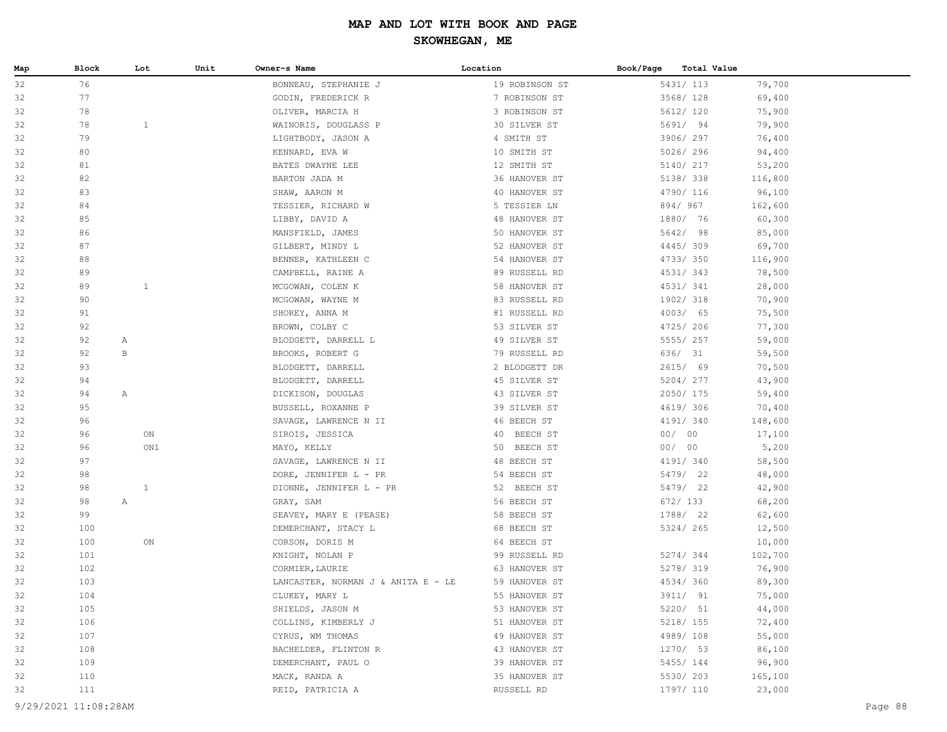| Map | Block                | Lot          | Unit | Owner~s Name                       | Location       | Book/Page | Total Value |         |         |
|-----|----------------------|--------------|------|------------------------------------|----------------|-----------|-------------|---------|---------|
| 32  | 76                   |              |      | BONNEAU, STEPHANIE J               | 19 ROBINSON ST | 5431/ 113 |             | 79,700  |         |
| 32  | 77                   |              |      | GODIN, FREDERICK R                 | 7 ROBINSON ST  | 3568/ 128 |             | 69,400  |         |
| 32  | 78                   |              |      | OLIVER, MARCIA H                   | 3 ROBINSON ST  |           | 5612/ 120   | 75,900  |         |
| 32  | 78                   | $\mathbf{1}$ |      | WAINORIS, DOUGLASS P               | 30 SILVER ST   | 5691/ 94  |             | 79,900  |         |
| 32  | 79                   |              |      | LIGHTBODY, JASON A                 | 4 SMITH ST     |           | 3906/ 297   | 76,400  |         |
| 32  | 80                   |              |      | KENNARD, EVA W                     | 10 SMITH ST    | 5026/296  |             | 94,400  |         |
| 32  | 81                   |              |      | BATES DWAYNE LEE                   | 12 SMITH ST    | 5140/ 217 |             | 53,200  |         |
| 32  | 82                   |              |      | BARTON JADA M                      | 36 HANOVER ST  | 5138/ 338 |             | 116,800 |         |
| 32  | 83                   |              |      | SHAW, AARON M                      | 40 HANOVER ST  | 4790/ 116 |             | 96,100  |         |
| 32  | 84                   |              |      | TESSIER, RICHARD W                 | 5 TESSIER LN   | 894/967   |             | 162,600 |         |
| 32  | 85                   |              |      | LIBBY, DAVID A                     | 48 HANOVER ST  | 1880/ 76  |             | 60,300  |         |
| 32  | 86                   |              |      | MANSFIELD, JAMES                   | 50 HANOVER ST  | 5642/ 98  |             | 85,000  |         |
| 32  | 87                   |              |      | GILBERT, MINDY L                   | 52 HANOVER ST  | 4445/309  |             | 69,700  |         |
| 32  | 88                   |              |      | BENNER, KATHLEEN C                 | 54 HANOVER ST  | 4733/350  |             | 116,900 |         |
| 32  | 89                   |              |      | CAMPBELL, RAINE A                  | 89 RUSSELL RD  | 4531/343  |             | 78,500  |         |
| 32  | 89                   | $\mathbf{1}$ |      | MCGOWAN, COLEN K                   | 58 HANOVER ST  | 4531/341  |             | 28,000  |         |
| 32  | 90                   |              |      | MCGOWAN, WAYNE M                   | 83 RUSSELL RD  | 1902/ 318 |             | 70,900  |         |
| 32  | 91                   |              |      | SHOREY, ANNA M                     | 81 RUSSELL RD  | 4003/ 65  |             | 75,500  |         |
| 32  | 92                   |              |      | BROWN, COLBY C                     | 53 SILVER ST   | 4725/ 206 |             | 77,300  |         |
| 32  | 92                   | Α            |      | BLODGETT, DARRELL L                | 49 SILVER ST   | 5555/257  |             | 59,000  |         |
| 32  | 92                   | B            |      | BROOKS, ROBERT G                   | 79 RUSSELL RD  | 636/ 31   |             | 59,500  |         |
| 32  | 93                   |              |      | BLODGETT, DARRELL                  | 2 BLODGETT DR  | 2615/ 69  |             | 70,500  |         |
| 32  | 94                   |              |      | BLODGETT, DARRELL                  | 45 SILVER ST   | 5204/277  |             | 43,900  |         |
| 32  | 94                   | $\mathbb{A}$ |      | DICKISON, DOUGLAS                  | 43 SILVER ST   | 2050/175  |             | 59,400  |         |
| 32  | 95                   |              |      | BUSSELL, ROXANNE P                 | 39 SILVER ST   | 4619/ 306 |             | 70,400  |         |
| 32  | 96                   |              |      | SAVAGE, LAWRENCE N II              | 46 BEECH ST    | 4191/ 340 |             | 148,600 |         |
| 32  | 96                   | ON           |      | SIROIS, JESSICA                    | 40 BEECH ST    | 00/00     |             | 17,100  |         |
| 32  | 96                   | ON1          |      | MAYO, KELLY                        | 50 BEECH ST    | 00/00     |             | 5,200   |         |
| 32  | 97                   |              |      | SAVAGE, LAWRENCE N II              | 48 BEECH ST    | 4191/ 340 |             | 58,500  |         |
| 32  | 98                   |              |      | DORE, JENNIFER L - PR              | 54 BEECH ST    | 5479/ 22  |             | 48,000  |         |
| 32  | 98                   | $\mathbf{1}$ |      | DIONNE, JENNIFER L - PR            | 52 BEECH ST    | 5479/ 22  |             | 42,900  |         |
| 32  | 98                   | $\mathbb{A}$ |      | GRAY, SAM                          | 56 BEECH ST    | 672/ 133  |             | 68,200  |         |
| 32  | 99                   |              |      | SEAVEY, MARY E (PEASE)             | 58 BEECH ST    | 1788/ 22  |             | 62,600  |         |
| 32  | 100                  |              |      | DEMERCHANT, STACY L                | 68 BEECH ST    | 5324/ 265 |             | 12,500  |         |
| 32  | 100                  | ON           |      | CORSON, DORIS M                    | 64 BEECH ST    |           |             | 10,000  |         |
| 32  | 101                  |              |      | KNIGHT, NOLAN P                    | 99 RUSSELL RD  | 5274/344  |             | 102,700 |         |
| 32  | 102                  |              |      | CORMIER, LAURIE                    | 63 HANOVER ST  | 5278/ 319 |             | 76,900  |         |
| 32  | 103                  |              |      | LANCASTER, NORMAN J & ANITA E - LE | 59 HANOVER ST  | 4534/360  |             | 89,300  |         |
| 32  | 104                  |              |      | CLUKEY, MARY L                     | 55 HANOVER ST  |           | 3911/ 91    | 75,000  |         |
| 32  | 105                  |              |      | SHIELDS, JASON M                   | 53 HANOVER ST  | 5220/ 51  |             | 44,000  |         |
| 32  | 106                  |              |      | COLLINS, KIMBERLY J                | 51 HANOVER ST  |           | 5218/ 155   | 72,400  |         |
| 32  | 107                  |              |      | CYRUS, WM THOMAS                   | 49 HANOVER ST  | 4989/108  |             | 55,000  |         |
| 32  | 108                  |              |      | BACHELDER, FLINTON R               | 43 HANOVER ST  | 1270/ 53  |             | 86,100  |         |
| 32  | 109                  |              |      | DEMERCHANT, PAUL O                 | 39 HANOVER ST  | 5455/ 144 |             | 96,900  |         |
| 32  | 110                  |              |      | MACK, RANDA A                      | 35 HANOVER ST  | 5530/ 203 |             | 165,100 |         |
| 32  | 111                  |              |      | REID, PATRICIA A                   | RUSSELL RD     | 1797/ 110 |             | 23,000  |         |
|     | 9/29/2021 11:08:28AM |              |      |                                    |                |           |             |         | Page 88 |
|     |                      |              |      |                                    |                |           |             |         |         |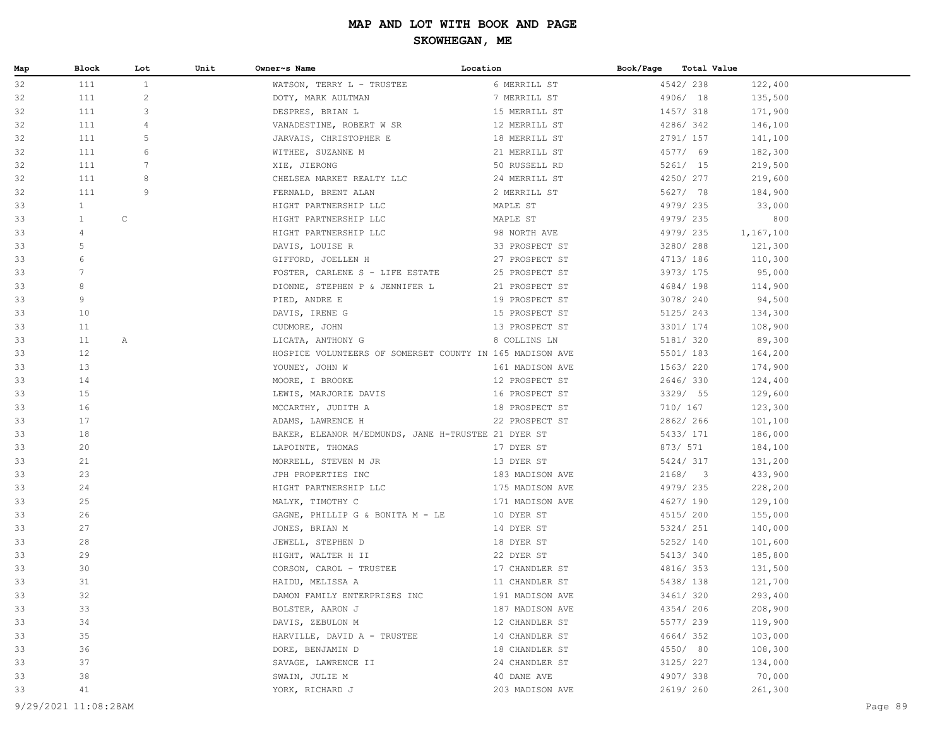| Map | Block             | Lot             | Unit | Owner~s Name                                             | Location        | Book/Page | Total Value |           |
|-----|-------------------|-----------------|------|----------------------------------------------------------|-----------------|-----------|-------------|-----------|
| 32  | 111               | $\mathbf{1}$    |      | WATSON, TERRY L - TRUSTEE                                | 6 MERRILL ST    |           | 4542/238    | 122,400   |
| 32  | 111               | $\mathbf{2}$    |      | DOTY, MARK AULTMAN                                       | 7 MERRILL ST    |           | 4906/ 18    | 135,500   |
| 32  | 111               | 3               |      | DESPRES, BRIAN L                                         | 15 MERRILL ST   |           | 1457/ 318   | 171,900   |
| 32  | 111               | 4               |      | VANADESTINE, ROBERT W SR                                 | 12 MERRILL ST   |           | 4286/342    | 146,100   |
| 32  | 111               | 5               |      | JARVAIS, CHRISTOPHER E                                   | 18 MERRILL ST   |           | 2791/ 157   | 141,100   |
| 32  | 111               | 6               |      | WITHEE, SUZANNE M                                        | 21 MERRILL ST   |           | 4577/ 69    | 182,300   |
| 32  | 111               | $7\phantom{.0}$ |      | XIE, JIERONG                                             | 50 RUSSELL RD   |           | 5261/ 15    | 219,500   |
| 32  | 111               | 8               |      | CHELSEA MARKET REALTY LLC                                | 24 MERRILL ST   |           | 4250/ 277   | 219,600   |
| 32  | 111               | 9               |      | FERNALD, BRENT ALAN                                      | 2 MERRILL ST    |           | 5627/ 78    | 184,900   |
| 33  | $\mathbf{1}$      |                 |      | HIGHT PARTNERSHIP LLC                                    | MAPLE ST        |           | 4979/235    | 33,000    |
| 33  | $\mathbf{1}$      | $\mathsf C$     |      | HIGHT PARTNERSHIP LLC                                    | MAPLE ST        |           | 4979/235    | 800       |
| 33  | 4                 |                 |      | HIGHT PARTNERSHIP LLC                                    | 98 NORTH AVE    |           | 4979/235    | 1,167,100 |
| 33  | 5                 |                 |      | DAVIS, LOUISE R                                          | 33 PROSPECT ST  |           | 3280/ 288   | 121,300   |
| 33  | 6                 |                 |      | GIFFORD, JOELLEN H                                       | 27 PROSPECT ST  |           | 4713/ 186   | 110,300   |
| 33  | 7                 |                 |      | FOSTER, CARLENE S - LIFE ESTATE                          | 25 PROSPECT ST  |           | 3973/ 175   | 95,000    |
| 33  | 8                 |                 |      | DIONNE, STEPHEN P & JENNIFER L                           | 21 PROSPECT ST  |           | 4684/ 198   | 114,900   |
| 33  | 9                 |                 |      | PIED, ANDRE E                                            | 19 PROSPECT ST  |           | 3078/ 240   | 94,500    |
| 33  | 10                |                 |      | DAVIS, IRENE G                                           | 15 PROSPECT ST  |           | 5125/ 243   | 134,300   |
| 33  | 11                |                 |      | CUDMORE, JOHN                                            | 13 PROSPECT ST  |           | 3301/ 174   | 108,900   |
| 33  | 11                | $\mathbb{A}$    |      | LICATA, ANTHONY G                                        | 8 COLLINS LN    |           | 5181/ 320   | 89,300    |
| 33  | $12 \overline{ }$ |                 |      | HOSPICE VOLUNTEERS OF SOMERSET COUNTY IN 165 MADISON AVE |                 |           | 5501/ 183   | 164,200   |
| 33  | 13                |                 |      | YOUNEY, JOHN W                                           | 161 MADISON AVE |           | 1563/ 220   | 174,900   |
| 33  | 14                |                 |      | MOORE, I BROOKE                                          | 12 PROSPECT ST  |           | 2646/330    | 124,400   |
| 33  | 15                |                 |      | LEWIS, MARJORIE DAVIS                                    | 16 PROSPECT ST  |           | 3329/ 55    | 129,600   |
| 33  | 16                |                 |      | MCCARTHY, JUDITH A                                       | 18 PROSPECT ST  |           | 710/ 167    | 123,300   |
| 33  | 17                |                 |      | ADAMS, LAWRENCE H                                        | 22 PROSPECT ST  |           | 2862/266    | 101,100   |
| 33  | 18                |                 |      | BAKER, ELEANOR M/EDMUNDS, JANE H-TRUSTEE 21 DYER ST      |                 |           | 5433/ 171   | 186,000   |
| 33  | 20                |                 |      | LAPOINTE, THOMAS                                         | 17 DYER ST      |           | 873/ 571    | 184,100   |
| 33  | 21                |                 |      | MORRELL, STEVEN M JR                                     | 13 DYER ST      |           | 5424/317    | 131,200   |
| 33  | 23                |                 |      | JPH PROPERTIES INC                                       | 183 MADISON AVE |           | 2168/3      | 433,900   |
| 33  | 24                |                 |      | HIGHT PARTNERSHIP LLC                                    | 175 MADISON AVE |           | 4979/235    | 228,200   |
| 33  | 25                |                 |      | MALYK, TIMOTHY C                                         | 171 MADISON AVE |           | 4627/ 190   | 129,100   |
| 33  | 26                |                 |      | GAGNE, PHILLIP G & BONITA M - LE                         | 10 DYER ST      |           | 4515/ 200   | 155,000   |
| 33  | 27                |                 |      | JONES, BRIAN M                                           | 14 DYER ST      |           | 5324/ 251   | 140,000   |
| 33  | 28                |                 |      | JEWELL, STEPHEN D                                        | 18 DYER ST      |           | 5252/ 140   | 101,600   |
| 33  | 29                |                 |      | HIGHT, WALTER H II                                       | 22 DYER ST      |           | 5413/ 340   | 185,800   |
| 33  | 30                |                 |      | CORSON, CAROL - TRUSTEE                                  | 17 CHANDLER ST  |           | 4816/ 353   | 131,500   |
| 33  | 31                |                 |      | HAIDU, MELISSA A                                         | 11 CHANDLER ST  |           | 5438/ 138   | 121,700   |
| 33  | 32                |                 |      | DAMON FAMILY ENTERPRISES INC                             | 191 MADISON AVE |           | 3461/320    | 293,400   |
| 33  | 33                |                 |      | BOLSTER, AARON J                                         | 187 MADISON AVE |           | 4354/206    | 208,900   |
| 33  | 34                |                 |      | DAVIS, ZEBULON M                                         | 12 CHANDLER ST  |           | 5577/ 239   | 119,900   |
| 33  | 35                |                 |      | HARVILLE, DAVID A - TRUSTEE                              | 14 CHANDLER ST  |           | 4664/352    | 103,000   |
| 33  | 36                |                 |      | DORE, BENJAMIN D                                         | 18 CHANDLER ST  |           | 4550/ 80    | 108,300   |
| 33  | 37                |                 |      | SAVAGE, LAWRENCE II                                      | 24 CHANDLER ST  |           | 3125/ 227   | 134,000   |
| 33  | 38                |                 |      | SWAIN, JULIE M                                           | 40 DANE AVE     |           | 4907/338    | 70,000    |
| 33  | 41                |                 |      | YORK, RICHARD J                                          | 203 MADISON AVE |           | 2619/260    | 261,300   |
|     |                   |                 |      |                                                          |                 |           |             |           |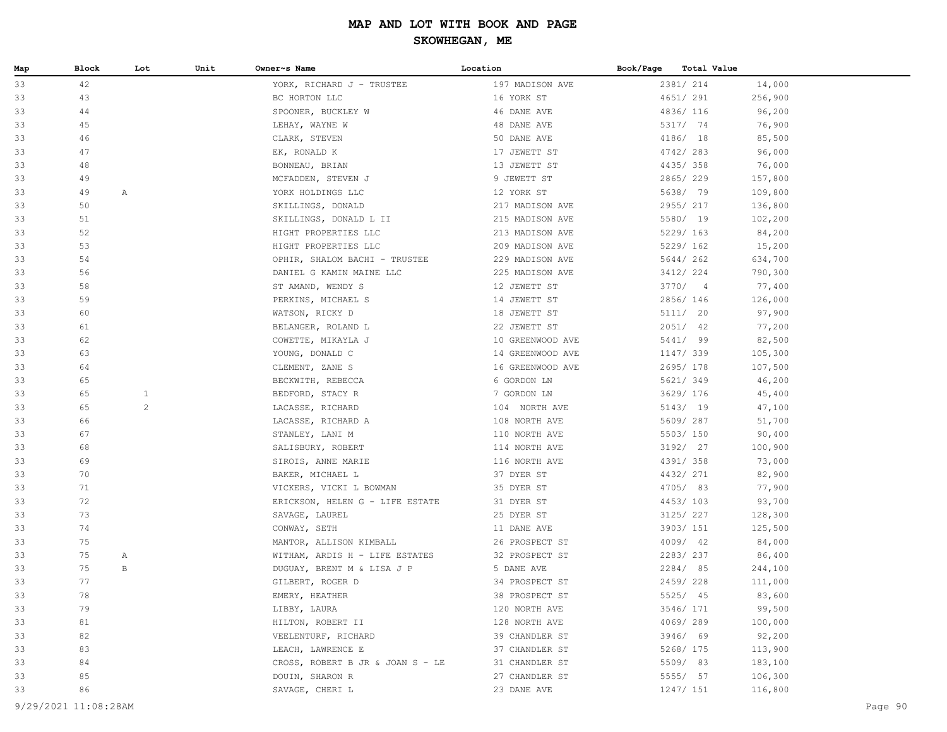| Map | Block | Lot            | Unit | Owner~s Name                     | Location         | Book/Page<br>Total Value |         |
|-----|-------|----------------|------|----------------------------------|------------------|--------------------------|---------|
| 33  | 42    |                |      | YORK, RICHARD J - TRUSTEE        | 197 MADISON AVE  | 2381/ 214                | 14,000  |
| 33  | 43    |                |      | BC HORTON LLC                    | 16 YORK ST       | 4651/ 291                | 256,900 |
| 33  | 44    |                |      | SPOONER, BUCKLEY W               | 46 DANE AVE      | 4836/ 116                | 96,200  |
| 33  | 45    |                |      | LEHAY, WAYNE W                   | 48 DANE AVE      | 5317/ 74                 | 76,900  |
| 33  | 46    |                |      | CLARK, STEVEN                    | 50 DANE AVE      | 4186/ 18                 | 85,500  |
| 33  | 47    |                |      | EK, RONALD K                     | 17 JEWETT ST     | 4742/283                 | 96,000  |
| 33  | 48    |                |      | BONNEAU, BRIAN                   | 13 JEWETT ST     | 4435/358                 | 76,000  |
| 33  | 49    |                |      | MCFADDEN, STEVEN J               | 9 JEWETT ST      | 2865/229                 | 157,800 |
| 33  | 49    | $\mathbb{A}$   |      | YORK HOLDINGS LLC                | 12 YORK ST       | 5638/ 79                 | 109,800 |
| 33  | 50    |                |      | SKILLINGS, DONALD                | 217 MADISON AVE  | 2955/217                 | 136,800 |
| 33  | 51    |                |      | SKILLINGS, DONALD L II           | 215 MADISON AVE  | 5580/ 19                 | 102,200 |
| 33  | 52    |                |      | HIGHT PROPERTIES LLC             | 213 MADISON AVE  | 5229/ 163                | 84,200  |
| 33  | 53    |                |      | HIGHT PROPERTIES LLC             | 209 MADISON AVE  | 5229/ 162                | 15,200  |
| 33  | 54    |                |      | OPHIR, SHALOM BACHI - TRUSTEE    | 229 MADISON AVE  | 5644/262                 | 634,700 |
| 33  | 56    |                |      | DANIEL G KAMIN MAINE LLC         | 225 MADISON AVE  | 3412/ 224                | 790,300 |
| 33  | 58    |                |      | ST AMAND, WENDY S                | 12 JEWETT ST     | 3770/4                   | 77,400  |
| 33  | 59    |                |      | PERKINS, MICHAEL S               | 14 JEWETT ST     | 2856/146                 | 126,000 |
| 33  | 60    |                |      | WATSON, RICKY D                  | 18 JEWETT ST     | 5111/ 20                 | 97,900  |
| 33  | 61    |                |      | BELANGER, ROLAND L               | 22 JEWETT ST     | $2051/$ 42               | 77,200  |
| 33  | 62    |                |      | COWETTE, MIKAYLA J               | 10 GREENWOOD AVE | 5441/ 99                 | 82,500  |
| 33  | 63    |                |      | YOUNG, DONALD C                  | 14 GREENWOOD AVE | 1147/ 339                | 105,300 |
| 33  | 64    |                |      | CLEMENT, ZANE S                  | 16 GREENWOOD AVE | 2695/ 178                | 107,500 |
| 33  | 65    |                |      | BECKWITH, REBECCA                | 6 GORDON LN      | 5621/ 349                | 46,200  |
| 33  | 65    | $\mathbf{1}$   |      | BEDFORD, STACY R                 | 7 GORDON LN      | 3629/ 176                | 45,400  |
| 33  | 65    | $\overline{c}$ |      | LACASSE, RICHARD                 | 104 NORTH AVE    | 5143/ 19                 | 47,100  |
| 33  | 66    |                |      | LACASSE, RICHARD A               | 108 NORTH AVE    | 5609/287                 | 51,700  |
| 33  | 67    |                |      | STANLEY, LANI M                  | 110 NORTH AVE    | 5503/ 150                | 90,400  |
| 33  | 68    |                |      | SALISBURY, ROBERT                | 114 NORTH AVE    | 3192/ 27                 | 100,900 |
| 33  | 69    |                |      | SIROIS, ANNE MARIE               | 116 NORTH AVE    | 4391/358                 | 73,000  |
| 33  | 70    |                |      | BAKER, MICHAEL L                 | 37 DYER ST       | 4432/ 271                | 82,900  |
| 33  | 71    |                |      | VICKERS, VICKI L BOWMAN          | 35 DYER ST       | 4705/ 83                 | 77,900  |
| 33  | 72    |                |      | ERICKSON, HELEN G - LIFE ESTATE  | 31 DYER ST       | 4453/103                 | 93,700  |
| 33  | 73    |                |      | SAVAGE, LAUREL                   | 25 DYER ST       | 3125/ 227                | 128,300 |
| 33  | 74    |                |      | CONWAY, SETH                     | 11 DANE AVE      | 3903/ 151                | 125,500 |
| 33  | 75    |                |      | MANTOR, ALLISON KIMBALL          | 26 PROSPECT ST   | 4009/ 42                 | 84,000  |
| 33  | 75    | A              |      | WITHAM, ARDIS H - LIFE ESTATES   | 32 PROSPECT ST   | 2283/237                 | 86,400  |
| 33  | 75    | В              |      | DUGUAY, BRENT M & LISA J P       | 5 DANE AVE       | 2284/85                  | 244,100 |
| 33  | 77    |                |      | GILBERT, ROGER D                 | 34 PROSPECT ST   | 2459/228                 | 111,000 |
| 33  | 78    |                |      | EMERY, HEATHER                   | 38 PROSPECT ST   | 5525/ 45                 | 83,600  |
| 33  | 79    |                |      | LIBBY, LAURA                     | 120 NORTH AVE    | 3546/ 171                | 99,500  |
| 33  | 81    |                |      | HILTON, ROBERT II                | 128 NORTH AVE    | 4069/289                 | 100,000 |
| 33  | 82    |                |      | VEELENTURF, RICHARD              | 39 CHANDLER ST   | 3946/ 69                 | 92,200  |
| 33  | 83    |                |      | LEACH, LAWRENCE E                | 37 CHANDLER ST   | 5268/ 175                | 113,900 |
| 33  | 84    |                |      | CROSS, ROBERT B JR & JOAN S - LE | 31 CHANDLER ST   | 5509/83                  | 183,100 |
| 33  | 85    |                |      | DOUIN, SHARON R                  | 27 CHANDLER ST   | 5555/ 57                 | 106,300 |
| 33  | 86    |                |      | SAVAGE, CHERI L                  | 23 DANE AVE      | 1247/ 151                | 116,800 |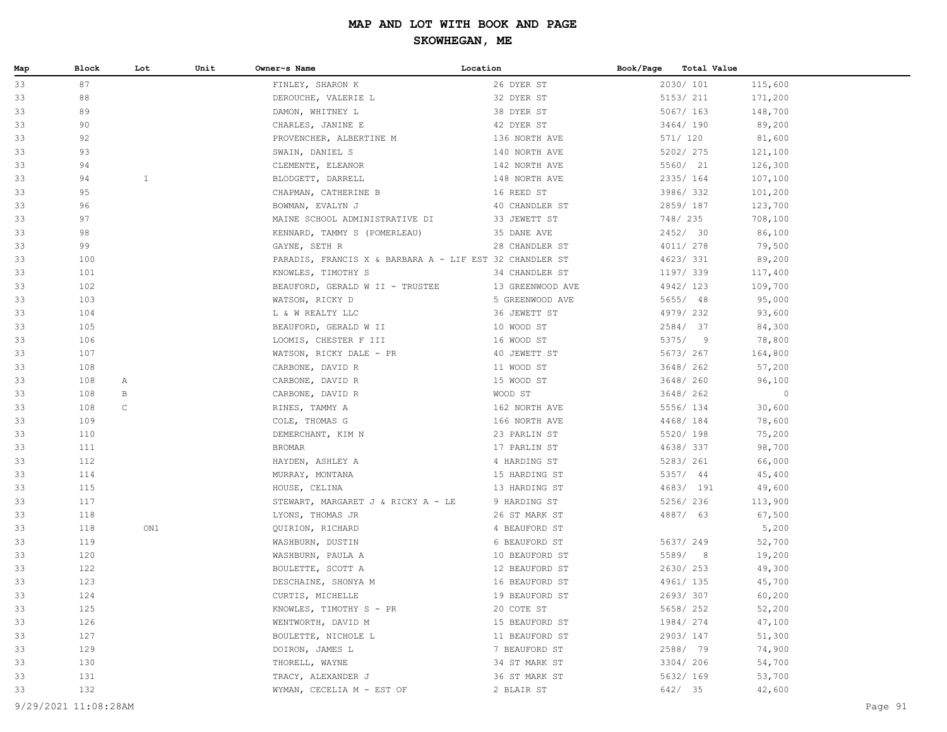| Map | Block | Lot          | Unit | Owner~s Name                                            | Location         | Book/Page | Total Value |         |
|-----|-------|--------------|------|---------------------------------------------------------|------------------|-----------|-------------|---------|
| 33  | 87    |              |      | FINLEY, SHARON K                                        | 26 DYER ST       |           | 2030/ 101   | 115,600 |
| 33  | 88    |              |      | DEROUCHE, VALERIE L                                     | 32 DYER ST       |           | 5153/ 211   | 171,200 |
| 33  | 89    |              |      | DAMON, WHITNEY L                                        | 38 DYER ST       |           | 5067/ 163   | 148,700 |
| 33  | 90    |              |      | CHARLES, JANINE E                                       | 42 DYER ST       |           | 3464/190    | 89,200  |
| 33  | 92    |              |      | PROVENCHER, ALBERTINE M                                 | 136 NORTH AVE    |           | 571/ 120    | 81,600  |
| 33  | 93    |              |      | SWAIN, DANIEL S                                         | 140 NORTH AVE    |           | 5202/ 275   | 121,100 |
| 33  | 94    |              |      | CLEMENTE, ELEANOR                                       | 142 NORTH AVE    |           | 5560/ 21    | 126,300 |
| 33  | 94    | $\mathbf{1}$ |      | BLODGETT, DARRELL                                       | 148 NORTH AVE    |           | 2335/ 164   | 107,100 |
| 33  | 95    |              |      | CHAPMAN, CATHERINE B                                    | 16 REED ST       |           | 3986/332    | 101,200 |
| 33  | 96    |              |      | BOWMAN, EVALYN J                                        | 40 CHANDLER ST   |           | 2859/187    | 123,700 |
| 33  | 97    |              |      | MAINE SCHOOL ADMINISTRATIVE DI                          | 33 JEWETT ST     |           | 748/ 235    | 708,100 |
| 33  | 98    |              |      | KENNARD, TAMMY S (POMERLEAU)                            | 35 DANE AVE      |           | 2452/ 30    | 86,100  |
| 33  | 99    |              |      | GAYNE, SETH R                                           | 28 CHANDLER ST   |           | 4011/ 278   | 79,500  |
| 33  | 100   |              |      | PARADIS, FRANCIS X & BARBARA A - LIF EST 32 CHANDLER ST |                  |           | 4623/331    | 89,200  |
| 33  | 101   |              |      | KNOWLES, TIMOTHY S                                      | 34 CHANDLER ST   |           | 1197/ 339   | 117,400 |
| 33  | 102   |              |      | BEAUFORD, GERALD W II - TRUSTEE                         | 13 GREENWOOD AVE |           | 4942/123    | 109,700 |
| 33  | 103   |              |      | WATSON, RICKY D                                         | 5 GREENWOOD AVE  |           | 5655/ 48    | 95,000  |
| 33  | 104   |              |      | L & W REALTY LLC                                        | 36 JEWETT ST     |           | 4979/232    | 93,600  |
| 33  | 105   |              |      | BEAUFORD, GERALD W II                                   | 10 WOOD ST       |           | 2584/ 37    | 84,300  |
| 33  | 106   |              |      | LOOMIS, CHESTER F III                                   | 16 WOOD ST       |           | 5375/9      | 78,800  |
| 33  | 107   |              |      | WATSON, RICKY DALE - PR                                 | 40 JEWETT ST     |           | 5673/ 267   | 164,800 |
| 33  | 108   |              |      | CARBONE, DAVID R                                        | 11 WOOD ST       |           | 3648/ 262   | 57,200  |
| 33  | 108   | A            |      | CARBONE, DAVID R                                        | 15 WOOD ST       |           | 3648/ 260   | 96,100  |
| 33  | 108   | $\mathbf{B}$ |      | CARBONE, DAVID R                                        | WOOD ST          |           | 3648/ 262   | $\circ$ |
| 33  | 108   | $\mathsf{C}$ |      | RINES, TAMMY A                                          | 162 NORTH AVE    |           | 5556/ 134   | 30,600  |
| 33  | 109   |              |      | COLE, THOMAS G                                          | 166 NORTH AVE    |           | 4468/ 184   | 78,600  |
| 33  | 110   |              |      | DEMERCHANT, KIM N                                       | 23 PARLIN ST     |           | 5520/ 198   | 75,200  |
| 33  | 111   |              |      | BROMAR                                                  | 17 PARLIN ST     |           | 4638/337    | 98,700  |
| 33  | 112   |              |      | HAYDEN, ASHLEY A                                        | 4 HARDING ST     |           | 5283/ 261   | 66,000  |
| 33  | 114   |              |      | MURRAY, MONTANA                                         | 15 HARDING ST    |           | 5357/ 44    | 45,400  |
| 33  | 115   |              |      | HOUSE, CELINA                                           | 13 HARDING ST    |           | 4683/ 191   | 49,600  |
| 33  | 117   |              |      | STEWART, MARGARET J & RICKY A - LE                      | 9 HARDING ST     |           | 5256/236    | 113,900 |
| 33  | 118   |              |      | LYONS, THOMAS JR                                        | 26 ST MARK ST    |           | 4887/ 63    | 67,500  |
| 33  | 118   |              | ON1  | QUIRION, RICHARD                                        | 4 BEAUFORD ST    |           |             | 5,200   |
| 33  | 119   |              |      | WASHBURN, DUSTIN                                        | 6 BEAUFORD ST    |           | 5637/ 249   | 52,700  |
| 33  | 120   |              |      | WASHBURN, PAULA A                                       | 10 BEAUFORD ST   |           | 5589/ 8     | 19,200  |
| 33  | 122   |              |      | BOULETTE, SCOTT A                                       | 12 BEAUFORD ST   |           | 2630/253    | 49,300  |
| 33  | 123   |              |      | DESCHAINE, SHONYA M                                     | 16 BEAUFORD ST   |           | 4961/135    | 45,700  |
| 33  | 124   |              |      | CURTIS, MICHELLE                                        | 19 BEAUFORD ST   |           | 2693/307    | 60,200  |
| 33  | 125   |              |      | KNOWLES, TIMOTHY S - PR                                 | 20 COTE ST       |           | 5658/ 252   | 52,200  |
| 33  | 126   |              |      | WENTWORTH, DAVID M                                      | 15 BEAUFORD ST   |           | 1984/ 274   | 47,100  |
| 33  | 127   |              |      | BOULETTE, NICHOLE L                                     | 11 BEAUFORD ST   |           | 2903/147    | 51,300  |
| 33  | 129   |              |      | DOIRON, JAMES L                                         | 7 BEAUFORD ST    |           | 2588/ 79    | 74,900  |
| 33  | 130   |              |      | THORELL, WAYNE                                          | 34 ST MARK ST    |           | 3304/206    | 54,700  |
| 33  | 131   |              |      | TRACY, ALEXANDER J                                      | 36 ST MARK ST    |           | 5632/ 169   | 53,700  |
| 33  | 132   |              |      | WYMAN, CECELIA M - EST OF                               | 2 BLAIR ST       |           | 642/ 35     | 42,600  |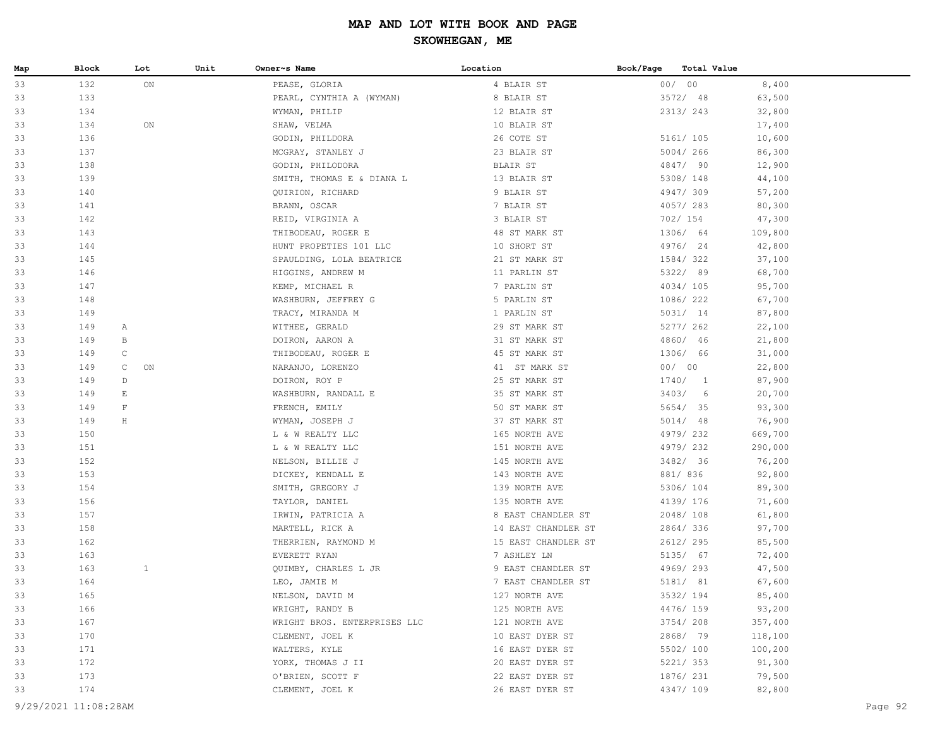| 00/00<br>33<br>132<br>ON<br>8,400<br>PEASE, GLORIA<br>4 BLAIR ST<br>33<br>133<br>8 BLAIR ST<br>3572/98<br>63,500<br>PEARL, CYNTHIA A (WYMAN)<br>134<br>2313/243<br>33<br>WYMAN, PHILIP<br>12 BLAIR ST<br>32,800<br>33<br>134<br>ON<br>10 BLAIR ST<br>17,400<br>SHAW, VELMA<br>26 COTE ST<br>5161/ 105<br>10,600<br>33<br>136<br>GODIN, PHILDORA<br>33<br>137<br>5004/266<br>86,300<br>MCGRAY, STANLEY J<br>23 BLAIR ST<br>33<br>138<br>4847/ 90<br>GODIN, PHILODORA<br>BLAIR ST<br>12,900<br>139<br>5308/ 148<br>33<br>SMITH, THOMAS E & DIANA L<br>13 BLAIR ST<br>44,100<br>4947/309<br>33<br>140<br>QUIRION, RICHARD<br>9 BLAIR ST<br>57,200<br>4057/283<br>33<br>141<br>BRANN, OSCAR<br>7 BLAIR ST<br>80,300<br>702/ 154<br>33<br>142<br>REID, VIRGINIA A<br>3 BLAIR ST<br>47,300<br>1306/ 64<br>33<br>143<br>48 ST MARK ST<br>109,800<br>THIBODEAU, ROGER E<br>4976/ 24<br>33<br>144<br>HUNT PROPETIES 101 LLC<br>10 SHORT ST<br>42,800<br>33<br>1584/322<br>37,100<br>145<br>SPAULDING, LOLA BEATRICE<br>21 ST MARK ST<br>33<br>5322/ 89<br>146<br>HIGGINS, ANDREW M<br>11 PARLIN ST<br>68,700<br>147<br>4034/105<br>33<br>7 PARLIN ST<br>95,700<br>KEMP, MICHAEL R<br>148<br>1086/ 222<br>33<br>WASHBURN, JEFFREY G<br>5 PARLIN ST<br>67,700<br>1 PARLIN ST<br>5031/ 14<br>33<br>149<br>87,800<br>TRACY, MIRANDA M<br>5277/ 262<br>33<br>149<br>WITHEE, GERALD<br>29 ST MARK ST<br>22,100<br>A<br>149<br>4860/ 46<br>33<br>31 ST MARK ST<br>21,800<br>B<br>DOIRON, AARON A<br>149<br>1306/ 66<br>33<br>$\mathsf{C}$<br>THIBODEAU, ROGER E<br>45 ST MARK ST<br>31,000<br>00/00<br>33<br>149<br>$\mathsf{C}$<br>ON<br>NARANJO, LORENZO<br>41 ST MARK ST<br>22,800<br>33<br>1740/1<br>149<br>D<br>DOIRON, ROY P<br>25 ST MARK ST<br>87,900<br>3403/6<br>33<br>149<br>Ε<br>35 ST MARK ST<br>20,700<br>WASHBURN, RANDALL E<br>149<br>$\mathbf{F}$<br>5654/ 35<br>33<br>FRENCH, EMILY<br>50 ST MARK ST<br>93,300<br>5014/ 48<br>33<br>149<br>Н<br>37 ST MARK ST<br>76,900<br>WYMAN, JOSEPH J<br>4979/232<br>33<br>150<br>L & W REALTY LLC<br>165 NORTH AVE<br>669,700<br>4979/232<br>33<br>151<br>L & W REALTY LLC<br>151 NORTH AVE<br>290,000<br>33<br>152<br>3482/ 36<br>NELSON, BILLIE J<br>145 NORTH AVE<br>76,200<br>33<br>153<br>881/836<br>92,800<br>DICKEY, KENDALL E<br>143 NORTH AVE<br>33<br>5306/ 104<br>154<br>SMITH, GREGORY J<br>139 NORTH AVE<br>89,300<br>4139/ 176<br>33<br>156<br>TAYLOR, DANIEL<br>135 NORTH AVE<br>71,600<br>157<br>2048/108<br>33<br>8 EAST CHANDLER ST<br>61,800<br>IRWIN, PATRICIA A<br>158<br>2864/336<br>33<br>14 EAST CHANDLER ST<br>97,700<br>MARTELL, RICK A<br>2612/ 295<br>33<br>162<br>THERRIEN, RAYMOND M<br>15 EAST CHANDLER ST<br>85,500<br>5135/ 67<br>33<br>163<br>7 ASHLEY LN<br>72,400<br>EVERETT RYAN<br>163<br>$\mathbf{1}$<br>4969/293<br>33<br>QUIMBY, CHARLES L JR<br>9 EAST CHANDLER ST<br>47,500<br>33<br>7 EAST CHANDLER ST<br>5181/ 81<br>164<br>LEO, JAMIE M<br>67,600<br>33<br>165<br>127 NORTH AVE<br>3532/ 194<br>NELSON, DAVID M<br>85,400<br>4476/ 159<br>93,200<br>33<br>166<br>WRIGHT, RANDY B<br>125 NORTH AVE<br>33<br>167<br>WRIGHT BROS. ENTERPRISES LLC<br>121 NORTH AVE<br>3754/208<br>357,400<br>2868/ 79<br>33<br>170<br>10 EAST DYER ST<br>118,100<br>CLEMENT, JOEL K<br>5502/ 100<br>33<br>171<br>WALTERS, KYLE<br>16 EAST DYER ST<br>100,200<br>33<br>172<br>YORK, THOMAS J II<br>20 EAST DYER ST<br>5221/353<br>91,300<br>79,500<br>33<br>173<br>O'BRIEN, SCOTT F<br>22 EAST DYER ST<br>1876/ 231<br>82,800<br>33<br>174<br>26 EAST DYER ST<br>4347/ 109<br>CLEMENT, JOEL K<br>9/29/2021 11:08:28AM<br>Page 92 | Map | Block | Lot | Unit | Owner~s Name | Location | Book/Page | <b>Total Value</b> |  |
|----------------------------------------------------------------------------------------------------------------------------------------------------------------------------------------------------------------------------------------------------------------------------------------------------------------------------------------------------------------------------------------------------------------------------------------------------------------------------------------------------------------------------------------------------------------------------------------------------------------------------------------------------------------------------------------------------------------------------------------------------------------------------------------------------------------------------------------------------------------------------------------------------------------------------------------------------------------------------------------------------------------------------------------------------------------------------------------------------------------------------------------------------------------------------------------------------------------------------------------------------------------------------------------------------------------------------------------------------------------------------------------------------------------------------------------------------------------------------------------------------------------------------------------------------------------------------------------------------------------------------------------------------------------------------------------------------------------------------------------------------------------------------------------------------------------------------------------------------------------------------------------------------------------------------------------------------------------------------------------------------------------------------------------------------------------------------------------------------------------------------------------------------------------------------------------------------------------------------------------------------------------------------------------------------------------------------------------------------------------------------------------------------------------------------------------------------------------------------------------------------------------------------------------------------------------------------------------------------------------------------------------------------------------------------------------------------------------------------------------------------------------------------------------------------------------------------------------------------------------------------------------------------------------------------------------------------------------------------------------------------------------------------------------------------------------------------------------------------------------------------------------------------------------------------------------------------------------------------------------------------------------------------------------------------------------------------------------------------------------------------------------------------------------------------------------------------------------------------------------------------------------------------------------------------------------------------------------------------|-----|-------|-----|------|--------------|----------|-----------|--------------------|--|
|                                                                                                                                                                                                                                                                                                                                                                                                                                                                                                                                                                                                                                                                                                                                                                                                                                                                                                                                                                                                                                                                                                                                                                                                                                                                                                                                                                                                                                                                                                                                                                                                                                                                                                                                                                                                                                                                                                                                                                                                                                                                                                                                                                                                                                                                                                                                                                                                                                                                                                                                                                                                                                                                                                                                                                                                                                                                                                                                                                                                                                                                                                                                                                                                                                                                                                                                                                                                                                                                                                                                                                                                    |     |       |     |      |              |          |           |                    |  |
|                                                                                                                                                                                                                                                                                                                                                                                                                                                                                                                                                                                                                                                                                                                                                                                                                                                                                                                                                                                                                                                                                                                                                                                                                                                                                                                                                                                                                                                                                                                                                                                                                                                                                                                                                                                                                                                                                                                                                                                                                                                                                                                                                                                                                                                                                                                                                                                                                                                                                                                                                                                                                                                                                                                                                                                                                                                                                                                                                                                                                                                                                                                                                                                                                                                                                                                                                                                                                                                                                                                                                                                                    |     |       |     |      |              |          |           |                    |  |
|                                                                                                                                                                                                                                                                                                                                                                                                                                                                                                                                                                                                                                                                                                                                                                                                                                                                                                                                                                                                                                                                                                                                                                                                                                                                                                                                                                                                                                                                                                                                                                                                                                                                                                                                                                                                                                                                                                                                                                                                                                                                                                                                                                                                                                                                                                                                                                                                                                                                                                                                                                                                                                                                                                                                                                                                                                                                                                                                                                                                                                                                                                                                                                                                                                                                                                                                                                                                                                                                                                                                                                                                    |     |       |     |      |              |          |           |                    |  |
|                                                                                                                                                                                                                                                                                                                                                                                                                                                                                                                                                                                                                                                                                                                                                                                                                                                                                                                                                                                                                                                                                                                                                                                                                                                                                                                                                                                                                                                                                                                                                                                                                                                                                                                                                                                                                                                                                                                                                                                                                                                                                                                                                                                                                                                                                                                                                                                                                                                                                                                                                                                                                                                                                                                                                                                                                                                                                                                                                                                                                                                                                                                                                                                                                                                                                                                                                                                                                                                                                                                                                                                                    |     |       |     |      |              |          |           |                    |  |
|                                                                                                                                                                                                                                                                                                                                                                                                                                                                                                                                                                                                                                                                                                                                                                                                                                                                                                                                                                                                                                                                                                                                                                                                                                                                                                                                                                                                                                                                                                                                                                                                                                                                                                                                                                                                                                                                                                                                                                                                                                                                                                                                                                                                                                                                                                                                                                                                                                                                                                                                                                                                                                                                                                                                                                                                                                                                                                                                                                                                                                                                                                                                                                                                                                                                                                                                                                                                                                                                                                                                                                                                    |     |       |     |      |              |          |           |                    |  |
|                                                                                                                                                                                                                                                                                                                                                                                                                                                                                                                                                                                                                                                                                                                                                                                                                                                                                                                                                                                                                                                                                                                                                                                                                                                                                                                                                                                                                                                                                                                                                                                                                                                                                                                                                                                                                                                                                                                                                                                                                                                                                                                                                                                                                                                                                                                                                                                                                                                                                                                                                                                                                                                                                                                                                                                                                                                                                                                                                                                                                                                                                                                                                                                                                                                                                                                                                                                                                                                                                                                                                                                                    |     |       |     |      |              |          |           |                    |  |
|                                                                                                                                                                                                                                                                                                                                                                                                                                                                                                                                                                                                                                                                                                                                                                                                                                                                                                                                                                                                                                                                                                                                                                                                                                                                                                                                                                                                                                                                                                                                                                                                                                                                                                                                                                                                                                                                                                                                                                                                                                                                                                                                                                                                                                                                                                                                                                                                                                                                                                                                                                                                                                                                                                                                                                                                                                                                                                                                                                                                                                                                                                                                                                                                                                                                                                                                                                                                                                                                                                                                                                                                    |     |       |     |      |              |          |           |                    |  |
|                                                                                                                                                                                                                                                                                                                                                                                                                                                                                                                                                                                                                                                                                                                                                                                                                                                                                                                                                                                                                                                                                                                                                                                                                                                                                                                                                                                                                                                                                                                                                                                                                                                                                                                                                                                                                                                                                                                                                                                                                                                                                                                                                                                                                                                                                                                                                                                                                                                                                                                                                                                                                                                                                                                                                                                                                                                                                                                                                                                                                                                                                                                                                                                                                                                                                                                                                                                                                                                                                                                                                                                                    |     |       |     |      |              |          |           |                    |  |
|                                                                                                                                                                                                                                                                                                                                                                                                                                                                                                                                                                                                                                                                                                                                                                                                                                                                                                                                                                                                                                                                                                                                                                                                                                                                                                                                                                                                                                                                                                                                                                                                                                                                                                                                                                                                                                                                                                                                                                                                                                                                                                                                                                                                                                                                                                                                                                                                                                                                                                                                                                                                                                                                                                                                                                                                                                                                                                                                                                                                                                                                                                                                                                                                                                                                                                                                                                                                                                                                                                                                                                                                    |     |       |     |      |              |          |           |                    |  |
|                                                                                                                                                                                                                                                                                                                                                                                                                                                                                                                                                                                                                                                                                                                                                                                                                                                                                                                                                                                                                                                                                                                                                                                                                                                                                                                                                                                                                                                                                                                                                                                                                                                                                                                                                                                                                                                                                                                                                                                                                                                                                                                                                                                                                                                                                                                                                                                                                                                                                                                                                                                                                                                                                                                                                                                                                                                                                                                                                                                                                                                                                                                                                                                                                                                                                                                                                                                                                                                                                                                                                                                                    |     |       |     |      |              |          |           |                    |  |
|                                                                                                                                                                                                                                                                                                                                                                                                                                                                                                                                                                                                                                                                                                                                                                                                                                                                                                                                                                                                                                                                                                                                                                                                                                                                                                                                                                                                                                                                                                                                                                                                                                                                                                                                                                                                                                                                                                                                                                                                                                                                                                                                                                                                                                                                                                                                                                                                                                                                                                                                                                                                                                                                                                                                                                                                                                                                                                                                                                                                                                                                                                                                                                                                                                                                                                                                                                                                                                                                                                                                                                                                    |     |       |     |      |              |          |           |                    |  |
|                                                                                                                                                                                                                                                                                                                                                                                                                                                                                                                                                                                                                                                                                                                                                                                                                                                                                                                                                                                                                                                                                                                                                                                                                                                                                                                                                                                                                                                                                                                                                                                                                                                                                                                                                                                                                                                                                                                                                                                                                                                                                                                                                                                                                                                                                                                                                                                                                                                                                                                                                                                                                                                                                                                                                                                                                                                                                                                                                                                                                                                                                                                                                                                                                                                                                                                                                                                                                                                                                                                                                                                                    |     |       |     |      |              |          |           |                    |  |
|                                                                                                                                                                                                                                                                                                                                                                                                                                                                                                                                                                                                                                                                                                                                                                                                                                                                                                                                                                                                                                                                                                                                                                                                                                                                                                                                                                                                                                                                                                                                                                                                                                                                                                                                                                                                                                                                                                                                                                                                                                                                                                                                                                                                                                                                                                                                                                                                                                                                                                                                                                                                                                                                                                                                                                                                                                                                                                                                                                                                                                                                                                                                                                                                                                                                                                                                                                                                                                                                                                                                                                                                    |     |       |     |      |              |          |           |                    |  |
|                                                                                                                                                                                                                                                                                                                                                                                                                                                                                                                                                                                                                                                                                                                                                                                                                                                                                                                                                                                                                                                                                                                                                                                                                                                                                                                                                                                                                                                                                                                                                                                                                                                                                                                                                                                                                                                                                                                                                                                                                                                                                                                                                                                                                                                                                                                                                                                                                                                                                                                                                                                                                                                                                                                                                                                                                                                                                                                                                                                                                                                                                                                                                                                                                                                                                                                                                                                                                                                                                                                                                                                                    |     |       |     |      |              |          |           |                    |  |
|                                                                                                                                                                                                                                                                                                                                                                                                                                                                                                                                                                                                                                                                                                                                                                                                                                                                                                                                                                                                                                                                                                                                                                                                                                                                                                                                                                                                                                                                                                                                                                                                                                                                                                                                                                                                                                                                                                                                                                                                                                                                                                                                                                                                                                                                                                                                                                                                                                                                                                                                                                                                                                                                                                                                                                                                                                                                                                                                                                                                                                                                                                                                                                                                                                                                                                                                                                                                                                                                                                                                                                                                    |     |       |     |      |              |          |           |                    |  |
|                                                                                                                                                                                                                                                                                                                                                                                                                                                                                                                                                                                                                                                                                                                                                                                                                                                                                                                                                                                                                                                                                                                                                                                                                                                                                                                                                                                                                                                                                                                                                                                                                                                                                                                                                                                                                                                                                                                                                                                                                                                                                                                                                                                                                                                                                                                                                                                                                                                                                                                                                                                                                                                                                                                                                                                                                                                                                                                                                                                                                                                                                                                                                                                                                                                                                                                                                                                                                                                                                                                                                                                                    |     |       |     |      |              |          |           |                    |  |
|                                                                                                                                                                                                                                                                                                                                                                                                                                                                                                                                                                                                                                                                                                                                                                                                                                                                                                                                                                                                                                                                                                                                                                                                                                                                                                                                                                                                                                                                                                                                                                                                                                                                                                                                                                                                                                                                                                                                                                                                                                                                                                                                                                                                                                                                                                                                                                                                                                                                                                                                                                                                                                                                                                                                                                                                                                                                                                                                                                                                                                                                                                                                                                                                                                                                                                                                                                                                                                                                                                                                                                                                    |     |       |     |      |              |          |           |                    |  |
|                                                                                                                                                                                                                                                                                                                                                                                                                                                                                                                                                                                                                                                                                                                                                                                                                                                                                                                                                                                                                                                                                                                                                                                                                                                                                                                                                                                                                                                                                                                                                                                                                                                                                                                                                                                                                                                                                                                                                                                                                                                                                                                                                                                                                                                                                                                                                                                                                                                                                                                                                                                                                                                                                                                                                                                                                                                                                                                                                                                                                                                                                                                                                                                                                                                                                                                                                                                                                                                                                                                                                                                                    |     |       |     |      |              |          |           |                    |  |
|                                                                                                                                                                                                                                                                                                                                                                                                                                                                                                                                                                                                                                                                                                                                                                                                                                                                                                                                                                                                                                                                                                                                                                                                                                                                                                                                                                                                                                                                                                                                                                                                                                                                                                                                                                                                                                                                                                                                                                                                                                                                                                                                                                                                                                                                                                                                                                                                                                                                                                                                                                                                                                                                                                                                                                                                                                                                                                                                                                                                                                                                                                                                                                                                                                                                                                                                                                                                                                                                                                                                                                                                    |     |       |     |      |              |          |           |                    |  |
|                                                                                                                                                                                                                                                                                                                                                                                                                                                                                                                                                                                                                                                                                                                                                                                                                                                                                                                                                                                                                                                                                                                                                                                                                                                                                                                                                                                                                                                                                                                                                                                                                                                                                                                                                                                                                                                                                                                                                                                                                                                                                                                                                                                                                                                                                                                                                                                                                                                                                                                                                                                                                                                                                                                                                                                                                                                                                                                                                                                                                                                                                                                                                                                                                                                                                                                                                                                                                                                                                                                                                                                                    |     |       |     |      |              |          |           |                    |  |
|                                                                                                                                                                                                                                                                                                                                                                                                                                                                                                                                                                                                                                                                                                                                                                                                                                                                                                                                                                                                                                                                                                                                                                                                                                                                                                                                                                                                                                                                                                                                                                                                                                                                                                                                                                                                                                                                                                                                                                                                                                                                                                                                                                                                                                                                                                                                                                                                                                                                                                                                                                                                                                                                                                                                                                                                                                                                                                                                                                                                                                                                                                                                                                                                                                                                                                                                                                                                                                                                                                                                                                                                    |     |       |     |      |              |          |           |                    |  |
|                                                                                                                                                                                                                                                                                                                                                                                                                                                                                                                                                                                                                                                                                                                                                                                                                                                                                                                                                                                                                                                                                                                                                                                                                                                                                                                                                                                                                                                                                                                                                                                                                                                                                                                                                                                                                                                                                                                                                                                                                                                                                                                                                                                                                                                                                                                                                                                                                                                                                                                                                                                                                                                                                                                                                                                                                                                                                                                                                                                                                                                                                                                                                                                                                                                                                                                                                                                                                                                                                                                                                                                                    |     |       |     |      |              |          |           |                    |  |
|                                                                                                                                                                                                                                                                                                                                                                                                                                                                                                                                                                                                                                                                                                                                                                                                                                                                                                                                                                                                                                                                                                                                                                                                                                                                                                                                                                                                                                                                                                                                                                                                                                                                                                                                                                                                                                                                                                                                                                                                                                                                                                                                                                                                                                                                                                                                                                                                                                                                                                                                                                                                                                                                                                                                                                                                                                                                                                                                                                                                                                                                                                                                                                                                                                                                                                                                                                                                                                                                                                                                                                                                    |     |       |     |      |              |          |           |                    |  |
|                                                                                                                                                                                                                                                                                                                                                                                                                                                                                                                                                                                                                                                                                                                                                                                                                                                                                                                                                                                                                                                                                                                                                                                                                                                                                                                                                                                                                                                                                                                                                                                                                                                                                                                                                                                                                                                                                                                                                                                                                                                                                                                                                                                                                                                                                                                                                                                                                                                                                                                                                                                                                                                                                                                                                                                                                                                                                                                                                                                                                                                                                                                                                                                                                                                                                                                                                                                                                                                                                                                                                                                                    |     |       |     |      |              |          |           |                    |  |
|                                                                                                                                                                                                                                                                                                                                                                                                                                                                                                                                                                                                                                                                                                                                                                                                                                                                                                                                                                                                                                                                                                                                                                                                                                                                                                                                                                                                                                                                                                                                                                                                                                                                                                                                                                                                                                                                                                                                                                                                                                                                                                                                                                                                                                                                                                                                                                                                                                                                                                                                                                                                                                                                                                                                                                                                                                                                                                                                                                                                                                                                                                                                                                                                                                                                                                                                                                                                                                                                                                                                                                                                    |     |       |     |      |              |          |           |                    |  |
|                                                                                                                                                                                                                                                                                                                                                                                                                                                                                                                                                                                                                                                                                                                                                                                                                                                                                                                                                                                                                                                                                                                                                                                                                                                                                                                                                                                                                                                                                                                                                                                                                                                                                                                                                                                                                                                                                                                                                                                                                                                                                                                                                                                                                                                                                                                                                                                                                                                                                                                                                                                                                                                                                                                                                                                                                                                                                                                                                                                                                                                                                                                                                                                                                                                                                                                                                                                                                                                                                                                                                                                                    |     |       |     |      |              |          |           |                    |  |
|                                                                                                                                                                                                                                                                                                                                                                                                                                                                                                                                                                                                                                                                                                                                                                                                                                                                                                                                                                                                                                                                                                                                                                                                                                                                                                                                                                                                                                                                                                                                                                                                                                                                                                                                                                                                                                                                                                                                                                                                                                                                                                                                                                                                                                                                                                                                                                                                                                                                                                                                                                                                                                                                                                                                                                                                                                                                                                                                                                                                                                                                                                                                                                                                                                                                                                                                                                                                                                                                                                                                                                                                    |     |       |     |      |              |          |           |                    |  |
|                                                                                                                                                                                                                                                                                                                                                                                                                                                                                                                                                                                                                                                                                                                                                                                                                                                                                                                                                                                                                                                                                                                                                                                                                                                                                                                                                                                                                                                                                                                                                                                                                                                                                                                                                                                                                                                                                                                                                                                                                                                                                                                                                                                                                                                                                                                                                                                                                                                                                                                                                                                                                                                                                                                                                                                                                                                                                                                                                                                                                                                                                                                                                                                                                                                                                                                                                                                                                                                                                                                                                                                                    |     |       |     |      |              |          |           |                    |  |
|                                                                                                                                                                                                                                                                                                                                                                                                                                                                                                                                                                                                                                                                                                                                                                                                                                                                                                                                                                                                                                                                                                                                                                                                                                                                                                                                                                                                                                                                                                                                                                                                                                                                                                                                                                                                                                                                                                                                                                                                                                                                                                                                                                                                                                                                                                                                                                                                                                                                                                                                                                                                                                                                                                                                                                                                                                                                                                                                                                                                                                                                                                                                                                                                                                                                                                                                                                                                                                                                                                                                                                                                    |     |       |     |      |              |          |           |                    |  |
|                                                                                                                                                                                                                                                                                                                                                                                                                                                                                                                                                                                                                                                                                                                                                                                                                                                                                                                                                                                                                                                                                                                                                                                                                                                                                                                                                                                                                                                                                                                                                                                                                                                                                                                                                                                                                                                                                                                                                                                                                                                                                                                                                                                                                                                                                                                                                                                                                                                                                                                                                                                                                                                                                                                                                                                                                                                                                                                                                                                                                                                                                                                                                                                                                                                                                                                                                                                                                                                                                                                                                                                                    |     |       |     |      |              |          |           |                    |  |
|                                                                                                                                                                                                                                                                                                                                                                                                                                                                                                                                                                                                                                                                                                                                                                                                                                                                                                                                                                                                                                                                                                                                                                                                                                                                                                                                                                                                                                                                                                                                                                                                                                                                                                                                                                                                                                                                                                                                                                                                                                                                                                                                                                                                                                                                                                                                                                                                                                                                                                                                                                                                                                                                                                                                                                                                                                                                                                                                                                                                                                                                                                                                                                                                                                                                                                                                                                                                                                                                                                                                                                                                    |     |       |     |      |              |          |           |                    |  |
|                                                                                                                                                                                                                                                                                                                                                                                                                                                                                                                                                                                                                                                                                                                                                                                                                                                                                                                                                                                                                                                                                                                                                                                                                                                                                                                                                                                                                                                                                                                                                                                                                                                                                                                                                                                                                                                                                                                                                                                                                                                                                                                                                                                                                                                                                                                                                                                                                                                                                                                                                                                                                                                                                                                                                                                                                                                                                                                                                                                                                                                                                                                                                                                                                                                                                                                                                                                                                                                                                                                                                                                                    |     |       |     |      |              |          |           |                    |  |
|                                                                                                                                                                                                                                                                                                                                                                                                                                                                                                                                                                                                                                                                                                                                                                                                                                                                                                                                                                                                                                                                                                                                                                                                                                                                                                                                                                                                                                                                                                                                                                                                                                                                                                                                                                                                                                                                                                                                                                                                                                                                                                                                                                                                                                                                                                                                                                                                                                                                                                                                                                                                                                                                                                                                                                                                                                                                                                                                                                                                                                                                                                                                                                                                                                                                                                                                                                                                                                                                                                                                                                                                    |     |       |     |      |              |          |           |                    |  |
|                                                                                                                                                                                                                                                                                                                                                                                                                                                                                                                                                                                                                                                                                                                                                                                                                                                                                                                                                                                                                                                                                                                                                                                                                                                                                                                                                                                                                                                                                                                                                                                                                                                                                                                                                                                                                                                                                                                                                                                                                                                                                                                                                                                                                                                                                                                                                                                                                                                                                                                                                                                                                                                                                                                                                                                                                                                                                                                                                                                                                                                                                                                                                                                                                                                                                                                                                                                                                                                                                                                                                                                                    |     |       |     |      |              |          |           |                    |  |
|                                                                                                                                                                                                                                                                                                                                                                                                                                                                                                                                                                                                                                                                                                                                                                                                                                                                                                                                                                                                                                                                                                                                                                                                                                                                                                                                                                                                                                                                                                                                                                                                                                                                                                                                                                                                                                                                                                                                                                                                                                                                                                                                                                                                                                                                                                                                                                                                                                                                                                                                                                                                                                                                                                                                                                                                                                                                                                                                                                                                                                                                                                                                                                                                                                                                                                                                                                                                                                                                                                                                                                                                    |     |       |     |      |              |          |           |                    |  |
|                                                                                                                                                                                                                                                                                                                                                                                                                                                                                                                                                                                                                                                                                                                                                                                                                                                                                                                                                                                                                                                                                                                                                                                                                                                                                                                                                                                                                                                                                                                                                                                                                                                                                                                                                                                                                                                                                                                                                                                                                                                                                                                                                                                                                                                                                                                                                                                                                                                                                                                                                                                                                                                                                                                                                                                                                                                                                                                                                                                                                                                                                                                                                                                                                                                                                                                                                                                                                                                                                                                                                                                                    |     |       |     |      |              |          |           |                    |  |
|                                                                                                                                                                                                                                                                                                                                                                                                                                                                                                                                                                                                                                                                                                                                                                                                                                                                                                                                                                                                                                                                                                                                                                                                                                                                                                                                                                                                                                                                                                                                                                                                                                                                                                                                                                                                                                                                                                                                                                                                                                                                                                                                                                                                                                                                                                                                                                                                                                                                                                                                                                                                                                                                                                                                                                                                                                                                                                                                                                                                                                                                                                                                                                                                                                                                                                                                                                                                                                                                                                                                                                                                    |     |       |     |      |              |          |           |                    |  |
|                                                                                                                                                                                                                                                                                                                                                                                                                                                                                                                                                                                                                                                                                                                                                                                                                                                                                                                                                                                                                                                                                                                                                                                                                                                                                                                                                                                                                                                                                                                                                                                                                                                                                                                                                                                                                                                                                                                                                                                                                                                                                                                                                                                                                                                                                                                                                                                                                                                                                                                                                                                                                                                                                                                                                                                                                                                                                                                                                                                                                                                                                                                                                                                                                                                                                                                                                                                                                                                                                                                                                                                                    |     |       |     |      |              |          |           |                    |  |
|                                                                                                                                                                                                                                                                                                                                                                                                                                                                                                                                                                                                                                                                                                                                                                                                                                                                                                                                                                                                                                                                                                                                                                                                                                                                                                                                                                                                                                                                                                                                                                                                                                                                                                                                                                                                                                                                                                                                                                                                                                                                                                                                                                                                                                                                                                                                                                                                                                                                                                                                                                                                                                                                                                                                                                                                                                                                                                                                                                                                                                                                                                                                                                                                                                                                                                                                                                                                                                                                                                                                                                                                    |     |       |     |      |              |          |           |                    |  |
|                                                                                                                                                                                                                                                                                                                                                                                                                                                                                                                                                                                                                                                                                                                                                                                                                                                                                                                                                                                                                                                                                                                                                                                                                                                                                                                                                                                                                                                                                                                                                                                                                                                                                                                                                                                                                                                                                                                                                                                                                                                                                                                                                                                                                                                                                                                                                                                                                                                                                                                                                                                                                                                                                                                                                                                                                                                                                                                                                                                                                                                                                                                                                                                                                                                                                                                                                                                                                                                                                                                                                                                                    |     |       |     |      |              |          |           |                    |  |
|                                                                                                                                                                                                                                                                                                                                                                                                                                                                                                                                                                                                                                                                                                                                                                                                                                                                                                                                                                                                                                                                                                                                                                                                                                                                                                                                                                                                                                                                                                                                                                                                                                                                                                                                                                                                                                                                                                                                                                                                                                                                                                                                                                                                                                                                                                                                                                                                                                                                                                                                                                                                                                                                                                                                                                                                                                                                                                                                                                                                                                                                                                                                                                                                                                                                                                                                                                                                                                                                                                                                                                                                    |     |       |     |      |              |          |           |                    |  |
|                                                                                                                                                                                                                                                                                                                                                                                                                                                                                                                                                                                                                                                                                                                                                                                                                                                                                                                                                                                                                                                                                                                                                                                                                                                                                                                                                                                                                                                                                                                                                                                                                                                                                                                                                                                                                                                                                                                                                                                                                                                                                                                                                                                                                                                                                                                                                                                                                                                                                                                                                                                                                                                                                                                                                                                                                                                                                                                                                                                                                                                                                                                                                                                                                                                                                                                                                                                                                                                                                                                                                                                                    |     |       |     |      |              |          |           |                    |  |
|                                                                                                                                                                                                                                                                                                                                                                                                                                                                                                                                                                                                                                                                                                                                                                                                                                                                                                                                                                                                                                                                                                                                                                                                                                                                                                                                                                                                                                                                                                                                                                                                                                                                                                                                                                                                                                                                                                                                                                                                                                                                                                                                                                                                                                                                                                                                                                                                                                                                                                                                                                                                                                                                                                                                                                                                                                                                                                                                                                                                                                                                                                                                                                                                                                                                                                                                                                                                                                                                                                                                                                                                    |     |       |     |      |              |          |           |                    |  |
|                                                                                                                                                                                                                                                                                                                                                                                                                                                                                                                                                                                                                                                                                                                                                                                                                                                                                                                                                                                                                                                                                                                                                                                                                                                                                                                                                                                                                                                                                                                                                                                                                                                                                                                                                                                                                                                                                                                                                                                                                                                                                                                                                                                                                                                                                                                                                                                                                                                                                                                                                                                                                                                                                                                                                                                                                                                                                                                                                                                                                                                                                                                                                                                                                                                                                                                                                                                                                                                                                                                                                                                                    |     |       |     |      |              |          |           |                    |  |
|                                                                                                                                                                                                                                                                                                                                                                                                                                                                                                                                                                                                                                                                                                                                                                                                                                                                                                                                                                                                                                                                                                                                                                                                                                                                                                                                                                                                                                                                                                                                                                                                                                                                                                                                                                                                                                                                                                                                                                                                                                                                                                                                                                                                                                                                                                                                                                                                                                                                                                                                                                                                                                                                                                                                                                                                                                                                                                                                                                                                                                                                                                                                                                                                                                                                                                                                                                                                                                                                                                                                                                                                    |     |       |     |      |              |          |           |                    |  |
|                                                                                                                                                                                                                                                                                                                                                                                                                                                                                                                                                                                                                                                                                                                                                                                                                                                                                                                                                                                                                                                                                                                                                                                                                                                                                                                                                                                                                                                                                                                                                                                                                                                                                                                                                                                                                                                                                                                                                                                                                                                                                                                                                                                                                                                                                                                                                                                                                                                                                                                                                                                                                                                                                                                                                                                                                                                                                                                                                                                                                                                                                                                                                                                                                                                                                                                                                                                                                                                                                                                                                                                                    |     |       |     |      |              |          |           |                    |  |
|                                                                                                                                                                                                                                                                                                                                                                                                                                                                                                                                                                                                                                                                                                                                                                                                                                                                                                                                                                                                                                                                                                                                                                                                                                                                                                                                                                                                                                                                                                                                                                                                                                                                                                                                                                                                                                                                                                                                                                                                                                                                                                                                                                                                                                                                                                                                                                                                                                                                                                                                                                                                                                                                                                                                                                                                                                                                                                                                                                                                                                                                                                                                                                                                                                                                                                                                                                                                                                                                                                                                                                                                    |     |       |     |      |              |          |           |                    |  |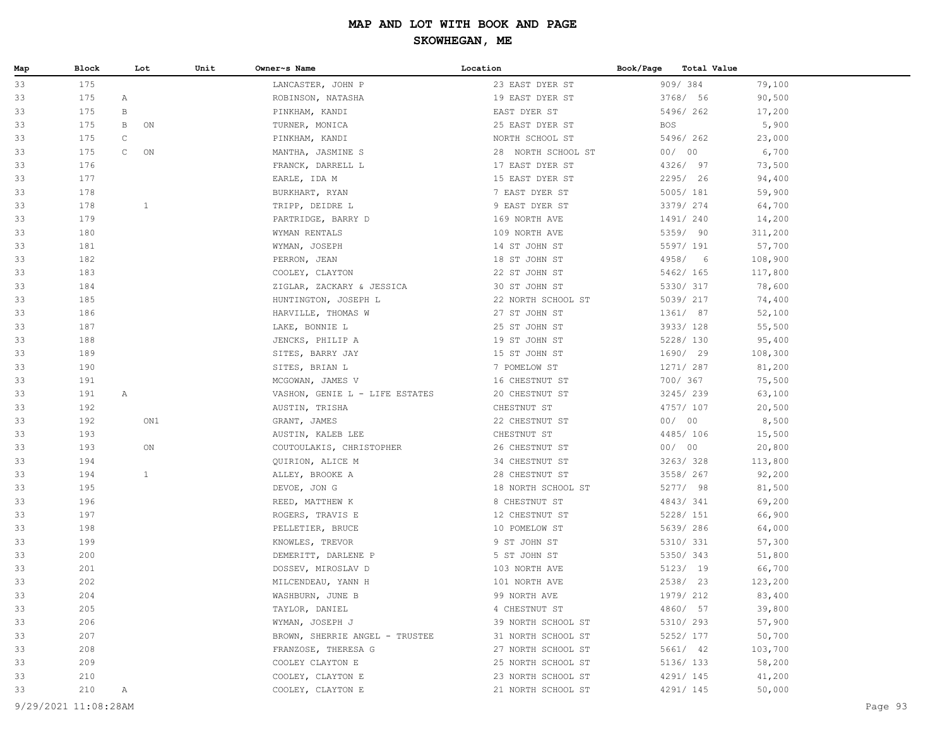| Map | Block                | Lot                | Unit | Owner~s Name                   | Location           | Book/Page  | Total Value |         |         |
|-----|----------------------|--------------------|------|--------------------------------|--------------------|------------|-------------|---------|---------|
| 33  | 175                  |                    |      | LANCASTER, JOHN P              | 23 EAST DYER ST    |            | 909/384     | 79,100  |         |
| 33  | 175                  | A                  |      | ROBINSON, NATASHA              | 19 EAST DYER ST    |            | 3768/ 56    | 90,500  |         |
| 33  | 175                  | В                  |      | PINKHAM, KANDI                 | EAST DYER ST       |            | 5496/262    | 17,200  |         |
| 33  | 175                  | B<br>ON            |      | TURNER, MONICA                 | 25 EAST DYER ST    | <b>BOS</b> |             | 5,900   |         |
| 33  | 175                  | $\mathtt{C}$       |      | PINKHAM, KANDI                 | NORTH SCHOOL ST    |            | 5496/262    | 23,000  |         |
| 33  | 175                  | $\mathsf{C}$<br>ON |      | MANTHA, JASMINE S              | 28 NORTH SCHOOL ST |            | 00/00       | 6,700   |         |
| 33  | 176                  |                    |      | FRANCK, DARRELL L              | 17 EAST DYER ST    |            | 4326/ 97    | 73,500  |         |
| 33  | 177                  |                    |      | EARLE, IDA M                   | 15 EAST DYER ST    |            | 2295/ 26    | 94,400  |         |
| 33  | 178                  |                    |      | BURKHART, RYAN                 | 7 EAST DYER ST     |            | 5005/181    | 59,900  |         |
| 33  | 178                  | $\mathbf{1}$       |      | TRIPP, DEIDRE L                | 9 EAST DYER ST     |            | 3379/ 274   | 64,700  |         |
| 33  | 179                  |                    |      | PARTRIDGE, BARRY D             | 169 NORTH AVE      |            | 1491/240    | 14,200  |         |
| 33  | 180                  |                    |      | WYMAN RENTALS                  | 109 NORTH AVE      |            | 5359/ 90    | 311,200 |         |
| 33  | 181                  |                    |      | WYMAN, JOSEPH                  | 14 ST JOHN ST      |            | 5597/ 191   | 57,700  |         |
| 33  | 182                  |                    |      | PERRON, JEAN                   | 18 ST JOHN ST      |            | 4958/ 6     | 108,900 |         |
| 33  | 183                  |                    |      | COOLEY, CLAYTON                | 22 ST JOHN ST      |            | 5462/ 165   | 117,800 |         |
| 33  | 184                  |                    |      | ZIGLAR, ZACKARY & JESSICA      | 30 ST JOHN ST      |            | 5330/ 317   | 78,600  |         |
| 33  | 185                  |                    |      | HUNTINGTON, JOSEPH L           | 22 NORTH SCHOOL ST |            | 5039/ 217   | 74,400  |         |
| 33  | 186                  |                    |      | HARVILLE, THOMAS W             | 27 ST JOHN ST      |            | 1361/ 87    | 52,100  |         |
| 33  | 187                  |                    |      | LAKE, BONNIE L                 | 25 ST JOHN ST      |            | 3933/ 128   | 55,500  |         |
| 33  | 188                  |                    |      | JENCKS, PHILIP A               | 19 ST JOHN ST      |            | 5228/ 130   | 95,400  |         |
| 33  | 189                  |                    |      | SITES, BARRY JAY               | 15 ST JOHN ST      |            | 1690/ 29    | 108,300 |         |
| 33  | 190                  |                    |      | SITES, BRIAN L                 | 7 POMELOW ST       |            | 1271/ 287   | 81,200  |         |
| 33  | 191                  |                    |      | MCGOWAN, JAMES V               | 16 CHESTNUT ST     |            | 700/ 367    | 75,500  |         |
| 33  | 191                  | A                  |      | VASHON, GENIE L - LIFE ESTATES | 20 CHESTNUT ST     |            | 3245/239    | 63,100  |         |
| 33  | 192                  |                    |      | AUSTIN, TRISHA                 | CHESTNUT ST        |            | 4757/ 107   | 20,500  |         |
| 33  | 192                  | ON1                |      | GRANT, JAMES                   | 22 CHESTNUT ST     |            | 00/00       | 8,500   |         |
| 33  | 193                  |                    |      | AUSTIN, KALEB LEE              | CHESTNUT ST        |            | 4485/106    | 15,500  |         |
| 33  | 193                  | ON                 |      | COUTOULAKIS, CHRISTOPHER       | 26 CHESTNUT ST     |            | 00/00       | 20,800  |         |
| 33  | 194                  |                    |      | QUIRION, ALICE M               | 34 CHESTNUT ST     |            | 3263/328    | 113,800 |         |
| 33  | 194                  | $\mathbf{1}$       |      | ALLEY, BROOKE A                | 28 CHESTNUT ST     |            | 3558/ 267   | 92,200  |         |
| 33  | 195                  |                    |      | DEVOE, JON G                   | 18 NORTH SCHOOL ST |            | 5277/ 98    | 81,500  |         |
| 33  | 196                  |                    |      | REED, MATTHEW K                | 8 CHESTNUT ST      |            | 4843/341    | 69,200  |         |
| 33  | 197                  |                    |      | ROGERS, TRAVIS E               | 12 CHESTNUT ST     |            | 5228/ 151   | 66,900  |         |
| 33  | 198                  |                    |      | PELLETIER, BRUCE               | 10 POMELOW ST      |            | 5639/286    | 64,000  |         |
| 33  | 199                  |                    |      | KNOWLES, TREVOR                | 9 ST JOHN ST       |            | 5310/ 331   | 57,300  |         |
| 33  | 200                  |                    |      | DEMERITT, DARLENE P            | 5 ST JOHN ST       |            | 5350/ 343   | 51,800  |         |
| 33  | 201                  |                    |      | DOSSEV, MIROSLAV D             | 103 NORTH AVE      |            | 5123/ 19    | 66,700  |         |
| 33  | 202                  |                    |      | MILCENDEAU, YANN H             | 101 NORTH AVE      |            | 2538/ 23    | 123,200 |         |
| 33  | 204                  |                    |      | WASHBURN, JUNE B               | 99 NORTH AVE       |            | 1979/ 212   | 83,400  |         |
| 33  | 205                  |                    |      | TAYLOR, DANIEL                 | 4 CHESTNUT ST      |            | 4860/ 57    | 39,800  |         |
| 33  | 206                  |                    |      | WYMAN, JOSEPH J                | 39 NORTH SCHOOL ST |            | 5310/ 293   | 57,900  |         |
| 33  | 207                  |                    |      | BROWN, SHERRIE ANGEL - TRUSTEE | 31 NORTH SCHOOL ST |            | 5252/ 177   | 50,700  |         |
| 33  | 208                  |                    |      | FRANZOSE, THERESA G            | 27 NORTH SCHOOL ST |            | 5661/ 42    | 103,700 |         |
| 33  | 209                  |                    |      | COOLEY CLAYTON E               | 25 NORTH SCHOOL ST |            | 5136/ 133   | 58,200  |         |
| 33  | 210                  |                    |      | COOLEY, CLAYTON E              | 23 NORTH SCHOOL ST |            | 4291/ 145   | 41,200  |         |
| 33  | 210                  | А                  |      | COOLEY, CLAYTON E              | 21 NORTH SCHOOL ST |            | 4291/ 145   | 50,000  |         |
|     | 9/29/2021 11:08:28AM |                    |      |                                |                    |            |             |         | Page 93 |
|     |                      |                    |      |                                |                    |            |             |         |         |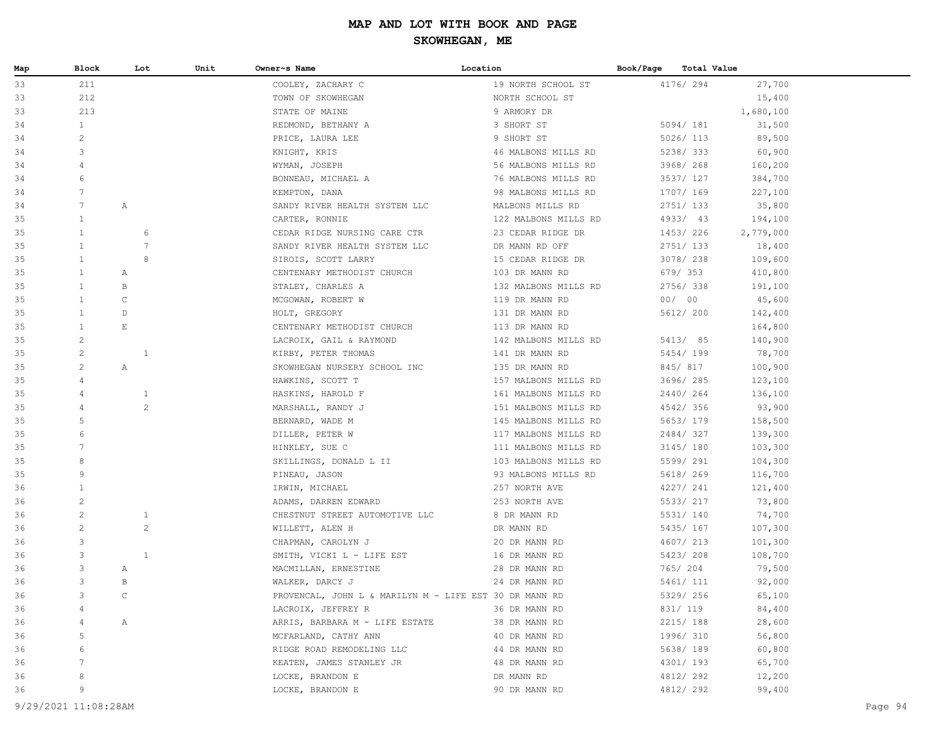| Map | Block           |                       | Unit<br>Lot    | Owner~s Name                                           | Location             | Book/Page |           | <b>Total Value</b> |           |  |
|-----|-----------------|-----------------------|----------------|--------------------------------------------------------|----------------------|-----------|-----------|--------------------|-----------|--|
| 33  | 211             |                       |                | COOLEY, ZACHARY C                                      | 19 NORTH SCHOOL ST   |           | 4176/ 294 |                    | 27,700    |  |
| 33  | 212             |                       |                | TOWN OF SKOWHEGAN                                      | NORTH SCHOOL ST      |           |           |                    | 15,400    |  |
| 33  | 213             |                       |                | STATE OF MAINE                                         | 9 ARMORY DR          |           |           |                    | 1,680,100 |  |
| 34  | $\mathbf{1}$    |                       |                | REDMOND, BETHANY A                                     | 3 SHORT ST           |           | 5094/ 181 |                    | 31,500    |  |
| 34  | $\overline{c}$  |                       |                | PRICE, LAURA LEE                                       | 9 SHORT ST           |           | 5026/ 113 |                    | 89,500    |  |
| 34  | 3               |                       |                | KNIGHT, KRIS                                           | 46 MALBONS MILLS RD  |           | 5238/333  |                    | 60,900    |  |
| 34  | 4               |                       |                | WYMAN, JOSEPH                                          | 56 MALBONS MILLS RD  |           | 3968/ 268 |                    | 160,200   |  |
| 34  | 6               |                       |                | BONNEAU, MICHAEL A                                     | 76 MALBONS MILLS RD  |           | 3537/ 127 |                    | 384,700   |  |
| 34  | $7\phantom{.0}$ |                       |                | KEMPTON, DANA                                          | 98 MALBONS MILLS RD  |           | 1707/ 169 |                    | 227,100   |  |
| 34  | $7\phantom{.0}$ | $\mathbb{A}$          |                | SANDY RIVER HEALTH SYSTEM LLC MALBONS MILLS RD         |                      |           | 2751/133  |                    | 35,800    |  |
| 35  | $\mathbf{1}$    |                       |                | CARTER, RONNIE                                         | 122 MALBONS MILLS RD |           | 4933/ 43  |                    | 194,100   |  |
| 35  | $\mathbf{1}$    |                       | 6              | CEDAR RIDGE NURSING CARE CTR 23 CEDAR RIDGE DR         |                      |           | 1453/226  |                    | 2,779,000 |  |
| 35  | $\mathbf{1}$    |                       | 7              | SANDY RIVER HEALTH SYSTEM LLC                          | DR MANN RD OFF       |           | 2751/133  |                    | 18,400    |  |
| 35  | $\mathbf{1}$    |                       | 8              | SIROIS, SCOTT LARRY                                    | 15 CEDAR RIDGE DR    |           | 3078/ 238 |                    | 109,600   |  |
| 35  | $\mathbf{1}$    | Α                     |                | CENTENARY METHODIST CHURCH                             | 103 DR MANN RD       |           | 679/353   |                    | 410,800   |  |
| 35  | $\mathbf{1}$    | В                     |                | STALEY, CHARLES A                                      | 132 MALBONS MILLS RD |           | 2756/338  |                    | 191,100   |  |
| 35  | $\mathbf{1}$    | $\mathsf C$           |                | MCGOWAN, ROBERT W                                      | 119 DR MANN RD       |           | 00/00     |                    | 45,600    |  |
| 35  | $\mathbf{1}$    | D                     |                | HOLT, GREGORY                                          | 131 DR MANN RD       |           | 5612/ 200 |                    | 142,400   |  |
| 35  | $\mathbf{1}$    | $\mathop{}\mathbb{E}$ |                | CENTENARY METHODIST CHURCH                             | 113 DR MANN RD       |           |           |                    | 164,800   |  |
| 35  | $\overline{c}$  |                       |                | LACROIX, GAIL & RAYMOND                                | 142 MALBONS MILLS RD |           | 5413/ 85  |                    | 140,900   |  |
| 35  | $\overline{c}$  |                       | $\mathbf{1}$   | KIRBY, PETER THOMAS                                    | 141 DR MANN RD       |           | 5454/199  |                    | 78,700    |  |
| 35  | $\overline{c}$  | Α                     |                | SKOWHEGAN NURSERY SCHOOL INC                           | 135 DR MANN RD       |           | 845/ 817  |                    | 100,900   |  |
| 35  | 4               |                       |                | HAWKINS, SCOTT T                                       | 157 MALBONS MILLS RD |           | 3696/285  |                    | 123,100   |  |
| 35  | 4               |                       | $\mathbf{1}$   | HASKINS, HAROLD F                                      | 161 MALBONS MILLS RD |           | 2440/264  |                    | 136,100   |  |
| 35  | $\overline{4}$  |                       | $\overline{c}$ | MARSHALL, RANDY J                                      | 151 MALBONS MILLS RD |           | 4542/356  |                    | 93,900    |  |
| 35  | 5               |                       |                | BERNARD, WADE M                                        | 145 MALBONS MILLS RD |           | 5653/179  |                    | 158,500   |  |
| 35  | 6               |                       |                | DILLER, PETER W                                        | 117 MALBONS MILLS RD |           | 2484/327  |                    | 139,300   |  |
| 35  | 7               |                       |                | HINKLEY, SUE C                                         | 111 MALBONS MILLS RD |           | 3145/ 180 |                    | 103,300   |  |
| 35  | 8               |                       |                | SKILLINGS, DONALD L II                                 | 103 MALBONS MILLS RD |           | 5599/ 291 |                    | 104,300   |  |
| 35  | 9               |                       |                | PINEAU, JASON                                          | 93 MALBONS MILLS RD  |           | 5618/ 269 |                    | 116,700   |  |
| 36  | $\mathbf{1}$    |                       |                | IRWIN, MICHAEL                                         | 257 NORTH AVE        |           | 4227/ 241 |                    | 121,400   |  |
| 36  | $\mathbf{2}$    |                       |                | ADAMS, DARREN EDWARD                                   | 253 NORTH AVE        |           | 5533/ 217 |                    | 73,800    |  |
| 36  | $\overline{c}$  |                       | $\mathbf{1}$   | CHESTNUT STREET AUTOMOTIVE LLC                         | 8 DR MANN RD         |           | 5531/ 140 |                    | 74,700    |  |
| 36  | $\overline{c}$  |                       | $\overline{c}$ | WILLETT, ALEN H                                        | DR MANN RD           |           | 5435/ 167 |                    | 107,300   |  |
| 36  | 3               |                       |                | CHAPMAN, CAROLYN J                                     | 20 DR MANN RD        |           | 4607/ 213 |                    | 101,300   |  |
| 36  | 3               |                       | $\mathbf{1}$   | SMITH, VICKI L - LIFE EST                              | 16 DR MANN RD        |           | 5423/ 208 |                    | 108,700   |  |
| 36  | 3               | Α                     |                | MACMILLAN, ERNESTINE                                   | 28 DR MANN RD        |           | 765/ 204  |                    | 79,500    |  |
| 36  | 3               | B                     |                | WALKER, DARCY J                                        | 24 DR MANN RD        |           | 5461/ 111 |                    | 92,000    |  |
| 36  | 3               | $\mathcal{C}$         |                | PROVENCAL, JOHN L & MARILYN M - LIFE EST 30 DR MANN RD |                      |           | 5329/ 256 |                    | 65,100    |  |
| 36  | 4               |                       |                | LACROIX, JEFFREY R                                     | 36 DR MANN RD        |           | 831/ 119  |                    | 84,400    |  |
| 36  |                 | Α                     |                | ARRIS, BARBARA M - LIFE ESTATE                         | 38 DR MANN RD        |           | 2215/ 188 |                    | 28,600    |  |
| 36  | 5               |                       |                | MCFARLAND, CATHY ANN                                   | 40 DR MANN RD        |           | 1996/ 310 |                    | 56,800    |  |
| 36  | 6               |                       |                | RIDGE ROAD REMODELING LLC                              | 44 DR MANN RD        |           | 5638/ 189 |                    | 60,800    |  |
| 36  | 7               |                       |                | KEATEN, JAMES STANLEY JR                               | 48 DR MANN RD        |           | 4301/ 193 |                    | 65,700    |  |
| 36  | 8               |                       |                | LOCKE, BRANDON E                                       | DR MANN RD           |           | 4812/292  |                    | 12,200    |  |
| 36  | 9               |                       |                | LOCKE, BRANDON E                                       | 90 DR MANN RD        |           | 4812/292  |                    | 99,400    |  |
|     |                 |                       |                |                                                        |                      |           |           |                    |           |  |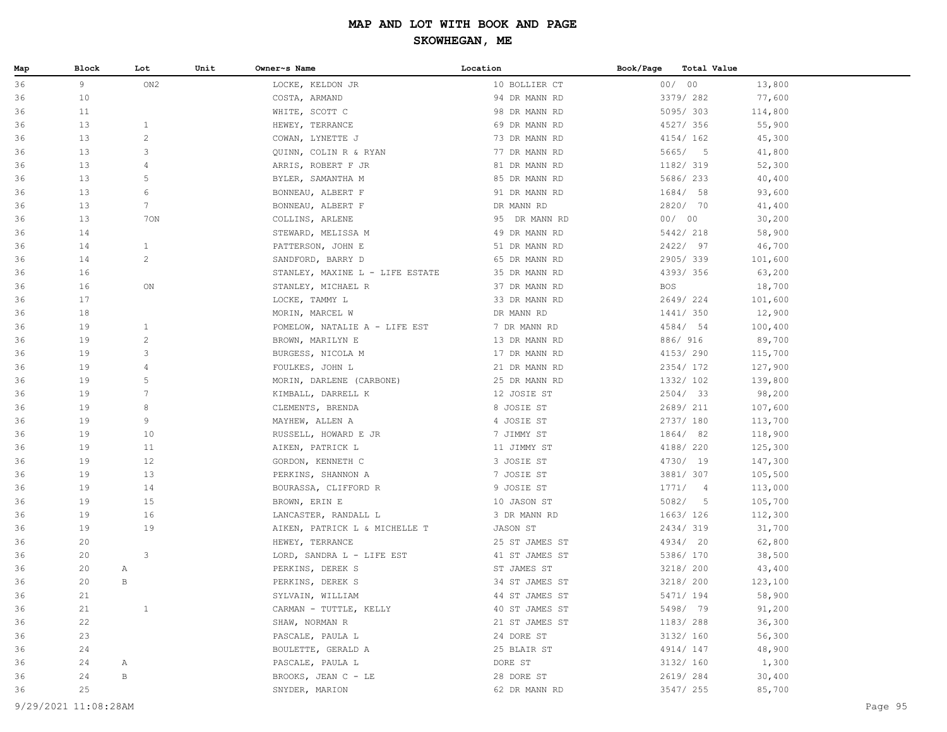| Map | Block                | Lot             | Unit | Owner~s Name                    | Location       | Book/Page | Total Value |         |         |
|-----|----------------------|-----------------|------|---------------------------------|----------------|-----------|-------------|---------|---------|
| 36  | 9                    | ON2             |      | LOCKE, KELDON JR                | 10 BOLLIER CT  |           | 00/00       | 13,800  |         |
| 36  | 10                   |                 |      | COSTA, ARMAND                   | 94 DR MANN RD  |           | 3379/282    | 77,600  |         |
| 36  | 11                   |                 |      | WHITE, SCOTT C                  | 98 DR MANN RD  |           | 5095/303    | 114,800 |         |
| 36  | 13                   | $\mathbf{1}$    |      | HEWEY, TERRANCE                 | 69 DR MANN RD  |           | 4527/ 356   | 55,900  |         |
| 36  | 13                   | $\overline{c}$  |      | COWAN, LYNETTE J                | 73 DR MANN RD  |           | 4154/162    | 45,300  |         |
| 36  | 13                   | 3               |      | QUINN, COLIN R & RYAN           | 77 DR MANN RD  |           | 5665/5      | 41,800  |         |
| 36  | 13                   | 4               |      | ARRIS, ROBERT F JR              | 81 DR MANN RD  |           | 1182/ 319   | 52,300  |         |
| 36  | 13                   | 5               |      | BYLER, SAMANTHA M               | 85 DR MANN RD  |           | 5686/233    | 40,400  |         |
| 36  | 13                   | 6               |      | BONNEAU, ALBERT F               | 91 DR MANN RD  |           | 1684/ 58    | 93,600  |         |
| 36  | 13                   | $7\overline{ }$ |      | BONNEAU, ALBERT F               | DR MANN RD     |           | 2820/ 70    | 41,400  |         |
| 36  | 13                   | 70N             |      | COLLINS, ARLENE                 | 95 DR MANN RD  |           | 00/00       | 30,200  |         |
| 36  | 14                   |                 |      | STEWARD, MELISSA M              | 49 DR MANN RD  |           | 5442/ 218   | 58,900  |         |
| 36  | 14                   | $\mathbf{1}$    |      | PATTERSON, JOHN E               | 51 DR MANN RD  |           | 2422/ 97    | 46,700  |         |
| 36  | 14                   | $\overline{c}$  |      | SANDFORD, BARRY D               | 65 DR MANN RD  |           | 2905/339    | 101,600 |         |
| 36  | 16                   |                 |      | STANLEY, MAXINE L - LIFE ESTATE | 35 DR MANN RD  |           | 4393/356    | 63,200  |         |
| 36  | 16                   | ON              |      | STANLEY, MICHAEL R              | 37 DR MANN RD  | BOS       |             | 18,700  |         |
| 36  | 17                   |                 |      | LOCKE, TAMMY L                  | 33 DR MANN RD  |           | 2649/224    | 101,600 |         |
| 36  | 18                   |                 |      | MORIN, MARCEL W                 | DR MANN RD     |           | 1441/ 350   | 12,900  |         |
| 36  | 19                   | $\mathbf{1}$    |      | POMELOW, NATALIE A - LIFE EST   | 7 DR MANN RD   |           | 4584/ 54    | 100,400 |         |
| 36  | 19                   | $\overline{c}$  |      | BROWN, MARILYN E                | 13 DR MANN RD  |           | 886/ 916    | 89,700  |         |
| 36  | 19                   | 3               |      | BURGESS, NICOLA M               | 17 DR MANN RD  |           | 4153/290    | 115,700 |         |
| 36  | 19                   | 4               |      | FOULKES, JOHN L                 | 21 DR MANN RD  |           | 2354/ 172   | 127,900 |         |
| 36  | 19                   | 5               |      | MORIN, DARLENE (CARBONE)        | 25 DR MANN RD  |           | 1332/ 102   | 139,800 |         |
| 36  | 19                   | $7\phantom{.0}$ |      | KIMBALL, DARRELL K              | 12 JOSIE ST    |           | 2504/ 33    | 98,200  |         |
| 36  | 19                   | 8               |      | CLEMENTS, BRENDA                | 8 JOSIE ST     |           | 2689/ 211   | 107,600 |         |
| 36  | 19                   | 9               |      | MAYHEW, ALLEN A                 | 4 JOSIE ST     |           | 2737/ 180   | 113,700 |         |
| 36  | 19                   | 10              |      | RUSSELL, HOWARD E JR            | 7 JIMMY ST     |           | 1864/ 82    | 118,900 |         |
| 36  | 19                   | 11              |      | AIKEN, PATRICK L                | 11 JIMMY ST    |           | 4188/ 220   | 125,300 |         |
| 36  | 19                   | 12              |      | GORDON, KENNETH C               | 3 JOSIE ST     |           | 4730/ 19    | 147,300 |         |
| 36  | 19                   | 13              |      | PERKINS, SHANNON A              | 7 JOSIE ST     |           | 3881/ 307   | 105,500 |         |
| 36  | 19                   | 14              |      | BOURASSA, CLIFFORD R            | 9 JOSIE ST     |           | 1771/4      | 113,000 |         |
| 36  | 19                   | 15              |      | BROWN, ERIN E                   | 10 JASON ST    |           | 5082/5      | 105,700 |         |
| 36  | 19                   | 16              |      | LANCASTER, RANDALL L            | 3 DR MANN RD   |           | 1663/126    | 112,300 |         |
| 36  | 19                   | 19              |      | AIKEN, PATRICK L & MICHELLE T   | JASON ST       |           | 2434/319    | 31,700  |         |
| 36  | 20                   |                 |      | HEWEY, TERRANCE                 | 25 ST JAMES ST |           | 4934/ 20    | 62,800  |         |
| 36  | 20                   | 3               |      | LORD, SANDRA L - LIFE EST       | 41 ST JAMES ST |           | 5386/ 170   | 38,500  |         |
| 36  | 20                   | Α               |      | PERKINS, DEREK S                | ST JAMES ST    |           | 3218/ 200   | 43,400  |         |
| 36  | 20                   | B               |      | PERKINS, DEREK S                | 34 ST JAMES ST |           | 3218/ 200   | 123,100 |         |
| 36  | 21                   |                 |      | SYLVAIN, WILLIAM                | 44 ST JAMES ST |           | 5471/ 194   | 58,900  |         |
| 36  | 21                   | $\mathbf{1}$    |      | CARMAN - TUTTLE, KELLY          | 40 ST JAMES ST |           | 5498/ 79    | 91,200  |         |
| 36  | 22                   |                 |      | SHAW, NORMAN R                  | 21 ST JAMES ST |           | 1183/ 288   | 36,300  |         |
| 36  | 23                   |                 |      | PASCALE, PAULA L                | 24 DORE ST     |           | 3132/ 160   | 56,300  |         |
| 36  | 24                   |                 |      | BOULETTE, GERALD A              | 25 BLAIR ST    |           | 4914/ 147   | 48,900  |         |
| 36  | 24                   | A               |      | PASCALE, PAULA L                | DORE ST        |           | 3132/ 160   | 1,300   |         |
| 36  | 24                   | В               |      | BROOKS, JEAN C - LE             | 28 DORE ST     |           | 2619/284    | 30,400  |         |
| 36  | 25                   |                 |      | SNYDER, MARION                  | 62 DR MANN RD  |           | 3547/ 255   | 85,700  |         |
|     | 9/29/2021 11:08:28AM |                 |      |                                 |                |           |             |         |         |
|     |                      |                 |      |                                 |                |           |             |         | Page 95 |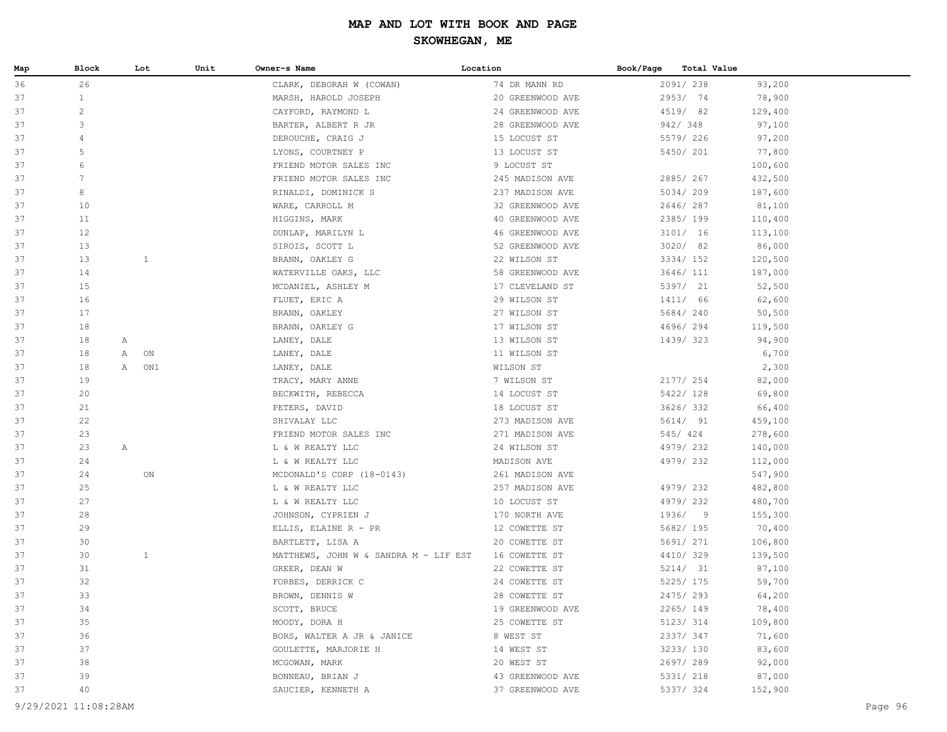| Map | Block          | Lot          |              | Unit | Owner~s Name                          | Location         | Book/Page | <b>Total Value</b> |         |
|-----|----------------|--------------|--------------|------|---------------------------------------|------------------|-----------|--------------------|---------|
| 36  | 26             |              |              |      | CLARK, DEBORAH W (COWAN)              | 74 DR MANN RD    |           | 2091/238           | 93,200  |
| 37  | $\mathbf{1}$   |              |              |      | MARSH, HAROLD JOSEPH                  | 20 GREENWOOD AVE |           | 2953/ 74           | 78,900  |
| 37  | $\overline{c}$ |              |              |      | CAYFORD, RAYMOND L                    | 24 GREENWOOD AVE |           | 4519/ 82           | 129,400 |
| 37  | 3              |              |              |      | BARTER, ALBERT R JR                   | 28 GREENWOOD AVE |           | 942/348            | 97,100  |
| 37  | $\overline{4}$ |              |              |      | DEROUCHE, CRAIG J                     | 15 LOCUST ST     |           | 5579/226           | 97,200  |
| 37  | .5             |              |              |      | LYONS, COURTNEY P                     | 13 LOCUST ST     |           | 5450/ 201          | 77,800  |
| 37  | 6              |              |              |      | FRIEND MOTOR SALES INC                | 9 LOCUST ST      |           |                    | 100,600 |
| 37  | 7              |              |              |      | FRIEND MOTOR SALES INC                | 245 MADISON AVE  |           | 2885/267           | 432,500 |
| 37  | 8              |              |              |      | RINALDI, DOMINICK S                   | 237 MADISON AVE  |           | 5034/209           | 187,600 |
| 37  | 10             |              |              |      | WARE, CARROLL M                       | 32 GREENWOOD AVE |           | 2646/287           | 81,100  |
| 37  | 11             |              |              |      | HIGGINS, MARK                         | 40 GREENWOOD AVE |           | 2385/199           | 110,400 |
| 37  | 12             |              |              |      | DUNLAP, MARILYN L                     | 46 GREENWOOD AVE |           | 3101/16            | 113,100 |
| 37  | 13             |              |              |      | SIROIS, SCOTT L                       | 52 GREENWOOD AVE |           | 3020/ 82           | 86,000  |
| 37  | 13             |              | $\mathbf{1}$ |      | BRANN, OAKLEY G                       | 22 WILSON ST     |           | 3334/ 152          | 120,500 |
| 37  | 14             |              |              |      | WATERVILLE OAKS, LLC                  | 58 GREENWOOD AVE |           | 3646/ 111          | 187,000 |
| 37  | 15             |              |              |      | MCDANIEL, ASHLEY M                    | 17 CLEVELAND ST  |           | 5397/ 21           | 52,500  |
| 37  | 16             |              |              |      | FLUET, ERIC A                         | 29 WILSON ST     |           | 1411/ 66           | 62,600  |
| 37  | 17             |              |              |      | BRANN, OAKLEY                         | 27 WILSON ST     |           | 5684/240           | 50,500  |
| 37  | 18             |              |              |      | BRANN, OAKLEY G                       | 17 WILSON ST     |           | 4696/294           | 119,500 |
| 37  | 18             | A            |              |      | LANEY, DALE                           | 13 WILSON ST     |           | 1439/323           | 94,900  |
| 37  | 18             | Α            | ON           |      | LANEY, DALE                           | 11 WILSON ST     |           |                    | 6,700   |
| 37  | 18             | $\mathbb A$  | ON1          |      | LANEY, DALE                           | WILSON ST        |           |                    | 2,300   |
| 37  | 19             |              |              |      | TRACY, MARY ANNE                      | 7 WILSON ST      |           | 2177/ 254          | 82,000  |
| 37  | 20             |              |              |      | BECKWITH, REBECCA                     | 14 LOCUST ST     |           | 5422/ 128          | 69,800  |
| 37  | 21             |              |              |      | PETERS, DAVID                         | 18 LOCUST ST     |           | 3626/332           | 66,400  |
| 37  | 22             |              |              |      | SHIVALAY LLC                          | 273 MADISON AVE  |           | 5614/ 91           | 459,100 |
| 37  | 23             |              |              |      | FRIEND MOTOR SALES INC                | 271 MADISON AVE  |           | 545/424            | 278,600 |
| 37  | 23             | $\mathbb{A}$ |              |      | L & W REALTY LLC                      | 24 WILSON ST     |           | 4979/232           | 140,000 |
| 37  | 24             |              |              |      | L & W REALTY LLC                      | MADISON AVE      |           | 4979/232           | 112,000 |
| 37  | 24             |              | ON           |      | MCDONALD'S CORP (18-0143)             | 261 MADISON AVE  |           |                    | 547,900 |
| 37  | 25             |              |              |      | L & W REALTY LLC                      | 257 MADISON AVE  |           | 4979/232           | 482,800 |
| 37  | 27             |              |              |      | L & W REALTY LLC                      | 10 LOCUST ST     |           | 4979/232           | 480,700 |
| 37  | 28             |              |              |      | JOHNSON, CYPRIEN J                    | 170 NORTH AVE    |           | 1936/ 9            | 155,300 |
| 37  | 29             |              |              |      | ELLIS, ELAINE R - PR                  | 12 COWETTE ST    |           | 5682/ 195          | 70,400  |
| 37  | 30             |              |              |      | BARTLETT, LISA A                      | 20 COWETTE ST    |           | 5691/ 271          | 106,800 |
| 37  | 30             |              | $\mathbf{1}$ |      | MATTHEWS, JOHN W & SANDRA M - LIF EST | 16 COWETTE ST    |           | 4410/329           | 139,500 |
| 37  | 31             |              |              |      | GREER, DEAN W                         | 22 COWETTE ST    |           | 5214/31            | 87,100  |
| 37  | 32             |              |              |      | FORBES, DERRICK C                     | 24 COWETTE ST    |           | 5225/ 175          | 59,700  |
| 37  | 33             |              |              |      | BROWN, DENNIS W                       | 28 COWETTE ST    |           | 2475/293           | 64,200  |
| 37  | 34             |              |              |      | SCOTT, BRUCE                          | 19 GREENWOOD AVE |           | 2265/149           | 78,400  |
| 37  | 35             |              |              |      | MOODY, DORA H                         | 25 COWETTE ST    |           | 5123/ 314          | 109,800 |
| 37  | 36             |              |              |      | BORS, WALTER A JR & JANICE            | 8 WEST ST        |           | 2337/347           | 71,600  |
| 37  | 37             |              |              |      | GOULETTE, MARJORIE H                  | 14 WEST ST       |           | 3233/ 130          | 83,600  |
| 37  | 38             |              |              |      | MCGOWAN, MARK                         | 20 WEST ST       |           | 2697/289           | 92,000  |
| 37  | 39             |              |              |      | BONNEAU, BRIAN J                      | 43 GREENWOOD AVE |           | 5331/ 218          | 87,000  |
| 37  | 40             |              |              |      | SAUCIER, KENNETH A                    | 37 GREENWOOD AVE |           | 5337/324           | 152,900 |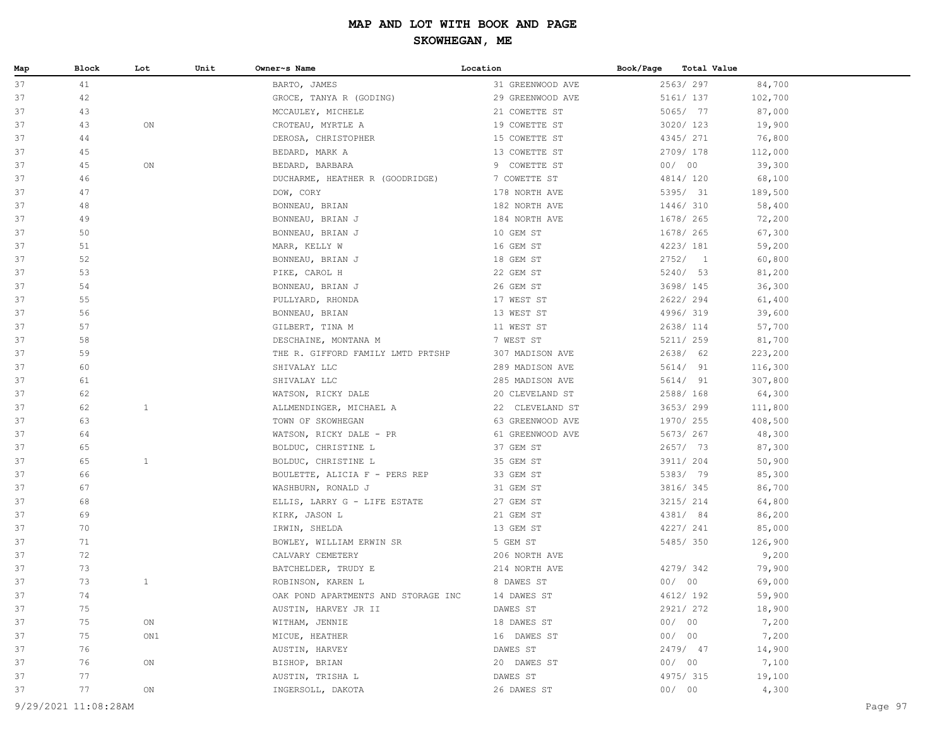| Map | Block                | Lot          | Unit | Owner~s Name                        | Location         | Book/Page | Total Value |         |         |
|-----|----------------------|--------------|------|-------------------------------------|------------------|-----------|-------------|---------|---------|
| 37  | 41                   |              |      | BARTO, JAMES                        | 31 GREENWOOD AVE |           | 2563/297    | 84,700  |         |
| 37  | 42                   |              |      | GROCE, TANYA R (GODING)             | 29 GREENWOOD AVE |           | 5161/ 137   | 102,700 |         |
| 37  | 43                   |              |      | MCCAULEY, MICHELE                   | 21 COWETTE ST    |           | 5065/ 77    | 87,000  |         |
| 37  | 43                   | ON           |      | CROTEAU, MYRTLE A                   | 19 COWETTE ST    |           | 3020/ 123   | 19,900  |         |
| 37  | 44                   |              |      | DEROSA, CHRISTOPHER                 | 15 COWETTE ST    |           | 4345/ 271   | 76,800  |         |
| 37  | 45                   |              |      | BEDARD, MARK A                      | 13 COWETTE ST    |           | 2709/178    | 112,000 |         |
| 37  | 45                   | ON           |      | BEDARD, BARBARA                     | 9 COWETTE ST     |           | 00/00       | 39,300  |         |
| 37  | 46                   |              |      | DUCHARME, HEATHER R (GOODRIDGE)     | 7 COWETTE ST     |           | 4814/ 120   | 68,100  |         |
| 37  | 47                   |              |      | DOW, CORY                           | 178 NORTH AVE    |           | 5395/ 31    | 189,500 |         |
| 37  | 48                   |              |      | BONNEAU, BRIAN                      | 182 NORTH AVE    |           | 1446/ 310   | 58,400  |         |
| 37  | 49                   |              |      | BONNEAU, BRIAN J                    | 184 NORTH AVE    |           | 1678/ 265   | 72,200  |         |
| 37  | 50                   |              |      | BONNEAU, BRIAN J                    | 10 GEM ST        |           | 1678/ 265   | 67,300  |         |
| 37  | 51                   |              |      | MARR, KELLY W                       | 16 GEM ST        |           | 4223/ 181   | 59,200  |         |
| 37  | 52                   |              |      | BONNEAU, BRIAN J                    | 18 GEM ST        |           | 2752/1      | 60,800  |         |
| 37  | 53                   |              |      | PIKE, CAROL H                       | 22 GEM ST        |           | 5240/ 53    | 81,200  |         |
| 37  | 54                   |              |      | BONNEAU, BRIAN J                    | 26 GEM ST        |           | 3698/ 145   | 36,300  |         |
| 37  | 55                   |              |      | PULLYARD, RHONDA                    | 17 WEST ST       |           | 2622/294    | 61,400  |         |
| 37  | 56                   |              |      | BONNEAU, BRIAN                      | 13 WEST ST       |           | 4996/319    | 39,600  |         |
| 37  | 57                   |              |      | GILBERT, TINA M                     | 11 WEST ST       |           | 2638/ 114   | 57,700  |         |
| 37  | 58                   |              |      | DESCHAINE, MONTANA M                | 7 WEST ST        |           | 5211/ 259   | 81,700  |         |
| 37  | 59                   |              |      | THE R. GIFFORD FAMILY LMTD PRTSHP   | 307 MADISON AVE  |           | 2638/ 62    | 223,200 |         |
| 37  | 60                   |              |      | SHIVALAY LLC                        | 289 MADISON AVE  |           | 5614/ 91    | 116,300 |         |
| 37  | 61                   |              |      | SHIVALAY LLC                        | 285 MADISON AVE  |           | 5614/ 91    | 307,800 |         |
| 37  | 62                   |              |      | WATSON, RICKY DALE                  | 20 CLEVELAND ST  |           | 2588/ 168   | 64,300  |         |
| 37  | 62                   | $\mathbf{1}$ |      | ALLMENDINGER, MICHAEL A             | 22 CLEVELAND ST  |           | 3653/299    | 111,800 |         |
| 37  | 63                   |              |      | TOWN OF SKOWHEGAN                   | 63 GREENWOOD AVE |           | 1970/ 255   | 408,500 |         |
| 37  | 64                   |              |      | WATSON, RICKY DALE - PR             | 61 GREENWOOD AVE |           | 5673/ 267   | 48,300  |         |
| 37  | 65                   |              |      | BOLDUC, CHRISTINE L                 | 37 GEM ST        |           | 2657/ 73    | 87,300  |         |
| 37  | 65                   | $\mathbf{1}$ |      | BOLDUC, CHRISTINE L                 | 35 GEM ST        |           | 3911/ 204   | 50,900  |         |
| 37  | 66                   |              |      | BOULETTE, ALICIA F - PERS REP       | 33 GEM ST        |           | 5383/ 79    | 85,300  |         |
| 37  | 67                   |              |      | WASHBURN, RONALD J                  | 31 GEM ST        |           | 3816/ 345   | 86,700  |         |
| 37  | 68                   |              |      | ELLIS, LARRY G - LIFE ESTATE        | 27 GEM ST        |           | 3215/ 214   | 64,800  |         |
| 37  | 69                   |              |      | KIRK, JASON L                       | 21 GEM ST        |           | 4381/ 84    | 86,200  |         |
| 37  | 70                   |              |      | IRWIN, SHELDA                       | 13 GEM ST        |           | 4227/ 241   | 85,000  |         |
| 37  | 71                   |              |      | BOWLEY, WILLIAM ERWIN SR            | 5 GEM ST         |           | 5485/350    | 126,900 |         |
| 37  | 72                   |              |      | CALVARY CEMETERY                    | 206 NORTH AVE    |           |             | 9,200   |         |
| 37  | 73                   |              |      | BATCHELDER, TRUDY E                 | 214 NORTH AVE    |           | 4279/342    | 79,900  |         |
| 37  | 73                   | $\mathbf{1}$ |      | ROBINSON, KAREN L                   | 8 DAWES ST       |           | 00/00       | 69,000  |         |
| 37  | 74                   |              |      | OAK POND APARTMENTS AND STORAGE INC | 14 DAWES ST      |           | 4612/ 192   | 59,900  |         |
| 37  | 75                   |              |      | AUSTIN, HARVEY JR II                | DAWES ST         |           | 2921/ 272   | 18,900  |         |
| 37  | 75                   | ON           |      | WITHAM, JENNIE                      | 18 DAWES ST      |           | 00/00       | 7,200   |         |
| 37  | 75                   | ON1          |      | MICUE, HEATHER                      | 16 DAWES ST      |           | 00/00       | 7,200   |         |
| 37  | 76                   |              |      | AUSTIN, HARVEY                      | DAWES ST         |           | 2479/ 47    | 14,900  |         |
| 37  | 76                   | ON           |      | BISHOP, BRIAN                       | 20 DAWES ST      |           | 00/00       | 7,100   |         |
| 37  | 77                   |              |      | AUSTIN, TRISHA L                    | DAWES ST         |           | 4975/ 315   | 19,100  |         |
| 37  | 77                   | ON           |      | INGERSOLL, DAKOTA                   | 26 DAWES ST      |           | 00/00       | 4,300   |         |
|     |                      |              |      |                                     |                  |           |             |         |         |
|     | 9/29/2021 11:08:28AM |              |      |                                     |                  |           |             |         | Page 97 |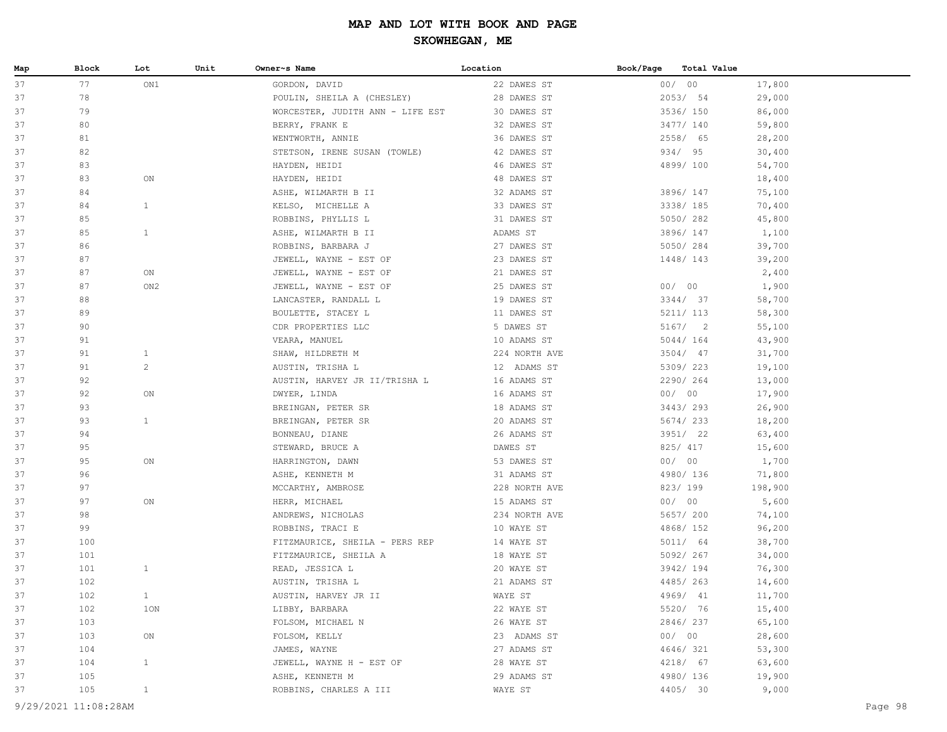| Map | Block | Lot             | Unit | Owner~s Name                     | Location      | Book/Page | Total Value |         |
|-----|-------|-----------------|------|----------------------------------|---------------|-----------|-------------|---------|
| 37  | 77    | ON1             |      | GORDON, DAVID                    | 22 DAWES ST   |           | 00/00       | 17,800  |
| 37  | 78    |                 |      | POULIN, SHEILA A (CHESLEY)       | 28 DAWES ST   |           | 2053/54     | 29,000  |
| 37  | 79    |                 |      | WORCESTER, JUDITH ANN - LIFE EST | 30 DAWES ST   |           | 3536/ 150   | 86,000  |
| 37  | 80    |                 |      | BERRY, FRANK E                   | 32 DAWES ST   |           | 3477/ 140   | 59,800  |
| 37  | 81    |                 |      | WENTWORTH, ANNIE                 | 36 DAWES ST   |           | 2558/ 65    | 28,200  |
| 37  | 82    |                 |      | STETSON, IRENE SUSAN (TOWLE)     | 42 DAWES ST   |           | 934/ 95     | 30,400  |
| 37  | 83    |                 |      | HAYDEN, HEIDI                    | 46 DAWES ST   |           | 4899/100    | 54,700  |
| 37  | 83    | ON              |      | HAYDEN, HEIDI                    | 48 DAWES ST   |           |             | 18,400  |
| 37  | 84    |                 |      | ASHE, WILMARTH B II              | 32 ADAMS ST   |           | 3896/ 147   | 75,100  |
| 37  | 84    | $\mathbf{1}$    |      | KELSO, MICHELLE A                | 33 DAWES ST   |           | 3338/ 185   | 70,400  |
| 37  | 85    |                 |      | ROBBINS, PHYLLIS L               | 31 DAWES ST   |           | 5050/282    | 45,800  |
| 37  | 85    | $\mathbf{1}$    |      | ASHE, WILMARTH B II              | ADAMS ST      |           | 3896/ 147   | 1,100   |
| 37  | 86    |                 |      | ROBBINS, BARBARA J               | 27 DAWES ST   |           | 5050/284    | 39,700  |
| 37  | 87    |                 |      | JEWELL, WAYNE - EST OF           | 23 DAWES ST   |           | 1448/143    | 39,200  |
| 37  | 87    | ON              |      | JEWELL, WAYNE - EST OF           | 21 DAWES ST   |           |             | 2,400   |
| 37  | 87    | ON <sub>2</sub> |      | JEWELL, WAYNE - EST OF           | 25 DAWES ST   |           | 00/00       | 1,900   |
| 37  | 88    |                 |      | LANCASTER, RANDALL L             | 19 DAWES ST   |           | 3344/ 37    | 58,700  |
| 37  | 89    |                 |      | BOULETTE, STACEY L               | 11 DAWES ST   |           | 5211/ 113   | 58,300  |
| 37  | 90    |                 |      | CDR PROPERTIES LLC               | 5 DAWES ST    |           | 5167/2      | 55,100  |
| 37  | 91    |                 |      | VEARA, MANUEL                    | 10 ADAMS ST   |           | 5044/ 164   | 43,900  |
| 37  | 91    | $\mathbf{1}$    |      | SHAW, HILDRETH M                 | 224 NORTH AVE |           | $3504/$ 47  | 31,700  |
| 37  | 91    | $\mathbf{2}$    |      | AUSTIN, TRISHA L                 | 12 ADAMS ST   |           | 5309/223    | 19,100  |
| 37  | 92    |                 |      | AUSTIN, HARVEY JR II/TRISHA L    | 16 ADAMS ST   |           | 2290/264    | 13,000  |
| 37  | 92    | ON              |      | DWYER, LINDA                     | 16 ADAMS ST   |           | 00/00       | 17,900  |
| 37  | 93    |                 |      | BREINGAN, PETER SR               | 18 ADAMS ST   |           | 3443/293    | 26,900  |
| 37  | 93    | $\mathbf{1}$    |      | BREINGAN, PETER SR               | 20 ADAMS ST   |           | 5674/233    | 18,200  |
| 37  | 94    |                 |      | BONNEAU, DIANE                   | 26 ADAMS ST   |           | 3951/ 22    | 63,400  |
| 37  | 95    |                 |      | STEWARD, BRUCE A                 | DAWES ST      |           | 825/ 417    | 15,600  |
| 37  | 95    | ON              |      | HARRINGTON, DAWN                 | 53 DAWES ST   |           | 00/00       | 1,700   |
| 37  | 96    |                 |      | ASHE, KENNETH M                  | 31 ADAMS ST   |           | 4980/ 136   | 71,800  |
| 37  | 97    |                 |      | MCCARTHY, AMBROSE                | 228 NORTH AVE |           | 823/199     | 198,900 |
| 37  | 97    | ON              |      | HERR, MICHAEL                    | 15 ADAMS ST   |           | 00/00       | 5,600   |
| 37  | 98    |                 |      | ANDREWS, NICHOLAS                | 234 NORTH AVE |           | 5657/ 200   | 74,100  |
| 37  | 99    |                 |      | ROBBINS, TRACI E                 | 10 WAYE ST    |           | 4868/ 152   | 96,200  |
| 37  | 100   |                 |      | FITZMAURICE, SHEILA - PERS REP   | 14 WAYE ST    |           | 5011/ 64    | 38,700  |
| 37  | 101   |                 |      | FITZMAURICE, SHEILA A            | 18 WAYE ST    |           | 5092/267    | 34,000  |
| 37  | 101   | $\mathbf{1}$    |      | READ, JESSICA L                  | 20 WAYE ST    |           | 3942/ 194   | 76,300  |
| 37  | 102   |                 |      | AUSTIN, TRISHA L                 | 21 ADAMS ST   |           | 4485/263    | 14,600  |
| 37  | 102   | $\mathbf{1}$    |      | AUSTIN, HARVEY JR II             | WAYE ST       |           | 4969/ 41    | 11,700  |
| 37  | 102   | 1ON             |      | LIBBY, BARBARA                   | 22 WAYE ST    |           | 5520/ 76    | 15,400  |
| 37  | 103   |                 |      | FOLSOM, MICHAEL N                | 26 WAYE ST    |           | 2846/237    | 65,100  |
| 37  | 103   | ON              |      | FOLSOM, KELLY                    | 23 ADAMS ST   |           | 00/00       | 28,600  |
| 37  | 104   |                 |      | JAMES, WAYNE                     | 27 ADAMS ST   |           | 4646/321    | 53,300  |
| 37  | 104   | $\mathbf{1}$    |      | JEWELL, WAYNE H - EST OF         | 28 WAYE ST    |           | 4218/ 67    | 63,600  |
| 37  | 105   |                 |      | ASHE, KENNETH M                  | 29 ADAMS ST   |           | 4980/ 136   | 19,900  |
| 37  | 105   | $\mathbf{1}$    |      | ROBBINS, CHARLES A III           | WAYE ST       |           | 4405/ 30    | 9,000   |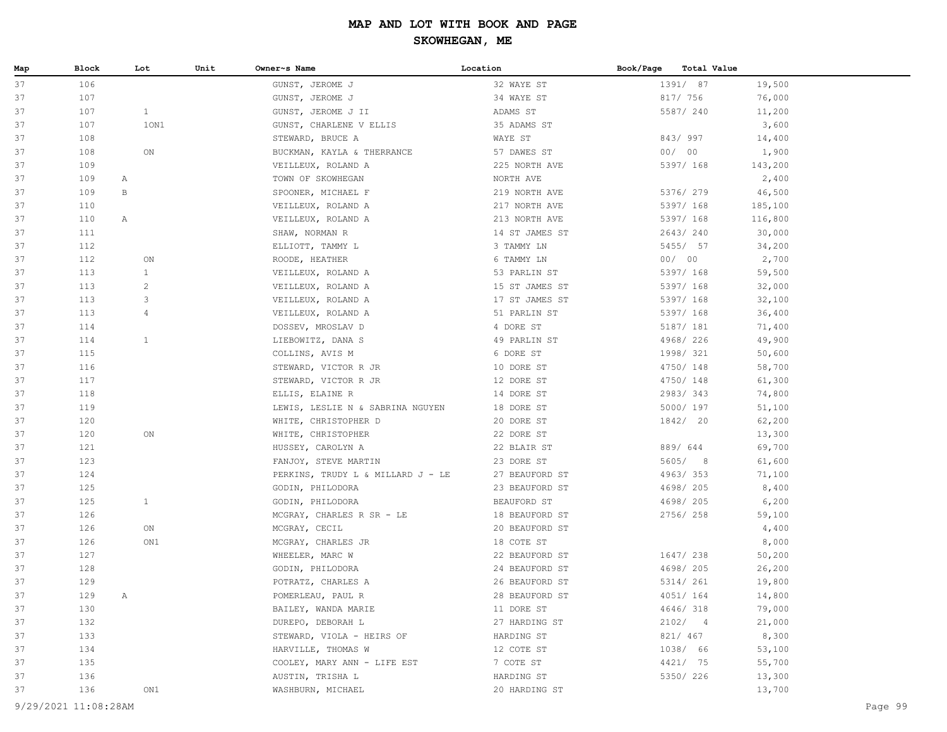| Map      | Block      | Lot            | Unit | Owner~s Name                               | Location                         | Book/Page<br>Total Value |                 |  |
|----------|------------|----------------|------|--------------------------------------------|----------------------------------|--------------------------|-----------------|--|
| 37       | 106        |                |      | GUNST, JEROME J                            | 32 WAYE ST                       | 1391/ 87                 | 19,500          |  |
| 37       | 107        |                |      | GUNST, JEROME J                            | 34 WAYE ST                       | 817/ 756                 | 76,000          |  |
| 37       | 107        | $\mathbf{1}$   |      | GUNST, JEROME J II                         | ADAMS ST                         | 5587/ 240                | 11,200          |  |
| 37       | 107        | 10N1           |      | GUNST, CHARLENE V ELLIS                    | 35 ADAMS ST                      |                          | 3,600           |  |
| 37       | 108        |                |      | STEWARD, BRUCE A                           | WAYE ST                          | 843/997                  | 14,400          |  |
| 37       | 108        | ON             |      | BUCKMAN, KAYLA & THERRANCE                 | 57 DAWES ST                      | 00/00                    | 1,900           |  |
| 37       | 109        |                |      | VEILLEUX, ROLAND A                         | 225 NORTH AVE                    | 5397/ 168                | 143,200         |  |
| 37       | 109        | Α              |      | TOWN OF SKOWHEGAN                          | NORTH AVE                        |                          | 2,400           |  |
| 37       | 109        | B              |      | SPOONER, MICHAEL F                         | 219 NORTH AVE                    | 5376/ 279                | 46,500          |  |
| 37       | 110        |                |      | VEILLEUX, ROLAND A                         | 217 NORTH AVE                    | 5397/ 168                | 185,100         |  |
| 37       | 110        | Α              |      | VEILLEUX, ROLAND A                         | 213 NORTH AVE                    | 5397/ 168                | 116,800         |  |
| 37       | 111        |                |      | SHAW, NORMAN R                             | 14 ST JAMES ST                   | 2643/240                 | 30,000          |  |
| 37       | 112        |                |      | ELLIOTT, TAMMY L                           | 3 TAMMY LN                       | 5455/ 57                 | 34,200          |  |
| 37       | 112        | ON             |      | ROODE, HEATHER                             | 6 TAMMY LN                       | 00/00                    | 2,700           |  |
| 37       | 113        | 1              |      | VEILLEUX, ROLAND A                         | 53 PARLIN ST                     | 5397/ 168                | 59,500          |  |
| 37       | 113        | $\overline{c}$ |      | VEILLEUX, ROLAND A                         | 15 ST JAMES ST                   | 5397/ 168                | 32,000          |  |
| 37       | 113        | 3              |      | VEILLEUX, ROLAND A                         | 17 ST JAMES ST                   | 5397/ 168                | 32,100          |  |
| 37       | 113        | $\overline{4}$ |      | VEILLEUX, ROLAND A                         | 51 PARLIN ST                     | 5397/ 168                | 36,400          |  |
| 37       | 114        |                |      | DOSSEV, MROSLAV D                          | 4 DORE ST                        | 5187/ 181                | 71,400          |  |
| 37       | 114        | 1              |      | LIEBOWITZ, DANA S                          | 49 PARLIN ST                     | 4968/226                 | 49,900          |  |
| 37       | 115        |                |      | COLLINS, AVIS M                            | 6 DORE ST                        | 1998/ 321                | 50,600          |  |
| 37       | 116        |                |      | STEWARD, VICTOR R JR                       | 10 DORE ST                       | 4750/ 148                | 58,700          |  |
| 37       | 117        |                |      | STEWARD, VICTOR R JR                       | 12 DORE ST                       | 4750/ 148                | 61,300          |  |
| 37       | 118        |                |      | ELLIS, ELAINE R                            | 14 DORE ST                       | 2983/343                 | 74,800          |  |
| 37       | 119        |                |      | LEWIS, LESLIE N & SABRINA NGUYEN           | 18 DORE ST                       | 5000/ 197                | 51,100          |  |
| 37       | 120        |                |      | WHITE, CHRISTOPHER D                       | 20 DORE ST                       | 1842/ 20                 | 62,200          |  |
| 37       | 120        | ON             |      | WHITE, CHRISTOPHER                         | 22 DORE ST                       |                          | 13,300          |  |
| 37       | 121        |                |      | HUSSEY, CAROLYN A                          | 22 BLAIR ST                      | 889/ 644                 | 69,700          |  |
| 37       | 123        |                |      | FANJOY, STEVE MARTIN                       | 23 DORE ST                       | 5605/8                   | 61,600          |  |
| 37       | 124        |                |      | PERKINS, TRUDY L & MILLARD J - LE          | 27 BEAUFORD ST                   | 4963/353                 | 71,100          |  |
| 37<br>37 | 125        | $\mathbf{1}$   |      | GODIN, PHILODORA                           | 23 BEAUFORD ST                   | 4698/ 205                | 8,400           |  |
|          | 125        |                |      | GODIN, PHILODORA                           | BEAUFORD ST                      | 4698/ 205                | 6,200           |  |
| 37<br>37 | 126<br>126 | ON             |      | MCGRAY, CHARLES R SR - LE<br>MCGRAY, CECIL | 18 BEAUFORD ST<br>20 BEAUFORD ST | 2756/258                 | 59,100<br>4,400 |  |
| 37       | 126        | ON1            |      | MCGRAY, CHARLES JR                         | 18 COTE ST                       |                          | 8,000           |  |
| 37       | 127        |                |      | WHEELER, MARC W                            | 22 BEAUFORD ST                   | 1647/ 238                | 50,200          |  |
| 37       | 128        |                |      | GODIN, PHILODORA                           | 24 BEAUFORD ST                   | 4698/ 205                | 26,200          |  |
| 37       | 129        |                |      | POTRATZ, CHARLES A                         | 26 BEAUFORD ST                   | 5314/ 261                | 19,800          |  |
| 37       | 129        | Α              |      | POMERLEAU, PAUL R                          | 28 BEAUFORD ST                   | 4051/164                 | 14,800          |  |
| 37       | 130        |                |      | BAILEY, WANDA MARIE                        | 11 DORE ST                       | 4646/318                 | 79,000          |  |
| 37       | 132        |                |      | DUREPO, DEBORAH L                          | 27 HARDING ST                    | 2102/4                   | 21,000          |  |
| 37       | 133        |                |      | STEWARD, VIOLA - HEIRS OF                  | HARDING ST                       | 821/ 467                 | 8,300           |  |
| 37       | 134        |                |      | HARVILLE, THOMAS W                         | 12 COTE ST                       | 1038/ 66                 | 53,100          |  |
| 37       | 135        |                |      | COOLEY, MARY ANN - LIFE EST                | 7 COTE ST                        | 4421/ 75                 | 55,700          |  |
| 37       | 136        |                |      | AUSTIN, TRISHA L                           | HARDING ST                       | 5350/ 226                | 13,300          |  |
| 37       | 136        | ON1            |      | WASHBURN, MICHAEL                          | 20 HARDING ST                    |                          | 13,700          |  |
|          |            |                |      |                                            |                                  |                          |                 |  |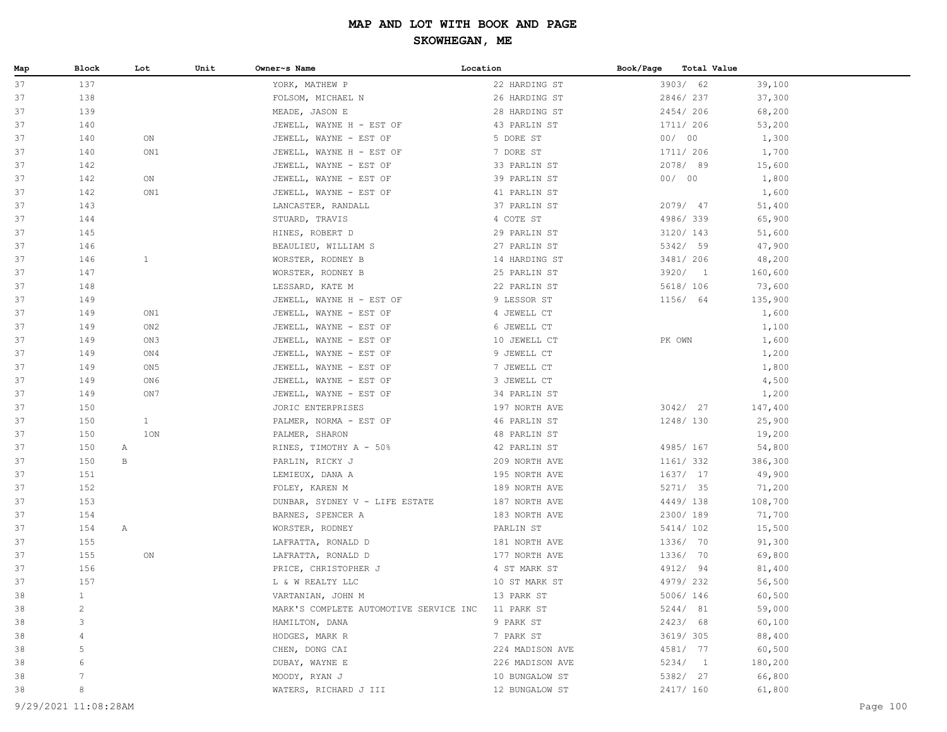| Map | Block        | Lot          | Unit | Owner~s Name                           | Location        | Book/Page<br>Total Value |         |
|-----|--------------|--------------|------|----------------------------------------|-----------------|--------------------------|---------|
| 37  | 137          |              |      | YORK, MATHEW P                         | 22 HARDING ST   | 3903/ 62                 | 39,100  |
| 37  | 138          |              |      | FOLSOM, MICHAEL N                      | 26 HARDING ST   | 2846/237                 | 37,300  |
| 37  | 139          |              |      | MEADE, JASON E                         | 28 HARDING ST   | 2454/206                 | 68,200  |
| 37  | 140          |              |      | JEWELL, WAYNE H - EST OF               | 43 PARLIN ST    | 1711/ 206                | 53,200  |
| 37  | 140          | ON           |      | JEWELL, WAYNE - EST OF                 | 5 DORE ST       | 00/00                    | 1,300   |
| 37  | 140          | ON1          |      | JEWELL, WAYNE H - EST OF               | 7 DORE ST       | 1711/ 206                | 1,700   |
| 37  | 142          |              |      | JEWELL, WAYNE - EST OF                 | 33 PARLIN ST    | 2078/89                  | 15,600  |
| 37  | 142          | ON           |      | JEWELL, WAYNE - EST OF                 | 39 PARLIN ST    | 00/00                    | 1,800   |
| 37  | 142          | ON1          |      | JEWELL, WAYNE - EST OF                 | 41 PARLIN ST    |                          | 1,600   |
| 37  | 143          |              |      | LANCASTER, RANDALL                     | 37 PARLIN ST    | 2079/ 47                 | 51,400  |
| 37  | 144          |              |      | STUARD, TRAVIS                         | 4 COTE ST       | 4986/339                 | 65,900  |
| 37  | 145          |              |      | HINES, ROBERT D                        | 29 PARLIN ST    | 3120/ 143                | 51,600  |
| 37  | 146          |              |      | BEAULIEU, WILLIAM S                    | 27 PARLIN ST    | 5342/ 59                 | 47,900  |
| 37  | 146          | $\mathbf{1}$ |      | WORSTER, RODNEY B                      | 14 HARDING ST   | 3481/ 206                | 48,200  |
| 37  | 147          |              |      | WORSTER, RODNEY B                      | 25 PARLIN ST    | 3920/ 1                  | 160,600 |
| 37  | 148          |              |      | LESSARD, KATE M                        | 22 PARLIN ST    | 5618/ 106                | 73,600  |
| 37  | 149          |              |      | JEWELL, WAYNE H - EST OF               | 9 LESSOR ST     | 1156/ 64                 | 135,900 |
| 37  | 149          | ON1          |      | JEWELL, WAYNE - EST OF                 | 4 JEWELL CT     |                          | 1,600   |
| 37  | 149          | ON2          |      | JEWELL, WAYNE - EST OF                 | 6 JEWELL CT     |                          | 1,100   |
| 37  | 149          | ON3          |      | JEWELL, WAYNE - EST OF                 | 10 JEWELL CT    | PK OWN                   | 1,600   |
| 37  | 149          | ON4          |      | JEWELL, WAYNE - EST OF                 | 9 JEWELL CT     |                          | 1,200   |
| 37  | 149          | ON5          |      | JEWELL, WAYNE - EST OF                 | 7 JEWELL CT     |                          | 1,800   |
| 37  | 149          | ON6          |      | JEWELL, WAYNE - EST OF                 | 3 JEWELL CT     |                          | 4,500   |
| 37  | 149          | ON 7         |      | JEWELL, WAYNE - EST OF                 | 34 PARLIN ST    |                          | 1,200   |
| 37  | 150          |              |      | JORIC ENTERPRISES                      | 197 NORTH AVE   | 3042/ 27                 | 147,400 |
| 37  | 150          | $\mathbf{1}$ |      | PALMER, NORMA - EST OF                 | 46 PARLIN ST    | 1248/130                 | 25,900  |
| 37  | 150          | 1ON          |      | PALMER, SHARON                         | 48 PARLIN ST    |                          | 19,200  |
| 37  | 150          | A            |      | RINES, TIMOTHY A - 50%                 | 42 PARLIN ST    | 4985/ 167                | 54,800  |
| 37  | 150          | В            |      | PARLIN, RICKY J                        | 209 NORTH AVE   | 1161/ 332                | 386,300 |
| 37  | 151          |              |      | LEMIEUX, DANA A                        | 195 NORTH AVE   | 1637/ 17                 | 49,900  |
| 37  | 152          |              |      | FOLEY, KAREN M                         | 189 NORTH AVE   | 5271/ 35                 | 71,200  |
| 37  | 153          |              |      | DUNBAR, SYDNEY V - LIFE ESTATE         | 187 NORTH AVE   | 4449/138                 | 108,700 |
| 37  | 154          |              |      | BARNES, SPENCER A                      | 183 NORTH AVE   | 2300/ 189                | 71,700  |
| 37  | 154          | A            |      | WORSTER, RODNEY                        | PARLIN ST       | 5414/ 102                | 15,500  |
| 37  | 155          |              |      | LAFRATTA, RONALD D                     | 181 NORTH AVE   | 1336/ 70                 | 91,300  |
| 37  | 155          | ON           |      | LAFRATTA, RONALD D                     | 177 NORTH AVE   | 1336/ 70                 | 69,800  |
| 37  | 156          |              |      | PRICE, CHRISTOPHER J                   | 4 ST MARK ST    | 4912/ 94                 | 81,400  |
| 37  | 157          |              |      | L & W REALTY LLC                       | 10 ST MARK ST   | 4979/232                 | 56,500  |
| 38  | $\mathbf{1}$ |              |      | VARTANIAN, JOHN M                      | 13 PARK ST      | 5006/ 146                | 60,500  |
| 38  | $\mathbf{2}$ |              |      | MARK'S COMPLETE AUTOMOTIVE SERVICE INC | 11 PARK ST      | 5244/ 81                 | 59,000  |
| 38  | 3            |              |      | HAMILTON, DANA                         | 9 PARK ST       | 2423/ 68                 | 60,100  |
| 38  | 4            |              |      | HODGES, MARK R                         | 7 PARK ST       | 3619/ 305                | 88,400  |
| 38  | 5            |              |      | CHEN, DONG CAI                         | 224 MADISON AVE | 4581/ 77                 | 60,500  |
| 38  | 6            |              |      | DUBAY, WAYNE E                         | 226 MADISON AVE | 5234/1                   | 180,200 |
| 38  | 7            |              |      | MOODY, RYAN J                          | 10 BUNGALOW ST  | 5382/ 27                 | 66,800  |
| 38  | 8            |              |      | WATERS, RICHARD J III                  | 12 BUNGALOW ST  | 2417/ 160                | 61,800  |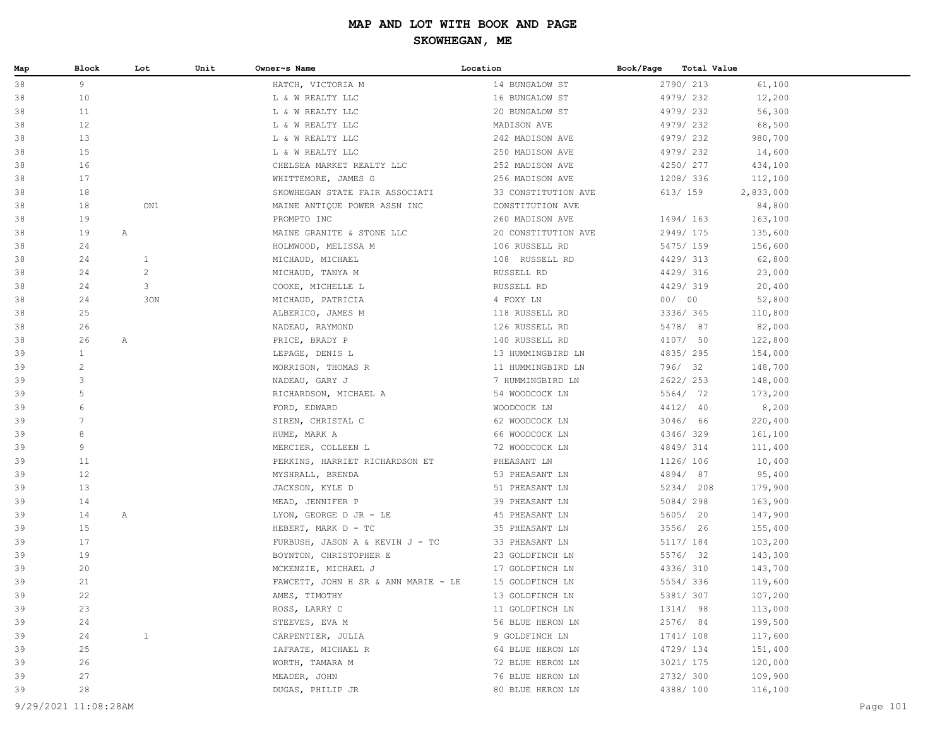| Map | Block                | Lot            | Unit | Owner~s Name                        | Location            | Book/Page | Total Value |           |          |
|-----|----------------------|----------------|------|-------------------------------------|---------------------|-----------|-------------|-----------|----------|
| 38  | 9                    |                |      | HATCH, VICTORIA M                   | 14 BUNGALOW ST      |           | 2790/ 213   | 61,100    |          |
| 38  | 10                   |                |      | L & W REALTY LLC                    | 16 BUNGALOW ST      |           | 4979/232    | 12,200    |          |
| 38  | 11                   |                |      | L & W REALTY LLC                    | 20 BUNGALOW ST      |           | 4979/232    | 56,300    |          |
| 38  | 12                   |                |      | L & W REALTY LLC                    | MADISON AVE         |           | 4979/232    | 68,500    |          |
| 38  | 13                   |                |      | L & W REALTY LLC                    | 242 MADISON AVE     |           | 4979/232    | 980,700   |          |
| 38  | 15                   |                |      | L & W REALTY LLC                    | 250 MADISON AVE     |           | 4979/232    | 14,600    |          |
| 38  | 16                   |                |      | CHELSEA MARKET REALTY LLC           | 252 MADISON AVE     |           | 4250/ 277   | 434,100   |          |
| 38  | 17                   |                |      | WHITTEMORE, JAMES G                 | 256 MADISON AVE     |           | 1208/ 336   | 112,100   |          |
| 38  | 18                   |                |      | SKOWHEGAN STATE FAIR ASSOCIATI      | 33 CONSTITUTION AVE |           | 613/ 159    | 2,833,000 |          |
| 38  | 18                   | ON1            |      | MAINE ANTIQUE POWER ASSN INC        | CONSTITUTION AVE    |           |             | 84,800    |          |
| 38  | 19                   |                |      | PROMPTO INC                         | 260 MADISON AVE     |           | 1494/163    | 163,100   |          |
| 38  | 19                   | $\mathbb{A}$   |      | MAINE GRANITE & STONE LLC           | 20 CONSTITUTION AVE |           | 2949/175    | 135,600   |          |
| 38  | 24                   |                |      | HOLMWOOD, MELISSA M                 | 106 RUSSELL RD      |           | 5475/ 159   | 156,600   |          |
| 38  | 24                   | $\mathbf{1}$   |      | MICHAUD, MICHAEL                    | 108 RUSSELL RD      |           | 4429/313    | 62,800    |          |
| 38  | 24                   | $\overline{c}$ |      | MICHAUD, TANYA M                    | RUSSELL RD          |           | 4429/316    | 23,000    |          |
| 38  | 24                   | 3              |      | COOKE, MICHELLE L                   | RUSSELL RD          |           | 4429/319    | 20,400    |          |
| 38  | 24                   | 30N            |      | MICHAUD, PATRICIA                   | 4 FOXY LN           | 00/00     |             | 52,800    |          |
| 38  | 25                   |                |      | ALBERICO, JAMES M                   | 118 RUSSELL RD      |           | 3336/345    | 110,800   |          |
| 38  | 26                   |                |      | NADEAU, RAYMOND                     | 126 RUSSELL RD      |           | 5478/ 87    | 82,000    |          |
| 38  | 26                   | $\mathbb{A}$   |      | PRICE, BRADY P                      | 140 RUSSELL RD      |           | 4107/ 50    | 122,800   |          |
| 39  | $\mathbf{1}$         |                |      | LEPAGE, DENIS L                     | 13 HUMMINGBIRD LN   |           | 4835/295    | 154,000   |          |
| 39  | $\overline{c}$       |                |      | MORRISON, THOMAS R                  | 11 HUMMINGBIRD LN   |           | 796/ 32     | 148,700   |          |
| 39  | 3                    |                |      | NADEAU, GARY J                      | 7 HUMMINGBIRD LN    |           | 2622/ 253   | 148,000   |          |
| 39  | 5                    |                |      | RICHARDSON, MICHAEL A               | 54 WOODCOCK LN      |           | 5564/ 72    | 173,200   |          |
| 39  | 6                    |                |      | FORD, EDWARD                        | WOODCOCK LN         |           | 4412/ 40    | 8,200     |          |
| 39  | $7\phantom{.0}$      |                |      | SIREN, CHRISTAL C                   | 62 WOODCOCK LN      |           | 3046/ 66    | 220,400   |          |
| 39  | 8                    |                |      | HUME, MARK A                        | 66 WOODCOCK LN      |           | 4346/329    | 161,100   |          |
| 39  | 9                    |                |      | MERCIER, COLLEEN L                  | 72 WOODCOCK LN      |           | 4849/314    | 111,400   |          |
| 39  | 11                   |                |      | PERKINS, HARRIET RICHARDSON ET      | PHEASANT LN         |           | 1126/ 106   | 10,400    |          |
| 39  | 12                   |                |      | MYSHRALL, BRENDA                    | 53 PHEASANT LN      |           | 4894/ 87    | 95,400    |          |
| 39  | 13                   |                |      | JACKSON, KYLE D                     | 51 PHEASANT LN      |           | 5234/ 208   | 179,900   |          |
| 39  | 14                   |                |      | MEAD, JENNIFER P                    | 39 PHEASANT LN      |           | 5084/298    | 163,900   |          |
| 39  | 14                   | A              |      | LYON, GEORGE D JR - LE              | 45 PHEASANT LN      |           | 5605/ 20    | 147,900   |          |
| 39  | 15                   |                |      | HEBERT, MARK D - TC                 | 35 PHEASANT LN      |           | 3556/ 26    | 155,400   |          |
| 39  | 17                   |                |      | FURBUSH, JASON A & KEVIN J - TC     | 33 PHEASANT LN      |           | 5117/ 184   | 103,200   |          |
| 39  | 19                   |                |      | BOYNTON, CHRISTOPHER E              | 23 GOLDFINCH LN     |           | 5576/ 32    | 143,300   |          |
| 39  | 20                   |                |      | MCKENZIE, MICHAEL J                 | 17 GOLDFINCH LN     |           | 4336/ 310   | 143,700   |          |
| 39  | 21                   |                |      | FAWCETT, JOHN H SR & ANN MARIE - LE | 15 GOLDFINCH LN     |           | 5554/336    | 119,600   |          |
| 39  | 22                   |                |      | AMES, TIMOTHY                       | 13 GOLDFINCH LN     |           | 5381/ 307   | 107,200   |          |
| 39  | 23                   |                |      | ROSS, LARRY C                       | 11 GOLDFINCH LN     |           | 1314/ 98    | 113,000   |          |
| 39  | 24                   |                |      | STEEVES, EVA M                      | 56 BLUE HERON LN    |           | 2576/ 84    | 199,500   |          |
| 39  | 24                   | $\mathbf{1}$   |      | CARPENTIER, JULIA                   | 9 GOLDFINCH LN      |           | 1741/ 108   | 117,600   |          |
| 39  | 25                   |                |      | IAFRATE, MICHAEL R                  | 64 BLUE HERON LN    |           | 4729/ 134   | 151,400   |          |
| 39  | 26                   |                |      | WORTH, TAMARA M                     | 72 BLUE HERON LN    |           | 3021/ 175   | 120,000   |          |
| 39  | 27                   |                |      | MEADER, JOHN                        | 76 BLUE HERON LN    |           | 2732/300    | 109,900   |          |
| 39  | 28                   |                |      | DUGAS, PHILIP JR                    | 80 BLUE HERON LN    |           | 4388/ 100   | 116,100   |          |
|     | 9/29/2021 11:08:28AM |                |      |                                     |                     |           |             |           | Page 101 |
|     |                      |                |      |                                     |                     |           |             |           |          |